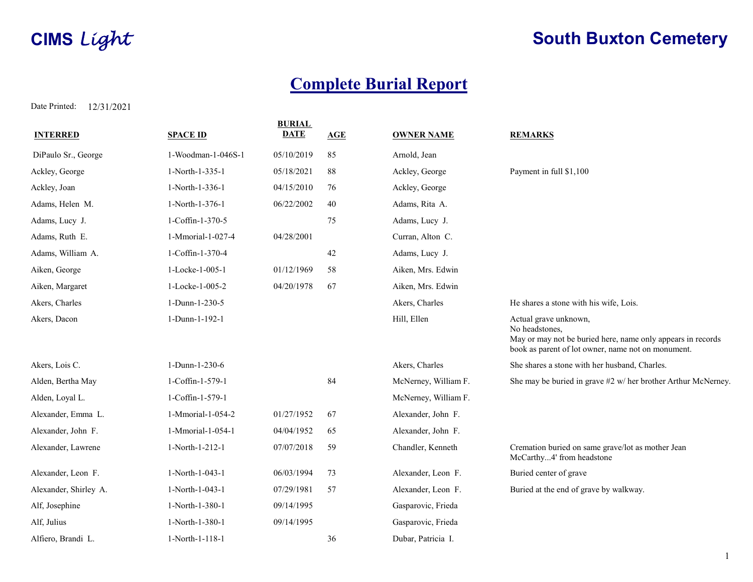# **CIMS** Light Cometery

## Complete Burial Report

| <b>INTERRED</b>       | <b>SPACE ID</b>    | <b>BURIAL</b><br><b>DATE</b> | <b>AGE</b> | <b>OWNER NAME</b>    | <b>REMARKS</b>                                                                                                                                               |
|-----------------------|--------------------|------------------------------|------------|----------------------|--------------------------------------------------------------------------------------------------------------------------------------------------------------|
| DiPaulo Sr., George   | 1-Woodman-1-046S-1 | 05/10/2019                   | 85         | Arnold, Jean         |                                                                                                                                                              |
| Ackley, George        | 1-North-1-335-1    | 05/18/2021                   | 88         | Ackley, George       | Payment in full \$1,100                                                                                                                                      |
| Ackley, Joan          | 1-North-1-336-1    | 04/15/2010                   | 76         | Ackley, George       |                                                                                                                                                              |
| Adams, Helen M.       | 1-North-1-376-1    | 06/22/2002                   | 40         | Adams, Rita A.       |                                                                                                                                                              |
| Adams, Lucy J.        | 1-Coffin-1-370-5   |                              | 75         | Adams, Lucy J.       |                                                                                                                                                              |
| Adams, Ruth E.        | 1-Mmorial-1-027-4  | 04/28/2001                   |            | Curran, Alton C.     |                                                                                                                                                              |
| Adams, William A.     | 1-Coffin-1-370-4   |                              | 42         | Adams, Lucy J.       |                                                                                                                                                              |
| Aiken, George         | 1-Locke-1-005-1    | 01/12/1969                   | 58         | Aiken, Mrs. Edwin    |                                                                                                                                                              |
| Aiken, Margaret       | 1-Locke-1-005-2    | 04/20/1978                   | 67         | Aiken, Mrs. Edwin    |                                                                                                                                                              |
| Akers, Charles        | 1-Dunn-1-230-5     |                              |            | Akers, Charles       | He shares a stone with his wife, Lois.                                                                                                                       |
| Akers, Dacon          | 1-Dunn-1-192-1     |                              |            | Hill, Ellen          | Actual grave unknown,<br>No headstones,<br>May or may not be buried here, name only appears in records<br>book as parent of lot owner, name not on monument. |
| Akers, Lois C.        | 1-Dunn-1-230-6     |                              |            | Akers, Charles       | She shares a stone with her husband, Charles.                                                                                                                |
| Alden, Bertha May     | 1-Coffin-1-579-1   |                              | 84         | McNerney, William F. | She may be buried in grave #2 w/ her brother Arthur McNerney.                                                                                                |
| Alden, Loyal L.       | 1-Coffin-1-579-1   |                              |            | McNerney, William F. |                                                                                                                                                              |
| Alexander, Emma L.    | 1-Mmorial-1-054-2  | 01/27/1952                   | 67         | Alexander, John F.   |                                                                                                                                                              |
| Alexander, John F.    | 1-Mmorial-1-054-1  | 04/04/1952                   | 65         | Alexander, John F.   |                                                                                                                                                              |
| Alexander, Lawrene    | 1-North-1-212-1    | 07/07/2018                   | 59         | Chandler, Kenneth    | Cremation buried on same grave/lot as mother Jean<br>McCarthy4' from headstone                                                                               |
| Alexander, Leon F.    | 1-North-1-043-1    | 06/03/1994                   | 73         | Alexander, Leon F.   | Buried center of grave                                                                                                                                       |
| Alexander, Shirley A. | 1-North-1-043-1    | 07/29/1981                   | 57         | Alexander, Leon F.   | Buried at the end of grave by walkway.                                                                                                                       |
| Alf, Josephine        | 1-North-1-380-1    | 09/14/1995                   |            | Gasparovic, Frieda   |                                                                                                                                                              |
| Alf, Julius           | 1-North-1-380-1    | 09/14/1995                   |            | Gasparovic, Frieda   |                                                                                                                                                              |
| Alfiero, Brandi L.    | 1-North-1-118-1    |                              | 36         | Dubar, Patricia I.   |                                                                                                                                                              |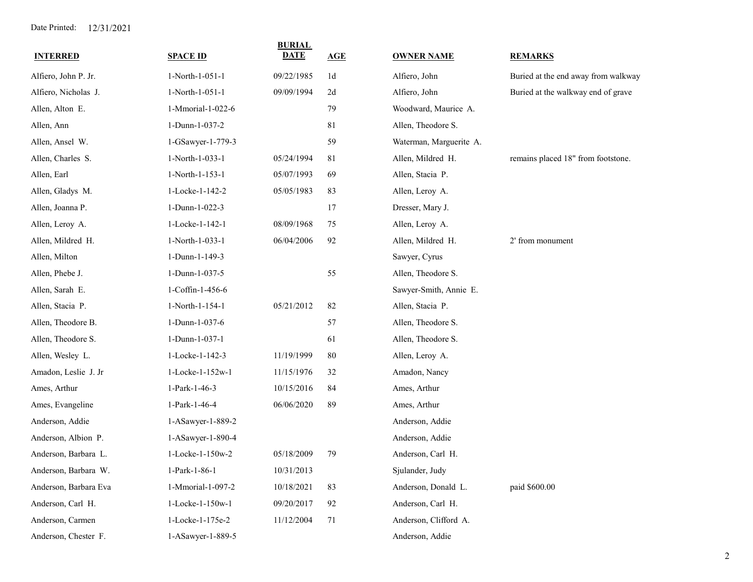| <b>INTERRED</b>       | <b>SPACE ID</b>   | <b>BURIAL</b><br><b>DATE</b> | AGE            | <b>OWNER NAME</b>       | <b>REMARKS</b>                      |
|-----------------------|-------------------|------------------------------|----------------|-------------------------|-------------------------------------|
| Alfiero, John P. Jr.  | 1-North-1-051-1   | 09/22/1985                   | 1 <sub>d</sub> | Alfiero, John           | Buried at the end away from walkway |
| Alfiero, Nicholas J.  | 1-North-1-051-1   | 09/09/1994                   | 2d             | Alfiero, John           | Buried at the walkway end of grave  |
| Allen, Alton E.       | 1-Mmorial-1-022-6 |                              | 79             | Woodward, Maurice A.    |                                     |
| Allen, Ann            | 1-Dunn-1-037-2    |                              | 81             | Allen, Theodore S.      |                                     |
| Allen, Ansel W.       | 1-GSawyer-1-779-3 |                              | 59             | Waterman, Marguerite A. |                                     |
| Allen, Charles S.     | 1-North-1-033-1   | 05/24/1994                   | 81             | Allen, Mildred H.       | remains placed 18" from footstone.  |
| Allen, Earl           | 1-North-1-153-1   | 05/07/1993                   | 69             | Allen, Stacia P.        |                                     |
| Allen, Gladys M.      | 1-Locke-1-142-2   | 05/05/1983                   | 83             | Allen, Leroy A.         |                                     |
| Allen, Joanna P.      | 1-Dunn-1-022-3    |                              | 17             | Dresser, Mary J.        |                                     |
| Allen, Leroy A.       | 1-Locke-1-142-1   | 08/09/1968                   | 75             | Allen, Leroy A.         |                                     |
| Allen, Mildred H.     | 1-North-1-033-1   | 06/04/2006                   | 92             | Allen, Mildred H.       | 2' from monument                    |
| Allen, Milton         | 1-Dunn-1-149-3    |                              |                | Sawyer, Cyrus           |                                     |
| Allen, Phebe J.       | 1-Dunn-1-037-5    |                              | 55             | Allen, Theodore S.      |                                     |
| Allen, Sarah E.       | 1-Coffin-1-456-6  |                              |                | Sawyer-Smith, Annie E.  |                                     |
| Allen, Stacia P.      | 1-North-1-154-1   | 05/21/2012                   | 82             | Allen, Stacia P.        |                                     |
| Allen, Theodore B.    | 1-Dunn-1-037-6    |                              | 57             | Allen, Theodore S.      |                                     |
| Allen, Theodore S.    | 1-Dunn-1-037-1    |                              | 61             | Allen, Theodore S.      |                                     |
| Allen, Wesley L.      | 1-Locke-1-142-3   | 11/19/1999                   | $80\,$         | Allen, Leroy A.         |                                     |
| Amadon, Leslie J. Jr  | 1-Locke-1-152w-1  | 11/15/1976                   | 32             | Amadon, Nancy           |                                     |
| Ames, Arthur          | 1-Park-1-46-3     | 10/15/2016                   | 84             | Ames, Arthur            |                                     |
| Ames, Evangeline      | 1-Park-1-46-4     | 06/06/2020                   | 89             | Ames, Arthur            |                                     |
| Anderson, Addie       | 1-ASawyer-1-889-2 |                              |                | Anderson, Addie         |                                     |
| Anderson, Albion P.   | 1-ASawyer-1-890-4 |                              |                | Anderson, Addie         |                                     |
| Anderson, Barbara L.  | 1-Locke-1-150w-2  | 05/18/2009                   | 79             | Anderson, Carl H.       |                                     |
| Anderson, Barbara W.  | 1-Park-1-86-1     | 10/31/2013                   |                | Sjulander, Judy         |                                     |
| Anderson, Barbara Eva | 1-Mmorial-1-097-2 | 10/18/2021                   | 83             | Anderson, Donald L.     | paid \$600.00                       |
| Anderson, Carl H.     | 1-Locke-1-150w-1  | 09/20/2017                   | 92             | Anderson, Carl H.       |                                     |
| Anderson, Carmen      | 1-Locke-1-175e-2  | 11/12/2004                   | 71             | Anderson, Clifford A.   |                                     |
| Anderson, Chester F.  | 1-ASawyer-1-889-5 |                              |                | Anderson, Addie         |                                     |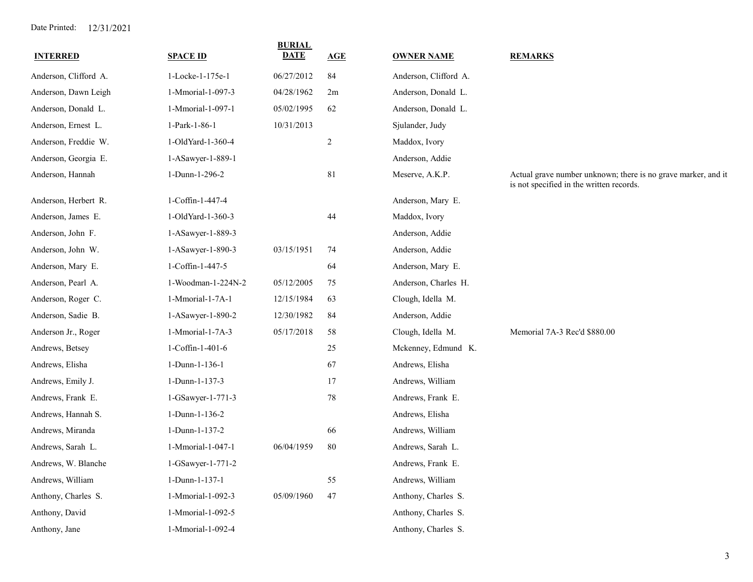| <b>INTERRED</b>       | <b>SPACE ID</b>    | <b>BURIAL</b><br><b>DATE</b> | <u>AGE</u> | <b>OWNER NAME</b>     | <b>REMARKS</b>                                                                                            |
|-----------------------|--------------------|------------------------------|------------|-----------------------|-----------------------------------------------------------------------------------------------------------|
| Anderson, Clifford A. | 1-Locke-1-175e-1   | 06/27/2012                   | 84         | Anderson, Clifford A. |                                                                                                           |
| Anderson, Dawn Leigh  | 1-Mmorial-1-097-3  | 04/28/1962                   | 2m         | Anderson, Donald L.   |                                                                                                           |
| Anderson, Donald L.   | 1-Mmorial-1-097-1  | 05/02/1995                   | 62         | Anderson, Donald L.   |                                                                                                           |
| Anderson, Ernest L.   | 1-Park-1-86-1      | 10/31/2013                   |            | Sjulander, Judy       |                                                                                                           |
| Anderson, Freddie W.  | 1-OldYard-1-360-4  |                              | $\sqrt{2}$ | Maddox, Ivory         |                                                                                                           |
| Anderson, Georgia E.  | 1-ASawyer-1-889-1  |                              |            | Anderson, Addie       |                                                                                                           |
| Anderson, Hannah      | 1-Dunn-1-296-2     |                              | 81         | Meserve, A.K.P.       | Actual grave number unknown; there is no grave marker, and it<br>is not specified in the written records. |
| Anderson, Herbert R.  | 1-Coffin-1-447-4   |                              |            | Anderson, Mary E.     |                                                                                                           |
| Anderson, James E.    | 1-OldYard-1-360-3  |                              | 44         | Maddox, Ivory         |                                                                                                           |
| Anderson, John F.     | 1-ASawyer-1-889-3  |                              |            | Anderson, Addie       |                                                                                                           |
| Anderson, John W.     | 1-ASawyer-1-890-3  | 03/15/1951                   | 74         | Anderson, Addie       |                                                                                                           |
| Anderson, Mary E.     | 1-Coffin-1-447-5   |                              | 64         | Anderson, Mary E.     |                                                                                                           |
| Anderson, Pearl A.    | 1-Woodman-1-224N-2 | 05/12/2005                   | 75         | Anderson, Charles H.  |                                                                                                           |
| Anderson, Roger C.    | 1-Mmorial-1-7A-1   | 12/15/1984                   | 63         | Clough, Idella M.     |                                                                                                           |
| Anderson, Sadie B.    | 1-ASawyer-1-890-2  | 12/30/1982                   | 84         | Anderson, Addie       |                                                                                                           |
| Anderson Jr., Roger   | 1-Mmorial-1-7A-3   | 05/17/2018                   | 58         | Clough, Idella M.     | Memorial 7A-3 Rec'd \$880.00                                                                              |
| Andrews, Betsey       | 1-Coffin-1-401-6   |                              | 25         | Mckenney, Edmund K.   |                                                                                                           |
| Andrews, Elisha       | 1-Dunn-1-136-1     |                              | 67         | Andrews, Elisha       |                                                                                                           |
| Andrews, Emily J.     | 1-Dunn-1-137-3     |                              | 17         | Andrews, William      |                                                                                                           |
| Andrews, Frank E.     | 1-GSawyer-1-771-3  |                              | 78         | Andrews, Frank E.     |                                                                                                           |
| Andrews, Hannah S.    | 1-Dunn-1-136-2     |                              |            | Andrews, Elisha       |                                                                                                           |
| Andrews, Miranda      | 1-Dunn-1-137-2     |                              | 66         | Andrews, William      |                                                                                                           |
| Andrews, Sarah L.     | 1-Mmorial-1-047-1  | 06/04/1959                   | 80         | Andrews, Sarah L.     |                                                                                                           |
| Andrews, W. Blanche   | 1-GSawyer-1-771-2  |                              |            | Andrews, Frank E.     |                                                                                                           |
| Andrews, William      | 1-Dunn-1-137-1     |                              | 55         | Andrews, William      |                                                                                                           |
| Anthony, Charles S.   | 1-Mmorial-1-092-3  | 05/09/1960                   | 47         | Anthony, Charles S.   |                                                                                                           |
| Anthony, David        | 1-Mmorial-1-092-5  |                              |            | Anthony, Charles S.   |                                                                                                           |
| Anthony, Jane         | 1-Mmorial-1-092-4  |                              |            | Anthony, Charles S.   |                                                                                                           |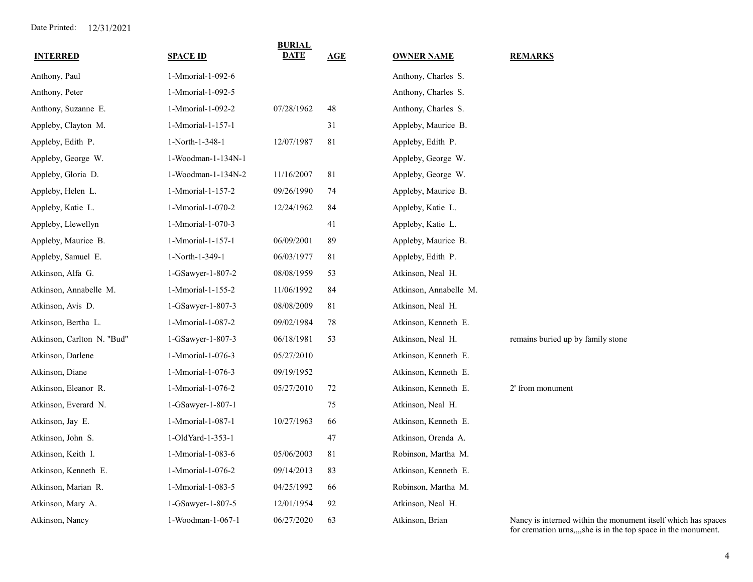| <b>INTERRED</b>            | <b>SPACE ID</b>    | <b>BURIAL</b><br>DATE | AGE | <b>OWNER NAME</b>      | <b>REMARKS</b>                                                                                                                  |
|----------------------------|--------------------|-----------------------|-----|------------------------|---------------------------------------------------------------------------------------------------------------------------------|
| Anthony, Paul              | 1-Mmorial-1-092-6  |                       |     | Anthony, Charles S.    |                                                                                                                                 |
| Anthony, Peter             | 1-Mmorial-1-092-5  |                       |     | Anthony, Charles S.    |                                                                                                                                 |
| Anthony, Suzanne E.        | 1-Mmorial-1-092-2  | 07/28/1962            | 48  | Anthony, Charles S.    |                                                                                                                                 |
| Appleby, Clayton M.        | 1-Mmorial-1-157-1  |                       | 31  | Appleby, Maurice B.    |                                                                                                                                 |
| Appleby, Edith P.          | 1-North-1-348-1    | 12/07/1987            | 81  | Appleby, Edith P.      |                                                                                                                                 |
| Appleby, George W.         | 1-Woodman-1-134N-1 |                       |     | Appleby, George W.     |                                                                                                                                 |
| Appleby, Gloria D.         | 1-Woodman-1-134N-2 | 11/16/2007            | 81  | Appleby, George W.     |                                                                                                                                 |
| Appleby, Helen L.          | 1-Mmorial-1-157-2  | 09/26/1990            | 74  | Appleby, Maurice B.    |                                                                                                                                 |
| Appleby, Katie L.          | 1-Mmorial-1-070-2  | 12/24/1962            | 84  | Appleby, Katie L.      |                                                                                                                                 |
| Appleby, Llewellyn         | 1-Mmorial-1-070-3  |                       | 41  | Appleby, Katie L.      |                                                                                                                                 |
| Appleby, Maurice B.        | 1-Mmorial-1-157-1  | 06/09/2001            | 89  | Appleby, Maurice B.    |                                                                                                                                 |
| Appleby, Samuel E.         | 1-North-1-349-1    | 06/03/1977            | 81  | Appleby, Edith P.      |                                                                                                                                 |
| Atkinson, Alfa G.          | 1-GSawyer-1-807-2  | 08/08/1959            | 53  | Atkinson, Neal H.      |                                                                                                                                 |
| Atkinson, Annabelle M.     | 1-Mmorial-1-155-2  | 11/06/1992            | 84  | Atkinson, Annabelle M. |                                                                                                                                 |
| Atkinson, Avis D.          | 1-GSawyer-1-807-3  | 08/08/2009            | 81  | Atkinson, Neal H.      |                                                                                                                                 |
| Atkinson, Bertha L.        | 1-Mmorial-1-087-2  | 09/02/1984            | 78  | Atkinson, Kenneth E.   |                                                                                                                                 |
| Atkinson, Carlton N. "Bud" | 1-GSawyer-1-807-3  | 06/18/1981            | 53  | Atkinson, Neal H.      | remains buried up by family stone                                                                                               |
| Atkinson, Darlene          | 1-Mmorial-1-076-3  | 05/27/2010            |     | Atkinson, Kenneth E.   |                                                                                                                                 |
| Atkinson, Diane            | 1-Mmorial-1-076-3  | 09/19/1952            |     | Atkinson, Kenneth E.   |                                                                                                                                 |
| Atkinson, Eleanor R.       | 1-Mmorial-1-076-2  | 05/27/2010            | 72  | Atkinson, Kenneth E.   | 2' from monument                                                                                                                |
| Atkinson, Everard N.       | 1-GSawyer-1-807-1  |                       | 75  | Atkinson, Neal H.      |                                                                                                                                 |
| Atkinson, Jay E.           | 1-Mmorial-1-087-1  | 10/27/1963            | 66  | Atkinson, Kenneth E.   |                                                                                                                                 |
| Atkinson, John S.          | 1-OldYard-1-353-1  |                       | 47  | Atkinson, Orenda A.    |                                                                                                                                 |
| Atkinson, Keith I.         | 1-Mmorial-1-083-6  | 05/06/2003            | 81  | Robinson, Martha M.    |                                                                                                                                 |
| Atkinson, Kenneth E.       | 1-Mmorial-1-076-2  | 09/14/2013            | 83  | Atkinson, Kenneth E.   |                                                                                                                                 |
| Atkinson, Marian R.        | 1-Mmorial-1-083-5  | 04/25/1992            | 66  | Robinson, Martha M.    |                                                                                                                                 |
| Atkinson, Mary A.          | 1-GSawyer-1-807-5  | 12/01/1954            | 92  | Atkinson, Neal H.      |                                                                                                                                 |
| Atkinson, Nancy            | 1-Woodman-1-067-1  | 06/27/2020            | 63  | Atkinson, Brian        | Nancy is interned within the monument itself which has spaces<br>for cremation urns,,,,she is in the top space in the monument. |

4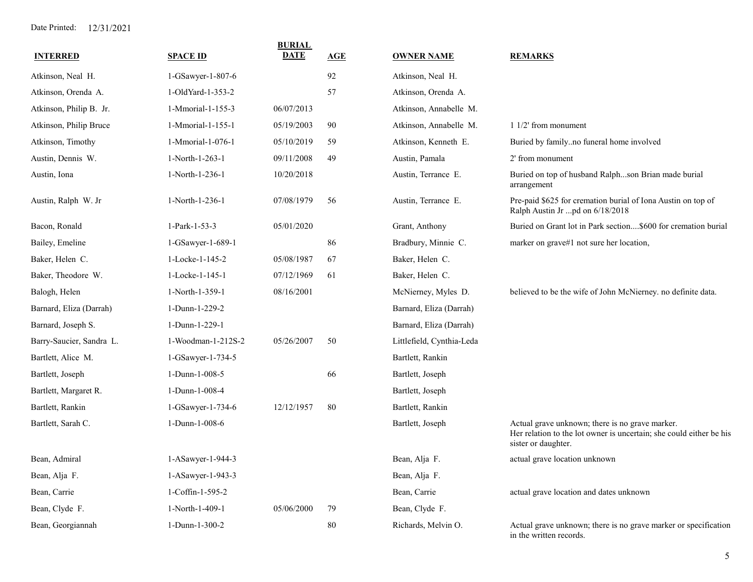| <b>INTERRED</b>          | <b>SPACE ID</b>    | <b>BURIAL</b><br><b>DATE</b> | AGE | <b>OWNER NAME</b>         | <b>REMARKS</b>                                                                                                                                |
|--------------------------|--------------------|------------------------------|-----|---------------------------|-----------------------------------------------------------------------------------------------------------------------------------------------|
| Atkinson, Neal H.        | 1-GSawyer-1-807-6  |                              | 92  | Atkinson, Neal H.         |                                                                                                                                               |
| Atkinson, Orenda A.      | 1-OldYard-1-353-2  |                              | 57  | Atkinson, Orenda A.       |                                                                                                                                               |
| Atkinson, Philip B. Jr.  | 1-Mmorial-1-155-3  | 06/07/2013                   |     | Atkinson, Annabelle M.    |                                                                                                                                               |
| Atkinson, Philip Bruce   | 1-Mmorial-1-155-1  | 05/19/2003                   | 90  | Atkinson, Annabelle M.    | $11/2$ from monument                                                                                                                          |
| Atkinson, Timothy        | 1-Mmorial-1-076-1  | 05/10/2019                   | 59  | Atkinson, Kenneth E.      | Buried by familyno funeral home involved                                                                                                      |
| Austin, Dennis W.        | 1-North-1-263-1    | 09/11/2008                   | 49  | Austin, Pamala            | 2' from monument                                                                                                                              |
| Austin, Iona             | 1-North-1-236-1    | 10/20/2018                   |     | Austin, Terrance E.       | Buried on top of husband Ralphson Brian made burial<br>arrangement                                                                            |
| Austin, Ralph W. Jr      | 1-North-1-236-1    | 07/08/1979                   | 56  | Austin, Terrance E.       | Pre-paid \$625 for cremation burial of Iona Austin on top of<br>Ralph Austin Jr pd on 6/18/2018                                               |
| Bacon, Ronald            | 1-Park-1-53-3      | 05/01/2020                   |     | Grant, Anthony            | Buried on Grant lot in Park section\$600 for cremation burial                                                                                 |
| Bailey, Emeline          | 1-GSawyer-1-689-1  |                              | 86  | Bradbury, Minnie C.       | marker on grave#1 not sure her location,                                                                                                      |
| Baker, Helen C.          | 1-Locke-1-145-2    | 05/08/1987                   | 67  | Baker, Helen C.           |                                                                                                                                               |
| Baker, Theodore W.       | 1-Locke-1-145-1    | 07/12/1969                   | 61  | Baker, Helen C.           |                                                                                                                                               |
| Balogh, Helen            | 1-North-1-359-1    | 08/16/2001                   |     | McNierney, Myles D.       | believed to be the wife of John McNierney. no definite data.                                                                                  |
| Barnard, Eliza (Darrah)  | 1-Dunn-1-229-2     |                              |     | Barnard, Eliza (Darrah)   |                                                                                                                                               |
| Barnard, Joseph S.       | 1-Dunn-1-229-1     |                              |     | Barnard, Eliza (Darrah)   |                                                                                                                                               |
| Barry-Saucier, Sandra L. | 1-Woodman-1-212S-2 | 05/26/2007                   | 50  | Littlefield, Cynthia-Leda |                                                                                                                                               |
| Bartlett, Alice M.       | 1-GSawyer-1-734-5  |                              |     | Bartlett, Rankin          |                                                                                                                                               |
| Bartlett, Joseph         | 1-Dunn-1-008-5     |                              | 66  | Bartlett, Joseph          |                                                                                                                                               |
| Bartlett, Margaret R.    | 1-Dunn-1-008-4     |                              |     | Bartlett, Joseph          |                                                                                                                                               |
| Bartlett, Rankin         | 1-GSawyer-1-734-6  | 12/12/1957                   | 80  | Bartlett, Rankin          |                                                                                                                                               |
| Bartlett, Sarah C.       | 1-Dunn-1-008-6     |                              |     | Bartlett, Joseph          | Actual grave unknown; there is no grave marker.<br>Her relation to the lot owner is uncertain; she could either be his<br>sister or daughter. |
| Bean, Admiral            | 1-ASawyer-1-944-3  |                              |     | Bean, Alja F.             | actual grave location unknown                                                                                                                 |
| Bean, Alja F.            | 1-ASawyer-1-943-3  |                              |     | Bean, Alja F.             |                                                                                                                                               |
| Bean, Carrie             | 1-Coffin-1-595-2   |                              |     | Bean, Carrie              | actual grave location and dates unknown                                                                                                       |
| Bean, Clyde F.           | 1-North-1-409-1    | 05/06/2000                   | 79  | Bean, Clyde F.            |                                                                                                                                               |
| Bean, Georgiannah        | 1-Dunn-1-300-2     |                              | 80  | Richards, Melvin O.       | Actual grave unknown; there is no grave marker or specification<br>in the written records.                                                    |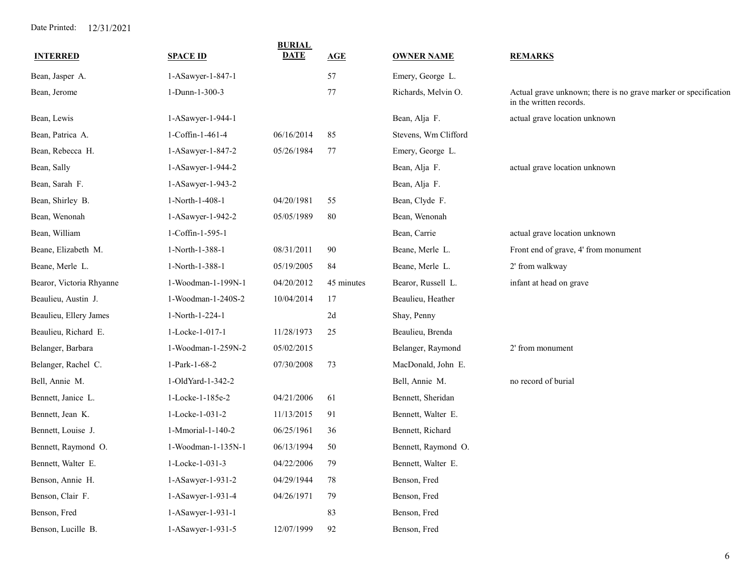| <b>INTERRED</b>          | <b>SPACE ID</b>    | <b>BURIAL</b><br><b>DATE</b> | AGE        | <b>OWNER NAME</b>    | <b>REMARKS</b>                                                                             |
|--------------------------|--------------------|------------------------------|------------|----------------------|--------------------------------------------------------------------------------------------|
|                          |                    |                              |            |                      |                                                                                            |
| Bean, Jasper A.          | 1-ASawyer-1-847-1  |                              | 57         | Emery, George L.     |                                                                                            |
| Bean, Jerome             | 1-Dunn-1-300-3     |                              | 77         | Richards, Melvin O.  | Actual grave unknown; there is no grave marker or specification<br>in the written records. |
| Bean, Lewis              | 1-ASawyer-1-944-1  |                              |            | Bean, Alja F.        | actual grave location unknown                                                              |
| Bean, Patrica A.         | 1-Coffin-1-461-4   | 06/16/2014                   | 85         | Stevens, Wm Clifford |                                                                                            |
| Bean, Rebecca H.         | 1-ASawyer-1-847-2  | 05/26/1984                   | 77         | Emery, George L.     |                                                                                            |
| Bean, Sally              | 1-ASawyer-1-944-2  |                              |            | Bean, Alja F.        | actual grave location unknown                                                              |
| Bean, Sarah F.           | 1-ASawyer-1-943-2  |                              |            | Bean, Alja F.        |                                                                                            |
| Bean, Shirley B.         | 1-North-1-408-1    | 04/20/1981                   | 55         | Bean, Clyde F.       |                                                                                            |
| Bean, Wenonah            | 1-ASawyer-1-942-2  | 05/05/1989                   | 80         | Bean, Wenonah        |                                                                                            |
| Bean, William            | 1-Coffin-1-595-1   |                              |            | Bean, Carrie         | actual grave location unknown                                                              |
| Beane, Elizabeth M.      | 1-North-1-388-1    | 08/31/2011                   | 90         | Beane, Merle L.      | Front end of grave, 4' from monument                                                       |
| Beane, Merle L.          | 1-North-1-388-1    | 05/19/2005                   | 84         | Beane, Merle L.      | 2' from walkway                                                                            |
| Bearor, Victoria Rhyanne | 1-Woodman-1-199N-1 | 04/20/2012                   | 45 minutes | Bearor, Russell L.   | infant at head on grave                                                                    |
| Beaulieu, Austin J.      | 1-Woodman-1-240S-2 | 10/04/2014                   | 17         | Beaulieu, Heather    |                                                                                            |
| Beaulieu, Ellery James   | 1-North-1-224-1    |                              | 2d         | Shay, Penny          |                                                                                            |
| Beaulieu, Richard E.     | 1-Locke-1-017-1    | 11/28/1973                   | 25         | Beaulieu, Brenda     |                                                                                            |
| Belanger, Barbara        | 1-Woodman-1-259N-2 | 05/02/2015                   |            | Belanger, Raymond    | 2' from monument                                                                           |
| Belanger, Rachel C.      | 1-Park-1-68-2      | 07/30/2008                   | 73         | MacDonald, John E.   |                                                                                            |
| Bell, Annie M.           | 1-OldYard-1-342-2  |                              |            | Bell, Annie M.       | no record of burial                                                                        |
| Bennett, Janice L.       | 1-Locke-1-185e-2   | 04/21/2006                   | 61         | Bennett, Sheridan    |                                                                                            |
| Bennett, Jean K.         | 1-Locke-1-031-2    | 11/13/2015                   | 91         | Bennett, Walter E.   |                                                                                            |
| Bennett, Louise J.       | 1-Mmorial-1-140-2  | 06/25/1961                   | 36         | Bennett, Richard     |                                                                                            |
| Bennett, Raymond O.      | 1-Woodman-1-135N-1 | 06/13/1994                   | 50         | Bennett, Raymond O.  |                                                                                            |
| Bennett, Walter E.       | 1-Locke-1-031-3    | 04/22/2006                   | 79         | Bennett, Walter E.   |                                                                                            |
| Benson, Annie H.         | 1-ASawyer-1-931-2  | 04/29/1944                   | 78         | Benson, Fred         |                                                                                            |
| Benson, Clair F.         | 1-ASawyer-1-931-4  | 04/26/1971                   | 79         | Benson, Fred         |                                                                                            |
| Benson, Fred             | 1-ASawyer-1-931-1  |                              | 83         | Benson, Fred         |                                                                                            |
| Benson, Lucille B.       | 1-ASawyer-1-931-5  | 12/07/1999                   | 92         | Benson, Fred         |                                                                                            |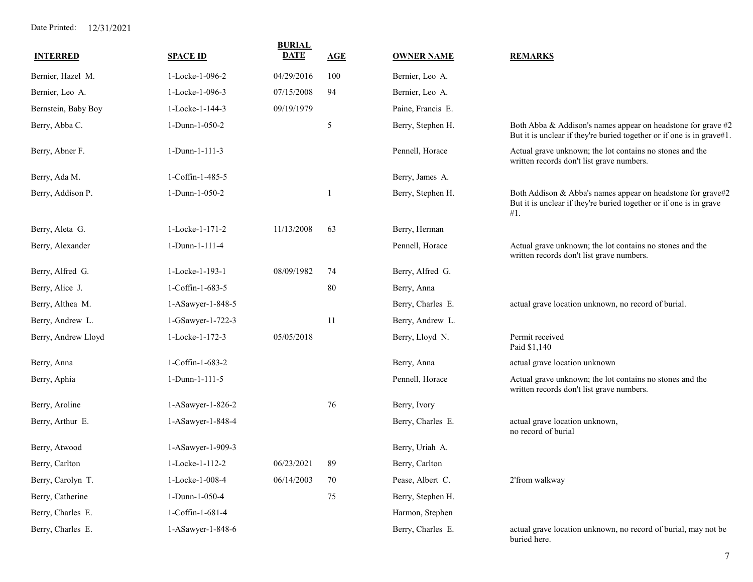| <b>INTERRED</b>     | <b>SPACE ID</b>   | <b>BURIAL</b><br><b>DATE</b> | AGE | <b>OWNER NAME</b> | <b>REMARKS</b>                                                                                                                           |
|---------------------|-------------------|------------------------------|-----|-------------------|------------------------------------------------------------------------------------------------------------------------------------------|
| Bernier, Hazel M.   | 1-Locke-1-096-2   | 04/29/2016                   | 100 | Bernier, Leo A.   |                                                                                                                                          |
| Bernier, Leo A.     | 1-Locke-1-096-3   | 07/15/2008                   | 94  | Bernier, Leo A.   |                                                                                                                                          |
| Bernstein, Baby Boy | 1-Locke-1-144-3   | 09/19/1979                   |     | Paine, Francis E. |                                                                                                                                          |
| Berry, Abba C.      | 1-Dunn-1-050-2    |                              | 5   | Berry, Stephen H. | Both Abba & Addison's names appear on headstone for grave #2<br>But it is unclear if they're buried together or if one is in grave#1.    |
| Berry, Abner F.     | 1-Dunn-1-111-3    |                              |     | Pennell, Horace   | Actual grave unknown; the lot contains no stones and the<br>written records don't list grave numbers.                                    |
| Berry, Ada M.       | 1-Coffin-1-485-5  |                              |     | Berry, James A.   |                                                                                                                                          |
| Berry, Addison P.   | 1-Dunn-1-050-2    |                              |     | Berry, Stephen H. | Both Addison & Abba's names appear on headstone for grave#2<br>But it is unclear if they're buried together or if one is in grave<br>#1. |
| Berry, Aleta G.     | 1-Locke-1-171-2   | 11/13/2008                   | 63  | Berry, Herman     |                                                                                                                                          |
| Berry, Alexander    | 1-Dunn-1-111-4    |                              |     | Pennell, Horace   | Actual grave unknown; the lot contains no stones and the<br>written records don't list grave numbers.                                    |
| Berry, Alfred G.    | 1-Locke-1-193-1   | 08/09/1982                   | 74  | Berry, Alfred G.  |                                                                                                                                          |
| Berry, Alice J.     | 1-Coffin-1-683-5  |                              | 80  | Berry, Anna       |                                                                                                                                          |
| Berry, Althea M.    | 1-ASawyer-1-848-5 |                              |     | Berry, Charles E. | actual grave location unknown, no record of burial.                                                                                      |
| Berry, Andrew L.    | 1-GSawyer-1-722-3 |                              | 11  | Berry, Andrew L.  |                                                                                                                                          |
| Berry, Andrew Lloyd | 1-Locke-1-172-3   | 05/05/2018                   |     | Berry, Lloyd N.   | Permit received<br>Paid \$1,140                                                                                                          |
| Berry, Anna         | 1-Coffin-1-683-2  |                              |     | Berry, Anna       | actual grave location unknown                                                                                                            |
| Berry, Aphia        | 1-Dunn-1-111-5    |                              |     | Pennell, Horace   | Actual grave unknown; the lot contains no stones and the<br>written records don't list grave numbers.                                    |
| Berry, Aroline      | 1-ASawyer-1-826-2 |                              | 76  | Berry, Ivory      |                                                                                                                                          |
| Berry, Arthur E.    | 1-ASawyer-1-848-4 |                              |     | Berry, Charles E. | actual grave location unknown,<br>no record of burial                                                                                    |
| Berry, Atwood       | 1-ASawyer-1-909-3 |                              |     | Berry, Uriah A.   |                                                                                                                                          |
| Berry, Carlton      | 1-Locke-1-112-2   | 06/23/2021                   | 89  | Berry, Carlton    |                                                                                                                                          |
| Berry, Carolyn T.   | 1-Locke-1-008-4   | 06/14/2003                   | 70  | Pease, Albert C.  | 2'from walkway                                                                                                                           |
| Berry, Catherine    | 1-Dunn-1-050-4    |                              | 75  | Berry, Stephen H. |                                                                                                                                          |
| Berry, Charles E.   | 1-Coffin-1-681-4  |                              |     | Harmon, Stephen   |                                                                                                                                          |
| Berry, Charles E.   | 1-ASawyer-1-848-6 |                              |     | Berry, Charles E. | actual grave location unknown, no record of burial, may not be<br>buried here.                                                           |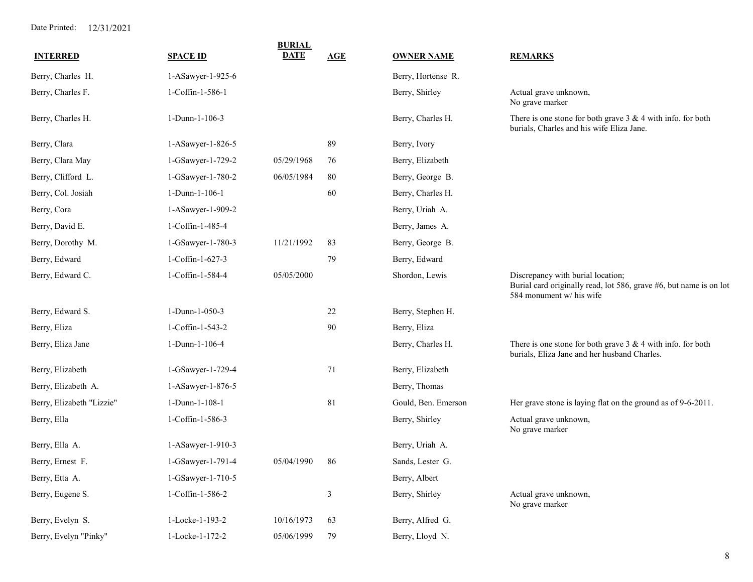| <b>INTERRED</b>           | <b>SPACE ID</b>   | <b>BURIAL</b><br><b>DATE</b> | AGE            | <b>OWNER NAME</b>   | <b>REMARKS</b>                                                                                                                      |
|---------------------------|-------------------|------------------------------|----------------|---------------------|-------------------------------------------------------------------------------------------------------------------------------------|
| Berry, Charles H.         | 1-ASawyer-1-925-6 |                              |                | Berry, Hortense R.  |                                                                                                                                     |
| Berry, Charles F.         | 1-Coffin-1-586-1  |                              |                | Berry, Shirley      | Actual grave unknown,<br>No grave marker                                                                                            |
| Berry, Charles H.         | 1-Dunn-1-106-3    |                              |                | Berry, Charles H.   | There is one stone for both grave $3 \& 4$ with info. for both<br>burials, Charles and his wife Eliza Jane.                         |
| Berry, Clara              | 1-ASawyer-1-826-5 |                              | 89             | Berry, Ivory        |                                                                                                                                     |
| Berry, Clara May          | 1-GSawyer-1-729-2 | 05/29/1968                   | 76             | Berry, Elizabeth    |                                                                                                                                     |
| Berry, Clifford L.        | 1-GSawyer-1-780-2 | 06/05/1984                   | 80             | Berry, George B.    |                                                                                                                                     |
| Berry, Col. Josiah        | 1-Dunn-1-106-1    |                              | 60             | Berry, Charles H.   |                                                                                                                                     |
| Berry, Cora               | 1-ASawyer-1-909-2 |                              |                | Berry, Uriah A.     |                                                                                                                                     |
| Berry, David E.           | 1-Coffin-1-485-4  |                              |                | Berry, James A.     |                                                                                                                                     |
| Berry, Dorothy M.         | 1-GSawyer-1-780-3 | 11/21/1992                   | 83             | Berry, George B.    |                                                                                                                                     |
| Berry, Edward             | 1-Coffin-1-627-3  |                              | 79             | Berry, Edward       |                                                                                                                                     |
| Berry, Edward C.          | 1-Coffin-1-584-4  | 05/05/2000                   |                | Shordon, Lewis      | Discrepancy with burial location;<br>Burial card originally read, lot 586, grave #6, but name is on lot<br>584 monument w/ his wife |
| Berry, Edward S.          | 1-Dunn-1-050-3    |                              | $22\,$         | Berry, Stephen H.   |                                                                                                                                     |
| Berry, Eliza              | 1-Coffin-1-543-2  |                              | 90             | Berry, Eliza        |                                                                                                                                     |
| Berry, Eliza Jane         | 1-Dunn-1-106-4    |                              |                | Berry, Charles H.   | There is one stone for both grave $3 \& 4$ with info. for both<br>burials, Eliza Jane and her husband Charles.                      |
| Berry, Elizabeth          | 1-GSawyer-1-729-4 |                              | 71             | Berry, Elizabeth    |                                                                                                                                     |
| Berry, Elizabeth A.       | 1-ASawyer-1-876-5 |                              |                | Berry, Thomas       |                                                                                                                                     |
| Berry, Elizabeth "Lizzie" | 1-Dunn-1-108-1    |                              | 81             | Gould, Ben. Emerson | Her grave stone is laying flat on the ground as of 9-6-2011.                                                                        |
| Berry, Ella               | 1-Coffin-1-586-3  |                              |                | Berry, Shirley      | Actual grave unknown,<br>No grave marker                                                                                            |
| Berry, Ella A.            | 1-ASawyer-1-910-3 |                              |                | Berry, Uriah A.     |                                                                                                                                     |
| Berry, Ernest F.          | 1-GSawyer-1-791-4 | 05/04/1990                   | 86             | Sands, Lester G.    |                                                                                                                                     |
| Berry, Etta A.            | 1-GSawyer-1-710-5 |                              |                | Berry, Albert       |                                                                                                                                     |
| Berry, Eugene S.          | 1-Coffin-1-586-2  |                              | $\mathfrak{Z}$ | Berry, Shirley      | Actual grave unknown,<br>No grave marker                                                                                            |
| Berry, Evelyn S.          | 1-Locke-1-193-2   | 10/16/1973                   | 63             | Berry, Alfred G.    |                                                                                                                                     |
| Berry, Evelyn "Pinky"     | 1-Locke-1-172-2   | 05/06/1999                   | 79             | Berry, Lloyd N.     |                                                                                                                                     |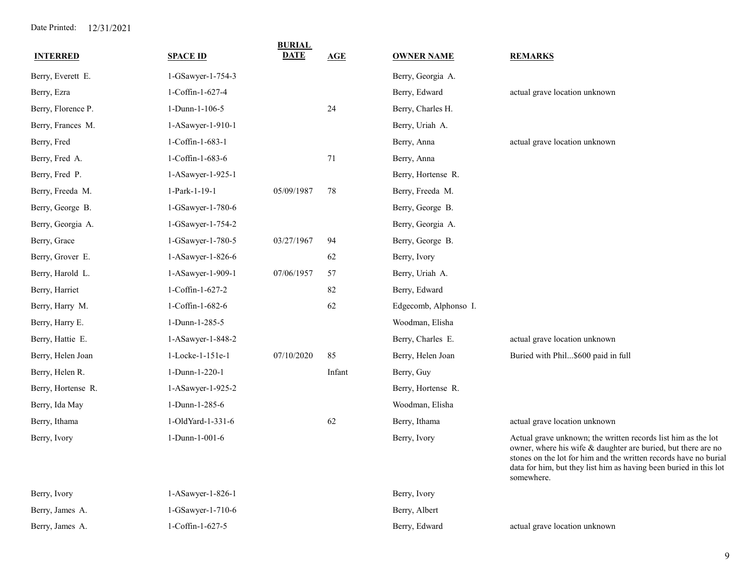| <b>INTERRED</b>    | <b>SPACE ID</b>   | <b>BURIAL</b><br><b>DATE</b> | <b>AGE</b> | <b>OWNER NAME</b>     | <b>REMARKS</b>                                                                                                                                                                                                                                                                        |
|--------------------|-------------------|------------------------------|------------|-----------------------|---------------------------------------------------------------------------------------------------------------------------------------------------------------------------------------------------------------------------------------------------------------------------------------|
| Berry, Everett E.  | 1-GSawyer-1-754-3 |                              |            | Berry, Georgia A.     |                                                                                                                                                                                                                                                                                       |
| Berry, Ezra        | 1-Coffin-1-627-4  |                              |            | Berry, Edward         | actual grave location unknown                                                                                                                                                                                                                                                         |
| Berry, Florence P. | 1-Dunn-1-106-5    |                              | 24         | Berry, Charles H.     |                                                                                                                                                                                                                                                                                       |
| Berry, Frances M.  | 1-ASawyer-1-910-1 |                              |            | Berry, Uriah A.       |                                                                                                                                                                                                                                                                                       |
| Berry, Fred        | 1-Coffin-1-683-1  |                              |            | Berry, Anna           | actual grave location unknown                                                                                                                                                                                                                                                         |
| Berry, Fred A.     | 1-Coffin-1-683-6  |                              | 71         | Berry, Anna           |                                                                                                                                                                                                                                                                                       |
| Berry, Fred P.     | 1-ASawyer-1-925-1 |                              |            | Berry, Hortense R.    |                                                                                                                                                                                                                                                                                       |
| Berry, Freeda M.   | 1-Park-1-19-1     | 05/09/1987                   | 78         | Berry, Freeda M.      |                                                                                                                                                                                                                                                                                       |
| Berry, George B.   | 1-GSawyer-1-780-6 |                              |            | Berry, George B.      |                                                                                                                                                                                                                                                                                       |
| Berry, Georgia A.  | 1-GSawyer-1-754-2 |                              |            | Berry, Georgia A.     |                                                                                                                                                                                                                                                                                       |
| Berry, Grace       | 1-GSawyer-1-780-5 | 03/27/1967                   | 94         | Berry, George B.      |                                                                                                                                                                                                                                                                                       |
| Berry, Grover E.   | 1-ASawyer-1-826-6 |                              | 62         | Berry, Ivory          |                                                                                                                                                                                                                                                                                       |
| Berry, Harold L.   | 1-ASawyer-1-909-1 | 07/06/1957                   | 57         | Berry, Uriah A.       |                                                                                                                                                                                                                                                                                       |
| Berry, Harriet     | 1-Coffin-1-627-2  |                              | 82         | Berry, Edward         |                                                                                                                                                                                                                                                                                       |
| Berry, Harry M.    | 1-Coffin-1-682-6  |                              | 62         | Edgecomb, Alphonso I. |                                                                                                                                                                                                                                                                                       |
| Berry, Harry E.    | 1-Dunn-1-285-5    |                              |            | Woodman, Elisha       |                                                                                                                                                                                                                                                                                       |
| Berry, Hattie E.   | 1-ASawyer-1-848-2 |                              |            | Berry, Charles E.     | actual grave location unknown                                                                                                                                                                                                                                                         |
| Berry, Helen Joan  | 1-Locke-1-151e-1  | 07/10/2020                   | 85         | Berry, Helen Joan     | Buried with Phil\$600 paid in full                                                                                                                                                                                                                                                    |
| Berry, Helen R.    | 1-Dunn-1-220-1    |                              | Infant     | Berry, Guy            |                                                                                                                                                                                                                                                                                       |
| Berry, Hortense R. | 1-ASawyer-1-925-2 |                              |            | Berry, Hortense R.    |                                                                                                                                                                                                                                                                                       |
| Berry, Ida May     | 1-Dunn-1-285-6    |                              |            | Woodman, Elisha       |                                                                                                                                                                                                                                                                                       |
| Berry, Ithama      | 1-OldYard-1-331-6 |                              | 62         | Berry, Ithama         | actual grave location unknown                                                                                                                                                                                                                                                         |
| Berry, Ivory       | 1-Dunn-1-001-6    |                              |            | Berry, Ivory          | Actual grave unknown; the written records list him as the lot<br>owner, where his wife & daughter are buried, but there are no<br>stones on the lot for him and the written records have no burial<br>data for him, but they list him as having been buried in this lot<br>somewhere. |
| Berry, Ivory       | 1-ASawyer-1-826-1 |                              |            | Berry, Ivory          |                                                                                                                                                                                                                                                                                       |
| Berry, James A.    | 1-GSawyer-1-710-6 |                              |            | Berry, Albert         |                                                                                                                                                                                                                                                                                       |

Berry, James A. actual grave location unknown 1-Coffin-1-627-5 Berry, Edward

9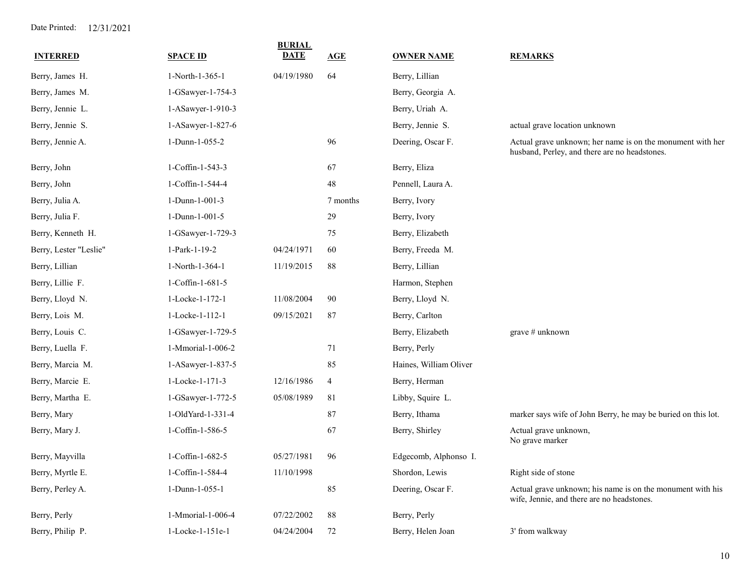| <b>INTERRED</b>        | <b>SPACE ID</b>   | <b>BURIAL</b><br><b>DATE</b> | AGE            | <b>OWNER NAME</b>      | <b>REMARKS</b>                                                                                              |
|------------------------|-------------------|------------------------------|----------------|------------------------|-------------------------------------------------------------------------------------------------------------|
| Berry, James H.        | 1-North-1-365-1   | 04/19/1980                   | 64             | Berry, Lillian         |                                                                                                             |
| Berry, James M.        | 1-GSawyer-1-754-3 |                              |                | Berry, Georgia A.      |                                                                                                             |
| Berry, Jennie L.       | 1-ASawyer-1-910-3 |                              |                | Berry, Uriah A.        |                                                                                                             |
| Berry, Jennie S.       | 1-ASawyer-1-827-6 |                              |                | Berry, Jennie S.       | actual grave location unknown                                                                               |
| Berry, Jennie A.       | 1-Dunn-1-055-2    |                              | 96             | Deering, Oscar F.      | Actual grave unknown; her name is on the monument with her<br>husband, Perley, and there are no headstones. |
| Berry, John            | 1-Coffin-1-543-3  |                              | 67             | Berry, Eliza           |                                                                                                             |
| Berry, John            | 1-Coffin-1-544-4  |                              | 48             | Pennell, Laura A.      |                                                                                                             |
| Berry, Julia A.        | 1-Dunn-1-001-3    |                              | 7 months       | Berry, Ivory           |                                                                                                             |
| Berry, Julia F.        | 1-Dunn-1-001-5    |                              | 29             | Berry, Ivory           |                                                                                                             |
| Berry, Kenneth H.      | 1-GSawyer-1-729-3 |                              | 75             | Berry, Elizabeth       |                                                                                                             |
| Berry, Lester "Leslie" | 1-Park-1-19-2     | 04/24/1971                   | 60             | Berry, Freeda M.       |                                                                                                             |
| Berry, Lillian         | 1-North-1-364-1   | 11/19/2015                   | 88             | Berry, Lillian         |                                                                                                             |
| Berry, Lillie F.       | 1-Coffin-1-681-5  |                              |                | Harmon, Stephen        |                                                                                                             |
| Berry, Lloyd N.        | 1-Locke-1-172-1   | 11/08/2004                   | 90             | Berry, Lloyd N.        |                                                                                                             |
| Berry, Lois M.         | 1-Locke-1-112-1   | 09/15/2021                   | 87             | Berry, Carlton         |                                                                                                             |
| Berry, Louis C.        | 1-GSawyer-1-729-5 |                              |                | Berry, Elizabeth       | grave $#$ unknown                                                                                           |
| Berry, Luella F.       | 1-Mmorial-1-006-2 |                              | 71             | Berry, Perly           |                                                                                                             |
| Berry, Marcia M.       | 1-ASawyer-1-837-5 |                              | 85             | Haines, William Oliver |                                                                                                             |
| Berry, Marcie E.       | 1-Locke-1-171-3   | 12/16/1986                   | $\overline{4}$ | Berry, Herman          |                                                                                                             |
| Berry, Martha E.       | 1-GSawyer-1-772-5 | 05/08/1989                   | 81             | Libby, Squire L.       |                                                                                                             |
| Berry, Mary            | 1-OldYard-1-331-4 |                              | 87             | Berry, Ithama          | marker says wife of John Berry, he may be buried on this lot.                                               |
| Berry, Mary J.         | 1-Coffin-1-586-5  |                              | 67             | Berry, Shirley         | Actual grave unknown,<br>No grave marker                                                                    |
| Berry, Mayvilla        | 1-Coffin-1-682-5  | 05/27/1981                   | 96             | Edgecomb, Alphonso I.  |                                                                                                             |
| Berry, Myrtle E.       | 1-Coffin-1-584-4  | 11/10/1998                   |                | Shordon, Lewis         | Right side of stone                                                                                         |
| Berry, Perley A.       | 1-Dunn-1-055-1    |                              | 85             | Deering, Oscar F.      | Actual grave unknown; his name is on the monument with his<br>wife, Jennie, and there are no headstones.    |
| Berry, Perly           | 1-Mmorial-1-006-4 | 07/22/2002                   | 88             | Berry, Perly           |                                                                                                             |
| Berry, Philip P.       | 1-Locke-1-151e-1  | 04/24/2004                   | 72             | Berry, Helen Joan      | 3' from walkway                                                                                             |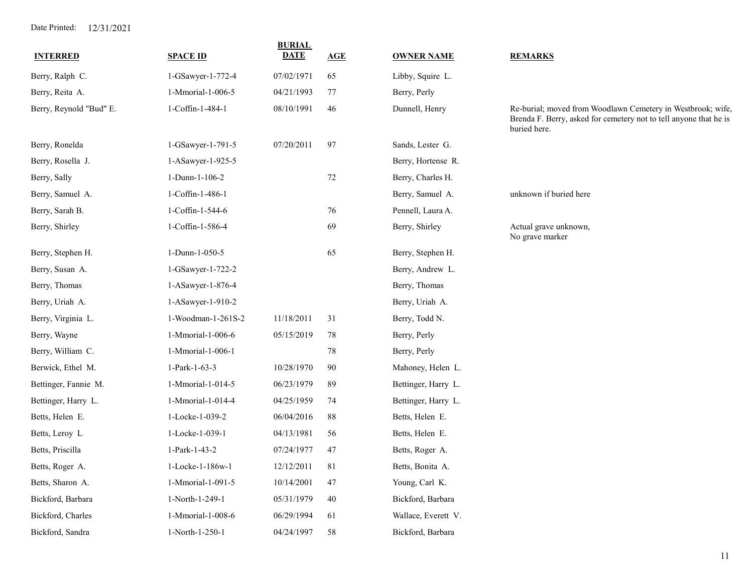| <b>INTERRED</b>         | <b>SPACE ID</b>    | <b>BURIAL</b><br><b>DATE</b> | AGE | <b>OWNER NAME</b>   | <b>REMARKS</b>                                                                                                                                   |
|-------------------------|--------------------|------------------------------|-----|---------------------|--------------------------------------------------------------------------------------------------------------------------------------------------|
| Berry, Ralph C.         | 1-GSawyer-1-772-4  | 07/02/1971                   | 65  | Libby, Squire L.    |                                                                                                                                                  |
| Berry, Reita A.         | 1-Mmorial-1-006-5  | 04/21/1993                   | 77  | Berry, Perly        |                                                                                                                                                  |
| Berry, Reynold "Bud" E. | 1-Coffin-1-484-1   | 08/10/1991                   | 46  | Dunnell, Henry      | Re-burial; moved from Woodlawn Cemetery in Westbrook; wife,<br>Brenda F. Berry, asked for cemetery not to tell anyone that he is<br>buried here. |
| Berry, Ronelda          | 1-GSawyer-1-791-5  | 07/20/2011                   | 97  | Sands, Lester G.    |                                                                                                                                                  |
| Berry, Rosella J.       | 1-ASawyer-1-925-5  |                              |     | Berry, Hortense R.  |                                                                                                                                                  |
| Berry, Sally            | 1-Dunn-1-106-2     |                              | 72  | Berry, Charles H.   |                                                                                                                                                  |
| Berry, Samuel A.        | 1-Coffin-1-486-1   |                              |     | Berry, Samuel A.    | unknown if buried here                                                                                                                           |
| Berry, Sarah B.         | 1-Coffin-1-544-6   |                              | 76  | Pennell, Laura A.   |                                                                                                                                                  |
| Berry, Shirley          | 1-Coffin-1-586-4   |                              | 69  | Berry, Shirley      | Actual grave unknown,<br>No grave marker                                                                                                         |
| Berry, Stephen H.       | 1-Dunn-1-050-5     |                              | 65  | Berry, Stephen H.   |                                                                                                                                                  |
| Berry, Susan A.         | 1-GSawyer-1-722-2  |                              |     | Berry, Andrew L.    |                                                                                                                                                  |
| Berry, Thomas           | 1-ASawyer-1-876-4  |                              |     | Berry, Thomas       |                                                                                                                                                  |
| Berry, Uriah A.         | 1-ASawyer-1-910-2  |                              |     | Berry, Uriah A.     |                                                                                                                                                  |
| Berry, Virginia L.      | 1-Woodman-1-261S-2 | 11/18/2011                   | 31  | Berry, Todd N.      |                                                                                                                                                  |
| Berry, Wayne            | 1-Mmorial-1-006-6  | 05/15/2019                   | 78  | Berry, Perly        |                                                                                                                                                  |
| Berry, William C.       | 1-Mmorial-1-006-1  |                              | 78  | Berry, Perly        |                                                                                                                                                  |
| Berwick, Ethel M.       | 1-Park-1-63-3      | 10/28/1970                   | 90  | Mahoney, Helen L.   |                                                                                                                                                  |
| Bettinger, Fannie M.    | 1-Mmorial-1-014-5  | 06/23/1979                   | 89  | Bettinger, Harry L. |                                                                                                                                                  |
| Bettinger, Harry L.     | 1-Mmorial-1-014-4  | 04/25/1959                   | 74  | Bettinger, Harry L. |                                                                                                                                                  |
| Betts, Helen E.         | 1-Locke-1-039-2    | 06/04/2016                   | 88  | Betts, Helen E.     |                                                                                                                                                  |
| Betts, Leroy L          | 1-Locke-1-039-1    | 04/13/1981                   | 56  | Betts, Helen E.     |                                                                                                                                                  |
| Betts, Priscilla        | 1-Park-1-43-2      | 07/24/1977                   | 47  | Betts, Roger A.     |                                                                                                                                                  |
| Betts, Roger A.         | 1-Locke-1-186w-1   | 12/12/2011                   | 81  | Betts, Bonita A.    |                                                                                                                                                  |
| Betts, Sharon A.        | 1-Mmorial-1-091-5  | 10/14/2001                   | 47  | Young, Carl K.      |                                                                                                                                                  |
| Bickford, Barbara       | 1-North-1-249-1    | 05/31/1979                   | 40  | Bickford, Barbara   |                                                                                                                                                  |
| Bickford, Charles       | 1-Mmorial-1-008-6  | 06/29/1994                   | 61  | Wallace, Everett V. |                                                                                                                                                  |
| Bickford, Sandra        | 1-North-1-250-1    | 04/24/1997                   | 58  | Bickford, Barbara   |                                                                                                                                                  |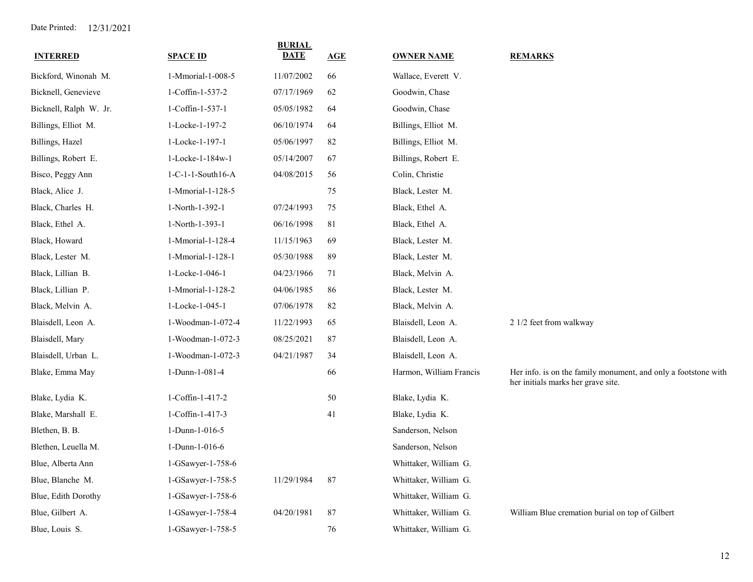| <b>INTERRED</b>        | <b>SPACE ID</b>   | <b>BURIAL</b><br><b>DATE</b> | AGE | <b>OWNER NAME</b>       | <b>REMARKS</b>                                                                                       |
|------------------------|-------------------|------------------------------|-----|-------------------------|------------------------------------------------------------------------------------------------------|
| Bickford, Winonah M.   | 1-Mmorial-1-008-5 | 11/07/2002                   | 66  | Wallace, Everett V.     |                                                                                                      |
| Bicknell, Genevieve    | 1-Coffin-1-537-2  | 07/17/1969                   | 62  | Goodwin, Chase          |                                                                                                      |
| Bicknell, Ralph W. Jr. | 1-Coffin-1-537-1  | 05/05/1982                   | 64  | Goodwin, Chase          |                                                                                                      |
| Billings, Elliot M.    | 1-Locke-1-197-2   | 06/10/1974                   | 64  | Billings, Elliot M.     |                                                                                                      |
| Billings, Hazel        | 1-Locke-1-197-1   | 05/06/1997                   | 82  | Billings, Elliot M.     |                                                                                                      |
| Billings, Robert E.    | 1-Locke-1-184w-1  | 05/14/2007                   | 67  | Billings, Robert E.     |                                                                                                      |
| Bisco, Peggy Ann       | 1-C-1-1-South16-A | 04/08/2015                   | 56  | Colin, Christie         |                                                                                                      |
| Black, Alice J.        | 1-Mmorial-1-128-5 |                              | 75  | Black, Lester M.        |                                                                                                      |
| Black, Charles H.      | 1-North-1-392-1   | 07/24/1993                   | 75  | Black, Ethel A.         |                                                                                                      |
| Black, Ethel A.        | 1-North-1-393-1   | 06/16/1998                   | 81  | Black, Ethel A.         |                                                                                                      |
| Black, Howard          | 1-Mmorial-1-128-4 | 11/15/1963                   | 69  | Black, Lester M.        |                                                                                                      |
| Black, Lester M.       | 1-Mmorial-1-128-1 | 05/30/1988                   | 89  | Black, Lester M.        |                                                                                                      |
| Black, Lillian B.      | 1-Locke-1-046-1   | 04/23/1966                   | 71  | Black, Melvin A.        |                                                                                                      |
| Black, Lillian P.      | 1-Mmorial-1-128-2 | 04/06/1985                   | 86  | Black, Lester M.        |                                                                                                      |
| Black, Melvin A.       | 1-Locke-1-045-1   | 07/06/1978                   | 82  | Black, Melvin A.        |                                                                                                      |
| Blaisdell, Leon A.     | 1-Woodman-1-072-4 | 11/22/1993                   | 65  | Blaisdell, Leon A.      | 2 1/2 feet from walkway                                                                              |
| Blaisdell, Mary        | 1-Woodman-1-072-3 | 08/25/2021                   | 87  | Blaisdell, Leon A.      |                                                                                                      |
| Blaisdell, Urban L.    | 1-Woodman-1-072-3 | 04/21/1987                   | 34  | Blaisdell, Leon A.      |                                                                                                      |
| Blake, Emma May        | 1-Dunn-1-081-4    |                              | 66  | Harmon, William Francis | Her info. is on the family monument, and only a footstone with<br>her initials marks her grave site. |
| Blake, Lydia K.        | 1-Coffin-1-417-2  |                              | 50  | Blake, Lydia K.         |                                                                                                      |
| Blake, Marshall E.     | 1-Coffin-1-417-3  |                              | 41  | Blake, Lydia K.         |                                                                                                      |
| Blethen, B. B.         | 1-Dunn-1-016-5    |                              |     | Sanderson, Nelson       |                                                                                                      |
| Blethen, Leuella M.    | 1-Dunn-1-016-6    |                              |     | Sanderson, Nelson       |                                                                                                      |
| Blue, Alberta Ann      | 1-GSawyer-1-758-6 |                              |     | Whittaker, William G.   |                                                                                                      |
| Blue, Blanche M.       | 1-GSawyer-1-758-5 | 11/29/1984                   | 87  | Whittaker, William G.   |                                                                                                      |
| Blue, Edith Dorothy    | 1-GSawyer-1-758-6 |                              |     | Whittaker, William G.   |                                                                                                      |
| Blue, Gilbert A.       | 1-GSawyer-1-758-4 | 04/20/1981                   | 87  | Whittaker, William G.   | William Blue cremation burial on top of Gilbert                                                      |
| Blue, Louis S.         | 1-GSawyer-1-758-5 |                              | 76  | Whittaker, William G.   |                                                                                                      |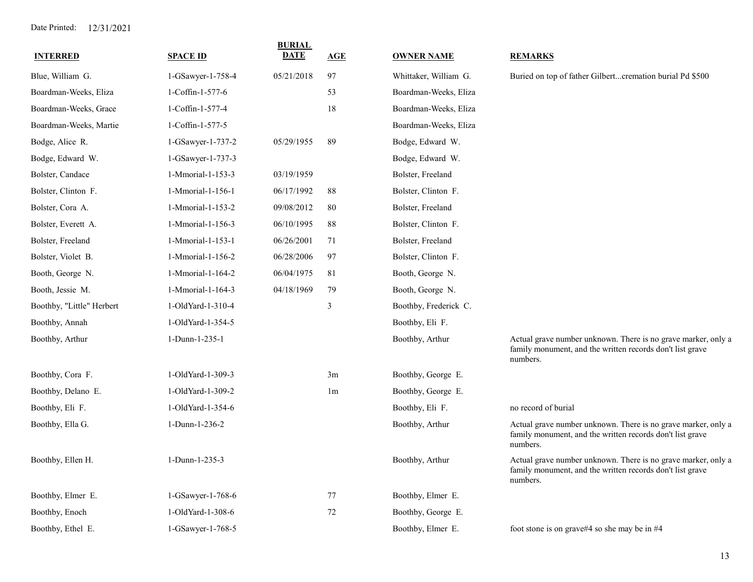| <b>INTERRED</b>           | <b>SPACE ID</b>   | <b>BURIAL</b><br>DATE | AGE            | <b>OWNER NAME</b>     | <b>REMARKS</b>                                                                                                                         |
|---------------------------|-------------------|-----------------------|----------------|-----------------------|----------------------------------------------------------------------------------------------------------------------------------------|
| Blue, William G.          | 1-GSawyer-1-758-4 | 05/21/2018            | 97             | Whittaker, William G. | Buried on top of father Gilbertcremation burial Pd \$500                                                                               |
| Boardman-Weeks, Eliza     | 1-Coffin-1-577-6  |                       | 53             | Boardman-Weeks, Eliza |                                                                                                                                        |
| Boardman-Weeks, Grace     | 1-Coffin-1-577-4  |                       | 18             | Boardman-Weeks, Eliza |                                                                                                                                        |
| Boardman-Weeks, Martie    | 1-Coffin-1-577-5  |                       |                | Boardman-Weeks, Eliza |                                                                                                                                        |
| Bodge, Alice R.           | 1-GSawyer-1-737-2 | 05/29/1955            | 89             | Bodge, Edward W.      |                                                                                                                                        |
| Bodge, Edward W.          | 1-GSawyer-1-737-3 |                       |                | Bodge, Edward W.      |                                                                                                                                        |
| Bolster, Candace          | 1-Mmorial-1-153-3 | 03/19/1959            |                | Bolster, Freeland     |                                                                                                                                        |
| Bolster, Clinton F.       | 1-Mmorial-1-156-1 | 06/17/1992            | 88             | Bolster, Clinton F.   |                                                                                                                                        |
| Bolster, Cora A.          | 1-Mmorial-1-153-2 | 09/08/2012            | 80             | Bolster, Freeland     |                                                                                                                                        |
| Bolster, Everett A.       | 1-Mmorial-1-156-3 | 06/10/1995            | 88             | Bolster, Clinton F.   |                                                                                                                                        |
| Bolster, Freeland         | 1-Mmorial-1-153-1 | 06/26/2001            | 71             | Bolster, Freeland     |                                                                                                                                        |
| Bolster, Violet B.        | 1-Mmorial-1-156-2 | 06/28/2006            | 97             | Bolster, Clinton F.   |                                                                                                                                        |
| Booth, George N.          | 1-Mmorial-1-164-2 | 06/04/1975            | 81             | Booth, George N.      |                                                                                                                                        |
| Booth, Jessie M.          | 1-Mmorial-1-164-3 | 04/18/1969            | 79             | Booth, George N.      |                                                                                                                                        |
| Boothby, "Little" Herbert | 1-OldYard-1-310-4 |                       | $\mathfrak{Z}$ | Boothby, Frederick C. |                                                                                                                                        |
| Boothby, Annah            | 1-OldYard-1-354-5 |                       |                | Boothby, Eli F.       |                                                                                                                                        |
| Boothby, Arthur           | 1-Dunn-1-235-1    |                       |                | Boothby, Arthur       | Actual grave number unknown. There is no grave marker, only a<br>family monument, and the written records don't list grave<br>numbers. |
| Boothby, Cora F.          | 1-OldYard-1-309-3 |                       | 3m             | Boothby, George E.    |                                                                                                                                        |
| Boothby, Delano E.        | 1-OldYard-1-309-2 |                       | 1 <sub>m</sub> | Boothby, George E.    |                                                                                                                                        |
| Boothby, Eli F.           | 1-OldYard-1-354-6 |                       |                | Boothby, Eli F.       | no record of burial                                                                                                                    |
| Boothby, Ella G.          | 1-Dunn-1-236-2    |                       |                | Boothby, Arthur       | Actual grave number unknown. There is no grave marker, only a<br>family monument, and the written records don't list grave<br>numbers. |
| Boothby, Ellen H.         | 1-Dunn-1-235-3    |                       |                | Boothby, Arthur       | Actual grave number unknown. There is no grave marker, only a<br>family monument, and the written records don't list grave<br>numbers. |
| Boothby, Elmer E.         | 1-GSawyer-1-768-6 |                       | 77             | Boothby, Elmer E.     |                                                                                                                                        |
| Boothby, Enoch            | 1-OldYard-1-308-6 |                       | 72             | Boothby, George E.    |                                                                                                                                        |
| Boothby, Ethel E.         | 1-GSawyer-1-768-5 |                       |                | Boothby, Elmer E.     | foot stone is on grave#4 so she may be in #4                                                                                           |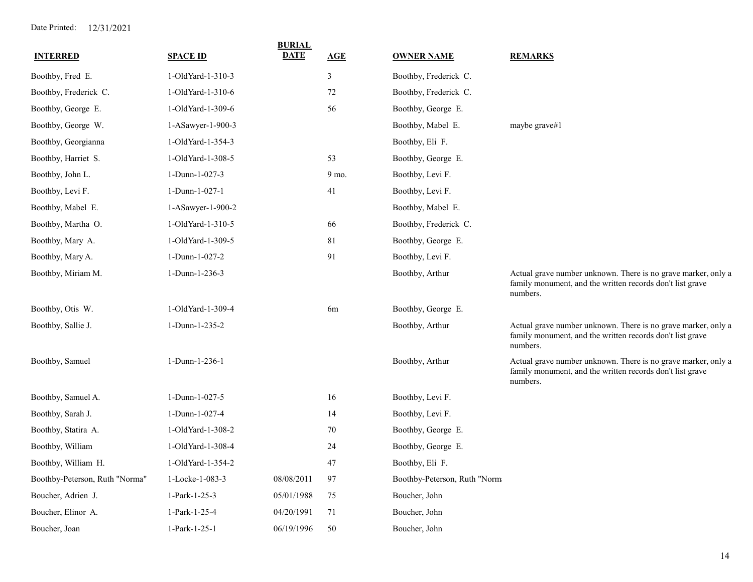| <b>INTERRED</b>                | <b>SPACE ID</b>   | <b>BURIAL</b><br><b>DATE</b> | AGE    | <b>OWNER NAME</b>            | <b>REMARKS</b>                                                                                                                         |
|--------------------------------|-------------------|------------------------------|--------|------------------------------|----------------------------------------------------------------------------------------------------------------------------------------|
| Boothby, Fred E.               | 1-OldYard-1-310-3 |                              | 3      | Boothby, Frederick C.        |                                                                                                                                        |
| Boothby, Frederick C.          | 1-OldYard-1-310-6 |                              | $72\,$ | Boothby, Frederick C.        |                                                                                                                                        |
| Boothby, George E.             | 1-OldYard-1-309-6 |                              | 56     | Boothby, George E.           |                                                                                                                                        |
| Boothby, George W.             | 1-ASawyer-1-900-3 |                              |        | Boothby, Mabel E.            | maybe grave#1                                                                                                                          |
| Boothby, Georgianna            | 1-OldYard-1-354-3 |                              |        | Boothby, Eli F.              |                                                                                                                                        |
| Boothby, Harriet S.            | 1-OldYard-1-308-5 |                              | 53     | Boothby, George E.           |                                                                                                                                        |
| Boothby, John L.               | 1-Dunn-1-027-3    |                              | 9 mo.  | Boothby, Levi F.             |                                                                                                                                        |
| Boothby, Levi F.               | 1-Dunn-1-027-1    |                              | 41     | Boothby, Levi F.             |                                                                                                                                        |
| Boothby, Mabel E.              | 1-ASawyer-1-900-2 |                              |        | Boothby, Mabel E.            |                                                                                                                                        |
| Boothby, Martha O.             | 1-OldYard-1-310-5 |                              | 66     | Boothby, Frederick C.        |                                                                                                                                        |
| Boothby, Mary A.               | 1-OldYard-1-309-5 |                              | 81     | Boothby, George E.           |                                                                                                                                        |
| Boothby, Mary A.               | 1-Dunn-1-027-2    |                              | 91     | Boothby, Levi F.             |                                                                                                                                        |
| Boothby, Miriam M.             | 1-Dunn-1-236-3    |                              |        | Boothby, Arthur              | Actual grave number unknown. There is no grave marker, only a<br>family monument, and the written records don't list grave<br>numbers. |
| Boothby, Otis W.               | 1-OldYard-1-309-4 |                              | 6m     | Boothby, George E.           |                                                                                                                                        |
| Boothby, Sallie J.             | 1-Dunn-1-235-2    |                              |        | Boothby, Arthur              | Actual grave number unknown. There is no grave marker, only a<br>family monument, and the written records don't list grave<br>numbers. |
| Boothby, Samuel                | 1-Dunn-1-236-1    |                              |        | Boothby, Arthur              | Actual grave number unknown. There is no grave marker, only a<br>family monument, and the written records don't list grave<br>numbers. |
| Boothby, Samuel A.             | 1-Dunn-1-027-5    |                              | 16     | Boothby, Levi F.             |                                                                                                                                        |
| Boothby, Sarah J.              | 1-Dunn-1-027-4    |                              | 14     | Boothby, Levi F.             |                                                                                                                                        |
| Boothby, Statira A.            | 1-OldYard-1-308-2 |                              | $70\,$ | Boothby, George E.           |                                                                                                                                        |
| Boothby, William               | 1-OldYard-1-308-4 |                              | 24     | Boothby, George E.           |                                                                                                                                        |
| Boothby, William H.            | 1-OldYard-1-354-2 |                              | 47     | Boothby, Eli F.              |                                                                                                                                        |
| Boothby-Peterson, Ruth "Norma" | 1-Locke-1-083-3   | 08/08/2011                   | 97     | Boothby-Peterson, Ruth "Norm |                                                                                                                                        |
| Boucher, Adrien J.             | 1-Park-1-25-3     | 05/01/1988                   | 75     | Boucher, John                |                                                                                                                                        |
| Boucher, Elinor A.             | 1-Park-1-25-4     | 04/20/1991                   | 71     | Boucher, John                |                                                                                                                                        |
| Boucher, Joan                  | 1-Park-1-25-1     | 06/19/1996                   | 50     | Boucher, John                |                                                                                                                                        |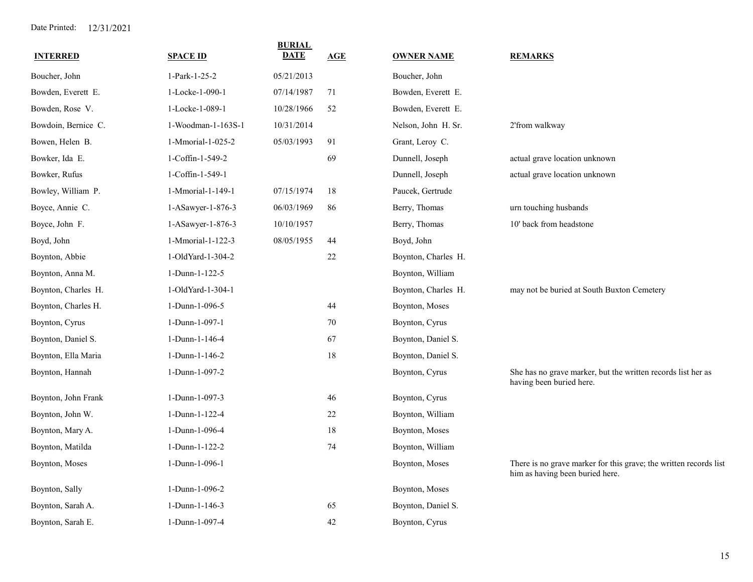| <b>INTERRED</b>     | <b>SPACE ID</b>    | <b>BURIAL</b><br><b>DATE</b> | AGE    | <b>OWNER NAME</b>   | <b>REMARKS</b>                                                                                       |
|---------------------|--------------------|------------------------------|--------|---------------------|------------------------------------------------------------------------------------------------------|
| Boucher, John       | 1-Park-1-25-2      | 05/21/2013                   |        | Boucher, John       |                                                                                                      |
| Bowden, Everett E.  | 1-Locke-1-090-1    | 07/14/1987                   | 71     | Bowden, Everett E.  |                                                                                                      |
| Bowden, Rose V.     | 1-Locke-1-089-1    | 10/28/1966                   | 52     | Bowden, Everett E.  |                                                                                                      |
| Bowdoin, Bernice C. | 1-Woodman-1-163S-1 | 10/31/2014                   |        | Nelson, John H. Sr. | 2'from walkway                                                                                       |
| Bowen, Helen B.     | 1-Mmorial-1-025-2  | 05/03/1993                   | 91     | Grant, Leroy C.     |                                                                                                      |
| Bowker, Ida E.      | 1-Coffin-1-549-2   |                              | 69     | Dunnell, Joseph     | actual grave location unknown                                                                        |
| Bowker, Rufus       | 1-Coffin-1-549-1   |                              |        | Dunnell, Joseph     | actual grave location unknown                                                                        |
| Bowley, William P.  | 1-Mmorial-1-149-1  | 07/15/1974                   | 18     | Paucek, Gertrude    |                                                                                                      |
| Boyce, Annie C.     | 1-ASawyer-1-876-3  | 06/03/1969                   | 86     | Berry, Thomas       | urn touching husbands                                                                                |
| Boyce, John F.      | 1-ASawyer-1-876-3  | 10/10/1957                   |        | Berry, Thomas       | 10' back from headstone                                                                              |
| Boyd, John          | 1-Mmorial-1-122-3  | 08/05/1955                   | 44     | Boyd, John          |                                                                                                      |
| Boynton, Abbie      | 1-OldYard-1-304-2  |                              | $22\,$ | Boynton, Charles H. |                                                                                                      |
| Boynton, Anna M.    | 1-Dunn-1-122-5     |                              |        | Boynton, William    |                                                                                                      |
| Boynton, Charles H. | 1-OldYard-1-304-1  |                              |        | Boynton, Charles H. | may not be buried at South Buxton Cemetery                                                           |
| Boynton, Charles H. | 1-Dunn-1-096-5     |                              | 44     | Boynton, Moses      |                                                                                                      |
| Boynton, Cyrus      | 1-Dunn-1-097-1     |                              | 70     | Boynton, Cyrus      |                                                                                                      |
| Boynton, Daniel S.  | 1-Dunn-1-146-4     |                              | 67     | Boynton, Daniel S.  |                                                                                                      |
| Boynton, Ella Maria | 1-Dunn-1-146-2     |                              | $18\,$ | Boynton, Daniel S.  |                                                                                                      |
| Boynton, Hannah     | 1-Dunn-1-097-2     |                              |        | Boynton, Cyrus      | She has no grave marker, but the written records list her as<br>having been buried here.             |
| Boynton, John Frank | 1-Dunn-1-097-3     |                              | 46     | Boynton, Cyrus      |                                                                                                      |
| Boynton, John W.    | 1-Dunn-1-122-4     |                              | 22     | Boynton, William    |                                                                                                      |
| Boynton, Mary A.    | 1-Dunn-1-096-4     |                              | 18     | Boynton, Moses      |                                                                                                      |
| Boynton, Matilda    | 1-Dunn-1-122-2     |                              | 74     | Boynton, William    |                                                                                                      |
| Boynton, Moses      | 1-Dunn-1-096-1     |                              |        | Boynton, Moses      | There is no grave marker for this grave; the written records list<br>him as having been buried here. |
| Boynton, Sally      | 1-Dunn-1-096-2     |                              |        | Boynton, Moses      |                                                                                                      |
| Boynton, Sarah A.   | 1-Dunn-1-146-3     |                              | 65     | Boynton, Daniel S.  |                                                                                                      |
| Boynton, Sarah E.   | 1-Dunn-1-097-4     |                              | 42     | Boynton, Cyrus      |                                                                                                      |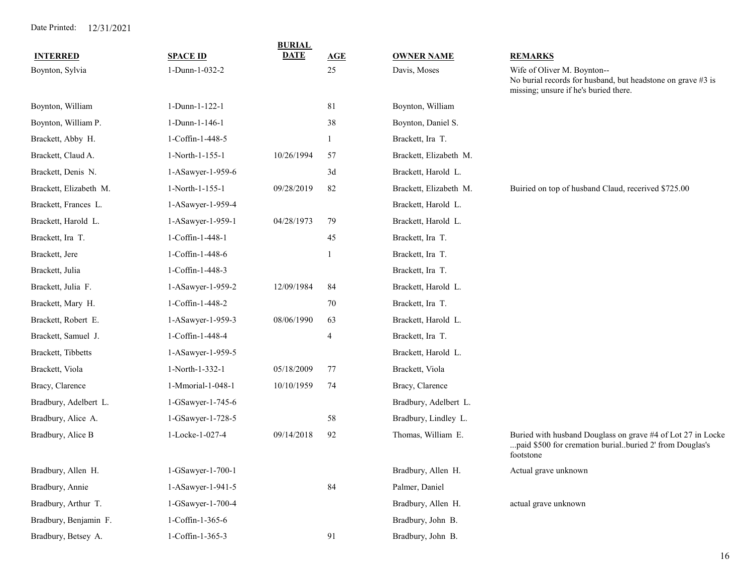| <b>INTERRED</b>        | <b>SPACE ID</b>   | <b>BURIAL</b><br><b>DATE</b> | AGE | <b>OWNER NAME</b>      | <b>REMARKS</b>                                                                                                                      |
|------------------------|-------------------|------------------------------|-----|------------------------|-------------------------------------------------------------------------------------------------------------------------------------|
| Boynton, Sylvia        | 1-Dunn-1-032-2    |                              | 25  | Davis, Moses           | Wife of Oliver M. Boynton--                                                                                                         |
|                        |                   |                              |     |                        | No burial records for husband, but headstone on grave #3 is<br>missing; unsure if he's buried there.                                |
| Boynton, William       | 1-Dunn-1-122-1    |                              | 81  | Boynton, William       |                                                                                                                                     |
| Boynton, William P.    | 1-Dunn-1-146-1    |                              | 38  | Boynton, Daniel S.     |                                                                                                                                     |
| Brackett, Abby H.      | 1-Coffin-1-448-5  |                              |     | Brackett, Ira T.       |                                                                                                                                     |
| Brackett, Claud A.     | 1-North-1-155-1   | 10/26/1994                   | 57  | Brackett, Elizabeth M. |                                                                                                                                     |
| Brackett, Denis N.     | 1-ASawyer-1-959-6 |                              | 3d  | Brackett, Harold L.    |                                                                                                                                     |
| Brackett, Elizabeth M. | 1-North-1-155-1   | 09/28/2019                   | 82  | Brackett, Elizabeth M. | Buiried on top of husband Claud, recerived \$725.00                                                                                 |
| Brackett, Frances L.   | 1-ASawyer-1-959-4 |                              |     | Brackett, Harold L.    |                                                                                                                                     |
| Brackett, Harold L.    | 1-ASawyer-1-959-1 | 04/28/1973                   | 79  | Brackett, Harold L.    |                                                                                                                                     |
| Brackett, Ira T.       | 1-Coffin-1-448-1  |                              | 45  | Brackett, Ira T.       |                                                                                                                                     |
| Brackett, Jere         | 1-Coffin-1-448-6  |                              |     | Brackett, Ira T.       |                                                                                                                                     |
| Brackett, Julia        | 1-Coffin-1-448-3  |                              |     | Brackett, Ira T.       |                                                                                                                                     |
| Brackett, Julia F.     | 1-ASawyer-1-959-2 | 12/09/1984                   | 84  | Brackett, Harold L.    |                                                                                                                                     |
| Brackett, Mary H.      | 1-Coffin-1-448-2  |                              | 70  | Brackett, Ira T.       |                                                                                                                                     |
| Brackett, Robert E.    | 1-ASawyer-1-959-3 | 08/06/1990                   | 63  | Brackett, Harold L.    |                                                                                                                                     |
| Brackett, Samuel J.    | 1-Coffin-1-448-4  |                              | 4   | Brackett, Ira T.       |                                                                                                                                     |
| Brackett, Tibbetts     | 1-ASawyer-1-959-5 |                              |     | Brackett, Harold L.    |                                                                                                                                     |
| Brackett, Viola        | 1-North-1-332-1   | 05/18/2009                   | 77  | Brackett, Viola        |                                                                                                                                     |
| Bracy, Clarence        | 1-Mmorial-1-048-1 | 10/10/1959                   | 74  | Bracy, Clarence        |                                                                                                                                     |
| Bradbury, Adelbert L.  | 1-GSawyer-1-745-6 |                              |     | Bradbury, Adelbert L.  |                                                                                                                                     |
| Bradbury, Alice A.     | 1-GSawyer-1-728-5 |                              | 58  | Bradbury, Lindley L.   |                                                                                                                                     |
| Bradbury, Alice B      | 1-Locke-1-027-4   | 09/14/2018                   | 92  | Thomas, William E.     | Buried with husband Douglass on grave #4 of Lot 27 in Locke<br>paid \$500 for cremation burialburied 2' from Douglas's<br>footstone |
| Bradbury, Allen H.     | 1-GSawyer-1-700-1 |                              |     | Bradbury, Allen H.     | Actual grave unknown                                                                                                                |
| Bradbury, Annie        | 1-ASawyer-1-941-5 |                              | 84  | Palmer, Daniel         |                                                                                                                                     |
| Bradbury, Arthur T.    | 1-GSawyer-1-700-4 |                              |     | Bradbury, Allen H.     | actual grave unknown                                                                                                                |
| Bradbury, Benjamin F.  | 1-Coffin-1-365-6  |                              |     | Bradbury, John B.      |                                                                                                                                     |
| Bradbury, Betsey A.    | 1-Coffin-1-365-3  |                              | 91  | Bradbury, John B.      |                                                                                                                                     |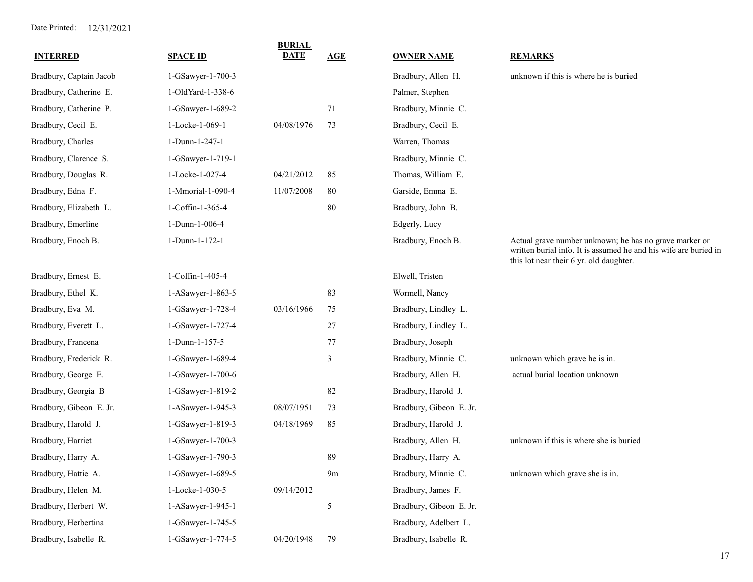| <b>INTERRED</b>         | <b>SPACE ID</b>   | <b>BURIAL</b><br><b>DATE</b> | AGE            | <b>OWNER NAME</b>       | <b>REMARKS</b>                                                                                                                                                        |
|-------------------------|-------------------|------------------------------|----------------|-------------------------|-----------------------------------------------------------------------------------------------------------------------------------------------------------------------|
| Bradbury, Captain Jacob | 1-GSawyer-1-700-3 |                              |                | Bradbury, Allen H.      | unknown if this is where he is buried                                                                                                                                 |
| Bradbury, Catherine E.  | 1-OldYard-1-338-6 |                              |                | Palmer, Stephen         |                                                                                                                                                                       |
| Bradbury, Catherine P.  | 1-GSawyer-1-689-2 |                              | 71             | Bradbury, Minnie C.     |                                                                                                                                                                       |
| Bradbury, Cecil E.      | 1-Locke-1-069-1   | 04/08/1976                   | 73             | Bradbury, Cecil E.      |                                                                                                                                                                       |
| Bradbury, Charles       | 1-Dunn-1-247-1    |                              |                | Warren, Thomas          |                                                                                                                                                                       |
| Bradbury, Clarence S.   | 1-GSawyer-1-719-1 |                              |                | Bradbury, Minnie C.     |                                                                                                                                                                       |
| Bradbury, Douglas R.    | 1-Locke-1-027-4   | 04/21/2012                   | 85             | Thomas, William E.      |                                                                                                                                                                       |
| Bradbury, Edna F.       | 1-Mmorial-1-090-4 | 11/07/2008                   | 80             | Garside, Emma E.        |                                                                                                                                                                       |
| Bradbury, Elizabeth L.  | 1-Coffin-1-365-4  |                              | 80             | Bradbury, John B.       |                                                                                                                                                                       |
| Bradbury, Emerline      | 1-Dunn-1-006-4    |                              |                | Edgerly, Lucy           |                                                                                                                                                                       |
| Bradbury, Enoch B.      | 1-Dunn-1-172-1    |                              |                | Bradbury, Enoch B.      | Actual grave number unknown; he has no grave marker or<br>written burial info. It is assumed he and his wife are buried in<br>this lot near their 6 yr. old daughter. |
| Bradbury, Ernest E.     | 1-Coffin-1-405-4  |                              |                | Elwell, Tristen         |                                                                                                                                                                       |
| Bradbury, Ethel K.      | 1-ASawyer-1-863-5 |                              | 83             | Wormell, Nancy          |                                                                                                                                                                       |
| Bradbury, Eva M.        | 1-GSawyer-1-728-4 | 03/16/1966                   | 75             | Bradbury, Lindley L.    |                                                                                                                                                                       |
| Bradbury, Everett L.    | 1-GSawyer-1-727-4 |                              | 27             | Bradbury, Lindley L.    |                                                                                                                                                                       |
| Bradbury, Francena      | 1-Dunn-1-157-5    |                              | 77             | Bradbury, Joseph        |                                                                                                                                                                       |
| Bradbury, Frederick R.  | 1-GSawyer-1-689-4 |                              | 3              | Bradbury, Minnie C.     | unknown which grave he is in.                                                                                                                                         |
| Bradbury, George E.     | 1-GSawyer-1-700-6 |                              |                | Bradbury, Allen H.      | actual burial location unknown                                                                                                                                        |
| Bradbury, Georgia B     | 1-GSawyer-1-819-2 |                              | 82             | Bradbury, Harold J.     |                                                                                                                                                                       |
| Bradbury, Gibeon E. Jr. | 1-ASawyer-1-945-3 | 08/07/1951                   | 73             | Bradbury, Gibeon E. Jr. |                                                                                                                                                                       |
| Bradbury, Harold J.     | 1-GSawyer-1-819-3 | 04/18/1969                   | 85             | Bradbury, Harold J.     |                                                                                                                                                                       |
| Bradbury, Harriet       | 1-GSawyer-1-700-3 |                              |                | Bradbury, Allen H.      | unknown if this is where she is buried                                                                                                                                |
| Bradbury, Harry A.      | 1-GSawyer-1-790-3 |                              | 89             | Bradbury, Harry A.      |                                                                                                                                                                       |
| Bradbury, Hattie A.     | 1-GSawyer-1-689-5 |                              | 9m             | Bradbury, Minnie C.     | unknown which grave she is in.                                                                                                                                        |
| Bradbury, Helen M.      | 1-Locke-1-030-5   | 09/14/2012                   |                | Bradbury, James F.      |                                                                                                                                                                       |
| Bradbury, Herbert W.    | 1-ASawyer-1-945-1 |                              | $\mathfrak{S}$ | Bradbury, Gibeon E. Jr. |                                                                                                                                                                       |
| Bradbury, Herbertina    | 1-GSawyer-1-745-5 |                              |                | Bradbury, Adelbert L.   |                                                                                                                                                                       |
| Bradbury, Isabelle R.   | 1-GSawyer-1-774-5 | 04/20/1948                   | 79             | Bradbury, Isabelle R.   |                                                                                                                                                                       |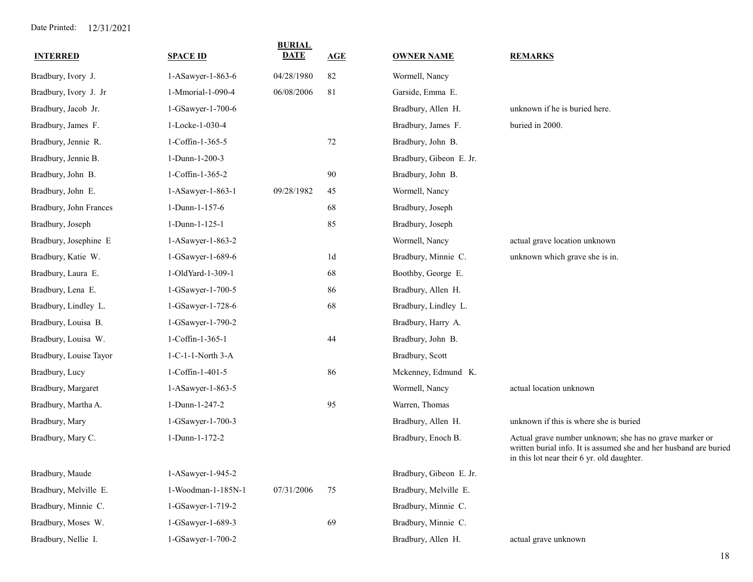| <b>INTERRED</b>        | <b>SPACE ID</b>    | <b>BURIAL</b><br><b>DATE</b> | AGE            | <b>OWNER NAME</b>       | <b>REMARKS</b>                                                                                                                                                             |
|------------------------|--------------------|------------------------------|----------------|-------------------------|----------------------------------------------------------------------------------------------------------------------------------------------------------------------------|
| Bradbury, Ivory J.     | 1-ASawyer-1-863-6  | 04/28/1980                   | 82             | Wormell, Nancy          |                                                                                                                                                                            |
| Bradbury, Ivory J. Jr  | 1-Mmorial-1-090-4  | 06/08/2006                   | 81             | Garside, Emma E.        |                                                                                                                                                                            |
| Bradbury, Jacob Jr.    | 1-GSawyer-1-700-6  |                              |                | Bradbury, Allen H.      | unknown if he is buried here.                                                                                                                                              |
| Bradbury, James F.     | 1-Locke-1-030-4    |                              |                | Bradbury, James F.      | buried in 2000.                                                                                                                                                            |
| Bradbury, Jennie R.    | 1-Coffin-1-365-5   |                              | 72             | Bradbury, John B.       |                                                                                                                                                                            |
| Bradbury, Jennie B.    | 1-Dunn-1-200-3     |                              |                | Bradbury, Gibeon E. Jr. |                                                                                                                                                                            |
| Bradbury, John B.      | 1-Coffin-1-365-2   |                              | 90             | Bradbury, John B.       |                                                                                                                                                                            |
| Bradbury, John E.      | 1-ASawyer-1-863-1  | 09/28/1982                   | 45             | Wormell, Nancy          |                                                                                                                                                                            |
| Bradbury, John Frances | 1-Dunn-1-157-6     |                              | 68             | Bradbury, Joseph        |                                                                                                                                                                            |
| Bradbury, Joseph       | 1-Dunn-1-125-1     |                              | 85             | Bradbury, Joseph        |                                                                                                                                                                            |
| Bradbury, Josephine E  | 1-ASawyer-1-863-2  |                              |                | Wormell, Nancy          | actual grave location unknown                                                                                                                                              |
| Bradbury, Katie W.     | 1-GSawyer-1-689-6  |                              | 1 <sub>d</sub> | Bradbury, Minnie C.     | unknown which grave she is in.                                                                                                                                             |
| Bradbury, Laura E.     | 1-OldYard-1-309-1  |                              | 68             | Boothby, George E.      |                                                                                                                                                                            |
| Bradbury, Lena E.      | 1-GSawyer-1-700-5  |                              | 86             | Bradbury, Allen H.      |                                                                                                                                                                            |
| Bradbury, Lindley L.   | 1-GSawyer-1-728-6  |                              | 68             | Bradbury, Lindley L.    |                                                                                                                                                                            |
| Bradbury, Louisa B.    | 1-GSawyer-1-790-2  |                              |                | Bradbury, Harry A.      |                                                                                                                                                                            |
| Bradbury, Louisa W.    | 1-Coffin-1-365-1   |                              | 44             | Bradbury, John B.       |                                                                                                                                                                            |
| Bradbury, Louise Tayor | 1-C-1-1-North 3-A  |                              |                | Bradbury, Scott         |                                                                                                                                                                            |
| Bradbury, Lucy         | 1-Coffin-1-401-5   |                              | 86             | Mckenney, Edmund K.     |                                                                                                                                                                            |
| Bradbury, Margaret     | 1-ASawyer-1-863-5  |                              |                | Wormell, Nancy          | actual location unknown                                                                                                                                                    |
| Bradbury, Martha A.    | 1-Dunn-1-247-2     |                              | 95             | Warren, Thomas          |                                                                                                                                                                            |
| Bradbury, Mary         | 1-GSawyer-1-700-3  |                              |                | Bradbury, Allen H.      | unknown if this is where she is buried                                                                                                                                     |
| Bradbury, Mary C.      | 1-Dunn-1-172-2     |                              |                | Bradbury, Enoch B.      | Actual grave number unknown; she has no grave marker or<br>written burial info. It is assumed she and her husband are buried<br>in this lot near their 6 yr. old daughter. |
| Bradbury, Maude        | 1-ASawyer-1-945-2  |                              |                | Bradbury, Gibeon E. Jr. |                                                                                                                                                                            |
| Bradbury, Melville E.  | 1-Woodman-1-185N-1 | 07/31/2006                   | 75             | Bradbury, Melville E.   |                                                                                                                                                                            |
| Bradbury, Minnie C.    | 1-GSawyer-1-719-2  |                              |                | Bradbury, Minnie C.     |                                                                                                                                                                            |
| Bradbury, Moses W.     | 1-GSawyer-1-689-3  |                              | 69             | Bradbury, Minnie C.     |                                                                                                                                                                            |
| Bradbury, Nellie I.    | 1-GSawyer-1-700-2  |                              |                | Bradbury, Allen H.      | actual grave unknown                                                                                                                                                       |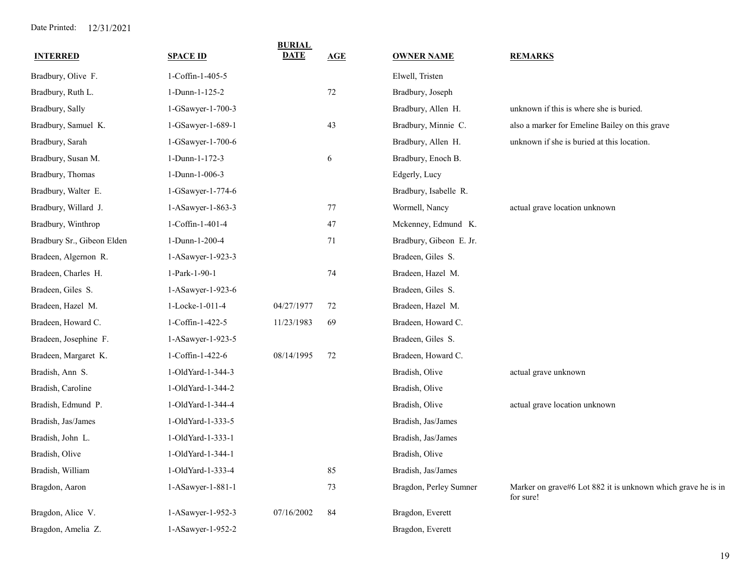| <b>INTERRED</b>            | <b>SPACE ID</b>   | <b>BURIAL</b><br><b>DATE</b> | AGE    | <b>OWNER NAME</b>       | <b>REMARKS</b>                                                            |
|----------------------------|-------------------|------------------------------|--------|-------------------------|---------------------------------------------------------------------------|
| Bradbury, Olive F.         | 1-Coffin-1-405-5  |                              |        | Elwell, Tristen         |                                                                           |
| Bradbury, Ruth L.          | 1-Dunn-1-125-2    |                              | $72\,$ | Bradbury, Joseph        |                                                                           |
| Bradbury, Sally            | 1-GSawyer-1-700-3 |                              |        | Bradbury, Allen H.      | unknown if this is where she is buried.                                   |
| Bradbury, Samuel K.        | 1-GSawyer-1-689-1 |                              | 43     | Bradbury, Minnie C.     | also a marker for Emeline Bailey on this grave                            |
| Bradbury, Sarah            | 1-GSawyer-1-700-6 |                              |        | Bradbury, Allen H.      | unknown if she is buried at this location.                                |
| Bradbury, Susan M.         | 1-Dunn-1-172-3    |                              | 6      | Bradbury, Enoch B.      |                                                                           |
| Bradbury, Thomas           | 1-Dunn-1-006-3    |                              |        | Edgerly, Lucy           |                                                                           |
| Bradbury, Walter E.        | 1-GSawyer-1-774-6 |                              |        | Bradbury, Isabelle R.   |                                                                           |
| Bradbury, Willard J.       | 1-ASawyer-1-863-3 |                              | 77     | Wormell, Nancy          | actual grave location unknown                                             |
| Bradbury, Winthrop         | 1-Coffin-1-401-4  |                              | 47     | Mckenney, Edmund K.     |                                                                           |
| Bradbury Sr., Gibeon Elden | 1-Dunn-1-200-4    |                              | 71     | Bradbury, Gibeon E. Jr. |                                                                           |
| Bradeen, Algernon R.       | 1-ASawyer-1-923-3 |                              |        | Bradeen, Giles S.       |                                                                           |
| Bradeen, Charles H.        | 1-Park-1-90-1     |                              | 74     | Bradeen, Hazel M.       |                                                                           |
| Bradeen, Giles S.          | 1-ASawyer-1-923-6 |                              |        | Bradeen, Giles S.       |                                                                           |
| Bradeen, Hazel M.          | 1-Locke-1-011-4   | 04/27/1977                   | 72     | Bradeen, Hazel M.       |                                                                           |
| Bradeen, Howard C.         | 1-Coffin-1-422-5  | 11/23/1983                   | 69     | Bradeen, Howard C.      |                                                                           |
| Bradeen, Josephine F.      | 1-ASawyer-1-923-5 |                              |        | Bradeen, Giles S.       |                                                                           |
| Bradeen, Margaret K.       | 1-Coffin-1-422-6  | 08/14/1995                   | 72     | Bradeen, Howard C.      |                                                                           |
| Bradish, Ann S.            | 1-OldYard-1-344-3 |                              |        | Bradish, Olive          | actual grave unknown                                                      |
| Bradish, Caroline          | 1-OldYard-1-344-2 |                              |        | Bradish, Olive          |                                                                           |
| Bradish, Edmund P.         | 1-OldYard-1-344-4 |                              |        | Bradish, Olive          | actual grave location unknown                                             |
| Bradish, Jas/James         | 1-OldYard-1-333-5 |                              |        | Bradish, Jas/James      |                                                                           |
| Bradish, John L.           | 1-OldYard-1-333-1 |                              |        | Bradish, Jas/James      |                                                                           |
| Bradish, Olive             | 1-OldYard-1-344-1 |                              |        | Bradish, Olive          |                                                                           |
| Bradish, William           | 1-OldYard-1-333-4 |                              | 85     | Bradish, Jas/James      |                                                                           |
| Bragdon, Aaron             | 1-ASawyer-1-881-1 |                              | 73     | Bragdon, Perley Sumner  | Marker on grave#6 Lot 882 it is unknown which grave he is in<br>for sure! |
| Bragdon, Alice V.          | 1-ASawyer-1-952-3 | 07/16/2002                   | 84     | Bragdon, Everett        |                                                                           |
| Bragdon, Amelia Z.         | 1-ASawyer-1-952-2 |                              |        | Bragdon, Everett        |                                                                           |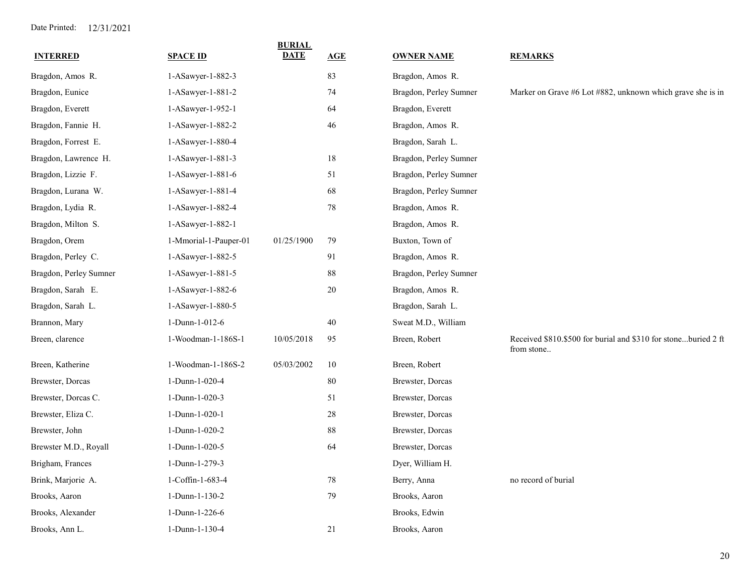|                        |                       | <b>BURIAL</b><br><b>DATE</b> |        |                        |                                                                              |
|------------------------|-----------------------|------------------------------|--------|------------------------|------------------------------------------------------------------------------|
| <b>INTERRED</b>        | <b>SPACE ID</b>       |                              | AGE    | <b>OWNER NAME</b>      | <b>REMARKS</b>                                                               |
| Bragdon, Amos R.       | 1-ASawyer-1-882-3     |                              | 83     | Bragdon, Amos R.       |                                                                              |
| Bragdon, Eunice        | 1-ASawyer-1-881-2     |                              | 74     | Bragdon, Perley Sumner | Marker on Grave #6 Lot #882, unknown which grave she is in                   |
| Bragdon, Everett       | 1-ASawyer-1-952-1     |                              | 64     | Bragdon, Everett       |                                                                              |
| Bragdon, Fannie H.     | 1-ASawyer-1-882-2     |                              | 46     | Bragdon, Amos R.       |                                                                              |
| Bragdon, Forrest E.    | 1-ASawyer-1-880-4     |                              |        | Bragdon, Sarah L.      |                                                                              |
| Bragdon, Lawrence H.   | 1-ASawyer-1-881-3     |                              | 18     | Bragdon, Perley Sumner |                                                                              |
| Bragdon, Lizzie F.     | 1-ASawyer-1-881-6     |                              | 51     | Bragdon, Perley Sumner |                                                                              |
| Bragdon, Lurana W.     | 1-ASawyer-1-881-4     |                              | 68     | Bragdon, Perley Sumner |                                                                              |
| Bragdon, Lydia R.      | 1-ASawyer-1-882-4     |                              | 78     | Bragdon, Amos R.       |                                                                              |
| Bragdon, Milton S.     | 1-ASawyer-1-882-1     |                              |        | Bragdon, Amos R.       |                                                                              |
| Bragdon, Orem          | 1-Mmorial-1-Pauper-01 | 01/25/1900                   | 79     | Buxton, Town of        |                                                                              |
| Bragdon, Perley C.     | 1-ASawyer-1-882-5     |                              | 91     | Bragdon, Amos R.       |                                                                              |
| Bragdon, Perley Sumner | 1-ASawyer-1-881-5     |                              | 88     | Bragdon, Perley Sumner |                                                                              |
| Bragdon, Sarah E.      | 1-ASawyer-1-882-6     |                              | 20     | Bragdon, Amos R.       |                                                                              |
| Bragdon, Sarah L.      | 1-ASawyer-1-880-5     |                              |        | Bragdon, Sarah L.      |                                                                              |
| Brannon, Mary          | 1-Dunn-1-012-6        |                              | 40     | Sweat M.D., William    |                                                                              |
| Breen, clarence        | 1-Woodman-1-186S-1    | 10/05/2018                   | 95     | Breen, Robert          | Received \$810.\$500 for burial and \$310 for stoneburied 2 ft<br>from stone |
| Breen, Katherine       | 1-Woodman-1-186S-2    | 05/03/2002                   | 10     | Breen, Robert          |                                                                              |
| Brewster, Dorcas       | 1-Dunn-1-020-4        |                              | 80     | Brewster, Dorcas       |                                                                              |
| Brewster, Dorcas C.    | 1-Dunn-1-020-3        |                              | 51     | Brewster, Dorcas       |                                                                              |
| Brewster, Eliza C.     | 1-Dunn-1-020-1        |                              | $28\,$ | Brewster, Dorcas       |                                                                              |
| Brewster, John         | 1-Dunn-1-020-2        |                              | 88     | Brewster, Dorcas       |                                                                              |
| Brewster M.D., Royall  | 1-Dunn-1-020-5        |                              | 64     | Brewster, Dorcas       |                                                                              |
| Brigham, Frances       | 1-Dunn-1-279-3        |                              |        | Dyer, William H.       |                                                                              |
| Brink, Marjorie A.     | 1-Coffin-1-683-4      |                              | 78     | Berry, Anna            | no record of burial                                                          |
| Brooks, Aaron          | 1-Dunn-1-130-2        |                              | 79     | Brooks, Aaron          |                                                                              |
| Brooks, Alexander      | 1-Dunn-1-226-6        |                              |        | Brooks, Edwin          |                                                                              |
| Brooks, Ann L.         | 1-Dunn-1-130-4        |                              | 21     | Brooks, Aaron          |                                                                              |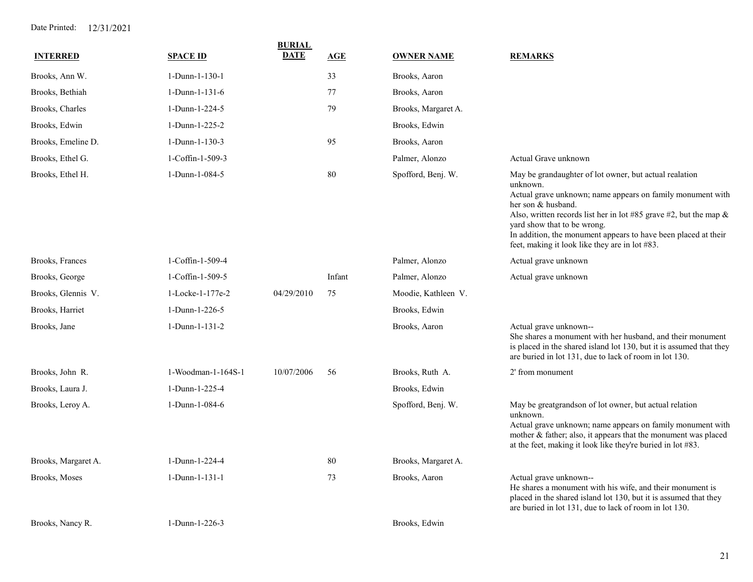| <b>INTERRED</b>     | <b>SPACE ID</b>    | <b>BURIAL</b><br><b>DATE</b> | AGE    | <b>OWNER NAME</b>   | <b>REMARKS</b>                                                                                                                                                                                                                                                                                                                                                                    |
|---------------------|--------------------|------------------------------|--------|---------------------|-----------------------------------------------------------------------------------------------------------------------------------------------------------------------------------------------------------------------------------------------------------------------------------------------------------------------------------------------------------------------------------|
| Brooks, Ann W.      | 1-Dunn-1-130-1     |                              | 33     | Brooks, Aaron       |                                                                                                                                                                                                                                                                                                                                                                                   |
| Brooks, Bethiah     | 1-Dunn-1-131-6     |                              | 77     | Brooks, Aaron       |                                                                                                                                                                                                                                                                                                                                                                                   |
| Brooks, Charles     | 1-Dunn-1-224-5     |                              | 79     | Brooks, Margaret A. |                                                                                                                                                                                                                                                                                                                                                                                   |
| Brooks, Edwin       | 1-Dunn-1-225-2     |                              |        | Brooks, Edwin       |                                                                                                                                                                                                                                                                                                                                                                                   |
| Brooks, Emeline D.  | 1-Dunn-1-130-3     |                              | 95     | Brooks, Aaron       |                                                                                                                                                                                                                                                                                                                                                                                   |
| Brooks, Ethel G.    | 1-Coffin-1-509-3   |                              |        | Palmer, Alonzo      | Actual Grave unknown                                                                                                                                                                                                                                                                                                                                                              |
| Brooks, Ethel H.    | 1-Dunn-1-084-5     |                              | $80\,$ | Spofford, Benj. W.  | May be grandaughter of lot owner, but actual realation<br>unknown.<br>Actual grave unknown; name appears on family monument with<br>her son & husband.<br>Also, written records list her in lot #85 grave #2, but the map $\&$<br>yard show that to be wrong.<br>In addition, the monument appears to have been placed at their<br>feet, making it look like they are in lot #83. |
| Brooks, Frances     | 1-Coffin-1-509-4   |                              |        | Palmer, Alonzo      | Actual grave unknown                                                                                                                                                                                                                                                                                                                                                              |
| Brooks, George      | 1-Coffin-1-509-5   |                              | Infant | Palmer, Alonzo      | Actual grave unknown                                                                                                                                                                                                                                                                                                                                                              |
| Brooks, Glennis V.  | 1-Locke-1-177e-2   | 04/29/2010                   | 75     | Moodie, Kathleen V. |                                                                                                                                                                                                                                                                                                                                                                                   |
| Brooks, Harriet     | 1-Dunn-1-226-5     |                              |        | Brooks, Edwin       |                                                                                                                                                                                                                                                                                                                                                                                   |
| Brooks, Jane        | 1-Dunn-1-131-2     |                              |        | Brooks, Aaron       | Actual grave unknown--<br>She shares a monument with her husband, and their monument<br>is placed in the shared island lot 130, but it is assumed that they<br>are buried in lot 131, due to lack of room in lot 130.                                                                                                                                                             |
| Brooks, John R.     | 1-Woodman-1-164S-1 | 10/07/2006                   | 56     | Brooks, Ruth A.     | 2' from monument                                                                                                                                                                                                                                                                                                                                                                  |
| Brooks, Laura J.    | 1-Dunn-1-225-4     |                              |        | Brooks, Edwin       |                                                                                                                                                                                                                                                                                                                                                                                   |
| Brooks, Leroy A.    | 1-Dunn-1-084-6     |                              |        | Spofford, Benj. W.  | May be greatgrandson of lot owner, but actual relation<br>unknown.<br>Actual grave unknown; name appears on family monument with<br>mother & father; also, it appears that the monument was placed<br>at the feet, making it look like they're buried in lot #83.                                                                                                                 |
| Brooks, Margaret A. | 1-Dunn-1-224-4     |                              | 80     | Brooks, Margaret A. |                                                                                                                                                                                                                                                                                                                                                                                   |
| Brooks, Moses       | 1-Dunn-1-131-1     |                              | 73     | Brooks, Aaron       | Actual grave unknown--<br>He shares a monument with his wife, and their monument is<br>placed in the shared island lot 130, but it is assumed that they<br>are buried in lot 131, due to lack of room in lot 130.                                                                                                                                                                 |
| Brooks, Nancy R.    | 1-Dunn-1-226-3     |                              |        | Brooks, Edwin       |                                                                                                                                                                                                                                                                                                                                                                                   |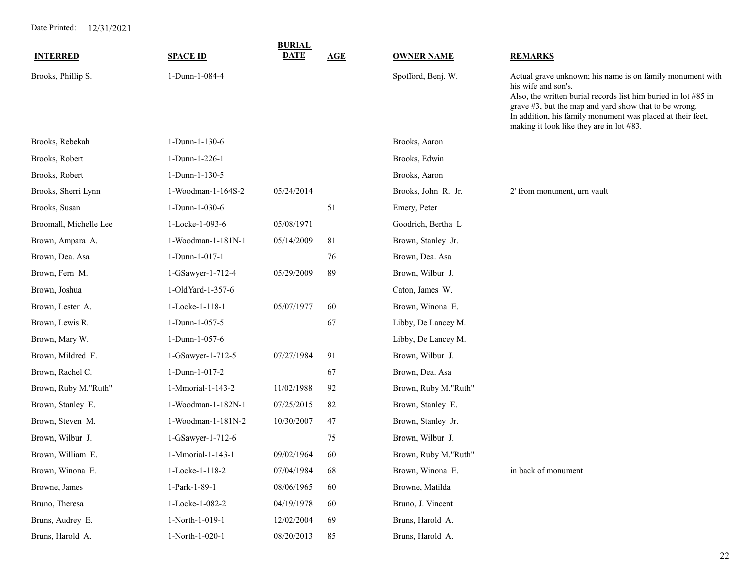|                        |                    | <b>BURIAL</b> |     |                      |                                                                                                                                                                                                                                                                                                                         |
|------------------------|--------------------|---------------|-----|----------------------|-------------------------------------------------------------------------------------------------------------------------------------------------------------------------------------------------------------------------------------------------------------------------------------------------------------------------|
| <b>INTERRED</b>        | <b>SPACE ID</b>    | <b>DATE</b>   | AGE | <b>OWNER NAME</b>    | <b>REMARKS</b>                                                                                                                                                                                                                                                                                                          |
| Brooks, Phillip S.     | 1-Dunn-1-084-4     |               |     | Spofford, Benj. W.   | Actual grave unknown; his name is on family monument with<br>his wife and son's.<br>Also, the written burial records list him buried in lot $#85$ in<br>grave #3, but the map and yard show that to be wrong.<br>In addition, his family monument was placed at their feet,<br>making it look like they are in lot #83. |
| Brooks, Rebekah        | 1-Dunn-1-130-6     |               |     | Brooks, Aaron        |                                                                                                                                                                                                                                                                                                                         |
| Brooks, Robert         | 1-Dunn-1-226-1     |               |     | Brooks, Edwin        |                                                                                                                                                                                                                                                                                                                         |
| Brooks, Robert         | 1-Dunn-1-130-5     |               |     | Brooks, Aaron        |                                                                                                                                                                                                                                                                                                                         |
| Brooks, Sherri Lynn    | 1-Woodman-1-164S-2 | 05/24/2014    |     | Brooks, John R. Jr.  | 2' from monument, urn vault                                                                                                                                                                                                                                                                                             |
| Brooks, Susan          | 1-Dunn-1-030-6     |               | 51  | Emery, Peter         |                                                                                                                                                                                                                                                                                                                         |
| Broomall, Michelle Lee | 1-Locke-1-093-6    | 05/08/1971    |     | Goodrich, Bertha L   |                                                                                                                                                                                                                                                                                                                         |
| Brown, Ampara A.       | 1-Woodman-1-181N-1 | 05/14/2009    | 81  | Brown, Stanley Jr.   |                                                                                                                                                                                                                                                                                                                         |
| Brown, Dea. Asa        | 1-Dunn-1-017-1     |               | 76  | Brown, Dea. Asa      |                                                                                                                                                                                                                                                                                                                         |
| Brown, Fern M.         | 1-GSawyer-1-712-4  | 05/29/2009    | 89  | Brown, Wilbur J.     |                                                                                                                                                                                                                                                                                                                         |
| Brown, Joshua          | 1-OldYard-1-357-6  |               |     | Caton, James W.      |                                                                                                                                                                                                                                                                                                                         |
| Brown, Lester A.       | 1-Locke-1-118-1    | 05/07/1977    | 60  | Brown, Winona E.     |                                                                                                                                                                                                                                                                                                                         |
| Brown, Lewis R.        | 1-Dunn-1-057-5     |               | 67  | Libby, De Lancey M.  |                                                                                                                                                                                                                                                                                                                         |
| Brown, Mary W.         | 1-Dunn-1-057-6     |               |     | Libby, De Lancey M.  |                                                                                                                                                                                                                                                                                                                         |
| Brown, Mildred F.      | 1-GSawyer-1-712-5  | 07/27/1984    | 91  | Brown, Wilbur J.     |                                                                                                                                                                                                                                                                                                                         |
| Brown, Rachel C.       | 1-Dunn-1-017-2     |               | 67  | Brown, Dea. Asa      |                                                                                                                                                                                                                                                                                                                         |
| Brown, Ruby M."Ruth"   | 1-Mmorial-1-143-2  | 11/02/1988    | 92  | Brown, Ruby M."Ruth" |                                                                                                                                                                                                                                                                                                                         |
| Brown, Stanley E.      | 1-Woodman-1-182N-1 | 07/25/2015    | 82  | Brown, Stanley E.    |                                                                                                                                                                                                                                                                                                                         |
| Brown, Steven M.       | 1-Woodman-1-181N-2 | 10/30/2007    | 47  | Brown, Stanley Jr.   |                                                                                                                                                                                                                                                                                                                         |
| Brown, Wilbur J.       | 1-GSawyer-1-712-6  |               | 75  | Brown, Wilbur J.     |                                                                                                                                                                                                                                                                                                                         |
| Brown, William E.      | 1-Mmorial-1-143-1  | 09/02/1964    | 60  | Brown, Ruby M."Ruth" |                                                                                                                                                                                                                                                                                                                         |
| Brown, Winona E.       | 1-Locke-1-118-2    | 07/04/1984    | 68  | Brown, Winona E.     | in back of monument                                                                                                                                                                                                                                                                                                     |
| Browne, James          | 1-Park-1-89-1      | 08/06/1965    | 60  | Browne, Matilda      |                                                                                                                                                                                                                                                                                                                         |
| Bruno, Theresa         | 1-Locke-1-082-2    | 04/19/1978    | 60  | Bruno, J. Vincent    |                                                                                                                                                                                                                                                                                                                         |
| Bruns, Audrey E.       | 1-North-1-019-1    | 12/02/2004    | 69  | Bruns, Harold A.     |                                                                                                                                                                                                                                                                                                                         |
| Bruns, Harold A.       | 1-North-1-020-1    | 08/20/2013    | 85  | Bruns, Harold A.     |                                                                                                                                                                                                                                                                                                                         |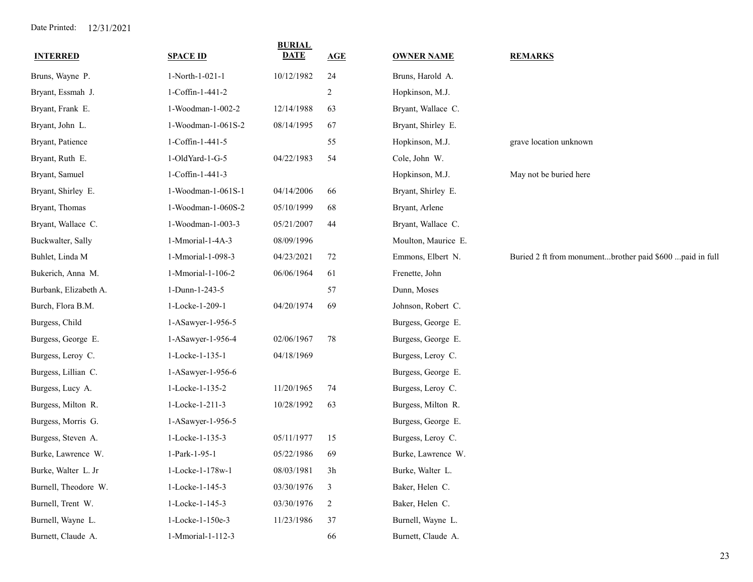| <b>INTERRED</b>       | <b>SPACE ID</b>    | <b>BURIAL</b><br><b>DATE</b> | AGE            | <b>OWNER NAME</b>   | <b>REMARKS</b>                                           |
|-----------------------|--------------------|------------------------------|----------------|---------------------|----------------------------------------------------------|
| Bruns, Wayne P.       | 1-North-1-021-1    | 10/12/1982                   | 24             | Bruns, Harold A.    |                                                          |
| Bryant, Essmah J.     | 1-Coffin-1-441-2   |                              | 2              | Hopkinson, M.J.     |                                                          |
| Bryant, Frank E.      | 1-Woodman-1-002-2  | 12/14/1988                   | 63             | Bryant, Wallace C.  |                                                          |
| Bryant, John L.       | 1-Woodman-1-061S-2 | 08/14/1995                   | 67             | Bryant, Shirley E.  |                                                          |
| Bryant, Patience      | 1-Coffin-1-441-5   |                              | 55             | Hopkinson, M.J.     | grave location unknown                                   |
| Bryant, Ruth E.       | 1-OldYard-1-G-5    | 04/22/1983                   | 54             | Cole, John W.       |                                                          |
| Bryant, Samuel        | 1-Coffin-1-441-3   |                              |                | Hopkinson, M.J.     | May not be buried here                                   |
| Bryant, Shirley E.    | 1-Woodman-1-061S-1 | 04/14/2006                   | 66             | Bryant, Shirley E.  |                                                          |
| Bryant, Thomas        | 1-Woodman-1-060S-2 | 05/10/1999                   | 68             | Bryant, Arlene      |                                                          |
| Bryant, Wallace C.    | 1-Woodman-1-003-3  | 05/21/2007                   | 44             | Bryant, Wallace C.  |                                                          |
| Buckwalter, Sally     | 1-Mmorial-1-4A-3   | 08/09/1996                   |                | Moulton, Maurice E. |                                                          |
| Buhlet, Linda M       | 1-Mmorial-1-098-3  | 04/23/2021                   | 72             | Emmons, Elbert N.   | Buried 2 ft from monumentbrother paid \$600 paid in full |
| Bukerich, Anna M.     | 1-Mmorial-1-106-2  | 06/06/1964                   | 61             | Frenette, John      |                                                          |
| Burbank, Elizabeth A. | 1-Dunn-1-243-5     |                              | 57             | Dunn, Moses         |                                                          |
| Burch, Flora B.M.     | 1-Locke-1-209-1    | 04/20/1974                   | 69             | Johnson, Robert C.  |                                                          |
| Burgess, Child        | 1-ASawyer-1-956-5  |                              |                | Burgess, George E.  |                                                          |
| Burgess, George E.    | 1-ASawyer-1-956-4  | 02/06/1967                   | 78             | Burgess, George E.  |                                                          |
| Burgess, Leroy C.     | 1-Locke-1-135-1    | 04/18/1969                   |                | Burgess, Leroy C.   |                                                          |
| Burgess, Lillian C.   | 1-ASawyer-1-956-6  |                              |                | Burgess, George E.  |                                                          |
| Burgess, Lucy A.      | 1-Locke-1-135-2    | 11/20/1965                   | 74             | Burgess, Leroy C.   |                                                          |
| Burgess, Milton R.    | 1-Locke-1-211-3    | 10/28/1992                   | 63             | Burgess, Milton R.  |                                                          |
| Burgess, Morris G.    | 1-ASawyer-1-956-5  |                              |                | Burgess, George E.  |                                                          |
| Burgess, Steven A.    | 1-Locke-1-135-3    | 05/11/1977                   | 15             | Burgess, Leroy C.   |                                                          |
| Burke, Lawrence W.    | 1-Park-1-95-1      | 05/22/1986                   | 69             | Burke, Lawrence W.  |                                                          |
| Burke, Walter L. Jr   | 1-Locke-1-178w-1   | 08/03/1981                   | 3h             | Burke, Walter L.    |                                                          |
| Burnell, Theodore W.  | 1-Locke-1-145-3    | 03/30/1976                   | $\mathfrak{Z}$ | Baker, Helen C.     |                                                          |
| Burnell, Trent W.     | 1-Locke-1-145-3    | 03/30/1976                   | $\overline{c}$ | Baker, Helen C.     |                                                          |
| Burnell, Wayne L.     | 1-Locke-1-150e-3   | 11/23/1986                   | 37             | Burnell, Wayne L.   |                                                          |
| Burnett, Claude A.    | 1-Mmorial-1-112-3  |                              | 66             | Burnett, Claude A.  |                                                          |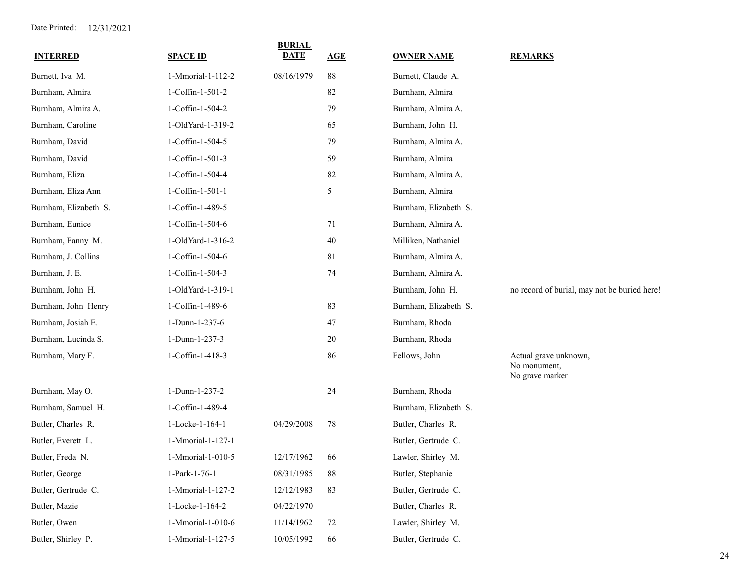| <b>INTERRED</b>       | <b>SPACE ID</b>   | <b>BURIAL</b><br><b>DATE</b> | AGE | <b>OWNER NAME</b>     | <b>REMARKS</b>                                           |
|-----------------------|-------------------|------------------------------|-----|-----------------------|----------------------------------------------------------|
| Burnett, Iva M.       | 1-Mmorial-1-112-2 | 08/16/1979                   | 88  | Burnett, Claude A.    |                                                          |
| Burnham, Almira       | 1-Coffin-1-501-2  |                              | 82  | Burnham, Almira       |                                                          |
| Burnham, Almira A.    | 1-Coffin-1-504-2  |                              | 79  | Burnham, Almira A.    |                                                          |
| Burnham, Caroline     | 1-OldYard-1-319-2 |                              | 65  | Burnham, John H.      |                                                          |
| Burnham, David        | 1-Coffin-1-504-5  |                              | 79  | Burnham, Almira A.    |                                                          |
| Burnham, David        | 1-Coffin-1-501-3  |                              | 59  | Burnham, Almira       |                                                          |
| Burnham, Eliza        | 1-Coffin-1-504-4  |                              | 82  | Burnham, Almira A.    |                                                          |
| Burnham, Eliza Ann    | 1-Coffin-1-501-1  |                              | 5   | Burnham, Almira       |                                                          |
| Burnham, Elizabeth S. | 1-Coffin-1-489-5  |                              |     | Burnham, Elizabeth S. |                                                          |
| Burnham, Eunice       | 1-Coffin-1-504-6  |                              | 71  | Burnham, Almira A.    |                                                          |
| Burnham, Fanny M.     | 1-OldYard-1-316-2 |                              | 40  | Milliken, Nathaniel   |                                                          |
| Burnham, J. Collins   | 1-Coffin-1-504-6  |                              | 81  | Burnham, Almira A.    |                                                          |
| Burnham, J. E.        | 1-Coffin-1-504-3  |                              | 74  | Burnham, Almira A.    |                                                          |
| Burnham, John H.      | 1-OldYard-1-319-1 |                              |     | Burnham, John H.      | no record of burial, may not be buried here!             |
| Burnham, John Henry   | 1-Coffin-1-489-6  |                              | 83  | Burnham, Elizabeth S. |                                                          |
| Burnham, Josiah E.    | 1-Dunn-1-237-6    |                              | 47  | Burnham, Rhoda        |                                                          |
| Burnham, Lucinda S.   | 1-Dunn-1-237-3    |                              | 20  | Burnham, Rhoda        |                                                          |
| Burnham, Mary F.      | 1-Coffin-1-418-3  |                              | 86  | Fellows, John         | Actual grave unknown,<br>No monument,<br>No grave marker |
| Burnham, May O.       | 1-Dunn-1-237-2    |                              | 24  | Burnham, Rhoda        |                                                          |
| Burnham, Samuel H.    | 1-Coffin-1-489-4  |                              |     | Burnham, Elizabeth S. |                                                          |
| Butler, Charles R.    | 1-Locke-1-164-1   | 04/29/2008                   | 78  | Butler, Charles R.    |                                                          |
| Butler, Everett L.    | 1-Mmorial-1-127-1 |                              |     | Butler, Gertrude C.   |                                                          |
| Butler, Freda N.      | 1-Mmorial-1-010-5 | 12/17/1962                   | 66  | Lawler, Shirley M.    |                                                          |
| Butler, George        | 1-Park-1-76-1     | 08/31/1985                   | 88  | Butler, Stephanie     |                                                          |
| Butler, Gertrude C.   | 1-Mmorial-1-127-2 | 12/12/1983                   | 83  | Butler, Gertrude C.   |                                                          |
| Butler, Mazie         | 1-Locke-1-164-2   | 04/22/1970                   |     | Butler, Charles R.    |                                                          |
| Butler, Owen          | 1-Mmorial-1-010-6 | 11/14/1962                   | 72  | Lawler, Shirley M.    |                                                          |
| Butler, Shirley P.    | 1-Mmorial-1-127-5 | 10/05/1992                   | 66  | Butler, Gertrude C.   |                                                          |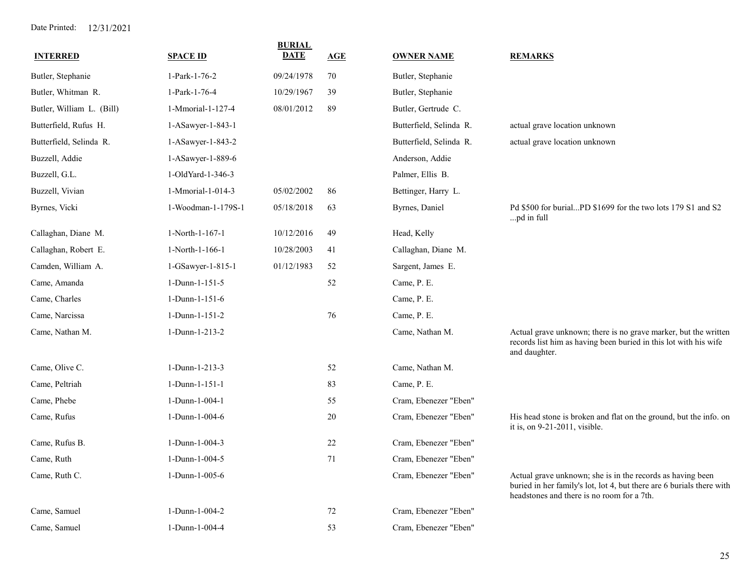| <b>INTERRED</b>           | <b>SPACE ID</b>    | <b>BURIAL</b><br><b>DATE</b> | AGE | <b>OWNER NAME</b>       | <b>REMARKS</b>                                                                                                                                                                    |
|---------------------------|--------------------|------------------------------|-----|-------------------------|-----------------------------------------------------------------------------------------------------------------------------------------------------------------------------------|
| Butler, Stephanie         | 1-Park-1-76-2      | 09/24/1978                   | 70  | Butler, Stephanie       |                                                                                                                                                                                   |
| Butler, Whitman R.        | 1-Park-1-76-4      | 10/29/1967                   | 39  | Butler, Stephanie       |                                                                                                                                                                                   |
| Butler, William L. (Bill) | 1-Mmorial-1-127-4  | 08/01/2012                   | 89  | Butler, Gertrude C.     |                                                                                                                                                                                   |
| Butterfield, Rufus H.     | 1-ASawyer-1-843-1  |                              |     | Butterfield, Selinda R. | actual grave location unknown                                                                                                                                                     |
| Butterfield, Selinda R.   | 1-ASawyer-1-843-2  |                              |     | Butterfield, Selinda R. | actual grave location unknown                                                                                                                                                     |
| Buzzell, Addie            | 1-ASawyer-1-889-6  |                              |     | Anderson, Addie         |                                                                                                                                                                                   |
| Buzzell, G.L.             | 1-OldYard-1-346-3  |                              |     | Palmer, Ellis B.        |                                                                                                                                                                                   |
| Buzzell, Vivian           | 1-Mmorial-1-014-3  | 05/02/2002                   | 86  | Bettinger, Harry L.     |                                                                                                                                                                                   |
| Byrnes, Vicki             | 1-Woodman-1-179S-1 | 05/18/2018                   | 63  | Byrnes, Daniel          | Pd \$500 for burialPD \$1699 for the two lots 179 S1 and S2<br>pd in full                                                                                                         |
| Callaghan, Diane M.       | 1-North-1-167-1    | 10/12/2016                   | 49  | Head, Kelly             |                                                                                                                                                                                   |
| Callaghan, Robert E.      | 1-North-1-166-1    | 10/28/2003                   | 41  | Callaghan, Diane M.     |                                                                                                                                                                                   |
| Camden, William A.        | 1-GSawyer-1-815-1  | 01/12/1983                   | 52  | Sargent, James E.       |                                                                                                                                                                                   |
| Came, Amanda              | 1-Dunn-1-151-5     |                              | 52  | Came, P. E.             |                                                                                                                                                                                   |
| Came, Charles             | $1-Dunn-1-151-6$   |                              |     | Came, P. E.             |                                                                                                                                                                                   |
| Came, Narcissa            | 1-Dunn-1-151-2     |                              | 76  | Came, P. E.             |                                                                                                                                                                                   |
| Came, Nathan M.           | 1-Dunn-1-213-2     |                              |     | Came, Nathan M.         | Actual grave unknown; there is no grave marker, but the written<br>records list him as having been buried in this lot with his wife<br>and daughter.                              |
| Came, Olive C.            | 1-Dunn-1-213-3     |                              | 52  | Came, Nathan M.         |                                                                                                                                                                                   |
| Came, Peltriah            | 1-Dunn-1-151-1     |                              | 83  | Came, P. E.             |                                                                                                                                                                                   |
| Came, Phebe               | 1-Dunn-1-004-1     |                              | 55  | Cram. Ebenezer "Eben"   |                                                                                                                                                                                   |
| Came, Rufus               | 1-Dunn-1-004-6     |                              | 20  | Cram, Ebenezer "Eben"   | His head stone is broken and flat on the ground, but the info. on<br>it is, on 9-21-2011, visible.                                                                                |
| Came, Rufus B.            | 1-Dunn-1-004-3     |                              | 22  | Cram, Ebenezer "Eben"   |                                                                                                                                                                                   |
| Came, Ruth                | 1-Dunn-1-004-5     |                              | 71  | Cram, Ebenezer "Eben"   |                                                                                                                                                                                   |
| Came, Ruth C.             | 1-Dunn-1-005-6     |                              |     | Cram, Ebenezer "Eben"   | Actual grave unknown; she is in the records as having been<br>buried in her family's lot, lot 4, but there are 6 burials there with<br>headstones and there is no room for a 7th. |
| Came, Samuel              | 1-Dunn-1-004-2     |                              | 72  | Cram, Ebenezer "Eben"   |                                                                                                                                                                                   |
| Came, Samuel              | 1-Dunn-1-004-4     |                              | 53  | Cram, Ebenezer "Eben"   |                                                                                                                                                                                   |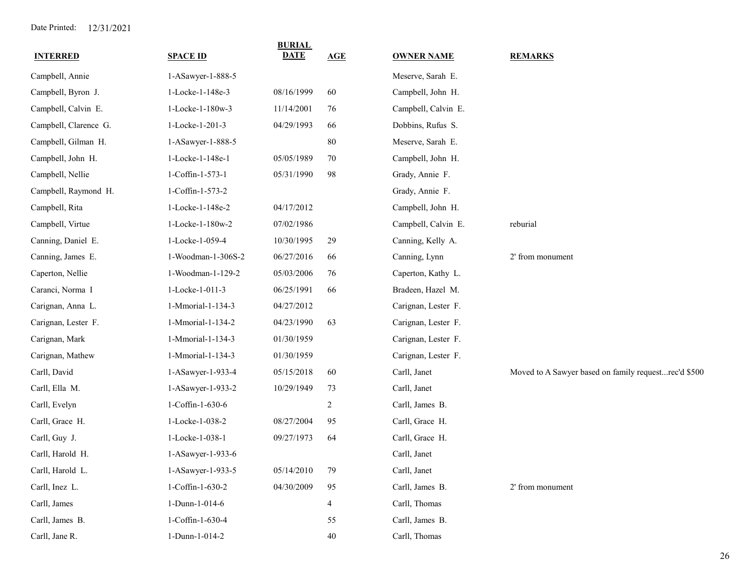| <b>INTERRED</b>       | <b>SPACE ID</b>    | <b>BURIAL</b><br><b>DATE</b> | AGE            | <b>OWNER NAME</b>   | <b>REMARKS</b>                                       |
|-----------------------|--------------------|------------------------------|----------------|---------------------|------------------------------------------------------|
| Campbell, Annie       | 1-ASawyer-1-888-5  |                              |                | Meserve, Sarah E.   |                                                      |
| Campbell, Byron J.    | 1-Locke-1-148e-3   | 08/16/1999                   | 60             | Campbell, John H.   |                                                      |
| Campbell, Calvin E.   | 1-Locke-1-180w-3   | 11/14/2001                   | 76             | Campbell, Calvin E. |                                                      |
| Campbell, Clarence G. | 1-Locke-1-201-3    | 04/29/1993                   | 66             | Dobbins, Rufus S.   |                                                      |
| Campbell, Gilman H.   | 1-ASawyer-1-888-5  |                              | 80             | Meserve, Sarah E.   |                                                      |
| Campbell, John H.     | 1-Locke-1-148e-1   | 05/05/1989                   | 70             | Campbell, John H.   |                                                      |
| Campbell, Nellie      | 1-Coffin-1-573-1   | 05/31/1990                   | 98             | Grady, Annie F.     |                                                      |
| Campbell, Raymond H.  | 1-Coffin-1-573-2   |                              |                | Grady, Annie F.     |                                                      |
| Campbell, Rita        | 1-Locke-1-148e-2   | 04/17/2012                   |                | Campbell, John H.   |                                                      |
| Campbell, Virtue      | 1-Locke-1-180w-2   | 07/02/1986                   |                | Campbell, Calvin E. | reburial                                             |
| Canning, Daniel E.    | 1-Locke-1-059-4    | 10/30/1995                   | 29             | Canning, Kelly A.   |                                                      |
| Canning, James E.     | 1-Woodman-1-306S-2 | 06/27/2016                   | 66             | Canning, Lynn       | 2' from monument                                     |
| Caperton, Nellie      | 1-Woodman-1-129-2  | 05/03/2006                   | 76             | Caperton, Kathy L.  |                                                      |
| Caranci, Norma I      | 1-Locke-1-011-3    | 06/25/1991                   | 66             | Bradeen, Hazel M.   |                                                      |
| Carignan, Anna L.     | 1-Mmorial-1-134-3  | 04/27/2012                   |                | Carignan, Lester F. |                                                      |
| Carignan, Lester F.   | 1-Mmorial-1-134-2  | 04/23/1990                   | 63             | Carignan, Lester F. |                                                      |
| Carignan, Mark        | 1-Mmorial-1-134-3  | 01/30/1959                   |                | Carignan, Lester F. |                                                      |
| Carignan, Mathew      | 1-Mmorial-1-134-3  | 01/30/1959                   |                | Carignan, Lester F. |                                                      |
| Carll, David          | 1-ASawyer-1-933-4  | 05/15/2018                   | 60             | Carll, Janet        | Moved to A Sawyer based on family requestrec'd \$500 |
| Carll, Ella M.        | 1-ASawyer-1-933-2  | 10/29/1949                   | 73             | Carll, Janet        |                                                      |
| Carll, Evelyn         | 1-Coffin-1-630-6   |                              | $\overline{c}$ | Carll, James B.     |                                                      |
| Carll, Grace H.       | 1-Locke-1-038-2    | 08/27/2004                   | 95             | Carll, Grace H.     |                                                      |
| Carll, Guy J.         | 1-Locke-1-038-1    | 09/27/1973                   | 64             | Carll, Grace H.     |                                                      |
| Carll, Harold H.      | 1-ASawyer-1-933-6  |                              |                | Carll, Janet        |                                                      |
| Carll, Harold L.      | 1-ASawyer-1-933-5  | 05/14/2010                   | 79             | Carll, Janet        |                                                      |
| Carll, Inez L.        | 1-Coffin-1-630-2   | 04/30/2009                   | 95             | Carll, James B.     | 2' from monument                                     |
| Carll, James          | 1-Dunn-1-014-6     |                              | 4              | Carll, Thomas       |                                                      |
| Carll, James B.       | 1-Coffin-1-630-4   |                              | 55             | Carll, James B.     |                                                      |
| Carll, Jane R.        | 1-Dunn-1-014-2     |                              | 40             | Carll, Thomas       |                                                      |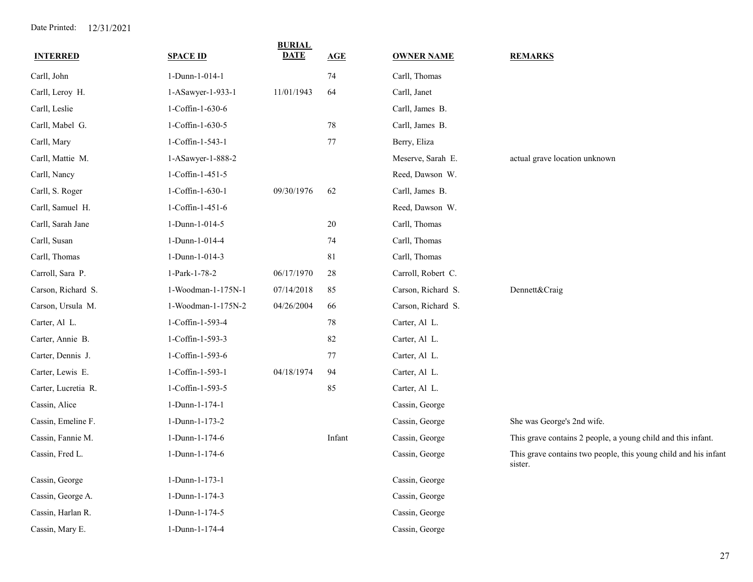| <b>INTERRED</b>     | <b>SPACE ID</b>    | <b>BURIAL</b><br><b>DATE</b> | AGE    | <b>OWNER NAME</b>  | <b>REMARKS</b>                                                             |
|---------------------|--------------------|------------------------------|--------|--------------------|----------------------------------------------------------------------------|
| Carll, John         | 1-Dunn-1-014-1     |                              | 74     | Carll, Thomas      |                                                                            |
| Carll, Leroy H.     | 1-ASawyer-1-933-1  | 11/01/1943                   | 64     | Carll, Janet       |                                                                            |
| Carll, Leslie       | 1-Coffin-1-630-6   |                              |        | Carll, James B.    |                                                                            |
| Carll, Mabel G.     | 1-Coffin-1-630-5   |                              | 78     | Carll, James B.    |                                                                            |
| Carll, Mary         | 1-Coffin-1-543-1   |                              | 77     | Berry, Eliza       |                                                                            |
| Carll, Mattie M.    | 1-ASawyer-1-888-2  |                              |        | Meserve, Sarah E.  | actual grave location unknown                                              |
| Carll, Nancy        | 1-Coffin-1-451-5   |                              |        | Reed, Dawson W.    |                                                                            |
| Carll, S. Roger     | 1-Coffin-1-630-1   | 09/30/1976                   | 62     | Carll, James B.    |                                                                            |
| Carll, Samuel H.    | 1-Coffin-1-451-6   |                              |        | Reed, Dawson W.    |                                                                            |
| Carll, Sarah Jane   | 1-Dunn-1-014-5     |                              | 20     | Carll, Thomas      |                                                                            |
| Carll, Susan        | 1-Dunn-1-014-4     |                              | 74     | Carll, Thomas      |                                                                            |
| Carll, Thomas       | 1-Dunn-1-014-3     |                              | 81     | Carll, Thomas      |                                                                            |
| Carroll, Sara P.    | 1-Park-1-78-2      | 06/17/1970                   | 28     | Carroll, Robert C. |                                                                            |
| Carson, Richard S.  | 1-Woodman-1-175N-1 | 07/14/2018                   | 85     | Carson, Richard S. | Dennett&Craig                                                              |
| Carson, Ursula M.   | 1-Woodman-1-175N-2 | 04/26/2004                   | 66     | Carson, Richard S. |                                                                            |
| Carter, Al L.       | 1-Coffin-1-593-4   |                              | 78     | Carter, Al L.      |                                                                            |
| Carter, Annie B.    | 1-Coffin-1-593-3   |                              | 82     | Carter, Al L.      |                                                                            |
| Carter, Dennis J.   | 1-Coffin-1-593-6   |                              | 77     | Carter, Al L.      |                                                                            |
| Carter, Lewis E.    | 1-Coffin-1-593-1   | 04/18/1974                   | 94     | Carter, Al L.      |                                                                            |
| Carter, Lucretia R. | 1-Coffin-1-593-5   |                              | 85     | Carter, Al L.      |                                                                            |
| Cassin, Alice       | 1-Dunn-1-174-1     |                              |        | Cassin, George     |                                                                            |
| Cassin, Emeline F.  | 1-Dunn-1-173-2     |                              |        | Cassin, George     | She was George's 2nd wife.                                                 |
| Cassin, Fannie M.   | 1-Dunn-1-174-6     |                              | Infant | Cassin, George     | This grave contains 2 people, a young child and this infant.               |
| Cassin, Fred L.     | 1-Dunn-1-174-6     |                              |        | Cassin, George     | This grave contains two people, this young child and his infant<br>sister. |
| Cassin, George      | 1-Dunn-1-173-1     |                              |        | Cassin, George     |                                                                            |
| Cassin, George A.   | 1-Dunn-1-174-3     |                              |        | Cassin, George     |                                                                            |
| Cassin, Harlan R.   | 1-Dunn-1-174-5     |                              |        | Cassin, George     |                                                                            |
| Cassin, Mary E.     | 1-Dunn-1-174-4     |                              |        | Cassin, George     |                                                                            |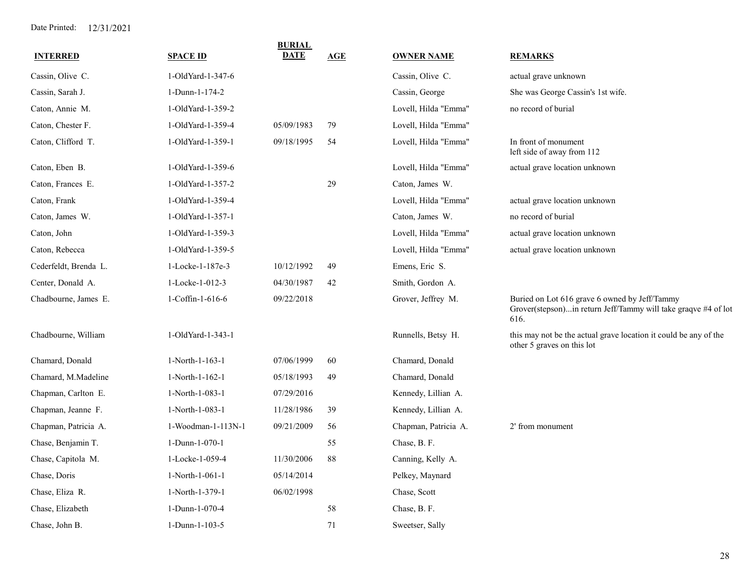| <b>INTERRED</b>       | <b>SPACE ID</b>    | <b>BURIAL</b><br><b>DATE</b> | AGE | <b>OWNER NAME</b>    | <b>REMARKS</b>                                                                                                          |
|-----------------------|--------------------|------------------------------|-----|----------------------|-------------------------------------------------------------------------------------------------------------------------|
| Cassin, Olive C.      | 1-OldYard-1-347-6  |                              |     | Cassin, Olive C.     | actual grave unknown                                                                                                    |
| Cassin, Sarah J.      | 1-Dunn-1-174-2     |                              |     | Cassin, George       | She was George Cassin's 1st wife.                                                                                       |
| Caton, Annie M.       | 1-OldYard-1-359-2  |                              |     | Lovell, Hilda "Emma" | no record of burial                                                                                                     |
| Caton, Chester F.     | 1-OldYard-1-359-4  | 05/09/1983                   | 79  | Lovell, Hilda "Emma" |                                                                                                                         |
| Caton, Clifford T.    | 1-OldYard-1-359-1  | 09/18/1995                   | 54  | Lovell, Hilda "Emma" | In front of monument<br>left side of away from 112                                                                      |
| Caton, Eben B.        | 1-OldYard-1-359-6  |                              |     | Lovell, Hilda "Emma" | actual grave location unknown                                                                                           |
| Caton, Frances E.     | 1-OldYard-1-357-2  |                              | 29  | Caton, James W.      |                                                                                                                         |
| Caton, Frank          | 1-OldYard-1-359-4  |                              |     | Lovell, Hilda "Emma" | actual grave location unknown                                                                                           |
| Caton, James W.       | 1-OldYard-1-357-1  |                              |     | Caton, James W.      | no record of burial                                                                                                     |
| Caton, John           | 1-OldYard-1-359-3  |                              |     | Lovell, Hilda "Emma" | actual grave location unknown                                                                                           |
| Caton, Rebecca        | 1-OldYard-1-359-5  |                              |     | Lovell, Hilda "Emma" | actual grave location unknown                                                                                           |
| Cederfeldt, Brenda L. | 1-Locke-1-187e-3   | 10/12/1992                   | 49  | Emens, Eric S.       |                                                                                                                         |
| Center, Donald A.     | 1-Locke-1-012-3    | 04/30/1987                   | 42  | Smith, Gordon A.     |                                                                                                                         |
| Chadbourne, James E.  | 1-Coffin-1-616-6   | 09/22/2018                   |     | Grover, Jeffrey M.   | Buried on Lot 616 grave 6 owned by Jeff/Tammy<br>Grover(stepson)in return Jeff/Tammy will take graqve #4 of lot<br>616. |
| Chadbourne, William   | 1-OldYard-1-343-1  |                              |     | Runnells, Betsy H.   | this may not be the actual grave location it could be any of the<br>other 5 graves on this lot                          |
| Chamard, Donald       | 1-North-1-163-1    | 07/06/1999                   | 60  | Chamard, Donald      |                                                                                                                         |
| Chamard, M.Madeline   | 1-North-1-162-1    | 05/18/1993                   | 49  | Chamard, Donald      |                                                                                                                         |
| Chapman, Carlton E.   | 1-North-1-083-1    | 07/29/2016                   |     | Kennedy, Lillian A.  |                                                                                                                         |
| Chapman, Jeanne F.    | 1-North-1-083-1    | 11/28/1986                   | 39  | Kennedy, Lillian A.  |                                                                                                                         |
| Chapman, Patricia A.  | 1-Woodman-1-113N-1 | 09/21/2009                   | 56  | Chapman, Patricia A. | 2' from monument                                                                                                        |
| Chase, Benjamin T.    | 1-Dunn-1-070-1     |                              | 55  | Chase, B. F.         |                                                                                                                         |
| Chase, Capitola M.    | 1-Locke-1-059-4    | 11/30/2006                   | 88  | Canning, Kelly A.    |                                                                                                                         |
| Chase, Doris          | 1-North-1-061-1    | 05/14/2014                   |     | Pelkey, Maynard      |                                                                                                                         |
| Chase, Eliza R.       | 1-North-1-379-1    | 06/02/1998                   |     | Chase, Scott         |                                                                                                                         |
| Chase, Elizabeth      | 1-Dunn-1-070-4     |                              | 58  | Chase, B. F.         |                                                                                                                         |
| Chase, John B.        | 1-Dunn-1-103-5     |                              | 71  | Sweetser, Sally      |                                                                                                                         |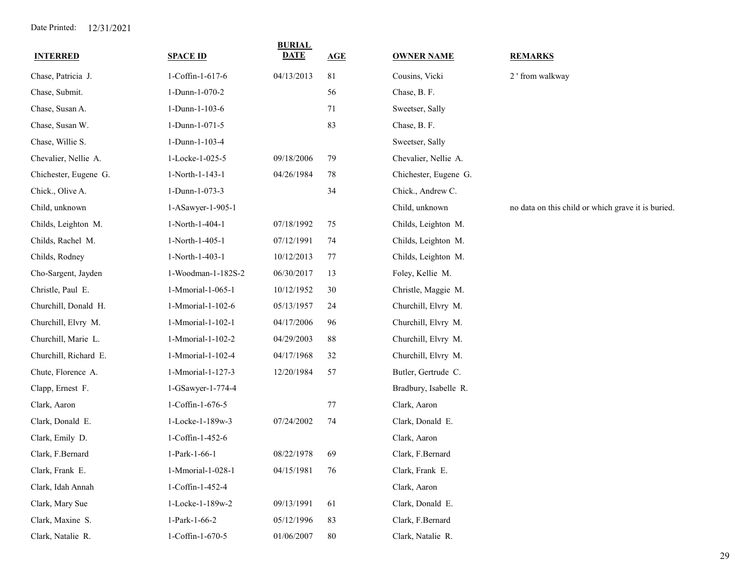| <b>INTERRED</b>       | <b>SPACE ID</b>    | <b>BURIAL</b><br><b>DATE</b> | AGE | <b>OWNER NAME</b>     | <b>REMARKS</b>                                     |
|-----------------------|--------------------|------------------------------|-----|-----------------------|----------------------------------------------------|
| Chase, Patricia J.    | 1-Coffin-1-617-6   | 04/13/2013                   | 81  | Cousins, Vicki        | 2 ' from walkway                                   |
| Chase, Submit.        | 1-Dunn-1-070-2     |                              | 56  | Chase, B. F.          |                                                    |
| Chase, Susan A.       | 1-Dunn-1-103-6     |                              | 71  | Sweetser, Sally       |                                                    |
| Chase, Susan W.       | 1-Dunn-1-071-5     |                              | 83  | Chase, B. F.          |                                                    |
| Chase, Willie S.      | 1-Dunn-1-103-4     |                              |     | Sweetser, Sally       |                                                    |
| Chevalier, Nellie A.  | 1-Locke-1-025-5    | 09/18/2006                   | 79  | Chevalier, Nellie A.  |                                                    |
| Chichester, Eugene G. | 1-North-1-143-1    | 04/26/1984                   | 78  | Chichester, Eugene G. |                                                    |
| Chick., Olive A.      | 1-Dunn-1-073-3     |                              | 34  | Chick., Andrew C.     |                                                    |
| Child, unknown        | 1-ASawyer-1-905-1  |                              |     | Child, unknown        | no data on this child or which grave it is buried. |
| Childs, Leighton M.   | 1-North-1-404-1    | 07/18/1992                   | 75  | Childs, Leighton M.   |                                                    |
| Childs, Rachel M.     | 1-North-1-405-1    | 07/12/1991                   | 74  | Childs, Leighton M.   |                                                    |
| Childs, Rodney        | 1-North-1-403-1    | 10/12/2013                   | 77  | Childs, Leighton M.   |                                                    |
| Cho-Sargent, Jayden   | 1-Woodman-1-182S-2 | 06/30/2017                   | 13  | Foley, Kellie M.      |                                                    |
| Christle, Paul E.     | 1-Mmorial-1-065-1  | 10/12/1952                   | 30  | Christle, Maggie M.   |                                                    |
| Churchill, Donald H.  | 1-Mmorial-1-102-6  | 05/13/1957                   | 24  | Churchill, Elvry M.   |                                                    |
| Churchill, Elvry M.   | 1-Mmorial-1-102-1  | 04/17/2006                   | 96  | Churchill, Elvry M.   |                                                    |
| Churchill, Marie L.   | 1-Mmorial-1-102-2  | 04/29/2003                   | 88  | Churchill, Elvry M.   |                                                    |
| Churchill, Richard E. | 1-Mmorial-1-102-4  | 04/17/1968                   | 32  | Churchill, Elvry M.   |                                                    |
| Chute, Florence A.    | 1-Mmorial-1-127-3  | 12/20/1984                   | 57  | Butler, Gertrude C.   |                                                    |
| Clapp, Ernest F.      | 1-GSawyer-1-774-4  |                              |     | Bradbury, Isabelle R. |                                                    |
| Clark, Aaron          | 1-Coffin-1-676-5   |                              | 77  | Clark, Aaron          |                                                    |
| Clark, Donald E.      | 1-Locke-1-189w-3   | 07/24/2002                   | 74  | Clark, Donald E.      |                                                    |
| Clark, Emily D.       | 1-Coffin-1-452-6   |                              |     | Clark, Aaron          |                                                    |
| Clark, F.Bernard      | 1-Park-1-66-1      | 08/22/1978                   | 69  | Clark, F.Bernard      |                                                    |
| Clark, Frank E.       | 1-Mmorial-1-028-1  | 04/15/1981                   | 76  | Clark, Frank E.       |                                                    |
| Clark, Idah Annah     | 1-Coffin-1-452-4   |                              |     | Clark, Aaron          |                                                    |
| Clark, Mary Sue       | 1-Locke-1-189w-2   | 09/13/1991                   | 61  | Clark, Donald E.      |                                                    |
| Clark, Maxine S.      | 1-Park-1-66-2      | 05/12/1996                   | 83  | Clark, F.Bernard      |                                                    |
| Clark, Natalie R.     | 1-Coffin-1-670-5   | 01/06/2007                   | 80  | Clark, Natalie R.     |                                                    |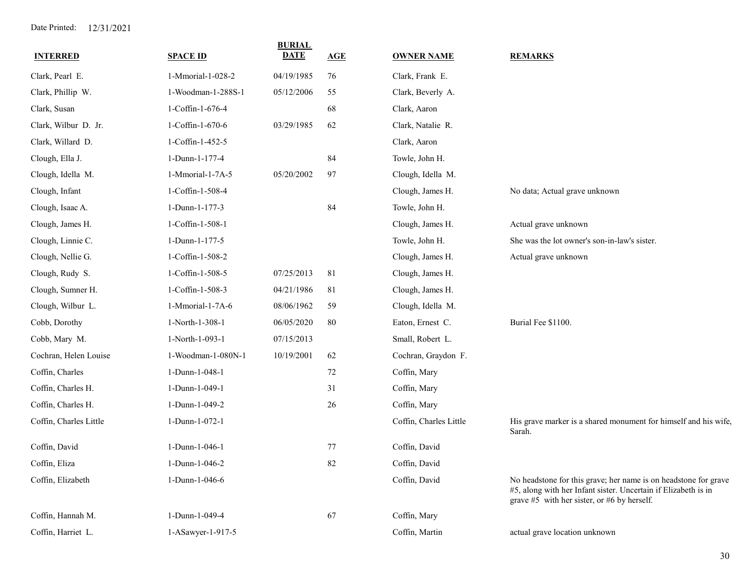| <b>INTERRED</b>        | <b>SPACE ID</b>    | <b>BURIAL</b><br><b>DATE</b> | AGE | <b>OWNER NAME</b>      | <b>REMARKS</b>                                                                                                                                                                       |
|------------------------|--------------------|------------------------------|-----|------------------------|--------------------------------------------------------------------------------------------------------------------------------------------------------------------------------------|
| Clark, Pearl E.        | 1-Mmorial-1-028-2  | 04/19/1985                   | 76  | Clark, Frank E.        |                                                                                                                                                                                      |
| Clark, Phillip W.      | 1-Woodman-1-288S-1 | 05/12/2006                   | 55  | Clark, Beverly A.      |                                                                                                                                                                                      |
| Clark, Susan           | 1-Coffin-1-676-4   |                              | 68  | Clark, Aaron           |                                                                                                                                                                                      |
| Clark, Wilbur D. Jr.   | 1-Coffin-1-670-6   | 03/29/1985                   | 62  | Clark, Natalie R.      |                                                                                                                                                                                      |
| Clark, Willard D.      | 1-Coffin-1-452-5   |                              |     | Clark, Aaron           |                                                                                                                                                                                      |
| Clough, Ella J.        | 1-Dunn-1-177-4     |                              | 84  | Towle, John H.         |                                                                                                                                                                                      |
| Clough, Idella M.      | 1-Mmorial-1-7A-5   | 05/20/2002                   | 97  | Clough, Idella M.      |                                                                                                                                                                                      |
| Clough, Infant         | 1-Coffin-1-508-4   |                              |     | Clough, James H.       | No data; Actual grave unknown                                                                                                                                                        |
| Clough, Isaac A.       | 1-Dunn-1-177-3     |                              | 84  | Towle, John H.         |                                                                                                                                                                                      |
| Clough, James H.       | 1-Coffin-1-508-1   |                              |     | Clough, James H.       | Actual grave unknown                                                                                                                                                                 |
| Clough, Linnie C.      | 1-Dunn-1-177-5     |                              |     | Towle, John H.         | She was the lot owner's son-in-law's sister.                                                                                                                                         |
| Clough, Nellie G.      | 1-Coffin-1-508-2   |                              |     | Clough, James H.       | Actual grave unknown                                                                                                                                                                 |
| Clough, Rudy S.        | 1-Coffin-1-508-5   | 07/25/2013                   | 81  | Clough, James H.       |                                                                                                                                                                                      |
| Clough, Sumner H.      | 1-Coffin-1-508-3   | 04/21/1986                   | 81  | Clough, James H.       |                                                                                                                                                                                      |
| Clough, Wilbur L.      | 1-Mmorial-1-7A-6   | 08/06/1962                   | 59  | Clough, Idella M.      |                                                                                                                                                                                      |
| Cobb, Dorothy          | 1-North-1-308-1    | 06/05/2020                   | 80  | Eaton, Ernest C.       | Burial Fee \$1100.                                                                                                                                                                   |
| Cobb, Mary M.          | 1-North-1-093-1    | 07/15/2013                   |     | Small, Robert L.       |                                                                                                                                                                                      |
| Cochran, Helen Louise  | 1-Woodman-1-080N-1 | 10/19/2001                   | 62  | Cochran, Graydon F.    |                                                                                                                                                                                      |
| Coffin, Charles        | 1-Dunn-1-048-1     |                              | 72  | Coffin, Mary           |                                                                                                                                                                                      |
| Coffin, Charles H.     | 1-Dunn-1-049-1     |                              | 31  | Coffin, Mary           |                                                                                                                                                                                      |
| Coffin, Charles H.     | 1-Dunn-1-049-2     |                              | 26  | Coffin, Mary           |                                                                                                                                                                                      |
| Coffin, Charles Little | 1-Dunn-1-072-1     |                              |     | Coffin, Charles Little | His grave marker is a shared monument for himself and his wife,<br>Sarah.                                                                                                            |
| Coffin, David          | 1-Dunn-1-046-1     |                              | 77  | Coffin, David          |                                                                                                                                                                                      |
| Coffin, Eliza          | 1-Dunn-1-046-2     |                              | 82  | Coffin, David          |                                                                                                                                                                                      |
| Coffin, Elizabeth      | 1-Dunn-1-046-6     |                              |     | Coffin, David          | No headstone for this grave; her name is on headstone for grave<br>#5, along with her Infant sister. Uncertain if Elizabeth is in<br>grave $#5$ with her sister, or $#6$ by herself. |
| Coffin, Hannah M.      | 1-Dunn-1-049-4     |                              | 67  | Coffin, Mary           |                                                                                                                                                                                      |
| Coffin, Harriet L.     | 1-ASawyer-1-917-5  |                              |     | Coffin, Martin         | actual grave location unknown                                                                                                                                                        |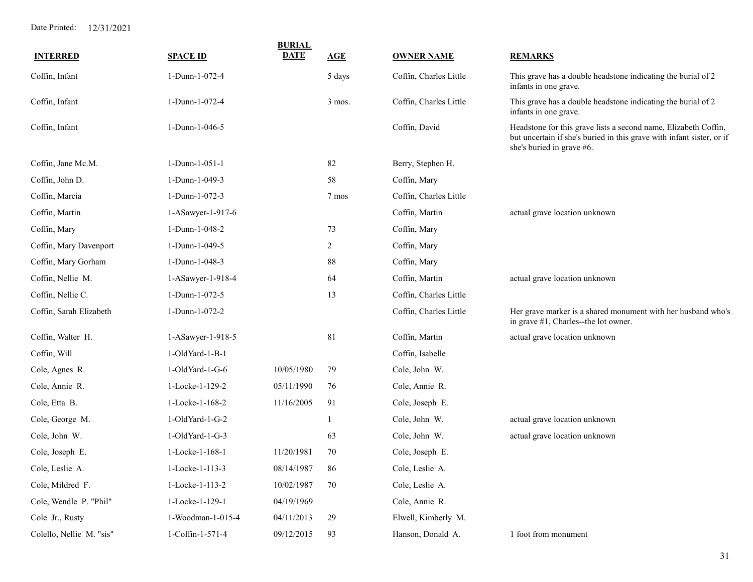|                          |                   | <b>BURIAL</b> |        |                        |                                                                                                                                                                       |
|--------------------------|-------------------|---------------|--------|------------------------|-----------------------------------------------------------------------------------------------------------------------------------------------------------------------|
| <b>INTERRED</b>          | <b>SPACE ID</b>   | <b>DATE</b>   | AGE    | <b>OWNER NAME</b>      | <b>REMARKS</b>                                                                                                                                                        |
| Coffin, Infant           | 1-Dunn-1-072-4    |               | 5 days | Coffin, Charles Little | This grave has a double headstone indicating the burial of 2<br>infants in one grave.                                                                                 |
| Coffin, Infant           | 1-Dunn-1-072-4    |               | 3 mos. | Coffin, Charles Little | This grave has a double headstone indicating the burial of 2<br>infants in one grave.                                                                                 |
| Coffin, Infant           | 1-Dunn-1-046-5    |               |        | Coffin, David          | Headstone for this grave lists a second name, Elizabeth Coffin,<br>but uncertain if she's buried in this grave with infant sister, or if<br>she's buried in grave #6. |
| Coffin, Jane Mc.M.       | 1-Dunn-1-051-1    |               | 82     | Berry, Stephen H.      |                                                                                                                                                                       |
| Coffin, John D.          | 1-Dunn-1-049-3    |               | 58     | Coffin, Mary           |                                                                                                                                                                       |
| Coffin, Marcia           | 1-Dunn-1-072-3    |               | 7 mos  | Coffin, Charles Little |                                                                                                                                                                       |
| Coffin, Martin           | 1-ASawyer-1-917-6 |               |        | Coffin, Martin         | actual grave location unknown                                                                                                                                         |
| Coffin, Mary             | 1-Dunn-1-048-2    |               | 73     | Coffin, Mary           |                                                                                                                                                                       |
| Coffin, Mary Davenport   | 1-Dunn-1-049-5    |               | 2      | Coffin, Mary           |                                                                                                                                                                       |
| Coffin, Mary Gorham      | 1-Dunn-1-048-3    |               | 88     | Coffin, Mary           |                                                                                                                                                                       |
| Coffin, Nellie M.        | 1-ASawyer-1-918-4 |               | 64     | Coffin, Martin         | actual grave location unknown                                                                                                                                         |
| Coffin, Nellie C.        | 1-Dunn-1-072-5    |               | 13     | Coffin, Charles Little |                                                                                                                                                                       |
| Coffin, Sarah Elizabeth  | 1-Dunn-1-072-2    |               |        | Coffin, Charles Little | Her grave marker is a shared monument with her husband who's<br>in grave #1, Charles--the lot owner.                                                                  |
| Coffin, Walter H.        | 1-ASawyer-1-918-5 |               | 81     | Coffin, Martin         | actual grave location unknown                                                                                                                                         |
| Coffin, Will             | 1-OldYard-1-B-1   |               |        | Coffin, Isabelle       |                                                                                                                                                                       |
| Cole, Agnes R.           | 1-OldYard-1-G-6   | 10/05/1980    | 79     | Cole, John W.          |                                                                                                                                                                       |
| Cole, Annie R.           | 1-Locke-1-129-2   | 05/11/1990    | 76     | Cole, Annie R.         |                                                                                                                                                                       |
| Cole, Etta B.            | 1-Locke-1-168-2   | 11/16/2005    | 91     | Cole, Joseph E.        |                                                                                                                                                                       |
| Cole, George M.          | 1-OldYard-1-G-2   |               | 1      | Cole, John W.          | actual grave location unknown                                                                                                                                         |
| Cole, John W.            | 1-OldYard-1-G-3   |               | 63     | Cole, John W.          | actual grave location unknown                                                                                                                                         |
| Cole, Joseph E.          | 1-Locke-1-168-1   | 11/20/1981    | 70     | Cole, Joseph E.        |                                                                                                                                                                       |
| Cole, Leslie A.          | 1-Locke-1-113-3   | 08/14/1987    | 86     | Cole, Leslie A.        |                                                                                                                                                                       |
| Cole, Mildred F.         | 1-Locke-1-113-2   | 10/02/1987    | 70     | Cole, Leslie A.        |                                                                                                                                                                       |
| Cole, Wendle P. "Phil"   | 1-Locke-1-129-1   | 04/19/1969    |        | Cole, Annie R.         |                                                                                                                                                                       |
| Cole Jr., Rusty          | 1-Woodman-1-015-4 | 04/11/2013    | 29     | Elwell, Kimberly M.    |                                                                                                                                                                       |
| Colello, Nellie M. "sis" | 1-Coffin-1-571-4  | 09/12/2015    | 93     | Hanson, Donald A.      | 1 foot from monument                                                                                                                                                  |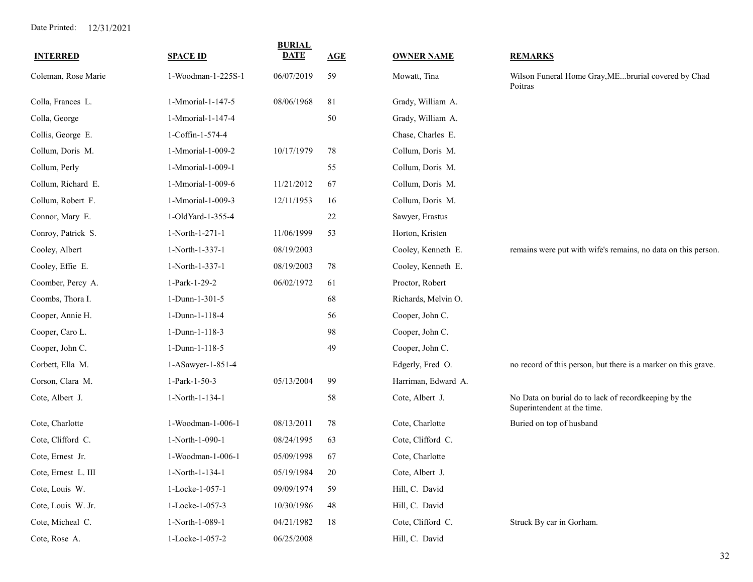| <b>INTERRED</b>     | <b>SPACE ID</b>    | <b>BURIAL</b><br><b>DATE</b> | AGE | <b>OWNER NAME</b>   | <b>REMARKS</b>                                                                      |
|---------------------|--------------------|------------------------------|-----|---------------------|-------------------------------------------------------------------------------------|
| Coleman, Rose Marie | 1-Woodman-1-225S-1 | 06/07/2019                   | 59  | Mowatt, Tina        | Wilson Funeral Home Gray, MEbrurial covered by Chad<br>Poitras                      |
| Colla, Frances L.   | 1-Mmorial-1-147-5  | 08/06/1968                   | 81  | Grady, William A.   |                                                                                     |
| Colla, George       | 1-Mmorial-1-147-4  |                              | 50  | Grady, William A.   |                                                                                     |
| Collis, George E.   | 1-Coffin-1-574-4   |                              |     | Chase, Charles E.   |                                                                                     |
| Collum, Doris M.    | 1-Mmorial-1-009-2  | 10/17/1979                   | 78  | Collum, Doris M.    |                                                                                     |
| Collum, Perly       | 1-Mmorial-1-009-1  |                              | 55  | Collum, Doris M.    |                                                                                     |
| Collum, Richard E.  | 1-Mmorial-1-009-6  | 11/21/2012                   | 67  | Collum, Doris M.    |                                                                                     |
| Collum, Robert F.   | 1-Mmorial-1-009-3  | 12/11/1953                   | 16  | Collum, Doris M.    |                                                                                     |
| Connor, Mary E.     | 1-OldYard-1-355-4  |                              | 22  | Sawyer, Erastus     |                                                                                     |
| Conroy, Patrick S.  | 1-North-1-271-1    | 11/06/1999                   | 53  | Horton, Kristen     |                                                                                     |
| Cooley, Albert      | 1-North-1-337-1    | 08/19/2003                   |     | Cooley, Kenneth E.  | remains were put with wife's remains, no data on this person.                       |
| Cooley, Effie E.    | 1-North-1-337-1    | 08/19/2003                   | 78  | Cooley, Kenneth E.  |                                                                                     |
| Coomber, Percy A.   | 1-Park-1-29-2      | 06/02/1972                   | 61  | Proctor, Robert     |                                                                                     |
| Coombs, Thora I.    | 1-Dunn-1-301-5     |                              | 68  | Richards, Melvin O. |                                                                                     |
| Cooper, Annie H.    | 1-Dunn-1-118-4     |                              | 56  | Cooper, John C.     |                                                                                     |
| Cooper, Caro L.     | 1-Dunn-1-118-3     |                              | 98  | Cooper, John C.     |                                                                                     |
| Cooper, John C.     | 1-Dunn-1-118-5     |                              | 49  | Cooper, John C.     |                                                                                     |
| Corbett, Ella M.    | 1-ASawyer-1-851-4  |                              |     | Edgerly, Fred O.    | no record of this person, but there is a marker on this grave.                      |
| Corson, Clara M.    | 1-Park-1-50-3      | 05/13/2004                   | 99  | Harriman, Edward A. |                                                                                     |
| Cote, Albert J.     | 1-North-1-134-1    |                              | 58  | Cote, Albert J.     | No Data on burial do to lack of recordkeeping by the<br>Superintendent at the time. |
| Cote, Charlotte     | 1-Woodman-1-006-1  | 08/13/2011                   | 78  | Cote, Charlotte     | Buried on top of husband                                                            |
| Cote, Clifford C.   | 1-North-1-090-1    | 08/24/1995                   | 63  | Cote, Clifford C.   |                                                                                     |
| Cote, Ernest Jr.    | 1-Woodman-1-006-1  | 05/09/1998                   | 67  | Cote, Charlotte     |                                                                                     |
| Cote, Ernest L. III | 1-North-1-134-1    | 05/19/1984                   | 20  | Cote, Albert J.     |                                                                                     |
| Cote, Louis W.      | 1-Locke-1-057-1    | 09/09/1974                   | 59  | Hill, C. David      |                                                                                     |
| Cote, Louis W. Jr.  | 1-Locke-1-057-3    | 10/30/1986                   | 48  | Hill, C. David      |                                                                                     |
| Cote, Micheal C.    | 1-North-1-089-1    | 04/21/1982                   | 18  | Cote, Clifford C.   | Struck By car in Gorham.                                                            |
| Cote, Rose A.       | 1-Locke-1-057-2    | 06/25/2008                   |     | Hill, C. David      |                                                                                     |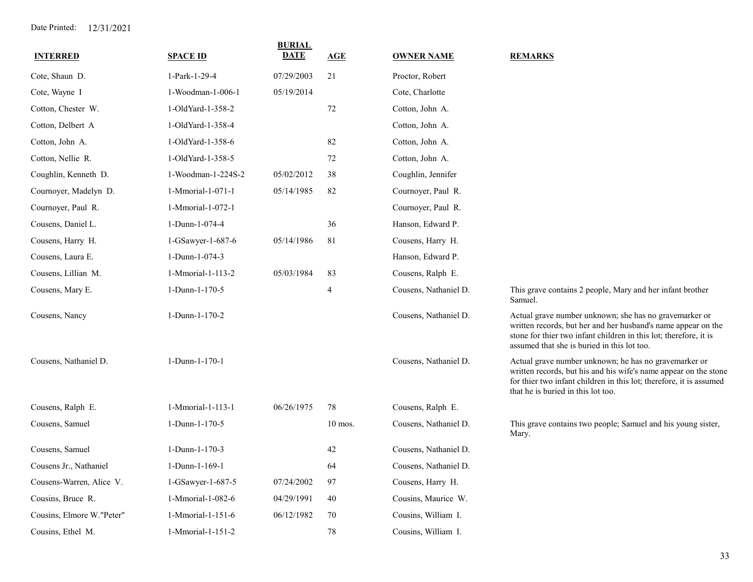| <b>INTERRED</b>           | <b>SPACE ID</b>    | <b>BURIAL</b><br>DATE | AGE            | <b>OWNER NAME</b>     | <b>REMARKS</b>                                                                                                                                                                                                                              |
|---------------------------|--------------------|-----------------------|----------------|-----------------------|---------------------------------------------------------------------------------------------------------------------------------------------------------------------------------------------------------------------------------------------|
| Cote, Shaun D.            | 1-Park-1-29-4      | 07/29/2003            | 21             | Proctor, Robert       |                                                                                                                                                                                                                                             |
| Cote, Wayne I             | 1-Woodman-1-006-1  | 05/19/2014            |                | Cote, Charlotte       |                                                                                                                                                                                                                                             |
| Cotton, Chester W.        | 1-OldYard-1-358-2  |                       | 72             | Cotton, John A.       |                                                                                                                                                                                                                                             |
| Cotton, Delbert A         | 1-OldYard-1-358-4  |                       |                | Cotton, John A.       |                                                                                                                                                                                                                                             |
| Cotton, John A.           | 1-OldYard-1-358-6  |                       | 82             | Cotton, John A.       |                                                                                                                                                                                                                                             |
| Cotton, Nellie R.         | 1-OldYard-1-358-5  |                       | 72             | Cotton, John A.       |                                                                                                                                                                                                                                             |
| Coughlin, Kenneth D.      | 1-Woodman-1-224S-2 | 05/02/2012            | 38             | Coughlin, Jennifer    |                                                                                                                                                                                                                                             |
| Cournoyer, Madelyn D.     | 1-Mmorial-1-071-1  | 05/14/1985            | 82             | Cournoyer, Paul R.    |                                                                                                                                                                                                                                             |
| Cournoyer, Paul R.        | 1-Mmorial-1-072-1  |                       |                | Cournoyer, Paul R.    |                                                                                                                                                                                                                                             |
| Cousens, Daniel L.        | 1-Dunn-1-074-4     |                       | 36             | Hanson, Edward P.     |                                                                                                                                                                                                                                             |
| Cousens, Harry H.         | 1-GSawyer-1-687-6  | 05/14/1986            | 81             | Cousens, Harry H.     |                                                                                                                                                                                                                                             |
| Cousens, Laura E.         | 1-Dunn-1-074-3     |                       |                | Hanson, Edward P.     |                                                                                                                                                                                                                                             |
| Cousens, Lillian M.       | 1-Mmorial-1-113-2  | 05/03/1984            | 83             | Cousens, Ralph E.     |                                                                                                                                                                                                                                             |
| Cousens, Mary E.          | 1-Dunn-1-170-5     |                       | $\overline{4}$ | Cousens, Nathaniel D. | This grave contains 2 people, Mary and her infant brother<br>Samuel.                                                                                                                                                                        |
| Cousens, Nancy            | 1-Dunn-1-170-2     |                       |                | Cousens, Nathaniel D. | Actual grave number unknown; she has no gravemarker or<br>written records, but her and her husband's name appear on the<br>stone for thier two infant children in this lot; therefore, it is<br>assumed that she is buried in this lot too. |
| Cousens, Nathaniel D.     | 1-Dunn-1-170-1     |                       |                | Cousens, Nathaniel D. | Actual grave number unknown; he has no gravemarker or<br>written records, but his and his wife's name appear on the stone<br>for thier two infant children in this lot; therefore, it is assumed<br>that he is buried in this lot too.      |
| Cousens, Ralph E.         | 1-Mmorial-1-113-1  | 06/26/1975            | 78             | Cousens, Ralph E.     |                                                                                                                                                                                                                                             |
| Cousens, Samuel           | 1-Dunn-1-170-5     |                       | $10$ mos.      | Cousens, Nathaniel D. | This grave contains two people; Samuel and his young sister,<br>Mary.                                                                                                                                                                       |
| Cousens, Samuel           | 1-Dunn-1-170-3     |                       | 42             | Cousens, Nathaniel D. |                                                                                                                                                                                                                                             |
| Cousens Jr., Nathaniel    | 1-Dunn-1-169-1     |                       | 64             | Cousens, Nathaniel D. |                                                                                                                                                                                                                                             |
| Cousens-Warren, Alice V.  | 1-GSawyer-1-687-5  | 07/24/2002            | 97             | Cousens, Harry H.     |                                                                                                                                                                                                                                             |
| Cousins, Bruce R.         | 1-Mmorial-1-082-6  | 04/29/1991            | 40             | Cousins, Maurice W.   |                                                                                                                                                                                                                                             |
| Cousins, Elmore W."Peter" | 1-Mmorial-1-151-6  | 06/12/1982            | 70             | Cousins, William I.   |                                                                                                                                                                                                                                             |
| Cousins, Ethel M.         | 1-Mmorial-1-151-2  |                       | 78             | Cousins, William I.   |                                                                                                                                                                                                                                             |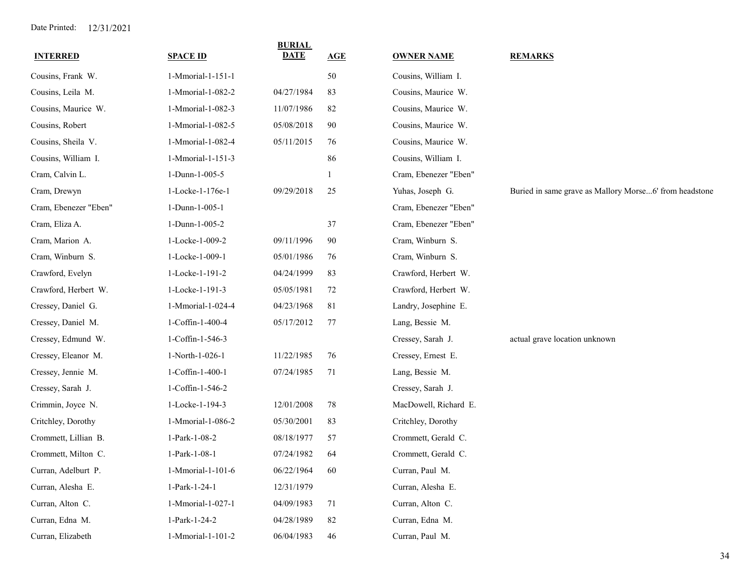| <b>INTERRED</b>       | <b>SPACE ID</b>   | <b>BURIAL</b><br><b>DATE</b> | AGE | <b>OWNER NAME</b>     | <b>REMARKS</b>                                         |
|-----------------------|-------------------|------------------------------|-----|-----------------------|--------------------------------------------------------|
| Cousins, Frank W.     | 1-Mmorial-1-151-1 |                              | 50  | Cousins, William I.   |                                                        |
| Cousins, Leila M.     | 1-Mmorial-1-082-2 | 04/27/1984                   | 83  | Cousins, Maurice W.   |                                                        |
| Cousins, Maurice W.   | 1-Mmorial-1-082-3 | 11/07/1986                   | 82  | Cousins, Maurice W.   |                                                        |
| Cousins, Robert       | 1-Mmorial-1-082-5 | 05/08/2018                   | 90  | Cousins, Maurice W.   |                                                        |
| Cousins, Sheila V.    | 1-Mmorial-1-082-4 | 05/11/2015                   | 76  | Cousins, Maurice W.   |                                                        |
| Cousins, William I.   | 1-Mmorial-1-151-3 |                              | 86  | Cousins, William I.   |                                                        |
| Cram, Calvin L.       | 1-Dunn-1-005-5    |                              |     | Cram, Ebenezer "Eben" |                                                        |
| Cram, Drewyn          | 1-Locke-1-176e-1  | 09/29/2018                   | 25  | Yuhas, Joseph G.      | Buried in same grave as Mallory Morse6' from headstone |
| Cram, Ebenezer "Eben" | 1-Dunn-1-005-1    |                              |     | Cram, Ebenezer "Eben" |                                                        |
| Cram, Eliza A.        | 1-Dunn-1-005-2    |                              | 37  | Cram, Ebenezer "Eben" |                                                        |
| Cram, Marion A.       | 1-Locke-1-009-2   | 09/11/1996                   | 90  | Cram, Winburn S.      |                                                        |
| Cram, Winburn S.      | 1-Locke-1-009-1   | 05/01/1986                   | 76  | Cram, Winburn S.      |                                                        |
| Crawford, Evelyn      | 1-Locke-1-191-2   | 04/24/1999                   | 83  | Crawford, Herbert W.  |                                                        |
| Crawford, Herbert W.  | 1-Locke-1-191-3   | 05/05/1981                   | 72  | Crawford, Herbert W.  |                                                        |
| Cressey, Daniel G.    | 1-Mmorial-1-024-4 | 04/23/1968                   | 81  | Landry, Josephine E.  |                                                        |
| Cressey, Daniel M.    | 1-Coffin-1-400-4  | 05/17/2012                   | 77  | Lang, Bessie M.       |                                                        |
| Cressey, Edmund W.    | 1-Coffin-1-546-3  |                              |     | Cressey, Sarah J.     | actual grave location unknown                          |
| Cressey, Eleanor M.   | 1-North-1-026-1   | 11/22/1985                   | 76  | Cressey, Ernest E.    |                                                        |
| Cressey, Jennie M.    | 1-Coffin-1-400-1  | 07/24/1985                   | 71  | Lang, Bessie M.       |                                                        |
| Cressey, Sarah J.     | 1-Coffin-1-546-2  |                              |     | Cressey, Sarah J.     |                                                        |
| Crimmin, Joyce N.     | 1-Locke-1-194-3   | 12/01/2008                   | 78  | MacDowell, Richard E. |                                                        |
| Critchley, Dorothy    | 1-Mmorial-1-086-2 | 05/30/2001                   | 83  | Critchley, Dorothy    |                                                        |
| Crommett, Lillian B.  | 1-Park-1-08-2     | 08/18/1977                   | 57  | Crommett, Gerald C.   |                                                        |
| Crommett, Milton C.   | 1-Park-1-08-1     | 07/24/1982                   | 64  | Crommett, Gerald C.   |                                                        |
| Curran, Adelburt P.   | 1-Mmorial-1-101-6 | 06/22/1964                   | 60  | Curran, Paul M.       |                                                        |
| Curran, Alesha E.     | 1-Park-1-24-1     | 12/31/1979                   |     | Curran, Alesha E.     |                                                        |
| Curran, Alton C.      | 1-Mmorial-1-027-1 | 04/09/1983                   | 71  | Curran, Alton C.      |                                                        |
| Curran, Edna M.       | 1-Park-1-24-2     | 04/28/1989                   | 82  | Curran, Edna M.       |                                                        |
| Curran, Elizabeth     | 1-Mmorial-1-101-2 | 06/04/1983                   | 46  | Curran, Paul M.       |                                                        |
|                       |                   |                              |     |                       |                                                        |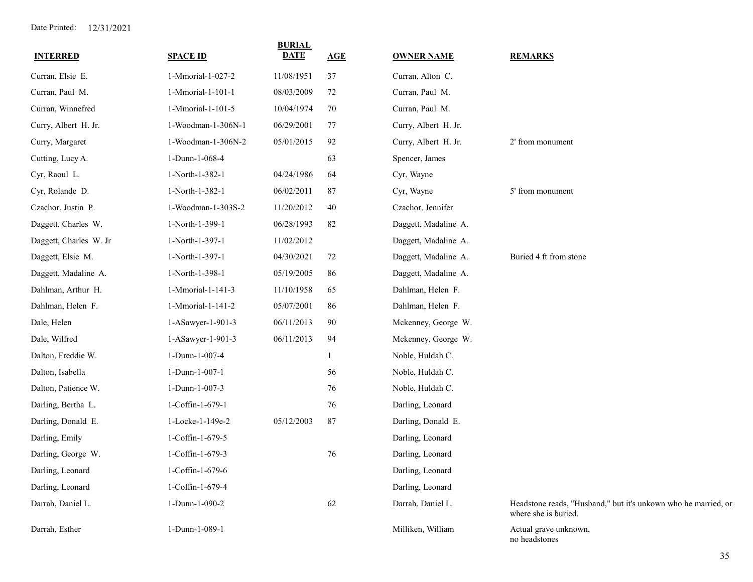| <b>INTERRED</b>        | <b>SPACE ID</b>    | <b>BURIAL</b><br><b>DATE</b> | AGE    | <b>OWNER NAME</b>    | <b>REMARKS</b>                                                                         |
|------------------------|--------------------|------------------------------|--------|----------------------|----------------------------------------------------------------------------------------|
| Curran, Elsie E.       | 1-Mmorial-1-027-2  | 11/08/1951                   | 37     | Curran, Alton C.     |                                                                                        |
| Curran, Paul M.        | 1-Mmorial-1-101-1  | 08/03/2009                   | 72     | Curran, Paul M.      |                                                                                        |
| Curran, Winnefred      | 1-Mmorial-1-101-5  | 10/04/1974                   | $70\,$ | Curran, Paul M.      |                                                                                        |
| Curry, Albert H. Jr.   | 1-Woodman-1-306N-1 | 06/29/2001                   | 77     | Curry, Albert H. Jr. |                                                                                        |
| Curry, Margaret        | 1-Woodman-1-306N-2 | 05/01/2015                   | 92     | Curry, Albert H. Jr. | 2' from monument                                                                       |
| Cutting, Lucy A.       | 1-Dunn-1-068-4     |                              | 63     | Spencer, James       |                                                                                        |
| Cyr, Raoul L.          | 1-North-1-382-1    | 04/24/1986                   | 64     | Cyr, Wayne           |                                                                                        |
| Cyr, Rolande D.        | 1-North-1-382-1    | 06/02/2011                   | 87     | Cyr, Wayne           | 5' from monument                                                                       |
| Czachor, Justin P.     | 1-Woodman-1-303S-2 | 11/20/2012                   | 40     | Czachor, Jennifer    |                                                                                        |
| Daggett, Charles W.    | 1-North-1-399-1    | 06/28/1993                   | 82     | Daggett, Madaline A. |                                                                                        |
| Daggett, Charles W. Jr | 1-North-1-397-1    | 11/02/2012                   |        | Daggett, Madaline A. |                                                                                        |
| Daggett, Elsie M.      | 1-North-1-397-1    | 04/30/2021                   | 72     | Daggett, Madaline A. | Buried 4 ft from stone                                                                 |
| Daggett, Madaline A.   | 1-North-1-398-1    | 05/19/2005                   | 86     | Daggett, Madaline A. |                                                                                        |
| Dahlman, Arthur H.     | 1-Mmorial-1-141-3  | 11/10/1958                   | 65     | Dahlman, Helen F.    |                                                                                        |
| Dahlman, Helen F.      | 1-Mmorial-1-141-2  | 05/07/2001                   | 86     | Dahlman, Helen F.    |                                                                                        |
| Dale, Helen            | 1-ASawyer-1-901-3  | 06/11/2013                   | 90     | Mckenney, George W.  |                                                                                        |
| Dale, Wilfred          | 1-ASawyer-1-901-3  | 06/11/2013                   | 94     | Mckenney, George W.  |                                                                                        |
| Dalton, Freddie W.     | 1-Dunn-1-007-4     |                              |        | Noble, Huldah C.     |                                                                                        |
| Dalton, Isabella       | 1-Dunn-1-007-1     |                              | 56     | Noble, Huldah C.     |                                                                                        |
| Dalton, Patience W.    | 1-Dunn-1-007-3     |                              | 76     | Noble, Huldah C.     |                                                                                        |
| Darling, Bertha L.     | 1-Coffin-1-679-1   |                              | 76     | Darling, Leonard     |                                                                                        |
| Darling, Donald E.     | 1-Locke-1-149e-2   | 05/12/2003                   | 87     | Darling, Donald E.   |                                                                                        |
| Darling, Emily         | 1-Coffin-1-679-5   |                              |        | Darling, Leonard     |                                                                                        |
| Darling, George W.     | 1-Coffin-1-679-3   |                              | 76     | Darling, Leonard     |                                                                                        |
| Darling, Leonard       | 1-Coffin-1-679-6   |                              |        | Darling, Leonard     |                                                                                        |
| Darling, Leonard       | 1-Coffin-1-679-4   |                              |        | Darling, Leonard     |                                                                                        |
| Darrah, Daniel L.      | 1-Dunn-1-090-2     |                              | 62     | Darrah, Daniel L.    | Headstone reads, "Husband," but it's unkown who he married, or<br>where she is buried. |
| Darrah, Esther         | 1-Dunn-1-089-1     |                              |        | Milliken, William    | Actual grave unknown,<br>no headstones                                                 |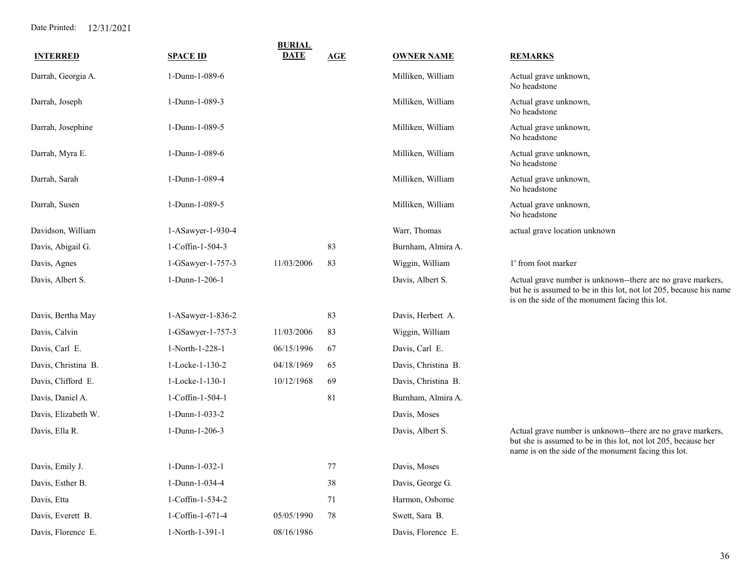|                     |                   | <b>BURIAL</b> |     |                     |                                                                                                                                                                                       |
|---------------------|-------------------|---------------|-----|---------------------|---------------------------------------------------------------------------------------------------------------------------------------------------------------------------------------|
| <b>INTERRED</b>     | <b>SPACE ID</b>   | <b>DATE</b>   | AGE | <b>OWNER NAME</b>   | <b>REMARKS</b>                                                                                                                                                                        |
| Darrah, Georgia A.  | 1-Dunn-1-089-6    |               |     | Milliken, William   | Actual grave unknown,<br>No headstone                                                                                                                                                 |
| Darrah, Joseph      | 1-Dunn-1-089-3    |               |     | Milliken, William   | Actual grave unknown,<br>No headstone                                                                                                                                                 |
| Darrah, Josephine   | 1-Dunn-1-089-5    |               |     | Milliken, William   | Actual grave unknown,<br>No headstone                                                                                                                                                 |
| Darrah, Myra E.     | 1-Dunn-1-089-6    |               |     | Milliken, William   | Actual grave unknown,<br>No headstone                                                                                                                                                 |
| Darrah, Sarah       | 1-Dunn-1-089-4    |               |     | Milliken, William   | Actual grave unknown,<br>No headstone                                                                                                                                                 |
| Darrah, Susen       | 1-Dunn-1-089-5    |               |     | Milliken, William   | Actual grave unknown,<br>No headstone                                                                                                                                                 |
| Davidson, William   | 1-ASawyer-1-930-4 |               |     | Warr, Thomas        | actual grave location unknown                                                                                                                                                         |
| Davis, Abigail G.   | 1-Coffin-1-504-3  |               | 83  | Burnham, Almira A.  |                                                                                                                                                                                       |
| Davis, Agnes        | 1-GSawyer-1-757-3 | 11/03/2006    | 83  | Wiggin, William     | 1' from foot marker                                                                                                                                                                   |
| Davis, Albert S.    | 1-Dunn-1-206-1    |               |     | Davis, Albert S.    | Actual grave number is unknown--there are no grave markers,<br>but he is assumed to be in this lot, not lot 205, because his name<br>is on the side of the monument facing this lot.  |
| Davis, Bertha May   | 1-ASawyer-1-836-2 |               | 83  | Davis, Herbert A.   |                                                                                                                                                                                       |
| Davis, Calvin       | 1-GSawyer-1-757-3 | 11/03/2006    | 83  | Wiggin, William     |                                                                                                                                                                                       |
| Davis, Carl E.      | 1-North-1-228-1   | 06/15/1996    | 67  | Davis, Carl E.      |                                                                                                                                                                                       |
| Davis, Christina B. | 1-Locke-1-130-2   | 04/18/1969    | 65  | Davis, Christina B. |                                                                                                                                                                                       |
| Davis, Clifford E.  | 1-Locke-1-130-1   | 10/12/1968    | 69  | Davis, Christina B. |                                                                                                                                                                                       |
| Davis, Daniel A.    | 1-Coffin-1-504-1  |               | 81  | Burnham, Almira A.  |                                                                                                                                                                                       |
| Davis, Elizabeth W. | 1-Dunn-1-033-2    |               |     | Davis, Moses        |                                                                                                                                                                                       |
| Davis, Ella R.      | 1-Dunn-1-206-3    |               |     | Davis, Albert S.    | Actual grave number is unknown--there are no grave markers,<br>but she is assumed to be in this lot, not lot 205, because her<br>name is on the side of the monument facing this lot. |
| Davis, Emily J.     | 1-Dunn-1-032-1    |               | 77  | Davis, Moses        |                                                                                                                                                                                       |
| Davis, Esther B.    | 1-Dunn-1-034-4    |               | 38  | Davis, George G.    |                                                                                                                                                                                       |
| Davis, Etta         | 1-Coffin-1-534-2  |               | 71  | Harmon, Osborne     |                                                                                                                                                                                       |
| Davis, Everett B.   | 1-Coffin-1-671-4  | 05/05/1990    | 78  | Swett, Sara B.      |                                                                                                                                                                                       |
| Davis, Florence E.  | 1-North-1-391-1   | 08/16/1986    |     | Davis, Florence E.  |                                                                                                                                                                                       |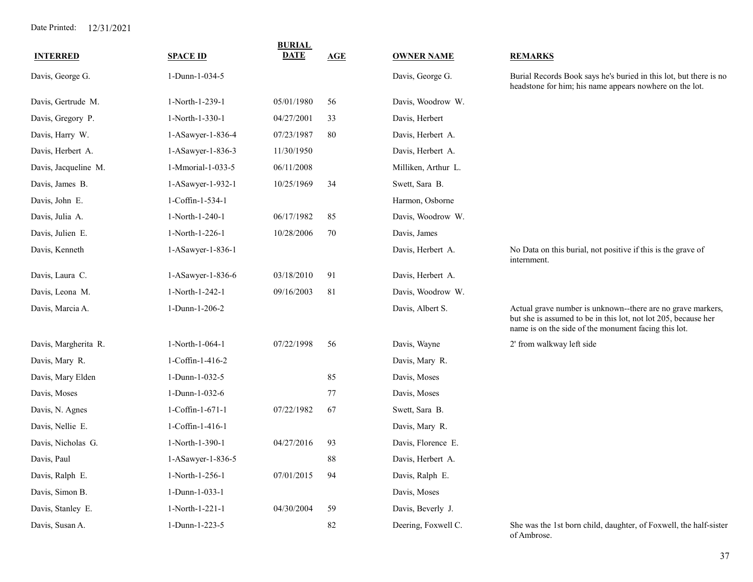| <b>INTERRED</b>      | <b>SPACE ID</b>   | <b>BURIAL</b><br><b>DATE</b> | AGE | <b>OWNER NAME</b>   | <b>REMARKS</b>                                                                                                                                                                        |
|----------------------|-------------------|------------------------------|-----|---------------------|---------------------------------------------------------------------------------------------------------------------------------------------------------------------------------------|
| Davis, George G.     | 1-Dunn-1-034-5    |                              |     | Davis, George G.    | Burial Records Book says he's buried in this lot, but there is no<br>headstone for him; his name appears nowhere on the lot.                                                          |
| Davis, Gertrude M.   | 1-North-1-239-1   | 05/01/1980                   | 56  | Davis, Woodrow W.   |                                                                                                                                                                                       |
| Davis, Gregory P.    | 1-North-1-330-1   | 04/27/2001                   | 33  | Davis, Herbert      |                                                                                                                                                                                       |
| Davis, Harry W.      | 1-ASawyer-1-836-4 | 07/23/1987                   | 80  | Davis, Herbert A.   |                                                                                                                                                                                       |
| Davis, Herbert A.    | 1-ASawyer-1-836-3 | 11/30/1950                   |     | Davis, Herbert A.   |                                                                                                                                                                                       |
| Davis, Jacqueline M. | 1-Mmorial-1-033-5 | 06/11/2008                   |     | Milliken, Arthur L. |                                                                                                                                                                                       |
| Davis, James B.      | 1-ASawyer-1-932-1 | 10/25/1969                   | 34  | Swett, Sara B.      |                                                                                                                                                                                       |
| Davis, John E.       | 1-Coffin-1-534-1  |                              |     | Harmon, Osborne     |                                                                                                                                                                                       |
| Davis, Julia A.      | 1-North-1-240-1   | 06/17/1982                   | 85  | Davis, Woodrow W.   |                                                                                                                                                                                       |
| Davis, Julien E.     | 1-North-1-226-1   | 10/28/2006                   | 70  | Davis, James        |                                                                                                                                                                                       |
| Davis, Kenneth       | 1-ASawyer-1-836-1 |                              |     | Davis, Herbert A.   | No Data on this burial, not positive if this is the grave of<br>internment.                                                                                                           |
| Davis, Laura C.      | 1-ASawyer-1-836-6 | 03/18/2010                   | 91  | Davis, Herbert A.   |                                                                                                                                                                                       |
| Davis, Leona M.      | 1-North-1-242-1   | 09/16/2003                   | 81  | Davis, Woodrow W.   |                                                                                                                                                                                       |
| Davis, Marcia A.     | 1-Dunn-1-206-2    |                              |     | Davis, Albert S.    | Actual grave number is unknown--there are no grave markers,<br>but she is assumed to be in this lot, not lot 205, because her<br>name is on the side of the monument facing this lot. |
| Davis, Margherita R. | 1-North-1-064-1   | 07/22/1998                   | 56  | Davis, Wayne        | 2' from walkway left side                                                                                                                                                             |
| Davis, Mary R.       | 1-Coffin-1-416-2  |                              |     | Davis, Mary R.      |                                                                                                                                                                                       |
| Davis, Mary Elden    | 1-Dunn-1-032-5    |                              | 85  | Davis, Moses        |                                                                                                                                                                                       |
| Davis, Moses         | 1-Dunn-1-032-6    |                              | 77  | Davis, Moses        |                                                                                                                                                                                       |
| Davis, N. Agnes      | 1-Coffin-1-671-1  | 07/22/1982                   | 67  | Swett, Sara B.      |                                                                                                                                                                                       |
| Davis, Nellie E.     | 1-Coffin-1-416-1  |                              |     | Davis, Mary R.      |                                                                                                                                                                                       |
| Davis, Nicholas G.   | 1-North-1-390-1   | 04/27/2016                   | 93  | Davis, Florence E.  |                                                                                                                                                                                       |
| Davis, Paul          | 1-ASawyer-1-836-5 |                              | 88  | Davis, Herbert A.   |                                                                                                                                                                                       |
| Davis, Ralph E.      | 1-North-1-256-1   | 07/01/2015                   | 94  | Davis, Ralph E.     |                                                                                                                                                                                       |
| Davis, Simon B.      | 1-Dunn-1-033-1    |                              |     | Davis, Moses        |                                                                                                                                                                                       |
| Davis, Stanley E.    | 1-North-1-221-1   | 04/30/2004                   | 59  | Davis, Beverly J.   |                                                                                                                                                                                       |
| Davis, Susan A.      | 1-Dunn-1-223-5    |                              | 82  | Deering, Foxwell C. | She was the 1st born child, daughter, of Foxwell, the half-sister<br>of Ambrose.                                                                                                      |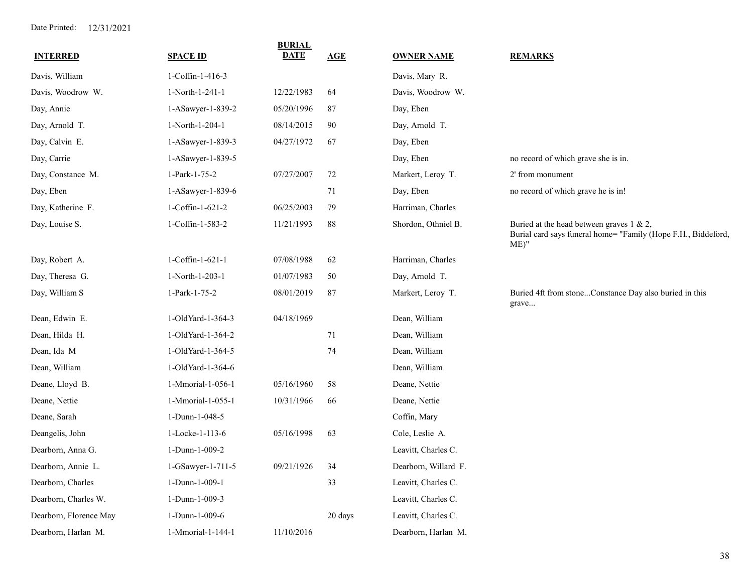| <b>INTERRED</b>        | <b>SPACE ID</b>   | <b>BURIAL</b><br><b>DATE</b> | <b>AGE</b> | <b>OWNER NAME</b>    | <b>REMARKS</b>                                                                                                           |
|------------------------|-------------------|------------------------------|------------|----------------------|--------------------------------------------------------------------------------------------------------------------------|
| Davis, William         | 1-Coffin-1-416-3  |                              |            | Davis, Mary R.       |                                                                                                                          |
| Davis, Woodrow W.      | 1-North-1-241-1   | 12/22/1983                   | 64         | Davis, Woodrow W.    |                                                                                                                          |
| Day, Annie             | 1-ASawyer-1-839-2 | 05/20/1996                   | 87         | Day, Eben            |                                                                                                                          |
| Day, Arnold T.         | 1-North-1-204-1   | 08/14/2015                   | 90         | Day, Arnold T.       |                                                                                                                          |
| Day, Calvin E.         | 1-ASawyer-1-839-3 | 04/27/1972                   | 67         | Day, Eben            |                                                                                                                          |
| Day, Carrie            | 1-ASawyer-1-839-5 |                              |            | Day, Eben            | no record of which grave she is in.                                                                                      |
| Day, Constance M.      | 1-Park-1-75-2     | 07/27/2007                   | 72         | Markert, Leroy T.    | 2' from monument                                                                                                         |
| Day, Eben              | 1-ASawyer-1-839-6 |                              | 71         | Day, Eben            | no record of which grave he is in!                                                                                       |
| Day, Katherine F.      | 1-Coffin-1-621-2  | 06/25/2003                   | 79         | Harriman, Charles    |                                                                                                                          |
| Day, Louise S.         | 1-Coffin-1-583-2  | 11/21/1993                   | 88         | Shordon, Othniel B.  | Buried at the head between graves $1 \& 2$ ,<br>Burial card says funeral home= "Family (Hope F.H., Biddeford,<br>$ME)$ " |
| Day, Robert A.         | 1-Coffin-1-621-1  | 07/08/1988                   | 62         | Harriman, Charles    |                                                                                                                          |
| Day, Theresa G.        | 1-North-1-203-1   | 01/07/1983                   | 50         | Day, Arnold T.       |                                                                                                                          |
| Day, William S         | 1-Park-1-75-2     | 08/01/2019                   | 87         | Markert, Leroy T.    | Buried 4ft from stoneConstance Day also buried in this<br>grave                                                          |
| Dean, Edwin E.         | 1-OldYard-1-364-3 | 04/18/1969                   |            | Dean, William        |                                                                                                                          |
| Dean, Hilda H.         | 1-OldYard-1-364-2 |                              | 71         | Dean, William        |                                                                                                                          |
| Dean, Ida M            | 1-OldYard-1-364-5 |                              | 74         | Dean, William        |                                                                                                                          |
| Dean, William          | 1-OldYard-1-364-6 |                              |            | Dean, William        |                                                                                                                          |
| Deane, Lloyd B.        | 1-Mmorial-1-056-1 | 05/16/1960                   | 58         | Deane, Nettie        |                                                                                                                          |
| Deane, Nettie          | 1-Mmorial-1-055-1 | 10/31/1966                   | 66         | Deane, Nettie        |                                                                                                                          |
| Deane, Sarah           | 1-Dunn-1-048-5    |                              |            | Coffin, Mary         |                                                                                                                          |
| Deangelis, John        | 1-Locke-1-113-6   | 05/16/1998                   | 63         | Cole, Leslie A.      |                                                                                                                          |
| Dearborn, Anna G.      | 1-Dunn-1-009-2    |                              |            | Leavitt, Charles C.  |                                                                                                                          |
| Dearborn, Annie L.     | 1-GSawyer-1-711-5 | 09/21/1926                   | 34         | Dearborn, Willard F. |                                                                                                                          |
| Dearborn, Charles      | 1-Dunn-1-009-1    |                              | 33         | Leavitt, Charles C.  |                                                                                                                          |
| Dearborn, Charles W.   | 1-Dunn-1-009-3    |                              |            | Leavitt, Charles C.  |                                                                                                                          |
| Dearborn, Florence May | 1-Dunn-1-009-6    |                              | 20 days    | Leavitt, Charles C.  |                                                                                                                          |
| Dearborn, Harlan M.    | 1-Mmorial-1-144-1 | 11/10/2016                   |            | Dearborn, Harlan M.  |                                                                                                                          |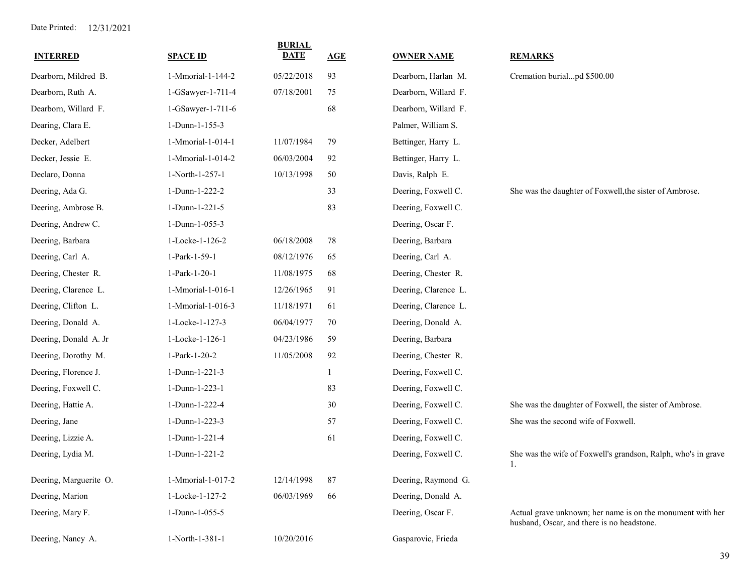| <b>INTERRED</b>        | <b>SPACE ID</b>   | <b>BURIAL</b><br><b>DATE</b> | AGE          | <b>OWNER NAME</b>    | <b>REMARKS</b>                                                                                           |
|------------------------|-------------------|------------------------------|--------------|----------------------|----------------------------------------------------------------------------------------------------------|
| Dearborn, Mildred B.   | 1-Mmorial-1-144-2 | 05/22/2018                   | 93           | Dearborn, Harlan M.  | Cremation burialpd \$500.00                                                                              |
| Dearborn, Ruth A.      | 1-GSawyer-1-711-4 | 07/18/2001                   | 75           | Dearborn, Willard F. |                                                                                                          |
| Dearborn, Willard F.   | 1-GSawyer-1-711-6 |                              | 68           | Dearborn, Willard F. |                                                                                                          |
| Dearing, Clara E.      | 1-Dunn-1-155-3    |                              |              | Palmer, William S.   |                                                                                                          |
| Decker, Adelbert       | 1-Mmorial-1-014-1 | 11/07/1984                   | 79           | Bettinger, Harry L.  |                                                                                                          |
| Decker, Jessie E.      | 1-Mmorial-1-014-2 | 06/03/2004                   | 92           | Bettinger, Harry L.  |                                                                                                          |
| Declaro, Donna         | 1-North-1-257-1   | 10/13/1998                   | 50           | Davis, Ralph E.      |                                                                                                          |
| Deering, Ada G.        | 1-Dunn-1-222-2    |                              | 33           | Deering, Foxwell C.  | She was the daughter of Foxwell, the sister of Ambrose.                                                  |
| Deering, Ambrose B.    | 1-Dunn-1-221-5    |                              | 83           | Deering, Foxwell C.  |                                                                                                          |
| Deering, Andrew C.     | 1-Dunn-1-055-3    |                              |              | Deering, Oscar F.    |                                                                                                          |
| Deering, Barbara       | 1-Locke-1-126-2   | 06/18/2008                   | 78           | Deering, Barbara     |                                                                                                          |
| Deering, Carl A.       | 1-Park-1-59-1     | 08/12/1976                   | 65           | Deering, Carl A.     |                                                                                                          |
| Deering, Chester R.    | 1-Park-1-20-1     | 11/08/1975                   | 68           | Deering, Chester R.  |                                                                                                          |
| Deering, Clarence L.   | 1-Mmorial-1-016-1 | 12/26/1965                   | 91           | Deering, Clarence L. |                                                                                                          |
| Deering, Clifton L.    | 1-Mmorial-1-016-3 | 11/18/1971                   | 61           | Deering, Clarence L. |                                                                                                          |
| Deering, Donald A.     | 1-Locke-1-127-3   | 06/04/1977                   | 70           | Deering, Donald A.   |                                                                                                          |
| Deering, Donald A. Jr  | 1-Locke-1-126-1   | 04/23/1986                   | 59           | Deering, Barbara     |                                                                                                          |
| Deering, Dorothy M.    | 1-Park-1-20-2     | 11/05/2008                   | 92           | Deering, Chester R.  |                                                                                                          |
| Deering, Florence J.   | 1-Dunn-1-221-3    |                              | $\mathbf{1}$ | Deering, Foxwell C.  |                                                                                                          |
| Deering, Foxwell C.    | 1-Dunn-1-223-1    |                              | 83           | Deering, Foxwell C.  |                                                                                                          |
| Deering, Hattie A.     | 1-Dunn-1-222-4    |                              | $30\,$       | Deering, Foxwell C.  | She was the daughter of Foxwell, the sister of Ambrose.                                                  |
| Deering, Jane          | 1-Dunn-1-223-3    |                              | 57           | Deering, Foxwell C.  | She was the second wife of Foxwell.                                                                      |
| Deering, Lizzie A.     | 1-Dunn-1-221-4    |                              | 61           | Deering, Foxwell C.  |                                                                                                          |
| Deering, Lydia M.      | 1-Dunn-1-221-2    |                              |              | Deering, Foxwell C.  | She was the wife of Foxwell's grandson, Ralph, who's in grave<br>1.                                      |
| Deering, Marguerite O. | 1-Mmorial-1-017-2 | 12/14/1998                   | 87           | Deering, Raymond G.  |                                                                                                          |
| Deering, Marion        | 1-Locke-1-127-2   | 06/03/1969                   | 66           | Deering, Donald A.   |                                                                                                          |
| Deering, Mary F.       | 1-Dunn-1-055-5    |                              |              | Deering, Oscar F.    | Actual grave unknown; her name is on the monument with her<br>husband, Oscar, and there is no headstone. |
| Deering, Nancy A.      | 1-North-1-381-1   | 10/20/2016                   |              | Gasparovic, Frieda   |                                                                                                          |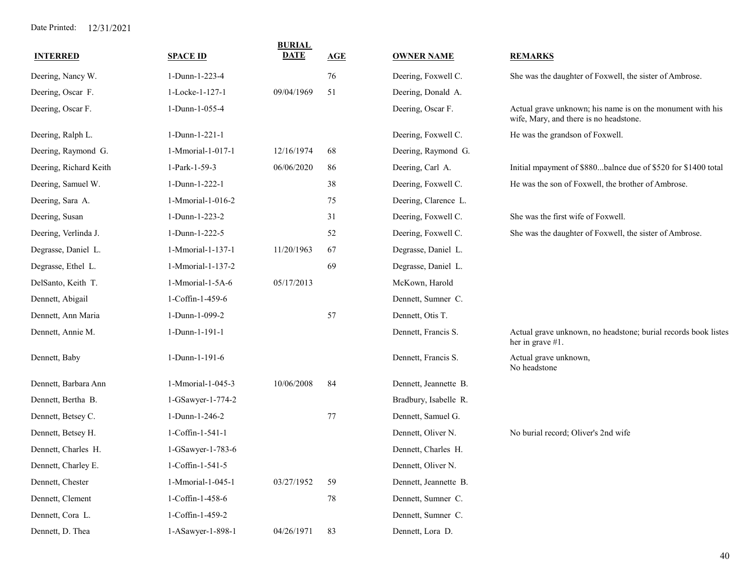| <b>INTERRED</b>        | <b>SPACE ID</b>        | <b>BURIAL</b><br><b>DATE</b> | <b>AGE</b> | <b>OWNER NAME</b>     | <b>REMARKS</b>                                                                                       |
|------------------------|------------------------|------------------------------|------------|-----------------------|------------------------------------------------------------------------------------------------------|
| Deering, Nancy W.      | 1-Dunn-1-223-4         |                              | 76         | Deering, Foxwell C.   | She was the daughter of Foxwell, the sister of Ambrose.                                              |
| Deering, Oscar F.      | 1-Locke-1-127-1        | 09/04/1969                   | 51         | Deering, Donald A.    |                                                                                                      |
| Deering, Oscar F.      | 1-Dunn-1-055-4         |                              |            | Deering, Oscar F.     | Actual grave unknown; his name is on the monument with his<br>wife, Mary, and there is no headstone. |
| Deering, Ralph L.      | 1-Dunn-1-221-1         |                              |            | Deering, Foxwell C.   | He was the grandson of Foxwell.                                                                      |
| Deering, Raymond G.    | 1-Mmorial-1-017-1      | 12/16/1974                   | 68         | Deering, Raymond G.   |                                                                                                      |
| Deering, Richard Keith | 1-Park-1-59-3          | 06/06/2020                   | 86         | Deering, Carl A.      | Initial mpayment of \$880balnce due of \$520 for \$1400 total                                        |
| Deering, Samuel W.     | 1-Dunn-1-222-1         |                              | 38         | Deering, Foxwell C.   | He was the son of Foxwell, the brother of Ambrose.                                                   |
| Deering, Sara A.       | 1-Mmorial-1-016-2      |                              | 75         | Deering, Clarence L.  |                                                                                                      |
| Deering, Susan         | 1-Dunn-1-223-2         |                              | 31         | Deering, Foxwell C.   | She was the first wife of Foxwell.                                                                   |
| Deering, Verlinda J.   | 1-Dunn-1-222-5         |                              | 52         | Deering, Foxwell C.   | She was the daughter of Foxwell, the sister of Ambrose.                                              |
| Degrasse, Daniel L.    | 1-Mmorial-1-137-1      | 11/20/1963                   | 67         | Degrasse, Daniel L.   |                                                                                                      |
| Degrasse, Ethel L.     | 1-Mmorial-1-137-2      |                              | 69         | Degrasse, Daniel L.   |                                                                                                      |
| DelSanto, Keith T.     | 1-Mmorial-1-5A-6       | 05/17/2013                   |            | McKown, Harold        |                                                                                                      |
| Dennett, Abigail       | 1-Coffin-1-459-6       |                              |            | Dennett, Sumner C.    |                                                                                                      |
| Dennett, Ann Maria     | 1-Dunn-1-099-2         |                              | 57         | Dennett, Otis T.      |                                                                                                      |
| Dennett, Annie M.      | 1-Dunn-1-191-1         |                              |            | Dennett, Francis S.   | Actual grave unknown, no headstone; burial records book listes<br>her in grave #1.                   |
| Dennett, Baby          | 1-Dunn-1-191-6         |                              |            | Dennett, Francis S.   | Actual grave unknown,<br>No headstone                                                                |
| Dennett, Barbara Ann   | 1-Mmorial-1-045-3      | 10/06/2008                   | -84        | Dennett, Jeannette B. |                                                                                                      |
| Dennett, Bertha B.     | 1-GSawyer-1-774-2      |                              |            | Bradbury, Isabelle R. |                                                                                                      |
| Dennett, Betsey C.     | 1-Dunn-1-246-2         |                              | 77         | Dennett, Samuel G.    |                                                                                                      |
| Dennett, Betsey H.     | 1-Coffin-1-541-1       |                              |            | Dennett, Oliver N.    | No burial record; Oliver's 2nd wife                                                                  |
| Dennett, Charles H.    | 1-GSawyer-1-783-6      |                              |            | Dennett, Charles H.   |                                                                                                      |
| Dennett, Charley E.    | $1$ -Coffin- $1-541-5$ |                              |            | Dennett, Oliver N.    |                                                                                                      |
| Dennett, Chester       | 1-Mmorial-1-045-1      | 03/27/1952                   | 59         | Dennett, Jeannette B. |                                                                                                      |
| Dennett, Clement       | 1-Coffin-1-458-6       |                              | 78         | Dennett, Sumner C.    |                                                                                                      |
| Dennett, Cora L.       | 1-Coffin-1-459-2       |                              |            | Dennett, Sumner C.    |                                                                                                      |
| Dennett, D. Thea       | 1-ASawyer-1-898-1      | 04/26/1971                   | 83         | Dennett, Lora D.      |                                                                                                      |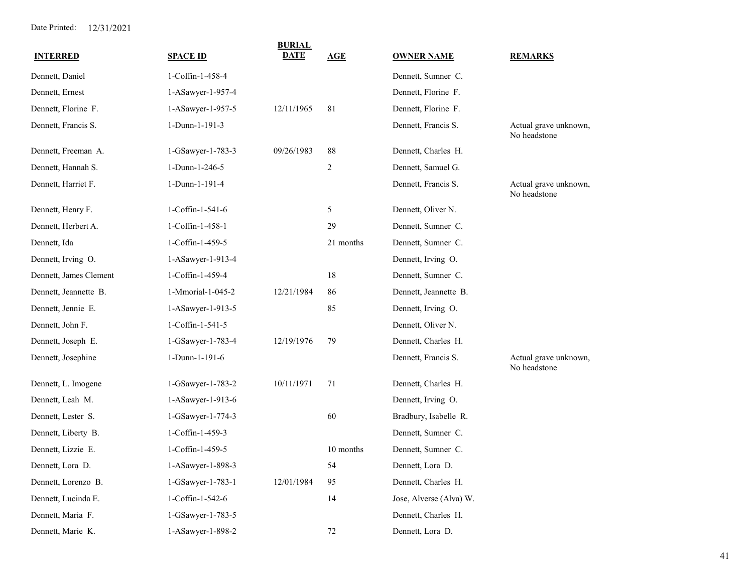| <b>INTERRED</b>        | <b>SPACE ID</b>   | <b>BURIAL</b><br>DATE | AGE            | <b>OWNER NAME</b>       | <b>REMARKS</b>                        |
|------------------------|-------------------|-----------------------|----------------|-------------------------|---------------------------------------|
| Dennett, Daniel        | 1-Coffin-1-458-4  |                       |                | Dennett, Sumner C.      |                                       |
| Dennett, Ernest        | 1-ASawyer-1-957-4 |                       |                | Dennett, Florine F.     |                                       |
| Dennett, Florine F.    | 1-ASawyer-1-957-5 | 12/11/1965            | 81             | Dennett, Florine F.     |                                       |
| Dennett, Francis S.    | 1-Dunn-1-191-3    |                       |                | Dennett, Francis S.     | Actual grave unknown,<br>No headstone |
| Dennett, Freeman A.    | 1-GSawyer-1-783-3 | 09/26/1983            | 88             | Dennett, Charles H.     |                                       |
| Dennett, Hannah S.     | 1-Dunn-1-246-5    |                       | $\overline{2}$ | Dennett, Samuel G.      |                                       |
| Dennett, Harriet F.    | 1-Dunn-1-191-4    |                       |                | Dennett, Francis S.     | Actual grave unknown,<br>No headstone |
| Dennett, Henry F.      | 1-Coffin-1-541-6  |                       | 5              | Dennett, Oliver N.      |                                       |
| Dennett, Herbert A.    | 1-Coffin-1-458-1  |                       | 29             | Dennett, Sumner C.      |                                       |
| Dennett, Ida           | 1-Coffin-1-459-5  |                       | 21 months      | Dennett, Sumner C.      |                                       |
| Dennett, Irving O.     | 1-ASawyer-1-913-4 |                       |                | Dennett, Irving O.      |                                       |
| Dennett, James Clement | 1-Coffin-1-459-4  |                       | 18             | Dennett, Sumner C.      |                                       |
| Dennett, Jeannette B.  | 1-Mmorial-1-045-2 | 12/21/1984            | 86             | Dennett, Jeannette B.   |                                       |
| Dennett, Jennie E.     | 1-ASawyer-1-913-5 |                       | 85             | Dennett, Irving O.      |                                       |
| Dennett, John F.       | 1-Coffin-1-541-5  |                       |                | Dennett, Oliver N.      |                                       |
| Dennett, Joseph E.     | 1-GSawyer-1-783-4 | 12/19/1976            | 79             | Dennett, Charles H.     |                                       |
| Dennett, Josephine     | 1-Dunn-1-191-6    |                       |                | Dennett, Francis S.     | Actual grave unknown,<br>No headstone |
| Dennett, L. Imogene    | 1-GSawyer-1-783-2 | 10/11/1971            | 71             | Dennett, Charles H.     |                                       |
| Dennett, Leah M.       | 1-ASawyer-1-913-6 |                       |                | Dennett, Irving O.      |                                       |
| Dennett, Lester S.     | 1-GSawyer-1-774-3 |                       | 60             | Bradbury, Isabelle R.   |                                       |
| Dennett, Liberty B.    | 1-Coffin-1-459-3  |                       |                | Dennett, Sumner C.      |                                       |
| Dennett, Lizzie E.     | 1-Coffin-1-459-5  |                       | 10 months      | Dennett, Sumner C.      |                                       |
| Dennett, Lora D.       | 1-ASawyer-1-898-3 |                       | 54             | Dennett, Lora D.        |                                       |
| Dennett, Lorenzo B.    | 1-GSawyer-1-783-1 | 12/01/1984            | 95             | Dennett, Charles H.     |                                       |
| Dennett, Lucinda E.    | 1-Coffin-1-542-6  |                       | 14             | Jose, Alverse (Alva) W. |                                       |
| Dennett, Maria F.      | 1-GSawyer-1-783-5 |                       |                | Dennett, Charles H.     |                                       |
| Dennett, Marie K.      | 1-ASawyer-1-898-2 |                       | 72             | Dennett, Lora D.        |                                       |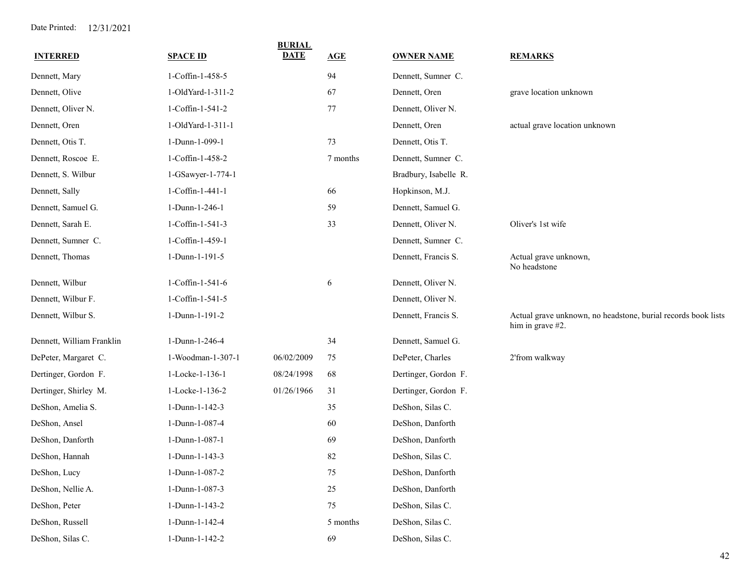| <b>INTERRED</b>           | <b>SPACE ID</b>   | <b>BURIAL</b><br><b>DATE</b> | AGE      | <b>OWNER NAME</b>     | <b>REMARKS</b>                                                                    |
|---------------------------|-------------------|------------------------------|----------|-----------------------|-----------------------------------------------------------------------------------|
| Dennett, Mary             | 1-Coffin-1-458-5  |                              | 94       | Dennett, Sumner C.    |                                                                                   |
| Dennett, Olive            | 1-OldYard-1-311-2 |                              | 67       | Dennett, Oren         | grave location unknown                                                            |
| Dennett, Oliver N.        | 1-Coffin-1-541-2  |                              | $77\,$   | Dennett, Oliver N.    |                                                                                   |
| Dennett, Oren             | 1-OldYard-1-311-1 |                              |          | Dennett, Oren         | actual grave location unknown                                                     |
| Dennett, Otis T.          | 1-Dunn-1-099-1    |                              | 73       | Dennett, Otis T.      |                                                                                   |
| Dennett, Roscoe E.        | 1-Coffin-1-458-2  |                              | 7 months | Dennett, Sumner C.    |                                                                                   |
| Dennett, S. Wilbur        | 1-GSawyer-1-774-1 |                              |          | Bradbury, Isabelle R. |                                                                                   |
| Dennett, Sally            | 1-Coffin-1-441-1  |                              | 66       | Hopkinson, M.J.       |                                                                                   |
| Dennett, Samuel G.        | 1-Dunn-1-246-1    |                              | 59       | Dennett, Samuel G.    |                                                                                   |
| Dennett, Sarah E.         | 1-Coffin-1-541-3  |                              | 33       | Dennett, Oliver N.    | Oliver's 1st wife                                                                 |
| Dennett, Sumner C.        | 1-Coffin-1-459-1  |                              |          | Dennett, Sumner C.    |                                                                                   |
| Dennett, Thomas           | 1-Dunn-1-191-5    |                              |          | Dennett, Francis S.   | Actual grave unknown,<br>No headstone                                             |
| Dennett, Wilbur           | 1-Coffin-1-541-6  |                              | 6        | Dennett, Oliver N.    |                                                                                   |
| Dennett, Wilbur F.        | 1-Coffin-1-541-5  |                              |          | Dennett, Oliver N.    |                                                                                   |
| Dennett, Wilbur S.        | 1-Dunn-1-191-2    |                              |          | Dennett, Francis S.   | Actual grave unknown, no headstone, burial records book lists<br>him in grave #2. |
| Dennett, William Franklin | 1-Dunn-1-246-4    |                              | 34       | Dennett, Samuel G.    |                                                                                   |
| DePeter, Margaret C.      | 1-Woodman-1-307-1 | 06/02/2009                   | 75       | DePeter, Charles      | 2'from walkway                                                                    |
| Dertinger, Gordon F.      | 1-Locke-1-136-1   | 08/24/1998                   | 68       | Dertinger, Gordon F.  |                                                                                   |
| Dertinger, Shirley M.     | 1-Locke-1-136-2   | 01/26/1966                   | 31       | Dertinger, Gordon F.  |                                                                                   |
| DeShon, Amelia S.         | 1-Dunn-1-142-3    |                              | 35       | DeShon, Silas C.      |                                                                                   |
| DeShon, Ansel             | 1-Dunn-1-087-4    |                              | 60       | DeShon, Danforth      |                                                                                   |
| DeShon, Danforth          | 1-Dunn-1-087-1    |                              | 69       | DeShon, Danforth      |                                                                                   |
| DeShon, Hannah            | 1-Dunn-1-143-3    |                              | 82       | DeShon, Silas C.      |                                                                                   |
| DeShon, Lucy              | 1-Dunn-1-087-2    |                              | 75       | DeShon, Danforth      |                                                                                   |
| DeShon, Nellie A.         | 1-Dunn-1-087-3    |                              | $25\,$   | DeShon, Danforth      |                                                                                   |
| DeShon, Peter             | 1-Dunn-1-143-2    |                              | 75       | DeShon, Silas C.      |                                                                                   |
| DeShon, Russell           | 1-Dunn-1-142-4    |                              | 5 months | DeShon, Silas C.      |                                                                                   |
| DeShon, Silas C.          | 1-Dunn-1-142-2    |                              | 69       | DeShon, Silas C.      |                                                                                   |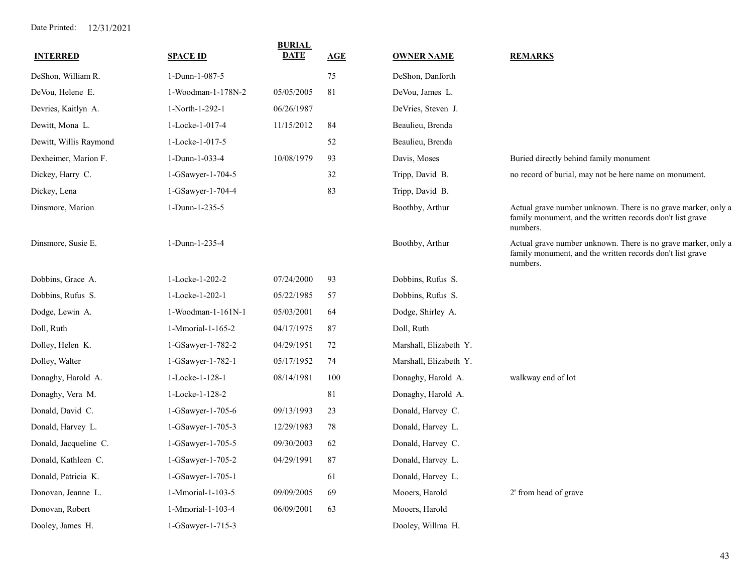| <b>INTERRED</b>        | <b>SPACE ID</b>    | <b>BURIAL</b><br><b>DATE</b> | AGE | <b>OWNER NAME</b>      | <b>REMARKS</b>                                                                                                                         |
|------------------------|--------------------|------------------------------|-----|------------------------|----------------------------------------------------------------------------------------------------------------------------------------|
| DeShon, William R.     | 1-Dunn-1-087-5     |                              | 75  | DeShon, Danforth       |                                                                                                                                        |
| DeVou, Helene E.       | 1-Woodman-1-178N-2 | 05/05/2005                   | 81  | DeVou, James L.        |                                                                                                                                        |
| Devries, Kaitlyn A.    | 1-North-1-292-1    | 06/26/1987                   |     | DeVries, Steven J.     |                                                                                                                                        |
| Dewitt, Mona L.        | 1-Locke-1-017-4    | 11/15/2012                   | 84  | Beaulieu, Brenda       |                                                                                                                                        |
| Dewitt, Willis Raymond | 1-Locke-1-017-5    |                              | 52  | Beaulieu, Brenda       |                                                                                                                                        |
| Dexheimer, Marion F.   | 1-Dunn-1-033-4     | 10/08/1979                   | 93  | Davis, Moses           | Buried directly behind family monument                                                                                                 |
| Dickey, Harry C.       | 1-GSawyer-1-704-5  |                              | 32  | Tripp, David B.        | no record of burial, may not be here name on monument.                                                                                 |
| Dickey, Lena           | 1-GSawyer-1-704-4  |                              | 83  | Tripp, David B.        |                                                                                                                                        |
| Dinsmore, Marion       | 1-Dunn-1-235-5     |                              |     | Boothby, Arthur        | Actual grave number unknown. There is no grave marker, only a<br>family monument, and the written records don't list grave<br>numbers. |
| Dinsmore, Susie E.     | 1-Dunn-1-235-4     |                              |     | Boothby, Arthur        | Actual grave number unknown. There is no grave marker, only a<br>family monument, and the written records don't list grave<br>numbers. |
| Dobbins, Grace A.      | 1-Locke-1-202-2    | 07/24/2000                   | 93  | Dobbins, Rufus S.      |                                                                                                                                        |
| Dobbins, Rufus S.      | 1-Locke-1-202-1    | 05/22/1985                   | 57  | Dobbins, Rufus S.      |                                                                                                                                        |
| Dodge, Lewin A.        | 1-Woodman-1-161N-1 | 05/03/2001                   | 64  | Dodge, Shirley A.      |                                                                                                                                        |
| Doll, Ruth             | 1-Mmorial-1-165-2  | 04/17/1975                   | 87  | Doll, Ruth             |                                                                                                                                        |
| Dolley, Helen K.       | 1-GSawyer-1-782-2  | 04/29/1951                   | 72  | Marshall, Elizabeth Y. |                                                                                                                                        |
| Dolley, Walter         | 1-GSawyer-1-782-1  | 05/17/1952                   | 74  | Marshall, Elizabeth Y. |                                                                                                                                        |
| Donaghy, Harold A.     | 1-Locke-1-128-1    | 08/14/1981                   | 100 | Donaghy, Harold A.     | walkway end of lot                                                                                                                     |
| Donaghy, Vera M.       | 1-Locke-1-128-2    |                              | 81  | Donaghy, Harold A.     |                                                                                                                                        |
| Donald, David C.       | 1-GSawyer-1-705-6  | 09/13/1993                   | 23  | Donald, Harvey C.      |                                                                                                                                        |
| Donald, Harvey L.      | 1-GSawyer-1-705-3  | 12/29/1983                   | 78  | Donald, Harvey L.      |                                                                                                                                        |
| Donald, Jacqueline C.  | 1-GSawyer-1-705-5  | 09/30/2003                   | 62  | Donald, Harvey C.      |                                                                                                                                        |
| Donald, Kathleen C.    | 1-GSawyer-1-705-2  | 04/29/1991                   | 87  | Donald, Harvey L.      |                                                                                                                                        |
| Donald, Patricia K.    | 1-GSawyer-1-705-1  |                              | 61  | Donald, Harvey L.      |                                                                                                                                        |
| Donovan, Jeanne L.     | 1-Mmorial-1-103-5  | 09/09/2005                   | 69  | Mooers, Harold         | 2' from head of grave                                                                                                                  |
| Donovan, Robert        | 1-Mmorial-1-103-4  | 06/09/2001                   | 63  | Mooers, Harold         |                                                                                                                                        |
| Dooley, James H.       | 1-GSawyer-1-715-3  |                              |     | Dooley, Willma H.      |                                                                                                                                        |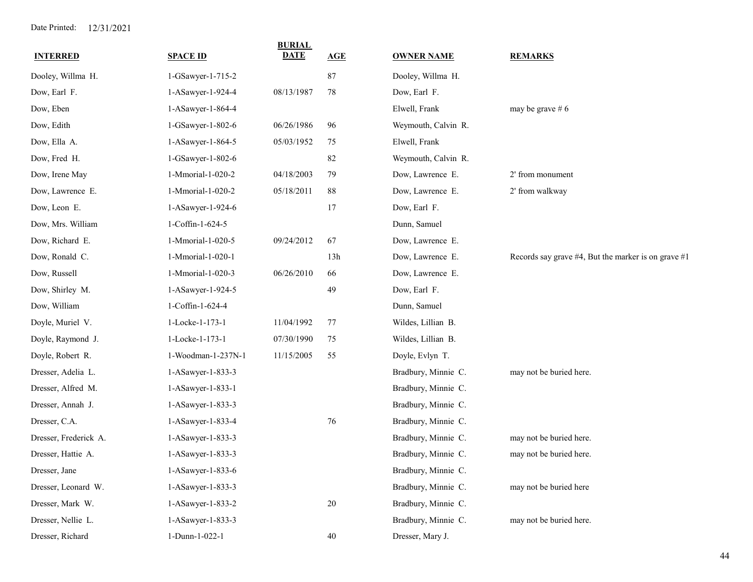| <b>INTERRED</b>       | <b>SPACE ID</b>    | <b>BURIAL</b><br><b>DATE</b> | AGE    | <b>OWNER NAME</b>   | <b>REMARKS</b>                                           |
|-----------------------|--------------------|------------------------------|--------|---------------------|----------------------------------------------------------|
| Dooley, Willma H.     | 1-GSawyer-1-715-2  |                              | $87\,$ | Dooley, Willma H.   |                                                          |
| Dow, Earl F.          | 1-ASawyer-1-924-4  | 08/13/1987                   | 78     | Dow, Earl F.        |                                                          |
| Dow, Eben             | 1-ASawyer-1-864-4  |                              |        | Elwell, Frank       | may be grave $# 6$                                       |
| Dow, Edith            | 1-GSawyer-1-802-6  | 06/26/1986                   | 96     | Weymouth, Calvin R. |                                                          |
| Dow, Ella A.          | 1-ASawyer-1-864-5  | 05/03/1952                   | 75     | Elwell, Frank       |                                                          |
| Dow, Fred H.          | 1-GSawyer-1-802-6  |                              | 82     | Weymouth, Calvin R. |                                                          |
| Dow, Irene May        | 1-Mmorial-1-020-2  | 04/18/2003                   | 79     | Dow, Lawrence E.    | 2' from monument                                         |
| Dow, Lawrence E.      | 1-Mmorial-1-020-2  | 05/18/2011                   | 88     | Dow, Lawrence E.    | 2' from walkway                                          |
| Dow, Leon E.          | 1-ASawyer-1-924-6  |                              | 17     | Dow, Earl F.        |                                                          |
| Dow, Mrs. William     | 1-Coffin-1-624-5   |                              |        | Dunn, Samuel        |                                                          |
| Dow, Richard E.       | 1-Mmorial-1-020-5  | 09/24/2012                   | 67     | Dow, Lawrence E.    |                                                          |
| Dow, Ronald C.        | 1-Mmorial-1-020-1  |                              | 13h    | Dow, Lawrence E.    | Records say grave $#4$ , But the marker is on grave $#1$ |
| Dow, Russell          | 1-Mmorial-1-020-3  | 06/26/2010                   | 66     | Dow, Lawrence E.    |                                                          |
| Dow, Shirley M.       | 1-ASawyer-1-924-5  |                              | 49     | Dow, Earl F.        |                                                          |
| Dow, William          | 1-Coffin-1-624-4   |                              |        | Dunn, Samuel        |                                                          |
| Doyle, Muriel V.      | 1-Locke-1-173-1    | 11/04/1992                   | 77     | Wildes, Lillian B.  |                                                          |
| Doyle, Raymond J.     | 1-Locke-1-173-1    | 07/30/1990                   | 75     | Wildes, Lillian B.  |                                                          |
| Doyle, Robert R.      | 1-Woodman-1-237N-1 | 11/15/2005                   | 55     | Doyle, Evlyn T.     |                                                          |
| Dresser, Adelia L.    | 1-ASawyer-1-833-3  |                              |        | Bradbury, Minnie C. | may not be buried here.                                  |
| Dresser, Alfred M.    | 1-ASawyer-1-833-1  |                              |        | Bradbury, Minnie C. |                                                          |
| Dresser, Annah J.     | 1-ASawyer-1-833-3  |                              |        | Bradbury, Minnie C. |                                                          |
| Dresser, C.A.         | 1-ASawyer-1-833-4  |                              | 76     | Bradbury, Minnie C. |                                                          |
| Dresser, Frederick A. | 1-ASawyer-1-833-3  |                              |        | Bradbury, Minnie C. | may not be buried here.                                  |
| Dresser, Hattie A.    | 1-ASawyer-1-833-3  |                              |        | Bradbury, Minnie C. | may not be buried here.                                  |
| Dresser, Jane         | 1-ASawyer-1-833-6  |                              |        | Bradbury, Minnie C. |                                                          |
| Dresser, Leonard W.   | 1-ASawyer-1-833-3  |                              |        | Bradbury, Minnie C. | may not be buried here                                   |
| Dresser, Mark W.      | 1-ASawyer-1-833-2  |                              | $20\,$ | Bradbury, Minnie C. |                                                          |
| Dresser, Nellie L.    | 1-ASawyer-1-833-3  |                              |        | Bradbury, Minnie C. | may not be buried here.                                  |
| Dresser, Richard      | 1-Dunn-1-022-1     |                              | 40     | Dresser, Mary J.    |                                                          |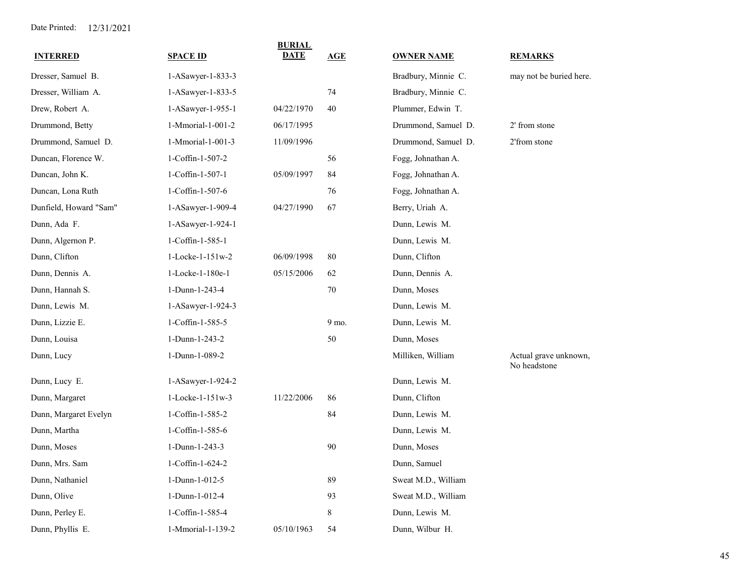| <b>INTERRED</b>        | <b>SPACE ID</b>             | <b>BURIAL</b><br><b>DATE</b> | AGE    | <b>OWNER NAME</b>   | <b>REMARKS</b>                        |
|------------------------|-----------------------------|------------------------------|--------|---------------------|---------------------------------------|
| Dresser, Samuel B.     | 1-ASawyer-1-833-3           |                              |        | Bradbury, Minnie C. | may not be buried here.               |
| Dresser, William A.    | 1-ASawyer-1-833-5           |                              | 74     | Bradbury, Minnie C. |                                       |
| Drew, Robert A.        | $1-ASawyer-1-955-1$         | 04/22/1970                   | 40     | Plummer, Edwin T.   |                                       |
| Drummond, Betty        | 1-Mmorial-1-001-2           | 06/17/1995                   |        | Drummond, Samuel D. | 2' from stone                         |
| Drummond, Samuel D.    | 1-Mmorial-1-001-3           | 11/09/1996                   |        | Drummond, Samuel D. | 2'from stone                          |
| Duncan, Florence W.    | 1-Coffin-1-507-2            |                              | 56     | Fogg, Johnathan A.  |                                       |
| Duncan, John K.        | 1-Coffin-1-507-1            | 05/09/1997                   | 84     | Fogg, Johnathan A.  |                                       |
| Duncan, Lona Ruth      | 1-Coffin-1-507-6            |                              | 76     | Fogg, Johnathan A.  |                                       |
| Dunfield, Howard "Sam" | 1-ASawyer-1-909-4           | 04/27/1990                   | 67     | Berry, Uriah A.     |                                       |
| Dunn, Ada F.           | 1-ASawyer-1-924-1           |                              |        | Dunn, Lewis M.      |                                       |
| Dunn, Algernon P.      | 1-Coffin-1-585-1            |                              |        | Dunn, Lewis M.      |                                       |
| Dunn, Clifton          | $1 - \text{Locke-1-151w-2}$ | 06/09/1998                   | 80     | Dunn, Clifton       |                                       |
| Dunn, Dennis A.        | 1-Locke-1-180e-1            | 05/15/2006                   | 62     | Dunn, Dennis A.     |                                       |
| Dunn, Hannah S.        | 1-Dunn-1-243-4              |                              | $70\,$ | Dunn, Moses         |                                       |
| Dunn, Lewis M.         | 1-ASawyer-1-924-3           |                              |        | Dunn, Lewis M.      |                                       |
| Dunn, Lizzie E.        | 1-Coffin-1-585-5            |                              | 9 mo.  | Dunn, Lewis M.      |                                       |
| Dunn, Louisa           | 1-Dunn-1-243-2              |                              | 50     | Dunn, Moses         |                                       |
| Dunn, Lucy             | 1-Dunn-1-089-2              |                              |        | Milliken, William   | Actual grave unknown,<br>No headstone |
| Dunn, Lucy E.          | 1-ASawyer-1-924-2           |                              |        | Dunn, Lewis M.      |                                       |
| Dunn, Margaret         | 1-Locke-1-151w-3            | 11/22/2006                   | 86     | Dunn, Clifton       |                                       |
| Dunn, Margaret Evelyn  | 1-Coffin-1-585-2            |                              | 84     | Dunn, Lewis M.      |                                       |
| Dunn, Martha           | 1-Coffin-1-585-6            |                              |        | Dunn, Lewis M.      |                                       |
| Dunn, Moses            | 1-Dunn-1-243-3              |                              | 90     | Dunn, Moses         |                                       |
| Dunn, Mrs. Sam         | 1-Coffin-1-624-2            |                              |        | Dunn, Samuel        |                                       |
| Dunn, Nathaniel        | 1-Dunn-1-012-5              |                              | 89     | Sweat M.D., William |                                       |
| Dunn, Olive            | 1-Dunn-1-012-4              |                              | 93     | Sweat M.D., William |                                       |
| Dunn, Perley E.        | 1-Coffin-1-585-4            |                              | 8      | Dunn, Lewis M.      |                                       |
| Dunn, Phyllis E.       | 1-Mmorial-1-139-2           | 05/10/1963                   | 54     | Dunn, Wilbur H.     |                                       |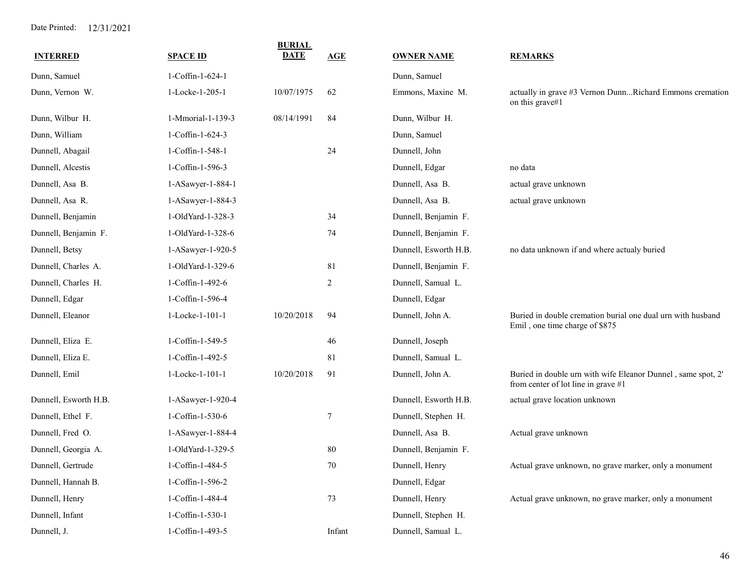| <b>INTERRED</b>       | <b>SPACE ID</b>   | <b>BURIAL</b><br><b>DATE</b> | AGE            | <b>OWNER NAME</b>     | <b>REMARKS</b>                                                                                      |
|-----------------------|-------------------|------------------------------|----------------|-----------------------|-----------------------------------------------------------------------------------------------------|
| Dunn, Samuel          | 1-Coffin-1-624-1  |                              |                | Dunn, Samuel          |                                                                                                     |
| Dunn, Vernon W.       | 1-Locke-1-205-1   | 10/07/1975                   | 62             | Emmons, Maxine M.     | actually in grave #3 Vernon DunnRichard Emmons cremation<br>on this grave#1                         |
| Dunn, Wilbur H.       | 1-Mmorial-1-139-3 | 08/14/1991                   | 84             | Dunn, Wilbur H.       |                                                                                                     |
| Dunn, William         | 1-Coffin-1-624-3  |                              |                | Dunn, Samuel          |                                                                                                     |
| Dunnell, Abagail      | 1-Coffin-1-548-1  |                              | 24             | Dunnell, John         |                                                                                                     |
| Dunnell, Alcestis     | 1-Coffin-1-596-3  |                              |                | Dunnell, Edgar        | no data                                                                                             |
| Dunnell, Asa B.       | 1-ASawyer-1-884-1 |                              |                | Dunnell, Asa B.       | actual grave unknown                                                                                |
| Dunnell, Asa R.       | 1-ASawyer-1-884-3 |                              |                | Dunnell, Asa B.       | actual grave unknown                                                                                |
| Dunnell, Benjamin     | 1-OldYard-1-328-3 |                              | 34             | Dunnell, Benjamin F.  |                                                                                                     |
| Dunnell, Benjamin F.  | 1-OldYard-1-328-6 |                              | 74             | Dunnell, Benjamin F.  |                                                                                                     |
| Dunnell, Betsy        | 1-ASawyer-1-920-5 |                              |                | Dunnell, Esworth H.B. | no data unknown if and where actualy buried                                                         |
| Dunnell, Charles A.   | 1-OldYard-1-329-6 |                              | 81             | Dunnell, Benjamin F.  |                                                                                                     |
| Dunnell, Charles H.   | 1-Coffin-1-492-6  |                              | $\overline{c}$ | Dunnell, Samual L.    |                                                                                                     |
| Dunnell, Edgar        | 1-Coffin-1-596-4  |                              |                | Dunnell, Edgar        |                                                                                                     |
| Dunnell, Eleanor      | 1-Locke-1-101-1   | 10/20/2018                   | 94             | Dunnell, John A.      | Buried in double cremation burial one dual urn with husband<br>Emil, one time charge of \$875       |
| Dunnell, Eliza E.     | 1-Coffin-1-549-5  |                              | 46             | Dunnell, Joseph       |                                                                                                     |
| Dunnell, Eliza E.     | 1-Coffin-1-492-5  |                              | 81             | Dunnell, Samual L.    |                                                                                                     |
| Dunnell, Emil         | 1-Locke-1-101-1   | 10/20/2018                   | 91             | Dunnell, John A.      | Buried in double urn with wife Eleanor Dunnel, same spot, 2'<br>from center of lot line in grave #1 |
| Dunnell, Esworth H.B. | 1-ASawyer-1-920-4 |                              |                | Dunnell, Esworth H.B. | actual grave location unknown                                                                       |
| Dunnell, Ethel F.     | 1-Coffin-1-530-6  |                              | 7              | Dunnell, Stephen H.   |                                                                                                     |
| Dunnell, Fred O.      | 1-ASawyer-1-884-4 |                              |                | Dunnell, Asa B.       | Actual grave unknown                                                                                |
| Dunnell, Georgia A.   | 1-OldYard-1-329-5 |                              | 80             | Dunnell, Benjamin F.  |                                                                                                     |
| Dunnell, Gertrude     | 1-Coffin-1-484-5  |                              | 70             | Dunnell, Henry        | Actual grave unknown, no grave marker, only a monument                                              |
| Dunnell, Hannah B.    | 1-Coffin-1-596-2  |                              |                | Dunnell, Edgar        |                                                                                                     |
| Dunnell, Henry        | 1-Coffin-1-484-4  |                              | 73             | Dunnell, Henry        | Actual grave unknown, no grave marker, only a monument                                              |
| Dunnell, Infant       | 1-Coffin-1-530-1  |                              |                | Dunnell, Stephen H.   |                                                                                                     |
| Dunnell, J.           | 1-Coffin-1-493-5  |                              | Infant         | Dunnell, Samual L.    |                                                                                                     |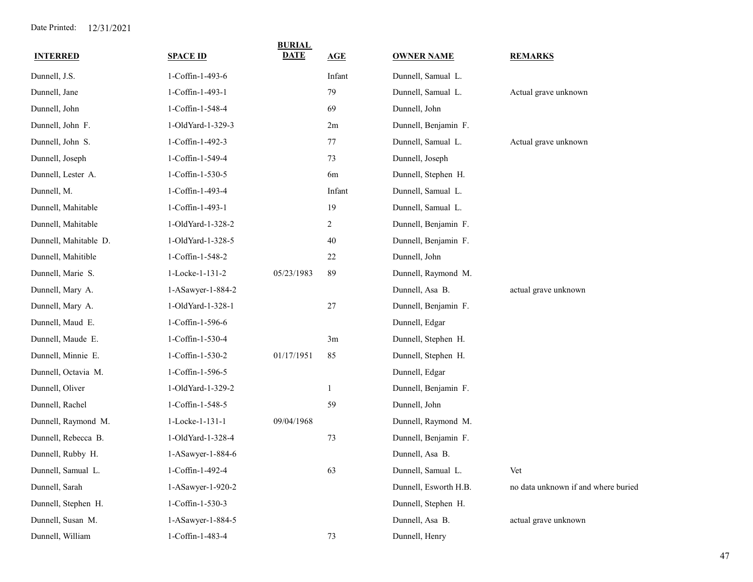| <b>INTERRED</b>       | <b>SPACE ID</b>   | <b>BURIAL</b><br><b>DATE</b> | AGE    | <b>OWNER NAME</b>     | <b>REMARKS</b>                      |
|-----------------------|-------------------|------------------------------|--------|-----------------------|-------------------------------------|
| Dunnell, J.S.         | 1-Coffin-1-493-6  |                              | Infant | Dunnell, Samual L.    |                                     |
| Dunnell, Jane         | 1-Coffin-1-493-1  |                              | 79     | Dunnell, Samual L.    | Actual grave unknown                |
| Dunnell, John         | 1-Coffin-1-548-4  |                              | 69     | Dunnell, John         |                                     |
| Dunnell, John F.      | 1-OldYard-1-329-3 |                              | 2m     | Dunnell, Benjamin F.  |                                     |
| Dunnell, John S.      | 1-Coffin-1-492-3  |                              | 77     | Dunnell, Samual L.    | Actual grave unknown                |
| Dunnell, Joseph       | 1-Coffin-1-549-4  |                              | 73     | Dunnell, Joseph       |                                     |
| Dunnell, Lester A.    | 1-Coffin-1-530-5  |                              | 6m     | Dunnell, Stephen H.   |                                     |
| Dunnell, M.           | 1-Coffin-1-493-4  |                              | Infant | Dunnell, Samual L.    |                                     |
| Dunnell, Mahitable    | 1-Coffin-1-493-1  |                              | 19     | Dunnell, Samual L.    |                                     |
| Dunnell, Mahitable    | 1-OldYard-1-328-2 |                              | 2      | Dunnell, Benjamin F.  |                                     |
| Dunnell, Mahitable D. | 1-OldYard-1-328-5 |                              | 40     | Dunnell, Benjamin F.  |                                     |
| Dunnell, Mahitible    | 1-Coffin-1-548-2  |                              | 22     | Dunnell, John         |                                     |
| Dunnell, Marie S.     | 1-Locke-1-131-2   | 05/23/1983                   | 89     | Dunnell, Raymond M.   |                                     |
| Dunnell, Mary A.      | 1-ASawyer-1-884-2 |                              |        | Dunnell, Asa B.       | actual grave unknown                |
| Dunnell, Mary A.      | 1-OldYard-1-328-1 |                              | 27     | Dunnell, Benjamin F.  |                                     |
| Dunnell, Maud E.      | 1-Coffin-1-596-6  |                              |        | Dunnell, Edgar        |                                     |
| Dunnell, Maude E.     | 1-Coffin-1-530-4  |                              | 3m     | Dunnell, Stephen H.   |                                     |
| Dunnell, Minnie E.    | 1-Coffin-1-530-2  | 01/17/1951                   | 85     | Dunnell, Stephen H.   |                                     |
| Dunnell, Octavia M.   | 1-Coffin-1-596-5  |                              |        | Dunnell, Edgar        |                                     |
| Dunnell, Oliver       | 1-OldYard-1-329-2 |                              | 1      | Dunnell, Benjamin F.  |                                     |
| Dunnell, Rachel       | 1-Coffin-1-548-5  |                              | 59     | Dunnell, John         |                                     |
| Dunnell, Raymond M.   | 1-Locke-1-131-1   | 09/04/1968                   |        | Dunnell, Raymond M.   |                                     |
| Dunnell, Rebecca B.   | 1-OldYard-1-328-4 |                              | 73     | Dunnell, Benjamin F.  |                                     |
| Dunnell, Rubby H.     | 1-ASawyer-1-884-6 |                              |        | Dunnell, Asa B.       |                                     |
| Dunnell, Samual L.    | 1-Coffin-1-492-4  |                              | 63     | Dunnell, Samual L.    | Vet                                 |
| Dunnell, Sarah        | 1-ASawyer-1-920-2 |                              |        | Dunnell, Esworth H.B. | no data unknown if and where buried |
| Dunnell, Stephen H.   | 1-Coffin-1-530-3  |                              |        | Dunnell, Stephen H.   |                                     |
| Dunnell, Susan M.     | 1-ASawyer-1-884-5 |                              |        | Dunnell, Asa B.       | actual grave unknown                |
| Dunnell, William      | 1-Coffin-1-483-4  |                              | 73     | Dunnell, Henry        |                                     |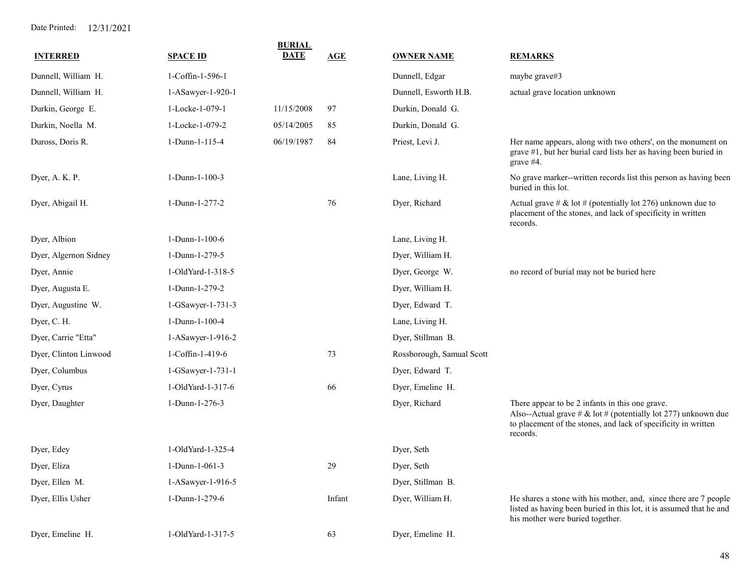| <b>INTERRED</b>       | <b>SPACE ID</b>   | <b>BURIAL</b><br><b>DATE</b> | AGE    | <b>OWNER NAME</b>         | <b>REMARKS</b>                                                                                                                                                                                     |
|-----------------------|-------------------|------------------------------|--------|---------------------------|----------------------------------------------------------------------------------------------------------------------------------------------------------------------------------------------------|
| Dunnell, William H.   | 1-Coffin-1-596-1  |                              |        | Dunnell, Edgar            | maybe grave#3                                                                                                                                                                                      |
| Dunnell, William H.   | 1-ASawyer-1-920-1 |                              |        | Dunnell, Esworth H.B.     | actual grave location unknown                                                                                                                                                                      |
| Durkin, George E.     | 1-Locke-1-079-1   | 11/15/2008                   | 97     | Durkin, Donald G.         |                                                                                                                                                                                                    |
| Durkin, Noella M.     | 1-Locke-1-079-2   | 05/14/2005                   | 85     | Durkin, Donald G.         |                                                                                                                                                                                                    |
| Duross, Doris R.      | 1-Dunn-1-115-4    | 06/19/1987                   | 84     | Priest, Levi J.           | Her name appears, along with two others', on the monument on<br>grave #1, but her burial card lists her as having been buried in<br>grave $#4$ .                                                   |
| Dyer, A. K. P.        | $1-Dunn-1-100-3$  |                              |        | Lane, Living H.           | No grave marker--written records list this person as having been<br>buried in this lot.                                                                                                            |
| Dyer, Abigail H.      | 1-Dunn-1-277-2    |                              | 76     | Dyer, Richard             | Actual grave # & lot # (potentially lot 276) unknown due to<br>placement of the stones, and lack of specificity in written<br>records.                                                             |
| Dyer, Albion          | 1-Dunn-1-100-6    |                              |        | Lane, Living H.           |                                                                                                                                                                                                    |
| Dyer, Algernon Sidney | 1-Dunn-1-279-5    |                              |        | Dyer, William H.          |                                                                                                                                                                                                    |
| Dyer, Annie           | 1-OldYard-1-318-5 |                              |        | Dyer, George W.           | no record of burial may not be buried here                                                                                                                                                         |
| Dyer, Augusta E.      | 1-Dunn-1-279-2    |                              |        | Dyer, William H.          |                                                                                                                                                                                                    |
| Dyer, Augustine W.    | 1-GSawyer-1-731-3 |                              |        | Dyer, Edward T.           |                                                                                                                                                                                                    |
| Dyer, C. H.           | 1-Dunn-1-100-4    |                              |        | Lane, Living H.           |                                                                                                                                                                                                    |
| Dyer, Carrie "Etta"   | 1-ASawyer-1-916-2 |                              |        | Dyer, Stillman B.         |                                                                                                                                                                                                    |
| Dyer, Clinton Linwood | 1-Coffin-1-419-6  |                              | 73     | Rossborough, Samual Scott |                                                                                                                                                                                                    |
| Dyer, Columbus        | 1-GSawyer-1-731-1 |                              |        | Dyer, Edward T.           |                                                                                                                                                                                                    |
| Dyer, Cyrus           | 1-OldYard-1-317-6 |                              | 66     | Dyer, Emeline H.          |                                                                                                                                                                                                    |
| Dyer, Daughter        | 1-Dunn-1-276-3    |                              |        | Dyer, Richard             | There appear to be 2 infants in this one grave.<br>Also--Actual grave # $\&$ lot # (potentially lot 277) unknown due<br>to placement of the stones, and lack of specificity in written<br>records. |
| Dyer, Edey            | 1-OldYard-1-325-4 |                              |        | Dyer, Seth                |                                                                                                                                                                                                    |
| Dyer, Eliza           | $1-Dunn-1-061-3$  |                              | 29     | Dyer, Seth                |                                                                                                                                                                                                    |
| Dyer, Ellen M.        | 1-ASawyer-1-916-5 |                              |        | Dyer, Stillman B.         |                                                                                                                                                                                                    |
| Dyer, Ellis Usher     | 1-Dunn-1-279-6    |                              | Infant | Dyer, William H.          | He shares a stone with his mother, and, since there are 7 people<br>listed as having been buried in this lot, it is assumed that he and<br>his mother were buried together.                        |
| Dyer, Emeline H.      | 1-OldYard-1-317-5 |                              | 63     | Dyer, Emeline H.          |                                                                                                                                                                                                    |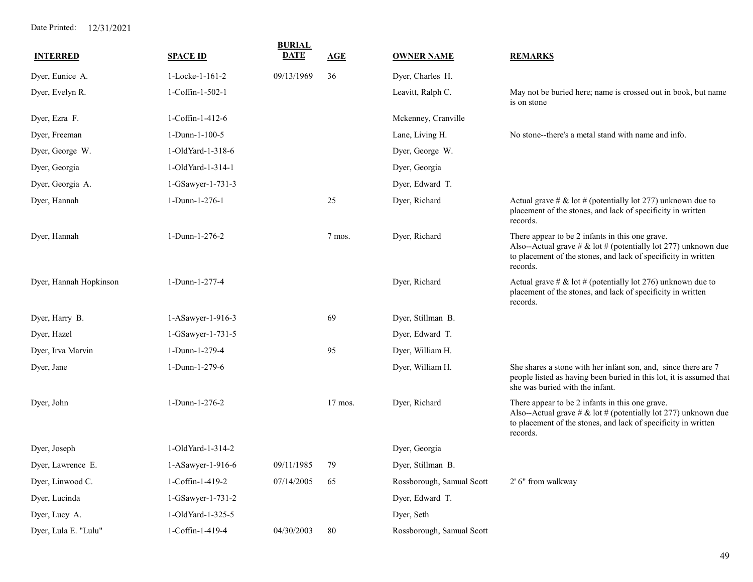| <b>INTERRED</b>        | <b>SPACE ID</b>     | <b>BURIAL</b><br><b>DATE</b> | <b>AGE</b> | <b>OWNER NAME</b>         | <b>REMARKS</b>                                                                                                                                                                                  |
|------------------------|---------------------|------------------------------|------------|---------------------------|-------------------------------------------------------------------------------------------------------------------------------------------------------------------------------------------------|
| Dyer, Eunice A.        | 1-Locke-1-161-2     | 09/13/1969                   | 36         | Dyer, Charles H.          |                                                                                                                                                                                                 |
| Dyer, Evelyn R.        | 1-Coffin-1-502-1    |                              |            | Leavitt, Ralph C.         | May not be buried here; name is crossed out in book, but name<br>is on stone                                                                                                                    |
| Dyer, Ezra F.          | 1-Coffin-1-412-6    |                              |            | Mckenney, Cranville       |                                                                                                                                                                                                 |
| Dyer, Freeman          | 1-Dunn-1-100-5      |                              |            | Lane, Living H.           | No stone--there's a metal stand with name and info.                                                                                                                                             |
| Dyer, George W.        | 1-OldYard-1-318-6   |                              |            | Dyer, George W.           |                                                                                                                                                                                                 |
| Dyer, Georgia          | 1-OldYard-1-314-1   |                              |            | Dyer, Georgia             |                                                                                                                                                                                                 |
| Dyer, Georgia A.       | 1-GSawyer-1-731-3   |                              |            | Dyer, Edward T.           |                                                                                                                                                                                                 |
| Dyer, Hannah           | 1-Dunn-1-276-1      |                              | 25         | Dyer, Richard             | Actual grave # & lot # (potentially lot 277) unknown due to<br>placement of the stones, and lack of specificity in written<br>records.                                                          |
| Dyer, Hannah           | 1-Dunn-1-276-2      |                              | 7 mos.     | Dyer, Richard             | There appear to be 2 infants in this one grave.<br>Also--Actual grave # & lot # (potentially lot 277) unknown due<br>to placement of the stones, and lack of specificity in written<br>records. |
| Dyer, Hannah Hopkinson | 1-Dunn-1-277-4      |                              |            | Dyer, Richard             | Actual grave # & lot # (potentially lot 276) unknown due to<br>placement of the stones, and lack of specificity in written<br>records.                                                          |
| Dyer, Harry B.         | 1-ASawyer-1-916-3   |                              | 69         | Dyer, Stillman B.         |                                                                                                                                                                                                 |
| Dyer, Hazel            | 1-GSawyer-1-731-5   |                              |            | Dyer, Edward T.           |                                                                                                                                                                                                 |
| Dyer, Irva Marvin      | 1-Dunn-1-279-4      |                              | 95         | Dyer, William H.          |                                                                                                                                                                                                 |
| Dyer, Jane             | 1-Dunn-1-279-6      |                              |            | Dyer, William H.          | She shares a stone with her infant son, and, since there are 7<br>people listed as having been buried in this lot, it is assumed that<br>she was buried with the infant.                        |
| Dyer, John             | 1-Dunn-1-276-2      |                              | $17$ mos.  | Dyer, Richard             | There appear to be 2 infants in this one grave.<br>Also--Actual grave # & lot # (potentially lot 277) unknown due<br>to placement of the stones, and lack of specificity in written<br>records. |
| Dyer, Joseph           | 1-OldYard-1-314-2   |                              |            | Dyer, Georgia             |                                                                                                                                                                                                 |
| Dyer, Lawrence E.      | $1-ASawyer-1-916-6$ | 09/11/1985                   | 79         | Dyer, Stillman B.         |                                                                                                                                                                                                 |
| Dyer, Linwood C.       | 1-Coffin-1-419-2    | 07/14/2005                   | 65         | Rossborough, Samual Scott | 2' 6" from walkway                                                                                                                                                                              |
| Dyer, Lucinda          | 1-GSawyer-1-731-2   |                              |            | Dyer, Edward T.           |                                                                                                                                                                                                 |
| Dyer, Lucy A.          | 1-OldYard-1-325-5   |                              |            | Dyer, Seth                |                                                                                                                                                                                                 |
| Dyer, Lula E. "Lulu"   | 1-Coffin-1-419-4    | 04/30/2003                   | 80         | Rossborough, Samual Scott |                                                                                                                                                                                                 |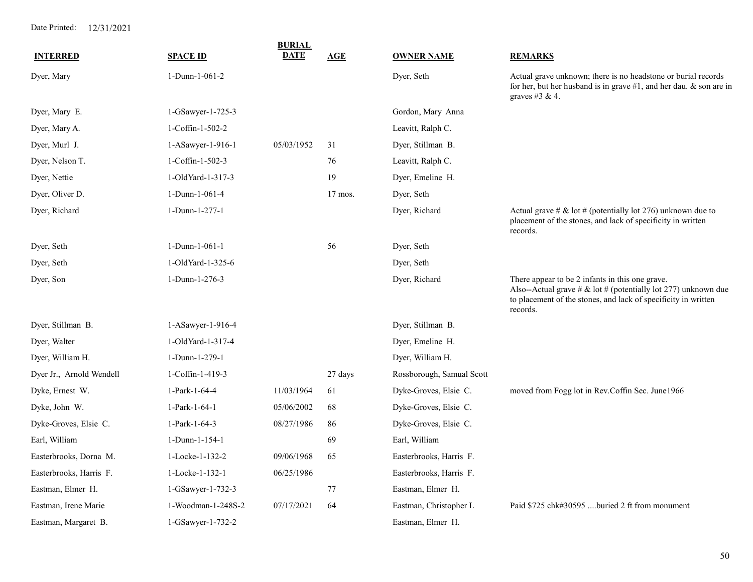|                          |                    | <b>BURIAL</b> |         |                           |                                                                                                                                                                                                 |
|--------------------------|--------------------|---------------|---------|---------------------------|-------------------------------------------------------------------------------------------------------------------------------------------------------------------------------------------------|
| <b>INTERRED</b>          | <b>SPACE ID</b>    | <b>DATE</b>   | AGE     | <b>OWNER NAME</b>         | <b>REMARKS</b>                                                                                                                                                                                  |
| Dyer, Mary               | 1-Dunn-1-061-2     |               |         | Dyer, Seth                | Actual grave unknown; there is no headstone or burial records<br>for her, but her husband is in grave $#1$ , and her dau. & son are in<br>graves #3 & 4.                                        |
| Dyer, Mary E.            | 1-GSawyer-1-725-3  |               |         | Gordon, Mary Anna         |                                                                                                                                                                                                 |
| Dyer, Mary A.            | 1-Coffin-1-502-2   |               |         | Leavitt, Ralph C.         |                                                                                                                                                                                                 |
| Dyer, Murl J.            | 1-ASawyer-1-916-1  | 05/03/1952    | 31      | Dyer, Stillman B.         |                                                                                                                                                                                                 |
| Dyer, Nelson T.          | 1-Coffin-1-502-3   |               | 76      | Leavitt, Ralph C.         |                                                                                                                                                                                                 |
| Dyer, Nettie             | 1-OldYard-1-317-3  |               | 19      | Dyer, Emeline H.          |                                                                                                                                                                                                 |
| Dyer, Oliver D.          | 1-Dunn-1-061-4     |               | 17 mos. | Dyer, Seth                |                                                                                                                                                                                                 |
| Dyer, Richard            | 1-Dunn-1-277-1     |               |         | Dyer, Richard             | Actual grave # & lot # (potentially lot 276) unknown due to<br>placement of the stones, and lack of specificity in written<br>records.                                                          |
| Dyer, Seth               | 1-Dunn-1-061-1     |               | 56      | Dyer, Seth                |                                                                                                                                                                                                 |
| Dyer, Seth               | 1-OldYard-1-325-6  |               |         | Dyer, Seth                |                                                                                                                                                                                                 |
| Dyer, Son                | 1-Dunn-1-276-3     |               |         | Dyer, Richard             | There appear to be 2 infants in this one grave.<br>Also--Actual grave # & lot # (potentially lot 277) unknown due<br>to placement of the stones, and lack of specificity in written<br>records. |
| Dyer, Stillman B.        | 1-ASawyer-1-916-4  |               |         | Dyer, Stillman B.         |                                                                                                                                                                                                 |
| Dyer, Walter             | 1-OldYard-1-317-4  |               |         | Dyer, Emeline H.          |                                                                                                                                                                                                 |
| Dyer, William H.         | 1-Dunn-1-279-1     |               |         | Dyer, William H.          |                                                                                                                                                                                                 |
| Dyer Jr., Arnold Wendell | 1-Coffin-1-419-3   |               | 27 days | Rossborough, Samual Scott |                                                                                                                                                                                                 |
| Dyke, Ernest W.          | 1-Park-1-64-4      | 11/03/1964    | 61      | Dyke-Groves, Elsie C.     | moved from Fogg lot in Rev.Coffin Sec. June1966                                                                                                                                                 |
| Dyke, John W.            | 1-Park-1-64-1      | 05/06/2002    | 68      | Dyke-Groves, Elsie C.     |                                                                                                                                                                                                 |
| Dyke-Groves, Elsie C.    | 1-Park-1-64-3      | 08/27/1986    | 86      | Dyke-Groves, Elsie C.     |                                                                                                                                                                                                 |
| Earl, William            | 1-Dunn-1-154-1     |               | 69      | Earl, William             |                                                                                                                                                                                                 |
| Easterbrooks, Dorna M.   | 1-Locke-1-132-2    | 09/06/1968    | 65      | Easterbrooks, Harris F.   |                                                                                                                                                                                                 |
| Easterbrooks, Harris F.  | 1-Locke-1-132-1    | 06/25/1986    |         | Easterbrooks, Harris F.   |                                                                                                                                                                                                 |
| Eastman, Elmer H.        | 1-GSawyer-1-732-3  |               | 77      | Eastman, Elmer H.         |                                                                                                                                                                                                 |
| Eastman, Irene Marie     | 1-Woodman-1-248S-2 | 07/17/2021    | 64      | Eastman, Christopher L    | Paid \$725 chk#30595 buried 2 ft from monument                                                                                                                                                  |
| Eastman, Margaret B.     | 1-GSawyer-1-732-2  |               |         | Eastman, Elmer H.         |                                                                                                                                                                                                 |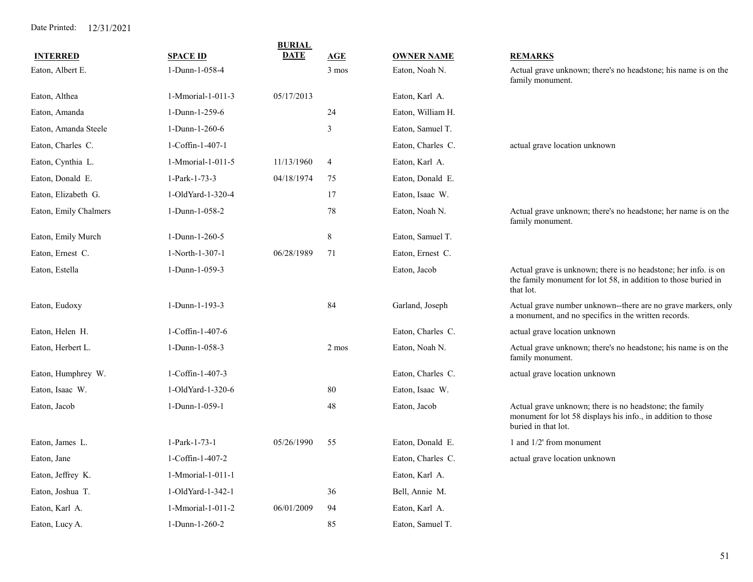| <b>BURIAL</b>         |                      |             |                 |                   |                                                                                                                                                |  |
|-----------------------|----------------------|-------------|-----------------|-------------------|------------------------------------------------------------------------------------------------------------------------------------------------|--|
| <b>INTERRED</b>       | <b>SPACE ID</b>      | <b>DATE</b> | AGE             | <b>OWNER NAME</b> | <b>REMARKS</b>                                                                                                                                 |  |
| Eaton, Albert E.      | 1-Dunn-1-058-4       |             | $3 \text{ mos}$ | Eaton, Noah N.    | Actual grave unknown; there's no headstone; his name is on the<br>family monument.                                                             |  |
| Eaton, Althea         | 1-Mmorial-1-011-3    | 05/17/2013  |                 | Eaton, Karl A.    |                                                                                                                                                |  |
| Eaton, Amanda         | 1-Dunn-1-259-6       |             | 24              | Eaton, William H. |                                                                                                                                                |  |
| Eaton, Amanda Steele  | 1-Dunn-1-260-6       |             | 3               | Eaton, Samuel T.  |                                                                                                                                                |  |
| Eaton, Charles C.     | 1-Coffin-1-407-1     |             |                 | Eaton, Charles C. | actual grave location unknown                                                                                                                  |  |
| Eaton, Cynthia L.     | 1-Mmorial-1-011-5    | 11/13/1960  | $\overline{4}$  | Eaton, Karl A.    |                                                                                                                                                |  |
| Eaton, Donald E.      | 1-Park-1-73-3        | 04/18/1974  | 75              | Eaton, Donald E.  |                                                                                                                                                |  |
| Eaton, Elizabeth G.   | 1-OldYard-1-320-4    |             | 17              | Eaton, Isaac W.   |                                                                                                                                                |  |
| Eaton, Emily Chalmers | 1-Dunn-1-058-2       |             | 78              | Eaton, Noah N.    | Actual grave unknown; there's no headstone; her name is on the<br>family monument.                                                             |  |
| Eaton, Emily Murch    | 1-Dunn-1-260-5       |             | $8\,$           | Eaton, Samuel T.  |                                                                                                                                                |  |
| Eaton, Ernest C.      | 1-North-1-307-1      | 06/28/1989  | 71              | Eaton, Ernest C.  |                                                                                                                                                |  |
| Eaton, Estella        | 1-Dunn-1-059-3       |             |                 | Eaton, Jacob      | Actual grave is unknown; there is no headstone; her info. is on<br>the family monument for lot 58, in addition to those buried in<br>that lot. |  |
| Eaton, Eudoxy         | 1-Dunn-1-193-3       |             | 84              | Garland, Joseph   | Actual grave number unknown--there are no grave markers, only<br>a monument, and no specifics in the written records.                          |  |
| Eaton, Helen H.       | 1-Coffin-1-407-6     |             |                 | Eaton, Charles C. | actual grave location unknown                                                                                                                  |  |
| Eaton, Herbert L.     | 1-Dunn-1-058-3       |             | 2 mos           | Eaton, Noah N.    | Actual grave unknown; there's no headstone; his name is on the<br>family monument.                                                             |  |
| Eaton, Humphrey W.    | 1-Coffin-1-407-3     |             |                 | Eaton, Charles C. | actual grave location unknown                                                                                                                  |  |
| Eaton, Isaac W.       | 1-OldYard-1-320-6    |             | 80              | Eaton, Isaac W.   |                                                                                                                                                |  |
| Eaton, Jacob          | 1-Dunn-1-059-1       |             | 48              | Eaton, Jacob      | Actual grave unknown; there is no headstone; the family<br>monument for lot 58 displays his info., in addition to those<br>buried in that lot. |  |
| Eaton, James L.       | 1-Park-1-73-1        | 05/26/1990  | 55              | Eaton, Donald E.  | 1 and 1/2' from monument                                                                                                                       |  |
| Eaton, Jane           | 1-Coffin-1-407-2     |             |                 | Eaton, Charles C. | actual grave location unknown                                                                                                                  |  |
| Eaton, Jeffrey K.     | 1-Mmorial-1-011-1    |             |                 | Eaton, Karl A.    |                                                                                                                                                |  |
| Eaton, Joshua T.      | 1-OldYard-1-342-1    |             | 36              | Bell, Annie M.    |                                                                                                                                                |  |
| Eaton, Karl A.        | 1-Mmorial-1-011-2    | 06/01/2009  | 94              | Eaton, Karl A.    |                                                                                                                                                |  |
| Eaton, Lucy A.        | $1-D$ unn- $1-260-2$ |             | 85              | Eaton, Samuel T.  |                                                                                                                                                |  |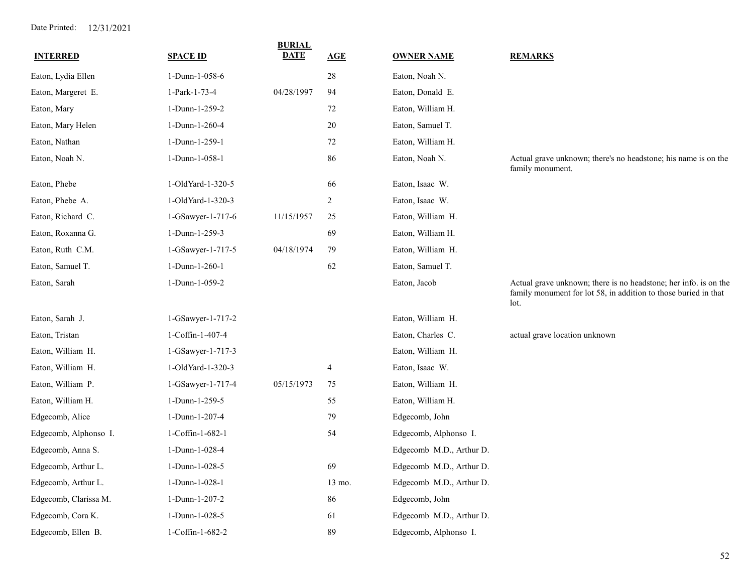| <b>INTERRED</b>       | <b>SPACE ID</b>   | <b>BURIAL</b><br><b>DATE</b> | AGE    | <b>OWNER NAME</b>        | <b>REMARKS</b>                                                                                                                              |
|-----------------------|-------------------|------------------------------|--------|--------------------------|---------------------------------------------------------------------------------------------------------------------------------------------|
| Eaton, Lydia Ellen    | 1-Dunn-1-058-6    |                              | $28\,$ | Eaton, Noah N.           |                                                                                                                                             |
| Eaton, Margeret E.    | 1-Park-1-73-4     | 04/28/1997                   | 94     | Eaton, Donald E.         |                                                                                                                                             |
| Eaton, Mary           | 1-Dunn-1-259-2    |                              | $72\,$ | Eaton, William H.        |                                                                                                                                             |
| Eaton, Mary Helen     | 1-Dunn-1-260-4    |                              | $20\,$ | Eaton, Samuel T.         |                                                                                                                                             |
| Eaton, Nathan         | 1-Dunn-1-259-1    |                              | $72\,$ | Eaton, William H.        |                                                                                                                                             |
| Eaton, Noah N.        | 1-Dunn-1-058-1    |                              | 86     | Eaton, Noah N.           | Actual grave unknown; there's no headstone; his name is on the<br>family monument.                                                          |
| Eaton, Phebe          | 1-OldYard-1-320-5 |                              | 66     | Eaton, Isaac W.          |                                                                                                                                             |
| Eaton, Phebe A.       | 1-OldYard-1-320-3 |                              | 2      | Eaton, Isaac W.          |                                                                                                                                             |
| Eaton, Richard C.     | 1-GSawyer-1-717-6 | 11/15/1957                   | 25     | Eaton, William H.        |                                                                                                                                             |
| Eaton, Roxanna G.     | 1-Dunn-1-259-3    |                              | 69     | Eaton, William H.        |                                                                                                                                             |
| Eaton, Ruth C.M.      | 1-GSawyer-1-717-5 | 04/18/1974                   | 79     | Eaton, William H.        |                                                                                                                                             |
| Eaton, Samuel T.      | 1-Dunn-1-260-1    |                              | 62     | Eaton, Samuel T.         |                                                                                                                                             |
| Eaton, Sarah          | 1-Dunn-1-059-2    |                              |        | Eaton, Jacob             | Actual grave unknown; there is no headstone; her info. is on the<br>family monument for lot 58, in addition to those buried in that<br>lot. |
| Eaton, Sarah J.       | 1-GSawyer-1-717-2 |                              |        | Eaton, William H.        |                                                                                                                                             |
| Eaton, Tristan        | 1-Coffin-1-407-4  |                              |        | Eaton, Charles C.        | actual grave location unknown                                                                                                               |
| Eaton, William H.     | 1-GSawyer-1-717-3 |                              |        | Eaton, William H.        |                                                                                                                                             |
| Eaton, William H.     | 1-OldYard-1-320-3 |                              | 4      | Eaton, Isaac W.          |                                                                                                                                             |
| Eaton, William P.     | 1-GSawyer-1-717-4 | 05/15/1973                   | 75     | Eaton, William H.        |                                                                                                                                             |
| Eaton, William H.     | 1-Dunn-1-259-5    |                              | 55     | Eaton, William H.        |                                                                                                                                             |
| Edgecomb, Alice       | 1-Dunn-1-207-4    |                              | 79     | Edgecomb, John           |                                                                                                                                             |
| Edgecomb, Alphonso I. | 1-Coffin-1-682-1  |                              | 54     | Edgecomb, Alphonso I.    |                                                                                                                                             |
| Edgecomb, Anna S.     | 1-Dunn-1-028-4    |                              |        | Edgecomb M.D., Arthur D. |                                                                                                                                             |
| Edgecomb, Arthur L.   | 1-Dunn-1-028-5    |                              | 69     | Edgecomb M.D., Arthur D. |                                                                                                                                             |
| Edgecomb, Arthur L.   | 1-Dunn-1-028-1    |                              | 13 mo. | Edgecomb M.D., Arthur D. |                                                                                                                                             |
| Edgecomb, Clarissa M. | 1-Dunn-1-207-2    |                              | 86     | Edgecomb, John           |                                                                                                                                             |
| Edgecomb, Cora K.     | 1-Dunn-1-028-5    |                              | 61     | Edgecomb M.D., Arthur D. |                                                                                                                                             |
| Edgecomb, Ellen B.    | 1-Coffin-1-682-2  |                              | 89     | Edgecomb, Alphonso I.    |                                                                                                                                             |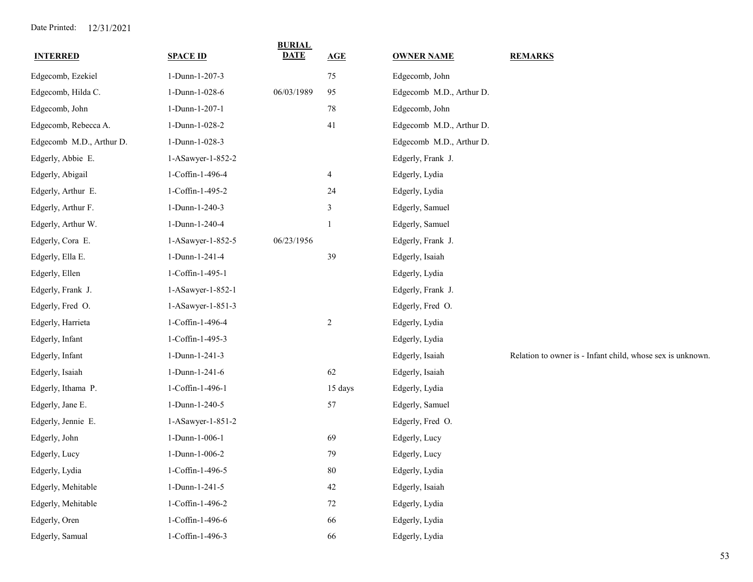| <b>INTERRED</b>          | <b>SPACE ID</b>   | <b>BURIAL</b><br><b>DATE</b> | <b>AGE</b>              | <b>OWNER NAME</b>        | <b>REMARKS</b>                                             |
|--------------------------|-------------------|------------------------------|-------------------------|--------------------------|------------------------------------------------------------|
| Edgecomb, Ezekiel        | 1-Dunn-1-207-3    |                              | 75                      | Edgecomb, John           |                                                            |
| Edgecomb, Hilda C.       | 1-Dunn-1-028-6    | 06/03/1989                   | 95                      | Edgecomb M.D., Arthur D. |                                                            |
| Edgecomb, John           | 1-Dunn-1-207-1    |                              | $78\,$                  | Edgecomb, John           |                                                            |
| Edgecomb, Rebecca A.     | 1-Dunn-1-028-2    |                              | 41                      | Edgecomb M.D., Arthur D. |                                                            |
| Edgecomb M.D., Arthur D. | 1-Dunn-1-028-3    |                              |                         | Edgecomb M.D., Arthur D. |                                                            |
| Edgerly, Abbie E.        | 1-ASawyer-1-852-2 |                              |                         | Edgerly, Frank J.        |                                                            |
| Edgerly, Abigail         | 1-Coffin-1-496-4  |                              | $\overline{\mathbf{4}}$ | Edgerly, Lydia           |                                                            |
| Edgerly, Arthur E.       | 1-Coffin-1-495-2  |                              | 24                      | Edgerly, Lydia           |                                                            |
| Edgerly, Arthur F.       | 1-Dunn-1-240-3    |                              | 3                       | Edgerly, Samuel          |                                                            |
| Edgerly, Arthur W.       | 1-Dunn-1-240-4    |                              | 1                       | Edgerly, Samuel          |                                                            |
| Edgerly, Cora E.         | 1-ASawyer-1-852-5 | 06/23/1956                   |                         | Edgerly, Frank J.        |                                                            |
| Edgerly, Ella E.         | 1-Dunn-1-241-4    |                              | 39                      | Edgerly, Isaiah          |                                                            |
| Edgerly, Ellen           | 1-Coffin-1-495-1  |                              |                         | Edgerly, Lydia           |                                                            |
| Edgerly, Frank J.        | 1-ASawyer-1-852-1 |                              |                         | Edgerly, Frank J.        |                                                            |
| Edgerly, Fred O.         | 1-ASawyer-1-851-3 |                              |                         | Edgerly, Fred O.         |                                                            |
| Edgerly, Harrieta        | 1-Coffin-1-496-4  |                              | $\overline{c}$          | Edgerly, Lydia           |                                                            |
| Edgerly, Infant          | 1-Coffin-1-495-3  |                              |                         | Edgerly, Lydia           |                                                            |
| Edgerly, Infant          | 1-Dunn-1-241-3    |                              |                         | Edgerly, Isaiah          | Relation to owner is - Infant child, whose sex is unknown. |
| Edgerly, Isaiah          | 1-Dunn-1-241-6    |                              | 62                      | Edgerly, Isaiah          |                                                            |
| Edgerly, Ithama P.       | 1-Coffin-1-496-1  |                              | 15 days                 | Edgerly, Lydia           |                                                            |
| Edgerly, Jane E.         | 1-Dunn-1-240-5    |                              | 57                      | Edgerly, Samuel          |                                                            |
| Edgerly, Jennie E.       | 1-ASawyer-1-851-2 |                              |                         | Edgerly, Fred O.         |                                                            |
| Edgerly, John            | 1-Dunn-1-006-1    |                              | 69                      | Edgerly, Lucy            |                                                            |
| Edgerly, Lucy            | 1-Dunn-1-006-2    |                              | 79                      | Edgerly, Lucy            |                                                            |
| Edgerly, Lydia           | 1-Coffin-1-496-5  |                              | $80\,$                  | Edgerly, Lydia           |                                                            |
| Edgerly, Mehitable       | 1-Dunn-1-241-5    |                              | $42\,$                  | Edgerly, Isaiah          |                                                            |
| Edgerly, Mehitable       | 1-Coffin-1-496-2  |                              | $72\,$                  | Edgerly, Lydia           |                                                            |
| Edgerly, Oren            | 1-Coffin-1-496-6  |                              | 66                      | Edgerly, Lydia           |                                                            |
| Edgerly, Samual          | 1-Coffin-1-496-3  |                              | 66                      | Edgerly, Lydia           |                                                            |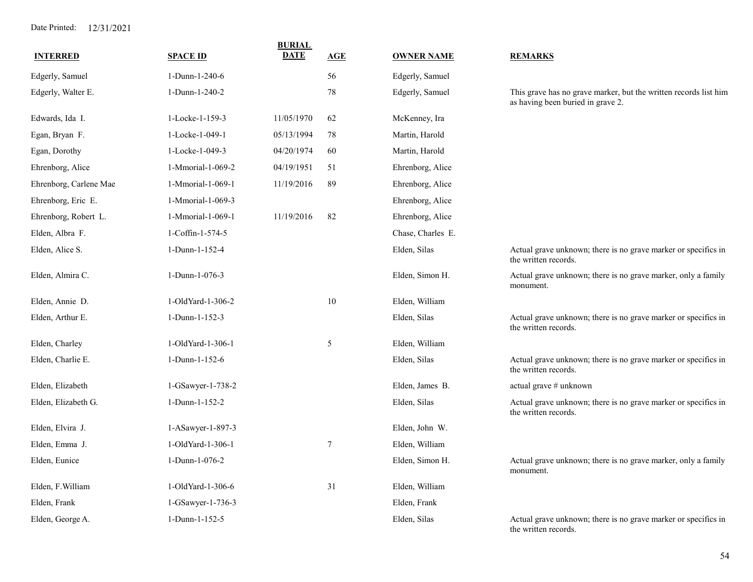| <b>INTERRED</b>        | <b>SPACE ID</b>   | <b>BURIAL</b><br><b>DATE</b> | AGE    | <b>OWNER NAME</b> | <b>REMARKS</b>                                                                                        |
|------------------------|-------------------|------------------------------|--------|-------------------|-------------------------------------------------------------------------------------------------------|
|                        |                   |                              | 56     |                   |                                                                                                       |
| Edgerly, Samuel        | 1-Dunn-1-240-6    |                              |        | Edgerly, Samuel   |                                                                                                       |
| Edgerly, Walter E.     | 1-Dunn-1-240-2    |                              | 78     | Edgerly, Samuel   | This grave has no grave marker, but the written records list him<br>as having been buried in grave 2. |
| Edwards, Ida I.        | 1-Locke-1-159-3   | 11/05/1970                   | 62     | McKenney, Ira     |                                                                                                       |
| Egan, Bryan F.         | 1-Locke-1-049-1   | 05/13/1994                   | 78     | Martin, Harold    |                                                                                                       |
| Egan, Dorothy          | 1-Locke-1-049-3   | 04/20/1974                   | 60     | Martin, Harold    |                                                                                                       |
| Ehrenborg, Alice       | 1-Mmorial-1-069-2 | 04/19/1951                   | 51     | Ehrenborg, Alice  |                                                                                                       |
| Ehrenborg, Carlene Mae | 1-Mmorial-1-069-1 | 11/19/2016                   | 89     | Ehrenborg, Alice  |                                                                                                       |
| Ehrenborg, Eric E.     | 1-Mmorial-1-069-3 |                              |        | Ehrenborg, Alice  |                                                                                                       |
| Ehrenborg, Robert L.   | 1-Mmorial-1-069-1 | 11/19/2016                   | 82     | Ehrenborg, Alice  |                                                                                                       |
| Elden, Albra F.        | 1-Coffin-1-574-5  |                              |        | Chase, Charles E. |                                                                                                       |
| Elden, Alice S.        | 1-Dunn-1-152-4    |                              |        | Elden, Silas      | Actual grave unknown; there is no grave marker or specifics in<br>the written records.                |
| Elden, Almira C.       | 1-Dunn-1-076-3    |                              |        | Elden, Simon H.   | Actual grave unknown; there is no grave marker, only a family<br>monument.                            |
| Elden, Annie D.        | 1-OldYard-1-306-2 |                              | 10     | Elden, William    |                                                                                                       |
| Elden, Arthur E.       | 1-Dunn-1-152-3    |                              |        | Elden, Silas      | Actual grave unknown; there is no grave marker or specifics in<br>the written records.                |
| Elden, Charley         | 1-OldYard-1-306-1 |                              | 5      | Elden, William    |                                                                                                       |
| Elden, Charlie E.      | 1-Dunn-1-152-6    |                              |        | Elden, Silas      | Actual grave unknown; there is no grave marker or specifics in<br>the written records.                |
| Elden, Elizabeth       | 1-GSawyer-1-738-2 |                              |        | Elden, James B.   | actual grave # unknown                                                                                |
| Elden, Elizabeth G.    | 1-Dunn-1-152-2    |                              |        | Elden, Silas      | Actual grave unknown; there is no grave marker or specifics in<br>the written records.                |
| Elden, Elvira J.       | 1-ASawyer-1-897-3 |                              |        | Elden, John W.    |                                                                                                       |
| Elden, Emma J.         | 1-OldYard-1-306-1 |                              | $\tau$ | Elden, William    |                                                                                                       |
| Elden, Eunice          | 1-Dunn-1-076-2    |                              |        | Elden, Simon H.   | Actual grave unknown; there is no grave marker, only a family<br>monument.                            |
| Elden, F. William      | 1-OldYard-1-306-6 |                              | 31     | Elden, William    |                                                                                                       |
| Elden, Frank           | 1-GSawyer-1-736-3 |                              |        | Elden, Frank      |                                                                                                       |
| Elden, George A.       | 1-Dunn-1-152-5    |                              |        | Elden, Silas      | Actual grave unknown; there is no grave marker or specifics in<br>the written records.                |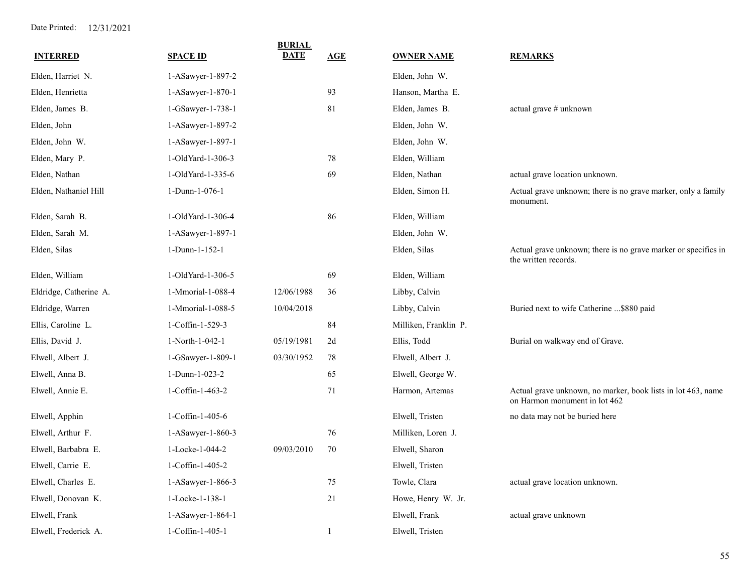| <b>INTERRED</b>        | <b>SPACE ID</b>     | <b>BURIAL</b><br><b>DATE</b> | AGE          | <b>OWNER NAME</b>     | <b>REMARKS</b>                                                                                |
|------------------------|---------------------|------------------------------|--------------|-----------------------|-----------------------------------------------------------------------------------------------|
| Elden, Harriet N.      | 1-ASawyer-1-897-2   |                              |              | Elden, John W.        |                                                                                               |
| Elden, Henrietta       | $1-ASawyer-1-870-1$ |                              | 93           | Hanson, Martha E.     |                                                                                               |
| Elden, James B.        |                     |                              | 81           | Elden, James B.       |                                                                                               |
|                        | 1-GSawyer-1-738-1   |                              |              |                       | actual grave # unknown                                                                        |
| Elden, John            | 1-ASawyer-1-897-2   |                              |              | Elden, John W.        |                                                                                               |
| Elden, John W.         | 1-ASawyer-1-897-1   |                              |              | Elden, John W.        |                                                                                               |
| Elden, Mary P.         | 1-OldYard-1-306-3   |                              | $78\,$       | Elden, William        |                                                                                               |
| Elden, Nathan          | 1-OldYard-1-335-6   |                              | 69           | Elden, Nathan         | actual grave location unknown.                                                                |
| Elden, Nathaniel Hill  | 1-Dunn-1-076-1      |                              |              | Elden, Simon H.       | Actual grave unknown; there is no grave marker, only a family<br>monument.                    |
| Elden, Sarah B.        | 1-OldYard-1-306-4   |                              | 86           | Elden, William        |                                                                                               |
| Elden, Sarah M.        | 1-ASawyer-1-897-1   |                              |              | Elden, John W.        |                                                                                               |
| Elden, Silas           | 1-Dunn-1-152-1      |                              |              | Elden, Silas          | Actual grave unknown; there is no grave marker or specifics in<br>the written records.        |
| Elden, William         | 1-OldYard-1-306-5   |                              | 69           | Elden, William        |                                                                                               |
| Eldridge, Catherine A. | 1-Mmorial-1-088-4   | 12/06/1988                   | 36           | Libby, Calvin         |                                                                                               |
| Eldridge, Warren       | 1-Mmorial-1-088-5   | 10/04/2018                   |              | Libby, Calvin         | Buried next to wife Catherine \$880 paid                                                      |
| Ellis, Caroline L.     | 1-Coffin-1-529-3    |                              | 84           | Milliken, Franklin P. |                                                                                               |
| Ellis, David J.        | 1-North-1-042-1     | 05/19/1981                   | 2d           | Ellis, Todd           | Burial on walkway end of Grave.                                                               |
| Elwell, Albert J.      | 1-GSawyer-1-809-1   | 03/30/1952                   | 78           | Elwell, Albert J.     |                                                                                               |
| Elwell, Anna B.        | 1-Dunn-1-023-2      |                              | 65           | Elwell, George W.     |                                                                                               |
| Elwell, Annie E.       | 1-Coffin-1-463-2    |                              | 71           | Harmon, Artemas       | Actual grave unknown, no marker, book lists in lot 463, name<br>on Harmon monument in lot 462 |
| Elwell, Apphin         | 1-Coffin-1-405-6    |                              |              | Elwell, Tristen       | no data may not be buried here                                                                |
| Elwell, Arthur F.      | 1-ASawyer-1-860-3   |                              | 76           | Milliken, Loren J.    |                                                                                               |
| Elwell, Barbabra E.    | 1-Locke-1-044-2     | 09/03/2010                   | 70           | Elwell, Sharon        |                                                                                               |
| Elwell, Carrie E.      | 1-Coffin-1-405-2    |                              |              | Elwell, Tristen       |                                                                                               |
| Elwell, Charles E.     | 1-ASawyer-1-866-3   |                              | 75           | Towle, Clara          | actual grave location unknown.                                                                |
| Elwell, Donovan K.     | 1-Locke-1-138-1     |                              | 21           | Howe, Henry W. Jr.    |                                                                                               |
| Elwell, Frank          | 1-ASawyer-1-864-1   |                              |              | Elwell, Frank         | actual grave unknown                                                                          |
| Elwell, Frederick A.   | 1-Coffin-1-405-1    |                              | $\mathbf{1}$ | Elwell, Tristen       |                                                                                               |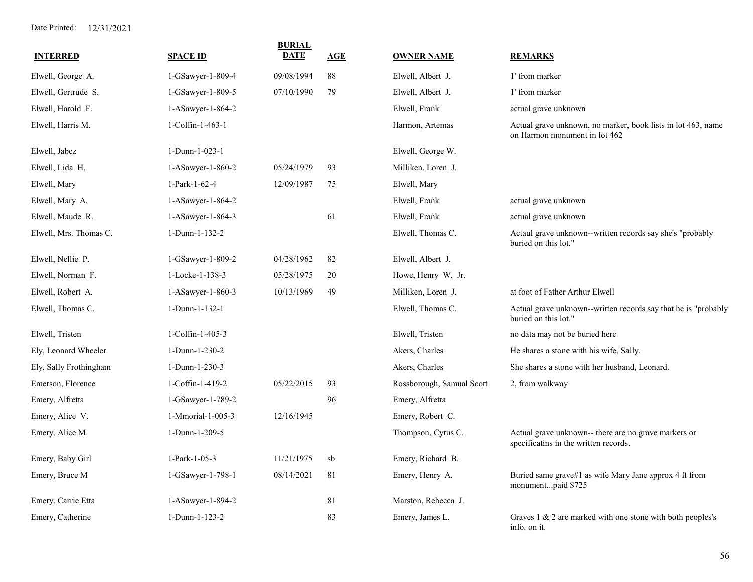| <b>INTERRED</b>        | <b>SPACE ID</b>   | <b>BURIAL</b><br><b>DATE</b> | AGE    | <b>OWNER NAME</b>         | <b>REMARKS</b>                                                                                |
|------------------------|-------------------|------------------------------|--------|---------------------------|-----------------------------------------------------------------------------------------------|
| Elwell, George A.      | 1-GSawyer-1-809-4 | 09/08/1994                   | 88     | Elwell, Albert J.         | 1' from marker                                                                                |
| Elwell, Gertrude S.    | 1-GSawyer-1-809-5 | 07/10/1990                   | 79     | Elwell, Albert J.         | 1' from marker                                                                                |
| Elwell, Harold F.      | 1-ASawyer-1-864-2 |                              |        | Elwell, Frank             | actual grave unknown                                                                          |
| Elwell, Harris M.      | 1-Coffin-1-463-1  |                              |        | Harmon, Artemas           | Actual grave unknown, no marker, book lists in lot 463, name<br>on Harmon monument in lot 462 |
| Elwell, Jabez          | 1-Dunn-1-023-1    |                              |        | Elwell, George W.         |                                                                                               |
| Elwell, Lida H.        | 1-ASawyer-1-860-2 | 05/24/1979                   | 93     | Milliken, Loren J.        |                                                                                               |
| Elwell, Mary           | 1-Park-1-62-4     | 12/09/1987                   | 75     | Elwell, Mary              |                                                                                               |
| Elwell, Mary A.        | 1-ASawyer-1-864-2 |                              |        | Elwell, Frank             | actual grave unknown                                                                          |
| Elwell, Maude R.       | 1-ASawyer-1-864-3 |                              | 61     | Elwell, Frank             | actual grave unknown                                                                          |
| Elwell, Mrs. Thomas C. | 1-Dunn-1-132-2    |                              |        | Elwell, Thomas C.         | Actaul grave unknown--written records say she's "probably<br>buried on this lot."             |
| Elwell, Nellie P.      | 1-GSawyer-1-809-2 | 04/28/1962                   | 82     | Elwell, Albert J.         |                                                                                               |
| Elwell, Norman F.      | 1-Locke-1-138-3   | 05/28/1975                   | 20     | Howe, Henry W. Jr.        |                                                                                               |
| Elwell, Robert A.      | 1-ASawyer-1-860-3 | 10/13/1969                   | 49     | Milliken, Loren J.        | at foot of Father Arthur Elwell                                                               |
| Elwell, Thomas C.      | 1-Dunn-1-132-1    |                              |        | Elwell, Thomas C.         | Actual grave unknown--written records say that he is "probably<br>buried on this lot."        |
| Elwell, Tristen        | 1-Coffin-1-405-3  |                              |        | Elwell, Tristen           | no data may not be buried here                                                                |
| Ely, Leonard Wheeler   | 1-Dunn-1-230-2    |                              |        | Akers, Charles            | He shares a stone with his wife, Sally.                                                       |
| Ely, Sally Frothingham | 1-Dunn-1-230-3    |                              |        | Akers, Charles            | She shares a stone with her husband, Leonard.                                                 |
| Emerson, Florence      | 1-Coffin-1-419-2  | 05/22/2015                   | 93     | Rossborough, Samual Scott | 2, from walkway                                                                               |
| Emery, Alfretta        | 1-GSawyer-1-789-2 |                              | 96     | Emery, Alfretta           |                                                                                               |
| Emery, Alice V.        | 1-Mmorial-1-005-3 | 12/16/1945                   |        | Emery, Robert C.          |                                                                                               |
| Emery, Alice M.        | 1-Dunn-1-209-5    |                              |        | Thompson, Cyrus C.        | Actual grave unknown-- there are no grave markers or<br>specificatins in the written records. |
| Emery, Baby Girl       | 1-Park-1-05-3     | 11/21/1975                   | sb     | Emery, Richard B.         |                                                                                               |
| Emery, Bruce M         | 1-GSawyer-1-798-1 | 08/14/2021                   | 81     | Emery, Henry A.           | Buried same grave#1 as wife Mary Jane approx 4 ft from<br>monumentpaid \$725                  |
| Emery, Carrie Etta     | 1-ASawyer-1-894-2 |                              | $81\,$ | Marston, Rebecca J.       |                                                                                               |
| Emery, Catherine       | 1-Dunn-1-123-2    |                              | 83     | Emery, James L.           | Graves 1 & 2 are marked with one stone with both peoples's<br>info. on it.                    |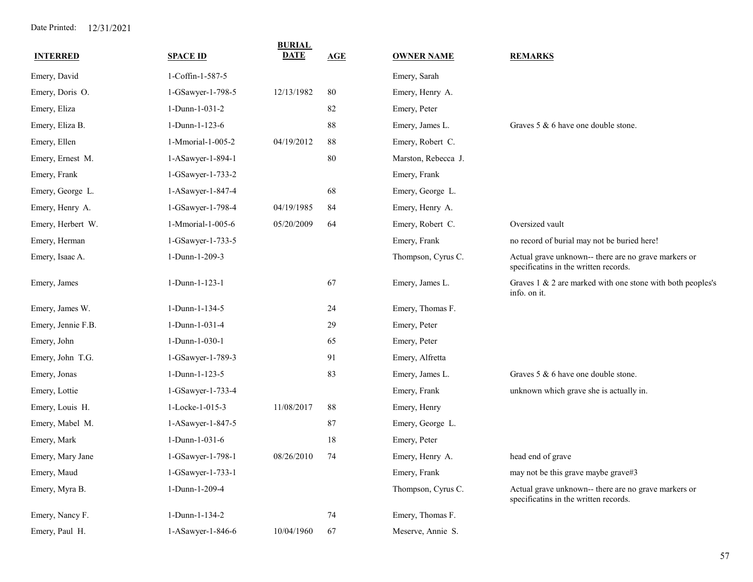| <b>INTERRED</b>    | <b>SPACE ID</b>     | <b>BURIAL</b><br><b>DATE</b> | AGE | <b>OWNER NAME</b>   | <b>REMARKS</b>                                                                                |
|--------------------|---------------------|------------------------------|-----|---------------------|-----------------------------------------------------------------------------------------------|
| Emery, David       | 1-Coffin-1-587-5    |                              |     | Emery, Sarah        |                                                                                               |
| Emery, Doris O.    | 1-GSawyer-1-798-5   | 12/13/1982                   | 80  | Emery, Henry A.     |                                                                                               |
| Emery, Eliza       | 1-Dunn-1-031-2      |                              | 82  | Emery, Peter        |                                                                                               |
| Emery, Eliza B.    | 1-Dunn-1-123-6      |                              | 88  | Emery, James L.     | Graves $5 \& 6$ have one double stone.                                                        |
| Emery, Ellen       | 1-Mmorial-1-005-2   | 04/19/2012                   | 88  | Emery, Robert C.    |                                                                                               |
| Emery, Ernest M.   | 1-ASawyer-1-894-1   |                              | 80  | Marston, Rebecca J. |                                                                                               |
| Emery, Frank       | 1-GSawyer-1-733-2   |                              |     | Emery, Frank        |                                                                                               |
| Emery, George L.   | 1-ASawyer-1-847-4   |                              | 68  | Emery, George L.    |                                                                                               |
| Emery, Henry A.    | 1-GSawyer-1-798-4   | 04/19/1985                   | 84  | Emery, Henry A.     |                                                                                               |
| Emery, Herbert W.  | 1-Mmorial-1-005-6   | 05/20/2009                   | 64  | Emery, Robert C.    | Oversized vault                                                                               |
| Emery, Herman      | 1-GSawyer-1-733-5   |                              |     | Emery, Frank        | no record of burial may not be buried here!                                                   |
| Emery, Isaac A.    | 1-Dunn-1-209-3      |                              |     | Thompson, Cyrus C.  | Actual grave unknown-- there are no grave markers or<br>specificatins in the written records. |
| Emery, James       | 1-Dunn-1-123-1      |                              | 67  | Emery, James L.     | Graves 1 & 2 are marked with one stone with both peoples's<br>info. on it.                    |
| Emery, James W.    | 1-Dunn-1-134-5      |                              | 24  | Emery, Thomas F.    |                                                                                               |
| Emery, Jennie F.B. | 1-Dunn-1-031-4      |                              | 29  | Emery, Peter        |                                                                                               |
| Emery, John        | 1-Dunn-1-030-1      |                              | 65  | Emery, Peter        |                                                                                               |
| Emery, John T.G.   | 1-GSawyer-1-789-3   |                              | 91  | Emery, Alfretta     |                                                                                               |
| Emery, Jonas       | 1-Dunn-1-123-5      |                              | 83  | Emery, James L.     | Graves 5 & 6 have one double stone.                                                           |
| Emery, Lottie      | 1-GSawyer-1-733-4   |                              |     | Emery, Frank        | unknown which grave she is actually in.                                                       |
| Emery, Louis H.    | 1-Locke-1-015-3     | 11/08/2017                   | 88  | Emery, Henry        |                                                                                               |
| Emery, Mabel M.    | 1-ASawyer-1-847-5   |                              | 87  | Emery, George L.    |                                                                                               |
| Emery, Mark        | 1-Dunn-1-031-6      |                              | 18  | Emery, Peter        |                                                                                               |
| Emery, Mary Jane   | 1-GSawyer-1-798-1   | 08/26/2010                   | 74  | Emery, Henry A.     | head end of grave                                                                             |
| Emery, Maud        | 1-GSawyer-1-733-1   |                              |     | Emery, Frank        | may not be this grave maybe grave#3                                                           |
| Emery, Myra B.     | 1-Dunn-1-209-4      |                              |     | Thompson, Cyrus C.  | Actual grave unknown-- there are no grave markers or<br>specificatins in the written records. |
| Emery, Nancy F.    | $1-Dunn-1-134-2$    |                              | 74  | Emery, Thomas F.    |                                                                                               |
| Emery, Paul H.     | $1-ASawyer-1-846-6$ | 10/04/1960                   | 67  | Meserve, Annie S.   |                                                                                               |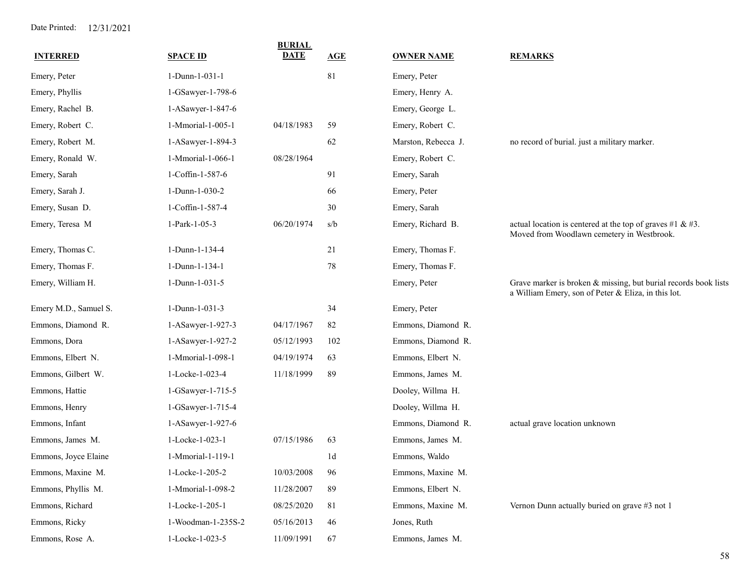| <b>INTERRED</b>       | <b>SPACE ID</b>    | <b>BURIAL</b><br><b>DATE</b> | <b>AGE</b>     | <b>OWNER NAME</b>   | <b>REMARKS</b>                                                                                                         |
|-----------------------|--------------------|------------------------------|----------------|---------------------|------------------------------------------------------------------------------------------------------------------------|
| Emery, Peter          | 1-Dunn-1-031-1     |                              | 81             | Emery, Peter        |                                                                                                                        |
| Emery, Phyllis        | 1-GSawyer-1-798-6  |                              |                | Emery, Henry A.     |                                                                                                                        |
| Emery, Rachel B.      | 1-ASawyer-1-847-6  |                              |                | Emery, George L.    |                                                                                                                        |
| Emery, Robert C.      | 1-Mmorial-1-005-1  | 04/18/1983                   | 59             | Emery, Robert C.    |                                                                                                                        |
| Emery, Robert M.      | 1-ASawyer-1-894-3  |                              | 62             | Marston, Rebecca J. | no record of burial. just a military marker.                                                                           |
| Emery, Ronald W.      | 1-Mmorial-1-066-1  | 08/28/1964                   |                | Emery, Robert C.    |                                                                                                                        |
| Emery, Sarah          | 1-Coffin-1-587-6   |                              | 91             | Emery, Sarah        |                                                                                                                        |
| Emery, Sarah J.       | 1-Dunn-1-030-2     |                              | 66             | Emery, Peter        |                                                                                                                        |
| Emery, Susan D.       | 1-Coffin-1-587-4   |                              | 30             | Emery, Sarah        |                                                                                                                        |
| Emery, Teresa M       | 1-Park-1-05-3      | 06/20/1974                   | s/b            | Emery, Richard B.   | actual location is centered at the top of graves #1 & #3.<br>Moved from Woodlawn cemetery in Westbrook.                |
| Emery, Thomas C.      | 1-Dunn-1-134-4     |                              | 21             | Emery, Thomas F.    |                                                                                                                        |
| Emery, Thomas F.      | 1-Dunn-1-134-1     |                              | 78             | Emery, Thomas F.    |                                                                                                                        |
| Emery, William H.     | 1-Dunn-1-031-5     |                              |                | Emery, Peter        | Grave marker is broken & missing, but burial records book lists<br>a William Emery, son of Peter & Eliza, in this lot. |
| Emery M.D., Samuel S. | 1-Dunn-1-031-3     |                              | 34             | Emery, Peter        |                                                                                                                        |
| Emmons, Diamond R.    | 1-ASawyer-1-927-3  | 04/17/1967                   | 82             | Emmons, Diamond R.  |                                                                                                                        |
| Emmons, Dora          | 1-ASawyer-1-927-2  | 05/12/1993                   | 102            | Emmons, Diamond R.  |                                                                                                                        |
| Emmons, Elbert N.     | 1-Mmorial-1-098-1  | 04/19/1974                   | 63             | Emmons, Elbert N.   |                                                                                                                        |
| Emmons, Gilbert W.    | 1-Locke-1-023-4    | 11/18/1999                   | 89             | Emmons, James M.    |                                                                                                                        |
| Emmons, Hattie        | 1-GSawyer-1-715-5  |                              |                | Dooley, Willma H.   |                                                                                                                        |
| Emmons, Henry         | 1-GSawyer-1-715-4  |                              |                | Dooley, Willma H.   |                                                                                                                        |
| Emmons, Infant        | 1-ASawyer-1-927-6  |                              |                | Emmons, Diamond R.  | actual grave location unknown                                                                                          |
| Emmons, James M.      | 1-Locke-1-023-1    | 07/15/1986                   | 63             | Emmons, James M.    |                                                                                                                        |
| Emmons, Joyce Elaine  | 1-Mmorial-1-119-1  |                              | 1 <sub>d</sub> | Emmons, Waldo       |                                                                                                                        |
| Emmons, Maxine M.     | 1-Locke-1-205-2    | 10/03/2008                   | 96             | Emmons, Maxine M.   |                                                                                                                        |
| Emmons, Phyllis M.    | 1-Mmorial-1-098-2  | 11/28/2007                   | 89             | Emmons, Elbert N.   |                                                                                                                        |
| Emmons, Richard       | 1-Locke-1-205-1    | 08/25/2020                   | $8\sqrt{1}$    | Emmons, Maxine M.   | Vernon Dunn actually buried on grave #3 not 1                                                                          |
| Emmons, Ricky         | 1-Woodman-1-235S-2 | 05/16/2013                   | 46             | Jones, Ruth         |                                                                                                                        |
| Emmons, Rose A.       | 1-Locke-1-023-5    | 11/09/1991                   | 67             | Emmons, James M.    |                                                                                                                        |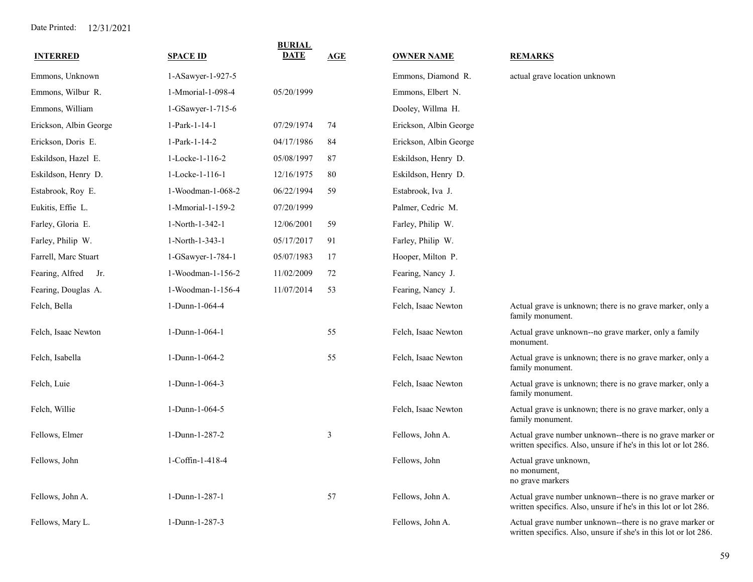| <b>INTERRED</b>        | <b>SPACE ID</b>   | <b>BURIAL</b><br><b>DATE</b> | AGE | <b>OWNER NAME</b>      | <b>REMARKS</b>                                                                                                               |
|------------------------|-------------------|------------------------------|-----|------------------------|------------------------------------------------------------------------------------------------------------------------------|
| Emmons, Unknown        | 1-ASawyer-1-927-5 |                              |     | Emmons, Diamond R.     | actual grave location unknown                                                                                                |
| Emmons, Wilbur R.      | 1-Mmorial-1-098-4 | 05/20/1999                   |     | Emmons, Elbert N.      |                                                                                                                              |
| Emmons, William        | 1-GSawyer-1-715-6 |                              |     | Dooley, Willma H.      |                                                                                                                              |
| Erickson, Albin George | 1-Park-1-14-1     | 07/29/1974                   | 74  | Erickson, Albin George |                                                                                                                              |
| Erickson, Doris E.     | 1-Park-1-14-2     | 04/17/1986                   | 84  | Erickson, Albin George |                                                                                                                              |
| Eskildson, Hazel E.    | 1-Locke-1-116-2   | 05/08/1997                   | 87  | Eskildson, Henry D.    |                                                                                                                              |
| Eskildson, Henry D.    | 1-Locke-1-116-1   | 12/16/1975                   | 80  | Eskildson, Henry D.    |                                                                                                                              |
| Estabrook, Roy E.      | 1-Woodman-1-068-2 | 06/22/1994                   | 59  | Estabrook, Iva J.      |                                                                                                                              |
| Eukitis, Effie L.      | 1-Mmorial-1-159-2 | 07/20/1999                   |     | Palmer, Cedric M.      |                                                                                                                              |
| Farley, Gloria E.      | 1-North-1-342-1   | 12/06/2001                   | 59  | Farley, Philip W.      |                                                                                                                              |
| Farley, Philip W.      | 1-North-1-343-1   | 05/17/2017                   | 91  | Farley, Philip W.      |                                                                                                                              |
| Farrell, Marc Stuart   | 1-GSawyer-1-784-1 | 05/07/1983                   | 17  | Hooper, Milton P.      |                                                                                                                              |
| Fearing, Alfred<br>Jr. | 1-Woodman-1-156-2 | 11/02/2009                   | 72  | Fearing, Nancy J.      |                                                                                                                              |
| Fearing, Douglas A.    | 1-Woodman-1-156-4 | 11/07/2014                   | 53  | Fearing, Nancy J.      |                                                                                                                              |
| Felch, Bella           | 1-Dunn-1-064-4    |                              |     | Felch, Isaac Newton    | Actual grave is unknown; there is no grave marker, only a<br>family monument.                                                |
| Felch, Isaac Newton    | 1-Dunn-1-064-1    |                              | 55  | Felch, Isaac Newton    | Actual grave unknown--no grave marker, only a family<br>monument.                                                            |
| Felch, Isabella        | 1-Dunn-1-064-2    |                              | 55  | Felch, Isaac Newton    | Actual grave is unknown; there is no grave marker, only a<br>family monument.                                                |
| Felch, Luie            | 1-Dunn-1-064-3    |                              |     | Felch, Isaac Newton    | Actual grave is unknown; there is no grave marker, only a<br>family monument.                                                |
| Felch, Willie          | 1-Dunn-1-064-5    |                              |     | Felch, Isaac Newton    | Actual grave is unknown; there is no grave marker, only a<br>family monument.                                                |
| Fellows, Elmer         | 1-Dunn-1-287-2    |                              | 3   | Fellows, John A.       | Actual grave number unknown--there is no grave marker or<br>written specifics. Also, unsure if he's in this lot or lot 286.  |
| Fellows, John          | 1-Coffin-1-418-4  |                              |     | Fellows, John          | Actual grave unknown,<br>no monument,<br>no grave markers                                                                    |
| Fellows, John A.       | 1-Dunn-1-287-1    |                              | 57  | Fellows, John A.       | Actual grave number unknown--there is no grave marker or<br>written specifics. Also, unsure if he's in this lot or lot 286.  |
| Fellows, Mary L.       | 1-Dunn-1-287-3    |                              |     | Fellows, John A.       | Actual grave number unknown--there is no grave marker or<br>written specifics. Also, unsure if she's in this lot or lot 286. |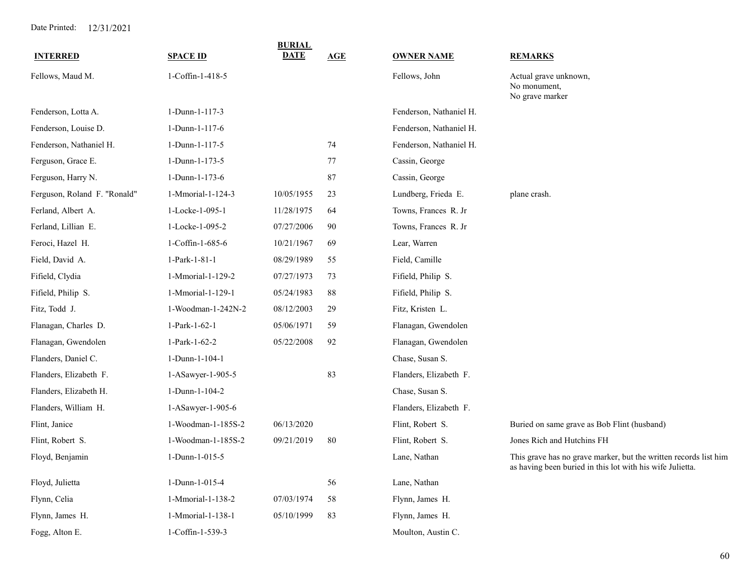| <b>INTERRED</b>              | <b>SPACE ID</b>    | <b>BURIAL</b><br><b>DATE</b> | <b>AGE</b> | <b>OWNER NAME</b>       | <b>REMARKS</b>                                                                                                                |
|------------------------------|--------------------|------------------------------|------------|-------------------------|-------------------------------------------------------------------------------------------------------------------------------|
| Fellows, Maud M.             | 1-Coffin-1-418-5   |                              |            | Fellows, John           | Actual grave unknown,<br>No monument,<br>No grave marker                                                                      |
| Fenderson, Lotta A.          | 1-Dunn-1-117-3     |                              |            | Fenderson, Nathaniel H. |                                                                                                                               |
| Fenderson, Louise D.         | 1-Dunn-1-117-6     |                              |            | Fenderson, Nathaniel H. |                                                                                                                               |
| Fenderson, Nathaniel H.      | 1-Dunn-1-117-5     |                              | 74         | Fenderson, Nathaniel H. |                                                                                                                               |
| Ferguson, Grace E.           | 1-Dunn-1-173-5     |                              | 77         | Cassin, George          |                                                                                                                               |
| Ferguson, Harry N.           | 1-Dunn-1-173-6     |                              | 87         | Cassin, George          |                                                                                                                               |
| Ferguson, Roland F. "Ronald" | 1-Mmorial-1-124-3  | 10/05/1955                   | 23         | Lundberg, Frieda E.     | plane crash.                                                                                                                  |
| Ferland, Albert A.           | 1-Locke-1-095-1    | 11/28/1975                   | 64         | Towns, Frances R. Jr    |                                                                                                                               |
| Ferland, Lillian E.          | 1-Locke-1-095-2    | 07/27/2006                   | 90         | Towns, Frances R. Jr    |                                                                                                                               |
| Feroci, Hazel H.             | 1-Coffin-1-685-6   | 10/21/1967                   | 69         | Lear, Warren            |                                                                                                                               |
| Field, David A.              | 1-Park-1-81-1      | 08/29/1989                   | 55         | Field, Camille          |                                                                                                                               |
| Fifield, Clydia              | 1-Mmorial-1-129-2  | 07/27/1973                   | 73         | Fifield, Philip S.      |                                                                                                                               |
| Fifield, Philip S.           | 1-Mmorial-1-129-1  | 05/24/1983                   | 88         | Fifield, Philip S.      |                                                                                                                               |
| Fitz, Todd J.                | 1-Woodman-1-242N-2 | 08/12/2003                   | 29         | Fitz, Kristen L.        |                                                                                                                               |
| Flanagan, Charles D.         | 1-Park-1-62-1      | 05/06/1971                   | 59         | Flanagan, Gwendolen     |                                                                                                                               |
| Flanagan, Gwendolen          | 1-Park-1-62-2      | 05/22/2008                   | 92         | Flanagan, Gwendolen     |                                                                                                                               |
| Flanders, Daniel C.          | 1-Dunn-1-104-1     |                              |            | Chase, Susan S.         |                                                                                                                               |
| Flanders, Elizabeth F.       | 1-ASawyer-1-905-5  |                              | 83         | Flanders, Elizabeth F.  |                                                                                                                               |
| Flanders, Elizabeth H.       | 1-Dunn-1-104-2     |                              |            | Chase, Susan S.         |                                                                                                                               |
| Flanders, William H.         | 1-ASawyer-1-905-6  |                              |            | Flanders, Elizabeth F.  |                                                                                                                               |
| Flint, Janice                | 1-Woodman-1-185S-2 | 06/13/2020                   |            | Flint, Robert S.        | Buried on same grave as Bob Flint (husband)                                                                                   |
| Flint, Robert S.             | 1-Woodman-1-185S-2 | 09/21/2019                   | 80         | Flint, Robert S.        | Jones Rich and Hutchins FH                                                                                                    |
| Floyd, Benjamin              | 1-Dunn-1-015-5     |                              |            | Lane, Nathan            | This grave has no grave marker, but the written records list him<br>as having been buried in this lot with his wife Julietta. |
| Floyd, Julietta              | 1-Dunn-1-015-4     |                              | 56         | Lane, Nathan            |                                                                                                                               |
| Flynn, Celia                 | 1-Mmorial-1-138-2  | 07/03/1974                   | 58         | Flynn, James H.         |                                                                                                                               |
| Flynn, James H.              | 1-Mmorial-1-138-1  | 05/10/1999                   | 83         | Flynn, James H.         |                                                                                                                               |
| Fogg, Alton E.               | 1-Coffin-1-539-3   |                              |            | Moulton, Austin C.      |                                                                                                                               |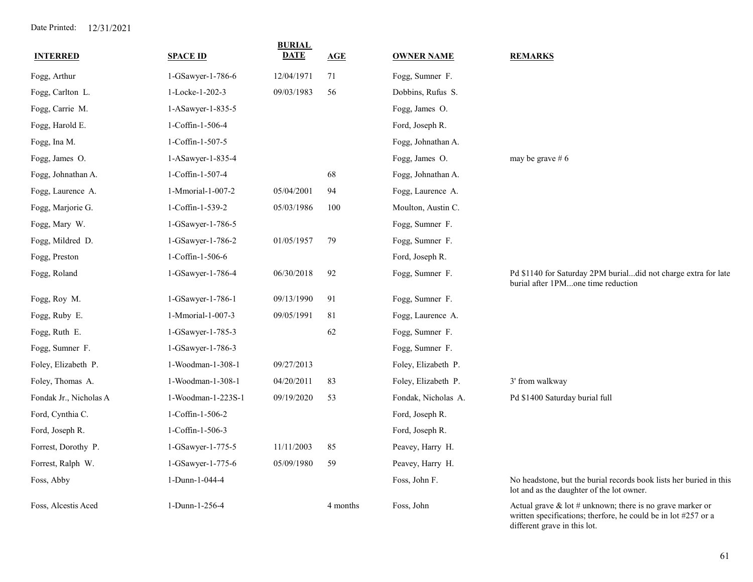| <b>INTERRED</b>        | <b>SPACE ID</b>    | <b>BURIAL</b><br><b>DATE</b> | AGE      | <b>OWNER NAME</b>   | <b>REMARKS</b>                                                                                                                 |
|------------------------|--------------------|------------------------------|----------|---------------------|--------------------------------------------------------------------------------------------------------------------------------|
| Fogg, Arthur           | 1-GSawyer-1-786-6  | 12/04/1971                   | 71       | Fogg, Sumner F.     |                                                                                                                                |
| Fogg, Carlton L.       | 1-Locke-1-202-3    | 09/03/1983                   | 56       | Dobbins, Rufus S.   |                                                                                                                                |
| Fogg, Carrie M.        | 1-ASawyer-1-835-5  |                              |          | Fogg, James O.      |                                                                                                                                |
| Fogg, Harold E.        | 1-Coffin-1-506-4   |                              |          | Ford, Joseph R.     |                                                                                                                                |
| Fogg, Ina M.           | 1-Coffin-1-507-5   |                              |          | Fogg, Johnathan A.  |                                                                                                                                |
| Fogg, James O.         | 1-ASawyer-1-835-4  |                              |          | Fogg, James O.      | may be grave #6                                                                                                                |
| Fogg, Johnathan A.     | 1-Coffin-1-507-4   |                              | 68       | Fogg, Johnathan A.  |                                                                                                                                |
| Fogg, Laurence A.      | 1-Mmorial-1-007-2  | 05/04/2001                   | 94       | Fogg, Laurence A.   |                                                                                                                                |
| Fogg, Marjorie G.      | 1-Coffin-1-539-2   | 05/03/1986                   | 100      | Moulton, Austin C.  |                                                                                                                                |
| Fogg, Mary W.          | 1-GSawyer-1-786-5  |                              |          | Fogg, Sumner F.     |                                                                                                                                |
| Fogg, Mildred D.       | 1-GSawyer-1-786-2  | 01/05/1957                   | 79       | Fogg, Sumner F.     |                                                                                                                                |
| Fogg, Preston          | 1-Coffin-1-506-6   |                              |          | Ford, Joseph R.     |                                                                                                                                |
| Fogg, Roland           | 1-GSawyer-1-786-4  | 06/30/2018                   | 92       | Fogg, Sumner F.     | Pd \$1140 for Saturday 2PM burialdid not charge extra for late<br>burial after 1PMone time reduction                           |
| Fogg, Roy M.           | 1-GSawyer-1-786-1  | 09/13/1990                   | 91       | Fogg, Sumner F.     |                                                                                                                                |
| Fogg, Ruby E.          | 1-Mmorial-1-007-3  | 09/05/1991                   | 81       | Fogg, Laurence A.   |                                                                                                                                |
| Fogg, Ruth E.          | 1-GSawyer-1-785-3  |                              | 62       | Fogg, Sumner F.     |                                                                                                                                |
| Fogg, Sumner F.        | 1-GSawyer-1-786-3  |                              |          | Fogg, Sumner F.     |                                                                                                                                |
| Foley, Elizabeth P.    | 1-Woodman-1-308-1  | 09/27/2013                   |          | Foley, Elizabeth P. |                                                                                                                                |
| Foley, Thomas A.       | 1-Woodman-1-308-1  | 04/20/2011                   | 83       | Foley, Elizabeth P. | 3' from walkway                                                                                                                |
| Fondak Jr., Nicholas A | 1-Woodman-1-223S-1 | 09/19/2020                   | 53       | Fondak, Nicholas A. | Pd \$1400 Saturday burial full                                                                                                 |
| Ford, Cynthia C.       | 1-Coffin-1-506-2   |                              |          | Ford, Joseph R.     |                                                                                                                                |
| Ford, Joseph R.        | 1-Coffin-1-506-3   |                              |          | Ford, Joseph R.     |                                                                                                                                |
| Forrest, Dorothy P.    | 1-GSawyer-1-775-5  | 11/11/2003                   | 85       | Peavey, Harry H.    |                                                                                                                                |
| Forrest, Ralph W.      | 1-GSawyer-1-775-6  | 05/09/1980                   | 59       | Peavey, Harry H.    |                                                                                                                                |
| Foss, Abby             | 1-Dunn-1-044-4     |                              |          | Foss, John F.       | No headstone, but the burial records book lists her buried in this<br>lot and as the daughter of the lot owner.                |
| Foss, Alcestis Aced    | 1-Dunn-1-256-4     |                              | 4 months | Foss, John          | Actual grave $\&$ lot # unknown; there is no grave marker or<br>written specifications; therfore, he could be in lot #257 or a |

different grave in this lot.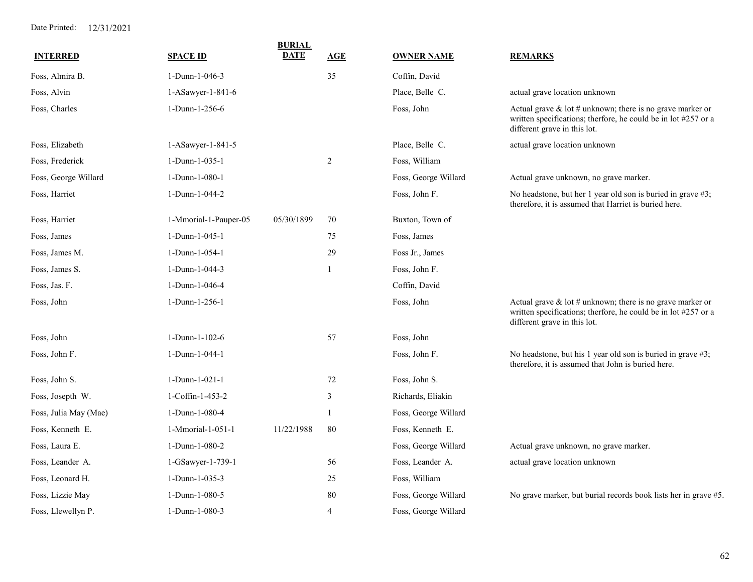| <b>INTERRED</b>       | <b>SPACE ID</b>       | <b>BURIAL</b><br><b>DATE</b> | AGE            | <b>OWNER NAME</b>    | <b>REMARKS</b>                                                                                                                                                 |
|-----------------------|-----------------------|------------------------------|----------------|----------------------|----------------------------------------------------------------------------------------------------------------------------------------------------------------|
| Foss, Almira B.       | 1-Dunn-1-046-3        |                              | 35             | Coffin, David        |                                                                                                                                                                |
| Foss, Alvin           | 1-ASawyer-1-841-6     |                              |                | Place, Belle C.      | actual grave location unknown                                                                                                                                  |
| Foss, Charles         | 1-Dunn-1-256-6        |                              |                | Foss, John           | Actual grave $\&$ lot # unknown; there is no grave marker or<br>written specifications; therfore, he could be in lot #257 or a<br>different grave in this lot. |
| Foss, Elizabeth       | 1-ASawyer-1-841-5     |                              |                | Place, Belle C.      | actual grave location unknown                                                                                                                                  |
| Foss, Frederick       | 1-Dunn-1-035-1        |                              | 2              | Foss, William        |                                                                                                                                                                |
| Foss, George Willard  | 1-Dunn-1-080-1        |                              |                | Foss, George Willard | Actual grave unknown, no grave marker.                                                                                                                         |
| Foss, Harriet         | 1-Dunn-1-044-2        |                              |                | Foss, John F.        | No headstone, but her 1 year old son is buried in grave #3;<br>therefore, it is assumed that Harriet is buried here.                                           |
| Foss, Harriet         | 1-Mmorial-1-Pauper-05 | 05/30/1899                   | 70             | Buxton, Town of      |                                                                                                                                                                |
| Foss, James           | 1-Dunn-1-045-1        |                              | 75             | Foss, James          |                                                                                                                                                                |
| Foss, James M.        | 1-Dunn-1-054-1        |                              | 29             | Foss Jr., James      |                                                                                                                                                                |
| Foss, James S.        | 1-Dunn-1-044-3        |                              | 1              | Foss, John F.        |                                                                                                                                                                |
| Foss, Jas. F.         | 1-Dunn-1-046-4        |                              |                | Coffin, David        |                                                                                                                                                                |
| Foss, John            | 1-Dunn-1-256-1        |                              |                | Foss, John           | Actual grave $\&$ lot # unknown; there is no grave marker or<br>written specifications; therfore, he could be in lot #257 or a<br>different grave in this lot. |
| Foss, John            | 1-Dunn-1-102-6        |                              | 57             | Foss, John           |                                                                                                                                                                |
| Foss, John F.         | 1-Dunn-1-044-1        |                              |                | Foss, John F.        | No headstone, but his 1 year old son is buried in grave #3;<br>therefore, it is assumed that John is buried here.                                              |
| Foss, John S.         | 1-Dunn-1-021-1        |                              | 72             | Foss, John S.        |                                                                                                                                                                |
| Foss, Josepth W.      | 1-Coffin-1-453-2      |                              | 3              | Richards, Eliakin    |                                                                                                                                                                |
| Foss, Julia May (Mae) | 1-Dunn-1-080-4        |                              | $\mathbf{1}$   | Foss, George Willard |                                                                                                                                                                |
| Foss, Kenneth E.      | 1-Mmorial-1-051-1     | 11/22/1988                   | 80             | Foss, Kenneth E.     |                                                                                                                                                                |
| Foss, Laura E.        | 1-Dunn-1-080-2        |                              |                | Foss, George Willard | Actual grave unknown, no grave marker.                                                                                                                         |
| Foss, Leander A.      | 1-GSawyer-1-739-1     |                              | 56             | Foss, Leander A.     | actual grave location unknown                                                                                                                                  |
| Foss, Leonard H.      | 1-Dunn-1-035-3        |                              | 25             | Foss, William        |                                                                                                                                                                |
| Foss, Lizzie May      | 1-Dunn-1-080-5        |                              | 80             | Foss, George Willard | No grave marker, but burial records book lists her in grave #5.                                                                                                |
| Foss, Llewellyn P.    | 1-Dunn-1-080-3        |                              | $\overline{4}$ | Foss, George Willard |                                                                                                                                                                |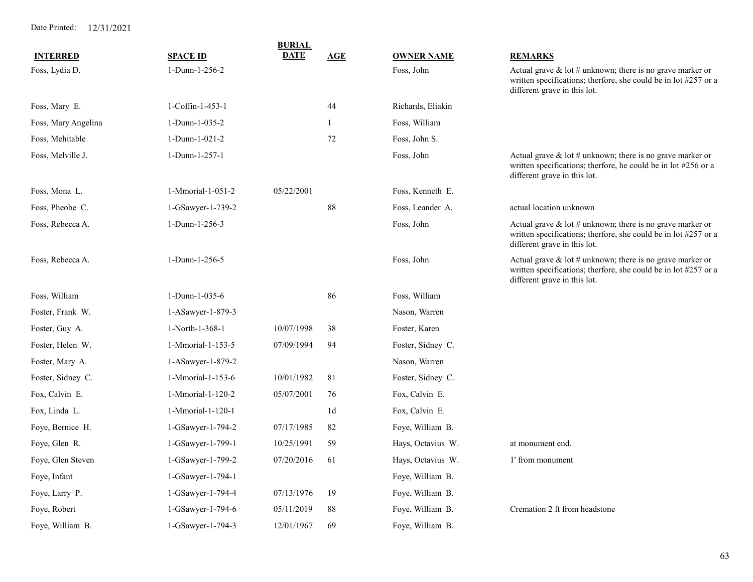|                     |                   | <b>BURIAL</b> |     |                   |                                                                                                                                                                  |
|---------------------|-------------------|---------------|-----|-------------------|------------------------------------------------------------------------------------------------------------------------------------------------------------------|
| <b>INTERRED</b>     | <b>SPACE ID</b>   | DATE          | AGE | <b>OWNER NAME</b> | <b>REMARKS</b>                                                                                                                                                   |
| Foss, Lydia D.      | 1-Dunn-1-256-2    |               |     | Foss, John        | Actual grave $&$ lot $#$ unknown; there is no grave marker or<br>written specifications; therfore, she could be in lot #257 or a<br>different grave in this lot. |
| Foss, Mary E.       | 1-Coffin-1-453-1  |               | 44  | Richards, Eliakin |                                                                                                                                                                  |
| Foss, Mary Angelina | 1-Dunn-1-035-2    |               | -1  | Foss, William     |                                                                                                                                                                  |
| Foss, Mehitable     | 1-Dunn-1-021-2    |               | 72  | Foss, John S.     |                                                                                                                                                                  |
| Foss, Melville J.   | 1-Dunn-1-257-1    |               |     | Foss, John        | Actual grave $\&$ lot # unknown; there is no grave marker or<br>written specifications; therfore, he could be in lot #256 or a<br>different grave in this lot.   |
| Foss, Mona L.       | 1-Mmorial-1-051-2 | 05/22/2001    |     | Foss, Kenneth E.  |                                                                                                                                                                  |
| Foss, Pheobe C.     | 1-GSawyer-1-739-2 |               | 88  | Foss, Leander A.  | actual location unknown                                                                                                                                          |
| Foss, Rebecca A.    | 1-Dunn-1-256-3    |               |     | Foss, John        | Actual grave $\&$ lot # unknown; there is no grave marker or<br>written specifications; therfore, she could be in lot #257 or a<br>different grave in this lot.  |
| Foss, Rebecca A.    | 1-Dunn-1-256-5    |               |     | Foss, John        | Actual grave $&$ lot $#$ unknown; there is no grave marker or<br>written specifications; therfore, she could be in lot #257 or a<br>different grave in this lot. |
| Foss, William       | 1-Dunn-1-035-6    |               | 86  | Foss, William     |                                                                                                                                                                  |
| Foster, Frank W.    | 1-ASawyer-1-879-3 |               |     | Nason, Warren     |                                                                                                                                                                  |
| Foster, Guy A.      | 1-North-1-368-1   | 10/07/1998    | 38  | Foster, Karen     |                                                                                                                                                                  |
| Foster, Helen W.    | 1-Mmorial-1-153-5 | 07/09/1994    | 94  | Foster, Sidney C. |                                                                                                                                                                  |
| Foster, Mary A.     | 1-ASawyer-1-879-2 |               |     | Nason, Warren     |                                                                                                                                                                  |
| Foster, Sidney C.   | 1-Mmorial-1-153-6 | 10/01/1982    | 81  | Foster, Sidney C. |                                                                                                                                                                  |
| Fox, Calvin E.      | 1-Mmorial-1-120-2 | 05/07/2001    | 76  | Fox, Calvin E.    |                                                                                                                                                                  |
| Fox, Linda L.       | 1-Mmorial-1-120-1 |               | 1d  | Fox, Calvin E.    |                                                                                                                                                                  |
| Foye, Bernice H.    | 1-GSawyer-1-794-2 | 07/17/1985    | 82  | Foye, William B.  |                                                                                                                                                                  |
| Foye, Glen R.       | 1-GSawyer-1-799-1 | 10/25/1991    | 59  | Hays, Octavius W. | at monument end.                                                                                                                                                 |
| Foye, Glen Steven   | 1-GSawyer-1-799-2 | 07/20/2016    | 61  | Hays, Octavius W. | 1' from monument                                                                                                                                                 |
| Foye, Infant        | 1-GSawyer-1-794-1 |               |     | Foye, William B.  |                                                                                                                                                                  |
| Foye, Larry P.      | 1-GSawyer-1-794-4 | 07/13/1976    | 19  | Foye, William B.  |                                                                                                                                                                  |
| Foye, Robert        | 1-GSawyer-1-794-6 | 05/11/2019    | 88  | Foye, William B.  | Cremation 2 ft from headstone                                                                                                                                    |
| Foye, William B.    | 1-GSawyer-1-794-3 | 12/01/1967    | 69  | Foye, William B.  |                                                                                                                                                                  |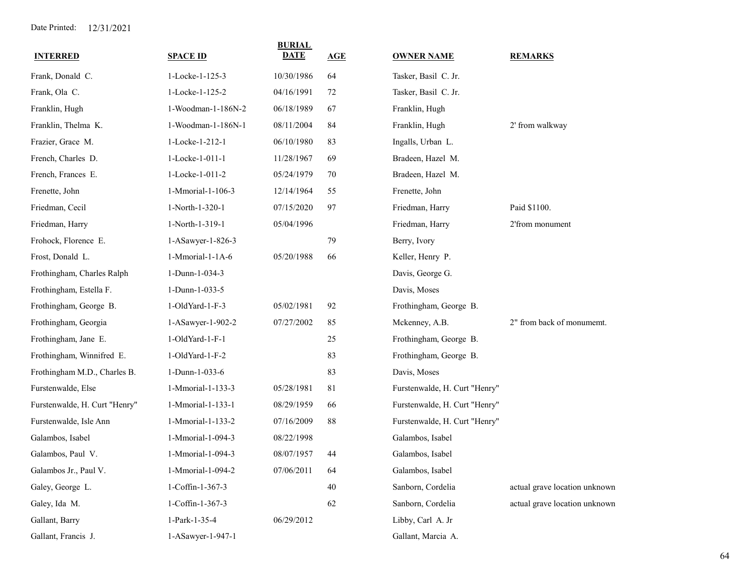| <b>INTERRED</b>               | <b>SPACE ID</b>    | <b>BURIAL</b><br>DATE | AGE    | <b>OWNER NAME</b>             | <b>REMARKS</b>                |
|-------------------------------|--------------------|-----------------------|--------|-------------------------------|-------------------------------|
| Frank, Donald C.              | 1-Locke-1-125-3    | 10/30/1986            | 64     | Tasker, Basil C. Jr.          |                               |
| Frank, Ola C.                 | 1-Locke-1-125-2    | 04/16/1991            | 72     | Tasker, Basil C. Jr.          |                               |
| Franklin, Hugh                | 1-Woodman-1-186N-2 | 06/18/1989            | 67     | Franklin, Hugh                |                               |
| Franklin, Thelma K.           | 1-Woodman-1-186N-1 | 08/11/2004            | 84     | Franklin, Hugh                | 2' from walkway               |
| Frazier, Grace M.             | 1-Locke-1-212-1    | 06/10/1980            | 83     | Ingalls, Urban L.             |                               |
| French, Charles D.            | 1-Locke-1-011-1    | 11/28/1967            | 69     | Bradeen, Hazel M.             |                               |
| French, Frances E.            | 1-Locke-1-011-2    | 05/24/1979            | 70     | Bradeen, Hazel M.             |                               |
| Frenette, John                | 1-Mmorial-1-106-3  | 12/14/1964            | 55     | Frenette, John                |                               |
| Friedman, Cecil               | 1-North-1-320-1    | 07/15/2020            | 97     | Friedman, Harry               | Paid \$1100.                  |
| Friedman, Harry               | 1-North-1-319-1    | 05/04/1996            |        | Friedman, Harry               | 2'from monument               |
| Frohock, Florence E.          | 1-ASawyer-1-826-3  |                       | 79     | Berry, Ivory                  |                               |
| Frost, Donald L.              | 1-Mmorial-1-1A-6   | 05/20/1988            | 66     | Keller, Henry P.              |                               |
| Frothingham, Charles Ralph    | 1-Dunn-1-034-3     |                       |        | Davis, George G.              |                               |
| Frothingham, Estella F.       | 1-Dunn-1-033-5     |                       |        | Davis, Moses                  |                               |
| Frothingham, George B.        | 1-OldYard-1-F-3    | 05/02/1981            | 92     | Frothingham, George B.        |                               |
| Frothingham, Georgia          | 1-ASawyer-1-902-2  | 07/27/2002            | 85     | Mckenney, A.B.                | 2" from back of monumemt.     |
| Frothingham, Jane E.          | 1-OldYard-1-F-1    |                       | 25     | Frothingham, George B.        |                               |
| Frothingham, Winnifred E.     | 1-OldYard-1-F-2    |                       | 83     | Frothingham, George B.        |                               |
| Frothingham M.D., Charles B.  | 1-Dunn-1-033-6     |                       | 83     | Davis, Moses                  |                               |
| Furstenwalde, Else            | 1-Mmorial-1-133-3  | 05/28/1981            | 81     | Furstenwalde, H. Curt "Henry" |                               |
| Furstenwalde, H. Curt "Henry" | 1-Mmorial-1-133-1  | 08/29/1959            | 66     | Furstenwalde, H. Curt "Henry" |                               |
| Furstenwalde, Isle Ann        | 1-Mmorial-1-133-2  | 07/16/2009            | 88     | Furstenwalde, H. Curt "Henry" |                               |
| Galambos, Isabel              | 1-Mmorial-1-094-3  | 08/22/1998            |        | Galambos, Isabel              |                               |
| Galambos, Paul V.             | 1-Mmorial-1-094-3  | 08/07/1957            | 44     | Galambos, Isabel              |                               |
| Galambos Jr., Paul V.         | 1-Mmorial-1-094-2  | 07/06/2011            | 64     | Galambos, Isabel              |                               |
| Galey, George L.              | 1-Coffin-1-367-3   |                       | $40\,$ | Sanborn, Cordelia             | actual grave location unknown |
| Galey, Ida M.                 | 1-Coffin-1-367-3   |                       | 62     | Sanborn, Cordelia             | actual grave location unknown |
| Gallant, Barry                | 1-Park-1-35-4      | 06/29/2012            |        | Libby, Carl A. Jr             |                               |
| Gallant, Francis J.           | 1-ASawyer-1-947-1  |                       |        | Gallant, Marcia A.            |                               |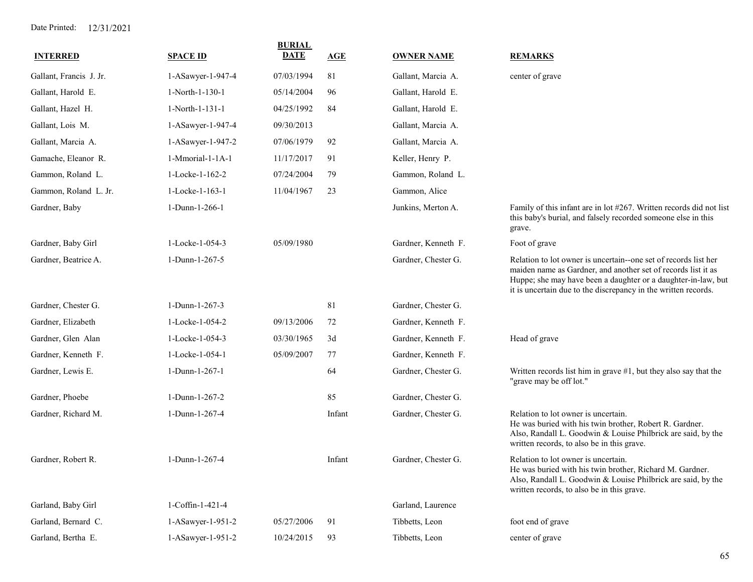| <b>INTERRED</b>         | <b>SPACE ID</b>   | <b>BURIAL</b><br><b>DATE</b> | <b>AGE</b> | <b>OWNER NAME</b>   | <b>REMARKS</b>                                                                                                                                                                                                                                                      |
|-------------------------|-------------------|------------------------------|------------|---------------------|---------------------------------------------------------------------------------------------------------------------------------------------------------------------------------------------------------------------------------------------------------------------|
| Gallant, Francis J. Jr. | 1-ASawyer-1-947-4 | 07/03/1994                   | 81         | Gallant, Marcia A.  | center of grave                                                                                                                                                                                                                                                     |
| Gallant, Harold E.      | 1-North-1-130-1   | 05/14/2004                   | 96         | Gallant, Harold E.  |                                                                                                                                                                                                                                                                     |
| Gallant, Hazel H.       | 1-North-1-131-1   | 04/25/1992                   | 84         | Gallant, Harold E.  |                                                                                                                                                                                                                                                                     |
| Gallant, Lois M.        | 1-ASawyer-1-947-4 | 09/30/2013                   |            | Gallant, Marcia A.  |                                                                                                                                                                                                                                                                     |
| Gallant, Marcia A.      | 1-ASawyer-1-947-2 | 07/06/1979                   | 92         | Gallant, Marcia A.  |                                                                                                                                                                                                                                                                     |
| Gamache, Eleanor R.     | 1-Mmorial-1-1A-1  | 11/17/2017                   | 91         | Keller, Henry P.    |                                                                                                                                                                                                                                                                     |
| Gammon, Roland L.       | 1-Locke-1-162-2   | 07/24/2004                   | 79         | Gammon, Roland L.   |                                                                                                                                                                                                                                                                     |
| Gammon, Roland L. Jr.   | 1-Locke-1-163-1   | 11/04/1967                   | 23         | Gammon, Alice       |                                                                                                                                                                                                                                                                     |
| Gardner, Baby           | 1-Dunn-1-266-1    |                              |            | Junkins, Merton A.  | Family of this infant are in lot #267. Written records did not list<br>this baby's burial, and falsely recorded someone else in this<br>grave.                                                                                                                      |
| Gardner, Baby Girl      | 1-Locke-1-054-3   | 05/09/1980                   |            | Gardner, Kenneth F. | Foot of grave                                                                                                                                                                                                                                                       |
| Gardner, Beatrice A.    | 1-Dunn-1-267-5    |                              |            | Gardner, Chester G. | Relation to lot owner is uncertain--one set of records list her<br>maiden name as Gardner, and another set of records list it as<br>Huppe; she may have been a daughter or a daughter-in-law, but<br>it is uncertain due to the discrepancy in the written records. |
| Gardner, Chester G.     | 1-Dunn-1-267-3    |                              | 81         | Gardner, Chester G. |                                                                                                                                                                                                                                                                     |
| Gardner, Elizabeth      | 1-Locke-1-054-2   | 09/13/2006                   | 72         | Gardner, Kenneth F. |                                                                                                                                                                                                                                                                     |
| Gardner, Glen Alan      | 1-Locke-1-054-3   | 03/30/1965                   | 3d         | Gardner, Kenneth F. | Head of grave                                                                                                                                                                                                                                                       |
| Gardner, Kenneth F.     | 1-Locke-1-054-1   | 05/09/2007                   | 77         | Gardner, Kenneth F. |                                                                                                                                                                                                                                                                     |
| Gardner, Lewis E.       | 1-Dunn-1-267-1    |                              | 64         | Gardner, Chester G. | Written records list him in grave $#1$ , but they also say that the<br>"grave may be off lot."                                                                                                                                                                      |
| Gardner, Phoebe         | 1-Dunn-1-267-2    |                              | 85         | Gardner, Chester G. |                                                                                                                                                                                                                                                                     |
| Gardner, Richard M.     | 1-Dunn-1-267-4    |                              | Infant     | Gardner, Chester G. | Relation to lot owner is uncertain.<br>He was buried with his twin brother, Robert R. Gardner.<br>Also, Randall L. Goodwin & Louise Philbrick are said, by the<br>written records, to also be in this grave.                                                        |
| Gardner, Robert R.      | 1-Dunn-1-267-4    |                              | Infant     | Gardner, Chester G. | Relation to lot owner is uncertain.<br>He was buried with his twin brother, Richard M. Gardner.<br>Also, Randall L. Goodwin & Louise Philbrick are said, by the<br>written records, to also be in this grave.                                                       |
| Garland, Baby Girl      | 1-Coffin-1-421-4  |                              |            | Garland, Laurence   |                                                                                                                                                                                                                                                                     |
| Garland, Bernard C.     | 1-ASawyer-1-951-2 | 05/27/2006                   | 91         | Tibbetts, Leon      | foot end of grave                                                                                                                                                                                                                                                   |
| Garland, Bertha E.      | 1-ASawyer-1-951-2 | 10/24/2015                   | 93         | Tibbetts, Leon      | center of grave                                                                                                                                                                                                                                                     |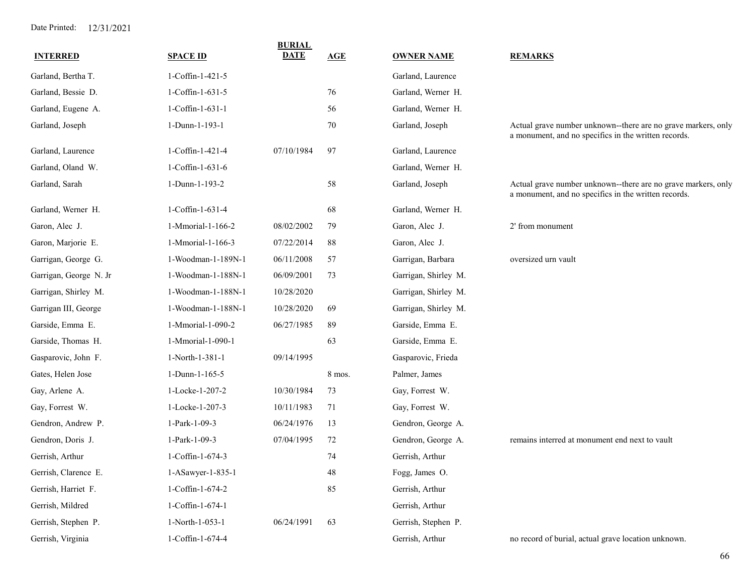| <b>INTERRED</b>        | <b>SPACE ID</b>    | <b>BURIAL</b><br><b>DATE</b> | <b>AGE</b> | <b>OWNER NAME</b>    | <b>REMARKS</b>                                                                                                        |
|------------------------|--------------------|------------------------------|------------|----------------------|-----------------------------------------------------------------------------------------------------------------------|
| Garland, Bertha T.     | 1-Coffin-1-421-5   |                              |            | Garland, Laurence    |                                                                                                                       |
| Garland, Bessie D.     | 1-Coffin-1-631-5   |                              | 76         | Garland, Werner H.   |                                                                                                                       |
| Garland, Eugene A.     | 1-Coffin-1-631-1   |                              | 56         | Garland, Werner H.   |                                                                                                                       |
| Garland, Joseph        | 1-Dunn-1-193-1     |                              | 70         | Garland, Joseph      | Actual grave number unknown--there are no grave markers, only<br>a monument, and no specifics in the written records. |
| Garland, Laurence      | 1-Coffin-1-421-4   | 07/10/1984                   | 97         | Garland, Laurence    |                                                                                                                       |
| Garland, Oland W.      | 1-Coffin-1-631-6   |                              |            | Garland, Werner H.   |                                                                                                                       |
| Garland, Sarah         | 1-Dunn-1-193-2     |                              | 58         | Garland, Joseph      | Actual grave number unknown--there are no grave markers, only<br>a monument, and no specifics in the written records. |
| Garland, Werner H.     | 1-Coffin-1-631-4   |                              | 68         | Garland, Werner H.   |                                                                                                                       |
| Garon, Alec J.         | 1-Mmorial-1-166-2  | 08/02/2002                   | 79         | Garon, Alec J.       | 2' from monument                                                                                                      |
| Garon, Marjorie E.     | 1-Mmorial-1-166-3  | 07/22/2014                   | 88         | Garon, Alec J.       |                                                                                                                       |
| Garrigan, George G.    | 1-Woodman-1-189N-1 | 06/11/2008                   | 57         | Garrigan, Barbara    | oversized urn vault                                                                                                   |
| Garrigan, George N. Jr | 1-Woodman-1-188N-1 | 06/09/2001                   | 73         | Garrigan, Shirley M. |                                                                                                                       |
| Garrigan, Shirley M.   | 1-Woodman-1-188N-1 | 10/28/2020                   |            | Garrigan, Shirley M. |                                                                                                                       |
| Garrigan III, George   | 1-Woodman-1-188N-1 | 10/28/2020                   | 69         | Garrigan, Shirley M. |                                                                                                                       |
| Garside, Emma E.       | 1-Mmorial-1-090-2  | 06/27/1985                   | 89         | Garside, Emma E.     |                                                                                                                       |
| Garside, Thomas H.     | 1-Mmorial-1-090-1  |                              | 63         | Garside, Emma E.     |                                                                                                                       |
| Gasparovic, John F.    | 1-North-1-381-1    | 09/14/1995                   |            | Gasparovic, Frieda   |                                                                                                                       |
| Gates, Helen Jose      | 1-Dunn-1-165-5     |                              | 8 mos.     | Palmer, James        |                                                                                                                       |
| Gay, Arlene A.         | 1-Locke-1-207-2    | 10/30/1984                   | 73         | Gay, Forrest W.      |                                                                                                                       |
| Gay, Forrest W.        | 1-Locke-1-207-3    | 10/11/1983                   | 71         | Gay, Forrest W.      |                                                                                                                       |
| Gendron, Andrew P.     | 1-Park-1-09-3      | 06/24/1976                   | 13         | Gendron, George A.   |                                                                                                                       |
| Gendron, Doris J.      | 1-Park-1-09-3      | 07/04/1995                   | 72         | Gendron, George A.   | remains interred at monument end next to vault                                                                        |
| Gerrish, Arthur        | 1-Coffin-1-674-3   |                              | 74         | Gerrish, Arthur      |                                                                                                                       |
| Gerrish, Clarence E.   | 1-ASawyer-1-835-1  |                              | 48         | Fogg, James O.       |                                                                                                                       |
| Gerrish, Harriet F.    | 1-Coffin-1-674-2   |                              | 85         | Gerrish, Arthur      |                                                                                                                       |
| Gerrish, Mildred       | 1-Coffin-1-674-1   |                              |            | Gerrish, Arthur      |                                                                                                                       |
| Gerrish, Stephen P.    | 1-North-1-053-1    | 06/24/1991                   | 63         | Gerrish, Stephen P.  |                                                                                                                       |
| Gerrish, Virginia      | 1-Coffin-1-674-4   |                              |            | Gerrish, Arthur      | no record of burial, actual grave location unknown.                                                                   |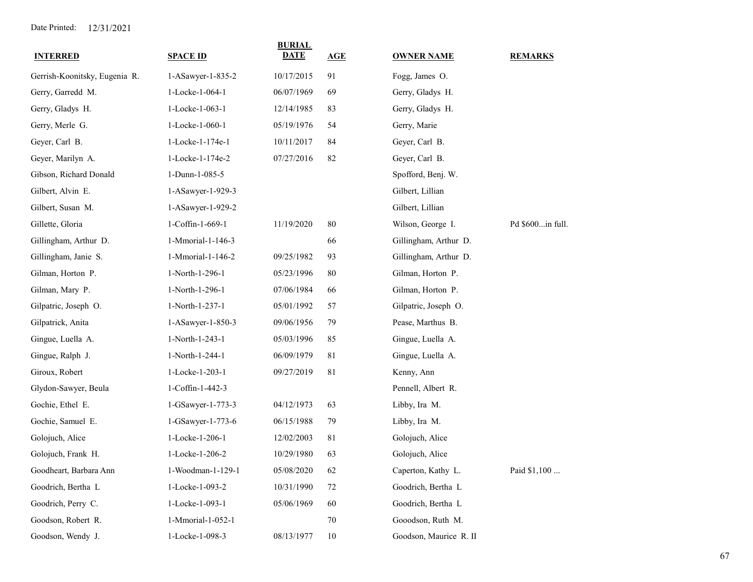| <b>INTERRED</b>               | <b>SPACE ID</b>   | <b>BURIAL</b><br><b>DATE</b> | AGE | <b>OWNER NAME</b>      | <b>REMARKS</b>   |
|-------------------------------|-------------------|------------------------------|-----|------------------------|------------------|
| Gerrish-Koonitsky, Eugenia R. | 1-ASawyer-1-835-2 | 10/17/2015                   | 91  | Fogg, James O.         |                  |
| Gerry, Garredd M.             | 1-Locke-1-064-1   | 06/07/1969                   | 69  | Gerry, Gladys H.       |                  |
| Gerry, Gladys H.              | 1-Locke-1-063-1   | 12/14/1985                   | 83  | Gerry, Gladys H.       |                  |
| Gerry, Merle G.               | 1-Locke-1-060-1   | 05/19/1976                   | 54  | Gerry, Marie           |                  |
| Geyer, Carl B.                | 1-Locke-1-174e-1  | 10/11/2017                   | 84  | Geyer, Carl B.         |                  |
| Geyer, Marilyn A.             | 1-Locke-1-174e-2  | 07/27/2016                   | 82  | Geyer, Carl B.         |                  |
| Gibson, Richard Donald        | 1-Dunn-1-085-5    |                              |     | Spofford, Benj. W.     |                  |
| Gilbert, Alvin E.             | 1-ASawyer-1-929-3 |                              |     | Gilbert, Lillian       |                  |
| Gilbert, Susan M.             | 1-ASawyer-1-929-2 |                              |     | Gilbert, Lillian       |                  |
| Gillette, Gloria              | 1-Coffin-1-669-1  | 11/19/2020                   | 80  | Wilson, George I.      | Pd \$600in full. |
| Gillingham, Arthur D.         | 1-Mmorial-1-146-3 |                              | 66  | Gillingham, Arthur D.  |                  |
| Gillingham, Janie S.          | 1-Mmorial-1-146-2 | 09/25/1982                   | 93  | Gillingham, Arthur D.  |                  |
| Gilman, Horton P.             | 1-North-1-296-1   | 05/23/1996                   | 80  | Gilman, Horton P.      |                  |
| Gilman, Mary P.               | 1-North-1-296-1   | 07/06/1984                   | 66  | Gilman, Horton P.      |                  |
| Gilpatric, Joseph O.          | 1-North-1-237-1   | 05/01/1992                   | 57  | Gilpatric, Joseph O.   |                  |
| Gilpatrick, Anita             | 1-ASawyer-1-850-3 | 09/06/1956                   | 79  | Pease, Marthus B.      |                  |
| Gingue, Luella A.             | 1-North-1-243-1   | 05/03/1996                   | 85  | Gingue, Luella A.      |                  |
| Gingue, Ralph J.              | 1-North-1-244-1   | 06/09/1979                   | 81  | Gingue, Luella A.      |                  |
| Giroux, Robert                | 1-Locke-1-203-1   | 09/27/2019                   | 81  | Kenny, Ann             |                  |
| Glydon-Sawyer, Beula          | 1-Coffin-1-442-3  |                              |     | Pennell, Albert R.     |                  |
| Gochie, Ethel E.              | 1-GSawyer-1-773-3 | 04/12/1973                   | 63  | Libby, Ira M.          |                  |
| Gochie, Samuel E.             | 1-GSawyer-1-773-6 | 06/15/1988                   | 79  | Libby, Ira M.          |                  |
| Golojuch, Alice               | 1-Locke-1-206-1   | 12/02/2003                   | 81  | Golojuch, Alice        |                  |
| Golojuch, Frank H.            | 1-Locke-1-206-2   | 10/29/1980                   | 63  | Golojuch, Alice        |                  |
| Goodheart, Barbara Ann        | 1-Woodman-1-129-1 | 05/08/2020                   | 62  | Caperton, Kathy L.     | Paid \$1,100     |
| Goodrich, Bertha L            | 1-Locke-1-093-2   | 10/31/1990                   | 72  | Goodrich, Bertha L     |                  |
| Goodrich, Perry C.            | 1-Locke-1-093-1   | 05/06/1969                   | 60  | Goodrich, Bertha L     |                  |
| Goodson, Robert R.            | 1-Mmorial-1-052-1 |                              | 70  | Gooodson, Ruth M.      |                  |
| Goodson, Wendy J.             | 1-Locke-1-098-3   | 08/13/1977                   | 10  | Goodson, Maurice R. II |                  |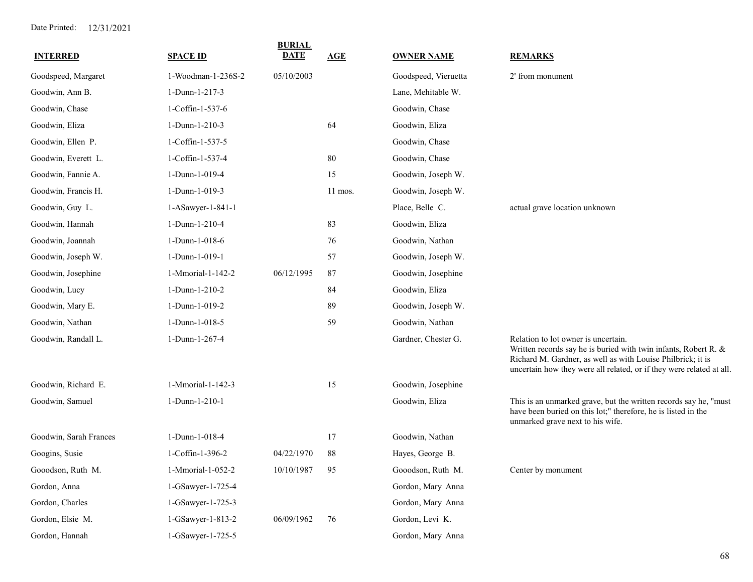| <b>INTERRED</b>        | <b>SPACE ID</b>    | <b>BURIAL</b><br><b>DATE</b> | <b>AGE</b> | <b>OWNER NAME</b>    | <b>REMARKS</b>                                                                                                                                                                                                                                |
|------------------------|--------------------|------------------------------|------------|----------------------|-----------------------------------------------------------------------------------------------------------------------------------------------------------------------------------------------------------------------------------------------|
| Goodspeed, Margaret    | 1-Woodman-1-236S-2 | 05/10/2003                   |            | Goodspeed, Vieruetta | 2' from monument                                                                                                                                                                                                                              |
| Goodwin, Ann B.        | 1-Dunn-1-217-3     |                              |            | Lane, Mehitable W.   |                                                                                                                                                                                                                                               |
| Goodwin, Chase         | 1-Coffin-1-537-6   |                              |            | Goodwin, Chase       |                                                                                                                                                                                                                                               |
| Goodwin, Eliza         | 1-Dunn-1-210-3     |                              | 64         | Goodwin, Eliza       |                                                                                                                                                                                                                                               |
| Goodwin, Ellen P.      | 1-Coffin-1-537-5   |                              |            | Goodwin, Chase       |                                                                                                                                                                                                                                               |
| Goodwin, Everett L.    | 1-Coffin-1-537-4   |                              | 80         | Goodwin, Chase       |                                                                                                                                                                                                                                               |
| Goodwin, Fannie A.     | 1-Dunn-1-019-4     |                              | 15         | Goodwin, Joseph W.   |                                                                                                                                                                                                                                               |
| Goodwin, Francis H.    | 1-Dunn-1-019-3     |                              | $11$ mos.  | Goodwin, Joseph W.   |                                                                                                                                                                                                                                               |
| Goodwin, Guy L.        | 1-ASawyer-1-841-1  |                              |            | Place, Belle C.      | actual grave location unknown                                                                                                                                                                                                                 |
| Goodwin, Hannah        | 1-Dunn-1-210-4     |                              | 83         | Goodwin, Eliza       |                                                                                                                                                                                                                                               |
| Goodwin, Joannah       | 1-Dunn-1-018-6     |                              | 76         | Goodwin, Nathan      |                                                                                                                                                                                                                                               |
| Goodwin, Joseph W.     | 1-Dunn-1-019-1     |                              | 57         | Goodwin, Joseph W.   |                                                                                                                                                                                                                                               |
| Goodwin, Josephine     | 1-Mmorial-1-142-2  | 06/12/1995                   | 87         | Goodwin, Josephine   |                                                                                                                                                                                                                                               |
| Goodwin, Lucy          | 1-Dunn-1-210-2     |                              | 84         | Goodwin, Eliza       |                                                                                                                                                                                                                                               |
| Goodwin, Mary E.       | 1-Dunn-1-019-2     |                              | 89         | Goodwin, Joseph W.   |                                                                                                                                                                                                                                               |
| Goodwin, Nathan        | 1-Dunn-1-018-5     |                              | 59         | Goodwin, Nathan      |                                                                                                                                                                                                                                               |
| Goodwin, Randall L.    | 1-Dunn-1-267-4     |                              |            | Gardner, Chester G.  | Relation to lot owner is uncertain.<br>Written records say he is buried with twin infants, Robert R. &<br>Richard M. Gardner, as well as with Louise Philbrick; it is<br>uncertain how they were all related, or if they were related at all. |
| Goodwin, Richard E.    | 1-Mmorial-1-142-3  |                              | 15         | Goodwin, Josephine   |                                                                                                                                                                                                                                               |
| Goodwin, Samuel        | 1-Dunn-1-210-1     |                              |            | Goodwin, Eliza       | This is an unmarked grave, but the written records say he, "must<br>have been buried on this lot;" therefore, he is listed in the<br>unmarked grave next to his wife.                                                                         |
| Goodwin, Sarah Frances | 1-Dunn-1-018-4     |                              | 17         | Goodwin, Nathan      |                                                                                                                                                                                                                                               |
| Googins, Susie         | 1-Coffin-1-396-2   | 04/22/1970                   | 88         | Hayes, George B.     |                                                                                                                                                                                                                                               |
| Gooodson, Ruth M.      | 1-Mmorial-1-052-2  | 10/10/1987                   | 95         | Gooodson, Ruth M.    | Center by monument                                                                                                                                                                                                                            |
| Gordon, Anna           | 1-GSawyer-1-725-4  |                              |            | Gordon, Mary Anna    |                                                                                                                                                                                                                                               |
| Gordon, Charles        | 1-GSawyer-1-725-3  |                              |            | Gordon, Mary Anna    |                                                                                                                                                                                                                                               |
| Gordon, Elsie M.       | 1-GSawyer-1-813-2  | 06/09/1962                   | 76         | Gordon, Levi K.      |                                                                                                                                                                                                                                               |
| Gordon, Hannah         | 1-GSawyer-1-725-5  |                              |            | Gordon, Mary Anna    |                                                                                                                                                                                                                                               |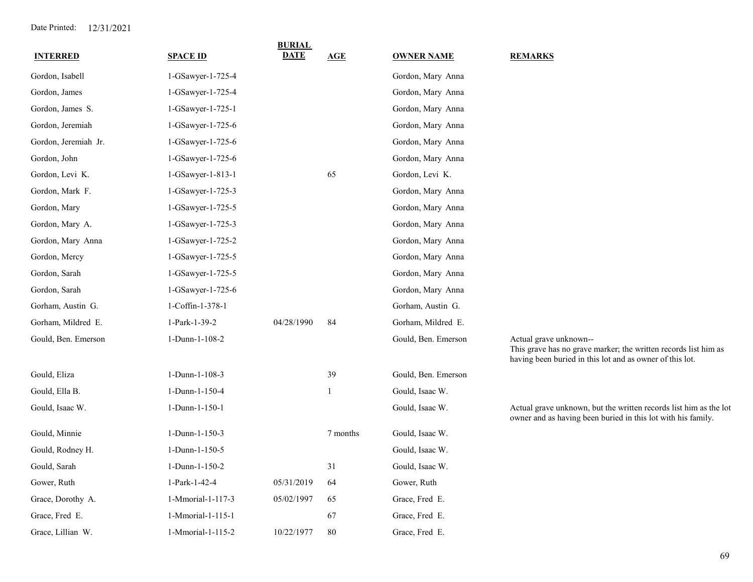| <b>INTERRED</b>      | <b>SPACE ID</b>   | <b>BURIAL</b><br><b>DATE</b> | AGE      | <b>OWNER NAME</b>   | <b>REMARKS</b>                                                                                                                                        |
|----------------------|-------------------|------------------------------|----------|---------------------|-------------------------------------------------------------------------------------------------------------------------------------------------------|
|                      |                   |                              |          |                     |                                                                                                                                                       |
| Gordon, Isabell      | 1-GSawyer-1-725-4 |                              |          | Gordon, Mary Anna   |                                                                                                                                                       |
| Gordon, James        | 1-GSawyer-1-725-4 |                              |          | Gordon, Mary Anna   |                                                                                                                                                       |
| Gordon, James S.     | 1-GSawyer-1-725-1 |                              |          | Gordon, Mary Anna   |                                                                                                                                                       |
| Gordon, Jeremiah     | 1-GSawyer-1-725-6 |                              |          | Gordon, Mary Anna   |                                                                                                                                                       |
| Gordon, Jeremiah Jr. | 1-GSawyer-1-725-6 |                              |          | Gordon, Mary Anna   |                                                                                                                                                       |
| Gordon, John         | 1-GSawyer-1-725-6 |                              |          | Gordon, Mary Anna   |                                                                                                                                                       |
| Gordon, Levi K.      | 1-GSawyer-1-813-1 |                              | 65       | Gordon, Levi K.     |                                                                                                                                                       |
| Gordon, Mark F.      | 1-GSawyer-1-725-3 |                              |          | Gordon, Mary Anna   |                                                                                                                                                       |
| Gordon, Mary         | 1-GSawyer-1-725-5 |                              |          | Gordon, Mary Anna   |                                                                                                                                                       |
| Gordon, Mary A.      | 1-GSawyer-1-725-3 |                              |          | Gordon, Mary Anna   |                                                                                                                                                       |
| Gordon, Mary Anna    | 1-GSawyer-1-725-2 |                              |          | Gordon, Mary Anna   |                                                                                                                                                       |
| Gordon, Mercy        | 1-GSawyer-1-725-5 |                              |          | Gordon, Mary Anna   |                                                                                                                                                       |
| Gordon, Sarah        | 1-GSawyer-1-725-5 |                              |          | Gordon, Mary Anna   |                                                                                                                                                       |
| Gordon, Sarah        | 1-GSawyer-1-725-6 |                              |          | Gordon, Mary Anna   |                                                                                                                                                       |
| Gorham, Austin G.    | 1-Coffin-1-378-1  |                              |          | Gorham, Austin G.   |                                                                                                                                                       |
| Gorham, Mildred E.   | 1-Park-1-39-2     | 04/28/1990                   | 84       | Gorham, Mildred E.  |                                                                                                                                                       |
| Gould, Ben. Emerson  | 1-Dunn-1-108-2    |                              |          | Gould, Ben. Emerson | Actual grave unknown--<br>This grave has no grave marker; the written records list him as<br>having been buried in this lot and as owner of this lot. |
| Gould, Eliza         | 1-Dunn-1-108-3    |                              | 39       | Gould, Ben. Emerson |                                                                                                                                                       |
| Gould, Ella B.       | 1-Dunn-1-150-4    |                              | 1        | Gould, Isaac W.     |                                                                                                                                                       |
| Gould, Isaac W.      | 1-Dunn-1-150-1    |                              |          | Gould, Isaac W.     | Actual grave unknown, but the written records list him as the lot<br>owner and as having been buried in this lot with his family.                     |
| Gould, Minnie        | 1-Dunn-1-150-3    |                              | 7 months | Gould, Isaac W.     |                                                                                                                                                       |
| Gould, Rodney H.     | 1-Dunn-1-150-5    |                              |          | Gould, Isaac W.     |                                                                                                                                                       |
| Gould, Sarah         | 1-Dunn-1-150-2    |                              | 31       | Gould, Isaac W.     |                                                                                                                                                       |
| Gower, Ruth          | 1-Park-1-42-4     | 05/31/2019                   | 64       | Gower, Ruth         |                                                                                                                                                       |
| Grace, Dorothy A.    | 1-Mmorial-1-117-3 | 05/02/1997                   | 65       | Grace, Fred E.      |                                                                                                                                                       |
| Grace, Fred E.       | 1-Mmorial-1-115-1 |                              | 67       | Grace, Fred E.      |                                                                                                                                                       |
| Grace, Lillian W.    | 1-Mmorial-1-115-2 | 10/22/1977                   | 80       | Grace, Fred E.      |                                                                                                                                                       |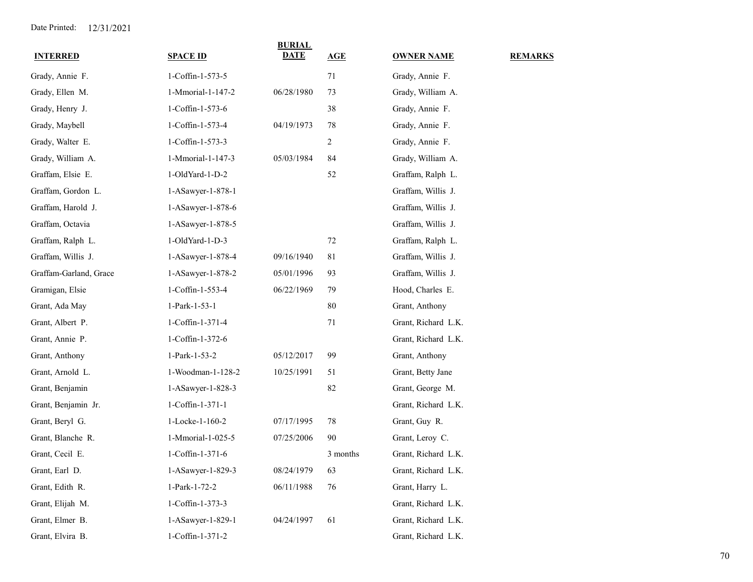| <b>INTERRED</b>        | <b>SPACE ID</b>   | <b>BURIAL</b><br>DATE | AGE            | <b>OWNER NAME</b>   | <b>REMARKS</b> |
|------------------------|-------------------|-----------------------|----------------|---------------------|----------------|
| Grady, Annie F.        | 1-Coffin-1-573-5  |                       | 71             | Grady, Annie F.     |                |
| Grady, Ellen M.        | 1-Mmorial-1-147-2 | 06/28/1980            | 73             | Grady, William A.   |                |
| Grady, Henry J.        | 1-Coffin-1-573-6  |                       | 38             | Grady, Annie F.     |                |
| Grady, Maybell         | 1-Coffin-1-573-4  | 04/19/1973            | 78             | Grady, Annie F.     |                |
| Grady, Walter E.       | 1-Coffin-1-573-3  |                       | $\overline{c}$ | Grady, Annie F.     |                |
| Grady, William A.      | 1-Mmorial-1-147-3 | 05/03/1984            | 84             | Grady, William A.   |                |
| Graffam, Elsie E.      | 1-OldYard-1-D-2   |                       | 52             | Graffam, Ralph L.   |                |
| Graffam, Gordon L.     | 1-ASawyer-1-878-1 |                       |                | Graffam, Willis J.  |                |
| Graffam, Harold J.     | 1-ASawyer-1-878-6 |                       |                | Graffam, Willis J.  |                |
| Graffam, Octavia       | 1-ASawyer-1-878-5 |                       |                | Graffam, Willis J.  |                |
| Graffam, Ralph L.      | 1-OldYard-1-D-3   |                       | 72             | Graffam, Ralph L.   |                |
| Graffam, Willis J.     | 1-ASawyer-1-878-4 | 09/16/1940            | 81             | Graffam, Willis J.  |                |
| Graffam-Garland, Grace | 1-ASawyer-1-878-2 | 05/01/1996            | 93             | Graffam, Willis J.  |                |
| Gramigan, Elsie        | 1-Coffin-1-553-4  | 06/22/1969            | 79             | Hood, Charles E.    |                |
| Grant, Ada May         | 1-Park-1-53-1     |                       | 80             | Grant, Anthony      |                |
| Grant, Albert P.       | 1-Coffin-1-371-4  |                       | 71             | Grant, Richard L.K. |                |
| Grant, Annie P.        | 1-Coffin-1-372-6  |                       |                | Grant, Richard L.K. |                |
| Grant, Anthony         | 1-Park-1-53-2     | 05/12/2017            | 99             | Grant, Anthony      |                |
| Grant, Arnold L.       | 1-Woodman-1-128-2 | 10/25/1991            | 51             | Grant, Betty Jane   |                |
| Grant, Benjamin        | 1-ASawyer-1-828-3 |                       | 82             | Grant, George M.    |                |
| Grant, Benjamin Jr.    | 1-Coffin-1-371-1  |                       |                | Grant, Richard L.K. |                |
| Grant, Beryl G.        | 1-Locke-1-160-2   | 07/17/1995            | 78             | Grant, Guy R.       |                |
| Grant, Blanche R.      | 1-Mmorial-1-025-5 | 07/25/2006            | 90             | Grant, Leroy C.     |                |
| Grant, Cecil E.        | 1-Coffin-1-371-6  |                       | 3 months       | Grant, Richard L.K. |                |
| Grant, Earl D.         | 1-ASawyer-1-829-3 | 08/24/1979            | 63             | Grant, Richard L.K. |                |
| Grant, Edith R.        | 1-Park-1-72-2     | 06/11/1988            | 76             | Grant, Harry L.     |                |
| Grant, Elijah M.       | 1-Coffin-1-373-3  |                       |                | Grant, Richard L.K. |                |
| Grant, Elmer B.        | 1-ASawyer-1-829-1 | 04/24/1997            | 61             | Grant, Richard L.K. |                |
| Grant, Elvira B.       | 1-Coffin-1-371-2  |                       |                | Grant, Richard L.K. |                |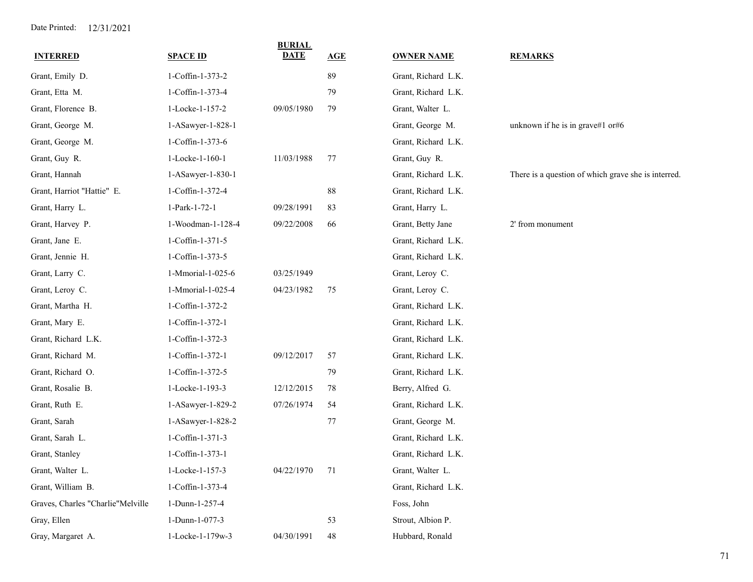| <b>INTERRED</b>                   | <b>SPACE ID</b>   | <b>BURIAL</b><br><b>DATE</b> | AGE         | <b>OWNER NAME</b>   | <b>REMARKS</b>                                      |
|-----------------------------------|-------------------|------------------------------|-------------|---------------------|-----------------------------------------------------|
| Grant, Emily D.                   | 1-Coffin-1-373-2  |                              | 89          | Grant, Richard L.K. |                                                     |
| Grant, Etta M.                    | 1-Coffin-1-373-4  |                              | 79          | Grant, Richard L.K. |                                                     |
| Grant, Florence B.                | 1-Locke-1-157-2   | 09/05/1980                   | 79          | Grant, Walter L.    |                                                     |
| Grant, George M.                  | 1-ASawyer-1-828-1 |                              |             | Grant, George M.    | unknown if he is in grave#1 or#6                    |
| Grant, George M.                  | 1-Coffin-1-373-6  |                              |             | Grant, Richard L.K. |                                                     |
| Grant, Guy R.                     | 1-Locke-1-160-1   | 11/03/1988                   | 77          | Grant, Guy R.       |                                                     |
| Grant, Hannah                     | 1-ASawyer-1-830-1 |                              |             | Grant, Richard L.K. | There is a question of which grave she is interred. |
| Grant, Harriot "Hattie" E.        | 1-Coffin-1-372-4  |                              | 88          | Grant, Richard L.K. |                                                     |
| Grant, Harry L.                   | 1-Park-1-72-1     | 09/28/1991                   | 83          | Grant, Harry L.     |                                                     |
| Grant, Harvey P.                  | 1-Woodman-1-128-4 | 09/22/2008                   | 66          | Grant, Betty Jane   | 2' from monument                                    |
| Grant, Jane E.                    | 1-Coffin-1-371-5  |                              |             | Grant, Richard L.K. |                                                     |
| Grant, Jennie H.                  | 1-Coffin-1-373-5  |                              |             | Grant, Richard L.K. |                                                     |
| Grant, Larry C.                   | 1-Mmorial-1-025-6 | 03/25/1949                   |             | Grant, Leroy C.     |                                                     |
| Grant, Leroy C.                   | 1-Mmorial-1-025-4 | 04/23/1982                   | 75          | Grant, Leroy C.     |                                                     |
| Grant, Martha H.                  | 1-Coffin-1-372-2  |                              |             | Grant, Richard L.K. |                                                     |
| Grant, Mary E.                    | 1-Coffin-1-372-1  |                              |             | Grant, Richard L.K. |                                                     |
| Grant, Richard L.K.               | 1-Coffin-1-372-3  |                              |             | Grant, Richard L.K. |                                                     |
| Grant, Richard M.                 | 1-Coffin-1-372-1  | 09/12/2017                   | 57          | Grant, Richard L.K. |                                                     |
| Grant, Richard O.                 | 1-Coffin-1-372-5  |                              | 79          | Grant, Richard L.K. |                                                     |
| Grant, Rosalie B.                 | 1-Locke-1-193-3   | 12/12/2015                   | 78          | Berry, Alfred G.    |                                                     |
| Grant, Ruth E.                    | 1-ASawyer-1-829-2 | 07/26/1974                   | 54          | Grant, Richard L.K. |                                                     |
| Grant, Sarah                      | 1-ASawyer-1-828-2 |                              | 77          | Grant, George M.    |                                                     |
| Grant, Sarah L.                   | 1-Coffin-1-371-3  |                              |             | Grant, Richard L.K. |                                                     |
| Grant, Stanley                    | 1-Coffin-1-373-1  |                              |             | Grant, Richard L.K. |                                                     |
| Grant, Walter L.                  | 1-Locke-1-157-3   | 04/22/1970                   | 71          | Grant, Walter L.    |                                                     |
| Grant, William B.                 | 1-Coffin-1-373-4  |                              |             | Grant, Richard L.K. |                                                     |
| Graves, Charles "Charlie"Melville | 1-Dunn-1-257-4    |                              |             | Foss, John          |                                                     |
| Gray, Ellen                       | 1-Dunn-1-077-3    |                              | 53          | Strout, Albion P.   |                                                     |
| Gray, Margaret A.                 | 1-Locke-1-179w-3  | 04/30/1991                   | $\sqrt{48}$ | Hubbard, Ronald     |                                                     |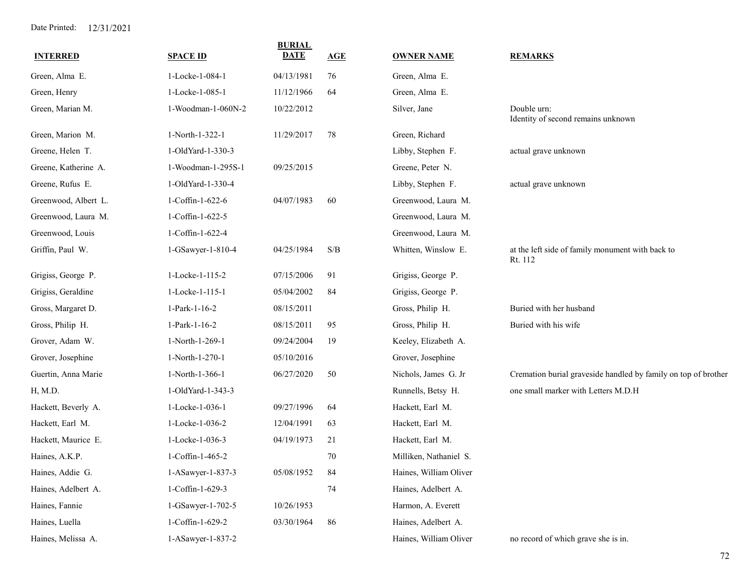| <b>INTERRED</b>      | <b>SPACE ID</b>    | <b>BURIAL</b><br><b>DATE</b> | <b>AGE</b> | <b>OWNER NAME</b>      | <b>REMARKS</b>                                                 |
|----------------------|--------------------|------------------------------|------------|------------------------|----------------------------------------------------------------|
| Green, Alma E.       | 1-Locke-1-084-1    | 04/13/1981                   | 76         | Green, Alma E.         |                                                                |
| Green, Henry         | 1-Locke-1-085-1    | 11/12/1966                   | 64         | Green, Alma E.         |                                                                |
| Green, Marian M.     | 1-Woodman-1-060N-2 | 10/22/2012                   |            | Silver, Jane           | Double urn:<br>Identity of second remains unknown              |
| Green, Marion M.     | 1-North-1-322-1    | 11/29/2017                   | 78         | Green, Richard         |                                                                |
| Greene, Helen T.     | 1-OldYard-1-330-3  |                              |            | Libby, Stephen F.      | actual grave unknown                                           |
| Greene, Katherine A. | 1-Woodman-1-295S-1 | 09/25/2015                   |            | Greene, Peter N.       |                                                                |
| Greene, Rufus E.     | 1-OldYard-1-330-4  |                              |            | Libby, Stephen F.      | actual grave unknown                                           |
| Greenwood, Albert L. | 1-Coffin-1-622-6   | 04/07/1983                   | 60         | Greenwood, Laura M.    |                                                                |
| Greenwood, Laura M.  | 1-Coffin-1-622-5   |                              |            | Greenwood, Laura M.    |                                                                |
| Greenwood, Louis     | 1-Coffin-1-622-4   |                              |            | Greenwood, Laura M.    |                                                                |
| Griffin, Paul W.     | 1-GSawyer-1-810-4  | 04/25/1984                   | S/B        | Whitten, Winslow E.    | at the left side of family monument with back to<br>Rt. 112    |
| Grigiss, George P.   | 1-Locke-1-115-2    | 07/15/2006                   | 91         | Grigiss, George P.     |                                                                |
| Grigiss, Geraldine   | 1-Locke-1-115-1    | 05/04/2002                   | 84         | Grigiss, George P.     |                                                                |
| Gross, Margaret D.   | 1-Park-1-16-2      | 08/15/2011                   |            | Gross, Philip H.       | Buried with her husband                                        |
| Gross, Philip H.     | 1-Park-1-16-2      | 08/15/2011                   | 95         | Gross, Philip H.       | Buried with his wife                                           |
| Grover, Adam W.      | 1-North-1-269-1    | 09/24/2004                   | 19         | Keeley, Elizabeth A.   |                                                                |
| Grover, Josephine    | 1-North-1-270-1    | 05/10/2016                   |            | Grover, Josephine      |                                                                |
| Guertin, Anna Marie  | 1-North-1-366-1    | 06/27/2020                   | 50         | Nichols, James G. Jr   | Cremation burial graveside handled by family on top of brother |
| H, M.D.              | 1-OldYard-1-343-3  |                              |            | Runnells, Betsy H.     | one small marker with Letters M.D.H                            |
| Hackett, Beverly A.  | 1-Locke-1-036-1    | 09/27/1996                   | 64         | Hackett, Earl M.       |                                                                |
| Hackett, Earl M.     | 1-Locke-1-036-2    | 12/04/1991                   | 63         | Hackett, Earl M.       |                                                                |
| Hackett, Maurice E.  | 1-Locke-1-036-3    | 04/19/1973                   | 21         | Hackett, Earl M.       |                                                                |
| Haines, A.K.P.       | 1-Coffin-1-465-2   |                              | 70         | Milliken, Nathaniel S. |                                                                |
| Haines, Addie G.     | 1-ASawyer-1-837-3  | 05/08/1952                   | 84         | Haines, William Oliver |                                                                |
| Haines, Adelbert A.  | 1-Coffin-1-629-3   |                              | 74         | Haines, Adelbert A.    |                                                                |
| Haines, Fannie       | 1-GSawyer-1-702-5  | 10/26/1953                   |            | Harmon, A. Everett     |                                                                |
| Haines, Luella       | 1-Coffin-1-629-2   | 03/30/1964                   | 86         | Haines, Adelbert A.    |                                                                |
| Haines, Melissa A.   | 1-ASawyer-1-837-2  |                              |            | Haines, William Oliver | no record of which grave she is in.                            |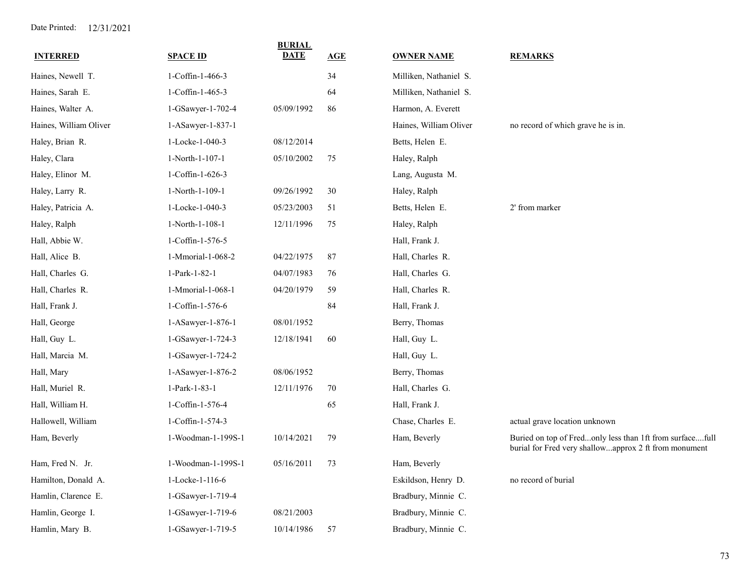| <b>INTERRED</b>        | <b>SPACE ID</b>    | <b>BURIAL</b><br><b>DATE</b> | AGE | <b>OWNER NAME</b>      | <b>REMARKS</b>                                                                                                    |
|------------------------|--------------------|------------------------------|-----|------------------------|-------------------------------------------------------------------------------------------------------------------|
| Haines, Newell T.      | 1-Coffin-1-466-3   |                              | 34  | Milliken, Nathaniel S. |                                                                                                                   |
| Haines, Sarah E.       | 1-Coffin-1-465-3   |                              | 64  | Milliken, Nathaniel S. |                                                                                                                   |
| Haines, Walter A.      | 1-GSawyer-1-702-4  | 05/09/1992                   | 86  | Harmon, A. Everett     |                                                                                                                   |
| Haines, William Oliver | 1-ASawyer-1-837-1  |                              |     | Haines, William Oliver | no record of which grave he is in.                                                                                |
| Haley, Brian R.        | 1-Locke-1-040-3    | 08/12/2014                   |     | Betts, Helen E.        |                                                                                                                   |
| Haley, Clara           | 1-North-1-107-1    | 05/10/2002                   | 75  | Haley, Ralph           |                                                                                                                   |
| Haley, Elinor M.       | 1-Coffin-1-626-3   |                              |     | Lang, Augusta M.       |                                                                                                                   |
| Haley, Larry R.        | 1-North-1-109-1    | 09/26/1992                   | 30  | Haley, Ralph           |                                                                                                                   |
| Haley, Patricia A.     | 1-Locke-1-040-3    | 05/23/2003                   | 51  | Betts, Helen E.        | 2' from marker                                                                                                    |
| Haley, Ralph           | 1-North-1-108-1    | 12/11/1996                   | 75  | Haley, Ralph           |                                                                                                                   |
| Hall, Abbie W.         | 1-Coffin-1-576-5   |                              |     | Hall, Frank J.         |                                                                                                                   |
| Hall, Alice B.         | 1-Mmorial-1-068-2  | 04/22/1975                   | 87  | Hall, Charles R.       |                                                                                                                   |
| Hall, Charles G.       | 1-Park-1-82-1      | 04/07/1983                   | 76  | Hall, Charles G.       |                                                                                                                   |
| Hall, Charles R.       | 1-Mmorial-1-068-1  | 04/20/1979                   | 59  | Hall, Charles R.       |                                                                                                                   |
| Hall, Frank J.         | 1-Coffin-1-576-6   |                              | 84  | Hall, Frank J.         |                                                                                                                   |
| Hall, George           | 1-ASawyer-1-876-1  | 08/01/1952                   |     | Berry, Thomas          |                                                                                                                   |
| Hall, Guy L.           | 1-GSawyer-1-724-3  | 12/18/1941                   | 60  | Hall, Guy L.           |                                                                                                                   |
| Hall, Marcia M.        | 1-GSawyer-1-724-2  |                              |     | Hall, Guy L.           |                                                                                                                   |
| Hall, Mary             | 1-ASawyer-1-876-2  | 08/06/1952                   |     | Berry, Thomas          |                                                                                                                   |
| Hall, Muriel R.        | 1-Park-1-83-1      | 12/11/1976                   | 70  | Hall, Charles G.       |                                                                                                                   |
| Hall, William H.       | 1-Coffin-1-576-4   |                              | 65  | Hall, Frank J.         |                                                                                                                   |
| Hallowell, William     | 1-Coffin-1-574-3   |                              |     | Chase, Charles E.      | actual grave location unknown                                                                                     |
| Ham, Beverly           | 1-Woodman-1-199S-1 | 10/14/2021                   | 79  | Ham, Beverly           | Buried on top of Fredonly less than 1ft from surfacefull<br>burial for Fred very shallowapprox 2 ft from monument |
| Ham, Fred N. Jr.       | 1-Woodman-1-199S-1 | 05/16/2011                   | 73  | Ham, Beverly           |                                                                                                                   |
| Hamilton, Donald A.    | 1-Locke-1-116-6    |                              |     | Eskildson, Henry D.    | no record of burial                                                                                               |
| Hamlin, Clarence E.    | 1-GSawyer-1-719-4  |                              |     | Bradbury, Minnie C.    |                                                                                                                   |
| Hamlin, George I.      | 1-GSawyer-1-719-6  | 08/21/2003                   |     | Bradbury, Minnie C.    |                                                                                                                   |
| Hamlin, Mary B.        | 1-GSawyer-1-719-5  | 10/14/1986                   | 57  | Bradbury, Minnie C.    |                                                                                                                   |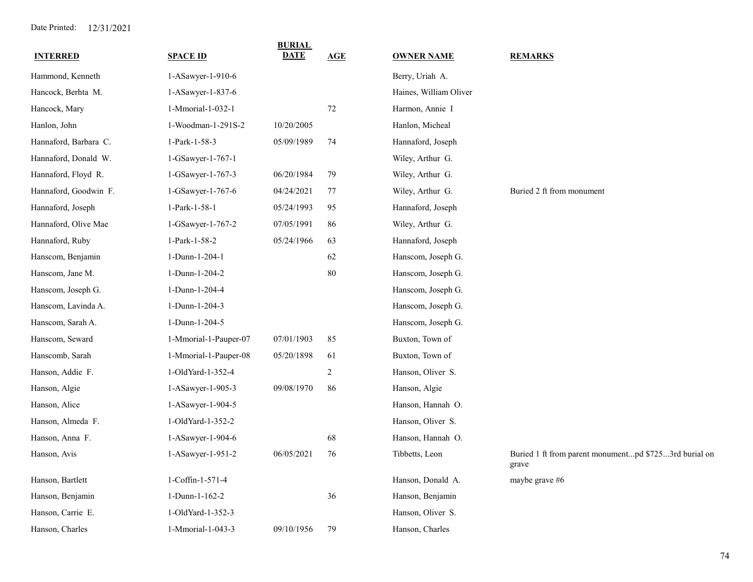| <b>INTERRED</b>       | <b>SPACE ID</b>       | <b>BURIAL</b><br>DATE | AGE            | <b>OWNER NAME</b>      | <b>REMARKS</b>                                                 |
|-----------------------|-----------------------|-----------------------|----------------|------------------------|----------------------------------------------------------------|
| Hammond, Kenneth      | 1-ASawyer-1-910-6     |                       |                | Berry, Uriah A.        |                                                                |
| Hancock, Berhta M.    | 1-ASawyer-1-837-6     |                       |                | Haines, William Oliver |                                                                |
| Hancock, Mary         | 1-Mmorial-1-032-1     |                       | 72             | Harmon, Annie I        |                                                                |
| Hanlon, John          | 1-Woodman-1-291S-2    | 10/20/2005            |                | Hanlon, Micheal        |                                                                |
| Hannaford, Barbara C. | 1-Park-1-58-3         | 05/09/1989            | 74             | Hannaford, Joseph      |                                                                |
| Hannaford, Donald W.  | 1-GSawyer-1-767-1     |                       |                | Wiley, Arthur G.       |                                                                |
| Hannaford, Floyd R.   | 1-GSawyer-1-767-3     | 06/20/1984            | 79             | Wiley, Arthur G.       |                                                                |
| Hannaford, Goodwin F. | 1-GSawyer-1-767-6     | 04/24/2021            | 77             | Wiley, Arthur G.       | Buried 2 ft from monument                                      |
| Hannaford, Joseph     | 1-Park-1-58-1         | 05/24/1993            | 95             | Hannaford, Joseph      |                                                                |
| Hannaford, Olive Mae  | 1-GSawyer-1-767-2     | 07/05/1991            | 86             | Wiley, Arthur G.       |                                                                |
| Hannaford, Ruby       | 1-Park-1-58-2         | 05/24/1966            | 63             | Hannaford, Joseph      |                                                                |
| Hanscom, Benjamin     | 1-Dunn-1-204-1        |                       | 62             | Hanscom, Joseph G.     |                                                                |
| Hanscom, Jane M.      | 1-Dunn-1-204-2        |                       | 80             | Hanscom, Joseph G.     |                                                                |
| Hanscom, Joseph G.    | 1-Dunn-1-204-4        |                       |                | Hanscom, Joseph G.     |                                                                |
| Hanscom, Lavinda A.   | 1-Dunn-1-204-3        |                       |                | Hanscom, Joseph G.     |                                                                |
| Hanscom, Sarah A.     | 1-Dunn-1-204-5        |                       |                | Hanscom, Joseph G.     |                                                                |
| Hanscom, Seward       | 1-Mmorial-1-Pauper-07 | 07/01/1903            | 85             | Buxton, Town of        |                                                                |
| Hanscomb, Sarah       | 1-Mmorial-1-Pauper-08 | 05/20/1898            | 61             | Buxton, Town of        |                                                                |
| Hanson, Addie F.      | 1-OldYard-1-352-4     |                       | $\overline{2}$ | Hanson, Oliver S.      |                                                                |
| Hanson, Algie         | 1-ASawyer-1-905-3     | 09/08/1970            | 86             | Hanson, Algie          |                                                                |
| Hanson, Alice         | 1-ASawyer-1-904-5     |                       |                | Hanson, Hannah O.      |                                                                |
| Hanson, Almeda F.     | 1-OldYard-1-352-2     |                       |                | Hanson, Oliver S.      |                                                                |
| Hanson, Anna F.       | 1-ASawyer-1-904-6     |                       | 68             | Hanson, Hannah O.      |                                                                |
| Hanson, Avis          | 1-ASawyer-1-951-2     | 06/05/2021            | 76             | Tibbetts, Leon         | Buried 1 ft from parent monumentpd \$7253rd burial on<br>grave |
| Hanson, Bartlett      | 1-Coffin-1-571-4      |                       |                | Hanson, Donald A.      | maybe grave #6                                                 |
| Hanson, Benjamin      | 1-Dunn-1-162-2        |                       | 36             | Hanson, Benjamin       |                                                                |
| Hanson, Carrie E.     | 1-OldYard-1-352-3     |                       |                | Hanson, Oliver S.      |                                                                |
| Hanson, Charles       | 1-Mmorial-1-043-3     | 09/10/1956            | 79             | Hanson, Charles        |                                                                |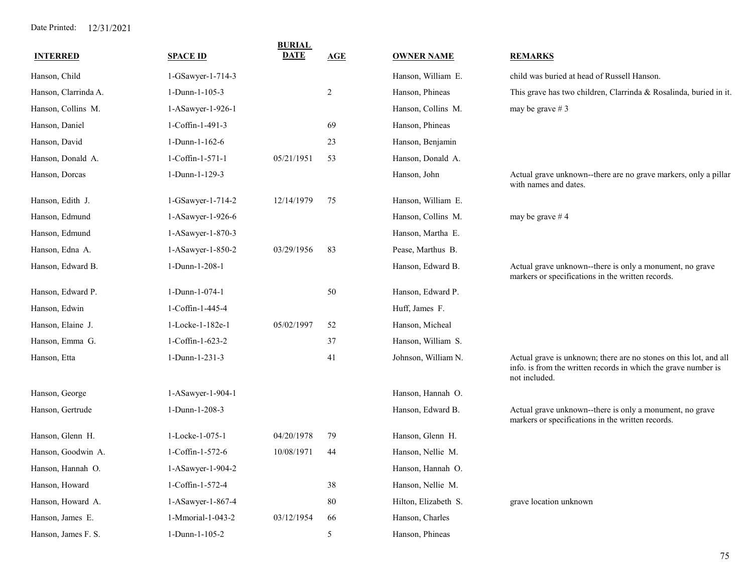| <b>INTERRED</b>      | <b>SPACE ID</b>   | <b>BURIAL</b><br><b>DATE</b> | AGE            | <b>OWNER NAME</b>    | <b>REMARKS</b>                                                                                                                                       |
|----------------------|-------------------|------------------------------|----------------|----------------------|------------------------------------------------------------------------------------------------------------------------------------------------------|
| Hanson, Child        | 1-GSawyer-1-714-3 |                              |                | Hanson, William E.   | child was buried at head of Russell Hanson.                                                                                                          |
| Hanson, Clarrinda A. | 1-Dunn-1-105-3    |                              | $\overline{c}$ | Hanson, Phineas      | This grave has two children, Clarrinda & Rosalinda, buried in it.                                                                                    |
| Hanson, Collins M.   | 1-ASawyer-1-926-1 |                              |                | Hanson, Collins M.   | may be grave $# 3$                                                                                                                                   |
| Hanson, Daniel       | 1-Coffin-1-491-3  |                              | 69             | Hanson, Phineas      |                                                                                                                                                      |
| Hanson, David        | 1-Dunn-1-162-6    |                              | 23             | Hanson, Benjamin     |                                                                                                                                                      |
| Hanson, Donald A.    | 1-Coffin-1-571-1  | 05/21/1951                   | 53             | Hanson, Donald A.    |                                                                                                                                                      |
| Hanson, Dorcas       | 1-Dunn-1-129-3    |                              |                | Hanson, John         | Actual grave unknown--there are no grave markers, only a pillar<br>with names and dates.                                                             |
| Hanson, Edith J.     | 1-GSawyer-1-714-2 | 12/14/1979                   | 75             | Hanson, William E.   |                                                                                                                                                      |
| Hanson, Edmund       | 1-ASawyer-1-926-6 |                              |                | Hanson, Collins M.   | may be grave #4                                                                                                                                      |
| Hanson, Edmund       | 1-ASawyer-1-870-3 |                              |                | Hanson, Martha E.    |                                                                                                                                                      |
| Hanson, Edna A.      | 1-ASawyer-1-850-2 | 03/29/1956                   | 83             | Pease, Marthus B.    |                                                                                                                                                      |
| Hanson, Edward B.    | 1-Dunn-1-208-1    |                              |                | Hanson, Edward B.    | Actual grave unknown--there is only a monument, no grave<br>markers or specifications in the written records.                                        |
| Hanson, Edward P.    | 1-Dunn-1-074-1    |                              | 50             | Hanson, Edward P.    |                                                                                                                                                      |
| Hanson, Edwin        | 1-Coffin-1-445-4  |                              |                | Huff, James F.       |                                                                                                                                                      |
| Hanson, Elaine J.    | 1-Locke-1-182e-1  | 05/02/1997                   | 52             | Hanson, Micheal      |                                                                                                                                                      |
| Hanson, Emma G.      | 1-Coffin-1-623-2  |                              | 37             | Hanson, William S.   |                                                                                                                                                      |
| Hanson, Etta         | 1-Dunn-1-231-3    |                              | 41             | Johnson, William N.  | Actual grave is unknown; there are no stones on this lot, and all<br>info. is from the written records in which the grave number is<br>not included. |
| Hanson, George       | 1-ASawyer-1-904-1 |                              |                | Hanson, Hannah O.    |                                                                                                                                                      |
| Hanson, Gertrude     | 1-Dunn-1-208-3    |                              |                | Hanson, Edward B.    | Actual grave unknown--there is only a monument, no grave<br>markers or specifications in the written records.                                        |
| Hanson, Glenn H.     | 1-Locke-1-075-1   | 04/20/1978                   | 79             | Hanson, Glenn H.     |                                                                                                                                                      |
| Hanson, Goodwin A.   | 1-Coffin-1-572-6  | 10/08/1971                   | 44             | Hanson, Nellie M.    |                                                                                                                                                      |
| Hanson, Hannah O.    | 1-ASawyer-1-904-2 |                              |                | Hanson, Hannah O.    |                                                                                                                                                      |
| Hanson, Howard       | 1-Coffin-1-572-4  |                              | 38             | Hanson, Nellie M.    |                                                                                                                                                      |
| Hanson, Howard A.    | 1-ASawyer-1-867-4 |                              | 80             | Hilton, Elizabeth S. | grave location unknown                                                                                                                               |
| Hanson, James E.     | 1-Mmorial-1-043-2 | 03/12/1954                   | 66             | Hanson, Charles      |                                                                                                                                                      |
| Hanson, James F. S.  | 1-Dunn-1-105-2    |                              | 5              | Hanson, Phineas      |                                                                                                                                                      |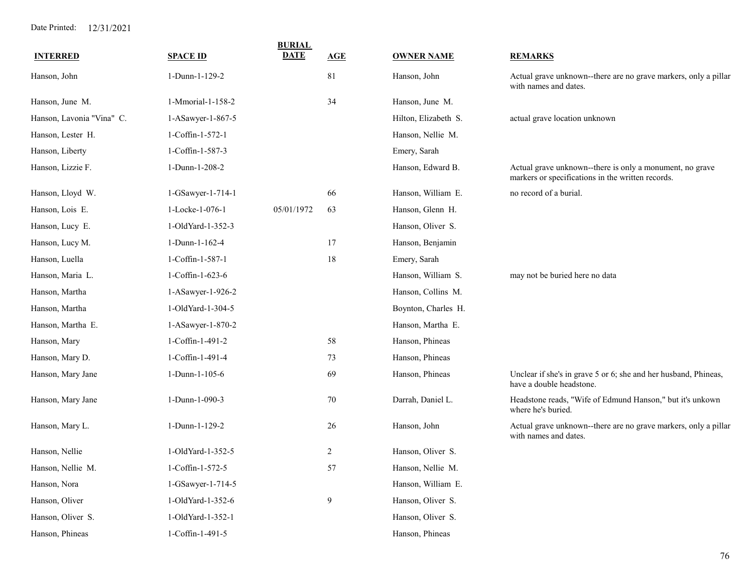| <b>INTERRED</b>           | <b>SPACE ID</b>   | <b>BURIAL</b><br><b>DATE</b> | AGE            | <b>OWNER NAME</b>    | <b>REMARKS</b>                                                                                                |
|---------------------------|-------------------|------------------------------|----------------|----------------------|---------------------------------------------------------------------------------------------------------------|
| Hanson, John              | 1-Dunn-1-129-2    |                              | 81             | Hanson, John         | Actual grave unknown--there are no grave markers, only a pillar<br>with names and dates.                      |
| Hanson, June M.           | 1-Mmorial-1-158-2 |                              | 34             | Hanson, June M.      |                                                                                                               |
| Hanson, Lavonia "Vina" C. | 1-ASawyer-1-867-5 |                              |                | Hilton, Elizabeth S. | actual grave location unknown                                                                                 |
| Hanson, Lester H.         | 1-Coffin-1-572-1  |                              |                | Hanson, Nellie M.    |                                                                                                               |
| Hanson, Liberty           | 1-Coffin-1-587-3  |                              |                | Emery, Sarah         |                                                                                                               |
| Hanson, Lizzie F.         | 1-Dunn-1-208-2    |                              |                | Hanson, Edward B.    | Actual grave unknown--there is only a monument, no grave<br>markers or specifications in the written records. |
| Hanson, Lloyd W.          | 1-GSawyer-1-714-1 |                              | 66             | Hanson, William E.   | no record of a burial.                                                                                        |
| Hanson, Lois E.           | 1-Locke-1-076-1   | 05/01/1972                   | 63             | Hanson, Glenn H.     |                                                                                                               |
| Hanson, Lucy E.           | 1-OldYard-1-352-3 |                              |                | Hanson, Oliver S.    |                                                                                                               |
| Hanson, Lucy M.           | 1-Dunn-1-162-4    |                              | 17             | Hanson, Benjamin     |                                                                                                               |
| Hanson, Luella            | 1-Coffin-1-587-1  |                              | 18             | Emery, Sarah         |                                                                                                               |
| Hanson, Maria L.          | 1-Coffin-1-623-6  |                              |                | Hanson, William S.   | may not be buried here no data                                                                                |
| Hanson, Martha            | 1-ASawyer-1-926-2 |                              |                | Hanson, Collins M.   |                                                                                                               |
| Hanson, Martha            | 1-OldYard-1-304-5 |                              |                | Boynton, Charles H.  |                                                                                                               |
| Hanson, Martha E.         | 1-ASawyer-1-870-2 |                              |                | Hanson, Martha E.    |                                                                                                               |
| Hanson, Mary              | 1-Coffin-1-491-2  |                              | 58             | Hanson, Phineas      |                                                                                                               |
| Hanson, Mary D.           | 1-Coffin-1-491-4  |                              | 73             | Hanson, Phineas      |                                                                                                               |
| Hanson, Mary Jane         | 1-Dunn-1-105-6    |                              | 69             | Hanson, Phineas      | Unclear if she's in grave 5 or 6; she and her husband, Phineas,<br>have a double headstone.                   |
| Hanson, Mary Jane         | 1-Dunn-1-090-3    |                              | 70             | Darrah, Daniel L.    | Headstone reads, "Wife of Edmund Hanson," but it's unkown<br>where he's buried.                               |
| Hanson, Mary L.           | 1-Dunn-1-129-2    |                              | 26             | Hanson, John         | Actual grave unknown--there are no grave markers, only a pillar<br>with names and dates.                      |
| Hanson, Nellie            | 1-OldYard-1-352-5 |                              | $\overline{c}$ | Hanson, Oliver S.    |                                                                                                               |
| Hanson, Nellie M.         | 1-Coffin-1-572-5  |                              | 57             | Hanson, Nellie M.    |                                                                                                               |
| Hanson, Nora              | 1-GSawyer-1-714-5 |                              |                | Hanson, William E.   |                                                                                                               |
| Hanson, Oliver            | 1-OldYard-1-352-6 |                              | 9              | Hanson, Oliver S.    |                                                                                                               |
| Hanson, Oliver S.         | 1-OldYard-1-352-1 |                              |                | Hanson, Oliver S.    |                                                                                                               |
| Hanson, Phineas           | 1-Coffin-1-491-5  |                              |                | Hanson, Phineas      |                                                                                                               |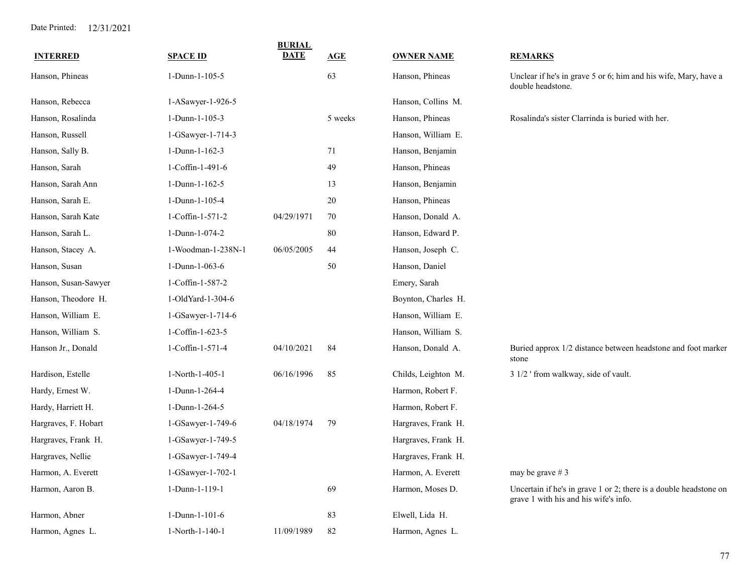| <b>INTERRED</b>      | <b>SPACE ID</b>    | <b>BURIAL</b><br><b>DATE</b> | AGE     | <b>OWNER NAME</b>   | <b>REMARKS</b>                                                                                             |
|----------------------|--------------------|------------------------------|---------|---------------------|------------------------------------------------------------------------------------------------------------|
| Hanson, Phineas      | 1-Dunn-1-105-5     |                              | 63      | Hanson, Phineas     | Unclear if he's in grave 5 or 6; him and his wife, Mary, have a<br>double headstone.                       |
| Hanson, Rebecca      | 1-ASawyer-1-926-5  |                              |         | Hanson, Collins M.  |                                                                                                            |
| Hanson, Rosalinda    | 1-Dunn-1-105-3     |                              | 5 weeks | Hanson, Phineas     | Rosalinda's sister Clarrinda is buried with her.                                                           |
| Hanson, Russell      | 1-GSawyer-1-714-3  |                              |         | Hanson, William E.  |                                                                                                            |
| Hanson, Sally B.     | 1-Dunn-1-162-3     |                              | 71      | Hanson, Benjamin    |                                                                                                            |
| Hanson, Sarah        | 1-Coffin-1-491-6   |                              | 49      | Hanson, Phineas     |                                                                                                            |
| Hanson, Sarah Ann    | 1-Dunn-1-162-5     |                              | 13      | Hanson, Benjamin    |                                                                                                            |
| Hanson, Sarah E.     | 1-Dunn-1-105-4     |                              | 20      | Hanson, Phineas     |                                                                                                            |
| Hanson, Sarah Kate   | 1-Coffin-1-571-2   | 04/29/1971                   | 70      | Hanson, Donald A.   |                                                                                                            |
| Hanson, Sarah L.     | 1-Dunn-1-074-2     |                              | 80      | Hanson, Edward P.   |                                                                                                            |
| Hanson, Stacey A.    | 1-Woodman-1-238N-1 | 06/05/2005                   | 44      | Hanson, Joseph C.   |                                                                                                            |
| Hanson, Susan        | 1-Dunn-1-063-6     |                              | 50      | Hanson, Daniel      |                                                                                                            |
| Hanson, Susan-Sawyer | 1-Coffin-1-587-2   |                              |         | Emery, Sarah        |                                                                                                            |
| Hanson, Theodore H.  | 1-OldYard-1-304-6  |                              |         | Boynton, Charles H. |                                                                                                            |
| Hanson, William E.   | 1-GSawyer-1-714-6  |                              |         | Hanson, William E.  |                                                                                                            |
| Hanson, William S.   | 1-Coffin-1-623-5   |                              |         | Hanson, William S.  |                                                                                                            |
| Hanson Jr., Donald   | 1-Coffin-1-571-4   | 04/10/2021                   | 84      | Hanson, Donald A.   | Buried approx 1/2 distance between headstone and foot marker<br>stone                                      |
| Hardison, Estelle    | 1-North-1-405-1    | 06/16/1996                   | 85      | Childs, Leighton M. | 3 1/2 ' from walkway, side of vault.                                                                       |
| Hardy, Ernest W.     | 1-Dunn-1-264-4     |                              |         | Harmon, Robert F.   |                                                                                                            |
| Hardy, Harriett H.   | 1-Dunn-1-264-5     |                              |         | Harmon, Robert F.   |                                                                                                            |
| Hargraves, F. Hobart | 1-GSawyer-1-749-6  | 04/18/1974                   | 79      | Hargraves, Frank H. |                                                                                                            |
| Hargraves, Frank H.  | 1-GSawyer-1-749-5  |                              |         | Hargraves, Frank H. |                                                                                                            |
| Hargraves, Nellie    | 1-GSawyer-1-749-4  |                              |         | Hargraves, Frank H. |                                                                                                            |
| Harmon, A. Everett   | 1-GSawyer-1-702-1  |                              |         | Harmon, A. Everett  | may be grave $# 3$                                                                                         |
| Harmon, Aaron B.     | 1-Dunn-1-119-1     |                              | 69      | Harmon, Moses D.    | Uncertain if he's in grave 1 or 2; there is a double headstone on<br>grave 1 with his and his wife's info. |
| Harmon, Abner        | 1-Dunn-1-101-6     |                              | 83      | Elwell, Lida H.     |                                                                                                            |
| Harmon, Agnes L.     | 1-North-1-140-1    | 11/09/1989                   | 82      | Harmon, Agnes L.    |                                                                                                            |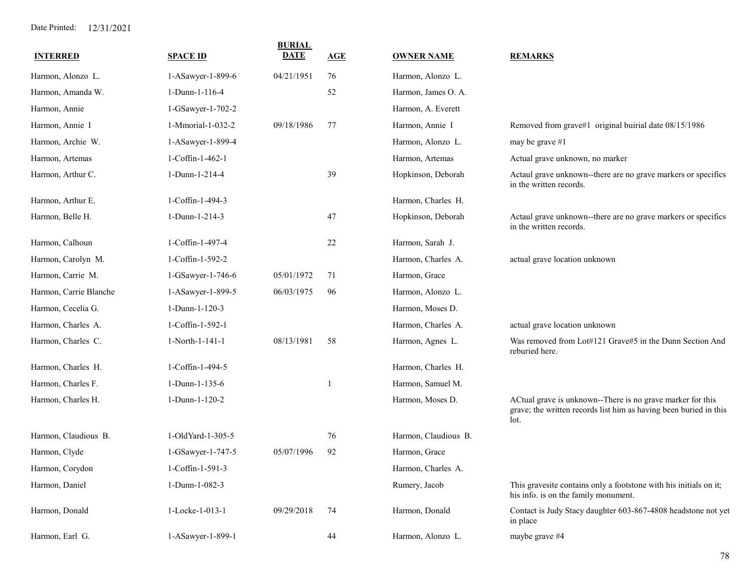| <b>INTERRED</b>        | <b>SPACE ID</b>   | <b>BURIAL</b><br><b>DATE</b> | <b>AGE</b> | <b>OWNER NAME</b>    | <b>REMARKS</b>                                                                                                                          |
|------------------------|-------------------|------------------------------|------------|----------------------|-----------------------------------------------------------------------------------------------------------------------------------------|
| Harmon, Alonzo L.      | 1-ASawyer-1-899-6 | 04/21/1951                   | 76         | Harmon, Alonzo L.    |                                                                                                                                         |
| Harmon, Amanda W.      | 1-Dunn-1-116-4    |                              | 52         | Harmon, James O. A.  |                                                                                                                                         |
| Harmon, Annie          | 1-GSawyer-1-702-2 |                              |            | Harmon, A. Everett   |                                                                                                                                         |
| Harmon, Annie I        | 1-Mmorial-1-032-2 | 09/18/1986                   | 77         | Harmon, Annie I      | Removed from grave#1 original buirial date 08/15/1986                                                                                   |
| Harmon, Archie W.      | 1-ASawyer-1-899-4 |                              |            | Harmon, Alonzo L.    | may be grave $#1$                                                                                                                       |
| Harmon, Artemas        | 1-Coffin-1-462-1  |                              |            | Harmon, Artemas      | Actual grave unknown, no marker                                                                                                         |
| Harmon, Arthur C.      | 1-Dunn-1-214-4    |                              | 39         | Hopkinson, Deborah   | Actaul grave unknown--there are no grave markers or specifics<br>in the written records.                                                |
| Harmon, Arthur E.      | 1-Coffin-1-494-3  |                              |            | Harmon, Charles H.   |                                                                                                                                         |
| Harmon, Belle H.       | 1-Dunn-1-214-3    |                              | 47         | Hopkinson, Deborah   | Actaul grave unknown--there are no grave markers or specifics<br>in the written records.                                                |
| Harmon, Calhoun        | 1-Coffin-1-497-4  |                              | 22         | Harmon, Sarah J.     |                                                                                                                                         |
| Harmon, Carolyn M.     | 1-Coffin-1-592-2  |                              |            | Harmon, Charles A.   | actual grave location unknown                                                                                                           |
| Harmon, Carrie M.      | 1-GSawyer-1-746-6 | 05/01/1972                   | 71         | Harmon, Grace        |                                                                                                                                         |
| Harmon, Carrie Blanche | 1-ASawyer-1-899-5 | 06/03/1975                   | 96         | Harmon, Alonzo L.    |                                                                                                                                         |
| Harmon, Cecelia G.     | 1-Dunn-1-120-3    |                              |            | Harmon, Moses D.     |                                                                                                                                         |
| Harmon, Charles A.     | 1-Coffin-1-592-1  |                              |            | Harmon, Charles A.   | actual grave location unknown                                                                                                           |
| Harmon, Charles C.     | 1-North-1-141-1   | 08/13/1981                   | 58         | Harmon, Agnes L.     | Was removed from Lot#121 Grave#5 in the Dunn Section And<br>reburied here.                                                              |
| Harmon, Charles H.     | 1-Coffin-1-494-5  |                              |            | Harmon, Charles H.   |                                                                                                                                         |
| Harmon, Charles F.     | 1-Dunn-1-135-6    |                              |            | Harmon, Samuel M.    |                                                                                                                                         |
| Harmon, Charles H.     | 1-Dunn-1-120-2    |                              |            | Harmon, Moses D.     | ACtual grave is unknown--There is no grave marker for this<br>grave; the written records list him as having been buried in this<br>lot. |
| Harmon, Claudious B.   | 1-OldYard-1-305-5 |                              | 76         | Harmon, Claudious B. |                                                                                                                                         |
| Harmon, Clyde          | 1-GSawyer-1-747-5 | 05/07/1996                   | 92         | Harmon, Grace        |                                                                                                                                         |
| Harmon, Corydon        | 1-Coffin-1-591-3  |                              |            | Harmon, Charles A.   |                                                                                                                                         |
| Harmon, Daniel         | 1-Dunn-1-082-3    |                              |            | Rumery, Jacob        | This gravesite contains only a footstone with his initials on it;<br>his info. is on the family monument.                               |
| Harmon, Donald         | 1-Locke-1-013-1   | 09/29/2018                   | 74         | Harmon, Donald       | Contact is Judy Stacy daughter 603-867-4808 headstone not yet<br>in place                                                               |
| Harmon, Earl G.        | 1-ASawyer-1-899-1 |                              | 44         | Harmon, Alonzo L.    | maybe grave #4                                                                                                                          |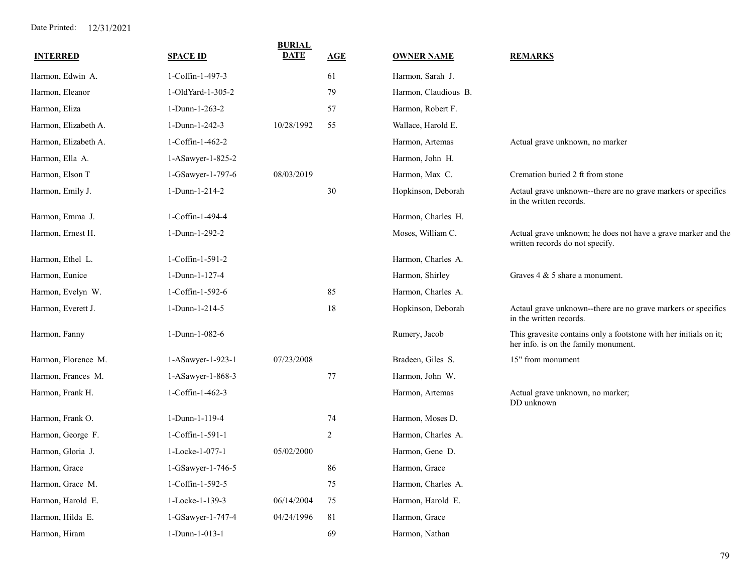| <b>INTERRED</b>      | <b>SPACE ID</b>     | <b>BURIAL</b><br><b>DATE</b> | AGE | <b>OWNER NAME</b>    | <b>REMARKS</b>                                                                                            |
|----------------------|---------------------|------------------------------|-----|----------------------|-----------------------------------------------------------------------------------------------------------|
| Harmon, Edwin A.     | 1-Coffin-1-497-3    |                              | 61  | Harmon, Sarah J.     |                                                                                                           |
| Harmon, Eleanor      | 1-OldYard-1-305-2   |                              | 79  | Harmon, Claudious B. |                                                                                                           |
| Harmon, Eliza        | 1-Dunn-1-263-2      |                              | 57  | Harmon, Robert F.    |                                                                                                           |
| Harmon, Elizabeth A. | 1-Dunn-1-242-3      | 10/28/1992                   | 55  | Wallace, Harold E.   |                                                                                                           |
| Harmon, Elizabeth A. | 1-Coffin-1-462-2    |                              |     | Harmon, Artemas      | Actual grave unknown, no marker                                                                           |
| Harmon, Ella A.      | $1-ASawyer-1-825-2$ |                              |     | Harmon, John H.      |                                                                                                           |
| Harmon, Elson T      | 1-GSawyer-1-797-6   | 08/03/2019                   |     | Harmon, Max C.       | Cremation buried 2 ft from stone                                                                          |
| Harmon, Emily J.     | 1-Dunn-1-214-2      |                              | 30  | Hopkinson, Deborah   | Actaul grave unknown--there are no grave markers or specifics<br>in the written records.                  |
| Harmon, Emma J.      | 1-Coffin-1-494-4    |                              |     | Harmon, Charles H.   |                                                                                                           |
| Harmon, Ernest H.    | 1-Dunn-1-292-2      |                              |     | Moses, William C.    | Actual grave unknown; he does not have a grave marker and the<br>written records do not specify.          |
| Harmon, Ethel L.     | 1-Coffin-1-591-2    |                              |     | Harmon, Charles A.   |                                                                                                           |
| Harmon, Eunice       | 1-Dunn-1-127-4      |                              |     | Harmon, Shirley      | Graves $4 \& 5$ share a monument.                                                                         |
| Harmon, Evelyn W.    | 1-Coffin-1-592-6    |                              | 85  | Harmon, Charles A.   |                                                                                                           |
| Harmon, Everett J.   | 1-Dunn-1-214-5      |                              | 18  | Hopkinson, Deborah   | Actaul grave unknown--there are no grave markers or specifics<br>in the written records.                  |
| Harmon, Fanny        | 1-Dunn-1-082-6      |                              |     | Rumery, Jacob        | This gravesite contains only a footstone with her initials on it;<br>her info. is on the family monument. |
| Harmon, Florence M.  | 1-ASawyer-1-923-1   | 07/23/2008                   |     | Bradeen, Giles S.    | 15" from monument                                                                                         |
| Harmon, Frances M.   | 1-ASawyer-1-868-3   |                              | 77  | Harmon, John W.      |                                                                                                           |
| Harmon, Frank H.     | 1-Coffin-1-462-3    |                              |     | Harmon, Artemas      | Actual grave unknown, no marker;<br>DD unknown                                                            |
| Harmon, Frank O.     | 1-Dunn-1-119-4      |                              | 74  | Harmon, Moses D.     |                                                                                                           |
| Harmon, George F.    | 1-Coffin-1-591-1    |                              | 2   | Harmon, Charles A.   |                                                                                                           |
| Harmon, Gloria J.    | 1-Locke-1-077-1     | 05/02/2000                   |     | Harmon, Gene D.      |                                                                                                           |
| Harmon, Grace        | 1-GSawyer-1-746-5   |                              | 86  | Harmon, Grace        |                                                                                                           |
| Harmon, Grace M.     | 1-Coffin-1-592-5    |                              | 75  | Harmon, Charles A.   |                                                                                                           |
| Harmon, Harold E.    | 1-Locke-1-139-3     | 06/14/2004                   | 75  | Harmon, Harold E.    |                                                                                                           |
| Harmon, Hilda E.     | 1-GSawyer-1-747-4   | 04/24/1996                   | 81  | Harmon, Grace        |                                                                                                           |
| Harmon, Hiram        | 1-Dunn-1-013-1      |                              | 69  | Harmon, Nathan       |                                                                                                           |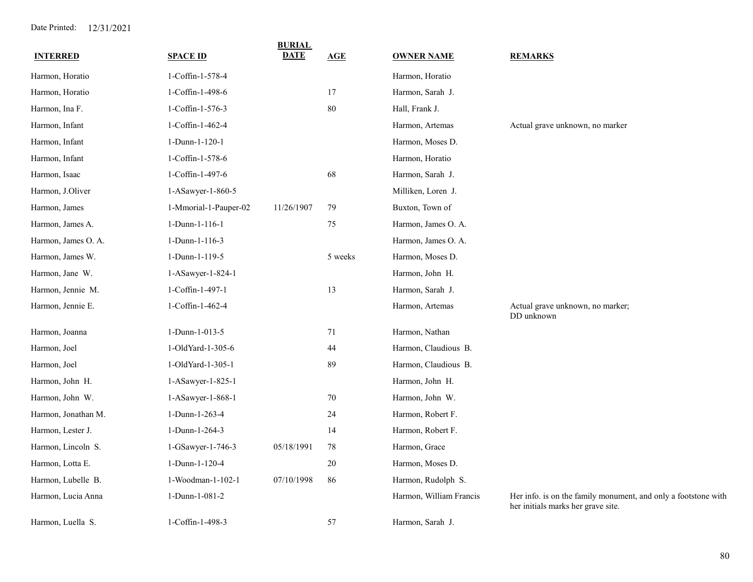| <b>INTERRED</b>     | <b>SPACE ID</b>       | <b>BURIAL</b><br><b>DATE</b> | AGE     | <b>OWNER NAME</b>       | <b>REMARKS</b>                                                                                       |
|---------------------|-----------------------|------------------------------|---------|-------------------------|------------------------------------------------------------------------------------------------------|
| Harmon, Horatio     | 1-Coffin-1-578-4      |                              |         | Harmon, Horatio         |                                                                                                      |
| Harmon, Horatio     | 1-Coffin-1-498-6      |                              | 17      | Harmon, Sarah J.        |                                                                                                      |
| Harmon, Ina F.      | 1-Coffin-1-576-3      |                              | 80      | Hall, Frank J.          |                                                                                                      |
| Harmon, Infant      | 1-Coffin-1-462-4      |                              |         | Harmon, Artemas         | Actual grave unknown, no marker                                                                      |
| Harmon, Infant      | 1-Dunn-1-120-1        |                              |         | Harmon, Moses D.        |                                                                                                      |
| Harmon, Infant      | 1-Coffin-1-578-6      |                              |         | Harmon, Horatio         |                                                                                                      |
| Harmon, Isaac       | 1-Coffin-1-497-6      |                              | 68      | Harmon, Sarah J.        |                                                                                                      |
| Harmon, J.Oliver    | 1-ASawyer-1-860-5     |                              |         | Milliken, Loren J.      |                                                                                                      |
| Harmon, James       | 1-Mmorial-1-Pauper-02 | 11/26/1907                   | 79      | Buxton, Town of         |                                                                                                      |
| Harmon, James A.    | 1-Dunn-1-116-1        |                              | 75      | Harmon, James O. A.     |                                                                                                      |
| Harmon, James O. A. | 1-Dunn-1-116-3        |                              |         | Harmon, James O. A.     |                                                                                                      |
| Harmon, James W.    | 1-Dunn-1-119-5        |                              | 5 weeks | Harmon, Moses D.        |                                                                                                      |
| Harmon, Jane W.     | 1-ASawyer-1-824-1     |                              |         | Harmon, John H.         |                                                                                                      |
| Harmon, Jennie M.   | 1-Coffin-1-497-1      |                              | 13      | Harmon, Sarah J.        |                                                                                                      |
| Harmon, Jennie E.   | 1-Coffin-1-462-4      |                              |         | Harmon, Artemas         | Actual grave unknown, no marker;<br>DD unknown                                                       |
| Harmon, Joanna      | 1-Dunn-1-013-5        |                              | 71      | Harmon, Nathan          |                                                                                                      |
| Harmon, Joel        | 1-OldYard-1-305-6     |                              | 44      | Harmon, Claudious B.    |                                                                                                      |
| Harmon, Joel        | 1-OldYard-1-305-1     |                              | 89      | Harmon, Claudious B.    |                                                                                                      |
| Harmon, John H.     | 1-ASawyer-1-825-1     |                              |         | Harmon, John H.         |                                                                                                      |
| Harmon, John W.     | 1-ASawyer-1-868-1     |                              | 70      | Harmon, John W.         |                                                                                                      |
| Harmon, Jonathan M. | 1-Dunn-1-263-4        |                              | 24      | Harmon, Robert F.       |                                                                                                      |
| Harmon, Lester J.   | 1-Dunn-1-264-3        |                              | 14      | Harmon, Robert F.       |                                                                                                      |
| Harmon, Lincoln S.  | 1-GSawyer-1-746-3     | 05/18/1991                   | 78      | Harmon, Grace           |                                                                                                      |
| Harmon, Lotta E.    | 1-Dunn-1-120-4        |                              | 20      | Harmon, Moses D.        |                                                                                                      |
| Harmon, Lubelle B.  | 1-Woodman-1-102-1     | 07/10/1998                   | 86      | Harmon, Rudolph S.      |                                                                                                      |
| Harmon, Lucia Anna  | 1-Dunn-1-081-2        |                              |         | Harmon, William Francis | Her info. is on the family monument, and only a footstone with<br>her initials marks her grave site. |
| Harmon, Luella S.   | 1-Coffin-1-498-3      |                              | 57      | Harmon, Sarah J.        |                                                                                                      |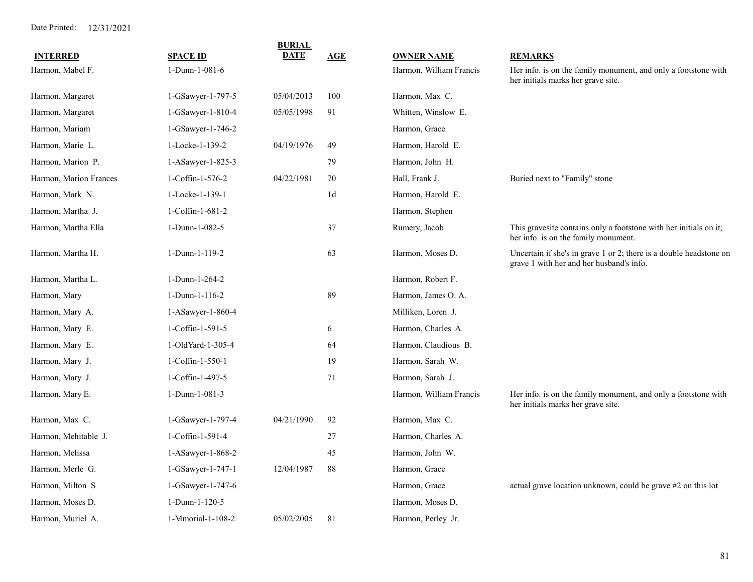| <b>INTERRED</b>        | <b>SPACE ID</b>   | <b>BURIAL</b><br><b>DATE</b> | AGE           | <b>OWNER NAME</b>       | <b>REMARKS</b>                                                                                                 |
|------------------------|-------------------|------------------------------|---------------|-------------------------|----------------------------------------------------------------------------------------------------------------|
| Harmon, Mabel F.       | 1-Dunn-1-081-6    |                              |               | Harmon, William Francis | Her info. is on the family monument, and only a footstone with<br>her initials marks her grave site.           |
| Harmon, Margaret       | 1-GSawyer-1-797-5 | 05/04/2013                   | 100           | Harmon, Max C.          |                                                                                                                |
| Harmon, Margaret       | 1-GSawyer-1-810-4 | 05/05/1998                   | 91            | Whitten, Winslow E.     |                                                                                                                |
| Harmon, Mariam         | 1-GSawyer-1-746-2 |                              |               | Harmon, Grace           |                                                                                                                |
| Harmon, Marie L.       | 1-Locke-1-139-2   | 04/19/1976                   | 49            | Harmon, Harold E.       |                                                                                                                |
| Harmon, Marion P.      | 1-ASawyer-1-825-3 |                              | 79            | Harmon, John H.         |                                                                                                                |
| Harmon, Marion Frances | 1-Coffin-1-576-2  | 04/22/1981                   | 70            | Hall, Frank J.          | Buried next to "Family" stone                                                                                  |
| Harmon, Mark N.        | 1-Locke-1-139-1   |                              | $1\mathrm{d}$ | Harmon, Harold E.       |                                                                                                                |
| Harmon, Martha J.      | 1-Coffin-1-681-2  |                              |               | Harmon, Stephen         |                                                                                                                |
| Harmon, Martha Ella    | 1-Dunn-1-082-5    |                              | 37            | Rumery, Jacob           | This gravesite contains only a footstone with her initials on it;<br>her info. is on the family monument.      |
| Harmon, Martha H.      | 1-Dunn-1-119-2    |                              | 63            | Harmon, Moses D.        | Uncertain if she's in grave 1 or 2; there is a double headstone on<br>grave 1 with her and her husband's info. |
| Harmon, Martha L.      | 1-Dunn-1-264-2    |                              |               | Harmon, Robert F.       |                                                                                                                |
| Harmon, Mary           | 1-Dunn-1-116-2    |                              | 89            | Harmon, James O. A.     |                                                                                                                |
| Harmon, Mary A.        | 1-ASawyer-1-860-4 |                              |               | Milliken, Loren J.      |                                                                                                                |
| Harmon, Mary E.        | 1-Coffin-1-591-5  |                              | 6             | Harmon, Charles A.      |                                                                                                                |
| Harmon, Mary E.        | 1-OldYard-1-305-4 |                              | 64            | Harmon, Claudious B.    |                                                                                                                |
| Harmon, Mary J.        | 1-Coffin-1-550-1  |                              | 19            | Harmon, Sarah W.        |                                                                                                                |
| Harmon, Mary J.        | 1-Coffin-1-497-5  |                              | 71            | Harmon, Sarah J.        |                                                                                                                |
| Harmon, Mary E.        | 1-Dunn-1-081-3    |                              |               | Harmon, William Francis | Her info. is on the family monument, and only a footstone with<br>her initials marks her grave site.           |
| Harmon, Max C.         | 1-GSawyer-1-797-4 | 04/21/1990                   | 92            | Harmon, Max C.          |                                                                                                                |
| Harmon, Mehitable J.   | 1-Coffin-1-591-4  |                              | 27            | Harmon, Charles A.      |                                                                                                                |
| Harmon, Melissa        | 1-ASawyer-1-868-2 |                              | 45            | Harmon, John W.         |                                                                                                                |
| Harmon, Merle G.       | 1-GSawyer-1-747-1 | 12/04/1987                   | 88            | Harmon, Grace           |                                                                                                                |
| Harmon, Milton S       | 1-GSawyer-1-747-6 |                              |               | Harmon, Grace           | actual grave location unknown, could be grave #2 on this lot                                                   |
| Harmon, Moses D.       | 1-Dunn-1-120-5    |                              |               | Harmon, Moses D.        |                                                                                                                |
| Harmon, Muriel A.      | 1-Mmorial-1-108-2 | 05/02/2005                   | 81            | Harmon, Perley Jr.      |                                                                                                                |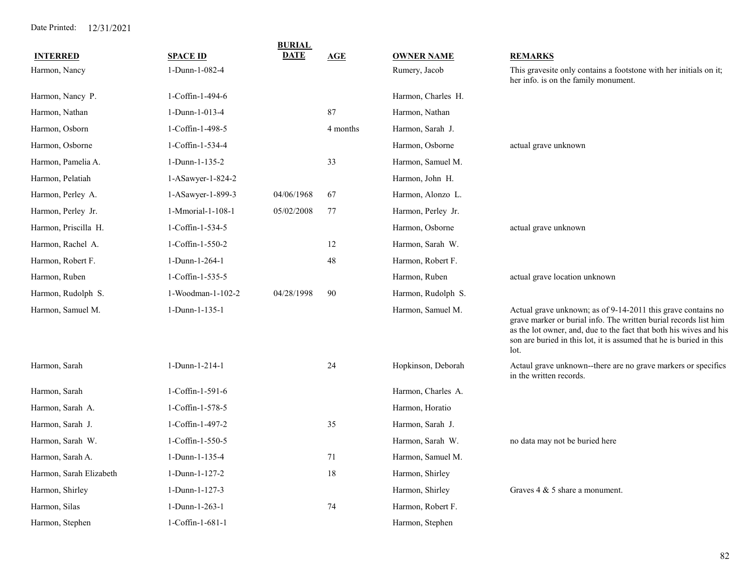| <b>INTERRED</b>         | <b>SPACE ID</b>    | <b>BURIAL</b><br><b>DATE</b> | AGE      | <b>OWNER NAME</b>  | <b>REMARKS</b>                                                                                                                                                                                                                                                                        |
|-------------------------|--------------------|------------------------------|----------|--------------------|---------------------------------------------------------------------------------------------------------------------------------------------------------------------------------------------------------------------------------------------------------------------------------------|
| Harmon, Nancy           | 1-Dunn-1-082-4     |                              |          | Rumery, Jacob      | This gravesite only contains a footstone with her initials on it;<br>her info. is on the family monument.                                                                                                                                                                             |
| Harmon, Nancy P.        | 1-Coffin-1-494-6   |                              |          | Harmon, Charles H. |                                                                                                                                                                                                                                                                                       |
| Harmon, Nathan          | 1-Dunn-1-013-4     |                              | 87       | Harmon, Nathan     |                                                                                                                                                                                                                                                                                       |
| Harmon, Osborn          | 1-Coffin-1-498-5   |                              | 4 months | Harmon, Sarah J.   |                                                                                                                                                                                                                                                                                       |
| Harmon, Osborne         | 1-Coffin-1-534-4   |                              |          | Harmon, Osborne    | actual grave unknown                                                                                                                                                                                                                                                                  |
| Harmon, Pamelia A.      | 1-Dunn-1-135-2     |                              | 33       | Harmon, Samuel M.  |                                                                                                                                                                                                                                                                                       |
| Harmon, Pelatiah        | 1-ASawyer-1-824-2  |                              |          | Harmon, John H.    |                                                                                                                                                                                                                                                                                       |
| Harmon, Perley A.       | 1-ASawyer-1-899-3  | 04/06/1968                   | 67       | Harmon, Alonzo L.  |                                                                                                                                                                                                                                                                                       |
| Harmon, Perley Jr.      | 1-Mmorial-1-108-1  | 05/02/2008                   | 77       | Harmon, Perley Jr. |                                                                                                                                                                                                                                                                                       |
| Harmon, Priscilla H.    | 1-Coffin-1-534-5   |                              |          | Harmon, Osborne    | actual grave unknown                                                                                                                                                                                                                                                                  |
| Harmon, Rachel A.       | 1-Coffin-1-550-2   |                              | 12       | Harmon, Sarah W.   |                                                                                                                                                                                                                                                                                       |
| Harmon, Robert F.       | 1-Dunn-1-264-1     |                              | 48       | Harmon, Robert F.  |                                                                                                                                                                                                                                                                                       |
| Harmon, Ruben           | 1-Coffin-1-535-5   |                              |          | Harmon, Ruben      | actual grave location unknown                                                                                                                                                                                                                                                         |
| Harmon, Rudolph S.      | 1-Woodman-1-102-2  | 04/28/1998                   | 90       | Harmon, Rudolph S. |                                                                                                                                                                                                                                                                                       |
| Harmon, Samuel M.       | 1-Dunn-1-135-1     |                              |          | Harmon, Samuel M.  | Actual grave unknown; as of 9-14-2011 this grave contains no<br>grave marker or burial info. The written burial records list him<br>as the lot owner, and, due to the fact that both his wives and his<br>son are buried in this lot, it is assumed that he is buried in this<br>lot. |
| Harmon, Sarah           | 1-Dunn-1-214-1     |                              | 24       | Hopkinson, Deborah | Actaul grave unknown--there are no grave markers or specifics<br>in the written records.                                                                                                                                                                                              |
| Harmon, Sarah           | 1-Coffin-1-591-6   |                              |          | Harmon, Charles A. |                                                                                                                                                                                                                                                                                       |
| Harmon, Sarah A.        | 1-Coffin-1-578-5   |                              |          | Harmon, Horatio    |                                                                                                                                                                                                                                                                                       |
| Harmon, Sarah J.        | 1-Coffin-1-497-2   |                              | 35       | Harmon, Sarah J.   |                                                                                                                                                                                                                                                                                       |
| Harmon, Sarah W.        | 1-Coffin-1-550-5   |                              |          | Harmon, Sarah W.   | no data may not be buried here                                                                                                                                                                                                                                                        |
| Harmon, Sarah A.        | 1-Dunn-1-135-4     |                              | 71       | Harmon, Samuel M.  |                                                                                                                                                                                                                                                                                       |
| Harmon, Sarah Elizabeth | 1-Dunn-1-127-2     |                              | 18       | Harmon, Shirley    |                                                                                                                                                                                                                                                                                       |
| Harmon, Shirley         | 1-Dunn-1-127-3     |                              |          | Harmon, Shirley    | Graves $4 & 5$ share a monument.                                                                                                                                                                                                                                                      |
| Harmon, Silas           | 1-Dunn-1-263-1     |                              | 74       | Harmon, Robert F.  |                                                                                                                                                                                                                                                                                       |
| Harmon, Stephen         | $1-Coffin-1-681-1$ |                              |          | Harmon, Stephen    |                                                                                                                                                                                                                                                                                       |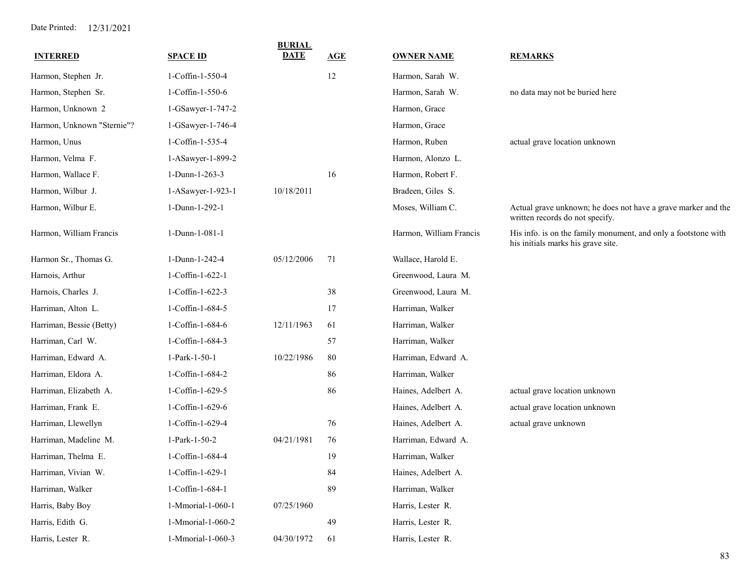| <b>INTERRED</b>            | <b>SPACE ID</b>   | <b>BURIAL</b><br><b>DATE</b> | <b>AGE</b> | <b>OWNER NAME</b>       | <b>REMARKS</b>                                                                                       |
|----------------------------|-------------------|------------------------------|------------|-------------------------|------------------------------------------------------------------------------------------------------|
| Harmon, Stephen Jr.        | 1-Coffin-1-550-4  |                              | 12         | Harmon, Sarah W.        |                                                                                                      |
| Harmon, Stephen Sr.        | 1-Coffin-1-550-6  |                              |            | Harmon, Sarah W.        | no data may not be buried here                                                                       |
| Harmon, Unknown 2          | 1-GSawyer-1-747-2 |                              |            | Harmon, Grace           |                                                                                                      |
| Harmon, Unknown "Sternie"? | 1-GSawyer-1-746-4 |                              |            | Harmon, Grace           |                                                                                                      |
| Harmon, Unus               | 1-Coffin-1-535-4  |                              |            | Harmon, Ruben           | actual grave location unknown                                                                        |
| Harmon, Velma F.           | 1-ASawyer-1-899-2 |                              |            | Harmon, Alonzo L.       |                                                                                                      |
| Harmon, Wallace F.         | 1-Dunn-1-263-3    |                              | 16         | Harmon, Robert F.       |                                                                                                      |
| Harmon, Wilbur J.          | 1-ASawyer-1-923-1 | 10/18/2011                   |            | Bradeen, Giles S.       |                                                                                                      |
| Harmon, Wilbur E.          | 1-Dunn-1-292-1    |                              |            | Moses, William C.       | Actual grave unknown; he does not have a grave marker and the<br>written records do not specify.     |
| Harmon, William Francis    | 1-Dunn-1-081-1    |                              |            | Harmon, William Francis | His info. is on the family monument, and only a footstone with<br>his initials marks his grave site. |
| Harmon Sr., Thomas G.      | 1-Dunn-1-242-4    | 05/12/2006                   | 71         | Wallace, Harold E.      |                                                                                                      |
| Harnois, Arthur            | 1-Coffin-1-622-1  |                              |            | Greenwood, Laura M.     |                                                                                                      |
| Harnois, Charles J.        | 1-Coffin-1-622-3  |                              | 38         | Greenwood, Laura M.     |                                                                                                      |
| Harriman, Alton L.         | 1-Coffin-1-684-5  |                              | 17         | Harriman, Walker        |                                                                                                      |
| Harriman, Bessie (Betty)   | 1-Coffin-1-684-6  | 12/11/1963                   | 61         | Harriman, Walker        |                                                                                                      |
| Harriman, Carl W.          | 1-Coffin-1-684-3  |                              | 57         | Harriman, Walker        |                                                                                                      |
| Harriman, Edward A.        | 1-Park-1-50-1     | 10/22/1986                   | 80         | Harriman, Edward A.     |                                                                                                      |
| Harriman, Eldora A.        | 1-Coffin-1-684-2  |                              | 86         | Harriman, Walker        |                                                                                                      |
| Harriman, Elizabeth A.     | 1-Coffin-1-629-5  |                              | 86         | Haines, Adelbert A.     | actual grave location unknown                                                                        |
| Harriman, Frank E.         | 1-Coffin-1-629-6  |                              |            | Haines, Adelbert A.     | actual grave location unknown                                                                        |
| Harriman, Llewellyn        | 1-Coffin-1-629-4  |                              | 76         | Haines, Adelbert A.     | actual grave unknown                                                                                 |
| Harriman, Madeline M.      | 1-Park-1-50-2     | 04/21/1981                   | 76         | Harriman, Edward A.     |                                                                                                      |
| Harriman, Thelma E.        | 1-Coffin-1-684-4  |                              | 19         | Harriman, Walker        |                                                                                                      |
| Harriman, Vivian W.        | 1-Coffin-1-629-1  |                              | 84         | Haines, Adelbert A.     |                                                                                                      |
| Harriman, Walker           | 1-Coffin-1-684-1  |                              | 89         | Harriman, Walker        |                                                                                                      |
| Harris, Baby Boy           | 1-Mmorial-1-060-1 | 07/25/1960                   |            | Harris, Lester R.       |                                                                                                      |
| Harris, Edith G.           | 1-Mmorial-1-060-2 |                              | 49         | Harris, Lester R.       |                                                                                                      |
| Harris, Lester R.          | 1-Mmorial-1-060-3 | 04/30/1972                   | 61         | Harris, Lester R.       |                                                                                                      |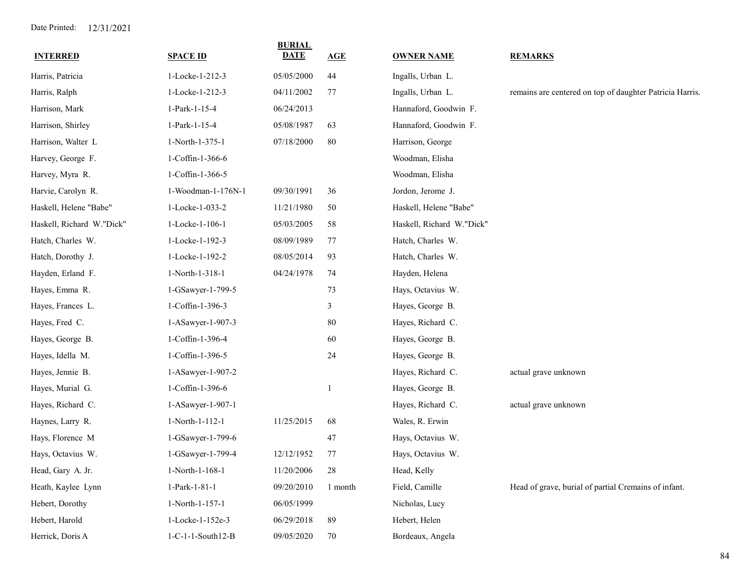| <b>INTERRED</b>           | <b>SPACE ID</b>    | <b>BURIAL</b><br><b>DATE</b> | AGE     | <b>OWNER NAME</b>         | <b>REMARKS</b>                                           |
|---------------------------|--------------------|------------------------------|---------|---------------------------|----------------------------------------------------------|
| Harris, Patricia          | 1-Locke-1-212-3    | 05/05/2000                   | 44      | Ingalls, Urban L.         |                                                          |
| Harris, Ralph             | 1-Locke-1-212-3    | 04/11/2002                   | 77      | Ingalls, Urban L.         | remains are centered on top of daughter Patricia Harris. |
| Harrison, Mark            | 1-Park-1-15-4      | 06/24/2013                   |         | Hannaford, Goodwin F.     |                                                          |
| Harrison, Shirley         | 1-Park-1-15-4      | 05/08/1987                   | 63      | Hannaford, Goodwin F.     |                                                          |
| Harrison, Walter L        | 1-North-1-375-1    | 07/18/2000                   | 80      | Harrison, George          |                                                          |
| Harvey, George F.         | 1-Coffin-1-366-6   |                              |         | Woodman, Elisha           |                                                          |
| Harvey, Myra R.           | 1-Coffin-1-366-5   |                              |         | Woodman, Elisha           |                                                          |
| Harvie, Carolyn R.        | 1-Woodman-1-176N-1 | 09/30/1991                   | 36      | Jordon, Jerome J.         |                                                          |
| Haskell, Helene "Babe"    | 1-Locke-1-033-2    | 11/21/1980                   | 50      | Haskell, Helene "Babe"    |                                                          |
| Haskell, Richard W."Dick" | 1-Locke-1-106-1    | 05/03/2005                   | 58      | Haskell, Richard W."Dick" |                                                          |
| Hatch, Charles W.         | 1-Locke-1-192-3    | 08/09/1989                   | 77      | Hatch, Charles W.         |                                                          |
| Hatch, Dorothy J.         | 1-Locke-1-192-2    | 08/05/2014                   | 93      | Hatch, Charles W.         |                                                          |
| Hayden, Erland F.         | 1-North-1-318-1    | 04/24/1978                   | 74      | Hayden, Helena            |                                                          |
| Hayes, Emma R.            | 1-GSawyer-1-799-5  |                              | 73      | Hays, Octavius W.         |                                                          |
| Hayes, Frances L.         | 1-Coffin-1-396-3   |                              | 3       | Hayes, George B.          |                                                          |
| Hayes, Fred C.            | 1-ASawyer-1-907-3  |                              | $80\,$  | Hayes, Richard C.         |                                                          |
| Hayes, George B.          | 1-Coffin-1-396-4   |                              | 60      | Hayes, George B.          |                                                          |
| Hayes, Idella M.          | 1-Coffin-1-396-5   |                              | 24      | Hayes, George B.          |                                                          |
| Hayes, Jennie B.          | 1-ASawyer-1-907-2  |                              |         | Hayes, Richard C.         | actual grave unknown                                     |
| Hayes, Murial G.          | 1-Coffin-1-396-6   |                              | 1       | Hayes, George B.          |                                                          |
| Hayes, Richard C.         | 1-ASawyer-1-907-1  |                              |         | Hayes, Richard C.         | actual grave unknown                                     |
| Haynes, Larry R.          | 1-North-1-112-1    | 11/25/2015                   | 68      | Wales, R. Erwin           |                                                          |
| Hays, Florence M          | 1-GSawyer-1-799-6  |                              | 47      | Hays, Octavius W.         |                                                          |
| Hays, Octavius W.         | 1-GSawyer-1-799-4  | 12/12/1952                   | 77      | Hays, Octavius W.         |                                                          |
| Head, Gary A. Jr.         | 1-North-1-168-1    | 11/20/2006                   | 28      | Head, Kelly               |                                                          |
| Heath, Kaylee Lynn        | 1-Park-1-81-1      | 09/20/2010                   | 1 month | Field, Camille            | Head of grave, burial of partial Cremains of infant.     |
| Hebert, Dorothy           | 1-North-1-157-1    | 06/05/1999                   |         | Nicholas, Lucy            |                                                          |
| Hebert, Harold            | 1-Locke-1-152e-3   | 06/29/2018                   | 89      | Hebert, Helen             |                                                          |
| Herrick, Doris A          | 1-C-1-1-South12-B  | 09/05/2020                   | 70      | Bordeaux, Angela          |                                                          |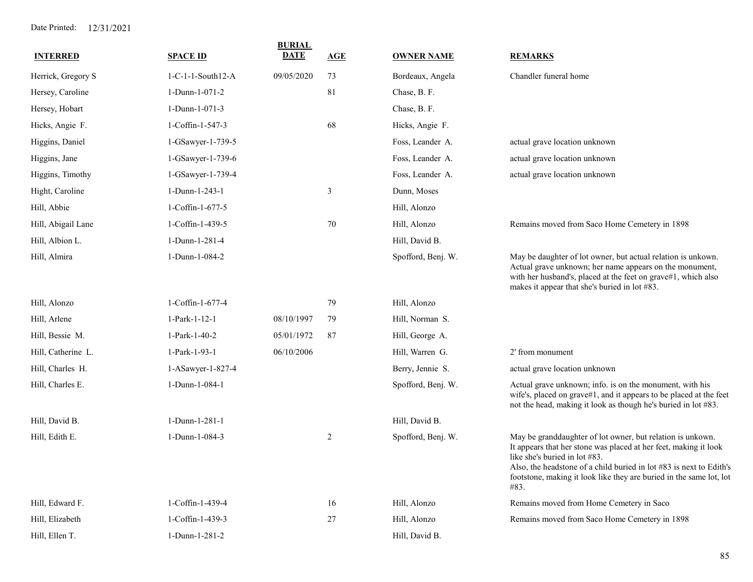|                    |                     | <b>BURIAL</b><br><b>DATE</b> |     |                    |                                                                                                                                                                                                                                                                                                                       |
|--------------------|---------------------|------------------------------|-----|--------------------|-----------------------------------------------------------------------------------------------------------------------------------------------------------------------------------------------------------------------------------------------------------------------------------------------------------------------|
| <b>INTERRED</b>    | <b>SPACE ID</b>     |                              | AGE | <b>OWNER NAME</b>  | <b>REMARKS</b>                                                                                                                                                                                                                                                                                                        |
| Herrick, Gregory S | $1-C-1-1-South12-A$ | 09/05/2020                   | 73  | Bordeaux, Angela   | Chandler funeral home                                                                                                                                                                                                                                                                                                 |
| Hersey, Caroline   | 1-Dunn-1-071-2      |                              | 81  | Chase, B. F.       |                                                                                                                                                                                                                                                                                                                       |
| Hersey, Hobart     | 1-Dunn-1-071-3      |                              |     | Chase, B. F.       |                                                                                                                                                                                                                                                                                                                       |
| Hicks, Angie F.    | 1-Coffin-1-547-3    |                              | 68  | Hicks, Angie F.    |                                                                                                                                                                                                                                                                                                                       |
| Higgins, Daniel    | 1-GSawyer-1-739-5   |                              |     | Foss, Leander A.   | actual grave location unknown                                                                                                                                                                                                                                                                                         |
| Higgins, Jane      | 1-GSawyer-1-739-6   |                              |     | Foss, Leander A.   | actual grave location unknown                                                                                                                                                                                                                                                                                         |
| Higgins, Timothy   | 1-GSawyer-1-739-4   |                              |     | Foss, Leander A.   | actual grave location unknown                                                                                                                                                                                                                                                                                         |
| Hight, Caroline    | 1-Dunn-1-243-1      |                              | 3   | Dunn, Moses        |                                                                                                                                                                                                                                                                                                                       |
| Hill, Abbie        | 1-Coffin-1-677-5    |                              |     | Hill, Alonzo       |                                                                                                                                                                                                                                                                                                                       |
| Hill, Abigail Lane | 1-Coffin-1-439-5    |                              | 70  | Hill, Alonzo       | Remains moved from Saco Home Cemetery in 1898                                                                                                                                                                                                                                                                         |
| Hill, Albion L.    | 1-Dunn-1-281-4      |                              |     | Hill, David B.     |                                                                                                                                                                                                                                                                                                                       |
| Hill, Almira       | 1-Dunn-1-084-2      |                              |     | Spofford, Benj. W. | May be daughter of lot owner, but actual relation is unkown.<br>Actual grave unknown; her name appears on the monument,<br>with her husband's, placed at the feet on grave#1, which also<br>makes it appear that she's buried in lot #83.                                                                             |
| Hill, Alonzo       | 1-Coffin-1-677-4    |                              | 79  | Hill, Alonzo       |                                                                                                                                                                                                                                                                                                                       |
| Hill, Arlene       | 1-Park-1-12-1       | 08/10/1997                   | 79  | Hill, Norman S.    |                                                                                                                                                                                                                                                                                                                       |
| Hill, Bessie M.    | 1-Park-1-40-2       | 05/01/1972                   | 87  | Hill, George A.    |                                                                                                                                                                                                                                                                                                                       |
| Hill, Catherine L. | 1-Park-1-93-1       | 06/10/2006                   |     | Hill, Warren G.    | 2' from monument                                                                                                                                                                                                                                                                                                      |
| Hill, Charles H.   | 1-ASawyer-1-827-4   |                              |     | Berry, Jennie S.   | actual grave location unknown                                                                                                                                                                                                                                                                                         |
| Hill, Charles E.   | 1-Dunn-1-084-1      |                              |     | Spofford, Benj. W. | Actual grave unknown; info. is on the monument, with his<br>wife's, placed on grave#1, and it appears to be placed at the feet<br>not the head, making it look as though he's buried in lot #83.                                                                                                                      |
| Hill, David B.     | 1-Dunn-1-281-1      |                              |     | Hill, David B.     |                                                                                                                                                                                                                                                                                                                       |
| Hill, Edith E.     | 1-Dunn-1-084-3      |                              | 2   | Spofford, Benj. W. | May be granddaughter of lot owner, but relation is unkown.<br>It appears that her stone was placed at her feet, making it look<br>like she's buried in lot #83.<br>Also, the headstone of a child buried in lot #83 is next to Edith's<br>footstone, making it look like they are buried in the same lot, lot<br>#83. |
| Hill, Edward F.    | 1-Coffin-1-439-4    |                              | 16  | Hill, Alonzo       | Remains moved from Home Cemetery in Saco                                                                                                                                                                                                                                                                              |
| Hill, Elizabeth    | 1-Coffin-1-439-3    |                              | 27  | Hill, Alonzo       | Remains moved from Saco Home Cemetery in 1898                                                                                                                                                                                                                                                                         |
| Hill, Ellen T.     | 1-Dunn-1-281-2      |                              |     | Hill, David B.     |                                                                                                                                                                                                                                                                                                                       |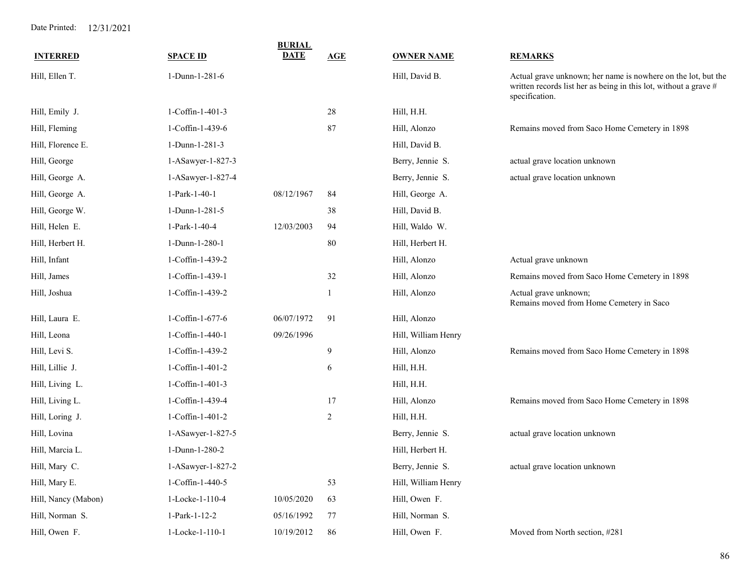| <b>SPACE ID</b>   | <b>BURIAL</b><br><b>DATE</b> | AGE            | <b>OWNER NAME</b>   | <b>REMARKS</b>                                                                                                                                      |
|-------------------|------------------------------|----------------|---------------------|-----------------------------------------------------------------------------------------------------------------------------------------------------|
| 1-Dunn-1-281-6    |                              |                | Hill, David B.      | Actual grave unknown; her name is nowhere on the lot, but the<br>written records list her as being in this lot, without a grave #<br>specification. |
| 1-Coffin-1-401-3  |                              | 28             | Hill, H.H.          |                                                                                                                                                     |
| 1-Coffin-1-439-6  |                              | 87             | Hill, Alonzo        | Remains moved from Saco Home Cemetery in 1898                                                                                                       |
| 1-Dunn-1-281-3    |                              |                | Hill, David B.      |                                                                                                                                                     |
| 1-ASawyer-1-827-3 |                              |                | Berry, Jennie S.    | actual grave location unknown                                                                                                                       |
| 1-ASawyer-1-827-4 |                              |                | Berry, Jennie S.    | actual grave location unknown                                                                                                                       |
| 1-Park-1-40-1     | 08/12/1967                   | 84             | Hill, George A.     |                                                                                                                                                     |
| 1-Dunn-1-281-5    |                              | 38             | Hill, David B.      |                                                                                                                                                     |
| 1-Park-1-40-4     | 12/03/2003                   | 94             | Hill, Waldo W.      |                                                                                                                                                     |
| 1-Dunn-1-280-1    |                              | 80             | Hill, Herbert H.    |                                                                                                                                                     |
| 1-Coffin-1-439-2  |                              |                | Hill, Alonzo        | Actual grave unknown                                                                                                                                |
| 1-Coffin-1-439-1  |                              | 32             | Hill, Alonzo        | Remains moved from Saco Home Cemetery in 1898                                                                                                       |
| 1-Coffin-1-439-2  |                              | 1              | Hill, Alonzo        | Actual grave unknown;<br>Remains moved from Home Cemetery in Saco                                                                                   |
| 1-Coffin-1-677-6  | 06/07/1972                   | 91             | Hill, Alonzo        |                                                                                                                                                     |
| 1-Coffin-1-440-1  | 09/26/1996                   |                | Hill, William Henry |                                                                                                                                                     |
| 1-Coffin-1-439-2  |                              | 9              | Hill, Alonzo        | Remains moved from Saco Home Cemetery in 1898                                                                                                       |
| 1-Coffin-1-401-2  |                              | 6              | Hill, H.H.          |                                                                                                                                                     |
| 1-Coffin-1-401-3  |                              |                | Hill, H.H.          |                                                                                                                                                     |
| 1-Coffin-1-439-4  |                              | 17             | Hill, Alonzo        | Remains moved from Saco Home Cemetery in 1898                                                                                                       |
| 1-Coffin-1-401-2  |                              | $\overline{c}$ | Hill, H.H.          |                                                                                                                                                     |
| 1-ASawyer-1-827-5 |                              |                | Berry, Jennie S.    | actual grave location unknown                                                                                                                       |
| 1-Dunn-1-280-2    |                              |                | Hill, Herbert H.    |                                                                                                                                                     |
| 1-ASawyer-1-827-2 |                              |                | Berry, Jennie S.    | actual grave location unknown                                                                                                                       |
| 1-Coffin-1-440-5  |                              | 53             | Hill, William Henry |                                                                                                                                                     |
| 1-Locke-1-110-4   | 10/05/2020                   | 63             | Hill, Owen F.       |                                                                                                                                                     |
| 1-Park-1-12-2     | 05/16/1992                   | 77             | Hill, Norman S.     |                                                                                                                                                     |
| 1-Locke-1-110-1   | 10/19/2012                   | 86             | Hill, Owen F.       | Moved from North section, #281                                                                                                                      |
|                   |                              |                |                     |                                                                                                                                                     |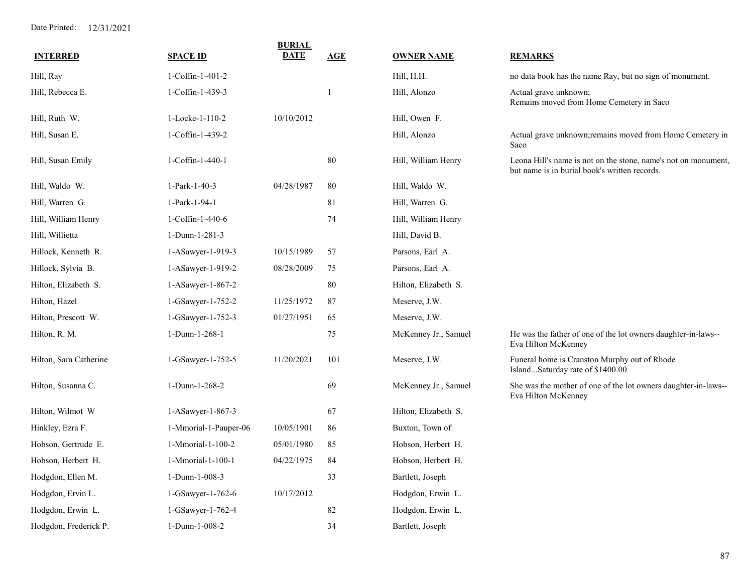| <b>INTERRED</b>        | <b>SPACE ID</b>       | <b>BURIAL</b><br><b>DATE</b> | <b>AGE</b> | <b>OWNER NAME</b>    | <b>REMARKS</b>                                                                                                  |
|------------------------|-----------------------|------------------------------|------------|----------------------|-----------------------------------------------------------------------------------------------------------------|
| Hill, Ray              | 1-Coffin-1-401-2      |                              |            | Hill, H.H.           | no data book has the name Ray, but no sign of monument.                                                         |
| Hill, Rebecca E.       | 1-Coffin-1-439-3      |                              | 1          | Hill, Alonzo         | Actual grave unknown;<br>Remains moved from Home Cemetery in Saco                                               |
| Hill, Ruth W.          | 1-Locke-1-110-2       | 10/10/2012                   |            | Hill, Owen F.        |                                                                                                                 |
| Hill, Susan E.         | 1-Coffin-1-439-2      |                              |            | Hill, Alonzo         | Actual grave unknown; remains moved from Home Cemetery in<br>Saco                                               |
| Hill, Susan Emily      | 1-Coffin-1-440-1      |                              | 80         | Hill, William Henry  | Leona Hill's name is not on the stone, name's not on monument,<br>but name is in burial book's written records. |
| Hill, Waldo W.         | 1-Park-1-40-3         | 04/28/1987                   | 80         | Hill, Waldo W.       |                                                                                                                 |
| Hill, Warren G.        | 1-Park-1-94-1         |                              | 81         | Hill, Warren G.      |                                                                                                                 |
| Hill, William Henry    | 1-Coffin-1-440-6      |                              | 74         | Hill, William Henry  |                                                                                                                 |
| Hill, Willietta        | 1-Dunn-1-281-3        |                              |            | Hill, David B.       |                                                                                                                 |
| Hillock, Kenneth R.    | 1-ASawyer-1-919-3     | 10/15/1989                   | 57         | Parsons, Earl A.     |                                                                                                                 |
| Hillock, Sylvia B.     | 1-ASawyer-1-919-2     | 08/28/2009                   | 75         | Parsons, Earl A.     |                                                                                                                 |
| Hilton, Elizabeth S.   | 1-ASawyer-1-867-2     |                              | 80         | Hilton, Elizabeth S. |                                                                                                                 |
| Hilton, Hazel          | 1-GSawyer-1-752-2     | 11/25/1972                   | 87         | Meserve, J.W.        |                                                                                                                 |
| Hilton, Prescott W.    | 1-GSawyer-1-752-3     | 01/27/1951                   | 65         | Meserve, J.W.        |                                                                                                                 |
| Hilton, R. M.          | 1-Dunn-1-268-1        |                              | 75         | McKenney Jr., Samuel | He was the father of one of the lot owners daughter-in-laws--<br>Eva Hilton McKenney                            |
| Hilton, Sara Catherine | 1-GSawyer-1-752-5     | 11/20/2021                   | 101        | Meserve, J.W.        | Funeral home is Cranston Murphy out of Rhode<br>IslandSaturday rate of \$1400.00                                |
| Hilton, Susanna C.     | 1-Dunn-1-268-2        |                              | 69         | McKenney Jr., Samuel | She was the mother of one of the lot owners daughter-in-laws--<br>Eva Hilton McKenney                           |
| Hilton, Wilmot W       | 1-ASawyer-1-867-3     |                              | 67         | Hilton, Elizabeth S. |                                                                                                                 |
| Hinkley, Ezra F.       | 1-Mmorial-1-Pauper-06 | 10/05/1901                   | 86         | Buxton, Town of      |                                                                                                                 |
| Hobson, Gertrude E.    | 1-Mmorial-1-100-2     | 05/01/1980                   | 85         | Hobson, Herbert H.   |                                                                                                                 |
| Hobson, Herbert H.     | 1-Mmorial-1-100-1     | 04/22/1975                   | 84         | Hobson, Herbert H.   |                                                                                                                 |
| Hodgdon, Ellen M.      | 1-Dunn-1-008-3        |                              | 33         | Bartlett, Joseph     |                                                                                                                 |
| Hodgdon, Ervin L.      | $1-GSawyer-1-762-6$   | 10/17/2012                   |            | Hodgdon, Erwin L.    |                                                                                                                 |
| Hodgdon, Erwin L.      | 1-GSawyer-1-762-4     |                              | 82         | Hodgdon, Erwin L.    |                                                                                                                 |
| Hodgdon, Frederick P.  | 1-Dunn-1-008-2        |                              | 34         | Bartlett, Joseph     |                                                                                                                 |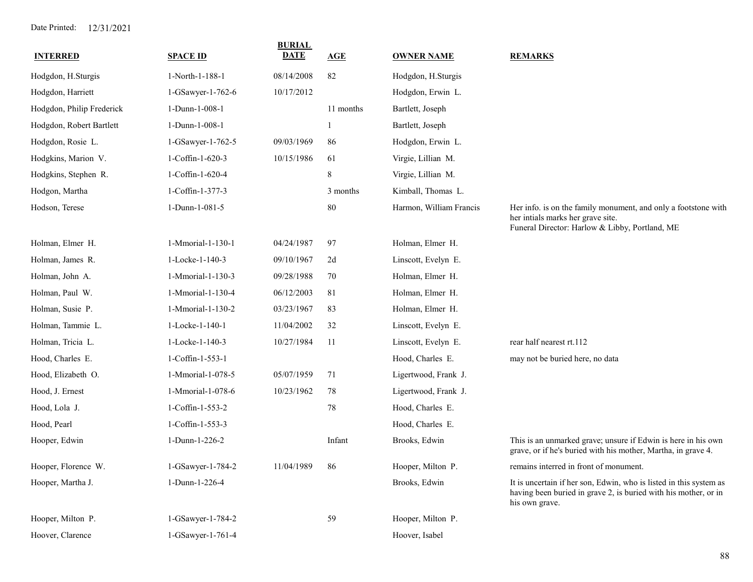| <b>INTERRED</b>           | <b>SPACE ID</b>   | <b>BURIAL</b><br><b>DATE</b> | AGE         | <b>OWNER NAME</b>       | <b>REMARKS</b>                                                                                                                                          |
|---------------------------|-------------------|------------------------------|-------------|-------------------------|---------------------------------------------------------------------------------------------------------------------------------------------------------|
| Hodgdon, H.Sturgis        | 1-North-1-188-1   | 08/14/2008                   | 82          | Hodgdon, H.Sturgis      |                                                                                                                                                         |
| Hodgdon, Harriett         | 1-GSawyer-1-762-6 | 10/17/2012                   |             | Hodgdon, Erwin L.       |                                                                                                                                                         |
| Hodgdon, Philip Frederick | 1-Dunn-1-008-1    |                              | 11 months   | Bartlett, Joseph        |                                                                                                                                                         |
| Hodgdon, Robert Bartlett  | 1-Dunn-1-008-1    |                              |             | Bartlett, Joseph        |                                                                                                                                                         |
| Hodgdon, Rosie L.         | 1-GSawyer-1-762-5 | 09/03/1969                   | 86          | Hodgdon, Erwin L.       |                                                                                                                                                         |
| Hodgkins, Marion V.       | 1-Coffin-1-620-3  | 10/15/1986                   | 61          | Virgie, Lillian M.      |                                                                                                                                                         |
| Hodgkins, Stephen R.      | 1-Coffin-1-620-4  |                              | $\,$ 8 $\,$ | Virgie, Lillian M.      |                                                                                                                                                         |
| Hodgon, Martha            | 1-Coffin-1-377-3  |                              | 3 months    | Kimball, Thomas L.      |                                                                                                                                                         |
| Hodson, Terese            | 1-Dunn-1-081-5    |                              | 80          | Harmon, William Francis | Her info. is on the family monument, and only a footstone with<br>her intials marks her grave site.<br>Funeral Director: Harlow & Libby, Portland, ME   |
| Holman, Elmer H.          | 1-Mmorial-1-130-1 | 04/24/1987                   | 97          | Holman, Elmer H.        |                                                                                                                                                         |
| Holman, James R.          | 1-Locke-1-140-3   | 09/10/1967                   | 2d          | Linscott, Evelyn E.     |                                                                                                                                                         |
| Holman, John A.           | 1-Mmorial-1-130-3 | 09/28/1988                   | 70          | Holman, Elmer H.        |                                                                                                                                                         |
| Holman, Paul W.           | 1-Mmorial-1-130-4 | 06/12/2003                   | 81          | Holman, Elmer H.        |                                                                                                                                                         |
| Holman, Susie P.          | 1-Mmorial-1-130-2 | 03/23/1967                   | 83          | Holman, Elmer H.        |                                                                                                                                                         |
| Holman, Tammie L.         | 1-Locke-1-140-1   | 11/04/2002                   | 32          | Linscott, Evelyn E.     |                                                                                                                                                         |
| Holman, Tricia L.         | 1-Locke-1-140-3   | 10/27/1984                   | -11         | Linscott, Evelyn E.     | rear half nearest rt.112                                                                                                                                |
| Hood, Charles E.          | 1-Coffin-1-553-1  |                              |             | Hood, Charles E.        | may not be buried here, no data                                                                                                                         |
| Hood, Elizabeth O.        | 1-Mmorial-1-078-5 | 05/07/1959                   | 71          | Ligertwood, Frank J.    |                                                                                                                                                         |
| Hood, J. Ernest           | 1-Mmorial-1-078-6 | 10/23/1962                   | 78          | Ligertwood, Frank J.    |                                                                                                                                                         |
| Hood, Lola J.             | 1-Coffin-1-553-2  |                              | 78          | Hood, Charles E.        |                                                                                                                                                         |
| Hood, Pearl               | 1-Coffin-1-553-3  |                              |             | Hood, Charles E.        |                                                                                                                                                         |
| Hooper, Edwin             | 1-Dunn-1-226-2    |                              | Infant      | Brooks, Edwin           | This is an unmarked grave; unsure if Edwin is here in his own<br>grave, or if he's buried with his mother, Martha, in grave 4.                          |
| Hooper, Florence W.       | 1-GSawyer-1-784-2 | 11/04/1989                   | 86          | Hooper, Milton P.       | remains interred in front of monument.                                                                                                                  |
| Hooper, Martha J.         | 1-Dunn-1-226-4    |                              |             | Brooks, Edwin           | It is uncertain if her son, Edwin, who is listed in this system as<br>having been buried in grave 2, is buried with his mother, or in<br>his own grave. |
| Hooper, Milton P.         | 1-GSawyer-1-784-2 |                              | 59          | Hooper, Milton P.       |                                                                                                                                                         |
| Hoover, Clarence          | 1-GSawyer-1-761-4 |                              |             | Hoover, Isabel          |                                                                                                                                                         |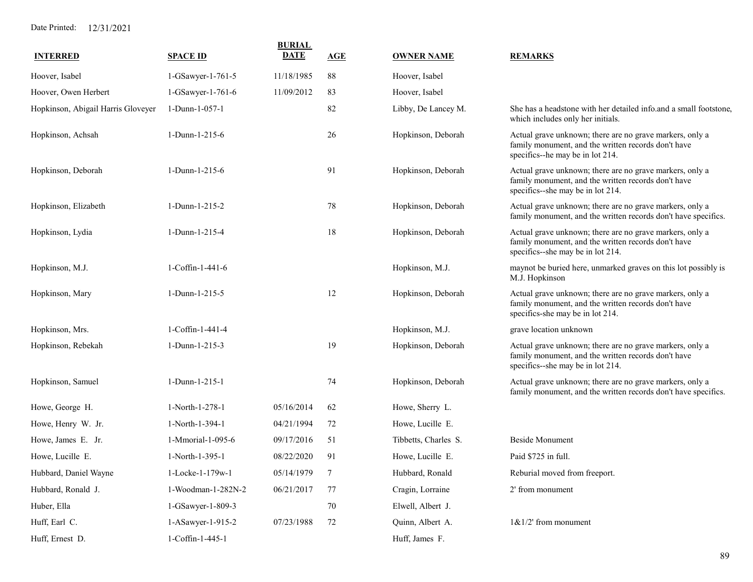| <b>INTERRED</b>                    | <b>SPACE ID</b>    | <b>BURIAL</b><br><b>DATE</b> | <b>AGE</b> | <b>OWNER NAME</b>    | <b>REMARKS</b>                                                                                                                                       |
|------------------------------------|--------------------|------------------------------|------------|----------------------|------------------------------------------------------------------------------------------------------------------------------------------------------|
| Hoover, Isabel                     | 1-GSawyer-1-761-5  | 11/18/1985                   | 88         | Hoover, Isabel       |                                                                                                                                                      |
| Hoover, Owen Herbert               | 1-GSawyer-1-761-6  | 11/09/2012                   | 83         | Hoover, Isabel       |                                                                                                                                                      |
| Hopkinson, Abigail Harris Gloveyer | 1-Dunn-1-057-1     |                              | 82         | Libby, De Lancey M.  | She has a headstone with her detailed info.and a small footstone,<br>which includes only her initials.                                               |
| Hopkinson, Achsah                  | 1-Dunn-1-215-6     |                              | 26         | Hopkinson, Deborah   | Actual grave unknown; there are no grave markers, only a<br>family monument, and the written records don't have<br>specifics--he may be in lot 214.  |
| Hopkinson, Deborah                 | 1-Dunn-1-215-6     |                              | 91         | Hopkinson, Deborah   | Actual grave unknown; there are no grave markers, only a<br>family monument, and the written records don't have<br>specifics--she may be in lot 214. |
| Hopkinson, Elizabeth               | 1-Dunn-1-215-2     |                              | 78         | Hopkinson, Deborah   | Actual grave unknown; there are no grave markers, only a<br>family monument, and the written records don't have specifics.                           |
| Hopkinson, Lydia                   | 1-Dunn-1-215-4     |                              | 18         | Hopkinson, Deborah   | Actual grave unknown; there are no grave markers, only a<br>family monument, and the written records don't have<br>specifics--she may be in lot 214. |
| Hopkinson, M.J.                    | 1-Coffin-1-441-6   |                              |            | Hopkinson, M.J.      | maynot be buried here, unmarked graves on this lot possibly is<br>M.J. Hopkinson                                                                     |
| Hopkinson, Mary                    | 1-Dunn-1-215-5     |                              | 12         | Hopkinson, Deborah   | Actual grave unknown; there are no grave markers, only a<br>family monument, and the written records don't have<br>specifics-she may be in lot 214.  |
| Hopkinson, Mrs.                    | 1-Coffin-1-441-4   |                              |            | Hopkinson, M.J.      | grave location unknown                                                                                                                               |
| Hopkinson, Rebekah                 | 1-Dunn-1-215-3     |                              | 19         | Hopkinson, Deborah   | Actual grave unknown; there are no grave markers, only a<br>family monument, and the written records don't have<br>specifics--she may be in lot 214. |
| Hopkinson, Samuel                  | 1-Dunn-1-215-1     |                              | 74         | Hopkinson, Deborah   | Actual grave unknown; there are no grave markers, only a<br>family monument, and the written records don't have specifics.                           |
| Howe, George H.                    | 1-North-1-278-1    | 05/16/2014                   | 62         | Howe, Sherry L.      |                                                                                                                                                      |
| Howe, Henry W. Jr.                 | 1-North-1-394-1    | 04/21/1994                   | 72         | Howe, Lucille E.     |                                                                                                                                                      |
| Howe, James E. Jr.                 | 1-Mmorial-1-095-6  | 09/17/2016                   | 51         | Tibbetts, Charles S. | <b>Beside Monument</b>                                                                                                                               |
| Howe, Lucille E.                   | 1-North-1-395-1    | 08/22/2020                   | 91         | Howe, Lucille E.     | Paid \$725 in full.                                                                                                                                  |
| Hubbard, Daniel Wayne              | 1-Locke-1-179w-1   | 05/14/1979                   | 7          | Hubbard, Ronald      | Reburial moved from freeport.                                                                                                                        |
| Hubbard, Ronald J.                 | 1-Woodman-1-282N-2 | 06/21/2017                   | 77         | Cragin, Lorraine     | 2' from monument                                                                                                                                     |
| Huber, Ella                        | 1-GSawyer-1-809-3  |                              | 70         | Elwell, Albert J.    |                                                                                                                                                      |
| Huff, Earl C.                      | 1-ASawyer-1-915-2  | 07/23/1988                   | 72         | Quinn, Albert A.     | $1\&1/2$ ' from monument                                                                                                                             |
| Huff, Ernest D.                    | 1-Coffin-1-445-1   |                              |            | Huff, James F.       |                                                                                                                                                      |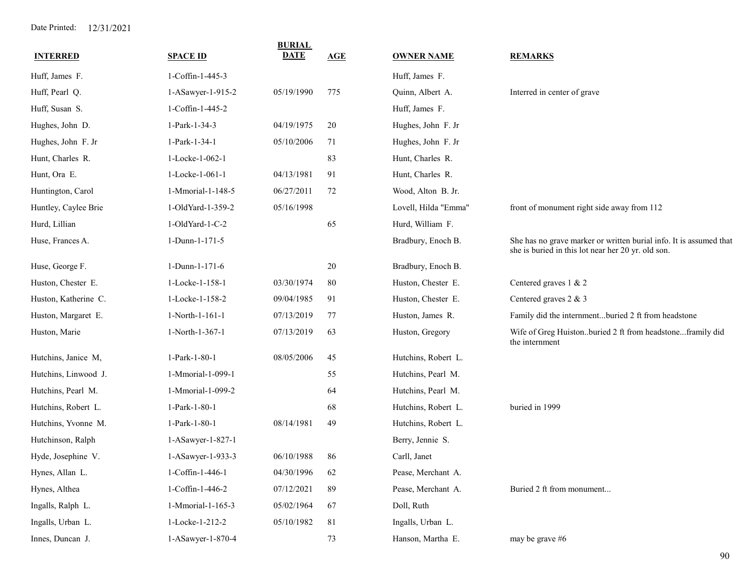| <b>INTERRED</b>      | <b>SPACE ID</b>   | <b>BURIAL</b><br><b>DATE</b> | AGE         | <b>OWNER NAME</b>    | <b>REMARKS</b>                                                                                                           |
|----------------------|-------------------|------------------------------|-------------|----------------------|--------------------------------------------------------------------------------------------------------------------------|
| Huff, James F.       | 1-Coffin-1-445-3  |                              |             | Huff, James F.       |                                                                                                                          |
| Huff, Pearl Q.       | 1-ASawyer-1-915-2 | 05/19/1990                   | 775         | Quinn, Albert A.     | Interred in center of grave                                                                                              |
| Huff, Susan S.       | 1-Coffin-1-445-2  |                              |             | Huff, James F.       |                                                                                                                          |
| Hughes, John D.      | 1-Park-1-34-3     | 04/19/1975                   | 20          | Hughes, John F. Jr   |                                                                                                                          |
| Hughes, John F. Jr   | 1-Park-1-34-1     | 05/10/2006                   | 71          | Hughes, John F. Jr   |                                                                                                                          |
| Hunt, Charles R.     | 1-Locke-1-062-1   |                              | 83          | Hunt, Charles R.     |                                                                                                                          |
| Hunt, Ora E.         | 1-Locke-1-061-1   | 04/13/1981                   | 91          | Hunt, Charles R.     |                                                                                                                          |
| Huntington, Carol    | 1-Mmorial-1-148-5 | 06/27/2011                   | 72          | Wood, Alton B. Jr.   |                                                                                                                          |
| Huntley, Caylee Brie | 1-OldYard-1-359-2 | 05/16/1998                   |             | Lovell, Hilda "Emma" | front of monument right side away from 112                                                                               |
| Hurd, Lillian        | 1-OldYard-1-C-2   |                              | 65          | Hurd, William F.     |                                                                                                                          |
| Huse, Frances A.     | 1-Dunn-1-171-5    |                              |             | Bradbury, Enoch B.   | She has no grave marker or written burial info. It is assumed that<br>she is buried in this lot near her 20 yr. old son. |
| Huse, George F.      | 1-Dunn-1-171-6    |                              | 20          | Bradbury, Enoch B.   |                                                                                                                          |
| Huston, Chester E.   | 1-Locke-1-158-1   | 03/30/1974                   | 80          | Huston, Chester E.   | Centered graves 1 & 2                                                                                                    |
| Huston, Katherine C. | 1-Locke-1-158-2   | 09/04/1985                   | 91          | Huston, Chester E.   | Centered graves 2 & 3                                                                                                    |
| Huston, Margaret E.  | 1-North-1-161-1   | 07/13/2019                   | 77          | Huston, James R.     | Family did the internmentburied 2 ft from headstone                                                                      |
| Huston, Marie        | 1-North-1-367-1   | 07/13/2019                   | 63          | Huston, Gregory      | Wife of Greg Huistonburied 2 ft from headstoneframily did<br>the internment                                              |
| Hutchins, Janice M,  | 1-Park-1-80-1     | 08/05/2006                   | 45          | Hutchins, Robert L.  |                                                                                                                          |
| Hutchins, Linwood J. | 1-Mmorial-1-099-1 |                              | 55          | Hutchins, Pearl M.   |                                                                                                                          |
| Hutchins, Pearl M.   | 1-Mmorial-1-099-2 |                              | 64          | Hutchins, Pearl M.   |                                                                                                                          |
| Hutchins, Robert L.  | 1-Park-1-80-1     |                              | 68          | Hutchins, Robert L.  | buried in 1999                                                                                                           |
| Hutchins, Yvonne M.  | 1-Park-1-80-1     | 08/14/1981                   | 49          | Hutchins, Robert L.  |                                                                                                                          |
| Hutchinson, Ralph    | 1-ASawyer-1-827-1 |                              |             | Berry, Jennie S.     |                                                                                                                          |
| Hyde, Josephine V.   | 1-ASawyer-1-933-3 | 06/10/1988                   | 86          | Carll, Janet         |                                                                                                                          |
| Hynes, Allan L.      | 1-Coffin-1-446-1  | 04/30/1996                   | 62          | Pease, Merchant A.   |                                                                                                                          |
| Hynes, Althea        | 1-Coffin-1-446-2  | 07/12/2021                   | 89          | Pease, Merchant A.   | Buried 2 ft from monument                                                                                                |
| Ingalls, Ralph L.    | 1-Mmorial-1-165-3 | 05/02/1964                   | 67          | Doll, Ruth           |                                                                                                                          |
| Ingalls, Urban L.    | 1-Locke-1-212-2   | 05/10/1982                   | $8\sqrt{1}$ | Ingalls, Urban L.    |                                                                                                                          |
| Innes, Duncan J.     | 1-ASawyer-1-870-4 |                              | 73          | Hanson, Martha E.    | may be grave #6                                                                                                          |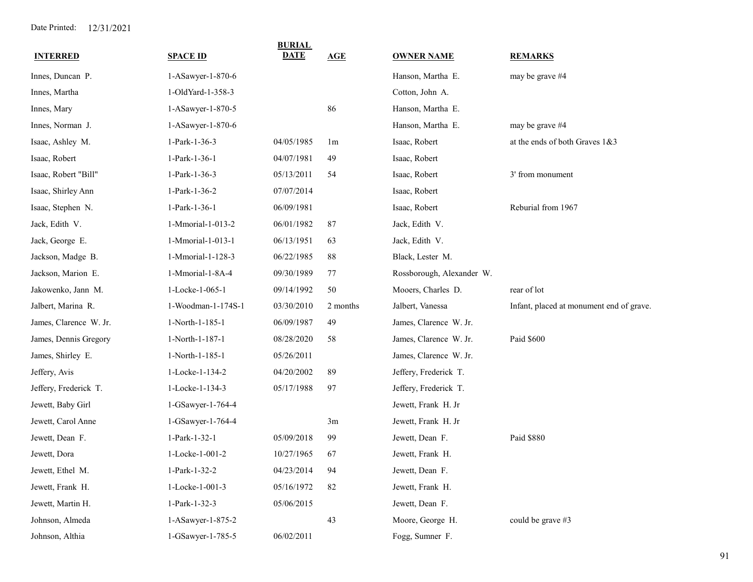| <b>INTERRED</b>        | <b>SPACE ID</b>    | <b>BURIAL</b><br><b>DATE</b> | <b>AGE</b>     | <b>OWNER NAME</b>         | <b>REMARKS</b>                           |
|------------------------|--------------------|------------------------------|----------------|---------------------------|------------------------------------------|
| Innes, Duncan P.       | 1-ASawyer-1-870-6  |                              |                | Hanson, Martha E.         | may be grave #4                          |
| Innes, Martha          | 1-OldYard-1-358-3  |                              |                | Cotton, John A.           |                                          |
| Innes, Mary            | 1-ASawyer-1-870-5  |                              | 86             | Hanson, Martha E.         |                                          |
| Innes, Norman J.       | 1-ASawyer-1-870-6  |                              |                | Hanson, Martha E.         | may be grave #4                          |
| Isaac, Ashley M.       | 1-Park-1-36-3      | 04/05/1985                   | 1 <sub>m</sub> | Isaac, Robert             | at the ends of both Graves 1&3           |
| Isaac, Robert          | 1-Park-1-36-1      | 04/07/1981                   | 49             | Isaac, Robert             |                                          |
| Isaac, Robert "Bill"   | 1-Park-1-36-3      | 05/13/2011                   | 54             | Isaac, Robert             | 3' from monument                         |
| Isaac, Shirley Ann     | 1-Park-1-36-2      | 07/07/2014                   |                | Isaac, Robert             |                                          |
| Isaac, Stephen N.      | 1-Park-1-36-1      | 06/09/1981                   |                | Isaac, Robert             | Reburial from 1967                       |
| Jack, Edith V.         | 1-Mmorial-1-013-2  | 06/01/1982                   | 87             | Jack, Edith V.            |                                          |
| Jack, George E.        | 1-Mmorial-1-013-1  | 06/13/1951                   | 63             | Jack, Edith V.            |                                          |
| Jackson, Madge B.      | 1-Mmorial-1-128-3  | 06/22/1985                   | 88             | Black, Lester M.          |                                          |
| Jackson, Marion E.     | 1-Mmorial-1-8A-4   | 09/30/1989                   | 77             | Rossborough, Alexander W. |                                          |
| Jakowenko, Jann M.     | 1-Locke-1-065-1    | 09/14/1992                   | 50             | Mooers, Charles D.        | rear of lot                              |
| Jalbert, Marina R.     | 1-Woodman-1-174S-1 | 03/30/2010                   | 2 months       | Jalbert, Vanessa          | Infant, placed at monument end of grave. |
| James, Clarence W. Jr. | 1-North-1-185-1    | 06/09/1987                   | 49             | James, Clarence W. Jr.    |                                          |
| James, Dennis Gregory  | 1-North-1-187-1    | 08/28/2020                   | 58             | James, Clarence W. Jr.    | Paid \$600                               |
| James, Shirley E.      | 1-North-1-185-1    | 05/26/2011                   |                | James, Clarence W. Jr.    |                                          |
| Jeffery, Avis          | 1-Locke-1-134-2    | 04/20/2002                   | 89             | Jeffery, Frederick T.     |                                          |
| Jeffery, Frederick T.  | 1-Locke-1-134-3    | 05/17/1988                   | 97             | Jeffery, Frederick T.     |                                          |
| Jewett, Baby Girl      | 1-GSawyer-1-764-4  |                              |                | Jewett, Frank H. Jr       |                                          |
| Jewett, Carol Anne     | 1-GSawyer-1-764-4  |                              | 3m             | Jewett, Frank H. Jr       |                                          |
| Jewett, Dean F.        | 1-Park-1-32-1      | 05/09/2018                   | 99             | Jewett, Dean F.           | Paid \$880                               |
| Jewett, Dora           | 1-Locke-1-001-2    | 10/27/1965                   | 67             | Jewett, Frank H.          |                                          |
| Jewett, Ethel M.       | 1-Park-1-32-2      | 04/23/2014                   | 94             | Jewett, Dean F.           |                                          |
| Jewett, Frank H.       | 1-Locke-1-001-3    | 05/16/1972                   | 82             | Jewett, Frank H.          |                                          |
| Jewett, Martin H.      | 1-Park-1-32-3      | 05/06/2015                   |                | Jewett, Dean F.           |                                          |
| Johnson, Almeda        | 1-ASawyer-1-875-2  |                              | 43             | Moore, George H.          | could be grave #3                        |
| Johnson, Althia        | 1-GSawyer-1-785-5  | 06/02/2011                   |                | Fogg, Sumner F.           |                                          |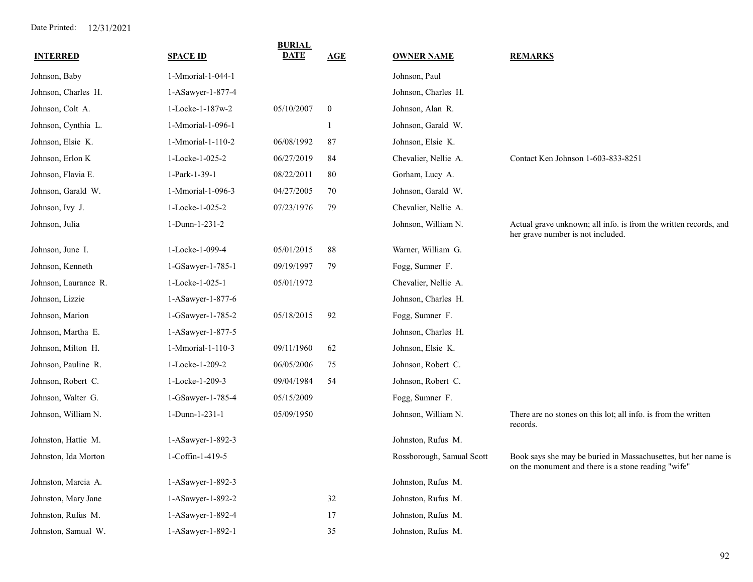|                      |                   | <b>BURIAL</b> |                  |                           |                                                                                                                       |
|----------------------|-------------------|---------------|------------------|---------------------------|-----------------------------------------------------------------------------------------------------------------------|
| <b>INTERRED</b>      | <b>SPACE ID</b>   | <b>DATE</b>   | AGE              | <b>OWNER NAME</b>         | <b>REMARKS</b>                                                                                                        |
| Johnson, Baby        | 1-Mmorial-1-044-1 |               |                  | Johnson, Paul             |                                                                                                                       |
| Johnson, Charles H.  | 1-ASawyer-1-877-4 |               |                  | Johnson, Charles H.       |                                                                                                                       |
| Johnson, Colt A.     | 1-Locke-1-187w-2  | 05/10/2007    | $\boldsymbol{0}$ | Johnson, Alan R.          |                                                                                                                       |
| Johnson, Cynthia L.  | 1-Mmorial-1-096-1 |               |                  | Johnson, Garald W.        |                                                                                                                       |
| Johnson, Elsie K.    | 1-Mmorial-1-110-2 | 06/08/1992    | 87               | Johnson, Elsie K.         |                                                                                                                       |
| Johnson, Erlon K     | 1-Locke-1-025-2   | 06/27/2019    | 84               | Chevalier, Nellie A.      | Contact Ken Johnson 1-603-833-8251                                                                                    |
| Johnson, Flavia E.   | 1-Park-1-39-1     | 08/22/2011    | 80               | Gorham, Lucy A.           |                                                                                                                       |
| Johnson, Garald W.   | 1-Mmorial-1-096-3 | 04/27/2005    | 70               | Johnson, Garald W.        |                                                                                                                       |
| Johnson, Ivy J.      | 1-Locke-1-025-2   | 07/23/1976    | 79               | Chevalier, Nellie A.      |                                                                                                                       |
| Johnson, Julia       | 1-Dunn-1-231-2    |               |                  | Johnson, William N.       | Actual grave unknown; all info. is from the written records, and<br>her grave number is not included.                 |
| Johnson, June I.     | 1-Locke-1-099-4   | 05/01/2015    | 88               | Warner, William G.        |                                                                                                                       |
| Johnson, Kenneth     | 1-GSawyer-1-785-1 | 09/19/1997    | 79               | Fogg, Sumner F.           |                                                                                                                       |
| Johnson, Laurance R. | 1-Locke-1-025-1   | 05/01/1972    |                  | Chevalier, Nellie A.      |                                                                                                                       |
| Johnson, Lizzie      | 1-ASawyer-1-877-6 |               |                  | Johnson, Charles H.       |                                                                                                                       |
| Johnson, Marion      | 1-GSawyer-1-785-2 | 05/18/2015    | 92               | Fogg, Sumner F.           |                                                                                                                       |
| Johnson, Martha E.   | 1-ASawyer-1-877-5 |               |                  | Johnson, Charles H.       |                                                                                                                       |
| Johnson, Milton H.   | 1-Mmorial-1-110-3 | 09/11/1960    | 62               | Johnson, Elsie K.         |                                                                                                                       |
| Johnson, Pauline R.  | 1-Locke-1-209-2   | 06/05/2006    | 75               | Johnson, Robert C.        |                                                                                                                       |
| Johnson, Robert C.   | 1-Locke-1-209-3   | 09/04/1984    | 54               | Johnson, Robert C.        |                                                                                                                       |
| Johnson, Walter G.   | 1-GSawyer-1-785-4 | 05/15/2009    |                  | Fogg, Sumner F.           |                                                                                                                       |
| Johnson, William N.  | 1-Dunn-1-231-1    | 05/09/1950    |                  | Johnson, William N.       | There are no stones on this lot; all info. is from the written<br>records.                                            |
| Johnston, Hattie M.  | 1-ASawyer-1-892-3 |               |                  | Johnston, Rufus M.        |                                                                                                                       |
| Johnston, Ida Morton | 1-Coffin-1-419-5  |               |                  | Rossborough, Samual Scott | Book says she may be buried in Massachusettes, but her name is<br>on the monument and there is a stone reading "wife" |
| Johnston, Marcia A.  | 1-ASawyer-1-892-3 |               |                  | Johnston, Rufus M.        |                                                                                                                       |
| Johnston, Mary Jane  | 1-ASawyer-1-892-2 |               | $32\,$           | Johnston, Rufus M.        |                                                                                                                       |
| Johnston, Rufus M.   | 1-ASawyer-1-892-4 |               | 17               | Johnston, Rufus M.        |                                                                                                                       |
| Johnston, Samual W.  | 1-ASawyer-1-892-1 |               | 35               | Johnston, Rufus M.        |                                                                                                                       |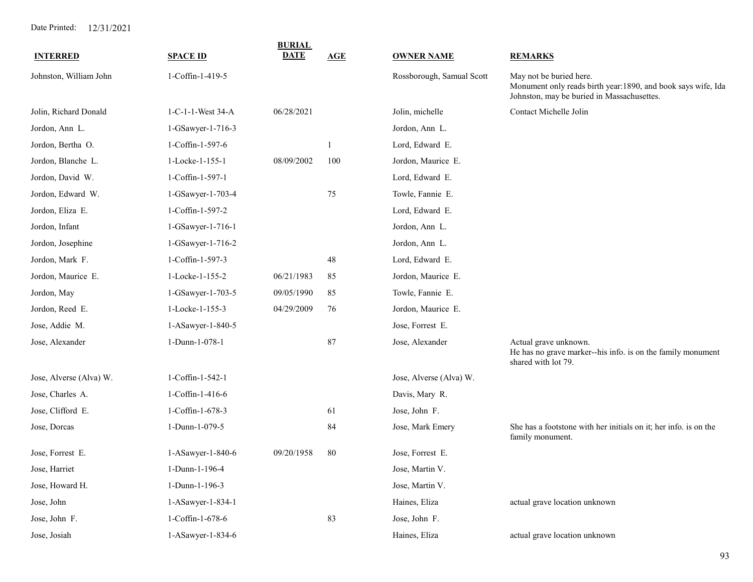| <b>INTERRED</b>         | <b>SPACE ID</b>   | <b>BURIAL</b><br><b>DATE</b> | <b>AGE</b> | <b>OWNER NAME</b>         | <b>REMARKS</b>                                                                                                                        |
|-------------------------|-------------------|------------------------------|------------|---------------------------|---------------------------------------------------------------------------------------------------------------------------------------|
| Johnston, William John  | 1-Coffin-1-419-5  |                              |            | Rossborough, Samual Scott | May not be buried here.<br>Monument only reads birth year:1890, and book says wife, Ida<br>Johnston, may be buried in Massachusettes. |
| Jolin, Richard Donald   | 1-C-1-1-West 34-A | 06/28/2021                   |            | Jolin, michelle           | Contact Michelle Jolin                                                                                                                |
| Jordon, Ann L.          | 1-GSawyer-1-716-3 |                              |            | Jordon, Ann L.            |                                                                                                                                       |
| Jordon, Bertha O.       | 1-Coffin-1-597-6  |                              |            | Lord, Edward E.           |                                                                                                                                       |
| Jordon, Blanche L.      | 1-Locke-1-155-1   | 08/09/2002                   | 100        | Jordon, Maurice E.        |                                                                                                                                       |
| Jordon, David W.        | 1-Coffin-1-597-1  |                              |            | Lord, Edward E.           |                                                                                                                                       |
| Jordon, Edward W.       | 1-GSawyer-1-703-4 |                              | 75         | Towle, Fannie E.          |                                                                                                                                       |
| Jordon, Eliza E.        | 1-Coffin-1-597-2  |                              |            | Lord, Edward E.           |                                                                                                                                       |
| Jordon, Infant          | 1-GSawyer-1-716-1 |                              |            | Jordon, Ann L.            |                                                                                                                                       |
| Jordon, Josephine       | 1-GSawyer-1-716-2 |                              |            | Jordon, Ann L.            |                                                                                                                                       |
| Jordon, Mark F.         | 1-Coffin-1-597-3  |                              | 48         | Lord, Edward E.           |                                                                                                                                       |
| Jordon, Maurice E.      | 1-Locke-1-155-2   | 06/21/1983                   | 85         | Jordon, Maurice E.        |                                                                                                                                       |
| Jordon, May             | 1-GSawyer-1-703-5 | 09/05/1990                   | 85         | Towle, Fannie E.          |                                                                                                                                       |
| Jordon, Reed E.         | 1-Locke-1-155-3   | 04/29/2009                   | 76         | Jordon, Maurice E.        |                                                                                                                                       |
| Jose, Addie M.          | 1-ASawyer-1-840-5 |                              |            | Jose, Forrest E.          |                                                                                                                                       |
| Jose, Alexander         | 1-Dunn-1-078-1    |                              | 87         | Jose, Alexander           | Actual grave unknown.<br>He has no grave marker--his info. is on the family monument<br>shared with lot 79.                           |
| Jose, Alverse (Alva) W. | 1-Coffin-1-542-1  |                              |            | Jose, Alverse (Alva) W.   |                                                                                                                                       |
| Jose, Charles A.        | 1-Coffin-1-416-6  |                              |            | Davis, Mary R.            |                                                                                                                                       |
| Jose, Clifford E.       | 1-Coffin-1-678-3  |                              | 61         | Jose, John F.             |                                                                                                                                       |
| Jose, Dorcas            | 1-Dunn-1-079-5    |                              | 84         | Jose, Mark Emery          | She has a footstone with her initials on it; her info. is on the<br>family monument.                                                  |
| Jose, Forrest E.        | 1-ASawyer-1-840-6 | 09/20/1958                   | 80         | Jose, Forrest E.          |                                                                                                                                       |
| Jose, Harriet           | 1-Dunn-1-196-4    |                              |            | Jose, Martin V.           |                                                                                                                                       |
| Jose, Howard H.         | 1-Dunn-1-196-3    |                              |            | Jose, Martin V.           |                                                                                                                                       |
| Jose, John              | 1-ASawyer-1-834-1 |                              |            | Haines, Eliza             | actual grave location unknown                                                                                                         |
| Jose, John F.           | 1-Coffin-1-678-6  |                              | 83         | Jose, John F.             |                                                                                                                                       |
| Jose, Josiah            | 1-ASawyer-1-834-6 |                              |            | Haines, Eliza             | actual grave location unknown                                                                                                         |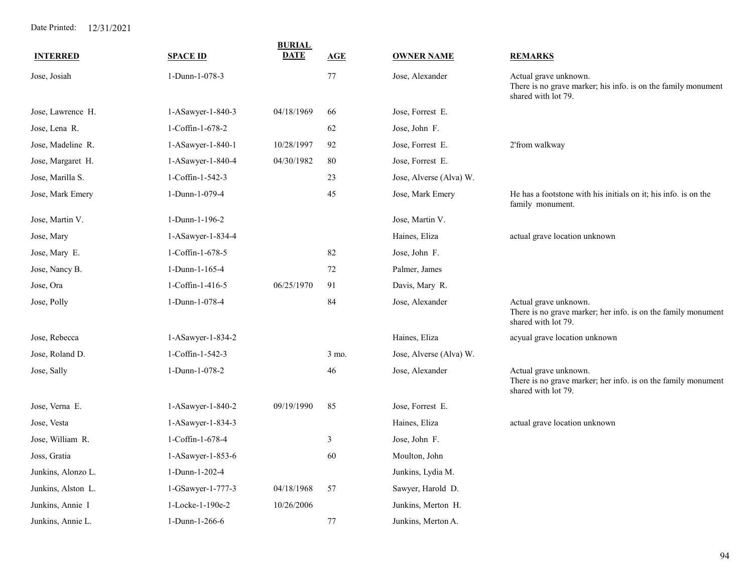|                    |                   | <b>BURIAL</b> |       |                         |                                                                                                               |
|--------------------|-------------------|---------------|-------|-------------------------|---------------------------------------------------------------------------------------------------------------|
| <b>INTERRED</b>    | <b>SPACE ID</b>   | <b>DATE</b>   | AGE   | <b>OWNER NAME</b>       | <b>REMARKS</b>                                                                                                |
| Jose, Josiah       | 1-Dunn-1-078-3    |               | 77    | Jose, Alexander         | Actual grave unknown.<br>There is no grave marker; his info. is on the family monument<br>shared with lot 79. |
| Jose, Lawrence H.  | 1-ASawyer-1-840-3 | 04/18/1969    | 66    | Jose, Forrest E.        |                                                                                                               |
| Jose, Lena R.      | 1-Coffin-1-678-2  |               | 62    | Jose, John F.           |                                                                                                               |
| Jose, Madeline R.  | 1-ASawyer-1-840-1 | 10/28/1997    | 92    | Jose, Forrest E.        | 2'from walkway                                                                                                |
| Jose, Margaret H.  | 1-ASawyer-1-840-4 | 04/30/1982    | 80    | Jose, Forrest E.        |                                                                                                               |
| Jose, Marilla S.   | 1-Coffin-1-542-3  |               | 23    | Jose, Alverse (Alva) W. |                                                                                                               |
| Jose, Mark Emery   | 1-Dunn-1-079-4    |               | 45    | Jose, Mark Emery        | He has a footstone with his initials on it; his info. is on the<br>family monument.                           |
| Jose, Martin V.    | 1-Dunn-1-196-2    |               |       | Jose, Martin V.         |                                                                                                               |
| Jose, Mary         | 1-ASawyer-1-834-4 |               |       | Haines, Eliza           | actual grave location unknown                                                                                 |
| Jose, Mary E.      | 1-Coffin-1-678-5  |               | 82    | Jose, John F.           |                                                                                                               |
| Jose, Nancy B.     | 1-Dunn-1-165-4    |               | 72    | Palmer, James           |                                                                                                               |
| Jose, Ora          | 1-Coffin-1-416-5  | 06/25/1970    | 91    | Davis, Mary R.          |                                                                                                               |
| Jose, Polly        | 1-Dunn-1-078-4    |               | 84    | Jose, Alexander         | Actual grave unknown.<br>There is no grave marker; her info. is on the family monument<br>shared with lot 79. |
| Jose, Rebecca      | 1-ASawyer-1-834-2 |               |       | Haines, Eliza           | acyual grave location unknown                                                                                 |
| Jose, Roland D.    | 1-Coffin-1-542-3  |               | 3 mo. | Jose, Alverse (Alva) W. |                                                                                                               |
| Jose, Sally        | 1-Dunn-1-078-2    |               | 46    | Jose, Alexander         | Actual grave unknown.<br>There is no grave marker; her info. is on the family monument<br>shared with lot 79. |
| Jose, Verna E.     | 1-ASawyer-1-840-2 | 09/19/1990    | 85    | Jose, Forrest E.        |                                                                                                               |
| Jose, Vesta        | 1-ASawyer-1-834-3 |               |       | Haines, Eliza           | actual grave location unknown                                                                                 |
| Jose, William R.   | 1-Coffin-1-678-4  |               | 3     | Jose, John F.           |                                                                                                               |
| Joss, Gratia       | 1-ASawyer-1-853-6 |               | 60    | Moulton, John           |                                                                                                               |
| Junkins, Alonzo L. | 1-Dunn-1-202-4    |               |       | Junkins, Lydia M.       |                                                                                                               |
| Junkins, Alston L. | 1-GSawyer-1-777-3 | 04/18/1968    | 57    | Sawyer, Harold D.       |                                                                                                               |
| Junkins, Annie I   | 1-Locke-1-190e-2  | 10/26/2006    |       | Junkins, Merton H.      |                                                                                                               |
| Junkins, Annie L.  | 1-Dunn-1-266-6    |               | 77    | Junkins, Merton A.      |                                                                                                               |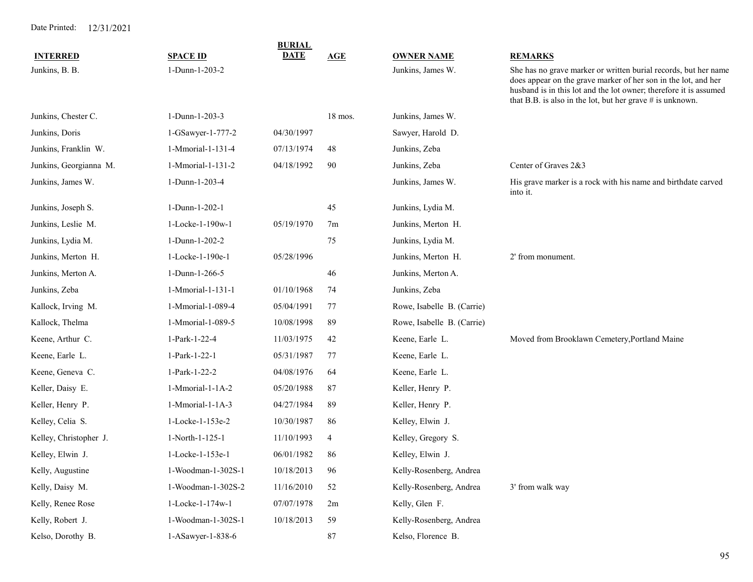| <b>INTERRED</b>        | <b>SPACE ID</b>    | <b>BURIAL</b><br><b>DATE</b> | AGE            | <b>OWNER NAME</b>          | <b>REMARKS</b>                                                                                                                                                                                                                                                        |
|------------------------|--------------------|------------------------------|----------------|----------------------------|-----------------------------------------------------------------------------------------------------------------------------------------------------------------------------------------------------------------------------------------------------------------------|
| Junkins, B. B.         | 1-Dunn-1-203-2     |                              |                | Junkins, James W.          | She has no grave marker or written burial records, but her name<br>does appear on the grave marker of her son in the lot, and her<br>husband is in this lot and the lot owner; therefore it is assumed<br>that B.B. is also in the lot, but her grave $#$ is unknown. |
| Junkins, Chester C.    | 1-Dunn-1-203-3     |                              | 18 mos.        | Junkins, James W.          |                                                                                                                                                                                                                                                                       |
| Junkins, Doris         | 1-GSawyer-1-777-2  | 04/30/1997                   |                | Sawyer, Harold D.          |                                                                                                                                                                                                                                                                       |
| Junkins, Franklin W.   | 1-Mmorial-1-131-4  | 07/13/1974                   | 48             | Junkins, Zeba              |                                                                                                                                                                                                                                                                       |
| Junkins, Georgianna M. | 1-Mmorial-1-131-2  | 04/18/1992                   | 90             | Junkins, Zeba              | Center of Graves 2&3                                                                                                                                                                                                                                                  |
| Junkins, James W.      | 1-Dunn-1-203-4     |                              |                | Junkins, James W.          | His grave marker is a rock with his name and birthdate carved<br>into it.                                                                                                                                                                                             |
| Junkins, Joseph S.     | 1-Dunn-1-202-1     |                              | 45             | Junkins, Lydia M.          |                                                                                                                                                                                                                                                                       |
| Junkins, Leslie M.     | 1-Locke-1-190w-1   | 05/19/1970                   | 7 <sub>m</sub> | Junkins, Merton H.         |                                                                                                                                                                                                                                                                       |
| Junkins, Lydia M.      | 1-Dunn-1-202-2     |                              | 75             | Junkins, Lydia M.          |                                                                                                                                                                                                                                                                       |
| Junkins, Merton H.     | 1-Locke-1-190e-1   | 05/28/1996                   |                | Junkins, Merton H.         | 2' from monument.                                                                                                                                                                                                                                                     |
| Junkins, Merton A.     | 1-Dunn-1-266-5     |                              | 46             | Junkins, Merton A.         |                                                                                                                                                                                                                                                                       |
| Junkins, Zeba          | 1-Mmorial-1-131-1  | 01/10/1968                   | 74             | Junkins, Zeba              |                                                                                                                                                                                                                                                                       |
| Kallock, Irving M.     | 1-Mmorial-1-089-4  | 05/04/1991                   | 77             | Rowe, Isabelle B. (Carrie) |                                                                                                                                                                                                                                                                       |
| Kallock, Thelma        | 1-Mmorial-1-089-5  | 10/08/1998                   | 89             | Rowe, Isabelle B. (Carrie) |                                                                                                                                                                                                                                                                       |
| Keene, Arthur C.       | 1-Park-1-22-4      | 11/03/1975                   | 42             | Keene, Earle L.            | Moved from Brooklawn Cemetery, Portland Maine                                                                                                                                                                                                                         |
| Keene, Earle L.        | 1-Park-1-22-1      | 05/31/1987                   | 77             | Keene, Earle L.            |                                                                                                                                                                                                                                                                       |
| Keene, Geneva C.       | 1-Park-1-22-2      | 04/08/1976                   | 64             | Keene, Earle L.            |                                                                                                                                                                                                                                                                       |
| Keller, Daisy E.       | 1-Mmorial-1-1A-2   | 05/20/1988                   | 87             | Keller, Henry P.           |                                                                                                                                                                                                                                                                       |
| Keller, Henry P.       | 1-Mmorial-1-1A-3   | 04/27/1984                   | 89             | Keller, Henry P.           |                                                                                                                                                                                                                                                                       |
| Kelley, Celia S.       | 1-Locke-1-153e-2   | 10/30/1987                   | 86             | Kelley, Elwin J.           |                                                                                                                                                                                                                                                                       |
| Kelley, Christopher J. | 1-North-1-125-1    | 11/10/1993                   | 4              | Kelley, Gregory S.         |                                                                                                                                                                                                                                                                       |
| Kelley, Elwin J.       | 1-Locke-1-153e-1   | 06/01/1982                   | 86             | Kelley, Elwin J.           |                                                                                                                                                                                                                                                                       |
| Kelly, Augustine       | 1-Woodman-1-302S-1 | 10/18/2013                   | 96             | Kelly-Rosenberg, Andrea    |                                                                                                                                                                                                                                                                       |
| Kelly, Daisy M.        | 1-Woodman-1-302S-2 | 11/16/2010                   | 52             | Kelly-Rosenberg, Andrea    | 3' from walk way                                                                                                                                                                                                                                                      |
| Kelly, Renee Rose      | 1-Locke-1-174w-1   | 07/07/1978                   | 2m             | Kelly, Glen F.             |                                                                                                                                                                                                                                                                       |
| Kelly, Robert J.       | 1-Woodman-1-302S-1 | 10/18/2013                   | 59             | Kelly-Rosenberg, Andrea    |                                                                                                                                                                                                                                                                       |
| Kelso, Dorothy B.      | 1-ASawyer-1-838-6  |                              | $87\,$         | Kelso, Florence B.         |                                                                                                                                                                                                                                                                       |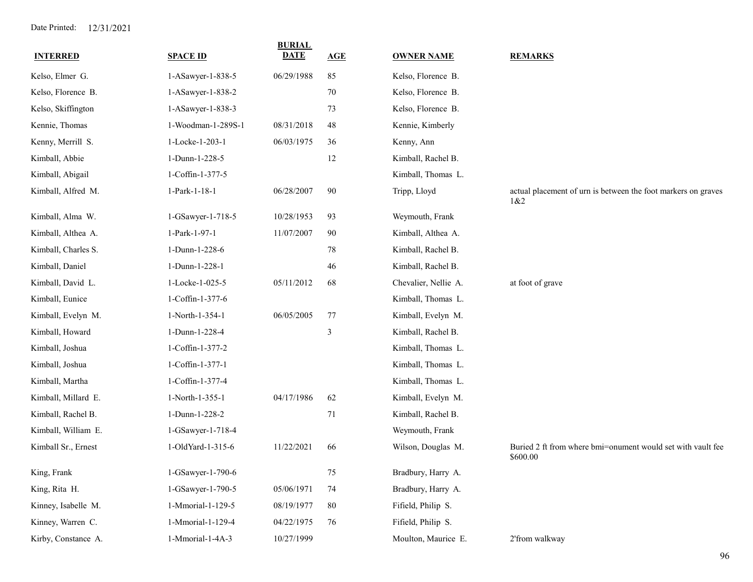| <b>INTERRED</b>     | <b>SPACE ID</b>    | <b>BURIAL</b><br><b>DATE</b> | AGE | <b>OWNER NAME</b>    | <b>REMARKS</b>                                                          |
|---------------------|--------------------|------------------------------|-----|----------------------|-------------------------------------------------------------------------|
| Kelso, Elmer G.     | 1-ASawyer-1-838-5  | 06/29/1988                   | 85  | Kelso, Florence B.   |                                                                         |
| Kelso, Florence B.  | 1-ASawyer-1-838-2  |                              | 70  | Kelso, Florence B.   |                                                                         |
| Kelso, Skiffington  | 1-ASawyer-1-838-3  |                              | 73  | Kelso, Florence B.   |                                                                         |
| Kennie, Thomas      | 1-Woodman-1-289S-1 | 08/31/2018                   | 48  | Kennie, Kimberly     |                                                                         |
| Kenny, Merrill S.   | 1-Locke-1-203-1    | 06/03/1975                   | 36  | Kenny, Ann           |                                                                         |
| Kimball, Abbie      | 1-Dunn-1-228-5     |                              | 12  | Kimball, Rachel B.   |                                                                         |
| Kimball, Abigail    | 1-Coffin-1-377-5   |                              |     | Kimball, Thomas L.   |                                                                         |
| Kimball, Alfred M.  | 1-Park-1-18-1      | 06/28/2007                   | 90  | Tripp, Lloyd         | actual placement of urn is between the foot markers on graves<br>1&82   |
| Kimball, Alma W.    | 1-GSawyer-1-718-5  | 10/28/1953                   | 93  | Weymouth, Frank      |                                                                         |
| Kimball, Althea A.  | 1-Park-1-97-1      | 11/07/2007                   | 90  | Kimball, Althea A.   |                                                                         |
| Kimball, Charles S. | 1-Dunn-1-228-6     |                              | 78  | Kimball, Rachel B.   |                                                                         |
| Kimball, Daniel     | 1-Dunn-1-228-1     |                              | 46  | Kimball, Rachel B.   |                                                                         |
| Kimball, David L.   | 1-Locke-1-025-5    | 05/11/2012                   | 68  | Chevalier, Nellie A. | at foot of grave                                                        |
| Kimball, Eunice     | 1-Coffin-1-377-6   |                              |     | Kimball, Thomas L.   |                                                                         |
| Kimball, Evelyn M.  | 1-North-1-354-1    | 06/05/2005                   | 77  | Kimball, Evelyn M.   |                                                                         |
| Kimball, Howard     | 1-Dunn-1-228-4     |                              | 3   | Kimball, Rachel B.   |                                                                         |
| Kimball, Joshua     | 1-Coffin-1-377-2   |                              |     | Kimball, Thomas L.   |                                                                         |
| Kimball, Joshua     | 1-Coffin-1-377-1   |                              |     | Kimball, Thomas L.   |                                                                         |
| Kimball, Martha     | 1-Coffin-1-377-4   |                              |     | Kimball, Thomas L.   |                                                                         |
| Kimball, Millard E. | 1-North-1-355-1    | 04/17/1986                   | 62  | Kimball, Evelyn M.   |                                                                         |
| Kimball, Rachel B.  | 1-Dunn-1-228-2     |                              | 71  | Kimball, Rachel B.   |                                                                         |
| Kimball, William E. | 1-GSawyer-1-718-4  |                              |     | Weymouth, Frank      |                                                                         |
| Kimball Sr., Ernest | 1-OldYard-1-315-6  | 11/22/2021                   | 66  | Wilson, Douglas M.   | Buried 2 ft from where bmi=onument would set with vault fee<br>\$600.00 |
| King, Frank         | 1-GSawyer-1-790-6  |                              | 75  | Bradbury, Harry A.   |                                                                         |
| King, Rita H.       | 1-GSawyer-1-790-5  | 05/06/1971                   | 74  | Bradbury, Harry A.   |                                                                         |
| Kinney, Isabelle M. | 1-Mmorial-1-129-5  | 08/19/1977                   | 80  | Fifield, Philip S.   |                                                                         |
| Kinney, Warren C.   | 1-Mmorial-1-129-4  | 04/22/1975                   | 76  | Fifield, Philip S.   |                                                                         |
| Kirby, Constance A. | 1-Mmorial-1-4A-3   | 10/27/1999                   |     | Moulton, Maurice E.  | 2'from walkway                                                          |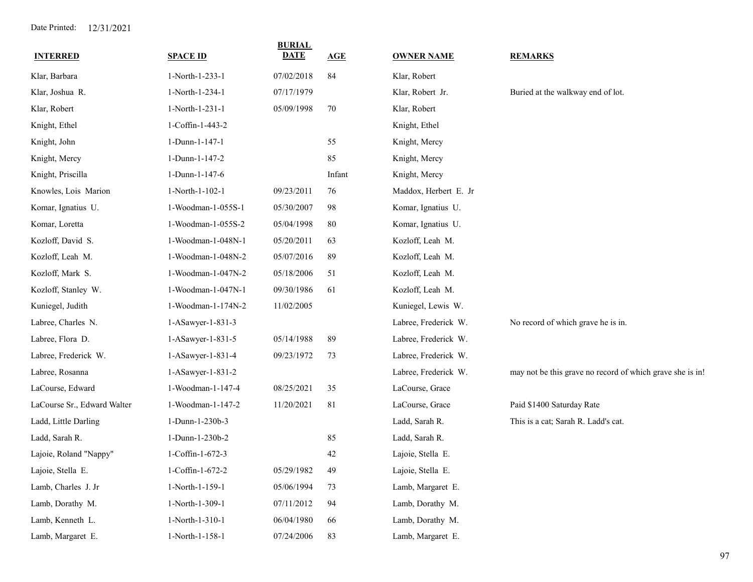| <b>INTERRED</b>             | <b>SPACE ID</b>     | <b>BURIAL</b><br><b>DATE</b> | AGE    | <b>OWNER NAME</b>     | <b>REMARKS</b>                                            |
|-----------------------------|---------------------|------------------------------|--------|-----------------------|-----------------------------------------------------------|
| Klar, Barbara               | 1-North-1-233-1     | 07/02/2018                   | 84     | Klar, Robert          |                                                           |
| Klar, Joshua R.             | 1-North-1-234-1     | 07/17/1979                   |        | Klar, Robert Jr.      | Buried at the walkway end of lot.                         |
| Klar, Robert                | 1-North-1-231-1     | 05/09/1998                   | 70     | Klar, Robert          |                                                           |
| Knight, Ethel               | 1-Coffin-1-443-2    |                              |        | Knight, Ethel         |                                                           |
| Knight, John                | 1-Dunn-1-147-1      |                              | 55     | Knight, Mercy         |                                                           |
| Knight, Mercy               | 1-Dunn-1-147-2      |                              | 85     | Knight, Mercy         |                                                           |
| Knight, Priscilla           | 1-Dunn-1-147-6      |                              | Infant | Knight, Mercy         |                                                           |
| Knowles, Lois Marion        | 1-North-1-102-1     | 09/23/2011                   | 76     | Maddox, Herbert E. Jr |                                                           |
| Komar, Ignatius U.          | 1-Woodman-1-055S-1  | 05/30/2007                   | 98     | Komar, Ignatius U.    |                                                           |
| Komar, Loretta              | 1-Woodman-1-055S-2  | 05/04/1998                   | 80     | Komar, Ignatius U.    |                                                           |
| Kozloff, David S.           | 1-Woodman-1-048N-1  | 05/20/2011                   | 63     | Kozloff, Leah M.      |                                                           |
| Kozloff, Leah M.            | 1-Woodman-1-048N-2  | 05/07/2016                   | 89     | Kozloff, Leah M.      |                                                           |
| Kozloff, Mark S.            | 1-Woodman-1-047N-2  | 05/18/2006                   | 51     | Kozloff, Leah M.      |                                                           |
| Kozloff, Stanley W.         | 1-Woodman-1-047N-1  | 09/30/1986                   | 61     | Kozloff, Leah M.      |                                                           |
| Kuniegel, Judith            | 1-Woodman-1-174N-2  | 11/02/2005                   |        | Kuniegel, Lewis W.    |                                                           |
| Labree, Charles N.          | 1-ASawyer-1-831-3   |                              |        | Labree, Frederick W.  | No record of which grave he is in.                        |
| Labree, Flora D.            | 1-ASawyer-1-831-5   | 05/14/1988                   | 89     | Labree, Frederick W.  |                                                           |
| Labree, Frederick W.        | 1-ASawyer-1-831-4   | 09/23/1972                   | 73     | Labree, Frederick W.  |                                                           |
| Labree, Rosanna             | 1-ASawyer-1-831-2   |                              |        | Labree, Frederick W.  | may not be this grave no record of which grave she is in! |
| LaCourse, Edward            | 1-Woodman-1-147-4   | 08/25/2021                   | 35     | LaCourse, Grace       |                                                           |
| LaCourse Sr., Edward Walter | 1-Woodman-1-147-2   | 11/20/2021                   | 81     | LaCourse, Grace       | Paid \$1400 Saturday Rate                                 |
| Ladd, Little Darling        | 1-Dunn-1-230b-3     |                              |        | Ladd, Sarah R.        | This is a cat; Sarah R. Ladd's cat.                       |
| Ladd, Sarah R.              | 1-Dunn-1-230b-2     |                              | 85     | Ladd, Sarah R.        |                                                           |
| Lajoie, Roland "Nappy"      | 1-Coffin-1-672-3    |                              | 42     | Lajoie, Stella E.     |                                                           |
| Lajoie, Stella E.           | $1$ -Coffin-1-672-2 | 05/29/1982                   | 49     | Lajoie, Stella E.     |                                                           |
| Lamb, Charles J. Jr         | 1-North-1-159-1     | 05/06/1994                   | 73     | Lamb, Margaret E.     |                                                           |
| Lamb, Dorathy M.            | 1-North-1-309-1     | 07/11/2012                   | 94     | Lamb, Dorathy M.      |                                                           |
| Lamb, Kenneth L.            | 1-North-1-310-1     | 06/04/1980                   | 66     | Lamb, Dorathy M.      |                                                           |
| Lamb, Margaret E.           | 1-North-1-158-1     | 07/24/2006                   | 83     | Lamb, Margaret E.     |                                                           |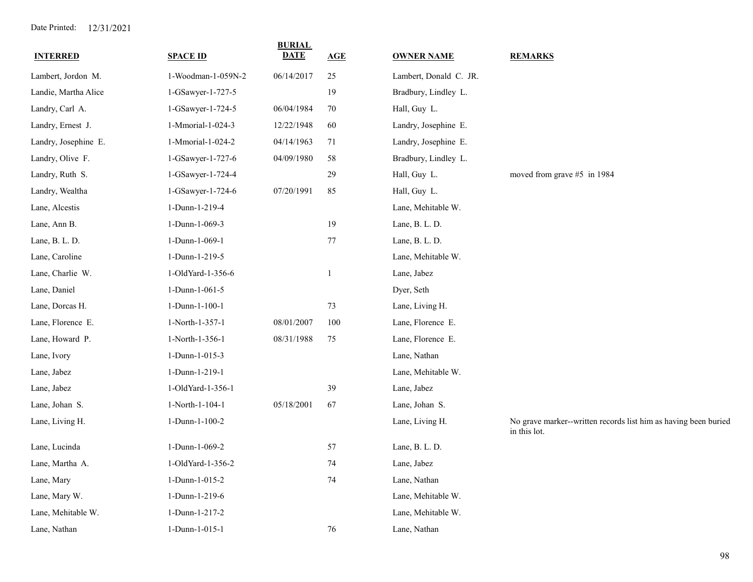| <b>INTERRED</b>      | <b>SPACE ID</b>    | <b>BURIAL</b><br><b>DATE</b> | AGE    | <b>OWNER NAME</b>      | <b>REMARKS</b>                                                                  |
|----------------------|--------------------|------------------------------|--------|------------------------|---------------------------------------------------------------------------------|
| Lambert, Jordon M.   | 1-Woodman-1-059N-2 | 06/14/2017                   | 25     | Lambert, Donald C. JR. |                                                                                 |
| Landie, Martha Alice | 1-GSawyer-1-727-5  |                              | 19     | Bradbury, Lindley L.   |                                                                                 |
| Landry, Carl A.      | 1-GSawyer-1-724-5  | 06/04/1984                   | 70     | Hall, Guy L.           |                                                                                 |
| Landry, Ernest J.    | 1-Mmorial-1-024-3  | 12/22/1948                   | 60     | Landry, Josephine E.   |                                                                                 |
| Landry, Josephine E. | 1-Mmorial-1-024-2  | 04/14/1963                   | 71     | Landry, Josephine E.   |                                                                                 |
| Landry, Olive F.     | 1-GSawyer-1-727-6  | 04/09/1980                   | $58\,$ | Bradbury, Lindley L.   |                                                                                 |
| Landry, Ruth S.      | 1-GSawyer-1-724-4  |                              | 29     | Hall, Guy L.           | moved from grave #5 in 1984                                                     |
| Landry, Wealtha      | 1-GSawyer-1-724-6  | 07/20/1991                   | 85     | Hall, Guy L.           |                                                                                 |
| Lane, Alcestis       | 1-Dunn-1-219-4     |                              |        | Lane, Mehitable W.     |                                                                                 |
| Lane, Ann B.         | 1-Dunn-1-069-3     |                              | 19     | Lane, B. L. D.         |                                                                                 |
| Lane, B. L. D.       | 1-Dunn-1-069-1     |                              | $77\,$ | Lane, B. L. D.         |                                                                                 |
| Lane, Caroline       | 1-Dunn-1-219-5     |                              |        | Lane, Mehitable W.     |                                                                                 |
| Lane, Charlie W.     | 1-OldYard-1-356-6  |                              | 1      | Lane, Jabez            |                                                                                 |
| Lane, Daniel         | 1-Dunn-1-061-5     |                              |        | Dyer, Seth             |                                                                                 |
| Lane, Dorcas H.      | 1-Dunn-1-100-1     |                              | 73     | Lane, Living H.        |                                                                                 |
| Lane, Florence E.    | 1-North-1-357-1    | 08/01/2007                   | 100    | Lane, Florence E.      |                                                                                 |
| Lane, Howard P.      | 1-North-1-356-1    | 08/31/1988                   | 75     | Lane, Florence E.      |                                                                                 |
| Lane, Ivory          | 1-Dunn-1-015-3     |                              |        | Lane, Nathan           |                                                                                 |
| Lane, Jabez          | 1-Dunn-1-219-1     |                              |        | Lane, Mehitable W.     |                                                                                 |
| Lane, Jabez          | 1-OldYard-1-356-1  |                              | 39     | Lane, Jabez            |                                                                                 |
| Lane, Johan S.       | 1-North-1-104-1    | 05/18/2001                   | 67     | Lane, Johan S.         |                                                                                 |
| Lane, Living H.      | 1-Dunn-1-100-2     |                              |        | Lane, Living H.        | No grave marker--written records list him as having been buried<br>in this lot. |
| Lane, Lucinda        | 1-Dunn-1-069-2     |                              | 57     | Lane, B. L. D.         |                                                                                 |
| Lane, Martha A.      | 1-OldYard-1-356-2  |                              | 74     | Lane, Jabez            |                                                                                 |
| Lane, Mary           | 1-Dunn-1-015-2     |                              | $74\,$ | Lane, Nathan           |                                                                                 |
| Lane, Mary W.        | 1-Dunn-1-219-6     |                              |        | Lane, Mehitable W.     |                                                                                 |
| Lane, Mehitable W.   | 1-Dunn-1-217-2     |                              |        | Lane, Mehitable W.     |                                                                                 |
| Lane, Nathan         | 1-Dunn-1-015-1     |                              | 76     | Lane, Nathan           |                                                                                 |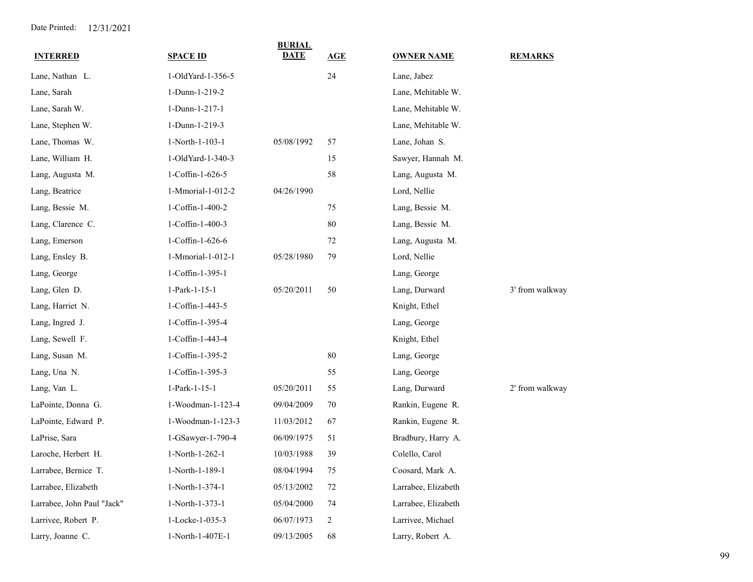| <b>INTERRED</b>            | <b>SPACE ID</b>   | <b>BURIAL</b><br>DATE | AGE    | <b>OWNER NAME</b>   | <b>REMARKS</b>  |
|----------------------------|-------------------|-----------------------|--------|---------------------|-----------------|
| Lane, Nathan L.            | 1-OldYard-1-356-5 |                       | 24     | Lane, Jabez         |                 |
| Lane, Sarah                | 1-Dunn-1-219-2    |                       |        | Lane, Mehitable W.  |                 |
| Lane, Sarah W.             | 1-Dunn-1-217-1    |                       |        | Lane, Mehitable W.  |                 |
| Lane, Stephen W.           | 1-Dunn-1-219-3    |                       |        | Lane, Mehitable W.  |                 |
| Lane, Thomas W.            | 1-North-1-103-1   | 05/08/1992            | 57     | Lane, Johan S.      |                 |
| Lane, William H.           | 1-OldYard-1-340-3 |                       | 15     |                     |                 |
|                            |                   |                       |        | Sawyer, Hannah M.   |                 |
| Lang, Augusta M.           | 1-Coffin-1-626-5  |                       | 58     | Lang, Augusta M.    |                 |
| Lang, Beatrice             | 1-Mmorial-1-012-2 | 04/26/1990            |        | Lord, Nellie        |                 |
| Lang, Bessie M.            | 1-Coffin-1-400-2  |                       | 75     | Lang, Bessie M.     |                 |
| Lang, Clarence C.          | 1-Coffin-1-400-3  |                       | 80     | Lang, Bessie M.     |                 |
| Lang, Emerson              | 1-Coffin-1-626-6  |                       | 72     | Lang, Augusta M.    |                 |
| Lang, Ensley B.            | 1-Mmorial-1-012-1 | 05/28/1980            | 79     | Lord, Nellie        |                 |
| Lang, George               | 1-Coffin-1-395-1  |                       |        | Lang, George        |                 |
| Lang, Glen D.              | 1-Park-1-15-1     | 05/20/2011            | 50     | Lang, Durward       | 3' from walkway |
| Lang, Harriet N.           | 1-Coffin-1-443-5  |                       |        | Knight, Ethel       |                 |
| Lang, Ingred J.            | 1-Coffin-1-395-4  |                       |        | Lang, George        |                 |
| Lang, Sewell F.            | 1-Coffin-1-443-4  |                       |        | Knight, Ethel       |                 |
| Lang, Susan M.             | 1-Coffin-1-395-2  |                       | 80     | Lang, George        |                 |
| Lang, Una N.               | 1-Coffin-1-395-3  |                       | 55     | Lang, George        |                 |
| Lang, Van L.               | 1-Park-1-15-1     | 05/20/2011            | 55     | Lang, Durward       | 2' from walkway |
| LaPointe, Donna G.         | 1-Woodman-1-123-4 | 09/04/2009            | 70     | Rankin, Eugene R.   |                 |
| LaPointe, Edward P.        | 1-Woodman-1-123-3 | 11/03/2012            | 67     | Rankin, Eugene R.   |                 |
| LaPrise, Sara              | 1-GSawyer-1-790-4 | 06/09/1975            | 51     | Bradbury, Harry A.  |                 |
| Laroche, Herbert H.        | 1-North-1-262-1   | 10/03/1988            | 39     | Colello, Carol      |                 |
| Larrabee, Bernice T.       | 1-North-1-189-1   | 08/04/1994            | $75\,$ | Coosard, Mark A.    |                 |
| Larrabee, Elizabeth        | 1-North-1-374-1   | 05/13/2002            | 72     | Larrabee, Elizabeth |                 |
| Larrabee, John Paul "Jack" | 1-North-1-373-1   | 05/04/2000            | 74     | Larrabee, Elizabeth |                 |
| Larrivee, Robert P.        | 1-Locke-1-035-3   | 06/07/1973            | 2      | Larrivee, Michael   |                 |
| Larry, Joanne C.           | 1-North-1-407E-1  | 09/13/2005            | 68     | Larry, Robert A.    |                 |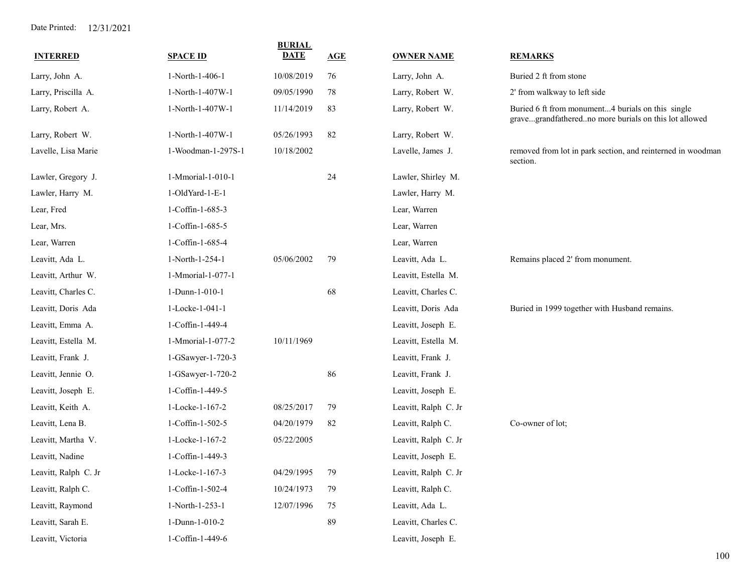| <b>INTERRED</b>      | <b>SPACE ID</b>    | <b>BURIAL</b><br><b>DATE</b> | AGE | <b>OWNER NAME</b>    | <b>REMARKS</b>                                                                                             |
|----------------------|--------------------|------------------------------|-----|----------------------|------------------------------------------------------------------------------------------------------------|
| Larry, John A.       | 1-North-1-406-1    | 10/08/2019                   | 76  | Larry, John A.       | Buried 2 ft from stone                                                                                     |
| Larry, Priscilla A.  | 1-North-1-407W-1   | 09/05/1990                   | 78  | Larry, Robert W.     | 2' from walkway to left side                                                                               |
| Larry, Robert A.     | 1-North-1-407W-1   | 11/14/2019                   | 83  | Larry, Robert W.     | Buried 6 ft from monument4 burials on this single<br>gravegrandfatheredno more burials on this lot allowed |
| Larry, Robert W.     | 1-North-1-407W-1   | 05/26/1993                   | 82  | Larry, Robert W.     |                                                                                                            |
| Lavelle, Lisa Marie  | 1-Woodman-1-297S-1 | 10/18/2002                   |     | Lavelle, James J.    | removed from lot in park section, and reinterned in woodman<br>section.                                    |
| Lawler, Gregory J.   | 1-Mmorial-1-010-1  |                              | 24  | Lawler, Shirley M.   |                                                                                                            |
| Lawler, Harry M.     | 1-OldYard-1-E-1    |                              |     | Lawler, Harry M.     |                                                                                                            |
| Lear, Fred           | 1-Coffin-1-685-3   |                              |     | Lear, Warren         |                                                                                                            |
| Lear, Mrs.           | 1-Coffin-1-685-5   |                              |     | Lear, Warren         |                                                                                                            |
| Lear, Warren         | 1-Coffin-1-685-4   |                              |     | Lear, Warren         |                                                                                                            |
| Leavitt, Ada L.      | 1-North-1-254-1    | 05/06/2002                   | 79  | Leavitt, Ada L.      | Remains placed 2' from monument.                                                                           |
| Leavitt, Arthur W.   | 1-Mmorial-1-077-1  |                              |     | Leavitt, Estella M.  |                                                                                                            |
| Leavitt, Charles C.  | 1-Dunn-1-010-1     |                              | 68  | Leavitt, Charles C.  |                                                                                                            |
| Leavitt, Doris Ada   | 1-Locke-1-041-1    |                              |     | Leavitt, Doris Ada   | Buried in 1999 together with Husband remains.                                                              |
| Leavitt, Emma A.     | 1-Coffin-1-449-4   |                              |     | Leavitt, Joseph E.   |                                                                                                            |
| Leavitt, Estella M.  | 1-Mmorial-1-077-2  | 10/11/1969                   |     | Leavitt, Estella M.  |                                                                                                            |
| Leavitt, Frank J.    | 1-GSawyer-1-720-3  |                              |     | Leavitt, Frank J.    |                                                                                                            |
| Leavitt, Jennie O.   | 1-GSawyer-1-720-2  |                              | 86  | Leavitt, Frank J.    |                                                                                                            |
| Leavitt, Joseph E.   | 1-Coffin-1-449-5   |                              |     | Leavitt, Joseph E.   |                                                                                                            |
| Leavitt, Keith A.    | 1-Locke-1-167-2    | 08/25/2017                   | 79  | Leavitt, Ralph C. Jr |                                                                                                            |
| Leavitt, Lena B.     | 1-Coffin-1-502-5   | 04/20/1979                   | 82  | Leavitt, Ralph C.    | Co-owner of lot;                                                                                           |
| Leavitt, Martha V.   | 1-Locke-1-167-2    | 05/22/2005                   |     | Leavitt, Ralph C. Jr |                                                                                                            |
| Leavitt, Nadine      | 1-Coffin-1-449-3   |                              |     | Leavitt, Joseph E.   |                                                                                                            |
| Leavitt, Ralph C. Jr | 1-Locke-1-167-3    | 04/29/1995                   | 79  | Leavitt, Ralph C. Jr |                                                                                                            |
| Leavitt, Ralph C.    | 1-Coffin-1-502-4   | 10/24/1973                   | 79  | Leavitt, Ralph C.    |                                                                                                            |
| Leavitt, Raymond     | 1-North-1-253-1    | 12/07/1996                   | 75  | Leavitt, Ada L.      |                                                                                                            |
| Leavitt, Sarah E.    | 1-Dunn-1-010-2     |                              | 89  | Leavitt, Charles C.  |                                                                                                            |
| Leavitt, Victoria    | 1-Coffin-1-449-6   |                              |     | Leavitt, Joseph E.   |                                                                                                            |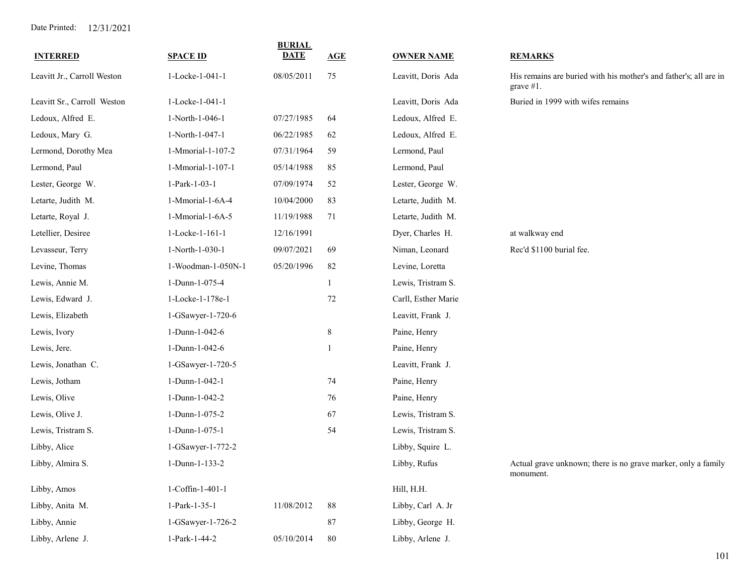| <b>INTERRED</b>             | <b>SPACE ID</b>    | <b>BURIAL</b><br><b>DATE</b> | AGE          | <b>OWNER NAME</b>   | <b>REMARKS</b>                                                                    |
|-----------------------------|--------------------|------------------------------|--------------|---------------------|-----------------------------------------------------------------------------------|
| Leavitt Jr., Carroll Weston | 1-Locke-1-041-1    | 08/05/2011                   | 75           | Leavitt, Doris Ada  | His remains are buried with his mother's and father's; all are in<br>grave $#1$ . |
| Leavitt Sr., Carroll Weston | 1-Locke-1-041-1    |                              |              | Leavitt, Doris Ada  | Buried in 1999 with wifes remains                                                 |
| Ledoux, Alfred E.           | 1-North-1-046-1    | 07/27/1985                   | 64           | Ledoux, Alfred E.   |                                                                                   |
| Ledoux, Mary G.             | 1-North-1-047-1    | 06/22/1985                   | 62           | Ledoux, Alfred E.   |                                                                                   |
| Lermond, Dorothy Mea        | 1-Mmorial-1-107-2  | 07/31/1964                   | 59           | Lermond, Paul       |                                                                                   |
| Lermond, Paul               | 1-Mmorial-1-107-1  | 05/14/1988                   | 85           | Lermond, Paul       |                                                                                   |
| Lester, George W.           | 1-Park-1-03-1      | 07/09/1974                   | 52           | Lester, George W.   |                                                                                   |
| Letarte, Judith M.          | 1-Mmorial-1-6A-4   | 10/04/2000                   | 83           | Letarte, Judith M.  |                                                                                   |
| Letarte, Royal J.           | 1-Mmorial-1-6A-5   | 11/19/1988                   | 71           | Letarte, Judith M.  |                                                                                   |
| Letellier, Desiree          | 1-Locke-1-161-1    | 12/16/1991                   |              | Dyer, Charles H.    | at walkway end                                                                    |
| Levasseur, Terry            | 1-North-1-030-1    | 09/07/2021                   | 69           | Niman, Leonard      | Rec'd \$1100 burial fee.                                                          |
| Levine, Thomas              | 1-Woodman-1-050N-1 | 05/20/1996                   | 82           | Levine, Loretta     |                                                                                   |
| Lewis, Annie M.             | 1-Dunn-1-075-4     |                              | $\mathbf{1}$ | Lewis, Tristram S.  |                                                                                   |
| Lewis, Edward J.            | 1-Locke-1-178e-1   |                              | 72           | Carll, Esther Marie |                                                                                   |
| Lewis, Elizabeth            | 1-GSawyer-1-720-6  |                              |              | Leavitt, Frank J.   |                                                                                   |
| Lewis, Ivory                | 1-Dunn-1-042-6     |                              | $\,8\,$      | Paine, Henry        |                                                                                   |
| Lewis, Jere.                | 1-Dunn-1-042-6     |                              | $\mathbf{1}$ | Paine, Henry        |                                                                                   |
| Lewis, Jonathan C.          | 1-GSawyer-1-720-5  |                              |              | Leavitt, Frank J.   |                                                                                   |
| Lewis, Jotham               | 1-Dunn-1-042-1     |                              | 74           | Paine, Henry        |                                                                                   |
| Lewis, Olive                | 1-Dunn-1-042-2     |                              | 76           | Paine, Henry        |                                                                                   |
| Lewis, Olive J.             | 1-Dunn-1-075-2     |                              | 67           | Lewis, Tristram S.  |                                                                                   |
| Lewis, Tristram S.          | 1-Dunn-1-075-1     |                              | 54           | Lewis, Tristram S.  |                                                                                   |
| Libby, Alice                | 1-GSawyer-1-772-2  |                              |              | Libby, Squire L.    |                                                                                   |
| Libby, Almira S.            | 1-Dunn-1-133-2     |                              |              | Libby, Rufus        | Actual grave unknown; there is no grave marker, only a family<br>monument.        |
| Libby, Amos                 | 1-Coffin-1-401-1   |                              |              | Hill, H.H.          |                                                                                   |
| Libby, Anita M.             | 1-Park-1-35-1      | 11/08/2012                   | $88\,$       | Libby, Carl A. Jr   |                                                                                   |
| Libby, Annie                | 1-GSawyer-1-726-2  |                              | 87           | Libby, George H.    |                                                                                   |
| Libby, Arlene J.            | 1-Park-1-44-2      | 05/10/2014                   | $80\,$       | Libby, Arlene J.    |                                                                                   |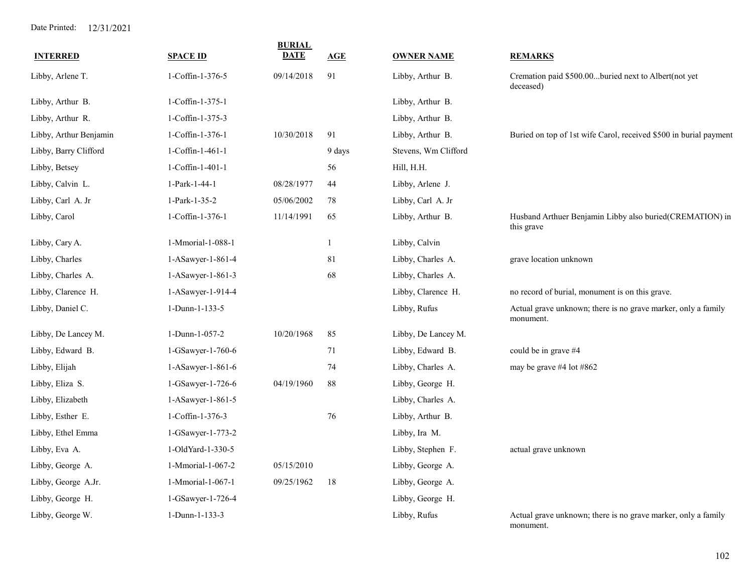| <b>INTERRED</b>        | <b>SPACE ID</b>     | <b>BURIAL</b><br><b>DATE</b> | AGE          | <b>OWNER NAME</b>    | <b>REMARKS</b>                                                             |
|------------------------|---------------------|------------------------------|--------------|----------------------|----------------------------------------------------------------------------|
| Libby, Arlene T.       | 1-Coffin-1-376-5    | 09/14/2018                   | 91           | Libby, Arthur B.     | Cremation paid \$500.00buried next to Albert(not yet<br>deceased)          |
| Libby, Arthur B.       | $1-Coffin-1-375-1$  |                              |              | Libby, Arthur B.     |                                                                            |
| Libby, Arthur R.       | 1-Coffin-1-375-3    |                              |              | Libby, Arthur B.     |                                                                            |
| Libby, Arthur Benjamin | 1-Coffin-1-376-1    | 10/30/2018                   | 91           | Libby, Arthur B.     | Buried on top of 1st wife Carol, received \$500 in burial payment          |
| Libby, Barry Clifford  | 1-Coffin-1-461-1    |                              | 9 days       | Stevens, Wm Clifford |                                                                            |
| Libby, Betsey          | 1-Coffin-1-401-1    |                              | 56           | Hill, H.H.           |                                                                            |
| Libby, Calvin L.       | 1-Park-1-44-1       | 08/28/1977                   | 44           | Libby, Arlene J.     |                                                                            |
| Libby, Carl A. Jr      | 1-Park-1-35-2       | 05/06/2002                   | 78           | Libby, Carl A. Jr    |                                                                            |
| Libby, Carol           | 1-Coffin-1-376-1    | 11/14/1991                   | 65           | Libby, Arthur B.     | Husband Arthuer Benjamin Libby also buried(CREMATION) in<br>this grave     |
| Libby, Cary A.         | 1-Mmorial-1-088-1   |                              | $\mathbf{1}$ | Libby, Calvin        |                                                                            |
| Libby, Charles         | 1-ASawyer-1-861-4   |                              | 81           | Libby, Charles A.    | grave location unknown                                                     |
| Libby, Charles A.      | 1-ASawyer-1-861-3   |                              | 68           | Libby, Charles A.    |                                                                            |
| Libby, Clarence H.     | 1-ASawyer-1-914-4   |                              |              | Libby, Clarence H.   | no record of burial, monument is on this grave.                            |
| Libby, Daniel C.       | 1-Dunn-1-133-5      |                              |              | Libby, Rufus         | Actual grave unknown; there is no grave marker, only a family<br>monument. |
| Libby, De Lancey M.    | 1-Dunn-1-057-2      | 10/20/1968                   | 85           | Libby, De Lancey M.  |                                                                            |
| Libby, Edward B.       | 1-GSawyer-1-760-6   |                              | 71           | Libby, Edward B.     | could be in grave #4                                                       |
| Libby, Elijah          | 1-ASawyer-1-861-6   |                              | 74           | Libby, Charles A.    | may be grave #4 lot #862                                                   |
| Libby, Eliza S.        | 1-GSawyer-1-726-6   | 04/19/1960                   | 88           | Libby, George H.     |                                                                            |
| Libby, Elizabeth       | $1-ASawyer-1-861-5$ |                              |              | Libby, Charles A.    |                                                                            |
| Libby, Esther E.       | 1-Coffin-1-376-3    |                              | 76           | Libby, Arthur B.     |                                                                            |
| Libby, Ethel Emma      | 1-GSawyer-1-773-2   |                              |              | Libby, Ira M.        |                                                                            |
| Libby, Eva A.          | 1-OldYard-1-330-5   |                              |              | Libby, Stephen F.    | actual grave unknown                                                       |
| Libby, George A.       | 1-Mmorial-1-067-2   | 05/15/2010                   |              | Libby, George A.     |                                                                            |
| Libby, George A.Jr.    | 1-Mmorial-1-067-1   | 09/25/1962                   | $18\,$       | Libby, George A.     |                                                                            |
| Libby, George H.       | 1-GSawyer-1-726-4   |                              |              | Libby, George H.     |                                                                            |
| Libby, George W.       | 1-Dunn-1-133-3      |                              |              | Libby, Rufus         | Actual grave unknown; there is no grave marker, only a family<br>monument. |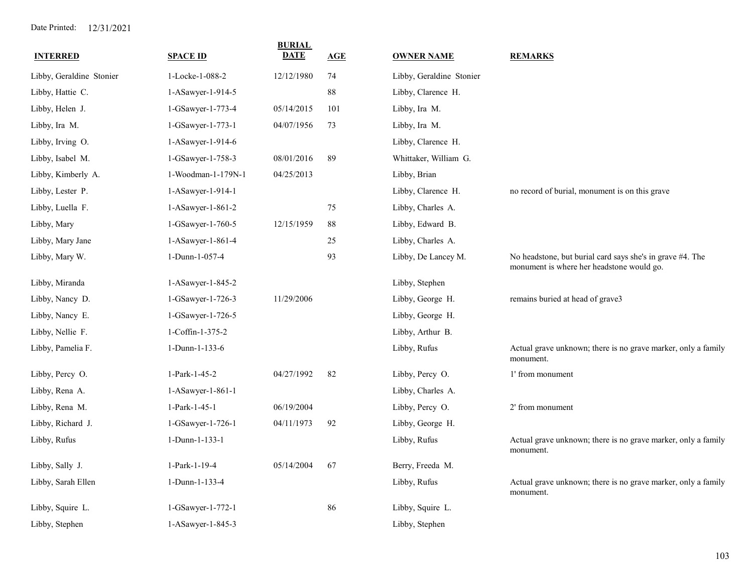| <b>INTERRED</b>          | <b>SPACE ID</b>    | <b>BURIAL</b><br><b>DATE</b> | <b>AGE</b> | <b>OWNER NAME</b>        | <b>REMARKS</b>                                                                                         |
|--------------------------|--------------------|------------------------------|------------|--------------------------|--------------------------------------------------------------------------------------------------------|
| Libby, Geraldine Stonier | 1-Locke-1-088-2    | 12/12/1980                   | 74         | Libby, Geraldine Stonier |                                                                                                        |
| Libby, Hattie C.         | 1-ASawyer-1-914-5  |                              | 88         | Libby, Clarence H.       |                                                                                                        |
| Libby, Helen J.          | 1-GSawyer-1-773-4  | 05/14/2015                   | 101        | Libby, Ira M.            |                                                                                                        |
| Libby, Ira M.            | 1-GSawyer-1-773-1  | 04/07/1956                   | 73         | Libby, Ira M.            |                                                                                                        |
| Libby, Irving O.         | 1-ASawyer-1-914-6  |                              |            | Libby, Clarence H.       |                                                                                                        |
| Libby, Isabel M.         | 1-GSawyer-1-758-3  | 08/01/2016                   | 89         | Whittaker, William G.    |                                                                                                        |
| Libby, Kimberly A.       | 1-Woodman-1-179N-1 | 04/25/2013                   |            | Libby, Brian             |                                                                                                        |
| Libby, Lester P.         | 1-ASawyer-1-914-1  |                              |            | Libby, Clarence H.       | no record of burial, monument is on this grave                                                         |
| Libby, Luella F.         | 1-ASawyer-1-861-2  |                              | 75         | Libby, Charles A.        |                                                                                                        |
| Libby, Mary              | 1-GSawyer-1-760-5  | 12/15/1959                   | 88         | Libby, Edward B.         |                                                                                                        |
| Libby, Mary Jane         | 1-ASawyer-1-861-4  |                              | 25         | Libby, Charles A.        |                                                                                                        |
| Libby, Mary W.           | 1-Dunn-1-057-4     |                              | 93         | Libby, De Lancey M.      | No headstone, but burial card says she's in grave #4. The<br>monument is where her headstone would go. |
| Libby, Miranda           | 1-ASawyer-1-845-2  |                              |            | Libby, Stephen           |                                                                                                        |
| Libby, Nancy D.          | 1-GSawyer-1-726-3  | 11/29/2006                   |            | Libby, George H.         | remains buried at head of grave3                                                                       |
| Libby, Nancy E.          | 1-GSawyer-1-726-5  |                              |            | Libby, George H.         |                                                                                                        |
| Libby, Nellie F.         | 1-Coffin-1-375-2   |                              |            | Libby, Arthur B.         |                                                                                                        |
| Libby, Pamelia F.        | 1-Dunn-1-133-6     |                              |            | Libby, Rufus             | Actual grave unknown; there is no grave marker, only a family<br>monument.                             |
| Libby, Percy O.          | 1-Park-1-45-2      | 04/27/1992                   | 82         | Libby, Percy O.          | 1' from monument                                                                                       |
| Libby, Rena A.           | 1-ASawyer-1-861-1  |                              |            | Libby, Charles A.        |                                                                                                        |
| Libby, Rena M.           | 1-Park-1-45-1      | 06/19/2004                   |            | Libby, Percy O.          | 2' from monument                                                                                       |
| Libby, Richard J.        | 1-GSawyer-1-726-1  | 04/11/1973                   | 92         | Libby, George H.         |                                                                                                        |
| Libby, Rufus             | 1-Dunn-1-133-1     |                              |            | Libby, Rufus             | Actual grave unknown; there is no grave marker, only a family<br>monument.                             |
| Libby, Sally J.          | 1-Park-1-19-4      | 05/14/2004                   | 67         | Berry, Freeda M.         |                                                                                                        |
| Libby, Sarah Ellen       | 1-Dunn-1-133-4     |                              |            | Libby, Rufus             | Actual grave unknown; there is no grave marker, only a family<br>monument.                             |
| Libby, Squire L.         | 1-GSawyer-1-772-1  |                              | 86         | Libby, Squire L.         |                                                                                                        |
| Libby, Stephen           | 1-ASawyer-1-845-3  |                              |            | Libby, Stephen           |                                                                                                        |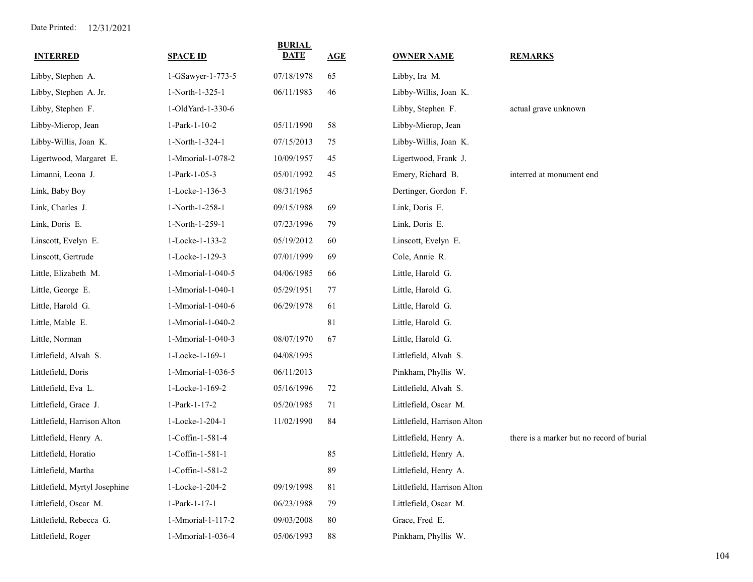| <b>INTERRED</b>               | <b>SPACE ID</b>   | <b>BURIAL</b><br>DATE | AGE         | <b>OWNER NAME</b>           | <b>REMARKS</b>                            |
|-------------------------------|-------------------|-----------------------|-------------|-----------------------------|-------------------------------------------|
| Libby, Stephen A.             | 1-GSawyer-1-773-5 | 07/18/1978            | 65          | Libby, Ira M.               |                                           |
| Libby, Stephen A. Jr.         | 1-North-1-325-1   | 06/11/1983            | 46          | Libby-Willis, Joan K.       |                                           |
| Libby, Stephen F.             | 1-OldYard-1-330-6 |                       |             | Libby, Stephen F.           | actual grave unknown                      |
| Libby-Mierop, Jean            | 1-Park-1-10-2     | 05/11/1990            | 58          | Libby-Mierop, Jean          |                                           |
| Libby-Willis, Joan K.         | 1-North-1-324-1   | 07/15/2013            | 75          | Libby-Willis, Joan K.       |                                           |
| Ligertwood, Margaret E.       | 1-Mmorial-1-078-2 | 10/09/1957            | 45          | Ligertwood, Frank J.        |                                           |
| Limanni, Leona J.             | 1-Park-1-05-3     | 05/01/1992            | 45          | Emery, Richard B.           | interred at monument end                  |
| Link, Baby Boy                | 1-Locke-1-136-3   | 08/31/1965            |             | Dertinger, Gordon F.        |                                           |
| Link, Charles J.              | 1-North-1-258-1   | 09/15/1988            | 69          | Link, Doris E.              |                                           |
| Link, Doris E.                | 1-North-1-259-1   | 07/23/1996            | 79          | Link, Doris E.              |                                           |
| Linscott, Evelyn E.           | 1-Locke-1-133-2   | 05/19/2012            | 60          | Linscott, Evelyn E.         |                                           |
| Linscott, Gertrude            | 1-Locke-1-129-3   | 07/01/1999            | 69          | Cole, Annie R.              |                                           |
| Little, Elizabeth M.          | 1-Mmorial-1-040-5 | 04/06/1985            | 66          | Little, Harold G.           |                                           |
| Little, George E.             | 1-Mmorial-1-040-1 | 05/29/1951            | 77          | Little, Harold G.           |                                           |
| Little, Harold G.             | 1-Mmorial-1-040-6 | 06/29/1978            | 61          | Little, Harold G.           |                                           |
| Little, Mable E.              | 1-Mmorial-1-040-2 |                       | 81          | Little, Harold G.           |                                           |
| Little, Norman                | 1-Mmorial-1-040-3 | 08/07/1970            | 67          | Little, Harold G.           |                                           |
| Littlefield, Alvah S.         | 1-Locke-1-169-1   | 04/08/1995            |             | Littlefield, Alvah S.       |                                           |
| Littlefield, Doris            | 1-Mmorial-1-036-5 | 06/11/2013            |             | Pinkham, Phyllis W.         |                                           |
| Littlefield, Eva L.           | 1-Locke-1-169-2   | 05/16/1996            | 72          | Littlefield, Alvah S.       |                                           |
| Littlefield, Grace J.         | 1-Park-1-17-2     | 05/20/1985            | 71          | Littlefield, Oscar M.       |                                           |
| Littlefield, Harrison Alton   | 1-Locke-1-204-1   | 11/02/1990            | 84          | Littlefield, Harrison Alton |                                           |
| Littlefield, Henry A.         | 1-Coffin-1-581-4  |                       |             | Littlefield, Henry A.       | there is a marker but no record of burial |
| Littlefield, Horatio          | 1-Coffin-1-581-1  |                       | 85          | Littlefield, Henry A.       |                                           |
| Littlefield, Martha           | 1-Coffin-1-581-2  |                       | 89          | Littlefield, Henry A.       |                                           |
| Littlefield, Myrtyl Josephine | 1-Locke-1-204-2   | 09/19/1998            | $8\sqrt{1}$ | Littlefield, Harrison Alton |                                           |
| Littlefield, Oscar M.         | 1-Park-1-17-1     | 06/23/1988            | 79          | Littlefield, Oscar M.       |                                           |
| Littlefield, Rebecca G.       | 1-Mmorial-1-117-2 | 09/03/2008            | 80          | Grace, Fred E.              |                                           |
| Littlefield, Roger            | 1-Mmorial-1-036-4 | 05/06/1993            | 88          | Pinkham, Phyllis W.         |                                           |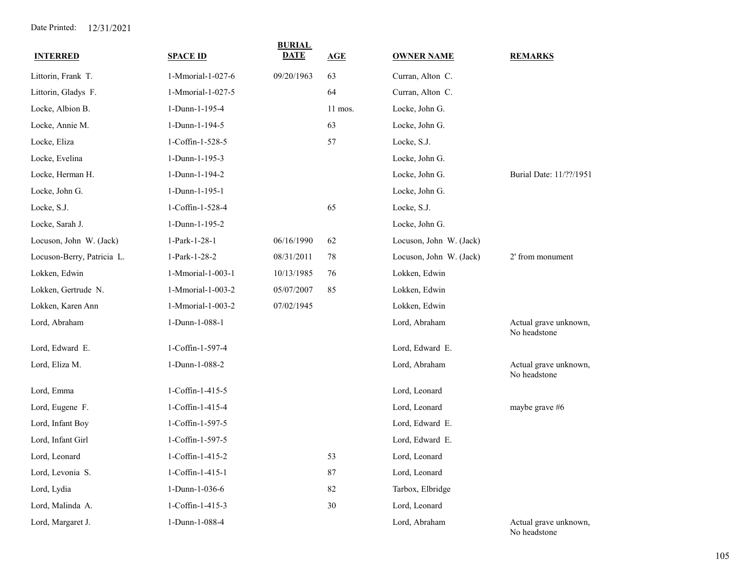| <b>INTERRED</b>            | <b>SPACE ID</b>   | <b>BURIAL</b><br>DATE | AGE     | <b>OWNER NAME</b>       | <b>REMARKS</b>                        |
|----------------------------|-------------------|-----------------------|---------|-------------------------|---------------------------------------|
| Littorin, Frank T.         | 1-Mmorial-1-027-6 | 09/20/1963            | 63      | Curran, Alton C.        |                                       |
| Littorin, Gladys F.        | 1-Mmorial-1-027-5 |                       | 64      | Curran, Alton C.        |                                       |
| Locke, Albion B.           | 1-Dunn-1-195-4    |                       | 11 mos. | Locke, John G.          |                                       |
| Locke, Annie M.            | 1-Dunn-1-194-5    |                       | 63      | Locke, John G.          |                                       |
| Locke, Eliza               | 1-Coffin-1-528-5  |                       | 57      | Locke, S.J.             |                                       |
| Locke, Evelina             | 1-Dunn-1-195-3    |                       |         | Locke, John G.          |                                       |
| Locke, Herman H.           | 1-Dunn-1-194-2    |                       |         | Locke, John G.          | Burial Date: 11/??/1951               |
| Locke, John G.             | 1-Dunn-1-195-1    |                       |         | Locke, John G.          |                                       |
| Locke, S.J.                | 1-Coffin-1-528-4  |                       | 65      | Locke, S.J.             |                                       |
| Locke, Sarah J.            | 1-Dunn-1-195-2    |                       |         | Locke, John G.          |                                       |
| Locuson, John W. (Jack)    | 1-Park-1-28-1     | 06/16/1990            | 62      | Locuson, John W. (Jack) |                                       |
| Locuson-Berry, Patricia L. | 1-Park-1-28-2     | 08/31/2011            | 78      | Locuson, John W. (Jack) | 2' from monument                      |
| Lokken, Edwin              | 1-Mmorial-1-003-1 | 10/13/1985            | 76      | Lokken, Edwin           |                                       |
| Lokken, Gertrude N.        | 1-Mmorial-1-003-2 | 05/07/2007            | 85      | Lokken, Edwin           |                                       |
| Lokken, Karen Ann          | 1-Mmorial-1-003-2 | 07/02/1945            |         | Lokken, Edwin           |                                       |
| Lord, Abraham              | 1-Dunn-1-088-1    |                       |         | Lord, Abraham           | Actual grave unknown,<br>No headstone |
| Lord, Edward E.            | 1-Coffin-1-597-4  |                       |         | Lord, Edward E.         |                                       |
| Lord, Eliza M.             | 1-Dunn-1-088-2    |                       |         | Lord, Abraham           | Actual grave unknown,<br>No headstone |
| Lord, Emma                 | 1-Coffin-1-415-5  |                       |         | Lord, Leonard           |                                       |
| Lord, Eugene F.            | 1-Coffin-1-415-4  |                       |         | Lord, Leonard           | maybe grave #6                        |
| Lord, Infant Boy           | 1-Coffin-1-597-5  |                       |         | Lord, Edward E.         |                                       |
| Lord, Infant Girl          | 1-Coffin-1-597-5  |                       |         | Lord, Edward E.         |                                       |
| Lord, Leonard              | 1-Coffin-1-415-2  |                       | 53      | Lord, Leonard           |                                       |
| Lord, Levonia S.           | 1-Coffin-1-415-1  |                       | 87      | Lord, Leonard           |                                       |
| Lord, Lydia                | 1-Dunn-1-036-6    |                       | 82      | Tarbox, Elbridge        |                                       |
| Lord, Malinda A.           | 1-Coffin-1-415-3  |                       | 30      | Lord, Leonard           |                                       |
| Lord, Margaret J.          | 1-Dunn-1-088-4    |                       |         | Lord, Abraham           | Actual grave unknown,<br>No headstone |

105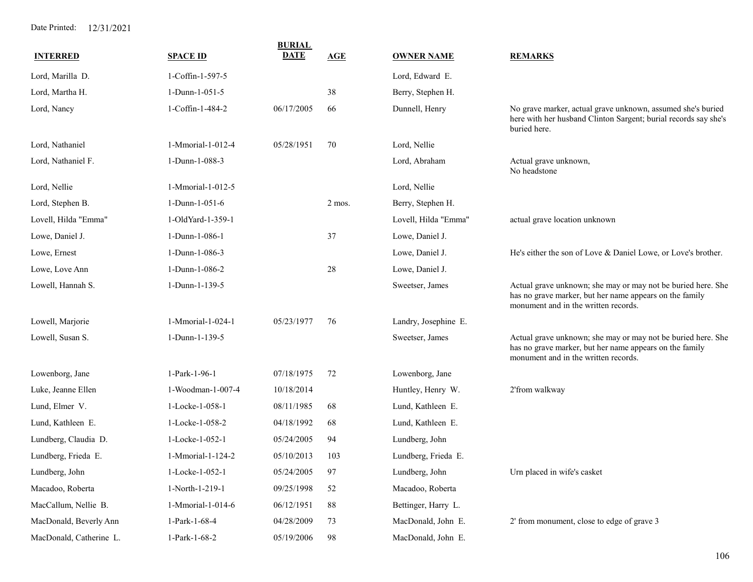| <b>INTERRED</b>         | <b>SPACE ID</b>   | <b>BURIAL</b><br><b>DATE</b> | <b>AGE</b> | <b>OWNER NAME</b>    | <b>REMARKS</b>                                                                                                                                                  |
|-------------------------|-------------------|------------------------------|------------|----------------------|-----------------------------------------------------------------------------------------------------------------------------------------------------------------|
| Lord, Marilla D.        | 1-Coffin-1-597-5  |                              |            | Lord, Edward E.      |                                                                                                                                                                 |
| Lord, Martha H.         | 1-Dunn-1-051-5    |                              | 38         | Berry, Stephen H.    |                                                                                                                                                                 |
| Lord, Nancy             | 1-Coffin-1-484-2  | 06/17/2005                   | 66         | Dunnell, Henry       | No grave marker, actual grave unknown, assumed she's buried<br>here with her husband Clinton Sargent; burial records say she's<br>buried here.                  |
| Lord, Nathaniel         | 1-Mmorial-1-012-4 | 05/28/1951                   | 70         | Lord, Nellie         |                                                                                                                                                                 |
| Lord, Nathaniel F.      | 1-Dunn-1-088-3    |                              |            | Lord, Abraham        | Actual grave unknown,<br>No headstone                                                                                                                           |
| Lord, Nellie            | 1-Mmorial-1-012-5 |                              |            | Lord, Nellie         |                                                                                                                                                                 |
| Lord, Stephen B.        | 1-Dunn-1-051-6    |                              | 2 mos.     | Berry, Stephen H.    |                                                                                                                                                                 |
| Lovell, Hilda "Emma"    | 1-OldYard-1-359-1 |                              |            | Lovell, Hilda "Emma" | actual grave location unknown                                                                                                                                   |
| Lowe, Daniel J.         | 1-Dunn-1-086-1    |                              | 37         | Lowe, Daniel J.      |                                                                                                                                                                 |
| Lowe, Ernest            | 1-Dunn-1-086-3    |                              |            | Lowe, Daniel J.      | He's either the son of Love & Daniel Lowe, or Love's brother.                                                                                                   |
| Lowe, Love Ann          | 1-Dunn-1-086-2    |                              | 28         | Lowe, Daniel J.      |                                                                                                                                                                 |
| Lowell, Hannah S.       | 1-Dunn-1-139-5    |                              |            | Sweetser, James      | Actual grave unknown; she may or may not be buried here. She<br>has no grave marker, but her name appears on the family<br>monument and in the written records. |
| Lowell, Marjorie        | 1-Mmorial-1-024-1 | 05/23/1977                   | 76         | Landry, Josephine E. |                                                                                                                                                                 |
| Lowell, Susan S.        | 1-Dunn-1-139-5    |                              |            | Sweetser, James      | Actual grave unknown; she may or may not be buried here. She<br>has no grave marker, but her name appears on the family<br>monument and in the written records. |
| Lowenborg, Jane         | 1-Park-1-96-1     | 07/18/1975                   | 72         | Lowenborg, Jane      |                                                                                                                                                                 |
| Luke, Jeanne Ellen      | 1-Woodman-1-007-4 | 10/18/2014                   |            | Huntley, Henry W.    | 2'from walkway                                                                                                                                                  |
| Lund, Elmer V.          | 1-Locke-1-058-1   | 08/11/1985                   | 68         | Lund, Kathleen E.    |                                                                                                                                                                 |
| Lund, Kathleen E.       | 1-Locke-1-058-2   | 04/18/1992                   | 68         | Lund, Kathleen E.    |                                                                                                                                                                 |
| Lundberg, Claudia D.    | 1-Locke-1-052-1   | 05/24/2005                   | 94         | Lundberg, John       |                                                                                                                                                                 |
| Lundberg, Frieda E.     | 1-Mmorial-1-124-2 | 05/10/2013                   | 103        | Lundberg, Frieda E.  |                                                                                                                                                                 |
| Lundberg, John          | 1-Locke-1-052-1   | 05/24/2005                   | 97         | Lundberg, John       | Urn placed in wife's casket                                                                                                                                     |
| Macadoo, Roberta        | 1-North-1-219-1   | 09/25/1998                   | 52         | Macadoo, Roberta     |                                                                                                                                                                 |
| MacCallum, Nellie B.    | 1-Mmorial-1-014-6 | 06/12/1951                   | 88         | Bettinger, Harry L.  |                                                                                                                                                                 |
| MacDonald, Beverly Ann  | 1-Park-1-68-4     | 04/28/2009                   | 73         | MacDonald, John E.   | 2' from monument, close to edge of grave 3                                                                                                                      |
| MacDonald, Catherine L. | 1-Park-1-68-2     | 05/19/2006                   | 98         | MacDonald, John E.   |                                                                                                                                                                 |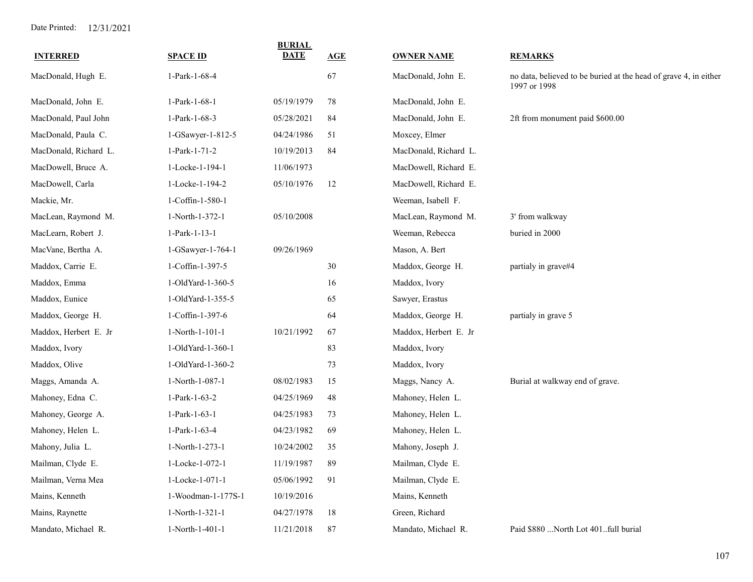| <b>INTERRED</b>       | <b>SPACE ID</b>     | <b>BURIAL</b><br><b>DATE</b> | AGE    | <b>OWNER NAME</b>     | <b>REMARKS</b>                                                                   |
|-----------------------|---------------------|------------------------------|--------|-----------------------|----------------------------------------------------------------------------------|
| MacDonald, Hugh E.    | 1-Park-1-68-4       |                              | 67     | MacDonald, John E.    | no data, believed to be buried at the head of grave 4, in either<br>1997 or 1998 |
| MacDonald, John E.    | 1-Park-1-68-1       | 05/19/1979                   | 78     | MacDonald, John E.    |                                                                                  |
| MacDonald, Paul John  | 1-Park-1-68-3       | 05/28/2021                   | 84     | MacDonald, John E.    | 2ft from monument paid \$600.00                                                  |
| MacDonald, Paula C.   | $1-GSawyer-1-812-5$ | 04/24/1986                   | 51     | Moxcey, Elmer         |                                                                                  |
| MacDonald, Richard L. | 1-Park-1-71-2       | 10/19/2013                   | 84     | MacDonald, Richard L. |                                                                                  |
| MacDowell, Bruce A.   | 1-Locke-1-194-1     | 11/06/1973                   |        | MacDowell, Richard E. |                                                                                  |
| MacDowell, Carla      | 1-Locke-1-194-2     | 05/10/1976                   | 12     | MacDowell, Richard E. |                                                                                  |
| Mackie, Mr.           | 1-Coffin-1-580-1    |                              |        | Weeman, Isabell F.    |                                                                                  |
| MacLean, Raymond M.   | 1-North-1-372-1     | 05/10/2008                   |        | MacLean, Raymond M.   | 3' from walkway                                                                  |
| MacLearn, Robert J.   | 1-Park-1-13-1       |                              |        | Weeman, Rebecca       | buried in 2000                                                                   |
| MacVane, Bertha A.    | 1-GSawyer-1-764-1   | 09/26/1969                   |        | Mason, A. Bert        |                                                                                  |
| Maddox, Carrie E.     | 1-Coffin-1-397-5    |                              | $30\,$ | Maddox, George H.     | partialy in grave#4                                                              |
| Maddox, Emma          | 1-OldYard-1-360-5   |                              | 16     | Maddox, Ivory         |                                                                                  |
| Maddox, Eunice        | 1-OldYard-1-355-5   |                              | 65     | Sawyer, Erastus       |                                                                                  |
| Maddox, George H.     | 1-Coffin-1-397-6    |                              | 64     | Maddox, George H.     | partialy in grave 5                                                              |
| Maddox, Herbert E. Jr | 1-North-1-101-1     | 10/21/1992                   | 67     | Maddox, Herbert E. Jr |                                                                                  |
| Maddox, Ivory         | 1-OldYard-1-360-1   |                              | 83     | Maddox, Ivory         |                                                                                  |
| Maddox, Olive         | 1-OldYard-1-360-2   |                              | 73     | Maddox, Ivory         |                                                                                  |
| Maggs, Amanda A.      | 1-North-1-087-1     | 08/02/1983                   | 15     | Maggs, Nancy A.       | Burial at walkway end of grave.                                                  |
| Mahoney, Edna C.      | 1-Park-1-63-2       | 04/25/1969                   | 48     | Mahoney, Helen L.     |                                                                                  |
| Mahoney, George A.    | 1-Park-1-63-1       | 04/25/1983                   | 73     | Mahoney, Helen L.     |                                                                                  |
| Mahoney, Helen L.     | 1-Park-1-63-4       | 04/23/1982                   | 69     | Mahoney, Helen L.     |                                                                                  |
| Mahony, Julia L.      | 1-North-1-273-1     | 10/24/2002                   | 35     | Mahony, Joseph J.     |                                                                                  |
| Mailman, Clyde E.     | 1-Locke-1-072-1     | 11/19/1987                   | 89     | Mailman, Clyde E.     |                                                                                  |
| Mailman, Verna Mea    | 1-Locke-1-071-1     | 05/06/1992                   | 91     | Mailman, Clyde E.     |                                                                                  |
| Mains, Kenneth        | 1-Woodman-1-177S-1  | 10/19/2016                   |        | Mains, Kenneth        |                                                                                  |
| Mains, Raynette       | 1-North-1-321-1     | 04/27/1978                   | 18     | Green, Richard        |                                                                                  |
| Mandato, Michael R.   | 1-North-1-401-1     | 11/21/2018                   | 87     | Mandato, Michael R.   | Paid \$880  North Lot 401 full burial                                            |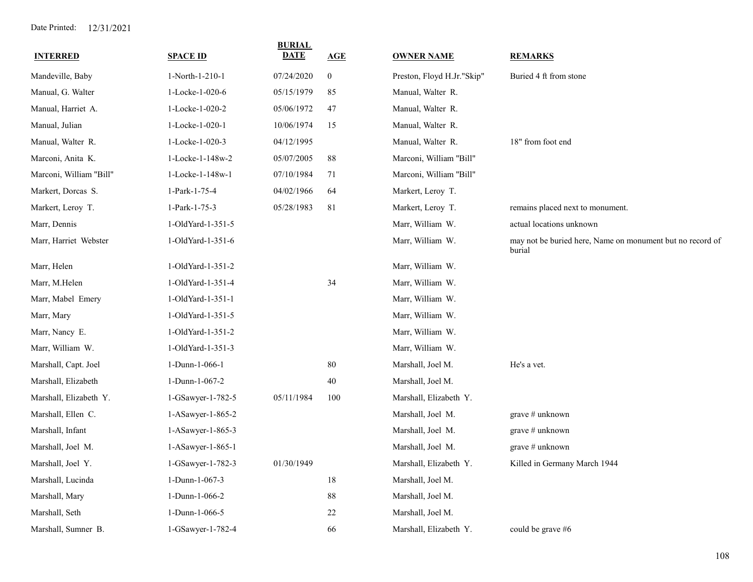| <b>INTERRED</b>         | <b>SPACE ID</b>   | <b>BURIAL</b><br><b>DATE</b> | <b>AGE</b>       | <b>OWNER NAME</b>          | <b>REMARKS</b>                                                      |
|-------------------------|-------------------|------------------------------|------------------|----------------------------|---------------------------------------------------------------------|
| Mandeville, Baby        | 1-North-1-210-1   | 07/24/2020                   | $\boldsymbol{0}$ | Preston, Floyd H.Jr."Skip" | Buried 4 ft from stone                                              |
| Manual, G. Walter       | 1-Locke-1-020-6   | 05/15/1979                   | 85               | Manual, Walter R.          |                                                                     |
| Manual, Harriet A.      | 1-Locke-1-020-2   | 05/06/1972                   | 47               | Manual, Walter R.          |                                                                     |
| Manual, Julian          | 1-Locke-1-020-1   | 10/06/1974                   | 15               | Manual, Walter R.          |                                                                     |
| Manual, Walter R.       | 1-Locke-1-020-3   | 04/12/1995                   |                  | Manual, Walter R.          | 18" from foot end                                                   |
| Marconi, Anita K.       | 1-Locke-1-148w-2  | 05/07/2005                   | 88               | Marconi, William "Bill"    |                                                                     |
| Marconi, William "Bill" | 1-Locke-1-148w-1  | 07/10/1984                   | 71               | Marconi, William "Bill"    |                                                                     |
| Markert, Dorcas S.      | 1-Park-1-75-4     | 04/02/1966                   | 64               | Markert, Leroy T.          |                                                                     |
| Markert, Leroy T.       | 1-Park-1-75-3     | 05/28/1983                   | 81               | Markert, Leroy T.          | remains placed next to monument.                                    |
| Marr, Dennis            | 1-OldYard-1-351-5 |                              |                  | Marr, William W.           | actual locations unknown                                            |
| Marr, Harriet Webster   | 1-OldYard-1-351-6 |                              |                  | Marr, William W.           | may not be buried here, Name on monument but no record of<br>burial |
| Marr, Helen             | 1-OldYard-1-351-2 |                              |                  | Marr, William W.           |                                                                     |
| Marr, M.Helen           | 1-OldYard-1-351-4 |                              | 34               | Marr, William W.           |                                                                     |
| Marr, Mabel Emery       | 1-OldYard-1-351-1 |                              |                  | Marr, William W.           |                                                                     |
| Marr, Mary              | 1-OldYard-1-351-5 |                              |                  | Marr, William W.           |                                                                     |
| Marr, Nancy E.          | 1-OldYard-1-351-2 |                              |                  | Marr, William W.           |                                                                     |
| Marr, William W.        | 1-OldYard-1-351-3 |                              |                  | Marr, William W.           |                                                                     |
| Marshall, Capt. Joel    | 1-Dunn-1-066-1    |                              | 80               | Marshall, Joel M.          | He's a vet.                                                         |
| Marshall, Elizabeth     | 1-Dunn-1-067-2    |                              | 40               | Marshall, Joel M.          |                                                                     |
| Marshall, Elizabeth Y.  | 1-GSawyer-1-782-5 | 05/11/1984                   | 100              | Marshall, Elizabeth Y.     |                                                                     |
| Marshall, Ellen C.      | 1-ASawyer-1-865-2 |                              |                  | Marshall, Joel M.          | grave $#$ unknown                                                   |
| Marshall, Infant        | 1-ASawyer-1-865-3 |                              |                  | Marshall, Joel M.          | grave $#$ unknown                                                   |
| Marshall, Joel M.       | 1-ASawyer-1-865-1 |                              |                  | Marshall, Joel M.          | grave $#$ unknown                                                   |
| Marshall, Joel Y.       | 1-GSawyer-1-782-3 | 01/30/1949                   |                  | Marshall, Elizabeth Y.     | Killed in Germany March 1944                                        |
| Marshall, Lucinda       | 1-Dunn-1-067-3    |                              | $18\,$           | Marshall, Joel M.          |                                                                     |
| Marshall, Mary          | 1-Dunn-1-066-2    |                              | $88\,$           | Marshall, Joel M.          |                                                                     |
| Marshall, Seth          | 1-Dunn-1-066-5    |                              | 22               | Marshall, Joel M.          |                                                                     |
| Marshall, Sumner B.     | 1-GSawyer-1-782-4 |                              | 66               | Marshall, Elizabeth Y.     | could be grave #6                                                   |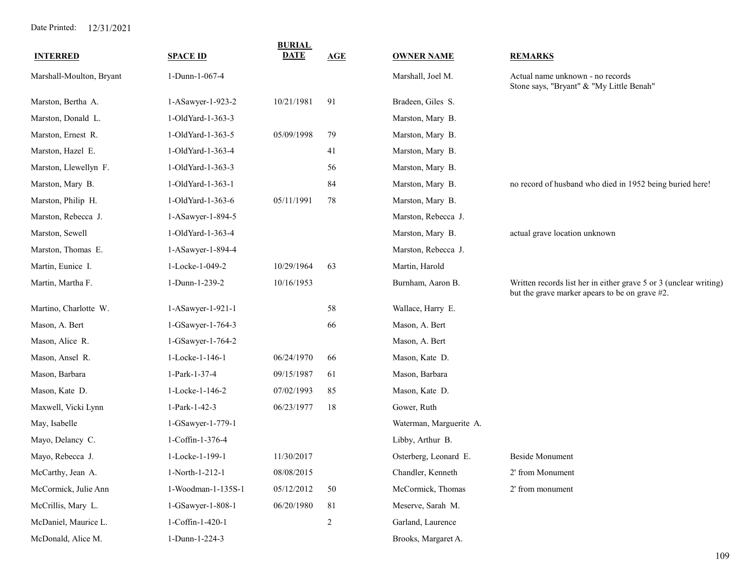| <b>INTERRED</b>          | <b>SPACE ID</b>    | <b>BURIAL</b><br><b>DATE</b> | <b>AGE</b>     | <b>OWNER NAME</b>       | <b>REMARKS</b>                                                                                                      |
|--------------------------|--------------------|------------------------------|----------------|-------------------------|---------------------------------------------------------------------------------------------------------------------|
| Marshall-Moulton, Bryant | 1-Dunn-1-067-4     |                              |                | Marshall, Joel M.       | Actual name unknown - no records<br>Stone says, "Bryant" & "My Little Benah"                                        |
| Marston, Bertha A.       | 1-ASawyer-1-923-2  | 10/21/1981                   | 91             | Bradeen, Giles S.       |                                                                                                                     |
| Marston, Donald L.       | 1-OldYard-1-363-3  |                              |                | Marston, Mary B.        |                                                                                                                     |
| Marston, Ernest R.       | 1-OldYard-1-363-5  | 05/09/1998                   | 79             | Marston, Mary B.        |                                                                                                                     |
| Marston, Hazel E.        | 1-OldYard-1-363-4  |                              | 41             | Marston, Mary B.        |                                                                                                                     |
| Marston, Llewellyn F.    | 1-OldYard-1-363-3  |                              | 56             | Marston, Mary B.        |                                                                                                                     |
| Marston, Mary B.         | 1-OldYard-1-363-1  |                              | 84             | Marston, Mary B.        | no record of husband who died in 1952 being buried here!                                                            |
| Marston, Philip H.       | 1-OldYard-1-363-6  | 05/11/1991                   | 78             | Marston, Mary B.        |                                                                                                                     |
| Marston, Rebecca J.      | 1-ASawyer-1-894-5  |                              |                | Marston, Rebecca J.     |                                                                                                                     |
| Marston, Sewell          | 1-OldYard-1-363-4  |                              |                | Marston, Mary B.        | actual grave location unknown                                                                                       |
| Marston, Thomas E.       | 1-ASawyer-1-894-4  |                              |                | Marston, Rebecca J.     |                                                                                                                     |
| Martin, Eunice I.        | 1-Locke-1-049-2    | 10/29/1964                   | 63             | Martin, Harold          |                                                                                                                     |
| Martin, Martha F.        | 1-Dunn-1-239-2     | 10/16/1953                   |                | Burnham, Aaron B.       | Written records list her in either grave 5 or 3 (unclear writing)<br>but the grave marker apears to be on grave #2. |
| Martino, Charlotte W.    | 1-ASawyer-1-921-1  |                              | 58             | Wallace, Harry E.       |                                                                                                                     |
| Mason, A. Bert           | 1-GSawyer-1-764-3  |                              | 66             | Mason, A. Bert          |                                                                                                                     |
| Mason, Alice R.          | 1-GSawyer-1-764-2  |                              |                | Mason, A. Bert          |                                                                                                                     |
| Mason, Ansel R.          | 1-Locke-1-146-1    | 06/24/1970                   | 66             | Mason, Kate D.          |                                                                                                                     |
| Mason, Barbara           | 1-Park-1-37-4      | 09/15/1987                   | 61             | Mason, Barbara          |                                                                                                                     |
| Mason, Kate D.           | 1-Locke-1-146-2    | 07/02/1993                   | 85             | Mason, Kate D.          |                                                                                                                     |
| Maxwell, Vicki Lynn      | 1-Park-1-42-3      | 06/23/1977                   | 18             | Gower, Ruth             |                                                                                                                     |
| May, Isabelle            | 1-GSawyer-1-779-1  |                              |                | Waterman, Marguerite A. |                                                                                                                     |
| Mayo, Delancy C.         | 1-Coffin-1-376-4   |                              |                | Libby, Arthur B.        |                                                                                                                     |
| Mayo, Rebecca J.         | 1-Locke-1-199-1    | 11/30/2017                   |                | Osterberg, Leonard E.   | Beside Monument                                                                                                     |
| McCarthy, Jean A.        | 1-North-1-212-1    | 08/08/2015                   |                | Chandler, Kenneth       | 2' from Monument                                                                                                    |
| McCormick, Julie Ann     | 1-Woodman-1-135S-1 | 05/12/2012                   | $50\,$         | McCormick, Thomas       | 2' from monument                                                                                                    |
| McCrillis, Mary L.       | 1-GSawyer-1-808-1  | 06/20/1980                   | 81             | Meserve, Sarah M.       |                                                                                                                     |
| McDaniel, Maurice L.     | 1-Coffin-1-420-1   |                              | $\overline{c}$ | Garland, Laurence       |                                                                                                                     |
| McDonald, Alice M.       | 1-Dunn-1-224-3     |                              |                | Brooks, Margaret A.     |                                                                                                                     |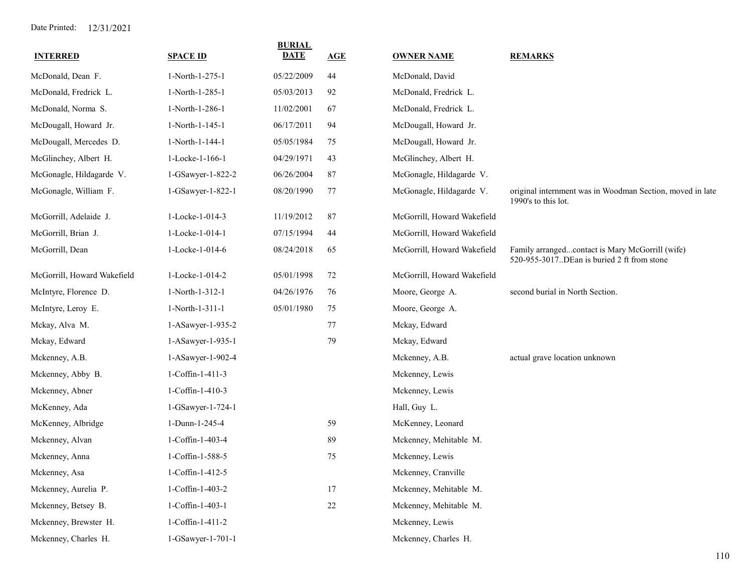| <b>INTERRED</b>             | <b>SPACE ID</b>   | <b>BURIAL</b><br><b>DATE</b> | AGE | <b>OWNER NAME</b>           | <b>REMARKS</b>                                                                                  |
|-----------------------------|-------------------|------------------------------|-----|-----------------------------|-------------------------------------------------------------------------------------------------|
| McDonald, Dean F.           | 1-North-1-275-1   | 05/22/2009                   | 44  | McDonald, David             |                                                                                                 |
| McDonald, Fredrick L.       | 1-North-1-285-1   | 05/03/2013                   | 92  | McDonald, Fredrick L.       |                                                                                                 |
| McDonald, Norma S.          | 1-North-1-286-1   | 11/02/2001                   | 67  | McDonald, Fredrick L.       |                                                                                                 |
| McDougall, Howard Jr.       | 1-North-1-145-1   | 06/17/2011                   | 94  | McDougall, Howard Jr.       |                                                                                                 |
| McDougall, Mercedes D.      | 1-North-1-144-1   | 05/05/1984                   | 75  | McDougall, Howard Jr.       |                                                                                                 |
| McGlinchey, Albert H.       | 1-Locke-1-166-1   | 04/29/1971                   | 43  | McGlinchey, Albert H.       |                                                                                                 |
| McGonagle, Hildagarde V.    | 1-GSawyer-1-822-2 | 06/26/2004                   | 87  | McGonagle, Hildagarde V.    |                                                                                                 |
| McGonagle, William F.       | 1-GSawyer-1-822-1 | 08/20/1990                   | 77  | McGonagle, Hildagarde V.    | original internment was in Woodman Section, moved in late<br>1990's to this lot.                |
| McGorrill, Adelaide J.      | 1-Locke-1-014-3   | 11/19/2012                   | 87  | McGorrill, Howard Wakefield |                                                                                                 |
| McGorrill, Brian J.         | 1-Locke-1-014-1   | 07/15/1994                   | 44  | McGorrill, Howard Wakefield |                                                                                                 |
| McGorrill, Dean             | 1-Locke-1-014-6   | 08/24/2018                   | 65  | McGorrill, Howard Wakefield | Family arrangedcontact is Mary McGorrill (wife)<br>520-955-3017. DEan is buried 2 ft from stone |
| McGorrill, Howard Wakefield | 1-Locke-1-014-2   | 05/01/1998                   | 72  | McGorrill, Howard Wakefield |                                                                                                 |
| McIntyre, Florence D.       | 1-North-1-312-1   | 04/26/1976                   | 76  | Moore, George A.            | second burial in North Section.                                                                 |
| McIntyre, Leroy E.          | 1-North-1-311-1   | 05/01/1980                   | 75  | Moore, George A.            |                                                                                                 |
| Mckay, Alva M.              | 1-ASawyer-1-935-2 |                              | 77  | Mckay, Edward               |                                                                                                 |
| Mckay, Edward               | 1-ASawyer-1-935-1 |                              | 79  | Mckay, Edward               |                                                                                                 |
| Mckenney, A.B.              | 1-ASawyer-1-902-4 |                              |     | Mckenney, A.B.              | actual grave location unknown                                                                   |
| Mckenney, Abby B.           | 1-Coffin-1-411-3  |                              |     | Mckenney, Lewis             |                                                                                                 |
| Mckenney, Abner             | 1-Coffin-1-410-3  |                              |     | Mckenney, Lewis             |                                                                                                 |
| McKenney, Ada               | 1-GSawyer-1-724-1 |                              |     | Hall, Guy L.                |                                                                                                 |
| McKenney, Albridge          | 1-Dunn-1-245-4    |                              | 59  | McKenney, Leonard           |                                                                                                 |
| Mckenney, Alvan             | 1-Coffin-1-403-4  |                              | 89  | Mckenney, Mehitable M.      |                                                                                                 |
| Mckenney, Anna              | 1-Coffin-1-588-5  |                              | 75  | Mckenney, Lewis             |                                                                                                 |
| Mckenney, Asa               | 1-Coffin-1-412-5  |                              |     | Mckenney, Cranville         |                                                                                                 |
| Mckenney, Aurelia P.        | 1-Coffin-1-403-2  |                              | 17  | Mckenney, Mehitable M.      |                                                                                                 |
| Mckenney, Betsey B.         | 1-Coffin-1-403-1  |                              | 22  | Mckenney, Mehitable M.      |                                                                                                 |
| Mckenney, Brewster H.       | 1-Coffin-1-411-2  |                              |     | Mckenney, Lewis             |                                                                                                 |
| Mckenney, Charles H.        | 1-GSawyer-1-701-1 |                              |     | Mckenney, Charles H.        |                                                                                                 |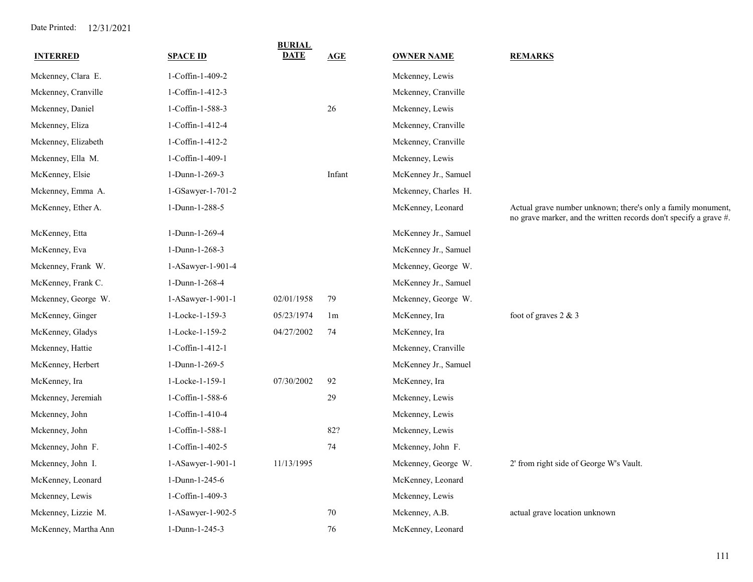|                      |                   | <b>BURIAL</b><br><b>DATE</b> |                |                      |                                                                                                                                   |
|----------------------|-------------------|------------------------------|----------------|----------------------|-----------------------------------------------------------------------------------------------------------------------------------|
| <b>INTERRED</b>      | <b>SPACE ID</b>   |                              | AGE            | <u>OWNER NAME</u>    | <b>REMARKS</b>                                                                                                                    |
| Mckenney, Clara E.   | 1-Coffin-1-409-2  |                              |                | Mckenney, Lewis      |                                                                                                                                   |
| Mckenney, Cranville  | 1-Coffin-1-412-3  |                              |                | Mckenney, Cranville  |                                                                                                                                   |
| Mckenney, Daniel     | 1-Coffin-1-588-3  |                              | 26             | Mckenney, Lewis      |                                                                                                                                   |
| Mckenney, Eliza      | 1-Coffin-1-412-4  |                              |                | Mckenney, Cranville  |                                                                                                                                   |
| Mckenney, Elizabeth  | 1-Coffin-1-412-2  |                              |                | Mckenney, Cranville  |                                                                                                                                   |
| Mckenney, Ella M.    | 1-Coffin-1-409-1  |                              |                | Mckenney, Lewis      |                                                                                                                                   |
| McKenney, Elsie      | 1-Dunn-1-269-3    |                              | Infant         | McKenney Jr., Samuel |                                                                                                                                   |
| Mckenney, Emma A.    | 1-GSawyer-1-701-2 |                              |                | Mckenney, Charles H. |                                                                                                                                   |
| McKenney, Ether A.   | 1-Dunn-1-288-5    |                              |                | McKenney, Leonard    | Actual grave number unknown; there's only a family monument,<br>no grave marker, and the written records don't specify a grave #. |
| McKenney, Etta       | 1-Dunn-1-269-4    |                              |                | McKenney Jr., Samuel |                                                                                                                                   |
| McKenney, Eva        | 1-Dunn-1-268-3    |                              |                | McKenney Jr., Samuel |                                                                                                                                   |
| Mckenney, Frank W.   | 1-ASawyer-1-901-4 |                              |                | Mckenney, George W.  |                                                                                                                                   |
| McKenney, Frank C.   | 1-Dunn-1-268-4    |                              |                | McKenney Jr., Samuel |                                                                                                                                   |
| Mckenney, George W.  | 1-ASawyer-1-901-1 | 02/01/1958                   | 79             | Mckenney, George W.  |                                                                                                                                   |
| McKenney, Ginger     | 1-Locke-1-159-3   | 05/23/1974                   | 1 <sub>m</sub> | McKenney, Ira        | foot of graves 2 & 3                                                                                                              |
| McKenney, Gladys     | 1-Locke-1-159-2   | 04/27/2002                   | 74             | McKenney, Ira        |                                                                                                                                   |
| Mckenney, Hattie     | 1-Coffin-1-412-1  |                              |                | Mckenney, Cranville  |                                                                                                                                   |
| McKenney, Herbert    | 1-Dunn-1-269-5    |                              |                | McKenney Jr., Samuel |                                                                                                                                   |
| McKenney, Ira        | 1-Locke-1-159-1   | 07/30/2002                   | 92             | McKenney, Ira        |                                                                                                                                   |
| Mckenney, Jeremiah   | 1-Coffin-1-588-6  |                              | 29             | Mckenney, Lewis      |                                                                                                                                   |
| Mckenney, John       | 1-Coffin-1-410-4  |                              |                | Mckenney, Lewis      |                                                                                                                                   |
| Mckenney, John       | 1-Coffin-1-588-1  |                              | 82?            | Mckenney, Lewis      |                                                                                                                                   |
| Mckenney, John F.    | 1-Coffin-1-402-5  |                              | 74             | Mckenney, John F.    |                                                                                                                                   |
| Mckenney, John I.    | 1-ASawyer-1-901-1 | 11/13/1995                   |                | Mckenney, George W.  | 2' from right side of George W's Vault.                                                                                           |
| McKenney, Leonard    | 1-Dunn-1-245-6    |                              |                | McKenney, Leonard    |                                                                                                                                   |
| Mckenney, Lewis      | 1-Coffin-1-409-3  |                              |                | Mckenney, Lewis      |                                                                                                                                   |
| Mckenney, Lizzie M.  | 1-ASawyer-1-902-5 |                              | 70             | Mckenney, A.B.       | actual grave location unknown                                                                                                     |
| McKenney, Martha Ann | 1-Dunn-1-245-3    |                              | 76             | McKenney, Leonard    |                                                                                                                                   |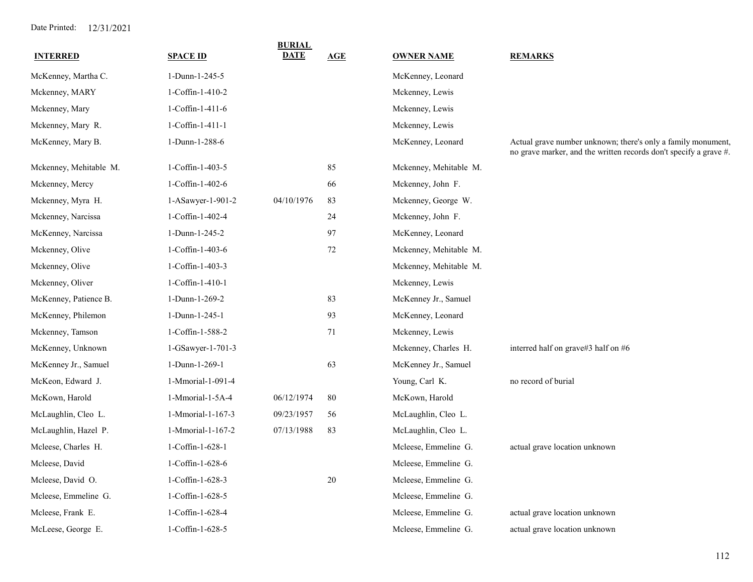| <b>INTERRED</b>        | <b>SPACE ID</b>   | <b>BURIAL</b><br>DATE | AGE    | <b>OWNER NAME</b>      | <b>REMARKS</b>                                                                                                                    |
|------------------------|-------------------|-----------------------|--------|------------------------|-----------------------------------------------------------------------------------------------------------------------------------|
| McKenney, Martha C.    | 1-Dunn-1-245-5    |                       |        | McKenney, Leonard      |                                                                                                                                   |
| Mckenney, MARY         | 1-Coffin-1-410-2  |                       |        | Mckenney, Lewis        |                                                                                                                                   |
| Mckenney, Mary         | 1-Coffin-1-411-6  |                       |        | Mckenney, Lewis        |                                                                                                                                   |
| Mckenney, Mary R.      | 1-Coffin-1-411-1  |                       |        | Mckenney, Lewis        |                                                                                                                                   |
| McKenney, Mary B.      | 1-Dunn-1-288-6    |                       |        | McKenney, Leonard      | Actual grave number unknown; there's only a family monument,<br>no grave marker, and the written records don't specify a grave #. |
| Mckenney, Mehitable M. | 1-Coffin-1-403-5  |                       | 85     | Mckenney, Mehitable M. |                                                                                                                                   |
| Mckenney, Mercy        | 1-Coffin-1-402-6  |                       | 66     | Mckenney, John F.      |                                                                                                                                   |
| Mckenney, Myra H.      | 1-ASawyer-1-901-2 | 04/10/1976            | 83     | Mckenney, George W.    |                                                                                                                                   |
| Mckenney, Narcissa     | 1-Coffin-1-402-4  |                       | 24     | Mckenney, John F.      |                                                                                                                                   |
| McKenney, Narcissa     | 1-Dunn-1-245-2    |                       | 97     | McKenney, Leonard      |                                                                                                                                   |
| Mckenney, Olive        | 1-Coffin-1-403-6  |                       | 72     | Mckenney, Mehitable M. |                                                                                                                                   |
| Mckenney, Olive        | 1-Coffin-1-403-3  |                       |        | Mckenney, Mehitable M. |                                                                                                                                   |
| Mckenney, Oliver       | 1-Coffin-1-410-1  |                       |        | Mckenney, Lewis        |                                                                                                                                   |
| McKenney, Patience B.  | 1-Dunn-1-269-2    |                       | 83     | McKenney Jr., Samuel   |                                                                                                                                   |
| McKenney, Philemon     | 1-Dunn-1-245-1    |                       | 93     | McKenney, Leonard      |                                                                                                                                   |
| Mckenney, Tamson       | 1-Coffin-1-588-2  |                       | 71     | Mckenney, Lewis        |                                                                                                                                   |
| McKenney, Unknown      | 1-GSawyer-1-701-3 |                       |        | Mckenney, Charles H.   | interred half on grave#3 half on #6                                                                                               |
| McKenney Jr., Samuel   | 1-Dunn-1-269-1    |                       | 63     | McKenney Jr., Samuel   |                                                                                                                                   |
| McKeon, Edward J.      | 1-Mmorial-1-091-4 |                       |        | Young, Carl K.         | no record of burial                                                                                                               |
| McKown, Harold         | 1-Mmorial-1-5A-4  | 06/12/1974            | 80     | McKown, Harold         |                                                                                                                                   |
| McLaughlin, Cleo L.    | 1-Mmorial-1-167-3 | 09/23/1957            | 56     | McLaughlin, Cleo L.    |                                                                                                                                   |
| McLaughlin, Hazel P.   | 1-Mmorial-1-167-2 | 07/13/1988            | 83     | McLaughlin, Cleo L.    |                                                                                                                                   |
| Mcleese, Charles H.    | 1-Coffin-1-628-1  |                       |        | Mcleese, Emmeline G.   | actual grave location unknown                                                                                                     |
| Mcleese, David         | 1-Coffin-1-628-6  |                       |        | Mcleese, Emmeline G.   |                                                                                                                                   |
| Mcleese, David O.      | 1-Coffin-1-628-3  |                       | $20\,$ | Mcleese, Emmeline G.   |                                                                                                                                   |
| Mcleese, Emmeline G.   | 1-Coffin-1-628-5  |                       |        | Mcleese, Emmeline G.   |                                                                                                                                   |
| Mcleese, Frank E.      | 1-Coffin-1-628-4  |                       |        | Mcleese, Emmeline G.   | actual grave location unknown                                                                                                     |
| McLeese, George E.     | 1-Coffin-1-628-5  |                       |        | Mcleese, Emmeline G.   | actual grave location unknown                                                                                                     |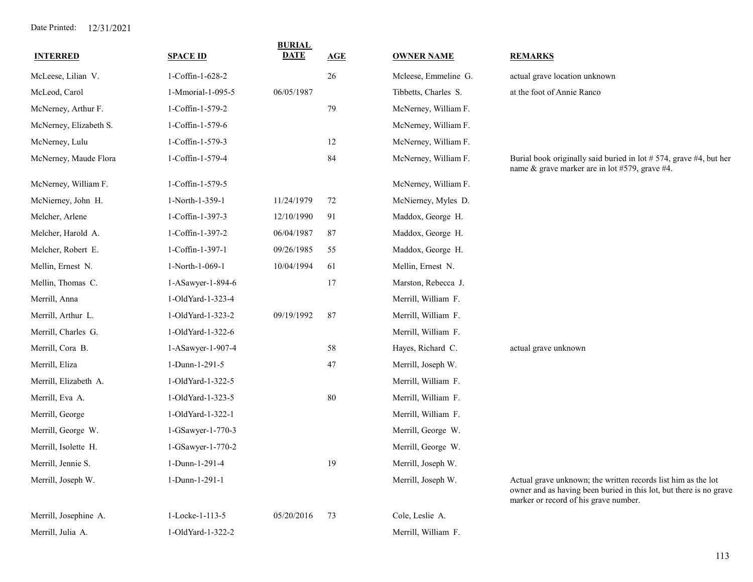| <b>INTERRED</b>        | <b>SPACE ID</b>   | <b>BURIAL</b><br><b>DATE</b> | AGE | <b>OWNER NAME</b>    | <b>REMARKS</b>                                                                                                                                                               |
|------------------------|-------------------|------------------------------|-----|----------------------|------------------------------------------------------------------------------------------------------------------------------------------------------------------------------|
| McLeese, Lilian V.     | 1-Coffin-1-628-2  |                              | 26  | Mcleese, Emmeline G. | actual grave location unknown                                                                                                                                                |
| McLeod, Carol          | 1-Mmorial-1-095-5 | 06/05/1987                   |     | Tibbetts, Charles S. | at the foot of Annie Ranco                                                                                                                                                   |
| McNerney, Arthur F.    | 1-Coffin-1-579-2  |                              | 79  | McNerney, William F. |                                                                                                                                                                              |
| McNerney, Elizabeth S. | 1-Coffin-1-579-6  |                              |     | McNerney, William F. |                                                                                                                                                                              |
| McNerney, Lulu         | 1-Coffin-1-579-3  |                              | 12  | McNerney, William F. |                                                                                                                                                                              |
| McNerney, Maude Flora  | 1-Coffin-1-579-4  |                              | 84  | McNerney, William F. | Burial book originally said buried in lot #574, grave #4, but her<br>name & grave marker are in lot #579, grave #4.                                                          |
| McNerney, William F.   | 1-Coffin-1-579-5  |                              |     | McNerney, William F. |                                                                                                                                                                              |
| McNierney, John H.     | 1-North-1-359-1   | 11/24/1979                   | 72  | McNierney, Myles D.  |                                                                                                                                                                              |
| Melcher, Arlene        | 1-Coffin-1-397-3  | 12/10/1990                   | 91  | Maddox, George H.    |                                                                                                                                                                              |
| Melcher, Harold A.     | 1-Coffin-1-397-2  | 06/04/1987                   | 87  | Maddox, George H.    |                                                                                                                                                                              |
| Melcher, Robert E.     | 1-Coffin-1-397-1  | 09/26/1985                   | 55  | Maddox, George H.    |                                                                                                                                                                              |
| Mellin, Ernest N.      | 1-North-1-069-1   | 10/04/1994                   | 61  | Mellin, Ernest N.    |                                                                                                                                                                              |
| Mellin, Thomas C.      | 1-ASawyer-1-894-6 |                              | 17  | Marston, Rebecca J.  |                                                                                                                                                                              |
| Merrill, Anna          | 1-OldYard-1-323-4 |                              |     | Merrill, William F.  |                                                                                                                                                                              |
| Merrill, Arthur L.     | 1-OldYard-1-323-2 | 09/19/1992                   | 87  | Merrill, William F.  |                                                                                                                                                                              |
| Merrill, Charles G.    | 1-OldYard-1-322-6 |                              |     | Merrill, William F.  |                                                                                                                                                                              |
| Merrill, Cora B.       | 1-ASawyer-1-907-4 |                              | 58  | Hayes, Richard C.    | actual grave unknown                                                                                                                                                         |
| Merrill, Eliza         | 1-Dunn-1-291-5    |                              | 47  | Merrill, Joseph W.   |                                                                                                                                                                              |
| Merrill, Elizabeth A.  | 1-OldYard-1-322-5 |                              |     | Merrill, William F.  |                                                                                                                                                                              |
| Merrill, Eva A.        | 1-OldYard-1-323-5 |                              | 80  | Merrill, William F.  |                                                                                                                                                                              |
| Merrill, George        | 1-OldYard-1-322-1 |                              |     | Merrill, William F.  |                                                                                                                                                                              |
| Merrill, George W.     | 1-GSawyer-1-770-3 |                              |     | Merrill, George W.   |                                                                                                                                                                              |
| Merrill, Isolette H.   | 1-GSawyer-1-770-2 |                              |     | Merrill, George W.   |                                                                                                                                                                              |
| Merrill, Jennie S.     | 1-Dunn-1-291-4    |                              | 19  | Merrill, Joseph W.   |                                                                                                                                                                              |
| Merrill, Joseph W.     | 1-Dunn-1-291-1    |                              |     | Merrill, Joseph W.   | Actual grave unknown; the written records list him as the lot<br>owner and as having been buried in this lot, but there is no grave<br>marker or record of his grave number. |
| Merrill, Josephine A.  | 1-Locke-1-113-5   | 05/20/2016                   | 73  | Cole, Leslie A.      |                                                                                                                                                                              |
| Merrill, Julia A.      | 1-OldYard-1-322-2 |                              |     | Merrill, William F.  |                                                                                                                                                                              |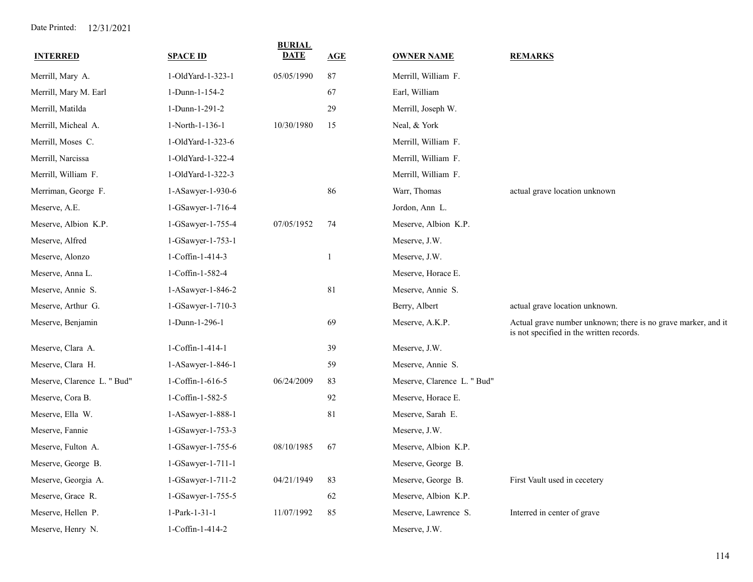| <b>INTERRED</b>             | <b>SPACE ID</b>     | <b>BURIAL</b><br><b>DATE</b> | AGE          | <b>OWNER NAME</b>           | <b>REMARKS</b>                                                                                            |
|-----------------------------|---------------------|------------------------------|--------------|-----------------------------|-----------------------------------------------------------------------------------------------------------|
| Merrill, Mary A.            | 1-OldYard-1-323-1   | 05/05/1990                   | 87           | Merrill, William F.         |                                                                                                           |
| Merrill, Mary M. Earl       | 1-Dunn-1-154-2      |                              | 67           | Earl, William               |                                                                                                           |
| Merrill, Matilda            | 1-Dunn-1-291-2      |                              | 29           | Merrill, Joseph W.          |                                                                                                           |
| Merrill, Micheal A.         | 1-North-1-136-1     | 10/30/1980                   | 15           | Neal, & York                |                                                                                                           |
| Merrill, Moses C.           | 1-OldYard-1-323-6   |                              |              | Merrill, William F.         |                                                                                                           |
| Merrill, Narcissa           | 1-OldYard-1-322-4   |                              |              | Merrill, William F.         |                                                                                                           |
| Merrill, William F.         | 1-OldYard-1-322-3   |                              |              | Merrill, William F.         |                                                                                                           |
| Merriman, George F.         | 1-ASawyer-1-930-6   |                              | 86           | Warr, Thomas                | actual grave location unknown                                                                             |
| Meserve, A.E.               | 1-GSawyer-1-716-4   |                              |              | Jordon, Ann L.              |                                                                                                           |
| Meserve, Albion K.P.        | 1-GSawyer-1-755-4   | 07/05/1952                   | 74           | Meserve, Albion K.P.        |                                                                                                           |
| Meserve, Alfred             | 1-GSawyer-1-753-1   |                              |              | Meserve, J.W.               |                                                                                                           |
| Meserve, Alonzo             | 1-Coffin-1-414-3    |                              | $\mathbf{1}$ | Meserve, J.W.               |                                                                                                           |
| Meserve, Anna L.            | 1-Coffin-1-582-4    |                              |              | Meserve, Horace E.          |                                                                                                           |
| Meserve, Annie S.           | 1-ASawyer-1-846-2   |                              | 81           | Meserve, Annie S.           |                                                                                                           |
| Meserve, Arthur G.          | 1-GSawyer-1-710-3   |                              |              | Berry, Albert               | actual grave location unknown.                                                                            |
| Meserve, Benjamin           | 1-Dunn-1-296-1      |                              | 69           | Meserve, A.K.P.             | Actual grave number unknown; there is no grave marker, and it<br>is not specified in the written records. |
| Meserve, Clara A.           | 1-Coffin-1-414-1    |                              | 39           | Meserve, J.W.               |                                                                                                           |
| Meserve, Clara H.           | 1-ASawyer-1-846-1   |                              | 59           | Meserve, Annie S.           |                                                                                                           |
| Meserve, Clarence L. " Bud" | 1-Coffin-1-616-5    | 06/24/2009                   | 83           | Meserve, Clarence L. " Bud" |                                                                                                           |
| Meserve, Cora B.            | 1-Coffin-1-582-5    |                              | 92           | Meserve, Horace E.          |                                                                                                           |
| Meserve, Ella W.            | 1-ASawyer-1-888-1   |                              | 81           | Meserve, Sarah E.           |                                                                                                           |
| Meserve, Fannie             | 1-GSawyer-1-753-3   |                              |              | Meserve, J.W.               |                                                                                                           |
| Meserve, Fulton A.          | 1-GSawyer-1-755-6   | 08/10/1985                   | 67           | Meserve, Albion K.P.        |                                                                                                           |
| Meserve, George B.          | 1-GSawyer-1-711-1   |                              |              | Meserve, George B.          |                                                                                                           |
| Meserve, Georgia A.         | 1-GSawyer-1-711-2   | 04/21/1949                   | 83           | Meserve, George B.          | First Vault used in cecetery                                                                              |
| Meserve, Grace R.           | 1-GSawyer-1-755-5   |                              | 62           | Meserve, Albion K.P.        |                                                                                                           |
| Meserve, Hellen P.          | 1-Park-1-31-1       | 11/07/1992                   | 85           | Meserve, Lawrence S.        | Interred in center of grave                                                                               |
| Meserve, Henry N.           | $1$ -Coffin-1-414-2 |                              |              | Meserve, J.W.               |                                                                                                           |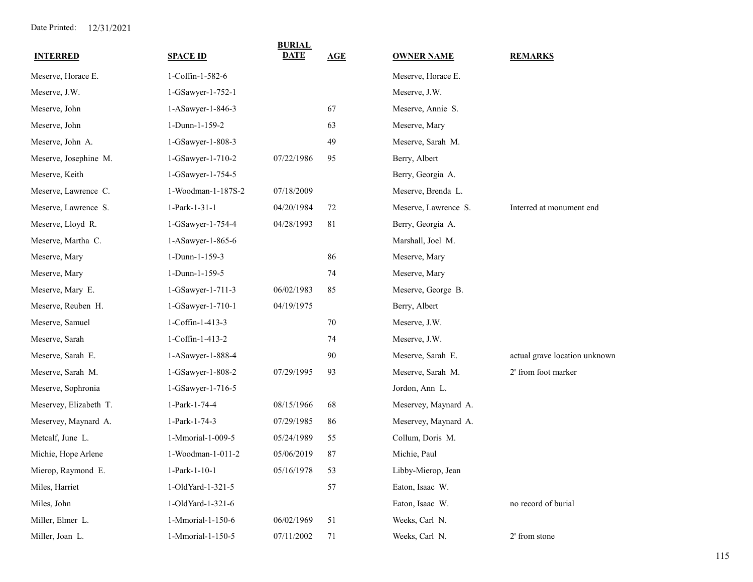| <b>INTERRED</b>        | <b>SPACE ID</b>    | <b>BURIAL</b><br><b>DATE</b> | AGE | <b>OWNER NAME</b>    | <b>REMARKS</b>                |
|------------------------|--------------------|------------------------------|-----|----------------------|-------------------------------|
| Meserve, Horace E.     | 1-Coffin-1-582-6   |                              |     | Meserve, Horace E.   |                               |
| Meserve, J.W.          | 1-GSawyer-1-752-1  |                              |     | Meserve, J.W.        |                               |
| Meserve, John          | 1-ASawyer-1-846-3  |                              | 67  | Meserve, Annie S.    |                               |
| Meserve, John          | 1-Dunn-1-159-2     |                              | 63  | Meserve, Mary        |                               |
| Meserve, John A.       | 1-GSawyer-1-808-3  |                              | 49  | Meserve, Sarah M.    |                               |
| Meserve, Josephine M.  | 1-GSawyer-1-710-2  | 07/22/1986                   | 95  | Berry, Albert        |                               |
| Meserve, Keith         | 1-GSawyer-1-754-5  |                              |     | Berry, Georgia A.    |                               |
| Meserve, Lawrence C.   | 1-Woodman-1-187S-2 | 07/18/2009                   |     | Meserve, Brenda L.   |                               |
| Meserve, Lawrence S.   | 1-Park-1-31-1      | 04/20/1984                   | 72  | Meserve, Lawrence S. | Interred at monument end      |
| Meserve, Lloyd R.      | 1-GSawyer-1-754-4  | 04/28/1993                   | 81  | Berry, Georgia A.    |                               |
| Meserve, Martha C.     | 1-ASawyer-1-865-6  |                              |     | Marshall, Joel M.    |                               |
| Meserve, Mary          | 1-Dunn-1-159-3     |                              | 86  | Meserve, Mary        |                               |
| Meserve, Mary          | 1-Dunn-1-159-5     |                              | 74  | Meserve, Mary        |                               |
| Meserve, Mary E.       | 1-GSawyer-1-711-3  | 06/02/1983                   | 85  | Meserve, George B.   |                               |
| Meserve, Reuben H.     | 1-GSawyer-1-710-1  | 04/19/1975                   |     | Berry, Albert        |                               |
| Meserve, Samuel        | 1-Coffin-1-413-3   |                              | 70  | Meserve, J.W.        |                               |
| Meserve, Sarah         | 1-Coffin-1-413-2   |                              | 74  | Meserve, J.W.        |                               |
| Meserve, Sarah E.      | 1-ASawyer-1-888-4  |                              | 90  | Meserve, Sarah E.    | actual grave location unknown |
| Meserve, Sarah M.      | 1-GSawyer-1-808-2  | 07/29/1995                   | 93  | Meserve, Sarah M.    | 2' from foot marker           |
| Meserve, Sophronia     | 1-GSawyer-1-716-5  |                              |     | Jordon, Ann L.       |                               |
| Meservey, Elizabeth T. | 1-Park-1-74-4      | 08/15/1966                   | 68  | Meservey, Maynard A. |                               |
| Meservey, Maynard A.   | 1-Park-1-74-3      | 07/29/1985                   | 86  | Meservey, Maynard A. |                               |
| Metcalf, June L.       | 1-Mmorial-1-009-5  | 05/24/1989                   | 55  | Collum, Doris M.     |                               |
| Michie, Hope Arlene    | 1-Woodman-1-011-2  | 05/06/2019                   | 87  | Michie, Paul         |                               |
| Mierop, Raymond E.     | $1-Park-1-10-1$    | 05/16/1978                   | 53  | Libby-Mierop, Jean   |                               |
| Miles, Harriet         | 1-OldYard-1-321-5  |                              | 57  | Eaton, Isaac W.      |                               |
| Miles, John            | 1-OldYard-1-321-6  |                              |     | Eaton, Isaac W.      | no record of burial           |
| Miller, Elmer L.       | 1-Mmorial-1-150-6  | 06/02/1969                   | 51  | Weeks, Carl N.       |                               |
| Miller, Joan L.        | 1-Mmorial-1-150-5  | 07/11/2002                   | 71  | Weeks, Carl N.       | 2' from stone                 |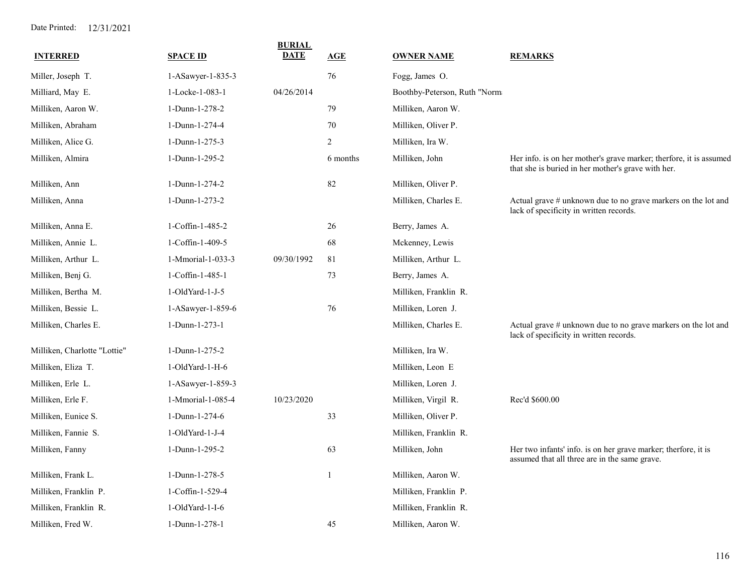| <b>INTERRED</b>              | <b>SPACE ID</b>           | <b>BURIAL</b><br><b>DATE</b> | AGE            | <b>OWNER NAME</b>            | <b>REMARKS</b>                                                                                                           |
|------------------------------|---------------------------|------------------------------|----------------|------------------------------|--------------------------------------------------------------------------------------------------------------------------|
| Miller, Joseph T.            | 1-ASawyer-1-835-3         |                              | 76             | Fogg, James O.               |                                                                                                                          |
| Milliard, May E.             | 1-Locke-1-083-1           | 04/26/2014                   |                | Boothby-Peterson, Ruth "Norm |                                                                                                                          |
| Milliken, Aaron W.           | 1-Dunn-1-278-2            |                              | 79             | Milliken, Aaron W.           |                                                                                                                          |
| Milliken, Abraham            | 1-Dunn-1-274-4            |                              | $70\,$         | Milliken, Oliver P.          |                                                                                                                          |
| Milliken, Alice G.           | 1-Dunn-1-275-3            |                              | $\overline{2}$ | Milliken, Ira W.             |                                                                                                                          |
| Milliken, Almira             | 1-Dunn-1-295-2            |                              | 6 months       | Milliken, John               | Her info. is on her mother's grave marker; therfore, it is assumed<br>that she is buried in her mother's grave with her. |
| Milliken, Ann                | 1-Dunn-1-274-2            |                              | 82             | Milliken, Oliver P.          |                                                                                                                          |
| Milliken, Anna               | 1-Dunn-1-273-2            |                              |                | Milliken, Charles E.         | Actual grave # unknown due to no grave markers on the lot and<br>lack of specificity in written records.                 |
| Milliken, Anna E.            | 1-Coffin-1-485-2          |                              | 26             | Berry, James A.              |                                                                                                                          |
| Milliken, Annie L.           | 1-Coffin-1-409-5          |                              | 68             | Mckenney, Lewis              |                                                                                                                          |
| Milliken, Arthur L.          | 1-Mmorial-1-033-3         | 09/30/1992                   | 81             | Milliken, Arthur L.          |                                                                                                                          |
| Milliken, Benj G.            | 1-Coffin-1-485-1          |                              | 73             | Berry, James A.              |                                                                                                                          |
| Milliken, Bertha M.          | 1-OldYard-1-J-5           |                              |                | Milliken, Franklin R.        |                                                                                                                          |
| Milliken, Bessie L.          | 1-ASawyer-1-859-6         |                              | 76             | Milliken, Loren J.           |                                                                                                                          |
| Milliken, Charles E.         | 1-Dunn-1-273-1            |                              |                | Milliken, Charles E.         | Actual grave # unknown due to no grave markers on the lot and<br>lack of specificity in written records.                 |
| Milliken, Charlotte "Lottie" | 1-Dunn-1-275-2            |                              |                | Milliken, Ira W.             |                                                                                                                          |
| Milliken, Eliza T.           | $1$ -OldYard- $1$ -H- $6$ |                              |                | Milliken, Leon E             |                                                                                                                          |
| Milliken, Erle L.            | 1-ASawyer-1-859-3         |                              |                | Milliken, Loren J.           |                                                                                                                          |
| Milliken, Erle F.            | 1-Mmorial-1-085-4         | 10/23/2020                   |                | Milliken, Virgil R.          | Rec'd \$600.00                                                                                                           |
| Milliken, Eunice S.          | 1-Dunn-1-274-6            |                              | 33             | Milliken, Oliver P.          |                                                                                                                          |
| Milliken, Fannie S.          | 1-OldYard-1-J-4           |                              |                | Milliken, Franklin R.        |                                                                                                                          |
| Milliken, Fanny              | 1-Dunn-1-295-2            |                              | 63             | Milliken, John               | Her two infants' info. is on her grave marker; therfore, it is<br>assumed that all three are in the same grave.          |
| Milliken, Frank L.           | 1-Dunn-1-278-5            |                              | 1              | Milliken, Aaron W.           |                                                                                                                          |
| Milliken, Franklin P.        | 1-Coffin-1-529-4          |                              |                | Milliken, Franklin P.        |                                                                                                                          |
| Milliken, Franklin R.        | 1-OldYard-1-I-6           |                              |                | Milliken, Franklin R.        |                                                                                                                          |
| Milliken, Fred W.            | 1-Dunn-1-278-1            |                              | 45             | Milliken, Aaron W.           |                                                                                                                          |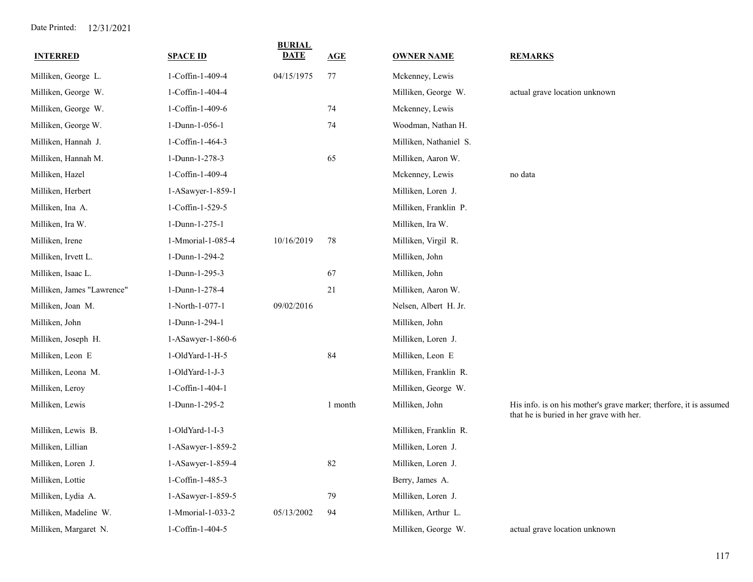| <b>INTERRED</b>            | <b>SPACE ID</b>   | <b>BURIAL</b><br>DATE | <b>AGE</b> | <b>OWNER NAME</b>      | <b>REMARKS</b>                                                                                                 |
|----------------------------|-------------------|-----------------------|------------|------------------------|----------------------------------------------------------------------------------------------------------------|
| Milliken, George L.        | 1-Coffin-1-409-4  | 04/15/1975            | 77         | Mckenney, Lewis        |                                                                                                                |
| Milliken, George W.        | 1-Coffin-1-404-4  |                       |            | Milliken, George W.    | actual grave location unknown                                                                                  |
| Milliken, George W.        | 1-Coffin-1-409-6  |                       | 74         | Mckenney, Lewis        |                                                                                                                |
| Milliken, George W.        | 1-Dunn-1-056-1    |                       | 74         | Woodman, Nathan H.     |                                                                                                                |
| Milliken, Hannah J.        | 1-Coffin-1-464-3  |                       |            | Milliken, Nathaniel S. |                                                                                                                |
| Milliken, Hannah M.        | 1-Dunn-1-278-3    |                       | 65         | Milliken, Aaron W.     |                                                                                                                |
| Milliken, Hazel            | 1-Coffin-1-409-4  |                       |            | Mckenney, Lewis        | no data                                                                                                        |
| Milliken, Herbert          | 1-ASawyer-1-859-1 |                       |            | Milliken, Loren J.     |                                                                                                                |
| Milliken, Ina A.           | 1-Coffin-1-529-5  |                       |            | Milliken, Franklin P.  |                                                                                                                |
| Milliken, Ira W.           | 1-Dunn-1-275-1    |                       |            | Milliken, Ira W.       |                                                                                                                |
| Milliken, Irene            | 1-Mmorial-1-085-4 | 10/16/2019            | 78         | Milliken, Virgil R.    |                                                                                                                |
| Milliken, Irvett L.        | 1-Dunn-1-294-2    |                       |            | Milliken, John         |                                                                                                                |
| Milliken, Isaac L.         | 1-Dunn-1-295-3    |                       | 67         | Milliken, John         |                                                                                                                |
| Milliken, James "Lawrence" | 1-Dunn-1-278-4    |                       | 21         | Milliken, Aaron W.     |                                                                                                                |
| Milliken, Joan M.          | 1-North-1-077-1   | 09/02/2016            |            | Nelsen, Albert H. Jr.  |                                                                                                                |
| Milliken, John             | 1-Dunn-1-294-1    |                       |            | Milliken, John         |                                                                                                                |
| Milliken, Joseph H.        | 1-ASawyer-1-860-6 |                       |            | Milliken, Loren J.     |                                                                                                                |
| Milliken, Leon E           | 1-OldYard-1-H-5   |                       | 84         | Milliken, Leon E       |                                                                                                                |
| Milliken, Leona M.         | 1-OldYard-1-J-3   |                       |            | Milliken, Franklin R.  |                                                                                                                |
| Milliken, Leroy            | 1-Coffin-1-404-1  |                       |            | Milliken, George W.    |                                                                                                                |
| Milliken, Lewis            | 1-Dunn-1-295-2    |                       | 1 month    | Milliken, John         | His info. is on his mother's grave marker; therfore, it is assumed<br>that he is buried in her grave with her. |
| Milliken, Lewis B.         | 1-OldYard-1-I-3   |                       |            | Milliken, Franklin R.  |                                                                                                                |
| Milliken, Lillian          | 1-ASawyer-1-859-2 |                       |            | Milliken, Loren J.     |                                                                                                                |
| Milliken, Loren J.         | 1-ASawyer-1-859-4 |                       | 82         | Milliken, Loren J.     |                                                                                                                |
| Milliken, Lottie           | 1-Coffin-1-485-3  |                       |            | Berry, James A.        |                                                                                                                |
| Milliken, Lydia A.         | 1-ASawyer-1-859-5 |                       | 79         | Milliken, Loren J.     |                                                                                                                |
| Milliken, Madeline W.      | 1-Mmorial-1-033-2 | 05/13/2002            | 94         | Milliken, Arthur L.    |                                                                                                                |
| Milliken, Margaret N.      | 1-Coffin-1-404-5  |                       |            | Milliken, George W.    | actual grave location unknown                                                                                  |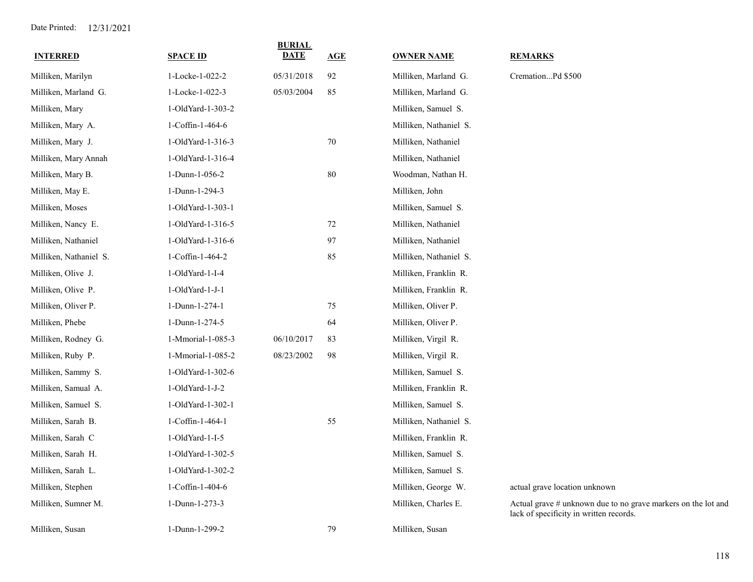| <b>INTERRED</b>        | <b>SPACE ID</b>   | <b>BURIAL</b><br><b>DATE</b> | AGE | <b>OWNER NAME</b>      | <b>REMARKS</b>                                                                                           |
|------------------------|-------------------|------------------------------|-----|------------------------|----------------------------------------------------------------------------------------------------------|
| Milliken, Marilyn      | 1-Locke-1-022-2   | 05/31/2018                   | 92  | Milliken, Marland G.   | CremationPd \$500                                                                                        |
| Milliken, Marland G.   | 1-Locke-1-022-3   | 05/03/2004                   | 85  | Milliken, Marland G.   |                                                                                                          |
| Milliken, Mary         | 1-OldYard-1-303-2 |                              |     | Milliken, Samuel S.    |                                                                                                          |
| Milliken, Mary A.      | 1-Coffin-1-464-6  |                              |     | Milliken, Nathaniel S. |                                                                                                          |
| Milliken, Mary J.      | 1-OldYard-1-316-3 |                              | 70  | Milliken, Nathaniel    |                                                                                                          |
| Milliken, Mary Annah   | 1-OldYard-1-316-4 |                              |     | Milliken, Nathaniel    |                                                                                                          |
| Milliken, Mary B.      | 1-Dunn-1-056-2    |                              | 80  | Woodman, Nathan H.     |                                                                                                          |
| Milliken, May E.       | 1-Dunn-1-294-3    |                              |     | Milliken, John         |                                                                                                          |
| Milliken, Moses        | 1-OldYard-1-303-1 |                              |     | Milliken, Samuel S.    |                                                                                                          |
| Milliken, Nancy E.     | 1-OldYard-1-316-5 |                              | 72  | Milliken, Nathaniel    |                                                                                                          |
| Milliken, Nathaniel    | 1-OldYard-1-316-6 |                              | 97  | Milliken, Nathaniel    |                                                                                                          |
| Milliken, Nathaniel S. | 1-Coffin-1-464-2  |                              | 85  | Milliken, Nathaniel S. |                                                                                                          |
| Milliken, Olive J.     | 1-OldYard-1-I-4   |                              |     | Milliken, Franklin R.  |                                                                                                          |
| Milliken, Olive P.     | 1-OldYard-1-J-1   |                              |     | Milliken, Franklin R.  |                                                                                                          |
| Milliken, Oliver P.    | 1-Dunn-1-274-1    |                              | 75  | Milliken, Oliver P.    |                                                                                                          |
| Milliken, Phebe        | 1-Dunn-1-274-5    |                              | 64  | Milliken, Oliver P.    |                                                                                                          |
| Milliken, Rodney G.    | 1-Mmorial-1-085-3 | 06/10/2017                   | 83  | Milliken, Virgil R.    |                                                                                                          |
| Milliken, Ruby P.      | 1-Mmorial-1-085-2 | 08/23/2002                   | 98  | Milliken, Virgil R.    |                                                                                                          |
| Milliken, Sammy S.     | 1-OldYard-1-302-6 |                              |     | Milliken, Samuel S.    |                                                                                                          |
| Milliken, Samual A.    | 1-OldYard-1-J-2   |                              |     | Milliken, Franklin R.  |                                                                                                          |
| Milliken, Samuel S.    | 1-OldYard-1-302-1 |                              |     | Milliken, Samuel S.    |                                                                                                          |
| Milliken, Sarah B.     | 1-Coffin-1-464-1  |                              | 55  | Milliken, Nathaniel S. |                                                                                                          |
| Milliken, Sarah C      | 1-OldYard-1-I-5   |                              |     | Milliken, Franklin R.  |                                                                                                          |
| Milliken, Sarah H.     | 1-OldYard-1-302-5 |                              |     | Milliken, Samuel S.    |                                                                                                          |
| Milliken, Sarah L.     | 1-OldYard-1-302-2 |                              |     | Milliken, Samuel S.    |                                                                                                          |
| Milliken, Stephen      | 1-Coffin-1-404-6  |                              |     | Milliken, George W.    | actual grave location unknown                                                                            |
| Milliken, Sumner M.    | 1-Dunn-1-273-3    |                              |     | Milliken, Charles E.   | Actual grave # unknown due to no grave markers on the lot and<br>lack of specificity in written records. |
| Milliken, Susan        | 1-Dunn-1-299-2    |                              | 79  | Milliken, Susan        |                                                                                                          |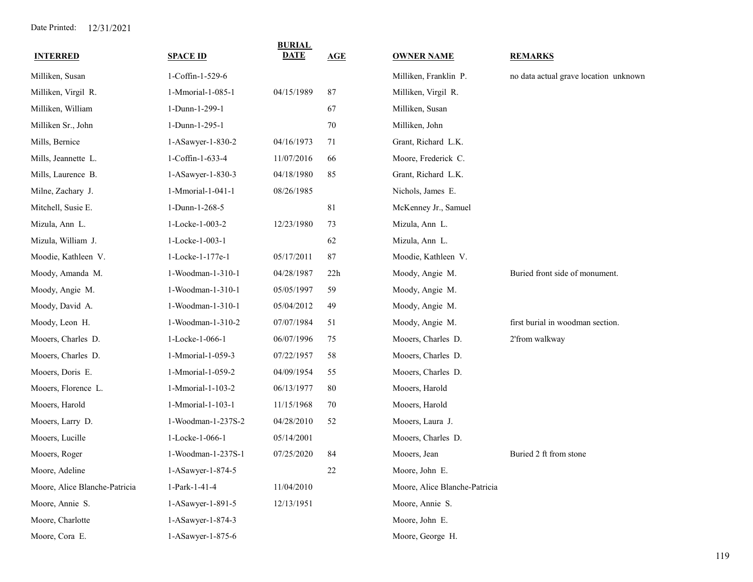| <b>INTERRED</b>               | <b>SPACE ID</b>    | <b>BURIAL</b><br><b>DATE</b> | AGE | <b>OWNER NAME</b>             | <b>REMARKS</b>                        |
|-------------------------------|--------------------|------------------------------|-----|-------------------------------|---------------------------------------|
| Milliken, Susan               | 1-Coffin-1-529-6   |                              |     | Milliken, Franklin P.         | no data actual grave location unknown |
| Milliken, Virgil R.           | 1-Mmorial-1-085-1  | 04/15/1989                   | 87  | Milliken, Virgil R.           |                                       |
| Milliken, William             | 1-Dunn-1-299-1     |                              | 67  | Milliken, Susan               |                                       |
| Milliken Sr., John            | 1-Dunn-1-295-1     |                              | 70  | Milliken, John                |                                       |
| Mills, Bernice                | 1-ASawyer-1-830-2  | 04/16/1973                   | 71  | Grant, Richard L.K.           |                                       |
| Mills, Jeannette L.           | 1-Coffin-1-633-4   | 11/07/2016                   | 66  | Moore, Frederick C.           |                                       |
| Mills, Laurence B.            | 1-ASawyer-1-830-3  | 04/18/1980                   | 85  | Grant, Richard L.K.           |                                       |
| Milne, Zachary J.             | 1-Mmorial-1-041-1  | 08/26/1985                   |     | Nichols, James E.             |                                       |
| Mitchell, Susie E.            | 1-Dunn-1-268-5     |                              | 81  | McKenney Jr., Samuel          |                                       |
| Mizula, Ann L.                | 1-Locke-1-003-2    | 12/23/1980                   | 73  | Mizula, Ann L.                |                                       |
| Mizula, William J.            | 1-Locke-1-003-1    |                              | 62  | Mizula, Ann L.                |                                       |
| Moodie, Kathleen V.           | 1-Locke-1-177e-1   | 05/17/2011                   | 87  | Moodie, Kathleen V.           |                                       |
| Moody, Amanda M.              | 1-Woodman-1-310-1  | 04/28/1987                   | 22h | Moody, Angie M.               | Buried front side of monument.        |
| Moody, Angie M.               | 1-Woodman-1-310-1  | 05/05/1997                   | 59  | Moody, Angie M.               |                                       |
| Moody, David A.               | 1-Woodman-1-310-1  | 05/04/2012                   | 49  | Moody, Angie M.               |                                       |
| Moody, Leon H.                | 1-Woodman-1-310-2  | 07/07/1984                   | 51  | Moody, Angie M.               | first burial in woodman section.      |
| Mooers, Charles D.            | 1-Locke-1-066-1    | 06/07/1996                   | 75  | Mooers, Charles D.            | 2'from walkway                        |
| Mooers, Charles D.            | 1-Mmorial-1-059-3  | 07/22/1957                   | 58  | Mooers, Charles D.            |                                       |
| Mooers, Doris E.              | 1-Mmorial-1-059-2  | 04/09/1954                   | 55  | Mooers, Charles D.            |                                       |
| Mooers, Florence L.           | 1-Mmorial-1-103-2  | 06/13/1977                   | 80  | Mooers, Harold                |                                       |
| Mooers, Harold                | 1-Mmorial-1-103-1  | 11/15/1968                   | 70  | Mooers, Harold                |                                       |
| Mooers, Larry D.              | 1-Woodman-1-237S-2 | 04/28/2010                   | 52  | Mooers, Laura J.              |                                       |
| Mooers, Lucille               | 1-Locke-1-066-1    | 05/14/2001                   |     | Mooers, Charles D.            |                                       |
| Mooers, Roger                 | 1-Woodman-1-237S-1 | 07/25/2020                   | 84  | Mooers, Jean                  | Buried 2 ft from stone                |
| Moore, Adeline                | 1-ASawyer-1-874-5  |                              | 22  | Moore, John E.                |                                       |
| Moore, Alice Blanche-Patricia | 1-Park-1-41-4      | 11/04/2010                   |     | Moore, Alice Blanche-Patricia |                                       |
| Moore, Annie S.               | 1-ASawyer-1-891-5  | 12/13/1951                   |     | Moore, Annie S.               |                                       |
| Moore, Charlotte              | 1-ASawyer-1-874-3  |                              |     | Moore, John E.                |                                       |
| Moore, Cora E.                | 1-ASawyer-1-875-6  |                              |     | Moore, George H.              |                                       |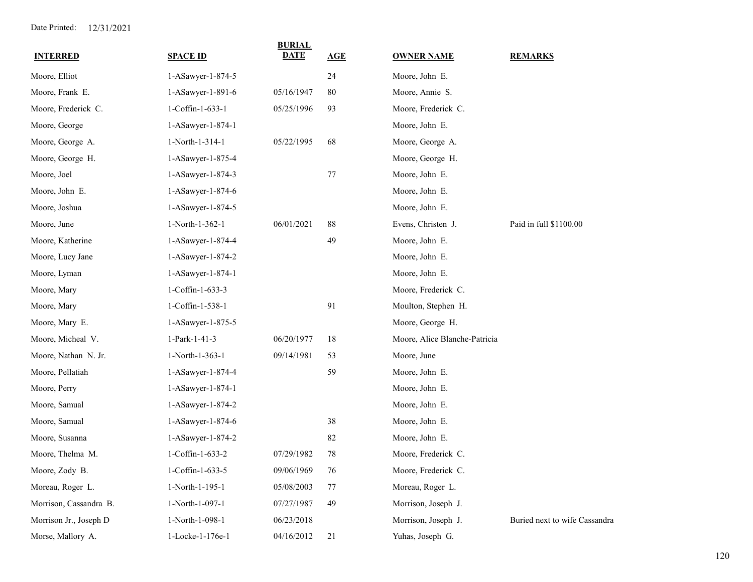| <b>INTERRED</b>        | <b>SPACE ID</b>   | <b>BURIAL</b><br>DATE | AGE | <b>OWNER NAME</b>             | <b>REMARKS</b>                |
|------------------------|-------------------|-----------------------|-----|-------------------------------|-------------------------------|
| Moore, Elliot          | 1-ASawyer-1-874-5 |                       | 24  | Moore, John E.                |                               |
| Moore, Frank E.        | 1-ASawyer-1-891-6 | 05/16/1947            | 80  | Moore, Annie S.               |                               |
| Moore, Frederick C.    | 1-Coffin-1-633-1  | 05/25/1996            | 93  | Moore, Frederick C.           |                               |
| Moore, George          | 1-ASawyer-1-874-1 |                       |     | Moore, John E.                |                               |
| Moore, George A.       | 1-North-1-314-1   | 05/22/1995            | 68  | Moore, George A.              |                               |
| Moore, George H.       | 1-ASawyer-1-875-4 |                       |     | Moore, George H.              |                               |
| Moore, Joel            | 1-ASawyer-1-874-3 |                       | 77  | Moore, John E.                |                               |
| Moore, John E.         | 1-ASawyer-1-874-6 |                       |     | Moore, John E.                |                               |
| Moore, Joshua          | 1-ASawyer-1-874-5 |                       |     | Moore, John E.                |                               |
| Moore, June            | 1-North-1-362-1   | 06/01/2021            | 88  | Evens, Christen J.            | Paid in full \$1100.00        |
| Moore, Katherine       | 1-ASawyer-1-874-4 |                       | 49  | Moore, John E.                |                               |
| Moore, Lucy Jane       | 1-ASawyer-1-874-2 |                       |     | Moore, John E.                |                               |
| Moore, Lyman           | 1-ASawyer-1-874-1 |                       |     | Moore, John E.                |                               |
| Moore, Mary            | 1-Coffin-1-633-3  |                       |     | Moore, Frederick C.           |                               |
| Moore, Mary            | 1-Coffin-1-538-1  |                       | 91  | Moulton, Stephen H.           |                               |
| Moore, Mary E.         | 1-ASawyer-1-875-5 |                       |     | Moore, George H.              |                               |
| Moore, Micheal V.      | 1-Park-1-41-3     | 06/20/1977            | 18  | Moore, Alice Blanche-Patricia |                               |
| Moore, Nathan N. Jr.   | 1-North-1-363-1   | 09/14/1981            | 53  | Moore, June                   |                               |
| Moore, Pellatiah       | 1-ASawyer-1-874-4 |                       | 59  | Moore, John E.                |                               |
| Moore, Perry           | 1-ASawyer-1-874-1 |                       |     | Moore, John E.                |                               |
| Moore, Samual          | 1-ASawyer-1-874-2 |                       |     | Moore, John E.                |                               |
| Moore, Samual          | 1-ASawyer-1-874-6 |                       | 38  | Moore, John E.                |                               |
| Moore, Susanna         | 1-ASawyer-1-874-2 |                       | 82  | Moore, John E.                |                               |
| Moore, Thelma M.       | 1-Coffin-1-633-2  | 07/29/1982            | 78  | Moore, Frederick C.           |                               |
| Moore, Zody B.         | 1-Coffin-1-633-5  | 09/06/1969            | 76  | Moore, Frederick C.           |                               |
| Moreau, Roger L.       | 1-North-1-195-1   | 05/08/2003            | 77  | Moreau, Roger L.              |                               |
| Morrison, Cassandra B. | 1-North-1-097-1   | 07/27/1987            | 49  | Morrison, Joseph J.           |                               |
| Morrison Jr., Joseph D | 1-North-1-098-1   | 06/23/2018            |     | Morrison, Joseph J.           | Buried next to wife Cassandra |
| Morse, Mallory A.      | 1-Locke-1-176e-1  | 04/16/2012            | 21  | Yuhas, Joseph G.              |                               |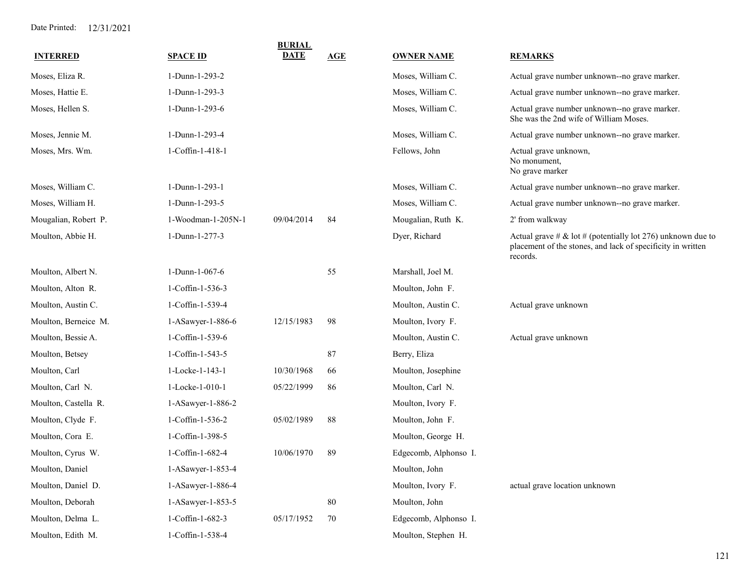| <b>INTERRED</b>      | <b>SPACE ID</b>    | <b>BURIAL</b><br><b>DATE</b> | AGE | <b>OWNER NAME</b>     | <b>REMARKS</b>                                                                                                                         |
|----------------------|--------------------|------------------------------|-----|-----------------------|----------------------------------------------------------------------------------------------------------------------------------------|
| Moses, Eliza R.      | 1-Dunn-1-293-2     |                              |     | Moses, William C.     | Actual grave number unknown--no grave marker.                                                                                          |
| Moses, Hattie E.     | 1-Dunn-1-293-3     |                              |     | Moses, William C.     | Actual grave number unknown--no grave marker.                                                                                          |
| Moses, Hellen S.     | 1-Dunn-1-293-6     |                              |     | Moses, William C.     | Actual grave number unknown--no grave marker.<br>She was the 2nd wife of William Moses.                                                |
| Moses, Jennie M.     | 1-Dunn-1-293-4     |                              |     | Moses, William C.     | Actual grave number unknown--no grave marker.                                                                                          |
| Moses, Mrs. Wm.      | 1-Coffin-1-418-1   |                              |     | Fellows, John         | Actual grave unknown,<br>No monument,<br>No grave marker                                                                               |
| Moses, William C.    | 1-Dunn-1-293-1     |                              |     | Moses, William C.     | Actual grave number unknown--no grave marker.                                                                                          |
| Moses, William H.    | 1-Dunn-1-293-5     |                              |     | Moses, William C.     | Actual grave number unknown--no grave marker.                                                                                          |
| Mougalian, Robert P. | 1-Woodman-1-205N-1 | 09/04/2014                   | 84  | Mougalian, Ruth K.    | 2' from walkway                                                                                                                        |
| Moulton, Abbie H.    | 1-Dunn-1-277-3     |                              |     | Dyer, Richard         | Actual grave # & lot # (potentially lot 276) unknown due to<br>placement of the stones, and lack of specificity in written<br>records. |
| Moulton, Albert N.   | 1-Dunn-1-067-6     |                              | 55  | Marshall, Joel M.     |                                                                                                                                        |
| Moulton, Alton R.    | 1-Coffin-1-536-3   |                              |     | Moulton, John F.      |                                                                                                                                        |
| Moulton, Austin C.   | 1-Coffin-1-539-4   |                              |     | Moulton, Austin C.    | Actual grave unknown                                                                                                                   |
| Moulton, Berneice M. | 1-ASawyer-1-886-6  | 12/15/1983                   | 98  | Moulton, Ivory F.     |                                                                                                                                        |
| Moulton, Bessie A.   | 1-Coffin-1-539-6   |                              |     | Moulton, Austin C.    | Actual grave unknown                                                                                                                   |
| Moulton, Betsey      | 1-Coffin-1-543-5   |                              | 87  | Berry, Eliza          |                                                                                                                                        |
| Moulton, Carl        | 1-Locke-1-143-1    | 10/30/1968                   | 66  | Moulton, Josephine    |                                                                                                                                        |
| Moulton, Carl N.     | 1-Locke-1-010-1    | 05/22/1999                   | 86  | Moulton, Carl N.      |                                                                                                                                        |
| Moulton, Castella R. | 1-ASawyer-1-886-2  |                              |     | Moulton, Ivory F.     |                                                                                                                                        |
| Moulton, Clyde F.    | 1-Coffin-1-536-2   | 05/02/1989                   | 88  | Moulton, John F.      |                                                                                                                                        |
| Moulton, Cora E.     | 1-Coffin-1-398-5   |                              |     | Moulton, George H.    |                                                                                                                                        |
| Moulton, Cyrus W.    | 1-Coffin-1-682-4   | 10/06/1970                   | 89  | Edgecomb, Alphonso I. |                                                                                                                                        |
| Moulton, Daniel      | 1-ASawyer-1-853-4  |                              |     | Moulton, John         |                                                                                                                                        |
| Moulton, Daniel D.   | 1-ASawyer-1-886-4  |                              |     | Moulton, Ivory F.     | actual grave location unknown                                                                                                          |
| Moulton, Deborah     | 1-ASawyer-1-853-5  |                              | 80  | Moulton, John         |                                                                                                                                        |
| Moulton, Delma L.    | 1-Coffin-1-682-3   | 05/17/1952                   | 70  | Edgecomb, Alphonso I. |                                                                                                                                        |
| Moulton, Edith M.    | 1-Coffin-1-538-4   |                              |     | Moulton, Stephen H.   |                                                                                                                                        |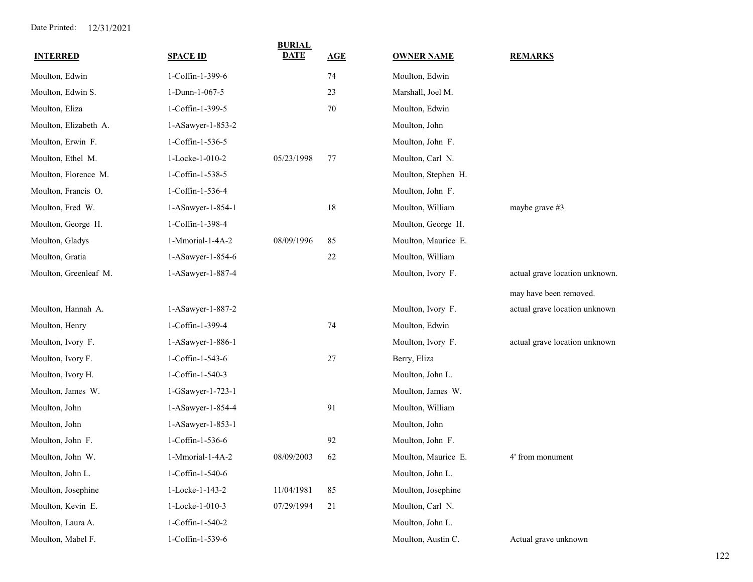| <b>INTERRED</b>       | <b>SPACE ID</b>   | <b>BURIAL</b><br><b>DATE</b> | AGE | <b>OWNER NAME</b>   | <b>REMARKS</b>                 |
|-----------------------|-------------------|------------------------------|-----|---------------------|--------------------------------|
| Moulton, Edwin        | 1-Coffin-1-399-6  |                              | 74  | Moulton, Edwin      |                                |
| Moulton, Edwin S.     | 1-Dunn-1-067-5    |                              | 23  | Marshall, Joel M.   |                                |
| Moulton, Eliza        | 1-Coffin-1-399-5  |                              | 70  | Moulton, Edwin      |                                |
| Moulton, Elizabeth A. | 1-ASawyer-1-853-2 |                              |     | Moulton, John       |                                |
| Moulton, Erwin F.     | 1-Coffin-1-536-5  |                              |     | Moulton, John F.    |                                |
| Moulton, Ethel M.     | 1-Locke-1-010-2   | 05/23/1998                   | 77  | Moulton, Carl N.    |                                |
| Moulton, Florence M.  | 1-Coffin-1-538-5  |                              |     | Moulton, Stephen H. |                                |
| Moulton, Francis O.   | 1-Coffin-1-536-4  |                              |     | Moulton, John F.    |                                |
| Moulton, Fred W.      | 1-ASawyer-1-854-1 |                              | 18  | Moulton, William    | maybe grave #3                 |
| Moulton, George H.    | 1-Coffin-1-398-4  |                              |     | Moulton, George H.  |                                |
| Moulton, Gladys       | 1-Mmorial-1-4A-2  | 08/09/1996                   | 85  | Moulton, Maurice E. |                                |
| Moulton, Gratia       | 1-ASawyer-1-854-6 |                              | 22  | Moulton, William    |                                |
| Moulton, Greenleaf M. | 1-ASawyer-1-887-4 |                              |     | Moulton, Ivory F.   | actual grave location unknown. |
|                       |                   |                              |     |                     | may have been removed.         |
| Moulton, Hannah A.    | 1-ASawyer-1-887-2 |                              |     | Moulton, Ivory F.   | actual grave location unknown  |
| Moulton, Henry        | 1-Coffin-1-399-4  |                              | 74  | Moulton, Edwin      |                                |
| Moulton, Ivory F.     | 1-ASawyer-1-886-1 |                              |     | Moulton, Ivory F.   | actual grave location unknown  |
| Moulton, Ivory F.     | 1-Coffin-1-543-6  |                              | 27  | Berry, Eliza        |                                |
| Moulton, Ivory H.     | 1-Coffin-1-540-3  |                              |     | Moulton, John L.    |                                |
| Moulton, James W.     | 1-GSawyer-1-723-1 |                              |     | Moulton, James W.   |                                |
| Moulton, John         | 1-ASawyer-1-854-4 |                              | 91  | Moulton, William    |                                |
| Moulton, John         | 1-ASawyer-1-853-1 |                              |     | Moulton, John       |                                |
| Moulton, John F.      | 1-Coffin-1-536-6  |                              | 92  | Moulton, John F.    |                                |
| Moulton, John W.      | 1-Mmorial-1-4A-2  | 08/09/2003                   | 62  | Moulton, Maurice E. | 4' from monument               |
| Moulton, John L.      | 1-Coffin-1-540-6  |                              |     | Moulton, John L.    |                                |
| Moulton, Josephine    | 1-Locke-1-143-2   | 11/04/1981                   | 85  | Moulton, Josephine  |                                |
| Moulton, Kevin E.     | 1-Locke-1-010-3   | 07/29/1994                   | 21  | Moulton, Carl N.    |                                |
| Moulton, Laura A.     | 1-Coffin-1-540-2  |                              |     | Moulton, John L.    |                                |
| Moulton, Mabel F.     | 1-Coffin-1-539-6  |                              |     | Moulton, Austin C.  | Actual grave unknown           |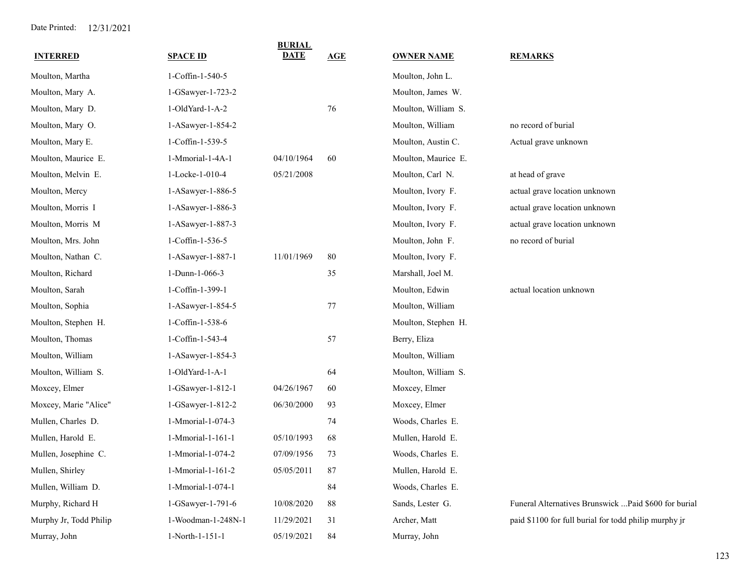| <b>INTERRED</b>        | <b>SPACE ID</b>    | <b>BURIAL</b><br><b>DATE</b> | AGE | <b>OWNER NAME</b>   | <b>REMARKS</b>                                        |
|------------------------|--------------------|------------------------------|-----|---------------------|-------------------------------------------------------|
| Moulton, Martha        | 1-Coffin-1-540-5   |                              |     | Moulton, John L.    |                                                       |
| Moulton, Mary A.       | 1-GSawyer-1-723-2  |                              |     | Moulton, James W.   |                                                       |
| Moulton, Mary D.       | 1-OldYard-1-A-2    |                              | 76  | Moulton, William S. |                                                       |
| Moulton, Mary O.       | 1-ASawyer-1-854-2  |                              |     | Moulton, William    | no record of burial                                   |
| Moulton, Mary E.       | 1-Coffin-1-539-5   |                              |     | Moulton, Austin C.  | Actual grave unknown                                  |
| Moulton, Maurice E.    | 1-Mmorial-1-4A-1   | 04/10/1964                   | 60  | Moulton, Maurice E. |                                                       |
| Moulton, Melvin E.     | 1-Locke-1-010-4    | 05/21/2008                   |     | Moulton, Carl N.    | at head of grave                                      |
| Moulton, Mercy         | 1-ASawyer-1-886-5  |                              |     | Moulton, Ivory F.   | actual grave location unknown                         |
| Moulton, Morris I      | 1-ASawyer-1-886-3  |                              |     | Moulton, Ivory F.   | actual grave location unknown                         |
| Moulton, Morris M      | 1-ASawyer-1-887-3  |                              |     | Moulton, Ivory F.   | actual grave location unknown                         |
| Moulton, Mrs. John     | 1-Coffin-1-536-5   |                              |     | Moulton, John F.    | no record of burial                                   |
| Moulton, Nathan C.     | 1-ASawyer-1-887-1  | 11/01/1969                   | 80  | Moulton, Ivory F.   |                                                       |
| Moulton, Richard       | 1-Dunn-1-066-3     |                              | 35  | Marshall, Joel M.   |                                                       |
| Moulton, Sarah         | 1-Coffin-1-399-1   |                              |     | Moulton, Edwin      | actual location unknown                               |
| Moulton, Sophia        | 1-ASawyer-1-854-5  |                              | 77  | Moulton, William    |                                                       |
| Moulton, Stephen H.    | 1-Coffin-1-538-6   |                              |     | Moulton, Stephen H. |                                                       |
| Moulton, Thomas        | 1-Coffin-1-543-4   |                              | 57  | Berry, Eliza        |                                                       |
| Moulton, William       | 1-ASawyer-1-854-3  |                              |     | Moulton, William    |                                                       |
| Moulton, William S.    | 1-OldYard-1-A-1    |                              | 64  | Moulton, William S. |                                                       |
| Moxcey, Elmer          | 1-GSawyer-1-812-1  | 04/26/1967                   | 60  | Moxcey, Elmer       |                                                       |
| Moxcey, Marie "Alice"  | 1-GSawyer-1-812-2  | 06/30/2000                   | 93  | Moxcey, Elmer       |                                                       |
| Mullen, Charles D.     | 1-Mmorial-1-074-3  |                              | 74  | Woods, Charles E.   |                                                       |
| Mullen, Harold E.      | 1-Mmorial-1-161-1  | 05/10/1993                   | 68  | Mullen, Harold E.   |                                                       |
| Mullen, Josephine C.   | 1-Mmorial-1-074-2  | 07/09/1956                   | 73  | Woods, Charles E.   |                                                       |
| Mullen, Shirley        | 1-Mmorial-1-161-2  | 05/05/2011                   | 87  | Mullen, Harold E.   |                                                       |
| Mullen, William D.     | 1-Mmorial-1-074-1  |                              | 84  | Woods, Charles E.   |                                                       |
| Murphy, Richard H      | 1-GSawyer-1-791-6  | 10/08/2020                   | 88  | Sands, Lester G.    | Funeral Alternatives Brunswick  Paid \$600 for burial |
| Murphy Jr, Todd Philip | 1-Woodman-1-248N-1 | 11/29/2021                   | 31  | Archer, Matt        | paid \$1100 for full burial for todd philip murphy jr |
| Murray, John           | 1-North-1-151-1    | 05/19/2021                   | 84  | Murray, John        |                                                       |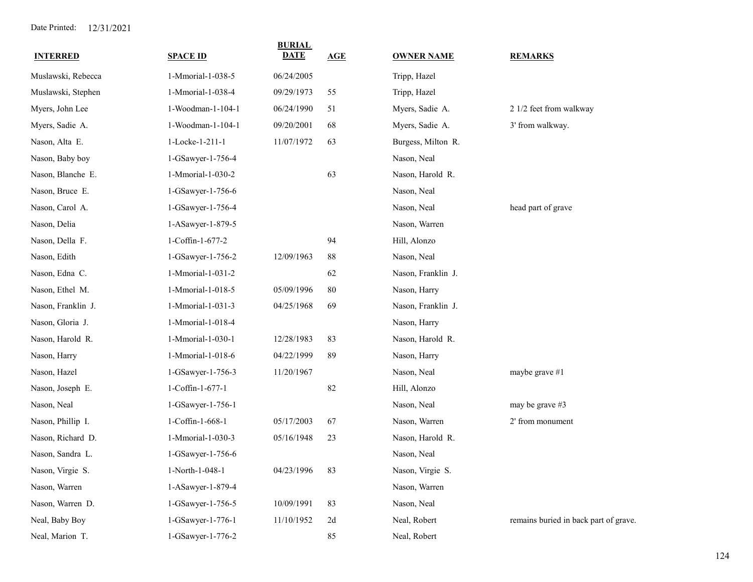| <b>INTERRED</b>    | <b>SPACE ID</b>   | <b>BURIAL</b><br>DATE | AGE | <b>OWNER NAME</b>  | <b>REMARKS</b>                        |
|--------------------|-------------------|-----------------------|-----|--------------------|---------------------------------------|
| Muslawski, Rebecca | 1-Mmorial-1-038-5 | 06/24/2005            |     | Tripp, Hazel       |                                       |
| Muslawski, Stephen | 1-Mmorial-1-038-4 | 09/29/1973            | 55  | Tripp, Hazel       |                                       |
| Myers, John Lee    | 1-Woodman-1-104-1 | 06/24/1990            | 51  | Myers, Sadie A.    | 2 1/2 feet from walkway               |
| Myers, Sadie A.    | 1-Woodman-1-104-1 | 09/20/2001            | 68  | Myers, Sadie A.    | 3' from walkway.                      |
| Nason, Alta E.     | 1-Locke-1-211-1   | 11/07/1972            | 63  | Burgess, Milton R. |                                       |
| Nason, Baby boy    | 1-GSawyer-1-756-4 |                       |     | Nason, Neal        |                                       |
| Nason, Blanche E.  | 1-Mmorial-1-030-2 |                       | 63  | Nason, Harold R.   |                                       |
| Nason, Bruce E.    | 1-GSawyer-1-756-6 |                       |     | Nason, Neal        |                                       |
| Nason, Carol A.    | 1-GSawyer-1-756-4 |                       |     | Nason, Neal        | head part of grave                    |
| Nason, Delia       | 1-ASawyer-1-879-5 |                       |     | Nason, Warren      |                                       |
| Nason, Della F.    | 1-Coffin-1-677-2  |                       | 94  | Hill, Alonzo       |                                       |
| Nason, Edith       | 1-GSawyer-1-756-2 | 12/09/1963            | 88  | Nason, Neal        |                                       |
| Nason, Edna C.     | 1-Mmorial-1-031-2 |                       | 62  | Nason, Franklin J. |                                       |
| Nason, Ethel M.    | 1-Mmorial-1-018-5 | 05/09/1996            | 80  | Nason, Harry       |                                       |
| Nason, Franklin J. | 1-Mmorial-1-031-3 | 04/25/1968            | 69  | Nason, Franklin J. |                                       |
| Nason, Gloria J.   | 1-Mmorial-1-018-4 |                       |     | Nason, Harry       |                                       |
| Nason, Harold R.   | 1-Mmorial-1-030-1 | 12/28/1983            | 83  | Nason, Harold R.   |                                       |
| Nason, Harry       | 1-Mmorial-1-018-6 | 04/22/1999            | 89  | Nason, Harry       |                                       |
| Nason, Hazel       | 1-GSawyer-1-756-3 | 11/20/1967            |     | Nason, Neal        | maybe grave #1                        |
| Nason, Joseph E.   | 1-Coffin-1-677-1  |                       | 82  | Hill, Alonzo       |                                       |
| Nason, Neal        | 1-GSawyer-1-756-1 |                       |     | Nason, Neal        | may be grave #3                       |
| Nason, Phillip I.  | 1-Coffin-1-668-1  | 05/17/2003            | 67  | Nason, Warren      | 2' from monument                      |
| Nason, Richard D.  | 1-Mmorial-1-030-3 | 05/16/1948            | 23  | Nason, Harold R.   |                                       |
| Nason, Sandra L.   | 1-GSawyer-1-756-6 |                       |     | Nason, Neal        |                                       |
| Nason, Virgie S.   | 1-North-1-048-1   | 04/23/1996            | 83  | Nason, Virgie S.   |                                       |
| Nason, Warren      | 1-ASawyer-1-879-4 |                       |     | Nason, Warren      |                                       |
| Nason, Warren D.   | 1-GSawyer-1-756-5 | 10/09/1991            | 83  | Nason, Neal        |                                       |
| Neal, Baby Boy     | 1-GSawyer-1-776-1 | 11/10/1952            | 2d  | Neal, Robert       | remains buried in back part of grave. |
| Neal, Marion T.    | 1-GSawyer-1-776-2 |                       | 85  | Neal, Robert       |                                       |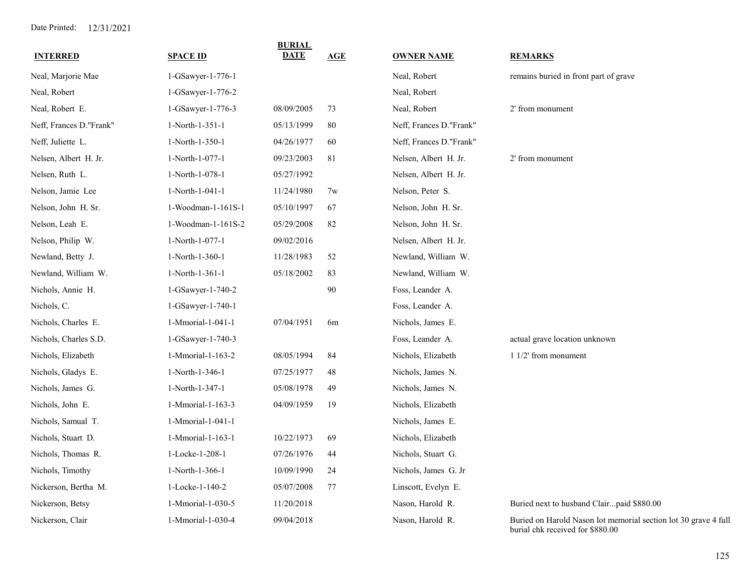| <b>INTERRED</b>         | <b>SPACE ID</b>    | <b>BURIAL</b><br><b>DATE</b> | <b>AGE</b>     | <b>OWNER NAME</b>       | <b>REMARKS</b>                                                                                      |
|-------------------------|--------------------|------------------------------|----------------|-------------------------|-----------------------------------------------------------------------------------------------------|
| Neal, Marjorie Mae      | 1-GSawyer-1-776-1  |                              |                | Neal, Robert            | remains buried in front part of grave                                                               |
| Neal, Robert            | 1-GSawyer-1-776-2  |                              |                | Neal, Robert            |                                                                                                     |
| Neal, Robert E.         | 1-GSawyer-1-776-3  | 08/09/2005                   | 73             | Neal, Robert            | 2' from monument                                                                                    |
| Neff, Frances D."Frank" | 1-North-1-351-1    | 05/13/1999                   | 80             | Neff, Frances D."Frank" |                                                                                                     |
| Neff, Juliette L.       | 1-North-1-350-1    | 04/26/1977                   | 60             | Neff, Frances D."Frank" |                                                                                                     |
| Nelsen, Albert H. Jr.   | 1-North-1-077-1    | 09/23/2003                   | 81             | Nelsen, Albert H. Jr.   | 2' from monument                                                                                    |
| Nelsen, Ruth L.         | 1-North-1-078-1    | 05/27/1992                   |                | Nelsen, Albert H. Jr.   |                                                                                                     |
| Nelson, Jamie Lee       | 1-North-1-041-1    | 11/24/1980                   | 7w             | Nelson, Peter S.        |                                                                                                     |
| Nelson, John H. Sr.     | 1-Woodman-1-161S-1 | 05/10/1997                   | 67             | Nelson, John H. Sr.     |                                                                                                     |
| Nelson, Leah E.         | 1-Woodman-1-161S-2 | 05/29/2008                   | 82             | Nelson, John H. Sr.     |                                                                                                     |
| Nelson, Philip W.       | 1-North-1-077-1    | 09/02/2016                   |                | Nelsen, Albert H. Jr.   |                                                                                                     |
| Newland, Betty J.       | 1-North-1-360-1    | 11/28/1983                   | 52             | Newland, William W.     |                                                                                                     |
| Newland, William W.     | 1-North-1-361-1    | 05/18/2002                   | 83             | Newland, William W.     |                                                                                                     |
| Nichols, Annie H.       | 1-GSawyer-1-740-2  |                              | $90\,$         | Foss, Leander A.        |                                                                                                     |
| Nichols, C.             | 1-GSawyer-1-740-1  |                              |                | Foss, Leander A.        |                                                                                                     |
| Nichols, Charles E.     | 1-Mmorial-1-041-1  | 07/04/1951                   | 6 <sub>m</sub> | Nichols, James E.       |                                                                                                     |
| Nichols, Charles S.D.   | 1-GSawyer-1-740-3  |                              |                | Foss, Leander A.        | actual grave location unknown                                                                       |
| Nichols, Elizabeth      | 1-Mmorial-1-163-2  | 08/05/1994                   | 84             | Nichols, Elizabeth      | $11/2$ from monument                                                                                |
| Nichols, Gladys E.      | 1-North-1-346-1    | 07/25/1977                   | 48             | Nichols, James N.       |                                                                                                     |
| Nichols, James G.       | 1-North-1-347-1    | 05/08/1978                   | 49             | Nichols, James N.       |                                                                                                     |
| Nichols, John E.        | 1-Mmorial-1-163-3  | 04/09/1959                   | 19             | Nichols, Elizabeth      |                                                                                                     |
| Nichols, Samual T.      | 1-Mmorial-1-041-1  |                              |                | Nichols, James E.       |                                                                                                     |
| Nichols, Stuart D.      | 1-Mmorial-1-163-1  | 10/22/1973                   | 69             | Nichols, Elizabeth      |                                                                                                     |
| Nichols, Thomas R.      | 1-Locke-1-208-1    | 07/26/1976                   | 44             | Nichols, Stuart G.      |                                                                                                     |
| Nichols, Timothy        | 1-North-1-366-1    | 10/09/1990                   | 24             | Nichols, James G. Jr    |                                                                                                     |
| Nickerson, Bertha M.    | 1-Locke-1-140-2    | 05/07/2008                   | 77             | Linscott, Evelyn E.     |                                                                                                     |
| Nickerson, Betsy        | 1-Mmorial-1-030-5  | 11/20/2018                   |                | Nason, Harold R.        | Buried next to husband Clairpaid \$880.00                                                           |
| Nickerson, Clair        | 1-Mmorial-1-030-4  | 09/04/2018                   |                | Nason, Harold R.        | Buried on Harold Nason lot memorial section lot 30 grave 4 full<br>burial chk received for \$880.00 |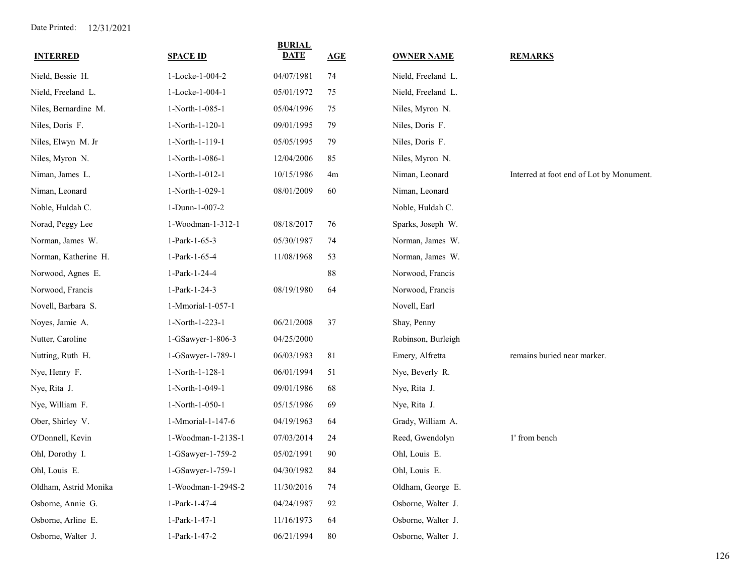| <b>INTERRED</b>       | <b>SPACE ID</b>    | <b>BURIAL</b><br><b>DATE</b> | AGE      | <b>OWNER NAME</b>  | <b>REMARKS</b>                           |
|-----------------------|--------------------|------------------------------|----------|--------------------|------------------------------------------|
| Nield, Bessie H.      | 1-Locke-1-004-2    | 04/07/1981                   | 74       | Nield, Freeland L. |                                          |
| Nield, Freeland L.    | 1-Locke-1-004-1    | 05/01/1972                   | 75       | Nield, Freeland L. |                                          |
| Niles, Bernardine M.  | 1-North-1-085-1    | 05/04/1996                   | 75       | Niles, Myron N.    |                                          |
| Niles, Doris F.       | 1-North-1-120-1    | 09/01/1995                   | 79       | Niles, Doris F.    |                                          |
| Niles, Elwyn M. Jr    | 1-North-1-119-1    | 05/05/1995                   | 79       | Niles, Doris F.    |                                          |
| Niles, Myron N.       | 1-North-1-086-1    | 12/04/2006                   | 85       | Niles, Myron N.    |                                          |
| Niman, James L.       | 1-North-1-012-1    | 10/15/1986                   | 4m       | Niman, Leonard     | Interred at foot end of Lot by Monument. |
| Niman, Leonard        | 1-North-1-029-1    | 08/01/2009                   | 60       | Niman, Leonard     |                                          |
| Noble, Huldah C.      | 1-Dunn-1-007-2     |                              |          | Noble, Huldah C.   |                                          |
| Norad, Peggy Lee      | 1-Woodman-1-312-1  | 08/18/2017                   | 76       | Sparks, Joseph W.  |                                          |
| Norman, James W.      | 1-Park-1-65-3      | 05/30/1987                   | 74       | Norman, James W.   |                                          |
| Norman, Katherine H.  | 1-Park-1-65-4      | 11/08/1968                   | 53       | Norman, James W.   |                                          |
| Norwood, Agnes E.     | 1-Park-1-24-4      |                              | $\bf 88$ | Norwood, Francis   |                                          |
| Norwood, Francis      | 1-Park-1-24-3      | 08/19/1980                   | 64       | Norwood, Francis   |                                          |
| Novell, Barbara S.    | 1-Mmorial-1-057-1  |                              |          | Novell, Earl       |                                          |
| Noyes, Jamie A.       | 1-North-1-223-1    | 06/21/2008                   | 37       | Shay, Penny        |                                          |
| Nutter, Caroline      | 1-GSawyer-1-806-3  | 04/25/2000                   |          | Robinson, Burleigh |                                          |
| Nutting, Ruth H.      | 1-GSawyer-1-789-1  | 06/03/1983                   | 81       | Emery, Alfretta    | remains buried near marker.              |
| Nye, Henry F.         | 1-North-1-128-1    | 06/01/1994                   | 51       | Nye, Beverly R.    |                                          |
| Nye, Rita J.          | 1-North-1-049-1    | 09/01/1986                   | 68       | Nye, Rita J.       |                                          |
| Nye, William F.       | 1-North-1-050-1    | 05/15/1986                   | 69       | Nye, Rita J.       |                                          |
| Ober, Shirley V.      | 1-Mmorial-1-147-6  | 04/19/1963                   | 64       | Grady, William A.  |                                          |
| O'Donnell, Kevin      | 1-Woodman-1-213S-1 | 07/03/2014                   | 24       | Reed, Gwendolyn    | 1' from bench                            |
| Ohl, Dorothy I.       | 1-GSawyer-1-759-2  | 05/02/1991                   | 90       | Ohl, Louis E.      |                                          |
| Ohl, Louis E.         | 1-GSawyer-1-759-1  | 04/30/1982                   | 84       | Ohl, Louis E.      |                                          |
| Oldham, Astrid Monika | 1-Woodman-1-294S-2 | 11/30/2016                   | 74       | Oldham, George E.  |                                          |
| Osborne, Annie G.     | 1-Park-1-47-4      | 04/24/1987                   | 92       | Osborne, Walter J. |                                          |
| Osborne, Arline E.    | 1-Park-1-47-1      | 11/16/1973                   | 64       | Osborne, Walter J. |                                          |
| Osborne, Walter J.    | 1-Park-1-47-2      | 06/21/1994                   | 80       | Osborne, Walter J. |                                          |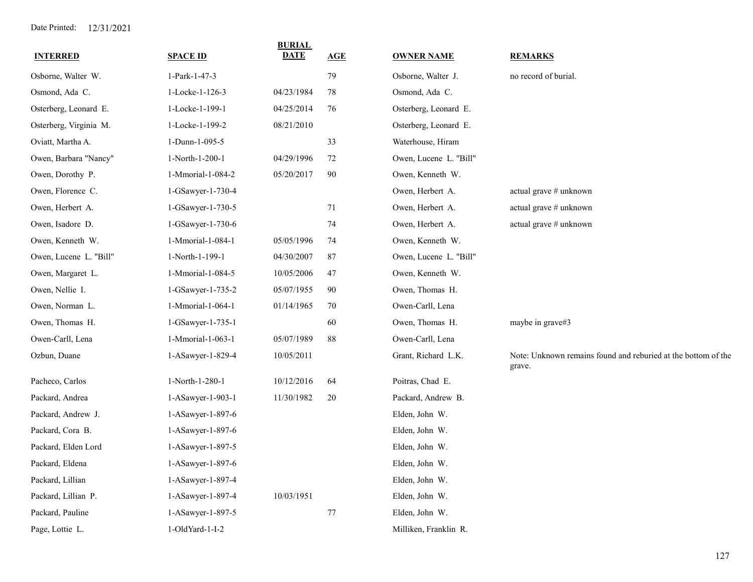| <b>INTERRED</b>        | <b>SPACE ID</b>   | <b>BURIAL</b><br><b>DATE</b> | <b>AGE</b> | <b>OWNER NAME</b>      | <b>REMARKS</b>                                                          |
|------------------------|-------------------|------------------------------|------------|------------------------|-------------------------------------------------------------------------|
| Osborne, Walter W.     | 1-Park-1-47-3     |                              | 79         | Osborne, Walter J.     | no record of burial.                                                    |
| Osmond, Ada C.         | 1-Locke-1-126-3   | 04/23/1984                   | 78         | Osmond, Ada C.         |                                                                         |
| Osterberg, Leonard E.  | 1-Locke-1-199-1   | 04/25/2014                   | 76         | Osterberg, Leonard E.  |                                                                         |
| Osterberg, Virginia M. | 1-Locke-1-199-2   | 08/21/2010                   |            | Osterberg, Leonard E.  |                                                                         |
| Oviatt, Martha A.      | 1-Dunn-1-095-5    |                              | 33         | Waterhouse, Hiram      |                                                                         |
| Owen, Barbara "Nancy"  | 1-North-1-200-1   | 04/29/1996                   | 72         | Owen, Lucene L. "Bill" |                                                                         |
| Owen, Dorothy P.       | 1-Mmorial-1-084-2 | 05/20/2017                   | 90         | Owen, Kenneth W.       |                                                                         |
| Owen, Florence C.      | 1-GSawyer-1-730-4 |                              |            | Owen, Herbert A.       | actual grave # unknown                                                  |
| Owen, Herbert A.       | 1-GSawyer-1-730-5 |                              | 71         | Owen, Herbert A.       | actual grave # unknown                                                  |
| Owen, Isadore D.       | 1-GSawyer-1-730-6 |                              | 74         | Owen, Herbert A.       | actual grave # unknown                                                  |
| Owen, Kenneth W.       | 1-Mmorial-1-084-1 | 05/05/1996                   | 74         | Owen, Kenneth W.       |                                                                         |
| Owen, Lucene L. "Bill" | 1-North-1-199-1   | 04/30/2007                   | 87         | Owen, Lucene L. "Bill" |                                                                         |
| Owen, Margaret L.      | 1-Mmorial-1-084-5 | 10/05/2006                   | 47         | Owen, Kenneth W.       |                                                                         |
| Owen, Nellie I.        | 1-GSawyer-1-735-2 | 05/07/1955                   | 90         | Owen, Thomas H.        |                                                                         |
| Owen, Norman L.        | 1-Mmorial-1-064-1 | 01/14/1965                   | 70         | Owen-Carll, Lena       |                                                                         |
| Owen, Thomas H.        | 1-GSawyer-1-735-1 |                              | 60         | Owen, Thomas H.        | maybe in grave#3                                                        |
| Owen-Carll, Lena       | 1-Mmorial-1-063-1 | 05/07/1989                   | 88         | Owen-Carll, Lena       |                                                                         |
| Ozbun, Duane           | 1-ASawyer-1-829-4 | 10/05/2011                   |            | Grant, Richard L.K.    | Note: Unknown remains found and reburied at the bottom of the<br>grave. |
| Pacheco, Carlos        | 1-North-1-280-1   | 10/12/2016                   | 64         | Poitras, Chad E.       |                                                                         |
| Packard, Andrea        | 1-ASawyer-1-903-1 | 11/30/1982                   | 20         | Packard, Andrew B.     |                                                                         |
| Packard, Andrew J.     | 1-ASawyer-1-897-6 |                              |            | Elden, John W.         |                                                                         |
| Packard, Cora B.       | 1-ASawyer-1-897-6 |                              |            | Elden, John W.         |                                                                         |
| Packard, Elden Lord    | 1-ASawyer-1-897-5 |                              |            | Elden, John W.         |                                                                         |
| Packard, Eldena        | 1-ASawyer-1-897-6 |                              |            | Elden, John W.         |                                                                         |
| Packard, Lillian       | 1-ASawyer-1-897-4 |                              |            | Elden, John W.         |                                                                         |
| Packard, Lillian P.    | 1-ASawyer-1-897-4 | 10/03/1951                   |            | Elden, John W.         |                                                                         |
| Packard, Pauline       | 1-ASawyer-1-897-5 |                              | $77\,$     | Elden, John W.         |                                                                         |
| Page, Lottie L.        | 1-OldYard-1-I-2   |                              |            | Milliken, Franklin R.  |                                                                         |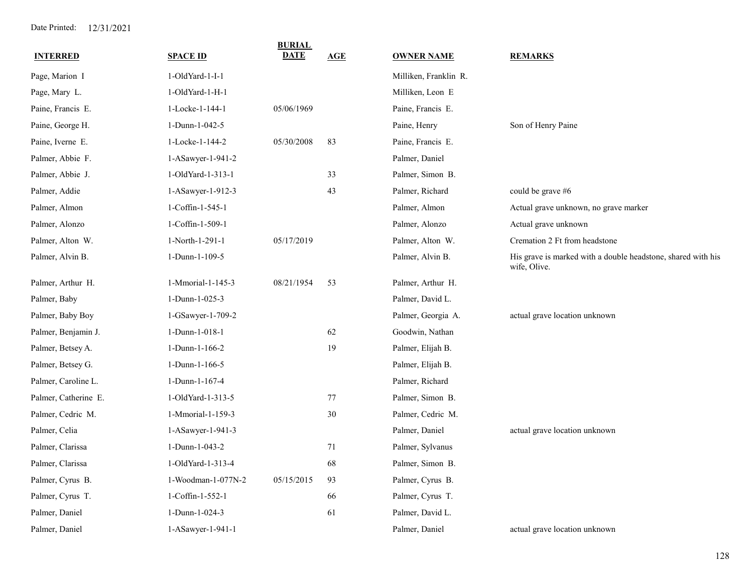| <b>INTERRED</b>      | <b>SPACE ID</b>    | <b>BURIAL</b><br><b>DATE</b> | <b>AGE</b> | <b>OWNER NAME</b>     | <b>REMARKS</b>                                                               |
|----------------------|--------------------|------------------------------|------------|-----------------------|------------------------------------------------------------------------------|
| Page, Marion I       | 1-OldYard-1-I-1    |                              |            | Milliken, Franklin R. |                                                                              |
| Page, Mary L.        | 1-OldYard-1-H-1    |                              |            | Milliken, Leon E      |                                                                              |
| Paine, Francis E.    | 1-Locke-1-144-1    | 05/06/1969                   |            | Paine, Francis E.     |                                                                              |
| Paine, George H.     | 1-Dunn-1-042-5     |                              |            | Paine, Henry          | Son of Henry Paine                                                           |
| Paine, Iverne E.     | 1-Locke-1-144-2    | 05/30/2008                   | 83         | Paine, Francis E.     |                                                                              |
| Palmer, Abbie F.     | 1-ASawyer-1-941-2  |                              |            | Palmer, Daniel        |                                                                              |
| Palmer, Abbie J.     | 1-OldYard-1-313-1  |                              | 33         | Palmer, Simon B.      |                                                                              |
| Palmer, Addie        | 1-ASawyer-1-912-3  |                              | 43         | Palmer, Richard       | could be grave #6                                                            |
| Palmer, Almon        | 1-Coffin-1-545-1   |                              |            | Palmer, Almon         | Actual grave unknown, no grave marker                                        |
| Palmer, Alonzo       | 1-Coffin-1-509-1   |                              |            | Palmer, Alonzo        | Actual grave unknown                                                         |
| Palmer, Alton W.     | 1-North-1-291-1    | 05/17/2019                   |            | Palmer, Alton W.      | Cremation 2 Ft from headstone                                                |
| Palmer, Alvin B.     | 1-Dunn-1-109-5     |                              |            | Palmer, Alvin B.      | His grave is marked with a double headstone, shared with his<br>wife, Olive. |
| Palmer, Arthur H.    | 1-Mmorial-1-145-3  | 08/21/1954                   | 53         | Palmer, Arthur H.     |                                                                              |
| Palmer, Baby         | 1-Dunn-1-025-3     |                              |            | Palmer, David L.      |                                                                              |
| Palmer, Baby Boy     | 1-GSawyer-1-709-2  |                              |            | Palmer, Georgia A.    | actual grave location unknown                                                |
| Palmer, Benjamin J.  | 1-Dunn-1-018-1     |                              | 62         | Goodwin, Nathan       |                                                                              |
| Palmer, Betsey A.    | 1-Dunn-1-166-2     |                              | 19         | Palmer, Elijah B.     |                                                                              |
| Palmer, Betsey G.    | 1-Dunn-1-166-5     |                              |            | Palmer, Elijah B.     |                                                                              |
| Palmer, Caroline L.  | 1-Dunn-1-167-4     |                              |            | Palmer, Richard       |                                                                              |
| Palmer, Catherine E. | 1-OldYard-1-313-5  |                              | 77         | Palmer, Simon B.      |                                                                              |
| Palmer, Cedric M.    | 1-Mmorial-1-159-3  |                              | 30         | Palmer, Cedric M.     |                                                                              |
| Palmer, Celia        | 1-ASawyer-1-941-3  |                              |            | Palmer, Daniel        | actual grave location unknown                                                |
| Palmer, Clarissa     | 1-Dunn-1-043-2     |                              | 71         | Palmer, Sylvanus      |                                                                              |
| Palmer, Clarissa     | 1-OldYard-1-313-4  |                              | 68         | Palmer, Simon B.      |                                                                              |
| Palmer, Cyrus B.     | 1-Woodman-1-077N-2 | 05/15/2015                   | 93         | Palmer, Cyrus B.      |                                                                              |
| Palmer, Cyrus T.     | 1-Coffin-1-552-1   |                              | 66         | Palmer, Cyrus T.      |                                                                              |
| Palmer, Daniel       | 1-Dunn-1-024-3     |                              | 61         | Palmer, David L.      |                                                                              |
| Palmer, Daniel       | 1-ASawyer-1-941-1  |                              |            | Palmer, Daniel        | actual grave location unknown                                                |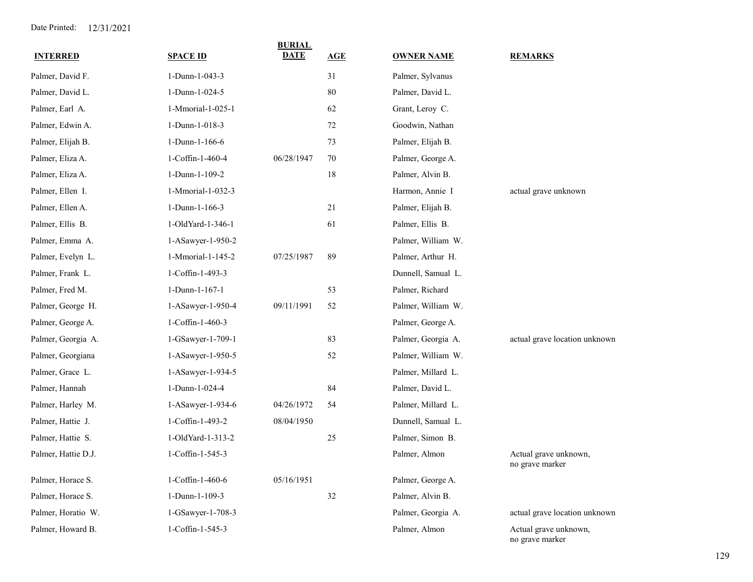| <b>INTERRED</b>     | <b>SPACE ID</b>   | <b>BURIAL</b><br><b>DATE</b> | AGE    | <b>OWNER NAME</b>  | <b>REMARKS</b>                           |
|---------------------|-------------------|------------------------------|--------|--------------------|------------------------------------------|
| Palmer, David F.    | 1-Dunn-1-043-3    |                              | 31     | Palmer, Sylvanus   |                                          |
| Palmer, David L.    | 1-Dunn-1-024-5    |                              | 80     | Palmer, David L.   |                                          |
| Palmer, Earl A.     | 1-Mmorial-1-025-1 |                              | 62     | Grant, Leroy C.    |                                          |
| Palmer, Edwin A.    | 1-Dunn-1-018-3    |                              | 72     | Goodwin, Nathan    |                                          |
| Palmer, Elijah B.   | 1-Dunn-1-166-6    |                              | 73     | Palmer, Elijah B.  |                                          |
| Palmer, Eliza A.    | 1-Coffin-1-460-4  | 06/28/1947                   | 70     | Palmer, George A.  |                                          |
| Palmer, Eliza A.    | 1-Dunn-1-109-2    |                              | 18     | Palmer, Alvin B.   |                                          |
| Palmer, Ellen I.    | 1-Mmorial-1-032-3 |                              |        | Harmon, Annie I    | actual grave unknown                     |
| Palmer, Ellen A.    | 1-Dunn-1-166-3    |                              | 21     | Palmer, Elijah B.  |                                          |
| Palmer, Ellis B.    | 1-OldYard-1-346-1 |                              | 61     | Palmer, Ellis B.   |                                          |
| Palmer, Emma A.     | 1-ASawyer-1-950-2 |                              |        | Palmer, William W. |                                          |
| Palmer, Evelyn L.   | 1-Mmorial-1-145-2 | 07/25/1987                   | 89     | Palmer, Arthur H.  |                                          |
| Palmer, Frank L.    | 1-Coffin-1-493-3  |                              |        | Dunnell, Samual L. |                                          |
| Palmer, Fred M.     | 1-Dunn-1-167-1    |                              | 53     | Palmer, Richard    |                                          |
| Palmer, George H.   | 1-ASawyer-1-950-4 | 09/11/1991                   | 52     | Palmer, William W. |                                          |
| Palmer, George A.   | 1-Coffin-1-460-3  |                              |        | Palmer, George A.  |                                          |
| Palmer, Georgia A.  | 1-GSawyer-1-709-1 |                              | 83     | Palmer, Georgia A. | actual grave location unknown            |
| Palmer, Georgiana   | 1-ASawyer-1-950-5 |                              | 52     | Palmer, William W. |                                          |
| Palmer, Grace L.    | 1-ASawyer-1-934-5 |                              |        | Palmer, Millard L. |                                          |
| Palmer, Hannah      | 1-Dunn-1-024-4    |                              | 84     | Palmer, David L.   |                                          |
| Palmer, Harley M.   | 1-ASawyer-1-934-6 | 04/26/1972                   | 54     | Palmer, Millard L. |                                          |
| Palmer, Hattie J.   | 1-Coffin-1-493-2  | 08/04/1950                   |        | Dunnell, Samual L. |                                          |
| Palmer, Hattie S.   | 1-OldYard-1-313-2 |                              | 25     | Palmer, Simon B.   |                                          |
| Palmer, Hattie D.J. | 1-Coffin-1-545-3  |                              |        | Palmer, Almon      | Actual grave unknown,<br>no grave marker |
| Palmer, Horace S.   | 1-Coffin-1-460-6  | 05/16/1951                   |        | Palmer, George A.  |                                          |
| Palmer, Horace S.   | 1-Dunn-1-109-3    |                              | $32\,$ | Palmer, Alvin B.   |                                          |
| Palmer, Horatio W.  | 1-GSawyer-1-708-3 |                              |        | Palmer, Georgia A. | actual grave location unknown            |
| Palmer, Howard B.   | 1-Coffin-1-545-3  |                              |        | Palmer, Almon      | Actual grave unknown,<br>no grave marker |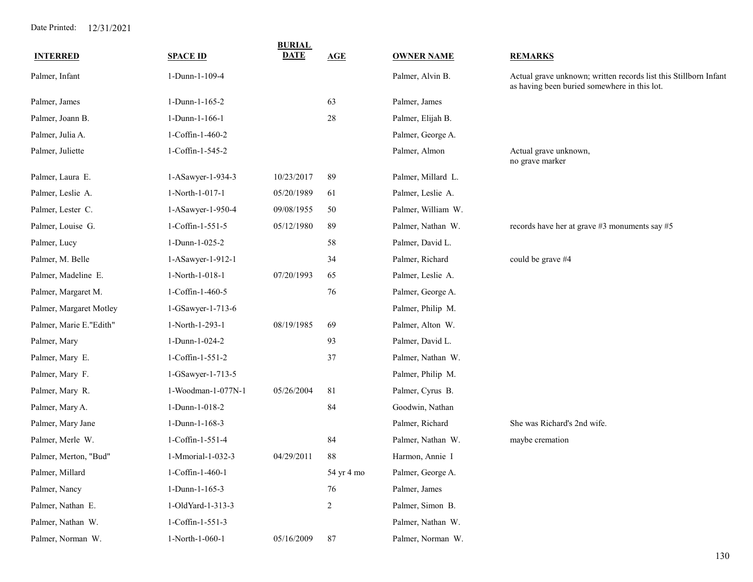|                         |                    | <b>BURIAL</b> |                |                    |                                                                                                                  |
|-------------------------|--------------------|---------------|----------------|--------------------|------------------------------------------------------------------------------------------------------------------|
| <b>INTERRED</b>         | <b>SPACE ID</b>    | <b>DATE</b>   | AGE            | <b>OWNER NAME</b>  | <b>REMARKS</b>                                                                                                   |
| Palmer, Infant          | 1-Dunn-1-109-4     |               |                | Palmer, Alvin B.   | Actual grave unknown; written records list this Stillborn Infant<br>as having been buried somewhere in this lot. |
| Palmer, James           | 1-Dunn-1-165-2     |               | 63             | Palmer, James      |                                                                                                                  |
| Palmer, Joann B.        | 1-Dunn-1-166-1     |               | 28             | Palmer, Elijah B.  |                                                                                                                  |
| Palmer, Julia A.        | 1-Coffin-1-460-2   |               |                | Palmer, George A.  |                                                                                                                  |
| Palmer, Juliette        | 1-Coffin-1-545-2   |               |                | Palmer, Almon      | Actual grave unknown,<br>no grave marker                                                                         |
| Palmer, Laura E.        | 1-ASawyer-1-934-3  | 10/23/2017    | 89             | Palmer, Millard L. |                                                                                                                  |
| Palmer, Leslie A.       | 1-North-1-017-1    | 05/20/1989    | 61             | Palmer, Leslie A.  |                                                                                                                  |
| Palmer, Lester C.       | 1-ASawyer-1-950-4  | 09/08/1955    | 50             | Palmer, William W. |                                                                                                                  |
| Palmer, Louise G.       | 1-Coffin-1-551-5   | 05/12/1980    | 89             | Palmer, Nathan W.  | records have her at grave #3 monuments say #5                                                                    |
| Palmer, Lucy            | 1-Dunn-1-025-2     |               | 58             | Palmer, David L.   |                                                                                                                  |
| Palmer, M. Belle        | 1-ASawyer-1-912-1  |               | 34             | Palmer, Richard    | could be grave #4                                                                                                |
| Palmer, Madeline E.     | 1-North-1-018-1    | 07/20/1993    | 65             | Palmer, Leslie A.  |                                                                                                                  |
| Palmer, Margaret M.     | 1-Coffin-1-460-5   |               | 76             | Palmer, George A.  |                                                                                                                  |
| Palmer, Margaret Motley | 1-GSawyer-1-713-6  |               |                | Palmer, Philip M.  |                                                                                                                  |
| Palmer, Marie E."Edith" | 1-North-1-293-1    | 08/19/1985    | 69             | Palmer, Alton W.   |                                                                                                                  |
| Palmer, Mary            | 1-Dunn-1-024-2     |               | 93             | Palmer, David L.   |                                                                                                                  |
| Palmer, Mary E.         | 1-Coffin-1-551-2   |               | 37             | Palmer, Nathan W.  |                                                                                                                  |
| Palmer, Mary F.         | 1-GSawyer-1-713-5  |               |                | Palmer, Philip M.  |                                                                                                                  |
| Palmer, Mary R.         | 1-Woodman-1-077N-1 | 05/26/2004    | 81             | Palmer, Cyrus B.   |                                                                                                                  |
| Palmer, Mary A.         | 1-Dunn-1-018-2     |               | 84             | Goodwin, Nathan    |                                                                                                                  |
| Palmer, Mary Jane       | 1-Dunn-1-168-3     |               |                | Palmer, Richard    | She was Richard's 2nd wife.                                                                                      |
| Palmer, Merle W.        | 1-Coffin-1-551-4   |               | 84             | Palmer, Nathan W.  | maybe cremation                                                                                                  |
| Palmer, Merton, "Bud"   | 1-Mmorial-1-032-3  | 04/29/2011    | 88             | Harmon, Annie I    |                                                                                                                  |
| Palmer, Millard         | 1-Coffin-1-460-1   |               | 54 yr 4 mo     | Palmer, George A.  |                                                                                                                  |
| Palmer, Nancy           | 1-Dunn-1-165-3     |               | 76             | Palmer, James      |                                                                                                                  |
| Palmer, Nathan E.       | 1-OldYard-1-313-3  |               | $\overline{c}$ | Palmer, Simon B.   |                                                                                                                  |
| Palmer, Nathan W.       | 1-Coffin-1-551-3   |               |                | Palmer, Nathan W.  |                                                                                                                  |
| Palmer, Norman W.       | 1-North-1-060-1    | 05/16/2009    | 87             | Palmer, Norman W.  |                                                                                                                  |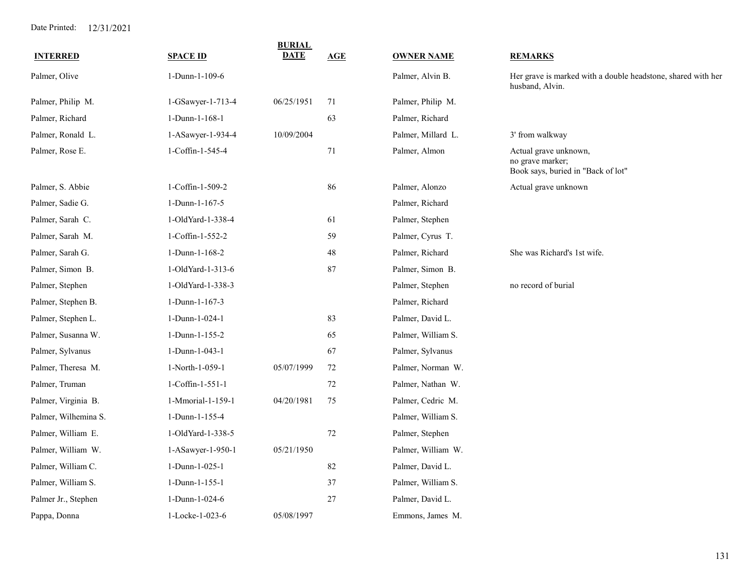|                      |                   | <b>BURIAL</b><br><b>DATE</b> |             |                    |                                                                                 |
|----------------------|-------------------|------------------------------|-------------|--------------------|---------------------------------------------------------------------------------|
| <b>INTERRED</b>      | <b>SPACE ID</b>   |                              | AGE         | <b>OWNER NAME</b>  | <b>REMARKS</b>                                                                  |
| Palmer, Olive        | 1-Dunn-1-109-6    |                              |             | Palmer, Alvin B.   | Her grave is marked with a double headstone, shared with her<br>husband, Alvin. |
| Palmer, Philip M.    | 1-GSawyer-1-713-4 | 06/25/1951                   | 71          | Palmer, Philip M.  |                                                                                 |
| Palmer, Richard      | 1-Dunn-1-168-1    |                              | 63          | Palmer, Richard    |                                                                                 |
| Palmer, Ronald L.    | 1-ASawyer-1-934-4 | 10/09/2004                   |             | Palmer, Millard L. | 3' from walkway                                                                 |
| Palmer, Rose E.      | 1-Coffin-1-545-4  |                              | $71\,$      | Palmer, Almon      | Actual grave unknown,<br>no grave marker;<br>Book says, buried in "Back of lot" |
| Palmer, S. Abbie     | 1-Coffin-1-509-2  |                              | 86          | Palmer, Alonzo     | Actual grave unknown                                                            |
| Palmer, Sadie G.     | 1-Dunn-1-167-5    |                              |             | Palmer, Richard    |                                                                                 |
| Palmer, Sarah C.     | 1-OldYard-1-338-4 |                              | 61          | Palmer, Stephen    |                                                                                 |
| Palmer, Sarah M.     | 1-Coffin-1-552-2  |                              | 59          | Palmer, Cyrus T.   |                                                                                 |
| Palmer, Sarah G.     | 1-Dunn-1-168-2    |                              | $\sqrt{48}$ | Palmer, Richard    | She was Richard's 1st wife.                                                     |
| Palmer, Simon B.     | 1-OldYard-1-313-6 |                              | $87\,$      | Palmer, Simon B.   |                                                                                 |
| Palmer, Stephen      | 1-OldYard-1-338-3 |                              |             | Palmer, Stephen    | no record of burial                                                             |
| Palmer, Stephen B.   | 1-Dunn-1-167-3    |                              |             | Palmer, Richard    |                                                                                 |
| Palmer, Stephen L.   | 1-Dunn-1-024-1    |                              | 83          | Palmer, David L.   |                                                                                 |
| Palmer, Susanna W.   | 1-Dunn-1-155-2    |                              | 65          | Palmer, William S. |                                                                                 |
| Palmer, Sylvanus     | 1-Dunn-1-043-1    |                              | 67          | Palmer, Sylvanus   |                                                                                 |
| Palmer, Theresa M.   | 1-North-1-059-1   | 05/07/1999                   | 72          | Palmer, Norman W.  |                                                                                 |
| Palmer, Truman       | 1-Coffin-1-551-1  |                              | 72          | Palmer, Nathan W.  |                                                                                 |
| Palmer, Virginia B.  | 1-Mmorial-1-159-1 | 04/20/1981                   | 75          | Palmer, Cedric M.  |                                                                                 |
| Palmer, Wilhemina S. | 1-Dunn-1-155-4    |                              |             | Palmer, William S. |                                                                                 |
| Palmer, William E.   | 1-OldYard-1-338-5 |                              | 72          | Palmer, Stephen    |                                                                                 |
| Palmer, William W.   | 1-ASawyer-1-950-1 | 05/21/1950                   |             | Palmer, William W. |                                                                                 |
| Palmer, William C.   | 1-Dunn-1-025-1    |                              | 82          | Palmer, David L.   |                                                                                 |
| Palmer, William S.   | 1-Dunn-1-155-1    |                              | 37          | Palmer, William S. |                                                                                 |
| Palmer Jr., Stephen  | 1-Dunn-1-024-6    |                              | 27          | Palmer, David L.   |                                                                                 |
| Pappa, Donna         | 1-Locke-1-023-6   | 05/08/1997                   |             | Emmons, James M.   |                                                                                 |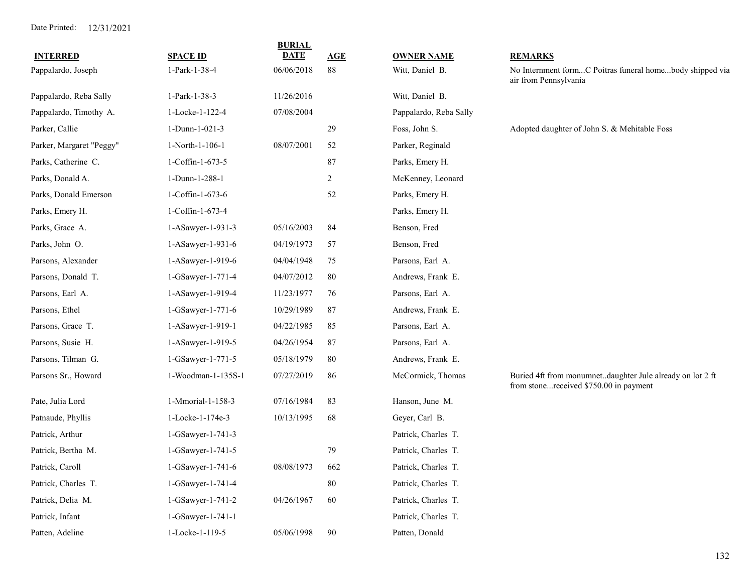|                          |                    | <b>BURIAL</b> |                |                        |                                                                                                     |
|--------------------------|--------------------|---------------|----------------|------------------------|-----------------------------------------------------------------------------------------------------|
| <b>INTERRED</b>          | <b>SPACE ID</b>    | <b>DATE</b>   | AGE            | <b>OWNER NAME</b>      | <b>REMARKS</b>                                                                                      |
| Pappalardo, Joseph       | 1-Park-1-38-4      | 06/06/2018    | 88             | Witt, Daniel B.        | No Internment formC Poitras funeral homebody shipped via<br>air from Pennsylvania                   |
| Pappalardo, Reba Sally   | 1-Park-1-38-3      | 11/26/2016    |                | Witt, Daniel B.        |                                                                                                     |
| Pappalardo, Timothy A.   | 1-Locke-1-122-4    | 07/08/2004    |                | Pappalardo, Reba Sally |                                                                                                     |
| Parker, Callie           | 1-Dunn-1-021-3     |               | 29             | Foss, John S.          | Adopted daughter of John S. & Mehitable Foss                                                        |
| Parker, Margaret "Peggy" | 1-North-1-106-1    | 08/07/2001    | 52             | Parker, Reginald       |                                                                                                     |
| Parks, Catherine C.      | 1-Coffin-1-673-5   |               | 87             | Parks, Emery H.        |                                                                                                     |
| Parks, Donald A.         | 1-Dunn-1-288-1     |               | $\overline{c}$ | McKenney, Leonard      |                                                                                                     |
| Parks, Donald Emerson    | 1-Coffin-1-673-6   |               | 52             | Parks, Emery H.        |                                                                                                     |
| Parks, Emery H.          | 1-Coffin-1-673-4   |               |                | Parks, Emery H.        |                                                                                                     |
| Parks, Grace A.          | 1-ASawyer-1-931-3  | 05/16/2003    | 84             | Benson, Fred           |                                                                                                     |
| Parks, John O.           | 1-ASawyer-1-931-6  | 04/19/1973    | 57             | Benson, Fred           |                                                                                                     |
| Parsons, Alexander       | 1-ASawyer-1-919-6  | 04/04/1948    | 75             | Parsons, Earl A.       |                                                                                                     |
| Parsons, Donald T.       | 1-GSawyer-1-771-4  | 04/07/2012    | 80             | Andrews, Frank E.      |                                                                                                     |
| Parsons, Earl A.         | 1-ASawyer-1-919-4  | 11/23/1977    | 76             | Parsons, Earl A.       |                                                                                                     |
| Parsons, Ethel           | 1-GSawyer-1-771-6  | 10/29/1989    | 87             | Andrews, Frank E.      |                                                                                                     |
| Parsons, Grace T.        | 1-ASawyer-1-919-1  | 04/22/1985    | 85             | Parsons, Earl A.       |                                                                                                     |
| Parsons, Susie H.        | 1-ASawyer-1-919-5  | 04/26/1954    | 87             | Parsons, Earl A.       |                                                                                                     |
| Parsons, Tilman G.       | 1-GSawyer-1-771-5  | 05/18/1979    | 80             | Andrews, Frank E.      |                                                                                                     |
| Parsons Sr., Howard      | 1-Woodman-1-135S-1 | 07/27/2019    | 86             | McCormick, Thomas      | Buried 4ft from monumnetdaughter Jule already on lot 2 ft<br>from stonereceived \$750.00 in payment |
| Pate, Julia Lord         | 1-Mmorial-1-158-3  | 07/16/1984    | 83             | Hanson, June M.        |                                                                                                     |
| Patnaude, Phyllis        | 1-Locke-1-174e-3   | 10/13/1995    | 68             | Geyer, Carl B.         |                                                                                                     |
| Patrick, Arthur          | 1-GSawyer-1-741-3  |               |                | Patrick, Charles T.    |                                                                                                     |
| Patrick, Bertha M.       | 1-GSawyer-1-741-5  |               | 79             | Patrick, Charles T.    |                                                                                                     |
| Patrick, Caroll          | 1-GSawyer-1-741-6  | 08/08/1973    | 662            | Patrick, Charles T.    |                                                                                                     |
| Patrick, Charles T.      | 1-GSawyer-1-741-4  |               | 80             | Patrick, Charles T.    |                                                                                                     |
| Patrick, Delia M.        | 1-GSawyer-1-741-2  | 04/26/1967    | 60             | Patrick, Charles T.    |                                                                                                     |
| Patrick, Infant          | 1-GSawyer-1-741-1  |               |                | Patrick, Charles T.    |                                                                                                     |
| Patten, Adeline          | 1-Locke-1-119-5    | 05/06/1998    | 90             | Patten, Donald         |                                                                                                     |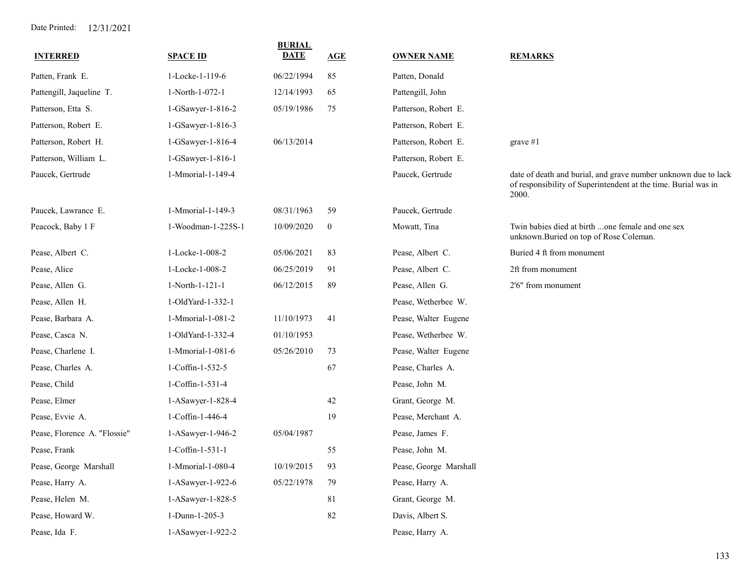| <b>INTERRED</b>              | <b>SPACE ID</b>    | <b>BURIAL</b><br><b>DATE</b> | AGE              |                        | <b>REMARKS</b>                                                                                                                            |
|------------------------------|--------------------|------------------------------|------------------|------------------------|-------------------------------------------------------------------------------------------------------------------------------------------|
|                              |                    |                              |                  | <b>OWNER NAME</b>      |                                                                                                                                           |
| Patten, Frank E.             | 1-Locke-1-119-6    | 06/22/1994                   | 85               | Patten, Donald         |                                                                                                                                           |
| Pattengill, Jaqueline T.     | 1-North-1-072-1    | 12/14/1993                   | 65               | Pattengill, John       |                                                                                                                                           |
| Patterson, Etta S.           | 1-GSawyer-1-816-2  | 05/19/1986                   | 75               | Patterson, Robert E.   |                                                                                                                                           |
| Patterson, Robert E.         | 1-GSawyer-1-816-3  |                              |                  | Patterson, Robert E.   |                                                                                                                                           |
| Patterson, Robert H.         | 1-GSawyer-1-816-4  | 06/13/2014                   |                  | Patterson, Robert E.   | grave $#1$                                                                                                                                |
| Patterson, William L.        | 1-GSawyer-1-816-1  |                              |                  | Patterson, Robert E.   |                                                                                                                                           |
| Paucek, Gertrude             | 1-Mmorial-1-149-4  |                              |                  | Paucek, Gertrude       | date of death and burial, and grave number unknown due to lack<br>of responsibility of Superintendent at the time. Burial was in<br>2000. |
| Paucek, Lawrance E.          | 1-Mmorial-1-149-3  | 08/31/1963                   | 59               | Paucek, Gertrude       |                                                                                                                                           |
| Peacock, Baby 1 F            | 1-Woodman-1-225S-1 | 10/09/2020                   | $\boldsymbol{0}$ | Mowatt, Tina           | Twin babies died at birth one female and one sex<br>unknown.Buried on top of Rose Coleman.                                                |
| Pease, Albert C.             | 1-Locke-1-008-2    | 05/06/2021                   | 83               | Pease, Albert C.       | Buried 4 ft from monument                                                                                                                 |
| Pease, Alice                 | 1-Locke-1-008-2    | 06/25/2019                   | 91               | Pease, Albert C.       | 2ft from monument                                                                                                                         |
| Pease, Allen G.              | 1-North-1-121-1    | 06/12/2015                   | 89               | Pease, Allen G.        | 2'6" from monument                                                                                                                        |
| Pease, Allen H.              | 1-OldYard-1-332-1  |                              |                  | Pease, Wetherbee W.    |                                                                                                                                           |
| Pease, Barbara A.            | 1-Mmorial-1-081-2  | 11/10/1973                   | 41               | Pease, Walter Eugene   |                                                                                                                                           |
| Pease, Casca N.              | 1-OldYard-1-332-4  | 01/10/1953                   |                  | Pease, Wetherbee W.    |                                                                                                                                           |
| Pease, Charlene I.           | 1-Mmorial-1-081-6  | 05/26/2010                   | 73               | Pease, Walter Eugene   |                                                                                                                                           |
| Pease, Charles A.            | 1-Coffin-1-532-5   |                              | 67               | Pease, Charles A.      |                                                                                                                                           |
| Pease, Child                 | 1-Coffin-1-531-4   |                              |                  | Pease, John M.         |                                                                                                                                           |
| Pease, Elmer                 | 1-ASawyer-1-828-4  |                              | 42               | Grant, George M.       |                                                                                                                                           |
| Pease, Evvie A.              | 1-Coffin-1-446-4   |                              | 19               | Pease, Merchant A.     |                                                                                                                                           |
| Pease, Florence A. "Flossie" | 1-ASawyer-1-946-2  | 05/04/1987                   |                  | Pease, James F.        |                                                                                                                                           |
| Pease, Frank                 | 1-Coffin-1-531-1   |                              | 55               | Pease, John M.         |                                                                                                                                           |
| Pease, George Marshall       | 1-Mmorial-1-080-4  | 10/19/2015                   | 93               | Pease, George Marshall |                                                                                                                                           |
| Pease, Harry A.              | 1-ASawyer-1-922-6  | 05/22/1978                   | 79               | Pease, Harry A.        |                                                                                                                                           |
| Pease, Helen M.              | 1-ASawyer-1-828-5  |                              | 81               | Grant, George M.       |                                                                                                                                           |
| Pease, Howard W.             | 1-Dunn-1-205-3     |                              | 82               | Davis, Albert S.       |                                                                                                                                           |
| Pease, Ida F.                | 1-ASawyer-1-922-2  |                              |                  | Pease, Harry A.        |                                                                                                                                           |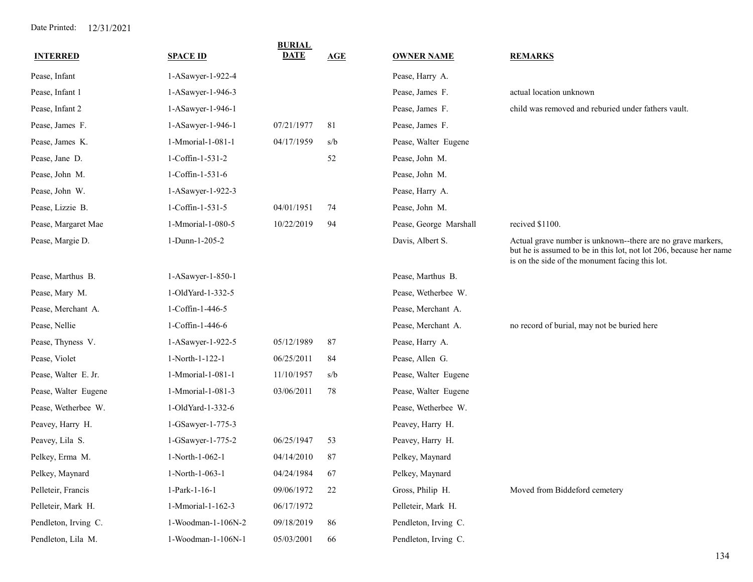| <b>INTERRED</b>      | <b>SPACE ID</b>    | <b>BURIAL</b><br><b>DATE</b> | AGE | <b>OWNER NAME</b>      | <b>REMARKS</b>                                                                                                                                                                       |
|----------------------|--------------------|------------------------------|-----|------------------------|--------------------------------------------------------------------------------------------------------------------------------------------------------------------------------------|
| Pease, Infant        | 1-ASawyer-1-922-4  |                              |     | Pease, Harry A.        |                                                                                                                                                                                      |
| Pease, Infant 1      | 1-ASawyer-1-946-3  |                              |     | Pease, James F.        | actual location unknown                                                                                                                                                              |
| Pease, Infant 2      | 1-ASawyer-1-946-1  |                              |     | Pease, James F.        | child was removed and reburied under fathers vault.                                                                                                                                  |
| Pease, James F.      | 1-ASawyer-1-946-1  | 07/21/1977                   | 81  | Pease, James F.        |                                                                                                                                                                                      |
| Pease, James K.      | 1-Mmorial-1-081-1  | 04/17/1959                   | s/b | Pease, Walter Eugene   |                                                                                                                                                                                      |
| Pease, Jane D.       | 1-Coffin-1-531-2   |                              | 52  | Pease, John M.         |                                                                                                                                                                                      |
| Pease, John M.       | 1-Coffin-1-531-6   |                              |     | Pease, John M.         |                                                                                                                                                                                      |
| Pease, John W.       | 1-ASawyer-1-922-3  |                              |     | Pease, Harry A.        |                                                                                                                                                                                      |
| Pease, Lizzie B.     | 1-Coffin-1-531-5   | 04/01/1951                   | 74  | Pease, John M.         |                                                                                                                                                                                      |
| Pease, Margaret Mae  | 1-Mmorial-1-080-5  | 10/22/2019                   | 94  | Pease, George Marshall | recived \$1100.                                                                                                                                                                      |
| Pease, Margie D.     | 1-Dunn-1-205-2     |                              |     | Davis, Albert S.       | Actual grave number is unknown--there are no grave markers,<br>but he is assumed to be in this lot, not lot 206, because her name<br>is on the side of the monument facing this lot. |
| Pease, Marthus B.    | 1-ASawyer-1-850-1  |                              |     | Pease, Marthus B.      |                                                                                                                                                                                      |
| Pease, Mary M.       | 1-OldYard-1-332-5  |                              |     | Pease, Wetherbee W.    |                                                                                                                                                                                      |
| Pease, Merchant A.   | 1-Coffin-1-446-5   |                              |     | Pease, Merchant A.     |                                                                                                                                                                                      |
| Pease, Nellie        | 1-Coffin-1-446-6   |                              |     | Pease, Merchant A.     | no record of burial, may not be buried here                                                                                                                                          |
| Pease, Thyness V.    | 1-ASawyer-1-922-5  | 05/12/1989                   | 87  | Pease, Harry A.        |                                                                                                                                                                                      |
| Pease, Violet        | 1-North-1-122-1    | 06/25/2011                   | 84  | Pease, Allen G.        |                                                                                                                                                                                      |
| Pease, Walter E. Jr. | 1-Mmorial-1-081-1  | 11/10/1957                   | s/b | Pease, Walter Eugene   |                                                                                                                                                                                      |
| Pease, Walter Eugene | 1-Mmorial-1-081-3  | 03/06/2011                   | 78  | Pease, Walter Eugene   |                                                                                                                                                                                      |
| Pease, Wetherbee W.  | 1-OldYard-1-332-6  |                              |     | Pease, Wetherbee W.    |                                                                                                                                                                                      |
| Peavey, Harry H.     | 1-GSawyer-1-775-3  |                              |     | Peavey, Harry H.       |                                                                                                                                                                                      |
| Peavey, Lila S.      | 1-GSawyer-1-775-2  | 06/25/1947                   | 53  | Peavey, Harry H.       |                                                                                                                                                                                      |
| Pelkey, Erma M.      | 1-North-1-062-1    | 04/14/2010                   | 87  | Pelkey, Maynard        |                                                                                                                                                                                      |
| Pelkey, Maynard      | 1-North-1-063-1    | 04/24/1984                   | 67  | Pelkey, Maynard        |                                                                                                                                                                                      |
| Pelleteir, Francis   | 1-Park-1-16-1      | 09/06/1972                   | 22  | Gross, Philip H.       | Moved from Biddeford cemetery                                                                                                                                                        |
| Pelleteir, Mark H.   | 1-Mmorial-1-162-3  | 06/17/1972                   |     | Pelleteir, Mark H.     |                                                                                                                                                                                      |
| Pendleton, Irving C. | 1-Woodman-1-106N-2 | 09/18/2019                   | 86  | Pendleton, Irving C.   |                                                                                                                                                                                      |
| Pendleton, Lila M.   | 1-Woodman-1-106N-1 | 05/03/2001                   | 66  | Pendleton, Irving C.   |                                                                                                                                                                                      |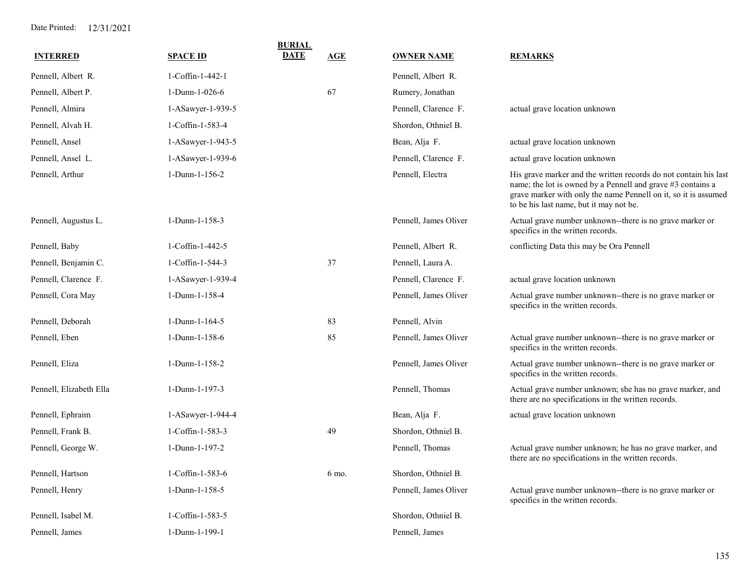| <b>INTERRED</b>         | <b>SPACE ID</b>         | <b>BURIAL</b><br><b>DATE</b> | AGE   | <b>OWNER NAME</b>     | <b>REMARKS</b>                                                                                                                                                                                                                                |
|-------------------------|-------------------------|------------------------------|-------|-----------------------|-----------------------------------------------------------------------------------------------------------------------------------------------------------------------------------------------------------------------------------------------|
| Pennell, Albert R.      | 1-Coffin-1-442-1        |                              |       | Pennell, Albert R.    |                                                                                                                                                                                                                                               |
| Pennell, Albert P.      | 1-Dunn-1-026-6          |                              | 67    | Rumery, Jonathan      |                                                                                                                                                                                                                                               |
| Pennell, Almira         | 1-ASawyer-1-939-5       |                              |       | Pennell, Clarence F.  | actual grave location unknown                                                                                                                                                                                                                 |
| Pennell, Alvah H.       | 1-Coffin-1-583-4        |                              |       | Shordon, Othniel B.   |                                                                                                                                                                                                                                               |
| Pennell, Ansel          | 1-ASawyer-1-943-5       |                              |       | Bean, Alja F.         | actual grave location unknown                                                                                                                                                                                                                 |
| Pennell, Ansel L.       | 1-ASawyer-1-939-6       |                              |       | Pennell, Clarence F.  | actual grave location unknown                                                                                                                                                                                                                 |
| Pennell, Arthur         | 1-Dunn-1-156-2          |                              |       | Pennell, Electra      | His grave marker and the written records do not contain his last<br>name; the lot is owned by a Pennell and grave #3 contains a<br>grave marker with only the name Pennell on it, so it is assumed<br>to be his last name, but it may not be. |
| Pennell, Augustus L.    | 1-Dunn-1-158-3          |                              |       | Pennell, James Oliver | Actual grave number unknown--there is no grave marker or<br>specifics in the written records.                                                                                                                                                 |
| Pennell, Baby           | 1-Coffin-1-442-5        |                              |       | Pennell, Albert R.    | conflicting Data this may be Ora Pennell                                                                                                                                                                                                      |
| Pennell, Benjamin C.    | 1-Coffin-1-544-3        |                              | 37    | Pennell, Laura A.     |                                                                                                                                                                                                                                               |
| Pennell, Clarence F.    | 1-ASawyer-1-939-4       |                              |       | Pennell, Clarence F.  | actual grave location unknown                                                                                                                                                                                                                 |
| Pennell, Cora May       | 1-Dunn-1-158-4          |                              |       | Pennell, James Oliver | Actual grave number unknown--there is no grave marker or<br>specifics in the written records.                                                                                                                                                 |
| Pennell, Deborah        | 1-Dunn-1-164-5          |                              | 83    | Pennell, Alvin        |                                                                                                                                                                                                                                               |
| Pennell, Eben           | 1-Dunn-1-158-6          |                              | 85    | Pennell, James Oliver | Actual grave number unknown--there is no grave marker or<br>specifics in the written records.                                                                                                                                                 |
| Pennell, Eliza          | 1-Dunn-1-158-2          |                              |       | Pennell, James Oliver | Actual grave number unknown--there is no grave marker or<br>specifics in the written records.                                                                                                                                                 |
| Pennell, Elizabeth Ella | 1-Dunn-1-197-3          |                              |       | Pennell, Thomas       | Actual grave number unknown; she has no grave marker, and<br>there are no specifications in the written records.                                                                                                                              |
| Pennell, Ephraim        | 1-ASawyer-1-944-4       |                              |       | Bean, Alja F.         | actual grave location unknown                                                                                                                                                                                                                 |
| Pennell, Frank B.       | $1$ -Coffin-1-583-3     |                              | 49    | Shordon, Othniel B.   |                                                                                                                                                                                                                                               |
| Pennell, George W.      | 1-Dunn-1-197-2          |                              |       | Pennell, Thomas       | Actual grave number unknown; he has no grave marker, and<br>there are no specifications in the written records.                                                                                                                               |
| Pennell, Hartson        | $1$ -Coffin- $1$ -583-6 |                              | 6 mo. | Shordon, Othniel B.   |                                                                                                                                                                                                                                               |
| Pennell, Henry          | 1-Dunn-1-158-5          |                              |       | Pennell, James Oliver | Actual grave number unknown--there is no grave marker or<br>specifics in the written records.                                                                                                                                                 |
| Pennell, Isabel M.      | 1-Coffin-1-583-5        |                              |       | Shordon, Othniel B.   |                                                                                                                                                                                                                                               |
| Pennell, James          | 1-Dunn-1-199-1          |                              |       | Pennell, James        |                                                                                                                                                                                                                                               |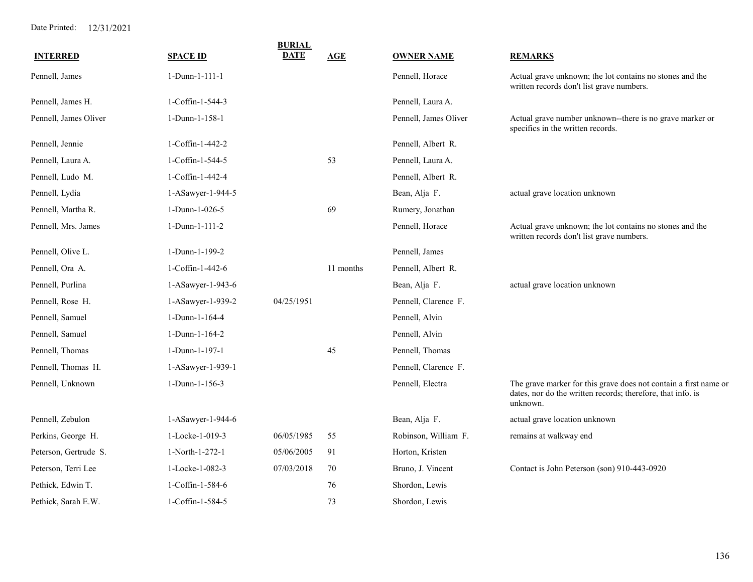| <b>INTERRED</b>       | <b>SPACE ID</b>   | <b>BURIAL</b><br><b>DATE</b> | <b>AGE</b> | <b>OWNER NAME</b>     | <b>REMARKS</b>                                                                                                                              |
|-----------------------|-------------------|------------------------------|------------|-----------------------|---------------------------------------------------------------------------------------------------------------------------------------------|
|                       |                   |                              |            |                       |                                                                                                                                             |
| Pennell, James        | 1-Dunn-1-111-1    |                              |            | Pennell, Horace       | Actual grave unknown; the lot contains no stones and the<br>written records don't list grave numbers.                                       |
| Pennell, James H.     | 1-Coffin-1-544-3  |                              |            | Pennell, Laura A.     |                                                                                                                                             |
| Pennell, James Oliver | 1-Dunn-1-158-1    |                              |            | Pennell, James Oliver | Actual grave number unknown--there is no grave marker or<br>specifics in the written records.                                               |
| Pennell, Jennie       | 1-Coffin-1-442-2  |                              |            | Pennell, Albert R.    |                                                                                                                                             |
| Pennell, Laura A.     | 1-Coffin-1-544-5  |                              | 53         | Pennell, Laura A.     |                                                                                                                                             |
| Pennell, Ludo M.      | 1-Coffin-1-442-4  |                              |            | Pennell, Albert R.    |                                                                                                                                             |
| Pennell, Lydia        | 1-ASawyer-1-944-5 |                              |            | Bean, Alja F.         | actual grave location unknown                                                                                                               |
| Pennell, Martha R.    | 1-Dunn-1-026-5    |                              | 69         | Rumery, Jonathan      |                                                                                                                                             |
| Pennell, Mrs. James   | 1-Dunn-1-111-2    |                              |            | Pennell, Horace       | Actual grave unknown; the lot contains no stones and the<br>written records don't list grave numbers.                                       |
| Pennell, Olive L.     | 1-Dunn-1-199-2    |                              |            | Pennell, James        |                                                                                                                                             |
| Pennell, Ora A.       | 1-Coffin-1-442-6  |                              | 11 months  | Pennell, Albert R.    |                                                                                                                                             |
| Pennell, Purlina      | 1-ASawyer-1-943-6 |                              |            | Bean, Alja F.         | actual grave location unknown                                                                                                               |
| Pennell, Rose H.      | 1-ASawyer-1-939-2 | 04/25/1951                   |            | Pennell, Clarence F.  |                                                                                                                                             |
| Pennell, Samuel       | 1-Dunn-1-164-4    |                              |            | Pennell, Alvin        |                                                                                                                                             |
| Pennell, Samuel       | 1-Dunn-1-164-2    |                              |            | Pennell, Alvin        |                                                                                                                                             |
| Pennell, Thomas       | 1-Dunn-1-197-1    |                              | 45         | Pennell, Thomas       |                                                                                                                                             |
| Pennell, Thomas H.    | 1-ASawyer-1-939-1 |                              |            | Pennell, Clarence F.  |                                                                                                                                             |
| Pennell, Unknown      | 1-Dunn-1-156-3    |                              |            | Pennell, Electra      | The grave marker for this grave does not contain a first name or<br>dates, nor do the written records; therefore, that info. is<br>unknown. |
| Pennell, Zebulon      | 1-ASawyer-1-944-6 |                              |            | Bean, Alja F.         | actual grave location unknown                                                                                                               |
| Perkins, George H.    | 1-Locke-1-019-3   | 06/05/1985                   | 55         | Robinson, William F.  | remains at walkway end                                                                                                                      |
| Peterson, Gertrude S. | 1-North-1-272-1   | 05/06/2005                   | 91         | Horton, Kristen       |                                                                                                                                             |
| Peterson, Terri Lee   | 1-Locke-1-082-3   | 07/03/2018                   | 70         | Bruno, J. Vincent     | Contact is John Peterson (son) 910-443-0920                                                                                                 |
| Pethick, Edwin T.     | 1-Coffin-1-584-6  |                              | 76         | Shordon, Lewis        |                                                                                                                                             |
| Pethick, Sarah E.W.   | 1-Coffin-1-584-5  |                              | 73         | Shordon, Lewis        |                                                                                                                                             |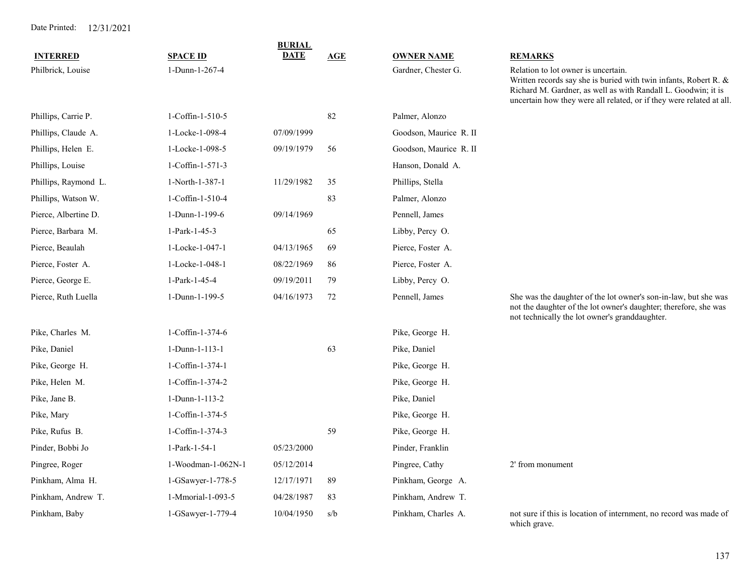|                      |                    | <b>BURIAL</b> |            |                        |                                                                                                                                                                                                                                                  |  |
|----------------------|--------------------|---------------|------------|------------------------|--------------------------------------------------------------------------------------------------------------------------------------------------------------------------------------------------------------------------------------------------|--|
| <b>INTERRED</b>      | <b>SPACE ID</b>    | <b>DATE</b>   | <b>AGE</b> | <b>OWNER NAME</b>      | <b>REMARKS</b>                                                                                                                                                                                                                                   |  |
| Philbrick, Louise    | 1-Dunn-1-267-4     |               |            | Gardner, Chester G.    | Relation to lot owner is uncertain.<br>Written records say she is buried with twin infants, Robert R. &<br>Richard M. Gardner, as well as with Randall L. Goodwin; it is<br>uncertain how they were all related, or if they were related at all. |  |
| Phillips, Carrie P.  | 1-Coffin-1-510-5   |               | 82         | Palmer, Alonzo         |                                                                                                                                                                                                                                                  |  |
| Phillips, Claude A.  | 1-Locke-1-098-4    | 07/09/1999    |            | Goodson, Maurice R. II |                                                                                                                                                                                                                                                  |  |
| Phillips, Helen E.   | 1-Locke-1-098-5    | 09/19/1979    | 56         | Goodson, Maurice R. II |                                                                                                                                                                                                                                                  |  |
| Phillips, Louise     | 1-Coffin-1-571-3   |               |            | Hanson, Donald A.      |                                                                                                                                                                                                                                                  |  |
| Phillips, Raymond L. | 1-North-1-387-1    | 11/29/1982    | 35         | Phillips, Stella       |                                                                                                                                                                                                                                                  |  |
| Phillips, Watson W.  | 1-Coffin-1-510-4   |               | 83         | Palmer, Alonzo         |                                                                                                                                                                                                                                                  |  |
| Pierce, Albertine D. | 1-Dunn-1-199-6     | 09/14/1969    |            | Pennell, James         |                                                                                                                                                                                                                                                  |  |
| Pierce, Barbara M.   | 1-Park-1-45-3      |               | 65         | Libby, Percy O.        |                                                                                                                                                                                                                                                  |  |
| Pierce, Beaulah      | 1-Locke-1-047-1    | 04/13/1965    | 69         | Pierce, Foster A.      |                                                                                                                                                                                                                                                  |  |
| Pierce, Foster A.    | 1-Locke-1-048-1    | 08/22/1969    | 86         | Pierce, Foster A.      |                                                                                                                                                                                                                                                  |  |
| Pierce, George E.    | 1-Park-1-45-4      | 09/19/2011    | 79         | Libby, Percy O.        |                                                                                                                                                                                                                                                  |  |
| Pierce, Ruth Luella  | 1-Dunn-1-199-5     | 04/16/1973    | 72         | Pennell, James         | She was the daughter of the lot owner's son-in-law, but she was<br>not the daughter of the lot owner's daughter; therefore, she was<br>not technically the lot owner's granddaughter.                                                            |  |
| Pike, Charles M.     | 1-Coffin-1-374-6   |               |            | Pike, George H.        |                                                                                                                                                                                                                                                  |  |
| Pike, Daniel         | 1-Dunn-1-113-1     |               | 63         | Pike, Daniel           |                                                                                                                                                                                                                                                  |  |
| Pike, George H.      | 1-Coffin-1-374-1   |               |            | Pike, George H.        |                                                                                                                                                                                                                                                  |  |
| Pike, Helen M.       | 1-Coffin-1-374-2   |               |            | Pike, George H.        |                                                                                                                                                                                                                                                  |  |
| Pike, Jane B.        | 1-Dunn-1-113-2     |               |            | Pike, Daniel           |                                                                                                                                                                                                                                                  |  |
| Pike, Mary           | 1-Coffin-1-374-5   |               |            | Pike, George H.        |                                                                                                                                                                                                                                                  |  |
| Pike, Rufus B.       | 1-Coffin-1-374-3   |               | 59         | Pike, George H.        |                                                                                                                                                                                                                                                  |  |
| Pinder, Bobbi Jo     | 1-Park-1-54-1      | 05/23/2000    |            | Pinder, Franklin       |                                                                                                                                                                                                                                                  |  |
| Pingree, Roger       | 1-Woodman-1-062N-1 | 05/12/2014    |            | Pingree, Cathy         | 2' from monument                                                                                                                                                                                                                                 |  |
| Pinkham, Alma H.     | 1-GSawyer-1-778-5  | 12/17/1971    | 89         | Pinkham, George A.     |                                                                                                                                                                                                                                                  |  |
| Pinkham, Andrew T.   | 1-Mmorial-1-093-5  | 04/28/1987    | 83         | Pinkham, Andrew T.     |                                                                                                                                                                                                                                                  |  |
| Pinkham, Baby        | 1-GSawyer-1-779-4  | 10/04/1950    | s/b        | Pinkham, Charles A.    | not sure if this is location of internment, no record was made of<br>which grave.                                                                                                                                                                |  |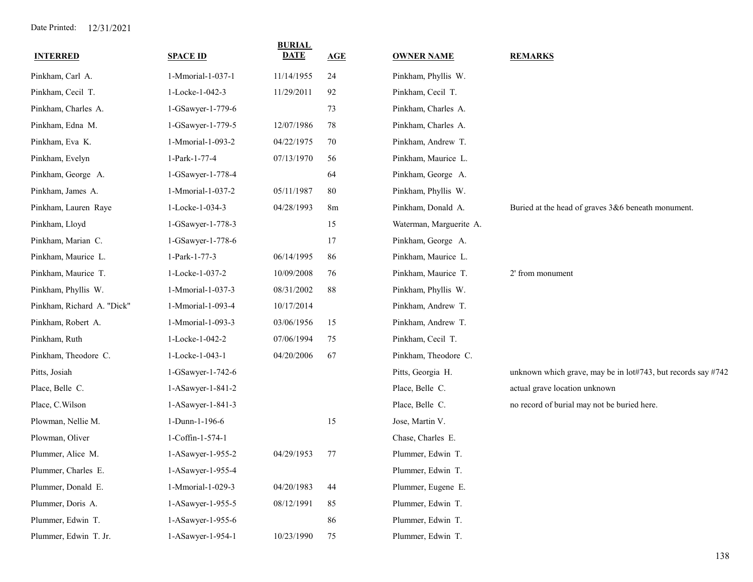| <b>INTERRED</b>            | <b>SPACE ID</b>   | <b>BURIAL</b><br><b>DATE</b> | AGE            | <b>OWNER NAME</b>       | <b>REMARKS</b>                                               |
|----------------------------|-------------------|------------------------------|----------------|-------------------------|--------------------------------------------------------------|
| Pinkham, Carl A.           | 1-Mmorial-1-037-1 | 11/14/1955                   | 24             | Pinkham, Phyllis W.     |                                                              |
| Pinkham, Cecil T.          | 1-Locke-1-042-3   | 11/29/2011                   | 92             | Pinkham, Cecil T.       |                                                              |
| Pinkham, Charles A.        | 1-GSawyer-1-779-6 |                              | 73             | Pinkham, Charles A.     |                                                              |
| Pinkham, Edna M.           | 1-GSawyer-1-779-5 | 12/07/1986                   | 78             | Pinkham, Charles A.     |                                                              |
| Pinkham, Eva K.            | 1-Mmorial-1-093-2 | 04/22/1975                   | 70             | Pinkham, Andrew T.      |                                                              |
| Pinkham, Evelyn            | 1-Park-1-77-4     | 07/13/1970                   | 56             | Pinkham, Maurice L.     |                                                              |
| Pinkham, George A.         | 1-GSawyer-1-778-4 |                              | 64             | Pinkham, George A.      |                                                              |
| Pinkham, James A.          | 1-Mmorial-1-037-2 | 05/11/1987                   | 80             | Pinkham, Phyllis W.     |                                                              |
| Pinkham, Lauren Raye       | 1-Locke-1-034-3   | 04/28/1993                   | 8 <sub>m</sub> | Pinkham, Donald A.      | Buried at the head of graves 3&6 beneath monument.           |
| Pinkham, Lloyd             | 1-GSawyer-1-778-3 |                              | 15             | Waterman, Marguerite A. |                                                              |
| Pinkham, Marian C.         | 1-GSawyer-1-778-6 |                              | 17             | Pinkham, George A.      |                                                              |
| Pinkham, Maurice L.        | 1-Park-1-77-3     | 06/14/1995                   | 86             | Pinkham, Maurice L.     |                                                              |
| Pinkham, Maurice T.        | 1-Locke-1-037-2   | 10/09/2008                   | 76             | Pinkham, Maurice T.     | 2' from monument                                             |
| Pinkham, Phyllis W.        | 1-Mmorial-1-037-3 | 08/31/2002                   | 88             | Pinkham, Phyllis W.     |                                                              |
| Pinkham, Richard A. "Dick" | 1-Mmorial-1-093-4 | 10/17/2014                   |                | Pinkham, Andrew T.      |                                                              |
| Pinkham, Robert A.         | 1-Mmorial-1-093-3 | 03/06/1956                   | 15             | Pinkham, Andrew T.      |                                                              |
| Pinkham, Ruth              | 1-Locke-1-042-2   | 07/06/1994                   | 75             | Pinkham, Cecil T.       |                                                              |
| Pinkham, Theodore C.       | 1-Locke-1-043-1   | 04/20/2006                   | 67             | Pinkham, Theodore C.    |                                                              |
| Pitts, Josiah              | 1-GSawyer-1-742-6 |                              |                | Pitts, Georgia H.       | unknown which grave, may be in lot#743, but records say #742 |
| Place, Belle C.            | 1-ASawyer-1-841-2 |                              |                | Place, Belle C.         | actual grave location unknown                                |
| Place, C.Wilson            | 1-ASawyer-1-841-3 |                              |                | Place, Belle C.         | no record of burial may not be buried here.                  |
| Plowman, Nellie M.         | 1-Dunn-1-196-6    |                              | 15             | Jose, Martin V.         |                                                              |
| Plowman, Oliver            | 1-Coffin-1-574-1  |                              |                | Chase, Charles E.       |                                                              |
| Plummer, Alice M.          | 1-ASawyer-1-955-2 | 04/29/1953                   | 77             | Plummer, Edwin T.       |                                                              |
| Plummer, Charles E.        | 1-ASawyer-1-955-4 |                              |                | Plummer, Edwin T.       |                                                              |
| Plummer, Donald E.         | 1-Mmorial-1-029-3 | 04/20/1983                   | 44             | Plummer, Eugene E.      |                                                              |
| Plummer, Doris A.          | 1-ASawyer-1-955-5 | 08/12/1991                   | 85             | Plummer, Edwin T.       |                                                              |
| Plummer, Edwin T.          | 1-ASawyer-1-955-6 |                              | 86             | Plummer, Edwin T.       |                                                              |
| Plummer, Edwin T. Jr.      | 1-ASawyer-1-954-1 | 10/23/1990                   | 75             | Plummer, Edwin T.       |                                                              |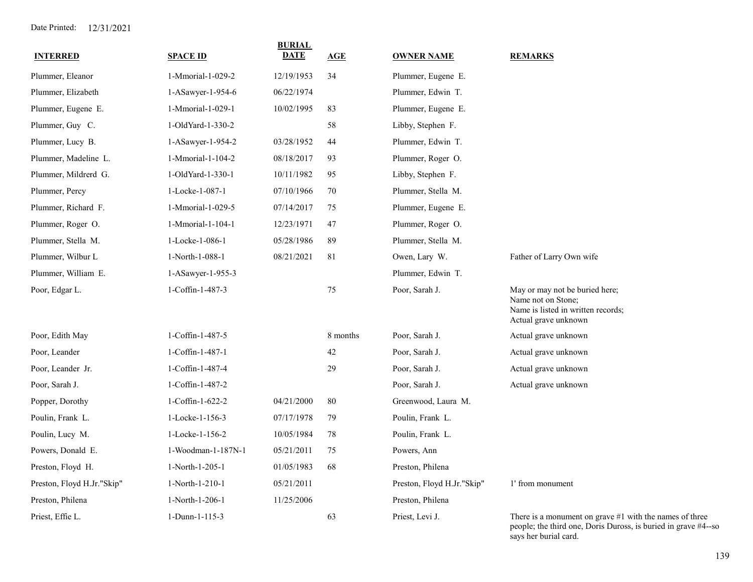| <b>INTERRED</b>            | <b>SPACE ID</b>    | <b>BURIAL</b><br><b>DATE</b> | AGE      | <b>OWNER NAME</b>          | <b>REMARKS</b>                                                                                                              |
|----------------------------|--------------------|------------------------------|----------|----------------------------|-----------------------------------------------------------------------------------------------------------------------------|
| Plummer, Eleanor           | 1-Mmorial-1-029-2  | 12/19/1953                   | 34       | Plummer, Eugene E.         |                                                                                                                             |
| Plummer, Elizabeth         | 1-ASawyer-1-954-6  | 06/22/1974                   |          | Plummer, Edwin T.          |                                                                                                                             |
| Plummer, Eugene E.         | 1-Mmorial-1-029-1  | 10/02/1995                   | 83       | Plummer, Eugene E.         |                                                                                                                             |
| Plummer, Guy C.            | 1-OldYard-1-330-2  |                              | 58       | Libby, Stephen F.          |                                                                                                                             |
| Plummer, Lucy B.           | 1-ASawyer-1-954-2  | 03/28/1952                   | 44       | Plummer, Edwin T.          |                                                                                                                             |
| Plummer, Madeline L.       | 1-Mmorial-1-104-2  | 08/18/2017                   | 93       | Plummer, Roger O.          |                                                                                                                             |
| Plummer, Mildrerd G.       | 1-OldYard-1-330-1  | 10/11/1982                   | 95       | Libby, Stephen F.          |                                                                                                                             |
| Plummer, Percy             | 1-Locke-1-087-1    | 07/10/1966                   | 70       | Plummer, Stella M.         |                                                                                                                             |
| Plummer, Richard F.        | 1-Mmorial-1-029-5  | 07/14/2017                   | 75       | Plummer, Eugene E.         |                                                                                                                             |
| Plummer, Roger O.          | 1-Mmorial-1-104-1  | 12/23/1971                   | 47       | Plummer, Roger O.          |                                                                                                                             |
| Plummer, Stella M.         | 1-Locke-1-086-1    | 05/28/1986                   | 89       | Plummer, Stella M.         |                                                                                                                             |
| Plummer, Wilbur L          | 1-North-1-088-1    | 08/21/2021                   | 81       | Owen, Lary W.              | Father of Larry Own wife                                                                                                    |
| Plummer, William E.        | 1-ASawyer-1-955-3  |                              |          | Plummer, Edwin T.          |                                                                                                                             |
| Poor, Edgar L.             | 1-Coffin-1-487-3   |                              | 75       | Poor, Sarah J.             | May or may not be buried here;<br>Name not on Stone;<br>Name is listed in written records;<br>Actual grave unknown          |
| Poor, Edith May            | 1-Coffin-1-487-5   |                              | 8 months | Poor, Sarah J.             | Actual grave unknown                                                                                                        |
| Poor, Leander              | 1-Coffin-1-487-1   |                              | 42       | Poor, Sarah J.             | Actual grave unknown                                                                                                        |
| Poor, Leander Jr.          | 1-Coffin-1-487-4   |                              | 29       | Poor, Sarah J.             | Actual grave unknown                                                                                                        |
| Poor, Sarah J.             | 1-Coffin-1-487-2   |                              |          | Poor, Sarah J.             | Actual grave unknown                                                                                                        |
| Popper, Dorothy            | 1-Coffin-1-622-2   | 04/21/2000                   | 80       | Greenwood, Laura M.        |                                                                                                                             |
| Poulin, Frank L.           | 1-Locke-1-156-3    | 07/17/1978                   | 79       | Poulin, Frank L.           |                                                                                                                             |
| Poulin, Lucy M.            | 1-Locke-1-156-2    | 10/05/1984                   | 78       | Poulin, Frank L.           |                                                                                                                             |
| Powers, Donald E.          | 1-Woodman-1-187N-1 | 05/21/2011                   | 75       | Powers, Ann                |                                                                                                                             |
| Preston, Floyd H.          | 1-North-1-205-1    | 01/05/1983                   | 68       | Preston, Philena           |                                                                                                                             |
| Preston, Floyd H.Jr."Skip" | 1-North-1-210-1    | 05/21/2011                   |          | Preston, Floyd H.Jr."Skip" | 1' from monument                                                                                                            |
| Preston, Philena           | 1-North-1-206-1    | 11/25/2006                   |          | Preston, Philena           |                                                                                                                             |
| Priest, Effie L.           | 1-Dunn-1-115-3     |                              | 63       | Priest, Levi J.            | There is a monument on grave $#1$ with the names of three<br>people; the third one, Doris Duross, is buried in grave #4--so |

says her burial card.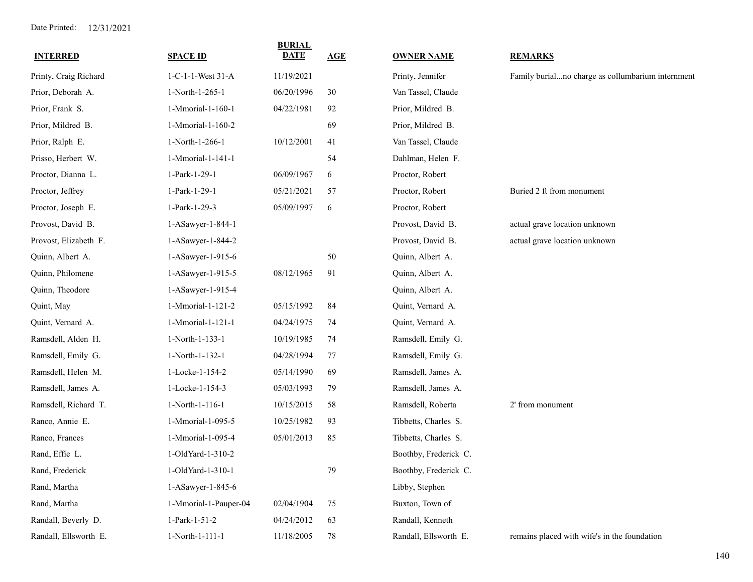| <b>SPACE ID</b>       | <b>BURIAL</b><br><b>DATE</b> | AGE | <b>OWNER NAME</b>     | <b>REMARKS</b>                                    |
|-----------------------|------------------------------|-----|-----------------------|---------------------------------------------------|
| 1-C-1-1-West 31-A     | 11/19/2021                   |     | Printy, Jennifer      | Family burialno charge as collumbarium internment |
| 1-North-1-265-1       | 06/20/1996                   | 30  | Van Tassel, Claude    |                                                   |
| 1-Mmorial-1-160-1     | 04/22/1981                   | 92  | Prior, Mildred B.     |                                                   |
| 1-Mmorial-1-160-2     |                              | 69  | Prior, Mildred B.     |                                                   |
| 1-North-1-266-1       | 10/12/2001                   | 41  | Van Tassel, Claude    |                                                   |
| 1-Mmorial-1-141-1     |                              | 54  | Dahlman, Helen F.     |                                                   |
| 1-Park-1-29-1         | 06/09/1967                   | 6   | Proctor, Robert       |                                                   |
| 1-Park-1-29-1         | 05/21/2021                   | 57  | Proctor, Robert       | Buried 2 ft from monument                         |
| 1-Park-1-29-3         | 05/09/1997                   | 6   | Proctor, Robert       |                                                   |
| 1-ASawyer-1-844-1     |                              |     | Provost, David B.     | actual grave location unknown                     |
| 1-ASawyer-1-844-2     |                              |     | Provost, David B.     | actual grave location unknown                     |
| 1-ASawyer-1-915-6     |                              | 50  | Quinn, Albert A.      |                                                   |
| 1-ASawyer-1-915-5     | 08/12/1965                   | 91  | Quinn, Albert A.      |                                                   |
| 1-ASawyer-1-915-4     |                              |     | Quinn, Albert A.      |                                                   |
| 1-Mmorial-1-121-2     | 05/15/1992                   | 84  | Quint, Vernard A.     |                                                   |
| 1-Mmorial-1-121-1     | 04/24/1975                   | 74  | Quint, Vernard A.     |                                                   |
| 1-North-1-133-1       | 10/19/1985                   | 74  | Ramsdell, Emily G.    |                                                   |
| 1-North-1-132-1       | 04/28/1994                   | 77  | Ramsdell, Emily G.    |                                                   |
| 1-Locke-1-154-2       | 05/14/1990                   | 69  | Ramsdell, James A.    |                                                   |
| 1-Locke-1-154-3       | 05/03/1993                   | 79  | Ramsdell, James A.    |                                                   |
| 1-North-1-116-1       | 10/15/2015                   | 58  | Ramsdell, Roberta     | 2' from monument                                  |
| 1-Mmorial-1-095-5     | 10/25/1982                   | 93  | Tibbetts, Charles S.  |                                                   |
| 1-Mmorial-1-095-4     | 05/01/2013                   | 85  | Tibbetts, Charles S.  |                                                   |
| 1-OldYard-1-310-2     |                              |     | Boothby, Frederick C. |                                                   |
| 1-OldYard-1-310-1     |                              | 79  | Boothby, Frederick C. |                                                   |
| 1-ASawyer-1-845-6     |                              |     | Libby, Stephen        |                                                   |
| 1-Mmorial-1-Pauper-04 | 02/04/1904                   | 75  | Buxton, Town of       |                                                   |
| 1-Park-1-51-2         | 04/24/2012                   | 63  | Randall, Kenneth      |                                                   |
| 1-North-1-111-1       | 11/18/2005                   | 78  | Randall, Ellsworth E. | remains placed with wife's in the foundation      |
|                       |                              |     |                       |                                                   |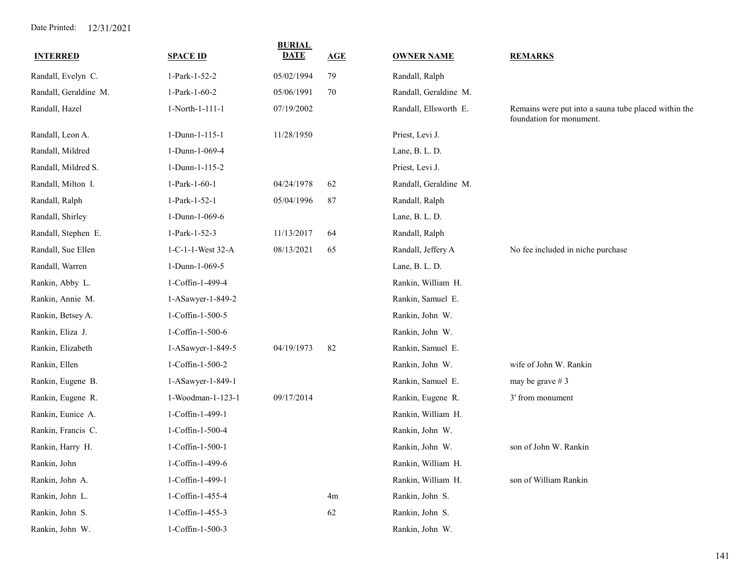| <b>INTERRED</b>       | <b>SPACE ID</b>   | <b>BURIAL</b><br>DATE | AGE | <b>OWNER NAME</b>     | <b>REMARKS</b>                                                                   |
|-----------------------|-------------------|-----------------------|-----|-----------------------|----------------------------------------------------------------------------------|
| Randall, Evelyn C.    | 1-Park-1-52-2     | 05/02/1994            | 79  | Randall, Ralph        |                                                                                  |
| Randall, Geraldine M. | 1-Park-1-60-2     | 05/06/1991            | 70  | Randall, Geraldine M. |                                                                                  |
| Randall, Hazel        | 1-North-1-111-1   | 07/19/2002            |     | Randall, Ellsworth E. | Remains were put into a sauna tube placed within the<br>foundation for monument. |
| Randall, Leon A.      | 1-Dunn-1-115-1    | 11/28/1950            |     | Priest, Levi J.       |                                                                                  |
| Randall, Mildred      | 1-Dunn-1-069-4    |                       |     | Lane, B. L. D.        |                                                                                  |
| Randall, Mildred S.   | 1-Dunn-1-115-2    |                       |     | Priest, Levi J.       |                                                                                  |
| Randall, Milton I.    | 1-Park-1-60-1     | 04/24/1978            | 62  | Randall, Geraldine M. |                                                                                  |
| Randall, Ralph        | 1-Park-1-52-1     | 05/04/1996            | 87  | Randall, Ralph        |                                                                                  |
| Randall, Shirley      | 1-Dunn-1-069-6    |                       |     | Lane, B. L. D.        |                                                                                  |
| Randall, Stephen E.   | 1-Park-1-52-3     | 11/13/2017            | 64  | Randall, Ralph        |                                                                                  |
| Randall, Sue Ellen    | 1-C-1-1-West 32-A | 08/13/2021            | 65  | Randall, Jeffery A    | No fee included in niche purchase                                                |
| Randall, Warren       | 1-Dunn-1-069-5    |                       |     | Lane, B. L. D.        |                                                                                  |
| Rankin, Abby L.       | 1-Coffin-1-499-4  |                       |     | Rankin, William H.    |                                                                                  |
| Rankin, Annie M.      | 1-ASawyer-1-849-2 |                       |     | Rankin, Samuel E.     |                                                                                  |
| Rankin, Betsey A.     | 1-Coffin-1-500-5  |                       |     | Rankin, John W.       |                                                                                  |
| Rankin, Eliza J.      | 1-Coffin-1-500-6  |                       |     | Rankin, John W.       |                                                                                  |
| Rankin, Elizabeth     | 1-ASawyer-1-849-5 | 04/19/1973            | 82  | Rankin, Samuel E.     |                                                                                  |
| Rankin, Ellen         | 1-Coffin-1-500-2  |                       |     | Rankin, John W.       | wife of John W. Rankin                                                           |
| Rankin, Eugene B.     | 1-ASawyer-1-849-1 |                       |     | Rankin, Samuel E.     | may be grave # 3                                                                 |
| Rankin, Eugene R.     | 1-Woodman-1-123-1 | 09/17/2014            |     | Rankin, Eugene R.     | 3' from monument                                                                 |
| Rankin, Eunice A.     | 1-Coffin-1-499-1  |                       |     | Rankin, William H.    |                                                                                  |
| Rankin, Francis C.    | 1-Coffin-1-500-4  |                       |     | Rankin, John W.       |                                                                                  |
| Rankin, Harry H.      | 1-Coffin-1-500-1  |                       |     | Rankin, John W.       | son of John W. Rankin                                                            |
| Rankin, John          | 1-Coffin-1-499-6  |                       |     | Rankin, William H.    |                                                                                  |
| Rankin, John A.       | 1-Coffin-1-499-1  |                       |     | Rankin, William H.    | son of William Rankin                                                            |
| Rankin, John L.       | 1-Coffin-1-455-4  |                       | 4m  | Rankin, John S.       |                                                                                  |
| Rankin, John S.       | 1-Coffin-1-455-3  |                       | 62  | Rankin, John S.       |                                                                                  |
| Rankin, John W.       | 1-Coffin-1-500-3  |                       |     | Rankin, John W.       |                                                                                  |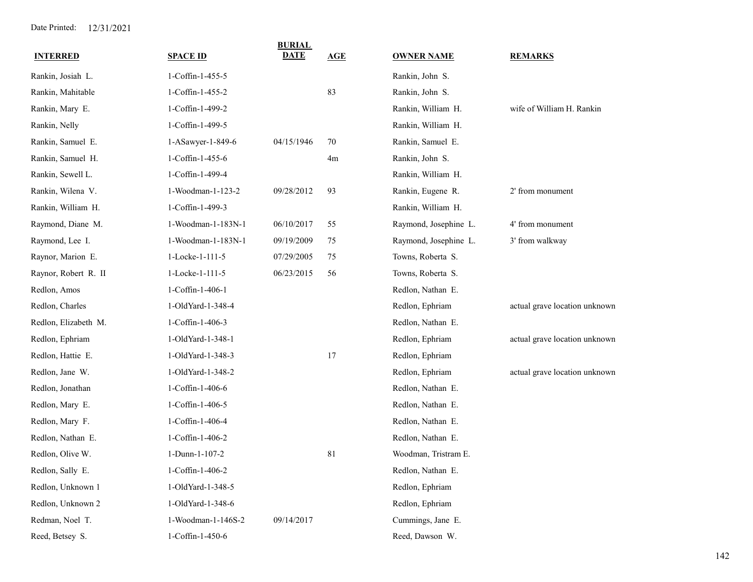| <b>INTERRED</b>      | <b>SPACE ID</b>    | <b>BURIAL</b><br><b>DATE</b> | <b>AGE</b>     | <b>OWNER NAME</b>     | <b>REMARKS</b>                |
|----------------------|--------------------|------------------------------|----------------|-----------------------|-------------------------------|
| Rankin, Josiah L.    | 1-Coffin-1-455-5   |                              |                | Rankin, John S.       |                               |
| Rankin, Mahitable    | 1-Coffin-1-455-2   |                              | 83             | Rankin, John S.       |                               |
| Rankin, Mary E.      | 1-Coffin-1-499-2   |                              |                | Rankin, William H.    | wife of William H. Rankin     |
| Rankin, Nelly        | 1-Coffin-1-499-5   |                              |                | Rankin, William H.    |                               |
| Rankin, Samuel E.    | 1-ASawyer-1-849-6  | 04/15/1946                   | 70             | Rankin, Samuel E.     |                               |
| Rankin, Samuel H.    | 1-Coffin-1-455-6   |                              | 4 <sub>m</sub> | Rankin, John S.       |                               |
| Rankin, Sewell L.    | 1-Coffin-1-499-4   |                              |                | Rankin, William H.    |                               |
| Rankin, Wilena V.    | 1-Woodman-1-123-2  | 09/28/2012                   | 93             | Rankin, Eugene R.     | 2' from monument              |
| Rankin, William H.   | 1-Coffin-1-499-3   |                              |                | Rankin, William H.    |                               |
| Raymond, Diane M.    | 1-Woodman-1-183N-1 | 06/10/2017                   | 55             | Raymond, Josephine L. | 4' from monument              |
| Raymond, Lee I.      | 1-Woodman-1-183N-1 | 09/19/2009                   | 75             | Raymond, Josephine L. | 3' from walkway               |
| Raynor, Marion E.    | 1-Locke-1-111-5    | 07/29/2005                   | 75             | Towns, Roberta S.     |                               |
| Raynor, Robert R. II | 1-Locke-1-111-5    | 06/23/2015                   | 56             | Towns, Roberta S.     |                               |
| Redlon, Amos         | 1-Coffin-1-406-1   |                              |                | Redlon, Nathan E.     |                               |
| Redlon, Charles      | 1-OldYard-1-348-4  |                              |                | Redlon, Ephriam       | actual grave location unknown |
| Redlon, Elizabeth M. | 1-Coffin-1-406-3   |                              |                | Redlon, Nathan E.     |                               |
| Redlon, Ephriam      | 1-OldYard-1-348-1  |                              |                | Redlon, Ephriam       | actual grave location unknown |
| Redlon, Hattie E.    | 1-OldYard-1-348-3  |                              | 17             | Redlon, Ephriam       |                               |
| Redlon, Jane W.      | 1-OldYard-1-348-2  |                              |                | Redlon, Ephriam       | actual grave location unknown |
| Redlon, Jonathan     | 1-Coffin-1-406-6   |                              |                | Redlon, Nathan E.     |                               |
| Redlon, Mary E.      | 1-Coffin-1-406-5   |                              |                | Redlon, Nathan E.     |                               |
| Redlon, Mary F.      | 1-Coffin-1-406-4   |                              |                | Redlon, Nathan E.     |                               |
| Redlon, Nathan E.    | 1-Coffin-1-406-2   |                              |                | Redlon, Nathan E.     |                               |
| Redlon, Olive W.     | 1-Dunn-1-107-2     |                              | 81             | Woodman, Tristram E.  |                               |
| Redlon, Sally E.     | 1-Coffin-1-406-2   |                              |                | Redlon, Nathan E.     |                               |
| Redlon, Unknown 1    | 1-OldYard-1-348-5  |                              |                | Redlon, Ephriam       |                               |
| Redlon, Unknown 2    | 1-OldYard-1-348-6  |                              |                | Redlon, Ephriam       |                               |
| Redman, Noel T.      | 1-Woodman-1-146S-2 | 09/14/2017                   |                | Cummings, Jane E.     |                               |
| Reed, Betsey S.      | 1-Coffin-1-450-6   |                              |                | Reed, Dawson W.       |                               |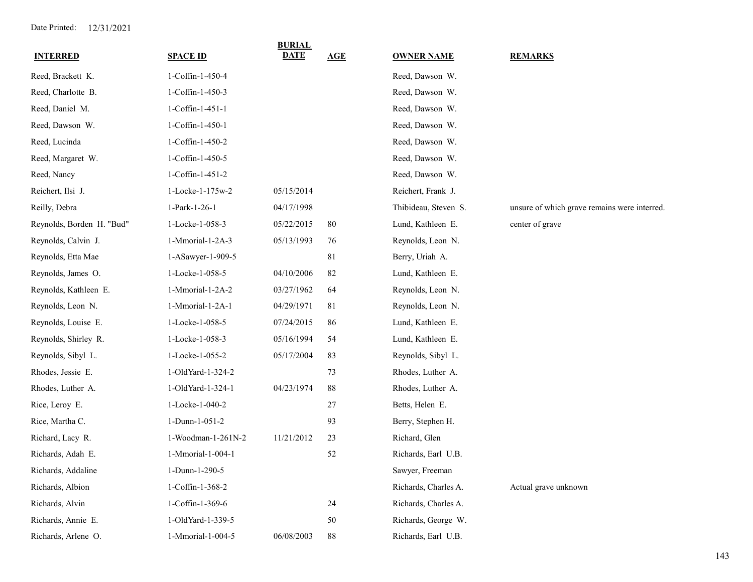| <b>INTERRED</b>           | <b>SPACE ID</b>    | <b>BURIAL</b><br>DATE | AGE    | <b>OWNER NAME</b>    | <b>REMARKS</b>                               |
|---------------------------|--------------------|-----------------------|--------|----------------------|----------------------------------------------|
| Reed, Brackett K.         | 1-Coffin-1-450-4   |                       |        | Reed, Dawson W.      |                                              |
| Reed, Charlotte B.        | 1-Coffin-1-450-3   |                       |        | Reed, Dawson W.      |                                              |
| Reed, Daniel M.           | 1-Coffin-1-451-1   |                       |        | Reed, Dawson W.      |                                              |
| Reed, Dawson W.           | 1-Coffin-1-450-1   |                       |        | Reed, Dawson W.      |                                              |
| Reed, Lucinda             | 1-Coffin-1-450-2   |                       |        | Reed, Dawson W.      |                                              |
| Reed, Margaret W.         | 1-Coffin-1-450-5   |                       |        | Reed, Dawson W.      |                                              |
| Reed, Nancy               | 1-Coffin-1-451-2   |                       |        | Reed, Dawson W.      |                                              |
| Reichert, Ilsi J.         | 1-Locke-1-175w-2   | 05/15/2014            |        | Reichert, Frank J.   |                                              |
| Reilly, Debra             | 1-Park-1-26-1      | 04/17/1998            |        | Thibideau, Steven S. | unsure of which grave remains were interred. |
| Reynolds, Borden H. "Bud" | 1-Locke-1-058-3    | 05/22/2015            | 80     | Lund, Kathleen E.    | center of grave                              |
| Reynolds, Calvin J.       | 1-Mmorial-1-2A-3   | 05/13/1993            | 76     | Reynolds, Leon N.    |                                              |
| Reynolds, Etta Mae        | 1-ASawyer-1-909-5  |                       | 81     | Berry, Uriah A.      |                                              |
| Reynolds, James O.        | 1-Locke-1-058-5    | 04/10/2006            | 82     | Lund, Kathleen E.    |                                              |
| Reynolds, Kathleen E.     | 1-Mmorial-1-2A-2   | 03/27/1962            | 64     | Reynolds, Leon N.    |                                              |
| Reynolds, Leon N.         | 1-Mmorial-1-2A-1   | 04/29/1971            | 81     | Reynolds, Leon N.    |                                              |
| Reynolds, Louise E.       | 1-Locke-1-058-5    | 07/24/2015            | 86     | Lund, Kathleen E.    |                                              |
| Reynolds, Shirley R.      | 1-Locke-1-058-3    | 05/16/1994            | 54     | Lund, Kathleen E.    |                                              |
| Reynolds, Sibyl L.        | 1-Locke-1-055-2    | 05/17/2004            | 83     | Reynolds, Sibyl L.   |                                              |
| Rhodes, Jessie E.         | 1-OldYard-1-324-2  |                       | 73     | Rhodes, Luther A.    |                                              |
| Rhodes, Luther A.         | 1-OldYard-1-324-1  | 04/23/1974            | $88\,$ | Rhodes, Luther A.    |                                              |
| Rice, Leroy E.            | 1-Locke-1-040-2    |                       | 27     | Betts, Helen E.      |                                              |
| Rice, Martha C.           | 1-Dunn-1-051-2     |                       | 93     | Berry, Stephen H.    |                                              |
| Richard, Lacy R.          | 1-Woodman-1-261N-2 | 11/21/2012            | 23     | Richard, Glen        |                                              |
| Richards, Adah E.         | 1-Mmorial-1-004-1  |                       | 52     | Richards, Earl U.B.  |                                              |
| Richards, Addaline        | 1-Dunn-1-290-5     |                       |        | Sawyer, Freeman      |                                              |
| Richards, Albion          | 1-Coffin-1-368-2   |                       |        | Richards, Charles A. | Actual grave unknown                         |
| Richards, Alvin           | 1-Coffin-1-369-6   |                       | 24     | Richards, Charles A. |                                              |
| Richards, Annie E.        | 1-OldYard-1-339-5  |                       | 50     | Richards, George W.  |                                              |
| Richards, Arlene O.       | 1-Mmorial-1-004-5  | 06/08/2003            | 88     | Richards, Earl U.B.  |                                              |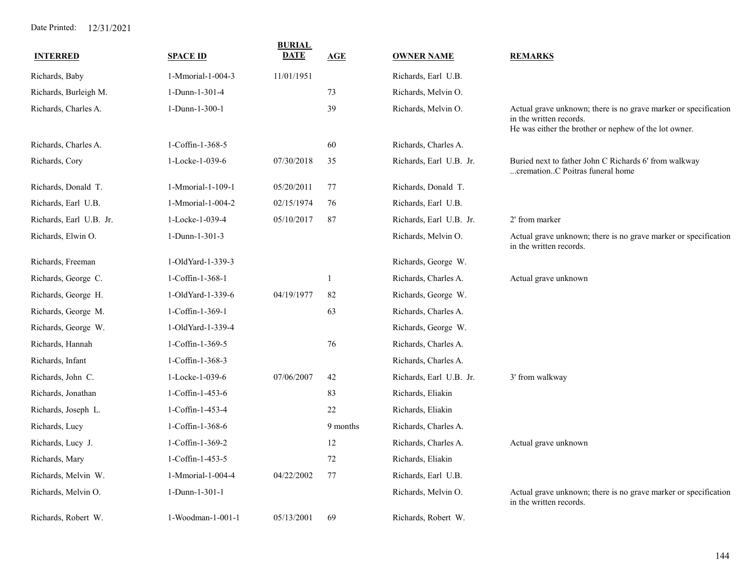| <b>INTERRED</b>         | <b>SPACE ID</b>   | <b>BURIAL</b><br><b>DATE</b> | AGE      | <b>OWNER NAME</b>       | <b>REMARKS</b>                                                                                                                                      |
|-------------------------|-------------------|------------------------------|----------|-------------------------|-----------------------------------------------------------------------------------------------------------------------------------------------------|
| Richards, Baby          | 1-Mmorial-1-004-3 | 11/01/1951                   |          | Richards, Earl U.B.     |                                                                                                                                                     |
| Richards, Burleigh M.   | 1-Dunn-1-301-4    |                              | 73       | Richards, Melvin O.     |                                                                                                                                                     |
| Richards, Charles A.    | 1-Dunn-1-300-1    |                              | 39       | Richards, Melvin O.     | Actual grave unknown; there is no grave marker or specification<br>in the written records.<br>He was either the brother or nephew of the lot owner. |
| Richards, Charles A.    | 1-Coffin-1-368-5  |                              | 60       | Richards, Charles A.    |                                                                                                                                                     |
| Richards, Cory          | 1-Locke-1-039-6   | 07/30/2018                   | 35       | Richards, Earl U.B. Jr. | Buried next to father John C Richards 6' from walkway<br>cremationC Poitras funeral home                                                            |
| Richards, Donald T.     | 1-Mmorial-1-109-1 | 05/20/2011                   | 77       | Richards, Donald T.     |                                                                                                                                                     |
| Richards, Earl U.B.     | 1-Mmorial-1-004-2 | 02/15/1974                   | 76       | Richards, Earl U.B.     |                                                                                                                                                     |
| Richards, Earl U.B. Jr. | 1-Locke-1-039-4   | 05/10/2017                   | 87       | Richards, Earl U.B. Jr. | 2' from marker                                                                                                                                      |
| Richards, Elwin O.      | 1-Dunn-1-301-3    |                              |          | Richards, Melvin O.     | Actual grave unknown; there is no grave marker or specification<br>in the written records.                                                          |
| Richards, Freeman       | 1-OldYard-1-339-3 |                              |          | Richards, George W.     |                                                                                                                                                     |
| Richards, George C.     | 1-Coffin-1-368-1  |                              |          | Richards, Charles A.    | Actual grave unknown                                                                                                                                |
| Richards, George H.     | 1-OldYard-1-339-6 | 04/19/1977                   | 82       | Richards, George W.     |                                                                                                                                                     |
| Richards, George M.     | 1-Coffin-1-369-1  |                              | 63       | Richards, Charles A.    |                                                                                                                                                     |
| Richards, George W.     | 1-OldYard-1-339-4 |                              |          | Richards, George W.     |                                                                                                                                                     |
| Richards, Hannah        | 1-Coffin-1-369-5  |                              | 76       | Richards, Charles A.    |                                                                                                                                                     |
| Richards, Infant        | 1-Coffin-1-368-3  |                              |          | Richards, Charles A.    |                                                                                                                                                     |
| Richards, John C.       | 1-Locke-1-039-6   | 07/06/2007                   | 42       | Richards, Earl U.B. Jr. | 3' from walkway                                                                                                                                     |
| Richards, Jonathan      | 1-Coffin-1-453-6  |                              | 83       | Richards, Eliakin       |                                                                                                                                                     |
| Richards, Joseph L.     | 1-Coffin-1-453-4  |                              | 22       | Richards, Eliakin       |                                                                                                                                                     |
| Richards, Lucy          | 1-Coffin-1-368-6  |                              | 9 months | Richards, Charles A.    |                                                                                                                                                     |
| Richards, Lucy J.       | 1-Coffin-1-369-2  |                              | 12       | Richards, Charles A.    | Actual grave unknown                                                                                                                                |
| Richards, Mary          | 1-Coffin-1-453-5  |                              | 72       | Richards, Eliakin       |                                                                                                                                                     |
| Richards, Melvin W.     | 1-Mmorial-1-004-4 | 04/22/2002                   | 77       | Richards, Earl U.B.     |                                                                                                                                                     |
| Richards, Melvin O.     | 1-Dunn-1-301-1    |                              |          | Richards, Melvin O.     | Actual grave unknown; there is no grave marker or specification<br>in the written records.                                                          |
| Richards, Robert W.     | 1-Woodman-1-001-1 | 05/13/2001                   | 69       | Richards, Robert W.     |                                                                                                                                                     |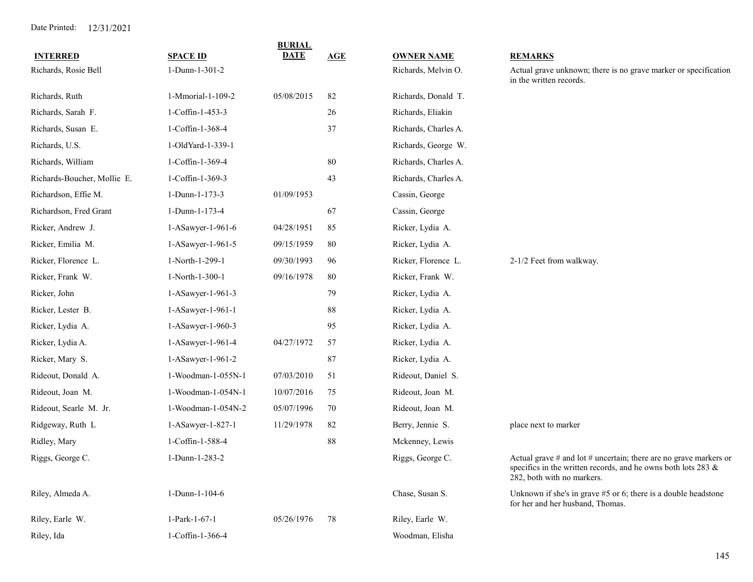| <b>INTERRED</b>             | <b>SPACE ID</b>    | <b>BURIAL</b><br><b>DATE</b> | AGE    | <b>OWNER NAME</b>    | <b>REMARKS</b>                                                                                                                                                       |
|-----------------------------|--------------------|------------------------------|--------|----------------------|----------------------------------------------------------------------------------------------------------------------------------------------------------------------|
| Richards, Rosie Bell        | 1-Dunn-1-301-2     |                              |        | Richards, Melvin O.  | Actual grave unknown; there is no grave marker or specification<br>in the written records.                                                                           |
| Richards, Ruth              | 1-Mmorial-1-109-2  | 05/08/2015                   | 82     | Richards, Donald T.  |                                                                                                                                                                      |
| Richards, Sarah F.          | 1-Coffin-1-453-3   |                              | 26     | Richards, Eliakin    |                                                                                                                                                                      |
| Richards, Susan E.          | 1-Coffin-1-368-4   |                              | 37     | Richards, Charles A. |                                                                                                                                                                      |
| Richards, U.S.              | 1-OldYard-1-339-1  |                              |        | Richards, George W.  |                                                                                                                                                                      |
| Richards, William           | 1-Coffin-1-369-4   |                              | 80     | Richards, Charles A. |                                                                                                                                                                      |
| Richards-Boucher, Mollie E. | 1-Coffin-1-369-3   |                              | 43     | Richards, Charles A. |                                                                                                                                                                      |
| Richardson, Effie M.        | 1-Dunn-1-173-3     | 01/09/1953                   |        | Cassin, George       |                                                                                                                                                                      |
| Richardson, Fred Grant      | 1-Dunn-1-173-4     |                              | 67     | Cassin, George       |                                                                                                                                                                      |
| Ricker, Andrew J.           | 1-ASawyer-1-961-6  | 04/28/1951                   | 85     | Ricker, Lydia A.     |                                                                                                                                                                      |
| Ricker, Emilia M.           | 1-ASawyer-1-961-5  | 09/15/1959                   | 80     | Ricker, Lydia A.     |                                                                                                                                                                      |
| Ricker, Florence L.         | 1-North-1-299-1    | 09/30/1993                   | 96     | Ricker, Florence L.  | 2-1/2 Feet from walkway.                                                                                                                                             |
| Ricker, Frank W.            | 1-North-1-300-1    | 09/16/1978                   | 80     | Ricker, Frank W.     |                                                                                                                                                                      |
| Ricker, John                | 1-ASawyer-1-961-3  |                              | 79     | Ricker, Lydia A.     |                                                                                                                                                                      |
| Ricker, Lester B.           | 1-ASawyer-1-961-1  |                              | $88\,$ | Ricker, Lydia A.     |                                                                                                                                                                      |
| Ricker, Lydia A.            | 1-ASawyer-1-960-3  |                              | 95     | Ricker, Lydia A.     |                                                                                                                                                                      |
| Ricker, Lydia A.            | 1-ASawyer-1-961-4  | 04/27/1972                   | 57     | Ricker, Lydia A.     |                                                                                                                                                                      |
| Ricker, Mary S.             | 1-ASawyer-1-961-2  |                              | 87     | Ricker, Lydia A.     |                                                                                                                                                                      |
| Rideout, Donald A.          | 1-Woodman-1-055N-1 | 07/03/2010                   | 51     | Rideout, Daniel S.   |                                                                                                                                                                      |
| Rideout, Joan M.            | 1-Woodman-1-054N-1 | 10/07/2016                   | 75     | Rideout, Joan M.     |                                                                                                                                                                      |
| Rideout, Searle M. Jr.      | 1-Woodman-1-054N-2 | 05/07/1996                   | 70     | Rideout, Joan M.     |                                                                                                                                                                      |
| Ridgeway, Ruth L            | 1-ASawyer-1-827-1  | 11/29/1978                   | 82     | Berry, Jennie S.     | place next to marker                                                                                                                                                 |
| Ridley, Mary                | 1-Coffin-1-588-4   |                              | 88     | Mckenney, Lewis      |                                                                                                                                                                      |
| Riggs, George C.            | 1-Dunn-1-283-2     |                              |        | Riggs, George C.     | Actual grave $#$ and lot $#$ uncertain; there are no grave markers or<br>specifics in the written records, and he owns both lots 283 &<br>282, both with no markers. |
| Riley, Almeda A.            | 1-Dunn-1-104-6     |                              |        | Chase, Susan S.      | Unknown if she's in grave $#5$ or 6; there is a double headstone<br>for her and her husband, Thomas.                                                                 |
| Riley, Earle W.             | 1-Park-1-67-1      | 05/26/1976                   | 78     | Riley, Earle W.      |                                                                                                                                                                      |
| Riley, Ida                  | 1-Coffin-1-366-4   |                              |        | Woodman, Elisha      |                                                                                                                                                                      |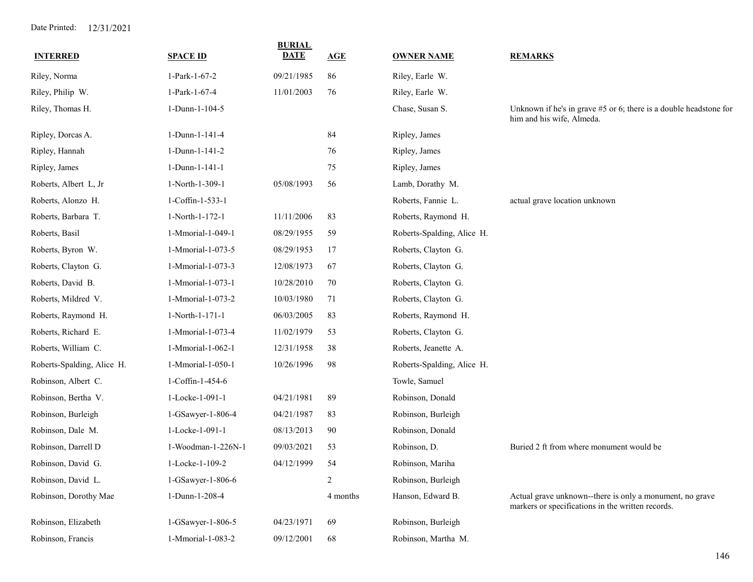| <b>INTERRED</b>            | <b>SPACE ID</b>    | <b>BURIAL</b><br><b>DATE</b> | AGE      | <b>OWNER NAME</b>          | <b>REMARKS</b>                                                                                                |
|----------------------------|--------------------|------------------------------|----------|----------------------------|---------------------------------------------------------------------------------------------------------------|
| Riley, Norma               | 1-Park-1-67-2      | 09/21/1985                   | 86       | Riley, Earle W.            |                                                                                                               |
| Riley, Philip W.           | 1-Park-1-67-4      | 11/01/2003                   | 76       | Riley, Earle W.            |                                                                                                               |
| Riley, Thomas H.           | 1-Dunn-1-104-5     |                              |          | Chase, Susan S.            | Unknown if he's in grave #5 or 6; there is a double headstone for<br>him and his wife, Almeda.                |
| Ripley, Dorcas A.          | 1-Dunn-1-141-4     |                              | 84       | Ripley, James              |                                                                                                               |
| Ripley, Hannah             | 1-Dunn-1-141-2     |                              | 76       | Ripley, James              |                                                                                                               |
| Ripley, James              | 1-Dunn-1-141-1     |                              | $75\,$   | Ripley, James              |                                                                                                               |
| Roberts, Albert L, Jr      | 1-North-1-309-1    | 05/08/1993                   | 56       | Lamb, Dorathy M.           |                                                                                                               |
| Roberts, Alonzo H.         | 1-Coffin-1-533-1   |                              |          | Roberts, Fannie L.         | actual grave location unknown                                                                                 |
| Roberts, Barbara T.        | 1-North-1-172-1    | 11/11/2006                   | 83       | Roberts, Raymond H.        |                                                                                                               |
| Roberts, Basil             | 1-Mmorial-1-049-1  | 08/29/1955                   | 59       | Roberts-Spalding, Alice H. |                                                                                                               |
| Roberts, Byron W.          | 1-Mmorial-1-073-5  | 08/29/1953                   | 17       | Roberts, Clayton G.        |                                                                                                               |
| Roberts, Clayton G.        | 1-Mmorial-1-073-3  | 12/08/1973                   | 67       | Roberts, Clayton G.        |                                                                                                               |
| Roberts, David B.          | 1-Mmorial-1-073-1  | 10/28/2010                   | 70       | Roberts, Clayton G.        |                                                                                                               |
| Roberts, Mildred V.        | 1-Mmorial-1-073-2  | 10/03/1980                   | 71       | Roberts, Clayton G.        |                                                                                                               |
| Roberts, Raymond H.        | 1-North-1-171-1    | 06/03/2005                   | 83       | Roberts, Raymond H.        |                                                                                                               |
| Roberts, Richard E.        | 1-Mmorial-1-073-4  | 11/02/1979                   | 53       | Roberts, Clayton G.        |                                                                                                               |
| Roberts, William C.        | 1-Mmorial-1-062-1  | 12/31/1958                   | 38       | Roberts, Jeanette A.       |                                                                                                               |
| Roberts-Spalding, Alice H. | 1-Mmorial-1-050-1  | 10/26/1996                   | 98       | Roberts-Spalding, Alice H. |                                                                                                               |
| Robinson, Albert C.        | 1-Coffin-1-454-6   |                              |          | Towle, Samuel              |                                                                                                               |
| Robinson, Bertha V.        | 1-Locke-1-091-1    | 04/21/1981                   | 89       | Robinson, Donald           |                                                                                                               |
| Robinson, Burleigh         | 1-GSawyer-1-806-4  | 04/21/1987                   | 83       | Robinson, Burleigh         |                                                                                                               |
| Robinson, Dale M.          | 1-Locke-1-091-1    | 08/13/2013                   | 90       | Robinson, Donald           |                                                                                                               |
| Robinson, Darrell D        | 1-Woodman-1-226N-1 | 09/03/2021                   | 53       | Robinson, D.               | Buried 2 ft from where monument would be                                                                      |
| Robinson, David G.         | 1-Locke-1-109-2    | 04/12/1999                   | 54       | Robinson, Mariha           |                                                                                                               |
| Robinson, David L.         | 1-GSawyer-1-806-6  |                              | 2        | Robinson, Burleigh         |                                                                                                               |
| Robinson, Dorothy Mae      | 1-Dunn-1-208-4     |                              | 4 months | Hanson, Edward B.          | Actual grave unknown--there is only a monument, no grave<br>markers or specifications in the written records. |
| Robinson, Elizabeth        | 1-GSawyer-1-806-5  | 04/23/1971                   | 69       | Robinson, Burleigh         |                                                                                                               |
| Robinson, Francis          | 1-Mmorial-1-083-2  | 09/12/2001                   | 68       | Robinson, Martha M.        |                                                                                                               |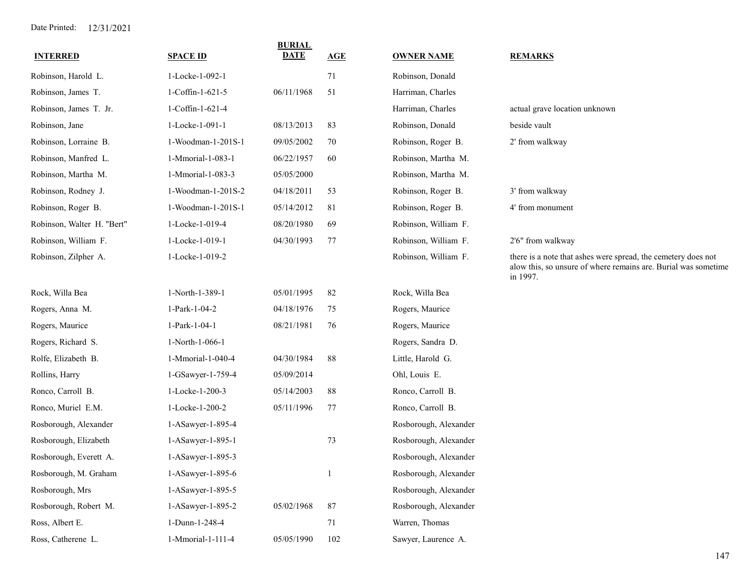| <b>INTERRED</b>            | <b>SPACE ID</b>    | <b>BURIAL</b><br><b>DATE</b> | <b>AGE</b>   | <b>OWNER NAME</b>     | <b>REMARKS</b>                                                                                                                              |
|----------------------------|--------------------|------------------------------|--------------|-----------------------|---------------------------------------------------------------------------------------------------------------------------------------------|
| Robinson, Harold L.        | 1-Locke-1-092-1    |                              | 71           | Robinson, Donald      |                                                                                                                                             |
| Robinson, James T.         | 1-Coffin-1-621-5   | 06/11/1968                   | 51           | Harriman, Charles     |                                                                                                                                             |
| Robinson, James T. Jr.     | 1-Coffin-1-621-4   |                              |              | Harriman, Charles     | actual grave location unknown                                                                                                               |
| Robinson, Jane             | 1-Locke-1-091-1    | 08/13/2013                   | 83           | Robinson, Donald      | beside vault                                                                                                                                |
| Robinson, Lorraine B.      | 1-Woodman-1-201S-1 | 09/05/2002                   | 70           | Robinson, Roger B.    | 2' from walkway                                                                                                                             |
| Robinson, Manfred L.       | 1-Mmorial-1-083-1  | 06/22/1957                   | 60           | Robinson, Martha M.   |                                                                                                                                             |
| Robinson, Martha M.        | 1-Mmorial-1-083-3  | 05/05/2000                   |              | Robinson, Martha M.   |                                                                                                                                             |
| Robinson, Rodney J.        | 1-Woodman-1-201S-2 | 04/18/2011                   | 53           | Robinson, Roger B.    | 3' from walkway                                                                                                                             |
| Robinson, Roger B.         | 1-Woodman-1-201S-1 | 05/14/2012                   | 81           | Robinson, Roger B.    | 4' from monument                                                                                                                            |
| Robinson, Walter H. "Bert" | 1-Locke-1-019-4    | 08/20/1980                   | 69           | Robinson, William F.  |                                                                                                                                             |
| Robinson, William F.       | 1-Locke-1-019-1    | 04/30/1993                   | 77           | Robinson, William F.  | 2'6" from walkway                                                                                                                           |
| Robinson, Zilpher A.       | 1-Locke-1-019-2    |                              |              | Robinson, William F.  | there is a note that ashes were spread, the cemetery does not<br>alow this, so unsure of where remains are. Burial was sometime<br>in 1997. |
| Rock, Willa Bea            | 1-North-1-389-1    | 05/01/1995                   | 82           | Rock, Willa Bea       |                                                                                                                                             |
| Rogers, Anna M.            | 1-Park-1-04-2      | 04/18/1976                   | 75           | Rogers, Maurice       |                                                                                                                                             |
| Rogers, Maurice            | 1-Park-1-04-1      | 08/21/1981                   | 76           | Rogers, Maurice       |                                                                                                                                             |
| Rogers, Richard S.         | 1-North-1-066-1    |                              |              | Rogers, Sandra D.     |                                                                                                                                             |
| Rolfe, Elizabeth B.        | 1-Mmorial-1-040-4  | 04/30/1984                   | 88           | Little, Harold G.     |                                                                                                                                             |
| Rollins, Harry             | 1-GSawyer-1-759-4  | 05/09/2014                   |              | Ohl, Louis E.         |                                                                                                                                             |
| Ronco, Carroll B.          | 1-Locke-1-200-3    | 05/14/2003                   | 88           | Ronco, Carroll B.     |                                                                                                                                             |
| Ronco, Muriel E.M.         | 1-Locke-1-200-2    | 05/11/1996                   | 77           | Ronco, Carroll B.     |                                                                                                                                             |
| Rosborough, Alexander      | 1-ASawyer-1-895-4  |                              |              | Rosborough, Alexander |                                                                                                                                             |
| Rosborough, Elizabeth      | 1-ASawyer-1-895-1  |                              | 73           | Rosborough, Alexander |                                                                                                                                             |
| Rosborough, Everett A.     | 1-ASawyer-1-895-3  |                              |              | Rosborough, Alexander |                                                                                                                                             |
| Rosborough, M. Graham      | 1-ASawyer-1-895-6  |                              | $\mathbf{1}$ | Rosborough, Alexander |                                                                                                                                             |
| Rosborough, Mrs            | 1-ASawyer-1-895-5  |                              |              | Rosborough, Alexander |                                                                                                                                             |
| Rosborough, Robert M.      | 1-ASawyer-1-895-2  | 05/02/1968                   | 87           | Rosborough, Alexander |                                                                                                                                             |
| Ross, Albert E.            | 1-Dunn-1-248-4     |                              | 71           | Warren, Thomas        |                                                                                                                                             |
| Ross, Catherene L.         | 1-Mmorial-1-111-4  | 05/05/1990                   | 102          | Sawyer, Laurence A.   |                                                                                                                                             |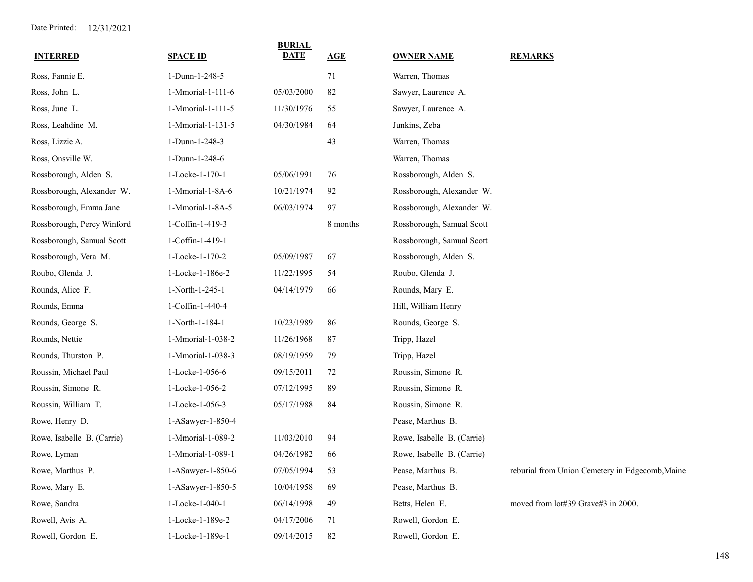| <b>INTERRED</b>            | <b>SPACE ID</b>   | <b>BURIAL</b><br><b>DATE</b> | AGE      | <b>OWNER NAME</b>          | <b>REMARKS</b>                                  |
|----------------------------|-------------------|------------------------------|----------|----------------------------|-------------------------------------------------|
| Ross, Fannie E.            | 1-Dunn-1-248-5    |                              | 71       | Warren, Thomas             |                                                 |
| Ross, John L.              | 1-Mmorial-1-111-6 | 05/03/2000                   | 82       | Sawyer, Laurence A.        |                                                 |
| Ross, June L.              | 1-Mmorial-1-111-5 | 11/30/1976                   | 55       | Sawyer, Laurence A.        |                                                 |
| Ross, Leahdine M.          | 1-Mmorial-1-131-5 | 04/30/1984                   | 64       | Junkins, Zeba              |                                                 |
| Ross, Lizzie A.            | 1-Dunn-1-248-3    |                              | 43       | Warren, Thomas             |                                                 |
| Ross, Onsville W.          | 1-Dunn-1-248-6    |                              |          | Warren, Thomas             |                                                 |
| Rossborough, Alden S.      | 1-Locke-1-170-1   | 05/06/1991                   | 76       | Rossborough, Alden S.      |                                                 |
| Rossborough, Alexander W.  | 1-Mmorial-1-8A-6  | 10/21/1974                   | 92       | Rossborough, Alexander W.  |                                                 |
| Rossborough, Emma Jane     | 1-Mmorial-1-8A-5  | 06/03/1974                   | 97       | Rossborough, Alexander W.  |                                                 |
| Rossborough, Percy Winford | 1-Coffin-1-419-3  |                              | 8 months | Rossborough, Samual Scott  |                                                 |
| Rossborough, Samual Scott  | 1-Coffin-1-419-1  |                              |          | Rossborough, Samual Scott  |                                                 |
| Rossborough, Vera M.       | 1-Locke-1-170-2   | 05/09/1987                   | 67       | Rossborough, Alden S.      |                                                 |
| Roubo, Glenda J.           | 1-Locke-1-186e-2  | 11/22/1995                   | 54       | Roubo, Glenda J.           |                                                 |
| Rounds, Alice F.           | 1-North-1-245-1   | 04/14/1979                   | 66       | Rounds, Mary E.            |                                                 |
| Rounds, Emma               | 1-Coffin-1-440-4  |                              |          | Hill, William Henry        |                                                 |
| Rounds, George S.          | 1-North-1-184-1   | 10/23/1989                   | 86       | Rounds, George S.          |                                                 |
| Rounds, Nettie             | 1-Mmorial-1-038-2 | 11/26/1968                   | 87       | Tripp, Hazel               |                                                 |
| Rounds, Thurston P.        | 1-Mmorial-1-038-3 | 08/19/1959                   | 79       | Tripp, Hazel               |                                                 |
| Roussin, Michael Paul      | 1-Locke-1-056-6   | 09/15/2011                   | 72       | Roussin, Simone R.         |                                                 |
| Roussin, Simone R.         | 1-Locke-1-056-2   | 07/12/1995                   | 89       | Roussin, Simone R.         |                                                 |
| Roussin, William T.        | 1-Locke-1-056-3   | 05/17/1988                   | 84       | Roussin, Simone R.         |                                                 |
| Rowe, Henry D.             | 1-ASawyer-1-850-4 |                              |          | Pease, Marthus B.          |                                                 |
| Rowe, Isabelle B. (Carrie) | 1-Mmorial-1-089-2 | 11/03/2010                   | 94       | Rowe, Isabelle B. (Carrie) |                                                 |
| Rowe, Lyman                | 1-Mmorial-1-089-1 | 04/26/1982                   | 66       | Rowe, Isabelle B. (Carrie) |                                                 |
| Rowe, Marthus P.           | 1-ASawyer-1-850-6 | 07/05/1994                   | 53       | Pease, Marthus B.          | reburial from Union Cemetery in Edgecomb, Maine |
| Rowe, Mary E.              | 1-ASawyer-1-850-5 | 10/04/1958                   | 69       | Pease, Marthus B.          |                                                 |
| Rowe, Sandra               | 1-Locke-1-040-1   | 06/14/1998                   | 49       | Betts, Helen E.            | moved from lot#39 Grave#3 in 2000.              |
| Rowell, Avis A.            | 1-Locke-1-189e-2  | 04/17/2006                   | 71       | Rowell, Gordon E.          |                                                 |
| Rowell, Gordon E.          | 1-Locke-1-189e-1  | 09/14/2015                   | 82       | Rowell, Gordon E.          |                                                 |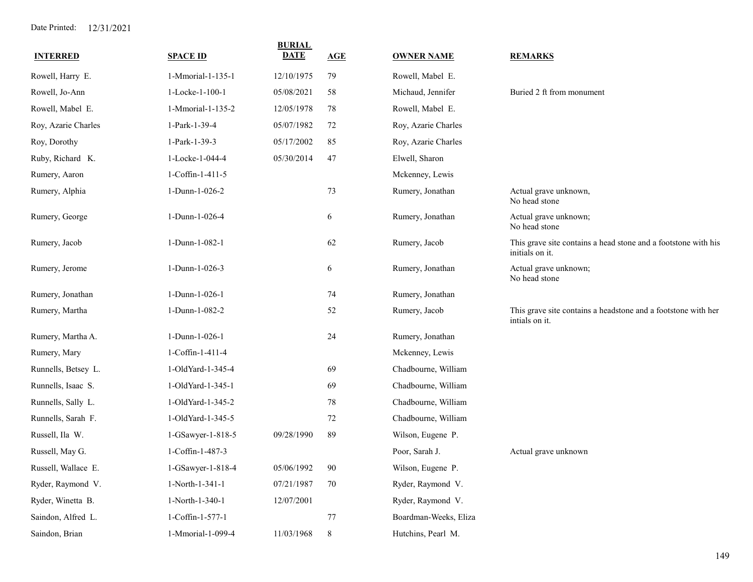| <b>INTERRED</b>     | <b>SPACE ID</b>   | <b>BURIAL</b><br><b>DATE</b> | AGE     | <b>OWNER NAME</b>     | <b>REMARKS</b>                                                                    |
|---------------------|-------------------|------------------------------|---------|-----------------------|-----------------------------------------------------------------------------------|
| Rowell, Harry E.    | 1-Mmorial-1-135-1 | 12/10/1975                   | 79      | Rowell, Mabel E.      |                                                                                   |
| Rowell, Jo-Ann      | 1-Locke-1-100-1   | 05/08/2021                   | 58      | Michaud, Jennifer     | Buried 2 ft from monument                                                         |
| Rowell, Mabel E.    | 1-Mmorial-1-135-2 | 12/05/1978                   | 78      | Rowell, Mabel E.      |                                                                                   |
| Roy, Azarie Charles | 1-Park-1-39-4     | 05/07/1982                   | 72      | Roy, Azarie Charles   |                                                                                   |
| Roy, Dorothy        | 1-Park-1-39-3     | 05/17/2002                   | 85      | Roy, Azarie Charles   |                                                                                   |
| Ruby, Richard K.    | 1-Locke-1-044-4   | 05/30/2014                   | 47      | Elwell, Sharon        |                                                                                   |
| Rumery, Aaron       | 1-Coffin-1-411-5  |                              |         | Mckenney, Lewis       |                                                                                   |
| Rumery, Alphia      | 1-Dunn-1-026-2    |                              | 73      | Rumery, Jonathan      | Actual grave unknown,<br>No head stone                                            |
| Rumery, George      | 1-Dunn-1-026-4    |                              | 6       | Rumery, Jonathan      | Actual grave unknown;<br>No head stone                                            |
| Rumery, Jacob       | 1-Dunn-1-082-1    |                              | 62      | Rumery, Jacob         | This grave site contains a head stone and a footstone with his<br>initials on it. |
| Rumery, Jerome      | 1-Dunn-1-026-3    |                              | 6       | Rumery, Jonathan      | Actual grave unknown;<br>No head stone                                            |
| Rumery, Jonathan    | 1-Dunn-1-026-1    |                              | 74      | Rumery, Jonathan      |                                                                                   |
| Rumery, Martha      | 1-Dunn-1-082-2    |                              | 52      | Rumery, Jacob         | This grave site contains a headstone and a footstone with her<br>intials on it.   |
| Rumery, Martha A.   | 1-Dunn-1-026-1    |                              | 24      | Rumery, Jonathan      |                                                                                   |
| Rumery, Mary        | 1-Coffin-1-411-4  |                              |         | Mckenney, Lewis       |                                                                                   |
| Runnells, Betsey L. | 1-OldYard-1-345-4 |                              | 69      | Chadbourne, William   |                                                                                   |
| Runnells, Isaac S.  | 1-OldYard-1-345-1 |                              | 69      | Chadbourne, William   |                                                                                   |
| Runnells, Sally L.  | 1-OldYard-1-345-2 |                              | 78      | Chadbourne, William   |                                                                                   |
| Runnells, Sarah F.  | 1-OldYard-1-345-5 |                              | 72      | Chadbourne, William   |                                                                                   |
| Russell, Ila W.     | 1-GSawyer-1-818-5 | 09/28/1990                   | 89      | Wilson, Eugene P.     |                                                                                   |
| Russell, May G.     | 1-Coffin-1-487-3  |                              |         | Poor, Sarah J.        | Actual grave unknown                                                              |
| Russell, Wallace E. | 1-GSawyer-1-818-4 | 05/06/1992                   | 90      | Wilson, Eugene P.     |                                                                                   |
| Ryder, Raymond V.   | 1-North-1-341-1   | 07/21/1987                   | 70      | Ryder, Raymond V.     |                                                                                   |
| Ryder, Winetta B.   | 1-North-1-340-1   | 12/07/2001                   |         | Ryder, Raymond V.     |                                                                                   |
| Saindon, Alfred L.  | 1-Coffin-1-577-1  |                              | 77      | Boardman-Weeks, Eliza |                                                                                   |
| Saindon, Brian      | 1-Mmorial-1-099-4 | 11/03/1968                   | $\,8\,$ | Hutchins, Pearl M.    |                                                                                   |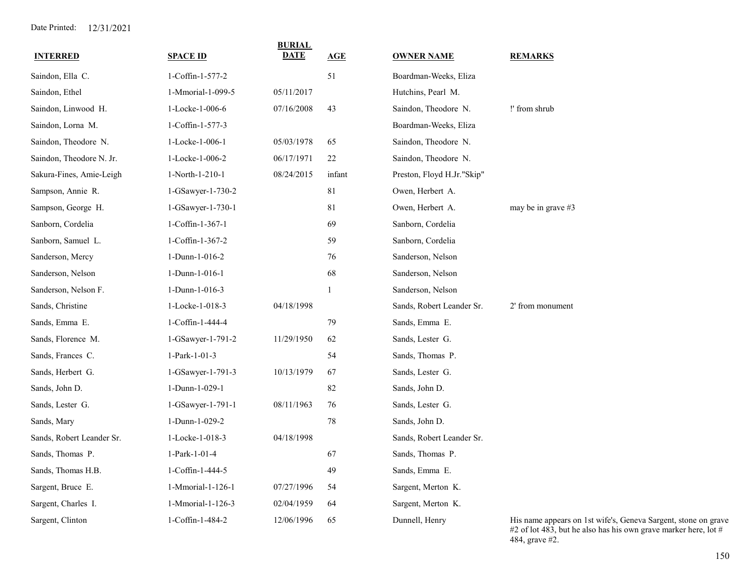| <b>INTERRED</b>           | <b>SPACE ID</b>     | <b>BURIAL</b><br><b>DATE</b> | <u>AGE</u>   | <b>OWNER NAME</b>          | <b>REMARKS</b>                                                                                                                    |
|---------------------------|---------------------|------------------------------|--------------|----------------------------|-----------------------------------------------------------------------------------------------------------------------------------|
| Saindon, Ella C.          | 1-Coffin-1-577-2    |                              | 51           | Boardman-Weeks, Eliza      |                                                                                                                                   |
| Saindon, Ethel            | 1-Mmorial-1-099-5   | 05/11/2017                   |              | Hutchins, Pearl M.         |                                                                                                                                   |
| Saindon, Linwood H.       | 1-Locke-1-006-6     | 07/16/2008                   | 43           | Saindon, Theodore N.       | !' from shrub                                                                                                                     |
| Saindon, Lorna M.         | 1-Coffin-1-577-3    |                              |              | Boardman-Weeks, Eliza      |                                                                                                                                   |
| Saindon, Theodore N.      | 1-Locke-1-006-1     | 05/03/1978                   | 65           | Saindon, Theodore N.       |                                                                                                                                   |
| Saindon, Theodore N. Jr.  | 1-Locke-1-006-2     | 06/17/1971                   | 22           | Saindon, Theodore N.       |                                                                                                                                   |
| Sakura-Fines, Amie-Leigh  | 1-North-1-210-1     | 08/24/2015                   | infant       | Preston, Floyd H.Jr."Skip" |                                                                                                                                   |
| Sampson, Annie R.         | 1-GSawyer-1-730-2   |                              | 81           | Owen, Herbert A.           |                                                                                                                                   |
| Sampson, George H.        | $1-GSawyer-1-730-1$ |                              | 81           | Owen, Herbert A.           | may be in grave $#3$                                                                                                              |
| Sanborn, Cordelia         | 1-Coffin-1-367-1    |                              | 69           | Sanborn, Cordelia          |                                                                                                                                   |
| Sanborn, Samuel L.        | 1-Coffin-1-367-2    |                              | 59           | Sanborn, Cordelia          |                                                                                                                                   |
| Sanderson, Mercy          | 1-Dunn-1-016-2      |                              | 76           | Sanderson, Nelson          |                                                                                                                                   |
| Sanderson, Nelson         | 1-Dunn-1-016-1      |                              | 68           | Sanderson, Nelson          |                                                                                                                                   |
| Sanderson, Nelson F.      | 1-Dunn-1-016-3      |                              | $\mathbf{1}$ | Sanderson, Nelson          |                                                                                                                                   |
| Sands, Christine          | 1-Locke-1-018-3     | 04/18/1998                   |              | Sands, Robert Leander Sr.  | 2' from monument                                                                                                                  |
| Sands, Emma E.            | 1-Coffin-1-444-4    |                              | 79           | Sands, Emma E.             |                                                                                                                                   |
| Sands, Florence M.        | 1-GSawyer-1-791-2   | 11/29/1950                   | 62           | Sands, Lester G.           |                                                                                                                                   |
| Sands, Frances C.         | 1-Park-1-01-3       |                              | 54           | Sands, Thomas P.           |                                                                                                                                   |
| Sands, Herbert G.         | 1-GSawyer-1-791-3   | 10/13/1979                   | 67           | Sands, Lester G.           |                                                                                                                                   |
| Sands, John D.            | 1-Dunn-1-029-1      |                              | 82           | Sands, John D.             |                                                                                                                                   |
| Sands, Lester G.          | 1-GSawyer-1-791-1   | 08/11/1963                   | 76           | Sands, Lester G.           |                                                                                                                                   |
| Sands, Mary               | 1-Dunn-1-029-2      |                              | $78\,$       | Sands, John D.             |                                                                                                                                   |
| Sands, Robert Leander Sr. | 1-Locke-1-018-3     | 04/18/1998                   |              | Sands, Robert Leander Sr.  |                                                                                                                                   |
| Sands, Thomas P.          | 1-Park-1-01-4       |                              | 67           | Sands, Thomas P.           |                                                                                                                                   |
| Sands, Thomas H.B.        | 1-Coffin-1-444-5    |                              | 49           | Sands, Emma E.             |                                                                                                                                   |
| Sargent, Bruce E.         | 1-Mmorial-1-126-1   | 07/27/1996                   | 54           | Sargent, Merton K.         |                                                                                                                                   |
| Sargent, Charles I.       | 1-Mmorial-1-126-3   | 02/04/1959                   | 64           | Sargent, Merton K.         |                                                                                                                                   |
| Sargent, Clinton          | 1-Coffin-1-484-2    | 12/06/1996                   | 65           | Dunnell, Henry             | His name appears on 1st wife's, Geneva Sargent, stone on grave<br>#2 of lot 483, but he also has his own grave marker here, lot # |

150

484, grave #2.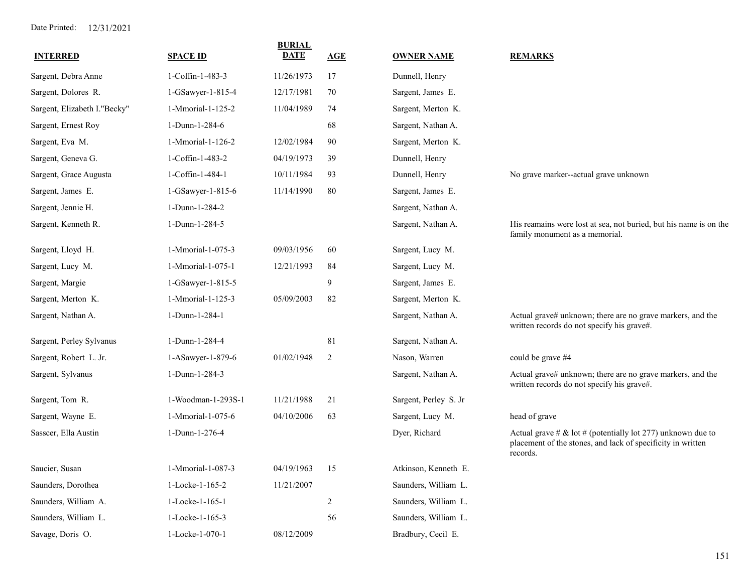| <b>INTERRED</b>              | <b>SPACE ID</b>    | <b>BURIAL</b><br><b>DATE</b> | <b>AGE</b>     | <b>OWNER NAME</b>     | <b>REMARKS</b>                                                                                                                         |
|------------------------------|--------------------|------------------------------|----------------|-----------------------|----------------------------------------------------------------------------------------------------------------------------------------|
| Sargent, Debra Anne          | 1-Coffin-1-483-3   | 11/26/1973                   | 17             | Dunnell, Henry        |                                                                                                                                        |
| Sargent, Dolores R.          | 1-GSawyer-1-815-4  | 12/17/1981                   | 70             | Sargent, James E.     |                                                                                                                                        |
| Sargent, Elizabeth I."Becky" | 1-Mmorial-1-125-2  | 11/04/1989                   | 74             | Sargent, Merton K.    |                                                                                                                                        |
| Sargent, Ernest Roy          | 1-Dunn-1-284-6     |                              | 68             | Sargent, Nathan A.    |                                                                                                                                        |
| Sargent, Eva M.              | 1-Mmorial-1-126-2  | 12/02/1984                   | 90             | Sargent, Merton K.    |                                                                                                                                        |
| Sargent, Geneva G.           | 1-Coffin-1-483-2   | 04/19/1973                   | 39             | Dunnell, Henry        |                                                                                                                                        |
| Sargent, Grace Augusta       | 1-Coffin-1-484-1   | 10/11/1984                   | 93             | Dunnell, Henry        | No grave marker--actual grave unknown                                                                                                  |
| Sargent, James E.            | 1-GSawyer-1-815-6  | 11/14/1990                   | 80             | Sargent, James E.     |                                                                                                                                        |
| Sargent, Jennie H.           | 1-Dunn-1-284-2     |                              |                | Sargent, Nathan A.    |                                                                                                                                        |
| Sargent, Kenneth R.          | 1-Dunn-1-284-5     |                              |                | Sargent, Nathan A.    | His reamains were lost at sea, not buried, but his name is on the<br>family monument as a memorial.                                    |
| Sargent, Lloyd H.            | 1-Mmorial-1-075-3  | 09/03/1956                   | 60             | Sargent, Lucy M.      |                                                                                                                                        |
| Sargent, Lucy M.             | 1-Mmorial-1-075-1  | 12/21/1993                   | 84             | Sargent, Lucy M.      |                                                                                                                                        |
| Sargent, Margie              | 1-GSawyer-1-815-5  |                              | 9              | Sargent, James E.     |                                                                                                                                        |
| Sargent, Merton K.           | 1-Mmorial-1-125-3  | 05/09/2003                   | 82             | Sargent, Merton K.    |                                                                                                                                        |
| Sargent, Nathan A.           | 1-Dunn-1-284-1     |                              |                | Sargent, Nathan A.    | Actual grave# unknown; there are no grave markers, and the<br>written records do not specify his grave#.                               |
| Sargent, Perley Sylvanus     | 1-Dunn-1-284-4     |                              | 81             | Sargent, Nathan A.    |                                                                                                                                        |
| Sargent, Robert L. Jr.       | 1-ASawyer-1-879-6  | 01/02/1948                   | 2              | Nason, Warren         | could be grave #4                                                                                                                      |
| Sargent, Sylvanus            | 1-Dunn-1-284-3     |                              |                | Sargent, Nathan A.    | Actual grave# unknown; there are no grave markers, and the<br>written records do not specify his grave#.                               |
| Sargent, Tom R.              | 1-Woodman-1-293S-1 | 11/21/1988                   | 21             | Sargent, Perley S. Jr |                                                                                                                                        |
| Sargent, Wayne E.            | 1-Mmorial-1-075-6  | 04/10/2006                   | 63             | Sargent, Lucy M.      | head of grave                                                                                                                          |
| Sasscer, Ella Austin         | 1-Dunn-1-276-4     |                              |                | Dyer, Richard         | Actual grave # & lot # (potentially lot 277) unknown due to<br>placement of the stones, and lack of specificity in written<br>records. |
| Saucier, Susan               | 1-Mmorial-1-087-3  | 04/19/1963                   | 15             | Atkinson, Kenneth E.  |                                                                                                                                        |
| Saunders, Dorothea           | 1-Locke-1-165-2    | 11/21/2007                   |                | Saunders, William L.  |                                                                                                                                        |
| Saunders, William A.         | 1-Locke-1-165-1    |                              | $\overline{c}$ | Saunders, William L.  |                                                                                                                                        |
| Saunders, William L.         | 1-Locke-1-165-3    |                              | 56             | Saunders, William L.  |                                                                                                                                        |
| Savage, Doris O.             | 1-Locke-1-070-1    | 08/12/2009                   |                | Bradbury, Cecil E.    |                                                                                                                                        |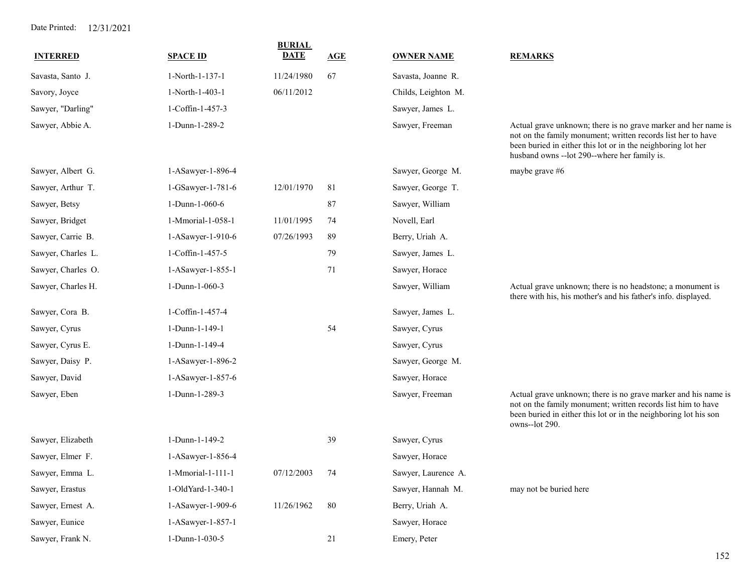| <b>INTERRED</b>    | <b>SPACE ID</b>   | <b>BURIAL</b><br><b>DATE</b> | <b>AGE</b> | <b>OWNER NAME</b>   | <b>REMARKS</b>                                                                                                                                                                                                                                  |
|--------------------|-------------------|------------------------------|------------|---------------------|-------------------------------------------------------------------------------------------------------------------------------------------------------------------------------------------------------------------------------------------------|
| Savasta, Santo J.  | 1-North-1-137-1   | 11/24/1980                   | 67         | Savasta, Joanne R.  |                                                                                                                                                                                                                                                 |
| Savory, Joyce      | 1-North-1-403-1   | 06/11/2012                   |            | Childs, Leighton M. |                                                                                                                                                                                                                                                 |
| Sawyer, "Darling"  | 1-Coffin-1-457-3  |                              |            | Sawyer, James L.    |                                                                                                                                                                                                                                                 |
| Sawyer, Abbie A.   | 1-Dunn-1-289-2    |                              |            | Sawyer, Freeman     | Actual grave unknown; there is no grave marker and her name is<br>not on the family monument; written records list her to have<br>been buried in either this lot or in the neighboring lot her<br>husband owns -- lot 290--where her family is. |
| Sawyer, Albert G.  | 1-ASawyer-1-896-4 |                              |            | Sawyer, George M.   | maybe grave #6                                                                                                                                                                                                                                  |
| Sawyer, Arthur T.  | 1-GSawyer-1-781-6 | 12/01/1970                   | 81         | Sawyer, George T.   |                                                                                                                                                                                                                                                 |
| Sawyer, Betsy      | 1-Dunn-1-060-6    |                              | 87         | Sawyer, William     |                                                                                                                                                                                                                                                 |
| Sawyer, Bridget    | 1-Mmorial-1-058-1 | 11/01/1995                   | 74         | Novell, Earl        |                                                                                                                                                                                                                                                 |
| Sawyer, Carrie B.  | 1-ASawyer-1-910-6 | 07/26/1993                   | 89         | Berry, Uriah A.     |                                                                                                                                                                                                                                                 |
| Sawyer, Charles L. | 1-Coffin-1-457-5  |                              | 79         | Sawyer, James L.    |                                                                                                                                                                                                                                                 |
| Sawyer, Charles O. | 1-ASawyer-1-855-1 |                              | 71         | Sawyer, Horace      |                                                                                                                                                                                                                                                 |
| Sawyer, Charles H. | 1-Dunn-1-060-3    |                              |            | Sawyer, William     | Actual grave unknown; there is no headstone; a monument is<br>there with his, his mother's and his father's info. displayed.                                                                                                                    |
| Sawyer, Cora B.    | 1-Coffin-1-457-4  |                              |            | Sawyer, James L.    |                                                                                                                                                                                                                                                 |
| Sawyer, Cyrus      | 1-Dunn-1-149-1    |                              | 54         | Sawyer, Cyrus       |                                                                                                                                                                                                                                                 |
| Sawyer, Cyrus E.   | 1-Dunn-1-149-4    |                              |            | Sawyer, Cyrus       |                                                                                                                                                                                                                                                 |
| Sawyer, Daisy P.   | 1-ASawyer-1-896-2 |                              |            | Sawyer, George M.   |                                                                                                                                                                                                                                                 |
| Sawyer, David      | 1-ASawyer-1-857-6 |                              |            | Sawyer, Horace      |                                                                                                                                                                                                                                                 |
| Sawyer, Eben       | 1-Dunn-1-289-3    |                              |            | Sawyer, Freeman     | Actual grave unknown; there is no grave marker and his name is<br>not on the family monument; written records list him to have<br>been buried in either this lot or in the neighboring lot his son<br>owns--lot 290.                            |
| Sawyer, Elizabeth  | 1-Dunn-1-149-2    |                              | 39         | Sawyer, Cyrus       |                                                                                                                                                                                                                                                 |
| Sawyer, Elmer F.   | 1-ASawyer-1-856-4 |                              |            | Sawyer, Horace      |                                                                                                                                                                                                                                                 |
| Sawyer, Emma L.    | 1-Mmorial-1-111-1 | 07/12/2003                   | 74         | Sawyer, Laurence A. |                                                                                                                                                                                                                                                 |
| Sawyer, Erastus    | 1-OldYard-1-340-1 |                              |            | Sawyer, Hannah M.   | may not be buried here                                                                                                                                                                                                                          |
| Sawyer, Ernest A.  | 1-ASawyer-1-909-6 | 11/26/1962                   | 80         | Berry, Uriah A.     |                                                                                                                                                                                                                                                 |
| Sawyer, Eunice     | 1-ASawyer-1-857-1 |                              |            | Sawyer, Horace      |                                                                                                                                                                                                                                                 |
| Sawyer, Frank N.   | 1-Dunn-1-030-5    |                              | 21         | Emery, Peter        |                                                                                                                                                                                                                                                 |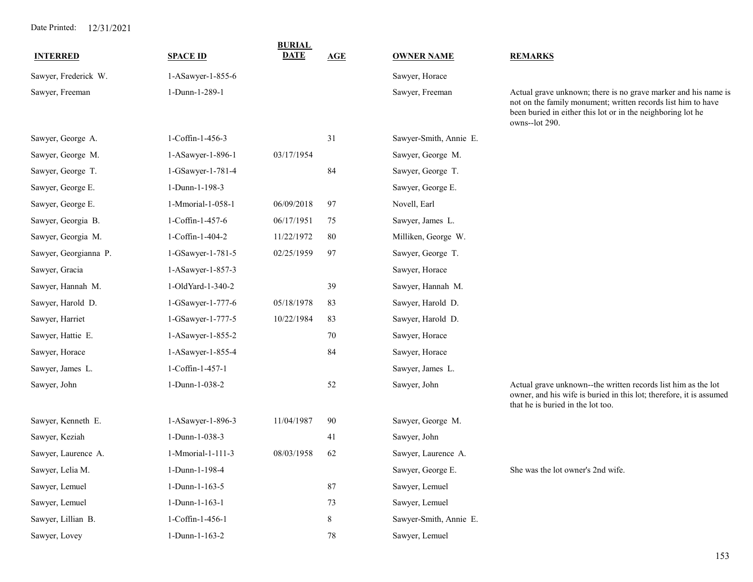|                       |                   | <b>BURIAL</b> |            |                        |                                                                                                                                                                                                                 |
|-----------------------|-------------------|---------------|------------|------------------------|-----------------------------------------------------------------------------------------------------------------------------------------------------------------------------------------------------------------|
| <b>INTERRED</b>       | <b>SPACE ID</b>   | <b>DATE</b>   | <b>AGE</b> | <b>OWNER NAME</b>      | <b>REMARKS</b>                                                                                                                                                                                                  |
| Sawyer, Frederick W.  | 1-ASawyer-1-855-6 |               |            | Sawyer, Horace         |                                                                                                                                                                                                                 |
| Sawyer, Freeman       | 1-Dunn-1-289-1    |               |            | Sawyer, Freeman        | Actual grave unknown; there is no grave marker and his name is<br>not on the family monument; written records list him to have<br>been buried in either this lot or in the neighboring lot he<br>owns--lot 290. |
| Sawyer, George A.     | 1-Coffin-1-456-3  |               | 31         | Sawyer-Smith, Annie E. |                                                                                                                                                                                                                 |
| Sawyer, George M.     | 1-ASawyer-1-896-1 | 03/17/1954    |            | Sawyer, George M.      |                                                                                                                                                                                                                 |
| Sawyer, George T.     | 1-GSawyer-1-781-4 |               | 84         | Sawyer, George T.      |                                                                                                                                                                                                                 |
| Sawyer, George E.     | 1-Dunn-1-198-3    |               |            | Sawyer, George E.      |                                                                                                                                                                                                                 |
| Sawyer, George E.     | 1-Mmorial-1-058-1 | 06/09/2018    | 97         | Novell, Earl           |                                                                                                                                                                                                                 |
| Sawyer, Georgia B.    | 1-Coffin-1-457-6  | 06/17/1951    | 75         | Sawyer, James L.       |                                                                                                                                                                                                                 |
| Sawyer, Georgia M.    | 1-Coffin-1-404-2  | 11/22/1972    | 80         | Milliken, George W.    |                                                                                                                                                                                                                 |
| Sawyer, Georgianna P. | 1-GSawyer-1-781-5 | 02/25/1959    | 97         | Sawyer, George T.      |                                                                                                                                                                                                                 |
| Sawyer, Gracia        | 1-ASawyer-1-857-3 |               |            | Sawyer, Horace         |                                                                                                                                                                                                                 |
| Sawyer, Hannah M.     | 1-OldYard-1-340-2 |               | 39         | Sawyer, Hannah M.      |                                                                                                                                                                                                                 |
| Sawyer, Harold D.     | 1-GSawyer-1-777-6 | 05/18/1978    | 83         | Sawyer, Harold D.      |                                                                                                                                                                                                                 |
| Sawyer, Harriet       | 1-GSawyer-1-777-5 | 10/22/1984    | 83         | Sawyer, Harold D.      |                                                                                                                                                                                                                 |
| Sawyer, Hattie E.     | 1-ASawyer-1-855-2 |               | 70         | Sawyer, Horace         |                                                                                                                                                                                                                 |
| Sawyer, Horace        | 1-ASawyer-1-855-4 |               | 84         | Sawyer, Horace         |                                                                                                                                                                                                                 |
| Sawyer, James L.      | 1-Coffin-1-457-1  |               |            | Sawyer, James L.       |                                                                                                                                                                                                                 |
| Sawyer, John          | 1-Dunn-1-038-2    |               | 52         | Sawyer, John           | Actual grave unknown--the written records list him as the lot<br>owner, and his wife is buried in this lot; therefore, it is assumed<br>that he is buried in the lot too.                                       |
| Sawyer, Kenneth E.    | 1-ASawyer-1-896-3 | 11/04/1987    | 90         | Sawyer, George M.      |                                                                                                                                                                                                                 |
| Sawyer, Keziah        | 1-Dunn-1-038-3    |               | 41         | Sawyer, John           |                                                                                                                                                                                                                 |
| Sawyer, Laurence A.   | 1-Mmorial-1-111-3 | 08/03/1958    | 62         | Sawyer, Laurence A.    |                                                                                                                                                                                                                 |
| Sawyer, Lelia M.      | 1-Dunn-1-198-4    |               |            | Sawyer, George E.      | She was the lot owner's 2nd wife.                                                                                                                                                                               |
| Sawyer, Lemuel        | 1-Dunn-1-163-5    |               | 87         | Sawyer, Lemuel         |                                                                                                                                                                                                                 |
| Sawyer, Lemuel        | 1-Dunn-1-163-1    |               | 73         | Sawyer, Lemuel         |                                                                                                                                                                                                                 |
| Sawyer, Lillian B.    | 1-Coffin-1-456-1  |               | 8          | Sawyer-Smith, Annie E. |                                                                                                                                                                                                                 |
| Sawyer, Lovey         | 1-Dunn-1-163-2    |               | $78\,$     | Sawyer, Lemuel         |                                                                                                                                                                                                                 |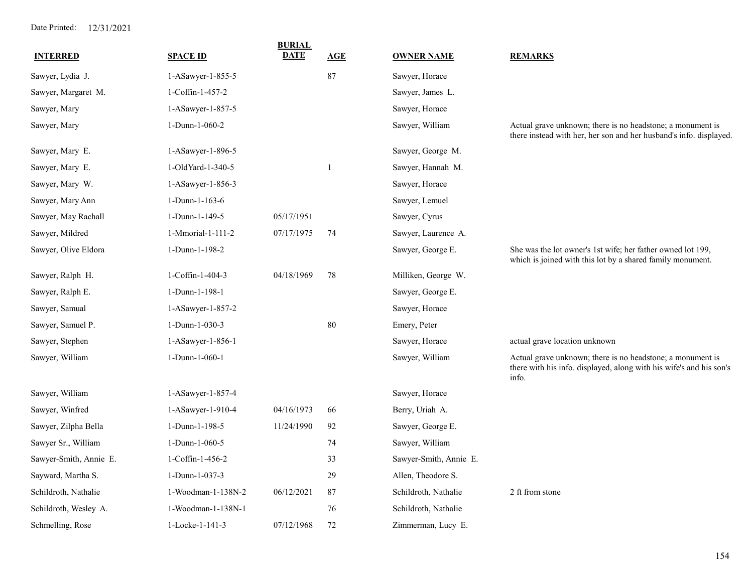| <b>INTERRED</b>        | <b>SPACE ID</b>    | <b>BURIAL</b><br><b>DATE</b> | AGE    | <b>OWNER NAME</b>      | <b>REMARKS</b>                                                                                                                             |
|------------------------|--------------------|------------------------------|--------|------------------------|--------------------------------------------------------------------------------------------------------------------------------------------|
| Sawyer, Lydia J.       | 1-ASawyer-1-855-5  |                              | 87     | Sawyer, Horace         |                                                                                                                                            |
| Sawyer, Margaret M.    | 1-Coffin-1-457-2   |                              |        | Sawyer, James L.       |                                                                                                                                            |
| Sawyer, Mary           | 1-ASawyer-1-857-5  |                              |        | Sawyer, Horace         |                                                                                                                                            |
| Sawyer, Mary           | 1-Dunn-1-060-2     |                              |        | Sawyer, William        | Actual grave unknown; there is no headstone; a monument is<br>there instead with her, her son and her husband's info. displayed.           |
| Sawyer, Mary E.        | 1-ASawyer-1-896-5  |                              |        | Sawyer, George M.      |                                                                                                                                            |
| Sawyer, Mary E.        | 1-OldYard-1-340-5  |                              | 1      | Sawyer, Hannah M.      |                                                                                                                                            |
| Sawyer, Mary W.        | 1-ASawyer-1-856-3  |                              |        | Sawyer, Horace         |                                                                                                                                            |
| Sawyer, Mary Ann       | 1-Dunn-1-163-6     |                              |        | Sawyer, Lemuel         |                                                                                                                                            |
| Sawyer, May Rachall    | 1-Dunn-1-149-5     | 05/17/1951                   |        | Sawyer, Cyrus          |                                                                                                                                            |
| Sawyer, Mildred        | 1-Mmorial-1-111-2  | 07/17/1975                   | 74     | Sawyer, Laurence A.    |                                                                                                                                            |
| Sawyer, Olive Eldora   | 1-Dunn-1-198-2     |                              |        | Sawyer, George E.      | She was the lot owner's 1st wife; her father owned lot 199,<br>which is joined with this lot by a shared family monument.                  |
| Sawyer, Ralph H.       | 1-Coffin-1-404-3   | 04/18/1969                   | 78     | Milliken, George W.    |                                                                                                                                            |
| Sawyer, Ralph E.       | 1-Dunn-1-198-1     |                              |        | Sawyer, George E.      |                                                                                                                                            |
| Sawyer, Samual         | 1-ASawyer-1-857-2  |                              |        | Sawyer, Horace         |                                                                                                                                            |
| Sawyer, Samuel P.      | 1-Dunn-1-030-3     |                              | $80\,$ | Emery, Peter           |                                                                                                                                            |
| Sawyer, Stephen        | 1-ASawyer-1-856-1  |                              |        | Sawyer, Horace         | actual grave location unknown                                                                                                              |
| Sawyer, William        | 1-Dunn-1-060-1     |                              |        | Sawyer, William        | Actual grave unknown; there is no headstone; a monument is<br>there with his info. displayed, along with his wife's and his son's<br>info. |
| Sawyer, William        | 1-ASawyer-1-857-4  |                              |        | Sawyer, Horace         |                                                                                                                                            |
| Sawyer, Winfred        | 1-ASawyer-1-910-4  | 04/16/1973                   | 66     | Berry, Uriah A.        |                                                                                                                                            |
| Sawyer, Zilpha Bella   | 1-Dunn-1-198-5     | 11/24/1990                   | 92     | Sawyer, George E.      |                                                                                                                                            |
| Sawyer Sr., William    | 1-Dunn-1-060-5     |                              | 74     | Sawyer, William        |                                                                                                                                            |
| Sawyer-Smith, Annie E. | 1-Coffin-1-456-2   |                              | 33     | Sawyer-Smith, Annie E. |                                                                                                                                            |
| Sayward, Martha S.     | 1-Dunn-1-037-3     |                              | 29     | Allen, Theodore S.     |                                                                                                                                            |
| Schildroth, Nathalie   | 1-Woodman-1-138N-2 | 06/12/2021                   | 87     | Schildroth, Nathalie   | 2 ft from stone                                                                                                                            |
| Schildroth, Wesley A.  | 1-Woodman-1-138N-1 |                              | 76     | Schildroth, Nathalie   |                                                                                                                                            |
| Schmelling, Rose       | 1-Locke-1-141-3    | 07/12/1968                   | 72     | Zimmerman, Lucy E.     |                                                                                                                                            |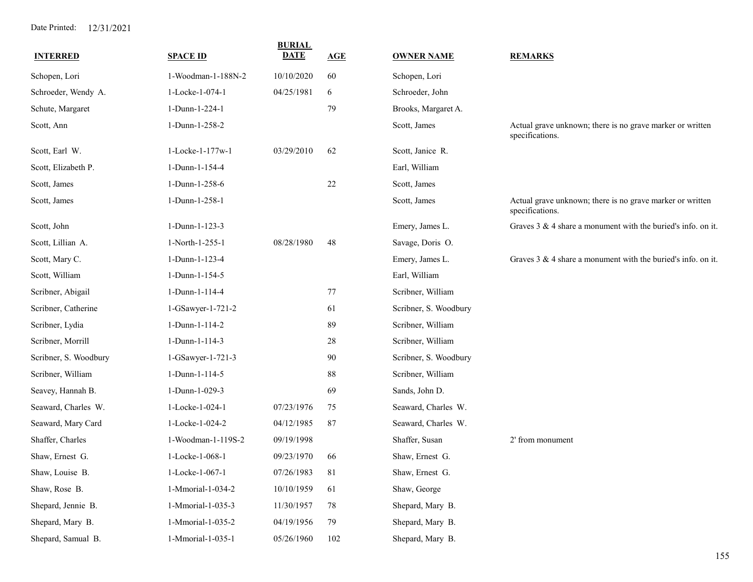| <b>INTERRED</b>       | <b>SPACE ID</b>    | <b>BURIAL</b><br><b>DATE</b> | AGE | <b>OWNER NAME</b>     | <b>REMARKS</b>                                                               |
|-----------------------|--------------------|------------------------------|-----|-----------------------|------------------------------------------------------------------------------|
| Schopen, Lori         | 1-Woodman-1-188N-2 | 10/10/2020                   | 60  | Schopen, Lori         |                                                                              |
| Schroeder, Wendy A.   | 1-Locke-1-074-1    | 04/25/1981                   | 6   | Schroeder, John       |                                                                              |
| Schute, Margaret      | 1-Dunn-1-224-1     |                              | 79  | Brooks, Margaret A.   |                                                                              |
| Scott, Ann            | 1-Dunn-1-258-2     |                              |     | Scott, James          | Actual grave unknown; there is no grave marker or written<br>specifications. |
| Scott, Earl W.        | 1-Locke-1-177w-1   | 03/29/2010                   | 62  | Scott, Janice R.      |                                                                              |
| Scott, Elizabeth P.   | 1-Dunn-1-154-4     |                              |     | Earl, William         |                                                                              |
| Scott, James          | 1-Dunn-1-258-6     |                              | 22  | Scott, James          |                                                                              |
| Scott, James          | 1-Dunn-1-258-1     |                              |     | Scott, James          | Actual grave unknown; there is no grave marker or written<br>specifications. |
| Scott, John           | 1-Dunn-1-123-3     |                              |     | Emery, James L.       | Graves $3 \& 4$ share a monument with the buried's info. on it.              |
| Scott, Lillian A.     | 1-North-1-255-1    | 08/28/1980                   | 48  | Savage, Doris O.      |                                                                              |
| Scott, Mary C.        | 1-Dunn-1-123-4     |                              |     | Emery, James L.       | Graves $3 \& 4$ share a monument with the buried's info. on it.              |
| Scott, William        | 1-Dunn-1-154-5     |                              |     | Earl, William         |                                                                              |
| Scribner, Abigail     | 1-Dunn-1-114-4     |                              | 77  | Scribner, William     |                                                                              |
| Scribner, Catherine   | 1-GSawyer-1-721-2  |                              | 61  | Scribner, S. Woodbury |                                                                              |
| Scribner, Lydia       | 1-Dunn-1-114-2     |                              | 89  | Scribner, William     |                                                                              |
| Scribner, Morrill     | 1-Dunn-1-114-3     |                              | 28  | Scribner, William     |                                                                              |
| Scribner, S. Woodbury | 1-GSawyer-1-721-3  |                              | 90  | Scribner, S. Woodbury |                                                                              |
| Scribner, William     | 1-Dunn-1-114-5     |                              | 88  | Scribner, William     |                                                                              |
| Seavey, Hannah B.     | 1-Dunn-1-029-3     |                              | 69  | Sands, John D.        |                                                                              |
| Seaward, Charles W.   | 1-Locke-1-024-1    | 07/23/1976                   | 75  | Seaward, Charles W.   |                                                                              |
| Seaward, Mary Card    | 1-Locke-1-024-2    | 04/12/1985                   | 87  | Seaward, Charles W.   |                                                                              |
| Shaffer, Charles      | 1-Woodman-1-119S-2 | 09/19/1998                   |     | Shaffer, Susan        | 2' from monument                                                             |
| Shaw, Ernest G.       | 1-Locke-1-068-1    | 09/23/1970                   | 66  | Shaw, Ernest G.       |                                                                              |
| Shaw, Louise B.       | 1-Locke-1-067-1    | 07/26/1983                   | 81  | Shaw, Ernest G.       |                                                                              |
| Shaw, Rose B.         | 1-Mmorial-1-034-2  | 10/10/1959                   | 61  | Shaw, George          |                                                                              |
| Shepard, Jennie B.    | 1-Mmorial-1-035-3  | 11/30/1957                   | 78  | Shepard, Mary B.      |                                                                              |
| Shepard, Mary B.      | 1-Mmorial-1-035-2  | 04/19/1956                   | 79  | Shepard, Mary B.      |                                                                              |
| Shepard, Samual B.    | 1-Mmorial-1-035-1  | 05/26/1960                   | 102 | Shepard, Mary B.      |                                                                              |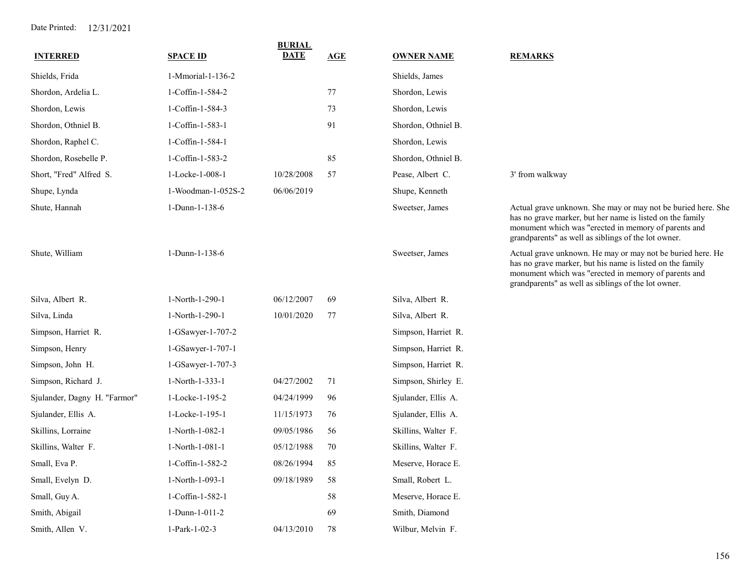| <b>INTERRED</b>              | <b>SPACE ID</b>     | <b>BURIAL</b><br>DATE | <b>AGE</b> | <b>OWNER NAME</b>   | <b>REMARKS</b>                                                                                                                                                                                                                           |
|------------------------------|---------------------|-----------------------|------------|---------------------|------------------------------------------------------------------------------------------------------------------------------------------------------------------------------------------------------------------------------------------|
| Shields, Frida               | 1-Mmorial-1-136-2   |                       |            | Shields, James      |                                                                                                                                                                                                                                          |
| Shordon, Ardelia L.          | 1-Coffin-1-584-2    |                       | 77         | Shordon, Lewis      |                                                                                                                                                                                                                                          |
| Shordon, Lewis               | 1-Coffin-1-584-3    |                       | 73         | Shordon, Lewis      |                                                                                                                                                                                                                                          |
| Shordon, Othniel B.          | 1-Coffin-1-583-1    |                       | 91         | Shordon, Othniel B. |                                                                                                                                                                                                                                          |
| Shordon, Raphel C.           | 1-Coffin-1-584-1    |                       |            | Shordon, Lewis      |                                                                                                                                                                                                                                          |
| Shordon, Rosebelle P.        | 1-Coffin-1-583-2    |                       | 85         | Shordon, Othniel B. |                                                                                                                                                                                                                                          |
| Short, "Fred" Alfred S.      | 1-Locke-1-008-1     | 10/28/2008            | 57         | Pease, Albert C.    | 3' from walkway                                                                                                                                                                                                                          |
| Shupe, Lynda                 | 1-Woodman-1-052S-2  | 06/06/2019            |            | Shupe, Kenneth      |                                                                                                                                                                                                                                          |
| Shute, Hannah                | 1-Dunn-1-138-6      |                       |            | Sweetser, James     | Actual grave unknown. She may or may not be buried here. She<br>has no grave marker, but her name is listed on the family<br>monument which was "erected in memory of parents and<br>grandparents" as well as siblings of the lot owner. |
| Shute, William               | 1-Dunn-1-138-6      |                       |            | Sweetser, James     | Actual grave unknown. He may or may not be buried here. He<br>has no grave marker, but his name is listed on the family<br>monument which was "erected in memory of parents and<br>grandparents" as well as siblings of the lot owner.   |
| Silva, Albert R.             | 1-North-1-290-1     | 06/12/2007            | 69         | Silva, Albert R.    |                                                                                                                                                                                                                                          |
| Silva, Linda                 | 1-North-1-290-1     | 10/01/2020            | $77$       | Silva, Albert R.    |                                                                                                                                                                                                                                          |
| Simpson, Harriet R.          | $1-GSawyer-1-707-2$ |                       |            | Simpson, Harriet R. |                                                                                                                                                                                                                                          |
| Simpson, Henry               | 1-GSawyer-1-707-1   |                       |            | Simpson, Harriet R. |                                                                                                                                                                                                                                          |
| Simpson, John H.             | 1-GSawyer-1-707-3   |                       |            | Simpson, Harriet R. |                                                                                                                                                                                                                                          |
| Simpson, Richard J.          | 1-North-1-333-1     | 04/27/2002            | 71         | Simpson, Shirley E. |                                                                                                                                                                                                                                          |
| Sjulander, Dagny H. "Farmor" | 1-Locke-1-195-2     | 04/24/1999            | 96         | Sjulander, Ellis A. |                                                                                                                                                                                                                                          |
| Sjulander, Ellis A.          | 1-Locke-1-195-1     | 11/15/1973            | 76         | Sjulander, Ellis A. |                                                                                                                                                                                                                                          |
| Skillins, Lorraine           | 1-North-1-082-1     | 09/05/1986            | 56         | Skillins, Walter F. |                                                                                                                                                                                                                                          |
| Skillins, Walter F.          | 1-North-1-081-1     | 05/12/1988            | 70         | Skillins, Walter F. |                                                                                                                                                                                                                                          |
| Small, Eva P.                | 1-Coffin-1-582-2    | 08/26/1994            | 85         | Meserve, Horace E.  |                                                                                                                                                                                                                                          |
| Small, Evelyn D.             | 1-North-1-093-1     | 09/18/1989            | 58         | Small, Robert L.    |                                                                                                                                                                                                                                          |
| Small, Guy A.                | 1-Coffin-1-582-1    |                       | 58         | Meserve, Horace E.  |                                                                                                                                                                                                                                          |
| Smith, Abigail               | 1-Dunn-1-011-2      |                       | 69         | Smith, Diamond      |                                                                                                                                                                                                                                          |
| Smith, Allen V.              | 1-Park-1-02-3       | 04/13/2010            | 78         | Wilbur, Melvin F.   |                                                                                                                                                                                                                                          |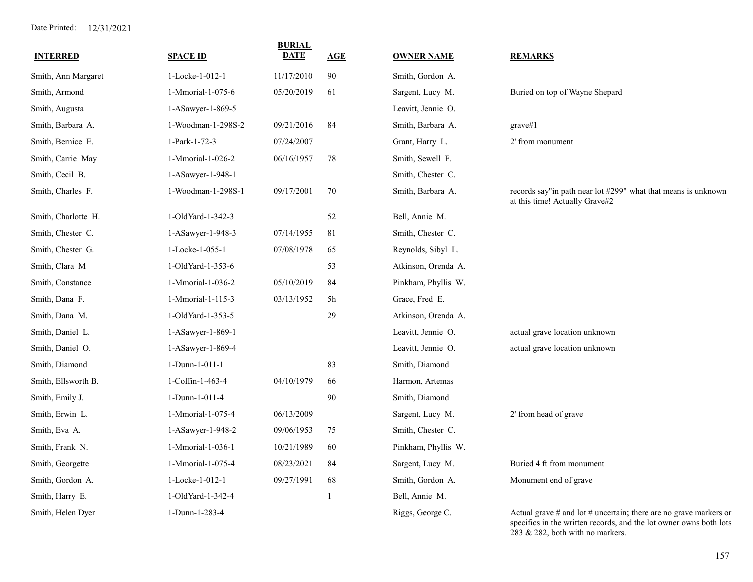| <b>INTERRED</b>     | <b>SPACE ID</b>    | <b>BURIAL</b><br><b>DATE</b> | AGE | <b>OWNER NAME</b>   | <b>REMARKS</b>                                                                                                                              |
|---------------------|--------------------|------------------------------|-----|---------------------|---------------------------------------------------------------------------------------------------------------------------------------------|
| Smith, Ann Margaret | 1-Locke-1-012-1    | 11/17/2010                   | 90  | Smith, Gordon A.    |                                                                                                                                             |
| Smith, Armond       | 1-Mmorial-1-075-6  | 05/20/2019                   | 61  | Sargent, Lucy M.    | Buried on top of Wayne Shepard                                                                                                              |
| Smith, Augusta      | 1-ASawyer-1-869-5  |                              |     | Leavitt, Jennie O.  |                                                                                                                                             |
| Smith, Barbara A.   | 1-Woodman-1-298S-2 | 09/21/2016                   | 84  | Smith, Barbara A.   | grave#1                                                                                                                                     |
| Smith, Bernice E.   | 1-Park-1-72-3      | 07/24/2007                   |     | Grant, Harry L.     | 2' from monument                                                                                                                            |
| Smith, Carrie May   | 1-Mmorial-1-026-2  | 06/16/1957                   | 78  | Smith, Sewell F.    |                                                                                                                                             |
| Smith, Cecil B.     | 1-ASawyer-1-948-1  |                              |     | Smith, Chester C.   |                                                                                                                                             |
| Smith, Charles F.   | 1-Woodman-1-298S-1 | 09/17/2001                   | 70  | Smith, Barbara A.   | records say"in path near lot #299" what that means is unknown<br>at this time! Actually Grave#2                                             |
| Smith, Charlotte H. | 1-OldYard-1-342-3  |                              | 52  | Bell, Annie M.      |                                                                                                                                             |
| Smith, Chester C.   | 1-ASawyer-1-948-3  | 07/14/1955                   | 81  | Smith, Chester C.   |                                                                                                                                             |
| Smith, Chester G.   | 1-Locke-1-055-1    | 07/08/1978                   | 65  | Reynolds, Sibyl L.  |                                                                                                                                             |
| Smith, Clara M      | 1-OldYard-1-353-6  |                              | 53  | Atkinson, Orenda A. |                                                                                                                                             |
| Smith, Constance    | 1-Mmorial-1-036-2  | 05/10/2019                   | 84  | Pinkham, Phyllis W. |                                                                                                                                             |
| Smith, Dana F.      | 1-Mmorial-1-115-3  | 03/13/1952                   | 5h  | Grace, Fred E.      |                                                                                                                                             |
| Smith, Dana M.      | 1-OldYard-1-353-5  |                              | 29  | Atkinson, Orenda A. |                                                                                                                                             |
| Smith, Daniel L.    | 1-ASawyer-1-869-1  |                              |     | Leavitt, Jennie O.  | actual grave location unknown                                                                                                               |
| Smith, Daniel O.    | 1-ASawyer-1-869-4  |                              |     | Leavitt, Jennie O.  | actual grave location unknown                                                                                                               |
| Smith, Diamond      | 1-Dunn-1-011-1     |                              | 83  | Smith, Diamond      |                                                                                                                                             |
| Smith, Ellsworth B. | 1-Coffin-1-463-4   | 04/10/1979                   | 66  | Harmon, Artemas     |                                                                                                                                             |
| Smith, Emily J.     | 1-Dunn-1-011-4     |                              | 90  | Smith, Diamond      |                                                                                                                                             |
| Smith, Erwin L.     | 1-Mmorial-1-075-4  | 06/13/2009                   |     | Sargent, Lucy M.    | 2' from head of grave                                                                                                                       |
| Smith, Eva A.       | 1-ASawyer-1-948-2  | 09/06/1953                   | 75  | Smith, Chester C.   |                                                                                                                                             |
| Smith, Frank N.     | 1-Mmorial-1-036-1  | 10/21/1989                   | 60  | Pinkham, Phyllis W. |                                                                                                                                             |
| Smith, Georgette    | 1-Mmorial-1-075-4  | 08/23/2021                   | 84  | Sargent, Lucy M.    | Buried 4 ft from monument                                                                                                                   |
| Smith, Gordon A.    | 1-Locke-1-012-1    | 09/27/1991                   | 68  | Smith, Gordon A.    | Monument end of grave                                                                                                                       |
| Smith, Harry E.     | 1-OldYard-1-342-4  |                              |     | Bell, Annie M.      |                                                                                                                                             |
| Smith, Helen Dyer   | 1-Dunn-1-283-4     |                              |     | Riggs, George C.    | Actual grave $#$ and lot $#$ uncertain; there are no grave markers or<br>specifics in the written records, and the lot owner owns both lots |

283 & 282, both with no markers.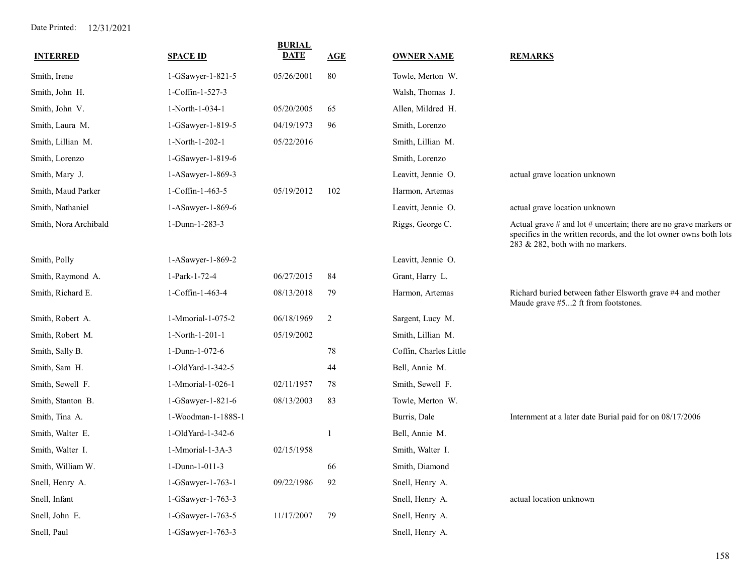| <b>INTERRED</b>       | <b>SPACE ID</b>    | <b>BURIAL</b><br><b>DATE</b> | AGE    | <b>OWNER NAME</b>      | <b>REMARKS</b>                                                                                                                                                                  |
|-----------------------|--------------------|------------------------------|--------|------------------------|---------------------------------------------------------------------------------------------------------------------------------------------------------------------------------|
| Smith, Irene          | 1-GSawyer-1-821-5  | 05/26/2001                   | 80     | Towle, Merton W.       |                                                                                                                                                                                 |
| Smith, John H.        | 1-Coffin-1-527-3   |                              |        | Walsh, Thomas J.       |                                                                                                                                                                                 |
| Smith, John V.        | 1-North-1-034-1    | 05/20/2005                   | 65     | Allen, Mildred H.      |                                                                                                                                                                                 |
| Smith, Laura M.       | 1-GSawyer-1-819-5  | 04/19/1973                   | 96     | Smith, Lorenzo         |                                                                                                                                                                                 |
| Smith, Lillian M.     | 1-North-1-202-1    | 05/22/2016                   |        | Smith, Lillian M.      |                                                                                                                                                                                 |
| Smith, Lorenzo        | 1-GSawyer-1-819-6  |                              |        | Smith, Lorenzo         |                                                                                                                                                                                 |
| Smith, Mary J.        | 1-ASawyer-1-869-3  |                              |        | Leavitt, Jennie O.     | actual grave location unknown                                                                                                                                                   |
| Smith, Maud Parker    | 1-Coffin-1-463-5   | 05/19/2012                   | 102    | Harmon, Artemas        |                                                                                                                                                                                 |
| Smith, Nathaniel      | 1-ASawyer-1-869-6  |                              |        | Leavitt, Jennie O.     | actual grave location unknown                                                                                                                                                   |
| Smith, Nora Archibald | 1-Dunn-1-283-3     |                              |        | Riggs, George C.       | Actual grave $#$ and lot $#$ uncertain; there are no grave markers or<br>specifics in the written records, and the lot owner owns both lots<br>283 & 282, both with no markers. |
| Smith, Polly          | 1-ASawyer-1-869-2  |                              |        | Leavitt, Jennie O.     |                                                                                                                                                                                 |
| Smith, Raymond A.     | 1-Park-1-72-4      | 06/27/2015                   | 84     | Grant, Harry L.        |                                                                                                                                                                                 |
| Smith, Richard E.     | 1-Coffin-1-463-4   | 08/13/2018                   | 79     | Harmon, Artemas        | Richard buried between father Elsworth grave #4 and mother<br>Maude grave #52 ft from footstones.                                                                               |
| Smith, Robert A.      | 1-Mmorial-1-075-2  | 06/18/1969                   | 2      | Sargent, Lucy M.       |                                                                                                                                                                                 |
| Smith, Robert M.      | 1-North-1-201-1    | 05/19/2002                   |        | Smith, Lillian M.      |                                                                                                                                                                                 |
| Smith, Sally B.       | 1-Dunn-1-072-6     |                              | $78\,$ | Coffin, Charles Little |                                                                                                                                                                                 |
| Smith, Sam H.         | 1-OldYard-1-342-5  |                              | 44     | Bell, Annie M.         |                                                                                                                                                                                 |
| Smith, Sewell F.      | 1-Mmorial-1-026-1  | 02/11/1957                   | 78     | Smith, Sewell F.       |                                                                                                                                                                                 |
| Smith, Stanton B.     | 1-GSawyer-1-821-6  | 08/13/2003                   | 83     | Towle, Merton W.       |                                                                                                                                                                                 |
| Smith, Tina A.        | 1-Woodman-1-188S-1 |                              |        | Burris, Dale           | Internment at a later date Burial paid for on 08/17/2006                                                                                                                        |
| Smith, Walter E.      | 1-OldYard-1-342-6  |                              |        | Bell, Annie M.         |                                                                                                                                                                                 |
| Smith, Walter I.      | 1-Mmorial-1-3A-3   | 02/15/1958                   |        | Smith, Walter I.       |                                                                                                                                                                                 |
| Smith, William W.     | 1-Dunn-1-011-3     |                              | 66     | Smith, Diamond         |                                                                                                                                                                                 |
| Snell, Henry A.       | 1-GSawyer-1-763-1  | 09/22/1986                   | 92     | Snell, Henry A.        |                                                                                                                                                                                 |
| Snell, Infant         | 1-GSawyer-1-763-3  |                              |        | Snell, Henry A.        | actual location unknown                                                                                                                                                         |
| Snell, John E.        | 1-GSawyer-1-763-5  | 11/17/2007                   | 79     | Snell, Henry A.        |                                                                                                                                                                                 |
| Snell, Paul           | 1-GSawyer-1-763-3  |                              |        | Snell, Henry A.        |                                                                                                                                                                                 |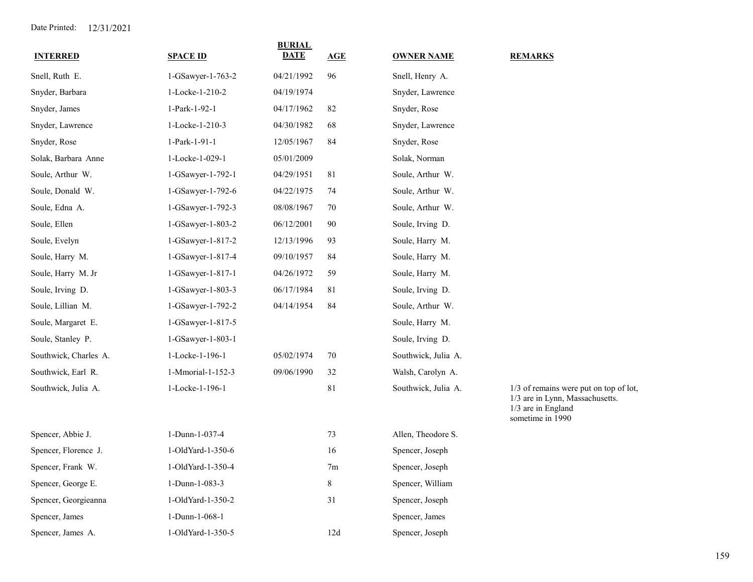| <b>INTERRED</b>       | <b>SPACE ID</b>   | <b>BURIAL</b><br><b>DATE</b> | AGE            | <b>OWNER NAME</b>   | <b>REMARKS</b>                                                                                                      |
|-----------------------|-------------------|------------------------------|----------------|---------------------|---------------------------------------------------------------------------------------------------------------------|
| Snell, Ruth E.        | 1-GSawyer-1-763-2 | 04/21/1992                   | 96             | Snell, Henry A.     |                                                                                                                     |
| Snyder, Barbara       | 1-Locke-1-210-2   | 04/19/1974                   |                | Snyder, Lawrence    |                                                                                                                     |
| Snyder, James         | 1-Park-1-92-1     | 04/17/1962                   | 82             | Snyder, Rose        |                                                                                                                     |
| Snyder, Lawrence      | 1-Locke-1-210-3   | 04/30/1982                   | 68             | Snyder, Lawrence    |                                                                                                                     |
| Snyder, Rose          | 1-Park-1-91-1     | 12/05/1967                   | 84             | Snyder, Rose        |                                                                                                                     |
| Solak, Barbara Anne   | 1-Locke-1-029-1   | 05/01/2009                   |                | Solak, Norman       |                                                                                                                     |
| Soule, Arthur W.      | 1-GSawyer-1-792-1 | 04/29/1951                   | 81             | Soule, Arthur W.    |                                                                                                                     |
| Soule, Donald W.      | 1-GSawyer-1-792-6 | 04/22/1975                   | 74             | Soule, Arthur W.    |                                                                                                                     |
| Soule, Edna A.        | 1-GSawyer-1-792-3 | 08/08/1967                   | 70             | Soule, Arthur W.    |                                                                                                                     |
| Soule, Ellen          | 1-GSawyer-1-803-2 | 06/12/2001                   | 90             | Soule, Irving D.    |                                                                                                                     |
| Soule, Evelyn         | 1-GSawyer-1-817-2 | 12/13/1996                   | 93             | Soule, Harry M.     |                                                                                                                     |
| Soule, Harry M.       | 1-GSawyer-1-817-4 | 09/10/1957                   | 84             | Soule, Harry M.     |                                                                                                                     |
| Soule, Harry M. Jr    | 1-GSawyer-1-817-1 | 04/26/1972                   | 59             | Soule, Harry M.     |                                                                                                                     |
| Soule, Irving D.      | 1-GSawyer-1-803-3 | 06/17/1984                   | 81             | Soule, Irving D.    |                                                                                                                     |
| Soule, Lillian M.     | 1-GSawyer-1-792-2 | 04/14/1954                   | 84             | Soule, Arthur W.    |                                                                                                                     |
| Soule, Margaret E.    | 1-GSawyer-1-817-5 |                              |                | Soule, Harry M.     |                                                                                                                     |
| Soule, Stanley P.     | 1-GSawyer-1-803-1 |                              |                | Soule, Irving D.    |                                                                                                                     |
| Southwick, Charles A. | 1-Locke-1-196-1   | 05/02/1974                   | 70             | Southwick, Julia A. |                                                                                                                     |
| Southwick, Earl R.    | 1-Mmorial-1-152-3 | 09/06/1990                   | 32             | Walsh, Carolyn A.   |                                                                                                                     |
| Southwick, Julia A.   | 1-Locke-1-196-1   |                              | 81             | Southwick, Julia A. | 1/3 of remains were put on top of lot,<br>1/3 are in Lynn, Massachusetts.<br>1/3 are in England<br>sometime in 1990 |
| Spencer, Abbie J.     | 1-Dunn-1-037-4    |                              | 73             | Allen, Theodore S.  |                                                                                                                     |
| Spencer, Florence J.  | 1-OldYard-1-350-6 |                              | 16             | Spencer, Joseph     |                                                                                                                     |
| Spencer, Frank W.     | 1-OldYard-1-350-4 |                              | 7 <sub>m</sub> | Spencer, Joseph     |                                                                                                                     |
| Spencer, George E.    | 1-Dunn-1-083-3    |                              | $\,$ $\,$      | Spencer, William    |                                                                                                                     |
| Spencer, Georgieanna  | 1-OldYard-1-350-2 |                              | 31             | Spencer, Joseph     |                                                                                                                     |
| Spencer, James        | 1-Dunn-1-068-1    |                              |                | Spencer, James      |                                                                                                                     |
| Spencer, James A.     | 1-OldYard-1-350-5 |                              | 12d            | Spencer, Joseph     |                                                                                                                     |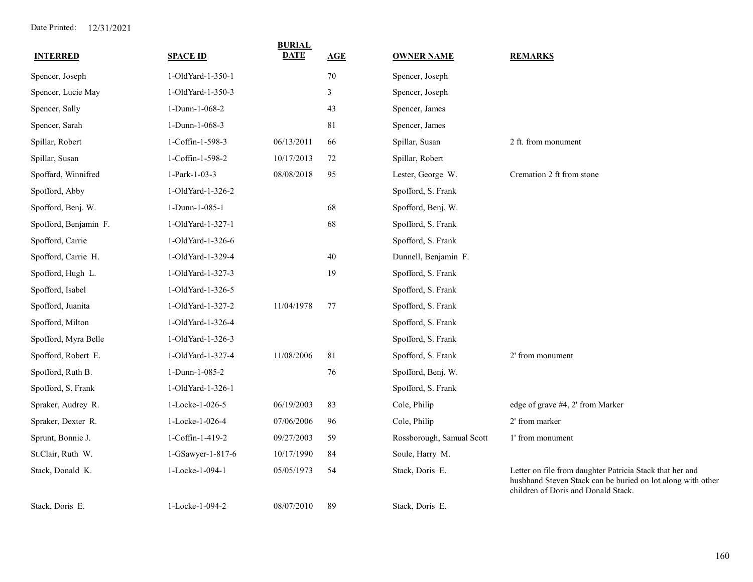| <b>INTERRED</b>       | <b>SPACE ID</b>   | <b>BURIAL</b><br>DATE | AGE    | <b>OWNER NAME</b>         | <b>REMARKS</b>                                                                                                                                                 |
|-----------------------|-------------------|-----------------------|--------|---------------------------|----------------------------------------------------------------------------------------------------------------------------------------------------------------|
| Spencer, Joseph       | 1-OldYard-1-350-1 |                       | $70\,$ | Spencer, Joseph           |                                                                                                                                                                |
| Spencer, Lucie May    | 1-OldYard-1-350-3 |                       | 3      | Spencer, Joseph           |                                                                                                                                                                |
| Spencer, Sally        | 1-Dunn-1-068-2    |                       | 43     | Spencer, James            |                                                                                                                                                                |
| Spencer, Sarah        | 1-Dunn-1-068-3    |                       | 81     | Spencer, James            |                                                                                                                                                                |
| Spillar, Robert       | 1-Coffin-1-598-3  | 06/13/2011            | 66     | Spillar, Susan            | 2 ft. from monument                                                                                                                                            |
| Spillar, Susan        | 1-Coffin-1-598-2  | 10/17/2013            | 72     | Spillar, Robert           |                                                                                                                                                                |
| Spoffard, Winnifred   | 1-Park-1-03-3     | 08/08/2018            | 95     | Lester, George W.         | Cremation 2 ft from stone                                                                                                                                      |
| Spofford, Abby        | 1-OldYard-1-326-2 |                       |        | Spofford, S. Frank        |                                                                                                                                                                |
| Spofford, Benj. W.    | 1-Dunn-1-085-1    |                       | 68     | Spofford, Benj. W.        |                                                                                                                                                                |
| Spofford, Benjamin F. | 1-OldYard-1-327-1 |                       | 68     | Spofford, S. Frank        |                                                                                                                                                                |
| Spofford, Carrie      | 1-OldYard-1-326-6 |                       |        | Spofford, S. Frank        |                                                                                                                                                                |
| Spofford, Carrie H.   | 1-OldYard-1-329-4 |                       | 40     | Dunnell, Benjamin F.      |                                                                                                                                                                |
| Spofford, Hugh L.     | 1-OldYard-1-327-3 |                       | 19     | Spofford, S. Frank        |                                                                                                                                                                |
| Spofford, Isabel      | 1-OldYard-1-326-5 |                       |        | Spofford, S. Frank        |                                                                                                                                                                |
| Spofford, Juanita     | 1-OldYard-1-327-2 | 11/04/1978            | 77     | Spofford, S. Frank        |                                                                                                                                                                |
| Spofford, Milton      | 1-OldYard-1-326-4 |                       |        | Spofford, S. Frank        |                                                                                                                                                                |
| Spofford, Myra Belle  | 1-OldYard-1-326-3 |                       |        | Spofford, S. Frank        |                                                                                                                                                                |
| Spofford, Robert E.   | 1-OldYard-1-327-4 | 11/08/2006            | 81     | Spofford, S. Frank        | 2' from monument                                                                                                                                               |
| Spofford, Ruth B.     | 1-Dunn-1-085-2    |                       | 76     | Spofford, Benj. W.        |                                                                                                                                                                |
| Spofford, S. Frank    | 1-OldYard-1-326-1 |                       |        | Spofford, S. Frank        |                                                                                                                                                                |
| Spraker, Audrey R.    | 1-Locke-1-026-5   | 06/19/2003            | 83     | Cole, Philip              | edge of grave #4, 2' from Marker                                                                                                                               |
| Spraker, Dexter R.    | 1-Locke-1-026-4   | 07/06/2006            | 96     | Cole, Philip              | 2' from marker                                                                                                                                                 |
| Sprunt, Bonnie J.     | 1-Coffin-1-419-2  | 09/27/2003            | 59     | Rossborough, Samual Scott | 1' from monument                                                                                                                                               |
| St.Clair, Ruth W.     | 1-GSawyer-1-817-6 | 10/17/1990            | 84     | Soule, Harry M.           |                                                                                                                                                                |
| Stack, Donald K.      | 1-Locke-1-094-1   | 05/05/1973            | 54     | Stack, Doris E.           | Letter on file from daughter Patricia Stack that her and<br>husbhand Steven Stack can be buried on lot along with other<br>children of Doris and Donald Stack. |
| Stack, Doris E.       | 1-Locke-1-094-2   | 08/07/2010            | 89     | Stack, Doris E.           |                                                                                                                                                                |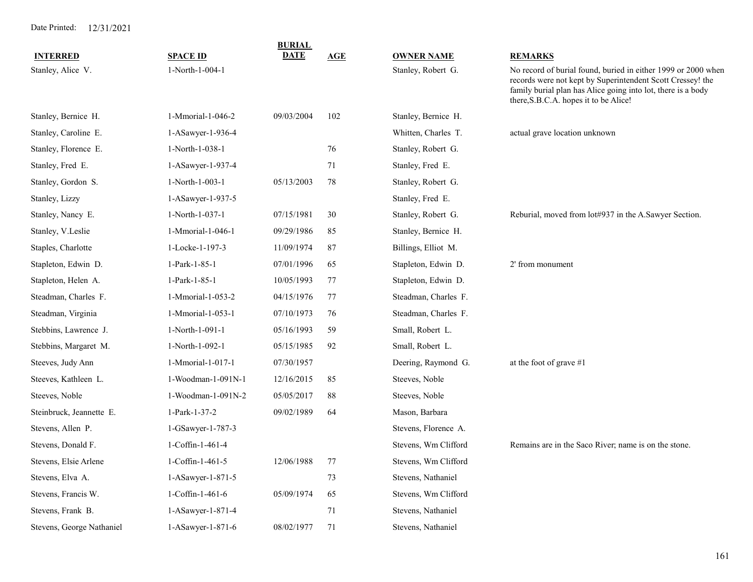|                           |                    | <b>BURIAL</b> |     |                      |                                                                                                                                                                                                                                      |
|---------------------------|--------------------|---------------|-----|----------------------|--------------------------------------------------------------------------------------------------------------------------------------------------------------------------------------------------------------------------------------|
| <b>INTERRED</b>           | <b>SPACE ID</b>    | DATE          | AGE | <b>OWNER NAME</b>    | <b>REMARKS</b>                                                                                                                                                                                                                       |
| Stanley, Alice V.         | 1-North-1-004-1    |               |     | Stanley, Robert G.   | No record of burial found, buried in either 1999 or 2000 when<br>records were not kept by Superintendent Scott Cressey! the<br>family burial plan has Alice going into lot, there is a body<br>there, S.B.C.A. hopes it to be Alice! |
| Stanley, Bernice H.       | 1-Mmorial-1-046-2  | 09/03/2004    | 102 | Stanley, Bernice H.  |                                                                                                                                                                                                                                      |
| Stanley, Caroline E.      | 1-ASawyer-1-936-4  |               |     | Whitten, Charles T.  | actual grave location unknown                                                                                                                                                                                                        |
| Stanley, Florence E.      | 1-North-1-038-1    |               | 76  | Stanley, Robert G.   |                                                                                                                                                                                                                                      |
| Stanley, Fred E.          | 1-ASawyer-1-937-4  |               | 71  | Stanley, Fred E.     |                                                                                                                                                                                                                                      |
| Stanley, Gordon S.        | 1-North-1-003-1    | 05/13/2003    | 78  | Stanley, Robert G.   |                                                                                                                                                                                                                                      |
| Stanley, Lizzy            | 1-ASawyer-1-937-5  |               |     | Stanley, Fred E.     |                                                                                                                                                                                                                                      |
| Stanley, Nancy E.         | 1-North-1-037-1    | 07/15/1981    | 30  | Stanley, Robert G.   | Reburial, moved from lot#937 in the A.Sawyer Section.                                                                                                                                                                                |
| Stanley, V.Leslie         | 1-Mmorial-1-046-1  | 09/29/1986    | 85  | Stanley, Bernice H.  |                                                                                                                                                                                                                                      |
| Staples, Charlotte        | 1-Locke-1-197-3    | 11/09/1974    | 87  | Billings, Elliot M.  |                                                                                                                                                                                                                                      |
| Stapleton, Edwin D.       | 1-Park-1-85-1      | 07/01/1996    | 65  | Stapleton, Edwin D.  | 2' from monument                                                                                                                                                                                                                     |
| Stapleton, Helen A.       | 1-Park-1-85-1      | 10/05/1993    | 77  | Stapleton, Edwin D.  |                                                                                                                                                                                                                                      |
| Steadman, Charles F.      | 1-Mmorial-1-053-2  | 04/15/1976    | 77  | Steadman, Charles F. |                                                                                                                                                                                                                                      |
| Steadman, Virginia        | 1-Mmorial-1-053-1  | 07/10/1973    | 76  | Steadman, Charles F. |                                                                                                                                                                                                                                      |
| Stebbins, Lawrence J.     | 1-North-1-091-1    | 05/16/1993    | 59  | Small, Robert L.     |                                                                                                                                                                                                                                      |
| Stebbins, Margaret M.     | 1-North-1-092-1    | 05/15/1985    | 92  | Small, Robert L.     |                                                                                                                                                                                                                                      |
| Steeves, Judy Ann         | 1-Mmorial-1-017-1  | 07/30/1957    |     | Deering, Raymond G.  | at the foot of grave #1                                                                                                                                                                                                              |
| Steeves, Kathleen L.      | 1-Woodman-1-091N-1 | 12/16/2015    | 85  | Steeves, Noble       |                                                                                                                                                                                                                                      |
| Steeves, Noble            | 1-Woodman-1-091N-2 | 05/05/2017    | 88  | Steeves, Noble       |                                                                                                                                                                                                                                      |
| Steinbruck, Jeannette E.  | 1-Park-1-37-2      | 09/02/1989    | 64  | Mason, Barbara       |                                                                                                                                                                                                                                      |
| Stevens, Allen P.         | 1-GSawyer-1-787-3  |               |     | Stevens, Florence A. |                                                                                                                                                                                                                                      |
| Stevens, Donald F.        | 1-Coffin-1-461-4   |               |     | Stevens, Wm Clifford | Remains are in the Saco River; name is on the stone.                                                                                                                                                                                 |
| Stevens, Elsie Arlene     | 1-Coffin-1-461-5   | 12/06/1988    | 77  | Stevens, Wm Clifford |                                                                                                                                                                                                                                      |
| Stevens, Elva A.          | 1-ASawyer-1-871-5  |               | 73  | Stevens, Nathaniel   |                                                                                                                                                                                                                                      |
| Stevens, Francis W.       | 1-Coffin-1-461-6   | 05/09/1974    | 65  | Stevens, Wm Clifford |                                                                                                                                                                                                                                      |
| Stevens, Frank B.         | 1-ASawyer-1-871-4  |               | 71  | Stevens, Nathaniel   |                                                                                                                                                                                                                                      |
| Stevens, George Nathaniel | 1-ASawyer-1-871-6  | 08/02/1977    | 71  | Stevens, Nathaniel   |                                                                                                                                                                                                                                      |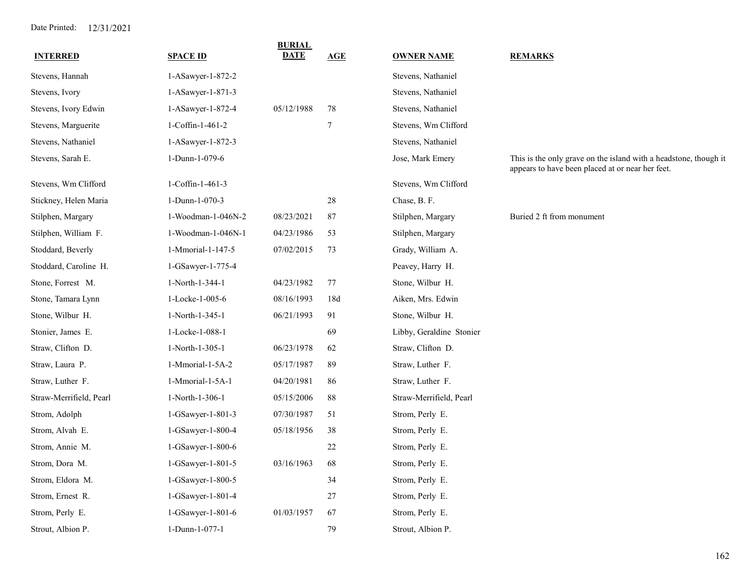| <b>INTERRED</b>         | <b>SPACE ID</b>     | <b>BURIAL</b><br>DATE | AGE    | <b>OWNER NAME</b>        | <b>REMARKS</b>                                                                                                       |
|-------------------------|---------------------|-----------------------|--------|--------------------------|----------------------------------------------------------------------------------------------------------------------|
| Stevens, Hannah         | $1-ASawyer-1-872-2$ |                       |        | Stevens, Nathaniel       |                                                                                                                      |
| Stevens, Ivory          | 1-ASawyer-1-871-3   |                       |        | Stevens, Nathaniel       |                                                                                                                      |
| Stevens, Ivory Edwin    | 1-ASawyer-1-872-4   | 05/12/1988            | 78     | Stevens, Nathaniel       |                                                                                                                      |
| Stevens, Marguerite     | 1-Coffin-1-461-2    |                       | $\tau$ | Stevens, Wm Clifford     |                                                                                                                      |
| Stevens, Nathaniel      | 1-ASawyer-1-872-3   |                       |        | Stevens, Nathaniel       |                                                                                                                      |
| Stevens, Sarah E.       | 1-Dunn-1-079-6      |                       |        | Jose, Mark Emery         | This is the only grave on the island with a headstone, though it<br>appears to have been placed at or near her feet. |
| Stevens, Wm Clifford    | 1-Coffin-1-461-3    |                       |        | Stevens, Wm Clifford     |                                                                                                                      |
| Stickney, Helen Maria   | 1-Dunn-1-070-3      |                       | 28     | Chase, B. F.             |                                                                                                                      |
| Stilphen, Margary       | 1-Woodman-1-046N-2  | 08/23/2021            | 87     | Stilphen, Margary        | Buried 2 ft from monument                                                                                            |
| Stilphen, William F.    | 1-Woodman-1-046N-1  | 04/23/1986            | 53     | Stilphen, Margary        |                                                                                                                      |
| Stoddard, Beverly       | 1-Mmorial-1-147-5   | 07/02/2015            | 73     | Grady, William A.        |                                                                                                                      |
| Stoddard, Caroline H.   | 1-GSawyer-1-775-4   |                       |        | Peavey, Harry H.         |                                                                                                                      |
| Stone, Forrest M.       | 1-North-1-344-1     | 04/23/1982            | 77     | Stone, Wilbur H.         |                                                                                                                      |
| Stone, Tamara Lynn      | 1-Locke-1-005-6     | 08/16/1993            | 18d    | Aiken, Mrs. Edwin        |                                                                                                                      |
| Stone, Wilbur H.        | 1-North-1-345-1     | 06/21/1993            | 91     | Stone, Wilbur H.         |                                                                                                                      |
| Stonier, James E.       | 1-Locke-1-088-1     |                       | 69     | Libby, Geraldine Stonier |                                                                                                                      |
| Straw, Clifton D.       | 1-North-1-305-1     | 06/23/1978            | 62     | Straw, Clifton D.        |                                                                                                                      |
| Straw, Laura P.         | 1-Mmorial-1-5A-2    | 05/17/1987            | 89     | Straw, Luther F.         |                                                                                                                      |
| Straw, Luther F.        | 1-Mmorial-1-5A-1    | 04/20/1981            | 86     | Straw, Luther F.         |                                                                                                                      |
| Straw-Merrifield, Pearl | 1-North-1-306-1     | 05/15/2006            | 88     | Straw-Merrifield, Pearl  |                                                                                                                      |
| Strom, Adolph           | 1-GSawyer-1-801-3   | 07/30/1987            | 51     | Strom, Perly E.          |                                                                                                                      |
| Strom, Alvah E.         | 1-GSawyer-1-800-4   | 05/18/1956            | 38     | Strom, Perly E.          |                                                                                                                      |
| Strom, Annie M.         | 1-GSawyer-1-800-6   |                       | 22     | Strom, Perly E.          |                                                                                                                      |
| Strom, Dora M.          | 1-GSawyer-1-801-5   | 03/16/1963            | 68     | Strom, Perly E.          |                                                                                                                      |
| Strom, Eldora M.        | 1-GSawyer-1-800-5   |                       | 34     | Strom, Perly E.          |                                                                                                                      |
| Strom, Ernest R.        | 1-GSawyer-1-801-4   |                       | 27     | Strom, Perly E.          |                                                                                                                      |
| Strom, Perly E.         | 1-GSawyer-1-801-6   | 01/03/1957            | 67     | Strom, Perly E.          |                                                                                                                      |
| Strout, Albion P.       | 1-Dunn-1-077-1      |                       | 79     | Strout, Albion P.        |                                                                                                                      |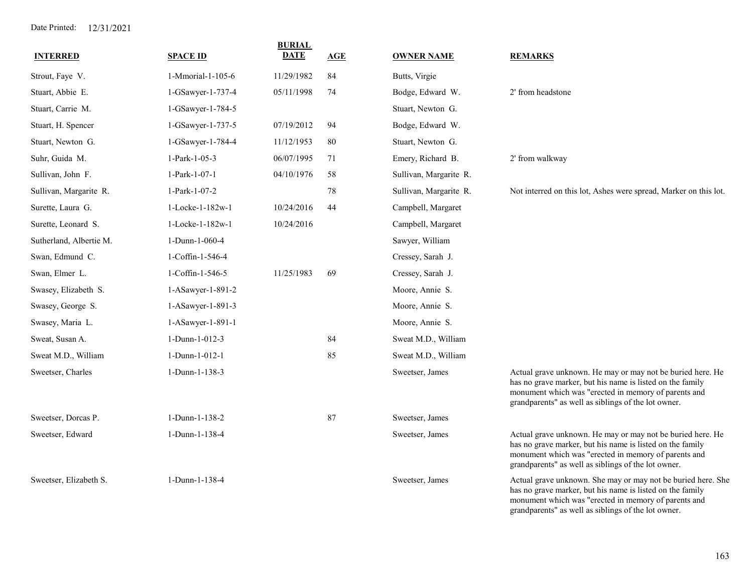| <b>INTERRED</b>         | <b>SPACE ID</b>             | <b>BURIAL</b><br><b>DATE</b> | <b>AGE</b> | <b>OWNER NAME</b>      | <b>REMARKS</b>                                                                                                                                                                                                                         |
|-------------------------|-----------------------------|------------------------------|------------|------------------------|----------------------------------------------------------------------------------------------------------------------------------------------------------------------------------------------------------------------------------------|
| Strout, Faye V.         | 1-Mmorial-1-105-6           | 11/29/1982                   | 84         | Butts, Virgie          |                                                                                                                                                                                                                                        |
| Stuart, Abbie E.        | 1-GSawyer-1-737-4           | 05/11/1998                   | 74         | Bodge, Edward W.       | 2' from headstone                                                                                                                                                                                                                      |
| Stuart, Carrie M.       | 1-GSawyer-1-784-5           |                              |            | Stuart, Newton G.      |                                                                                                                                                                                                                                        |
| Stuart, H. Spencer      | 1-GSawyer-1-737-5           | 07/19/2012                   | 94         | Bodge, Edward W.       |                                                                                                                                                                                                                                        |
| Stuart, Newton G.       | 1-GSawyer-1-784-4           | 11/12/1953                   | 80         | Stuart, Newton G.      |                                                                                                                                                                                                                                        |
| Suhr, Guida M.          | 1-Park-1-05-3               | 06/07/1995                   | 71         | Emery, Richard B.      | 2' from walkway                                                                                                                                                                                                                        |
| Sullivan, John F.       | 1-Park-1-07-1               | 04/10/1976                   | 58         | Sullivan, Margarite R. |                                                                                                                                                                                                                                        |
| Sullivan, Margarite R.  | 1-Park-1-07-2               |                              | 78         | Sullivan, Margarite R. | Not interred on this lot, Ashes were spread, Marker on this lot.                                                                                                                                                                       |
| Surette, Laura G.       | $1 - \text{Locke-1-182w-1}$ | 10/24/2016                   | 44         | Campbell, Margaret     |                                                                                                                                                                                                                                        |
| Surette, Leonard S.     | 1-Locke-1-182w-1            | 10/24/2016                   |            | Campbell, Margaret     |                                                                                                                                                                                                                                        |
| Sutherland, Albertie M. | 1-Dunn-1-060-4              |                              |            | Sawyer, William        |                                                                                                                                                                                                                                        |
| Swan, Edmund C.         | 1-Coffin-1-546-4            |                              |            | Cressey, Sarah J.      |                                                                                                                                                                                                                                        |
| Swan, Elmer L.          | 1-Coffin-1-546-5            | 11/25/1983                   | 69         | Cressey, Sarah J.      |                                                                                                                                                                                                                                        |
| Swasey, Elizabeth S.    | 1-ASawyer-1-891-2           |                              |            | Moore, Annie S.        |                                                                                                                                                                                                                                        |
| Swasey, George S.       | 1-ASawyer-1-891-3           |                              |            | Moore, Annie S.        |                                                                                                                                                                                                                                        |
| Swasey, Maria L.        | 1-ASawyer-1-891-1           |                              |            | Moore, Annie S.        |                                                                                                                                                                                                                                        |
| Sweat, Susan A.         | 1-Dunn-1-012-3              |                              | 84         | Sweat M.D., William    |                                                                                                                                                                                                                                        |
| Sweat M.D., William     | 1-Dunn-1-012-1              |                              | 85         | Sweat M.D., William    |                                                                                                                                                                                                                                        |
| Sweetser, Charles       | 1-Dunn-1-138-3              |                              |            | Sweetser, James        | Actual grave unknown. He may or may not be buried here. He<br>has no grave marker, but his name is listed on the family<br>monument which was "erected in memory of parents and<br>grandparents" as well as siblings of the lot owner. |
| Sweetser, Dorcas P.     | 1-Dunn-1-138-2              |                              | 87         | Sweetser, James        |                                                                                                                                                                                                                                        |
| Sweetser, Edward        | 1-Dunn-1-138-4              |                              |            | Sweetser, James        | Actual grave unknown. He may or may not be buried here. He<br>has no grave marker, but his name is listed on the family<br>monument which was "erected in memory of parents and<br>grandparents" as well as siblings of the lot owner. |
| Sweetser, Elizabeth S.  | 1-Dunn-1-138-4              |                              |            | Sweetser, James        | Actual grave unknown. She may or may not be buried here. She<br>has no grave marker, but his name is listed on the family<br>monument which was "erected in memory of parents and                                                      |

grandparents" as well as siblings of the lot owner.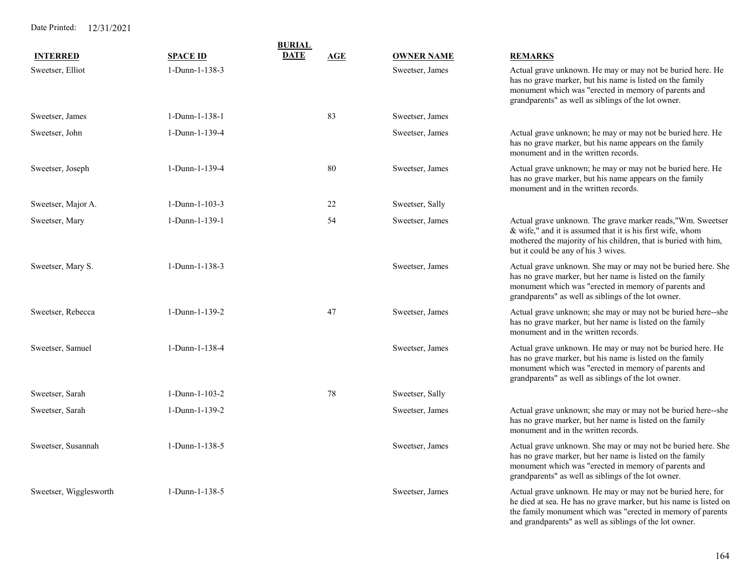|                        |                  | <b>BURIAL</b> |            |                   |                                                                                                                                                                                                                                          |
|------------------------|------------------|---------------|------------|-------------------|------------------------------------------------------------------------------------------------------------------------------------------------------------------------------------------------------------------------------------------|
| <b>INTERRED</b>        | <b>SPACE ID</b>  | <b>DATE</b>   | <b>AGE</b> | <b>OWNER NAME</b> | <b>REMARKS</b>                                                                                                                                                                                                                           |
| Sweetser, Elliot       | 1-Dunn-1-138-3   |               |            | Sweetser, James   | Actual grave unknown. He may or may not be buried here. He<br>has no grave marker, but his name is listed on the family<br>monument which was "erected in memory of parents and<br>grandparents" as well as siblings of the lot owner.   |
| Sweetser, James        | 1-Dunn-1-138-1   |               | 83         | Sweetser, James   |                                                                                                                                                                                                                                          |
| Sweetser, John         | 1-Dunn-1-139-4   |               |            | Sweetser, James   | Actual grave unknown; he may or may not be buried here. He<br>has no grave marker, but his name appears on the family<br>monument and in the written records.                                                                            |
| Sweetser, Joseph       | 1-Dunn-1-139-4   |               | $80\,$     | Sweetser, James   | Actual grave unknown; he may or may not be buried here. He<br>has no grave marker, but his name appears on the family<br>monument and in the written records.                                                                            |
| Sweetser, Major A.     | $1-Dunn-1-103-3$ |               | 22         | Sweetser, Sally   |                                                                                                                                                                                                                                          |
| Sweetser, Mary         | $1-Dunn-1-139-1$ |               | 54         | Sweetser, James   | Actual grave unknown. The grave marker reads,"Wm. Sweetser<br>& wife," and it is assumed that it is his first wife, whom<br>mothered the majority of his children, that is buried with him,<br>but it could be any of his 3 wives.       |
| Sweetser, Mary S.      | $1-Dunn-1-138-3$ |               |            | Sweetser, James   | Actual grave unknown. She may or may not be buried here. She<br>has no grave marker, but her name is listed on the family<br>monument which was "erected in memory of parents and<br>grandparents" as well as siblings of the lot owner. |
| Sweetser, Rebecca      | 1-Dunn-1-139-2   |               | 47         | Sweetser, James   | Actual grave unknown; she may or may not be buried here--she<br>has no grave marker, but her name is listed on the family<br>monument and in the written records.                                                                        |
| Sweetser, Samuel       | 1-Dunn-1-138-4   |               |            | Sweetser, James   | Actual grave unknown. He may or may not be buried here. He<br>has no grave marker, but his name is listed on the family<br>monument which was "erected in memory of parents and<br>grandparents" as well as siblings of the lot owner.   |
| Sweetser, Sarah        | $1-Dunn-1-103-2$ |               | 78         | Sweetser, Sally   |                                                                                                                                                                                                                                          |
| Sweetser, Sarah        | 1-Dunn-1-139-2   |               |            | Sweetser, James   | Actual grave unknown; she may or may not be buried here--she<br>has no grave marker, but her name is listed on the family<br>monument and in the written records.                                                                        |
| Sweetser, Susannah     | $1-Dunn-1-138-5$ |               |            | Sweetser, James   | Actual grave unknown. She may or may not be buried here. She<br>has no grave marker, but her name is listed on the family<br>monument which was "erected in memory of parents and<br>grandparents" as well as siblings of the lot owner. |
| Sweetser, Wigglesworth | $1-Dunn-1-138-5$ |               |            | Sweetser, James   | Actual grave unknown. He may or may not be buried here, for<br>he died at sea. He has no grave marker, but his name is listed on<br>the family monument which was "erected in memory of parents                                          |

and grandparents" as well as siblings of the lot owner.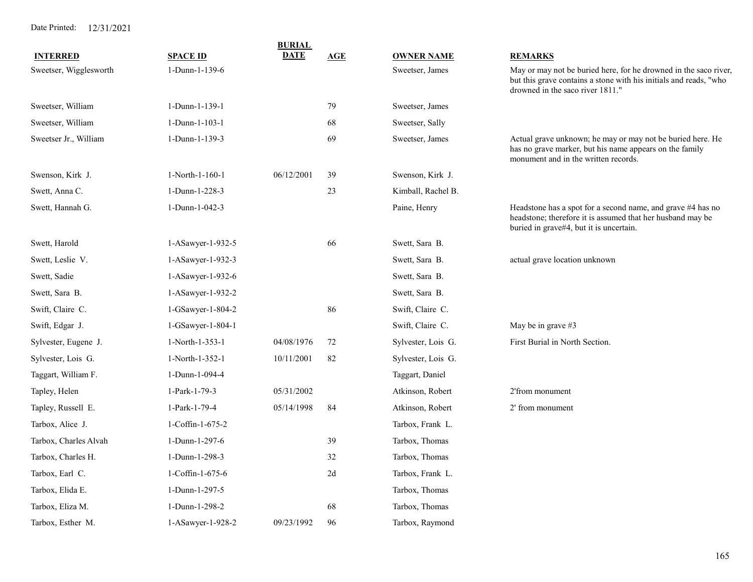| <b>INTERRED</b>        | <b>SPACE ID</b>         | BURIAL<br><b>DATE</b> | AGE | <b>OWNER NAME</b>  | <u>REMARKS</u>                                                                                                                                                            |
|------------------------|-------------------------|-----------------------|-----|--------------------|---------------------------------------------------------------------------------------------------------------------------------------------------------------------------|
| Sweetser, Wigglesworth | 1-Dunn-1-139-6          |                       |     | Sweetser, James    | May or may not be buried here, for he drowned in the saco river,<br>but this grave contains a stone with his initials and reads, "who<br>drowned in the saco river 1811." |
| Sweetser, William      | 1-Dunn-1-139-1          |                       | 79  | Sweetser, James    |                                                                                                                                                                           |
| Sweetser, William      | 1-Dunn-1-103-1          |                       | 68  | Sweetser, Sally    |                                                                                                                                                                           |
| Sweetser Jr., William  | 1-Dunn-1-139-3          |                       | 69  | Sweetser, James    | Actual grave unknown; he may or may not be buried here. He<br>has no grave marker, but his name appears on the family<br>monument and in the written records.             |
| Swenson, Kirk J.       | 1-North-1-160-1         | 06/12/2001            | 39  | Swenson, Kirk J.   |                                                                                                                                                                           |
| Swett, Anna C.         | 1-Dunn-1-228-3          |                       | 23  | Kimball, Rachel B. |                                                                                                                                                                           |
| Swett, Hannah G.       | 1-Dunn-1-042-3          |                       |     | Paine, Henry       | Headstone has a spot for a second name, and grave #4 has no<br>headstone; therefore it is assumed that her husband may be<br>buried in grave#4, but it is uncertain.      |
| Swett, Harold          | 1-ASawyer-1-932-5       |                       | 66  | Swett, Sara B.     |                                                                                                                                                                           |
| Swett, Leslie V.       | 1-ASawyer-1-932-3       |                       |     | Swett, Sara B.     | actual grave location unknown                                                                                                                                             |
| Swett, Sadie           | 1-ASawyer-1-932-6       |                       |     | Swett, Sara B.     |                                                                                                                                                                           |
| Swett, Sara B.         | 1-ASawyer-1-932-2       |                       |     | Swett, Sara B.     |                                                                                                                                                                           |
| Swift, Claire C.       | 1-GSawyer-1-804-2       |                       | 86  | Swift, Claire C.   |                                                                                                                                                                           |
| Swift, Edgar J.        | 1-GSawyer-1-804-1       |                       |     | Swift, Claire C.   | May be in grave #3                                                                                                                                                        |
| Sylvester, Eugene J.   | 1-North-1-353-1         | 04/08/1976            | 72  | Sylvester, Lois G. | First Burial in North Section.                                                                                                                                            |
| Sylvester, Lois G.     | 1-North-1-352-1         | 10/11/2001            | 82  | Sylvester, Lois G. |                                                                                                                                                                           |
| Taggart, William F.    | 1-Dunn-1-094-4          |                       |     | Taggart, Daniel    |                                                                                                                                                                           |
| Tapley, Helen          | 1-Park-1-79-3           | 05/31/2002            |     | Atkinson, Robert   | 2'from monument                                                                                                                                                           |
| Tapley, Russell E.     | 1-Park-1-79-4           | 05/14/1998            | 84  | Atkinson, Robert   | 2' from monument                                                                                                                                                          |
| Tarbox, Alice J.       | $1$ -Coffin- $1$ -675-2 |                       |     | Tarbox, Frank L.   |                                                                                                                                                                           |
| Tarbox, Charles Alvah  | 1-Dunn-1-297-6          |                       | 39  | Tarbox, Thomas     |                                                                                                                                                                           |
| Tarbox, Charles H.     | 1-Dunn-1-298-3          |                       | 32  | Tarbox, Thomas     |                                                                                                                                                                           |
| Tarbox, Earl C.        | 1-Coffin-1-675-6        |                       | 2d  | Tarbox, Frank L.   |                                                                                                                                                                           |
| Tarbox, Elida E.       | 1-Dunn-1-297-5          |                       |     | Tarbox, Thomas     |                                                                                                                                                                           |
| Tarbox, Eliza M.       | 1-Dunn-1-298-2          |                       | 68  | Tarbox, Thomas     |                                                                                                                                                                           |
| Tarbox, Esther M.      | 1-ASawyer-1-928-2       | 09/23/1992            | 96  | Tarbox, Raymond    |                                                                                                                                                                           |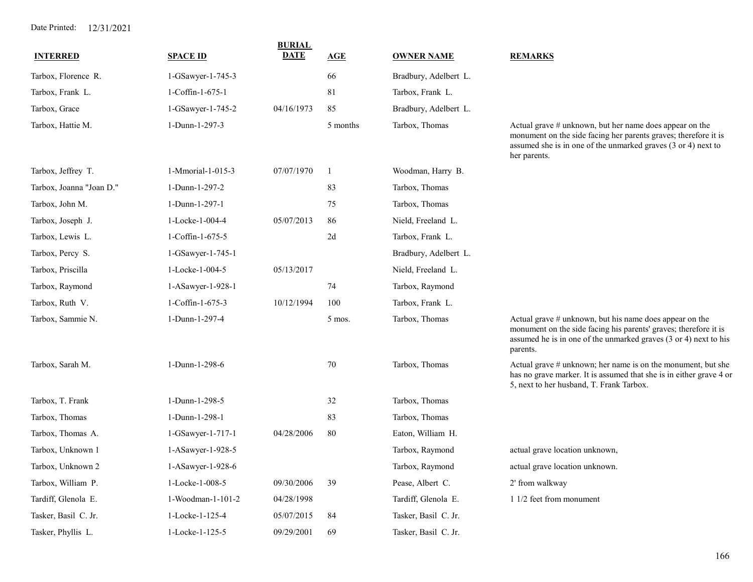| <b>INTERRED</b>          | <b>SPACE ID</b>   | <b>BURIAL</b><br><b>DATE</b> | <u>AGE</u>   | <b>OWNER NAME</b>     | <b>REMARKS</b>                                                                                                                                                                                              |
|--------------------------|-------------------|------------------------------|--------------|-----------------------|-------------------------------------------------------------------------------------------------------------------------------------------------------------------------------------------------------------|
|                          |                   |                              |              |                       |                                                                                                                                                                                                             |
| Tarbox, Florence R.      | 1-GSawyer-1-745-3 |                              | 66           | Bradbury, Adelbert L. |                                                                                                                                                                                                             |
| Tarbox, Frank L.         | 1-Coffin-1-675-1  |                              | 81           | Tarbox, Frank L.      |                                                                                                                                                                                                             |
| Tarbox, Grace            | 1-GSawyer-1-745-2 | 04/16/1973                   | 85           | Bradbury, Adelbert L. |                                                                                                                                                                                                             |
| Tarbox, Hattie M.        | 1-Dunn-1-297-3    |                              | 5 months     | Tarbox, Thomas        | Actual grave # unknown, but her name does appear on the<br>monument on the side facing her parents graves; therefore it is<br>assumed she is in one of the unmarked graves (3 or 4) next to<br>her parents. |
| Tarbox, Jeffrey T.       | 1-Mmorial-1-015-3 | 07/07/1970                   | $\mathbf{1}$ | Woodman, Harry B.     |                                                                                                                                                                                                             |
| Tarbox, Joanna "Joan D." | 1-Dunn-1-297-2    |                              | 83           | Tarbox, Thomas        |                                                                                                                                                                                                             |
| Tarbox, John M.          | 1-Dunn-1-297-1    |                              | 75           | Tarbox, Thomas        |                                                                                                                                                                                                             |
| Tarbox, Joseph J.        | 1-Locke-1-004-4   | 05/07/2013                   | 86           | Nield, Freeland L.    |                                                                                                                                                                                                             |
| Tarbox, Lewis L.         | 1-Coffin-1-675-5  |                              | 2d           | Tarbox, Frank L.      |                                                                                                                                                                                                             |
| Tarbox, Percy S.         | 1-GSawyer-1-745-1 |                              |              | Bradbury, Adelbert L. |                                                                                                                                                                                                             |
| Tarbox, Priscilla        | 1-Locke-1-004-5   | 05/13/2017                   |              | Nield, Freeland L.    |                                                                                                                                                                                                             |
| Tarbox, Raymond          | 1-ASawyer-1-928-1 |                              | 74           | Tarbox, Raymond       |                                                                                                                                                                                                             |
| Tarbox, Ruth V.          | 1-Coffin-1-675-3  | 10/12/1994                   | 100          | Tarbox, Frank L.      |                                                                                                                                                                                                             |
| Tarbox, Sammie N.        | 1-Dunn-1-297-4    |                              | 5 mos.       | Tarbox, Thomas        | Actual grave # unknown, but his name does appear on the<br>monument on the side facing his parents' graves; therefore it is<br>assumed he is in one of the unmarked graves (3 or 4) next to his<br>parents. |
| Tarbox, Sarah M.         | 1-Dunn-1-298-6    |                              | 70           | Tarbox, Thomas        | Actual grave # unknown; her name is on the monument, but she<br>has no grave marker. It is assumed that she is in either grave 4 or<br>5, next to her husband, T. Frank Tarbox.                             |
| Tarbox, T. Frank         | 1-Dunn-1-298-5    |                              | 32           | Tarbox, Thomas        |                                                                                                                                                                                                             |
| Tarbox, Thomas           | 1-Dunn-1-298-1    |                              | 83           | Tarbox, Thomas        |                                                                                                                                                                                                             |
| Tarbox, Thomas A.        | 1-GSawyer-1-717-1 | 04/28/2006                   | 80           | Eaton, William H.     |                                                                                                                                                                                                             |
| Tarbox, Unknown 1        | 1-ASawyer-1-928-5 |                              |              | Tarbox, Raymond       | actual grave location unknown,                                                                                                                                                                              |
| Tarbox, Unknown 2        | 1-ASawyer-1-928-6 |                              |              | Tarbox, Raymond       | actual grave location unknown.                                                                                                                                                                              |
| Tarbox, William P.       | 1-Locke-1-008-5   | 09/30/2006                   | 39           | Pease, Albert C.      | 2' from walkway                                                                                                                                                                                             |
| Tardiff, Glenola E.      | 1-Woodman-1-101-2 | 04/28/1998                   |              | Tardiff, Glenola E.   | 1 1/2 feet from monument                                                                                                                                                                                    |
| Tasker, Basil C. Jr.     | 1-Locke-1-125-4   | 05/07/2015                   | 84           | Tasker, Basil C. Jr.  |                                                                                                                                                                                                             |
| Tasker, Phyllis L.       | 1-Locke-1-125-5   | 09/29/2001                   | 69           | Tasker, Basil C. Jr.  |                                                                                                                                                                                                             |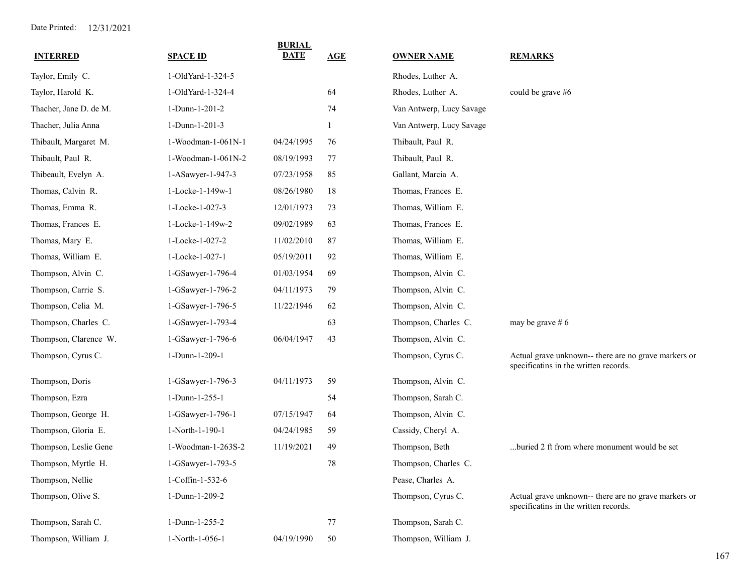| <b>INTERRED</b>        | <b>SPACE ID</b>    | <b>BURIAL</b><br><b>DATE</b> | AGE | <b>OWNER NAME</b>        | <b>REMARKS</b>                                                                                |
|------------------------|--------------------|------------------------------|-----|--------------------------|-----------------------------------------------------------------------------------------------|
| Taylor, Emily C.       | 1-OldYard-1-324-5  |                              |     | Rhodes, Luther A.        |                                                                                               |
| Taylor, Harold K.      | 1-OldYard-1-324-4  |                              | 64  | Rhodes, Luther A.        | could be grave #6                                                                             |
| Thacher, Jane D. de M. | 1-Dunn-1-201-2     |                              | 74  | Van Antwerp, Lucy Savage |                                                                                               |
| Thacher, Julia Anna    | 1-Dunn-1-201-3     |                              |     | Van Antwerp, Lucy Savage |                                                                                               |
| Thibault, Margaret M.  | 1-Woodman-1-061N-1 | 04/24/1995                   | 76  | Thibault, Paul R.        |                                                                                               |
| Thibault, Paul R.      | 1-Woodman-1-061N-2 | 08/19/1993                   | 77  | Thibault, Paul R.        |                                                                                               |
| Thibeault, Evelyn A.   | 1-ASawyer-1-947-3  | 07/23/1958                   | 85  | Gallant, Marcia A.       |                                                                                               |
| Thomas, Calvin R.      | 1-Locke-1-149w-1   | 08/26/1980                   | 18  | Thomas, Frances E.       |                                                                                               |
| Thomas, Emma R.        | 1-Locke-1-027-3    | 12/01/1973                   | 73  | Thomas, William E.       |                                                                                               |
| Thomas, Frances E.     | 1-Locke-1-149w-2   | 09/02/1989                   | 63  | Thomas, Frances E.       |                                                                                               |
| Thomas, Mary E.        | 1-Locke-1-027-2    | 11/02/2010                   | 87  | Thomas, William E.       |                                                                                               |
| Thomas, William E.     | 1-Locke-1-027-1    | 05/19/2011                   | 92  | Thomas, William E.       |                                                                                               |
| Thompson, Alvin C.     | 1-GSawyer-1-796-4  | 01/03/1954                   | 69  | Thompson, Alvin C.       |                                                                                               |
| Thompson, Carrie S.    | 1-GSawyer-1-796-2  | 04/11/1973                   | 79  | Thompson, Alvin C.       |                                                                                               |
| Thompson, Celia M.     | 1-GSawyer-1-796-5  | 11/22/1946                   | 62  | Thompson, Alvin C.       |                                                                                               |
| Thompson, Charles C.   | 1-GSawyer-1-793-4  |                              | 63  | Thompson, Charles C.     | may be grave $# 6$                                                                            |
| Thompson, Clarence W.  | 1-GSawyer-1-796-6  | 06/04/1947                   | 43  | Thompson, Alvin C.       |                                                                                               |
| Thompson, Cyrus C.     | 1-Dunn-1-209-1     |                              |     | Thompson, Cyrus C.       | Actual grave unknown-- there are no grave markers or<br>specificatins in the written records. |
| Thompson, Doris        | 1-GSawyer-1-796-3  | 04/11/1973                   | 59  | Thompson, Alvin C.       |                                                                                               |
| Thompson, Ezra         | 1-Dunn-1-255-1     |                              | 54  | Thompson, Sarah C.       |                                                                                               |
| Thompson, George H.    | 1-GSawyer-1-796-1  | 07/15/1947                   | 64  | Thompson, Alvin C.       |                                                                                               |
| Thompson, Gloria E.    | 1-North-1-190-1    | 04/24/1985                   | 59  | Cassidy, Cheryl A.       |                                                                                               |
| Thompson, Leslie Gene  | 1-Woodman-1-263S-2 | 11/19/2021                   | 49  | Thompson, Beth           | buried 2 ft from where monument would be set                                                  |
| Thompson, Myrtle H.    | 1-GSawyer-1-793-5  |                              | 78  | Thompson, Charles C.     |                                                                                               |
| Thompson, Nellie       | 1-Coffin-1-532-6   |                              |     | Pease, Charles A.        |                                                                                               |
| Thompson, Olive S.     | 1-Dunn-1-209-2     |                              |     | Thompson, Cyrus C.       | Actual grave unknown-- there are no grave markers or<br>specificatins in the written records. |
| Thompson, Sarah C.     | 1-Dunn-1-255-2     |                              | 77  | Thompson, Sarah C.       |                                                                                               |
| Thompson, William J.   | 1-North-1-056-1    | 04/19/1990                   | 50  | Thompson, William J.     |                                                                                               |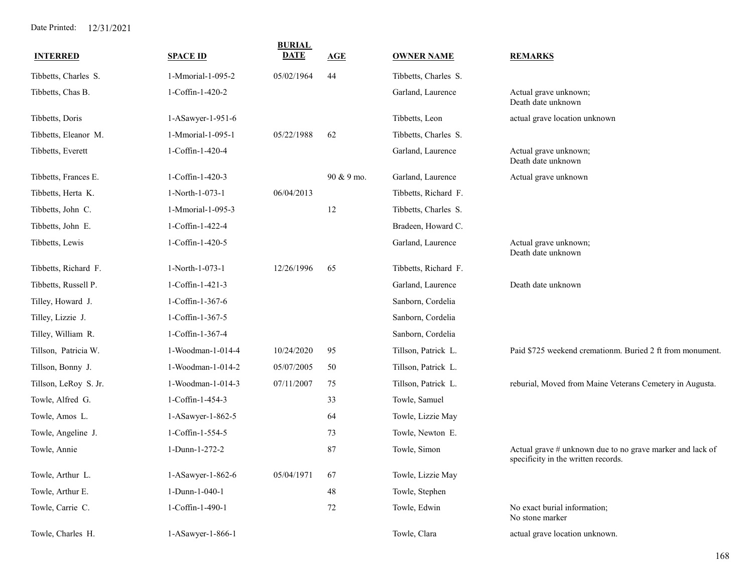| <b>INTERRED</b>       | <b>SPACE ID</b>   | <b>BURIAL</b><br><b>DATE</b> | AGE        | <b>OWNER NAME</b>    | <b>REMARKS</b>                                                                                   |
|-----------------------|-------------------|------------------------------|------------|----------------------|--------------------------------------------------------------------------------------------------|
| Tibbetts, Charles S.  | 1-Mmorial-1-095-2 | 05/02/1964                   | 44         | Tibbetts, Charles S. |                                                                                                  |
| Tibbetts, Chas B.     | 1-Coffin-1-420-2  |                              |            | Garland, Laurence    | Actual grave unknown;<br>Death date unknown                                                      |
| Tibbetts, Doris       | 1-ASawyer-1-951-6 |                              |            | Tibbetts, Leon       | actual grave location unknown                                                                    |
| Tibbetts, Eleanor M.  | 1-Mmorial-1-095-1 | 05/22/1988                   | 62         | Tibbetts, Charles S. |                                                                                                  |
| Tibbetts, Everett     | 1-Coffin-1-420-4  |                              |            | Garland, Laurence    | Actual grave unknown;<br>Death date unknown                                                      |
| Tibbetts, Frances E.  | 1-Coffin-1-420-3  |                              | 90 & 9 mo. | Garland, Laurence    | Actual grave unknown                                                                             |
| Tibbetts, Herta K.    | 1-North-1-073-1   | 06/04/2013                   |            | Tibbetts, Richard F. |                                                                                                  |
| Tibbetts, John C.     | 1-Mmorial-1-095-3 |                              | 12         | Tibbetts, Charles S. |                                                                                                  |
| Tibbetts, John E.     | 1-Coffin-1-422-4  |                              |            | Bradeen, Howard C.   |                                                                                                  |
| Tibbetts, Lewis       | 1-Coffin-1-420-5  |                              |            | Garland, Laurence    | Actual grave unknown;<br>Death date unknown                                                      |
| Tibbetts, Richard F.  | 1-North-1-073-1   | 12/26/1996                   | 65         | Tibbetts, Richard F. |                                                                                                  |
| Tibbetts, Russell P.  | 1-Coffin-1-421-3  |                              |            | Garland, Laurence    | Death date unknown                                                                               |
| Tilley, Howard J.     | 1-Coffin-1-367-6  |                              |            | Sanborn, Cordelia    |                                                                                                  |
| Tilley, Lizzie J.     | 1-Coffin-1-367-5  |                              |            | Sanborn, Cordelia    |                                                                                                  |
| Tilley, William R.    | 1-Coffin-1-367-4  |                              |            | Sanborn, Cordelia    |                                                                                                  |
| Tillson, Patricia W.  | 1-Woodman-1-014-4 | 10/24/2020                   | 95         | Tillson, Patrick L.  | Paid \$725 weekend cremationm. Buried 2 ft from monument.                                        |
| Tillson, Bonny J.     | 1-Woodman-1-014-2 | 05/07/2005                   | 50         | Tillson, Patrick L.  |                                                                                                  |
| Tillson, LeRoy S. Jr. | 1-Woodman-1-014-3 | 07/11/2007                   | 75         | Tillson, Patrick L.  | reburial, Moved from Maine Veterans Cemetery in Augusta.                                         |
| Towle, Alfred G.      | 1-Coffin-1-454-3  |                              | 33         | Towle, Samuel        |                                                                                                  |
| Towle, Amos L.        | 1-ASawyer-1-862-5 |                              | 64         | Towle, Lizzie May    |                                                                                                  |
| Towle, Angeline J.    | 1-Coffin-1-554-5  |                              | 73         | Towle, Newton E.     |                                                                                                  |
| Towle, Annie          | 1-Dunn-1-272-2    |                              | 87         | Towle, Simon         | Actual grave # unknown due to no grave marker and lack of<br>specificity in the written records. |
| Towle, Arthur L.      | 1-ASawyer-1-862-6 | 05/04/1971                   | 67         | Towle, Lizzie May    |                                                                                                  |
| Towle, Arthur E.      | 1-Dunn-1-040-1    |                              | $48\,$     | Towle, Stephen       |                                                                                                  |
| Towle, Carrie C.      | 1-Coffin-1-490-1  |                              | $72\,$     | Towle, Edwin         | No exact burial information;<br>No stone marker                                                  |
| Towle, Charles H.     | 1-ASawyer-1-866-1 |                              |            | Towle, Clara         | actual grave location unknown.                                                                   |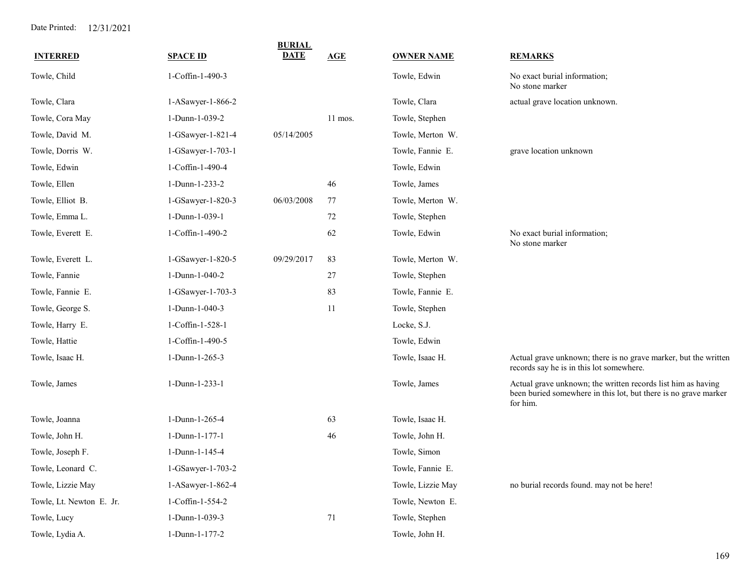| <b>INTERRED</b>          | <b>SPACE ID</b>   | <b>BURIAL</b><br><b>DATE</b> | AGE     | <b>OWNER NAME</b> | <b>REMARKS</b>                                                                                                                              |
|--------------------------|-------------------|------------------------------|---------|-------------------|---------------------------------------------------------------------------------------------------------------------------------------------|
| Towle, Child             | 1-Coffin-1-490-3  |                              |         | Towle, Edwin      | No exact burial information;<br>No stone marker                                                                                             |
| Towle, Clara             | 1-ASawyer-1-866-2 |                              |         | Towle, Clara      | actual grave location unknown.                                                                                                              |
| Towle, Cora May          | 1-Dunn-1-039-2    |                              | 11 mos. | Towle, Stephen    |                                                                                                                                             |
| Towle, David M.          | 1-GSawyer-1-821-4 | 05/14/2005                   |         | Towle, Merton W.  |                                                                                                                                             |
| Towle, Dorris W.         | 1-GSawyer-1-703-1 |                              |         | Towle, Fannie E.  | grave location unknown                                                                                                                      |
| Towle, Edwin             | 1-Coffin-1-490-4  |                              |         | Towle, Edwin      |                                                                                                                                             |
| Towle, Ellen             | 1-Dunn-1-233-2    |                              | 46      | Towle, James      |                                                                                                                                             |
| Towle, Elliot B.         | 1-GSawyer-1-820-3 | 06/03/2008                   | 77      | Towle, Merton W.  |                                                                                                                                             |
| Towle, Emma L.           | 1-Dunn-1-039-1    |                              | $72\,$  | Towle, Stephen    |                                                                                                                                             |
| Towle, Everett E.        | 1-Coffin-1-490-2  |                              | 62      | Towle, Edwin      | No exact burial information;<br>No stone marker                                                                                             |
| Towle, Everett L.        | 1-GSawyer-1-820-5 | 09/29/2017                   | 83      | Towle, Merton W.  |                                                                                                                                             |
| Towle, Fannie            | 1-Dunn-1-040-2    |                              | 27      | Towle, Stephen    |                                                                                                                                             |
| Towle, Fannie E.         | 1-GSawyer-1-703-3 |                              | 83      | Towle, Fannie E.  |                                                                                                                                             |
| Towle, George S.         | 1-Dunn-1-040-3    |                              | 11      | Towle, Stephen    |                                                                                                                                             |
| Towle, Harry E.          | 1-Coffin-1-528-1  |                              |         | Locke, S.J.       |                                                                                                                                             |
| Towle, Hattie            | 1-Coffin-1-490-5  |                              |         | Towle, Edwin      |                                                                                                                                             |
| Towle, Isaac H.          | 1-Dunn-1-265-3    |                              |         | Towle, Isaac H.   | Actual grave unknown; there is no grave marker, but the written<br>records say he is in this lot somewhere.                                 |
| Towle, James             | 1-Dunn-1-233-1    |                              |         | Towle, James      | Actual grave unknown; the written records list him as having<br>been buried somewhere in this lot, but there is no grave marker<br>for him. |
| Towle, Joanna            | 1-Dunn-1-265-4    |                              | 63      | Towle, Isaac H.   |                                                                                                                                             |
| Towle, John H.           | 1-Dunn-1-177-1    |                              | 46      | Towle, John H.    |                                                                                                                                             |
| Towle, Joseph F.         | 1-Dunn-1-145-4    |                              |         | Towle, Simon      |                                                                                                                                             |
| Towle, Leonard C.        | 1-GSawyer-1-703-2 |                              |         | Towle, Fannie E.  |                                                                                                                                             |
| Towle, Lizzie May        | 1-ASawyer-1-862-4 |                              |         | Towle, Lizzie May | no burial records found. may not be here!                                                                                                   |
| Towle, Lt. Newton E. Jr. | 1-Coffin-1-554-2  |                              |         | Towle, Newton E.  |                                                                                                                                             |
| Towle, Lucy              | 1-Dunn-1-039-3    |                              | 71      | Towle, Stephen    |                                                                                                                                             |
| Towle, Lydia A.          | 1-Dunn-1-177-2    |                              |         | Towle, John H.    |                                                                                                                                             |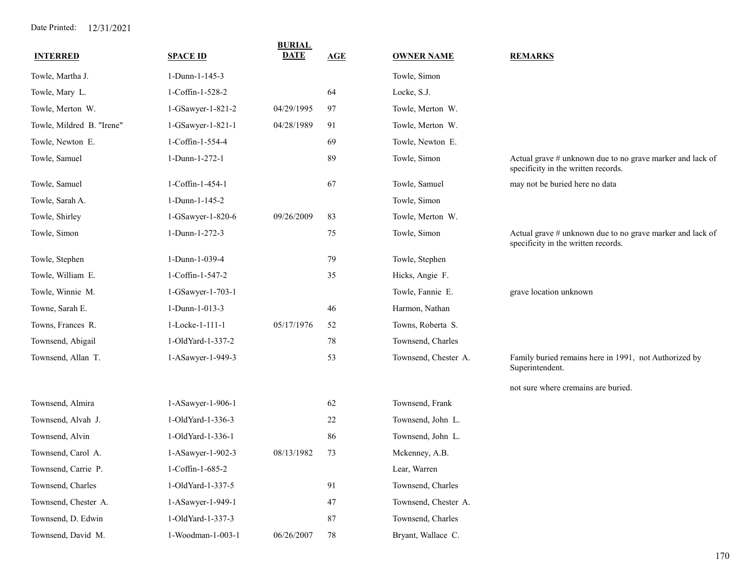| <b>INTERRED</b>           | <b>SPACE ID</b>   | <b>BURIAL</b><br><b>DATE</b> | AGE | <b>OWNER NAME</b>    | <b>REMARKS</b>                                                                                   |
|---------------------------|-------------------|------------------------------|-----|----------------------|--------------------------------------------------------------------------------------------------|
| Towle, Martha J.          | 1-Dunn-1-145-3    |                              |     | Towle, Simon         |                                                                                                  |
| Towle, Mary L.            | 1-Coffin-1-528-2  |                              | 64  | Locke, S.J.          |                                                                                                  |
| Towle, Merton W.          | 1-GSawyer-1-821-2 | 04/29/1995                   | 97  | Towle, Merton W.     |                                                                                                  |
| Towle, Mildred B. "Irene" | 1-GSawyer-1-821-1 | 04/28/1989                   | 91  | Towle, Merton W.     |                                                                                                  |
| Towle, Newton E.          | 1-Coffin-1-554-4  |                              | 69  | Towle, Newton E.     |                                                                                                  |
| Towle, Samuel             | 1-Dunn-1-272-1    |                              | 89  | Towle, Simon         | Actual grave # unknown due to no grave marker and lack of<br>specificity in the written records. |
| Towle, Samuel             | 1-Coffin-1-454-1  |                              | 67  | Towle, Samuel        | may not be buried here no data                                                                   |
| Towle, Sarah A.           | 1-Dunn-1-145-2    |                              |     | Towle, Simon         |                                                                                                  |
| Towle, Shirley            | 1-GSawyer-1-820-6 | 09/26/2009                   | 83  | Towle, Merton W.     |                                                                                                  |
| Towle, Simon              | 1-Dunn-1-272-3    |                              | 75  | Towle, Simon         | Actual grave # unknown due to no grave marker and lack of<br>specificity in the written records. |
| Towle, Stephen            | 1-Dunn-1-039-4    |                              | 79  | Towle, Stephen       |                                                                                                  |
| Towle, William E.         | 1-Coffin-1-547-2  |                              | 35  | Hicks, Angie F.      |                                                                                                  |
| Towle, Winnie M.          | 1-GSawyer-1-703-1 |                              |     | Towle, Fannie E.     | grave location unknown                                                                           |
| Towne, Sarah E.           | 1-Dunn-1-013-3    |                              | 46  | Harmon, Nathan       |                                                                                                  |
| Towns, Frances R.         | 1-Locke-1-111-1   | 05/17/1976                   | 52  | Towns, Roberta S.    |                                                                                                  |
| Townsend, Abigail         | 1-OldYard-1-337-2 |                              | 78  | Townsend, Charles    |                                                                                                  |
| Townsend, Allan T.        | 1-ASawyer-1-949-3 |                              | 53  | Townsend, Chester A. | Family buried remains here in 1991, not Authorized by<br>Superintendent.                         |
|                           |                   |                              |     |                      | not sure where cremains are buried.                                                              |
| Townsend, Almira          | 1-ASawyer-1-906-1 |                              | 62  | Townsend, Frank      |                                                                                                  |
| Townsend, Alvah J.        | 1-OldYard-1-336-3 |                              | 22  | Townsend, John L.    |                                                                                                  |
| Townsend, Alvin           | 1-OldYard-1-336-1 |                              | 86  | Townsend, John L.    |                                                                                                  |
| Townsend, Carol A.        | 1-ASawyer-1-902-3 | 08/13/1982                   | 73  | Mckenney, A.B.       |                                                                                                  |
| Townsend, Carrie P.       | 1-Coffin-1-685-2  |                              |     | Lear, Warren         |                                                                                                  |
| Townsend, Charles         | 1-OldYard-1-337-5 |                              | 91  | Townsend, Charles    |                                                                                                  |
| Townsend, Chester A.      | 1-ASawyer-1-949-1 |                              | 47  | Townsend, Chester A. |                                                                                                  |
| Townsend, D. Edwin        | 1-OldYard-1-337-3 |                              | 87  | Townsend, Charles    |                                                                                                  |
| Townsend, David M.        | 1-Woodman-1-003-1 | 06/26/2007                   | 78  | Bryant, Wallace C.   |                                                                                                  |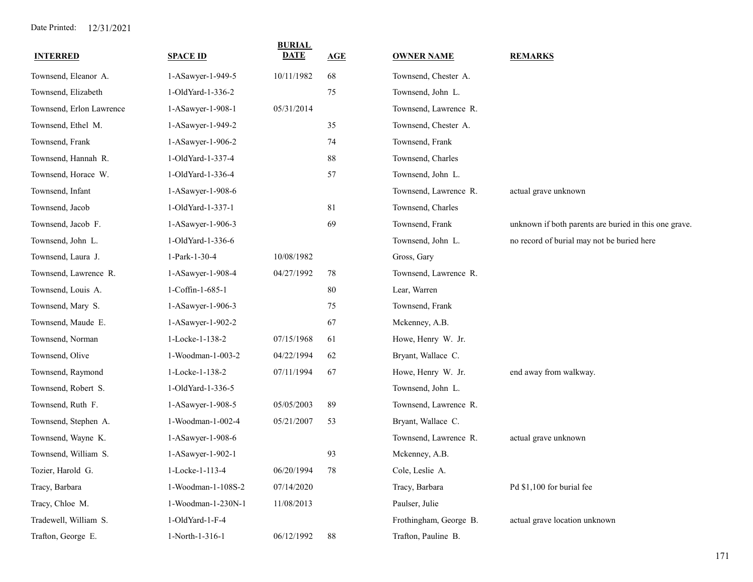| <b>INTERRED</b>          | <b>SPACE ID</b>    | <b>BURIAL</b><br><b>DATE</b> | AGE | <b>OWNER NAME</b>      | <b>REMARKS</b>                                        |
|--------------------------|--------------------|------------------------------|-----|------------------------|-------------------------------------------------------|
| Townsend, Eleanor A.     | 1-ASawyer-1-949-5  | 10/11/1982                   | 68  | Townsend, Chester A.   |                                                       |
| Townsend, Elizabeth      | 1-OldYard-1-336-2  |                              | 75  | Townsend, John L.      |                                                       |
| Townsend, Erlon Lawrence | 1-ASawyer-1-908-1  | 05/31/2014                   |     | Townsend, Lawrence R.  |                                                       |
| Townsend, Ethel M.       | 1-ASawyer-1-949-2  |                              | 35  | Townsend, Chester A.   |                                                       |
| Townsend, Frank          | 1-ASawyer-1-906-2  |                              | 74  | Townsend, Frank        |                                                       |
| Townsend, Hannah R.      | 1-OldYard-1-337-4  |                              | 88  | Townsend, Charles      |                                                       |
| Townsend, Horace W.      | 1-OldYard-1-336-4  |                              | 57  | Townsend, John L.      |                                                       |
| Townsend, Infant         | 1-ASawyer-1-908-6  |                              |     | Townsend, Lawrence R.  | actual grave unknown                                  |
| Townsend, Jacob          | 1-OldYard-1-337-1  |                              | 81  | Townsend, Charles      |                                                       |
| Townsend, Jacob F.       | 1-ASawyer-1-906-3  |                              | 69  | Townsend, Frank        | unknown if both parents are buried in this one grave. |
| Townsend, John L.        | 1-OldYard-1-336-6  |                              |     | Townsend, John L.      | no record of burial may not be buried here            |
| Townsend, Laura J.       | 1-Park-1-30-4      | 10/08/1982                   |     | Gross, Gary            |                                                       |
| Townsend, Lawrence R.    | 1-ASawyer-1-908-4  | 04/27/1992                   | 78  | Townsend, Lawrence R.  |                                                       |
| Townsend, Louis A.       | 1-Coffin-1-685-1   |                              | 80  | Lear, Warren           |                                                       |
| Townsend, Mary S.        | 1-ASawyer-1-906-3  |                              | 75  | Townsend, Frank        |                                                       |
| Townsend, Maude E.       | 1-ASawyer-1-902-2  |                              | 67  | Mckenney, A.B.         |                                                       |
| Townsend, Norman         | 1-Locke-1-138-2    | 07/15/1968                   | 61  | Howe, Henry W. Jr.     |                                                       |
| Townsend, Olive          | 1-Woodman-1-003-2  | 04/22/1994                   | 62  | Bryant, Wallace C.     |                                                       |
| Townsend, Raymond        | 1-Locke-1-138-2    | 07/11/1994                   | 67  | Howe, Henry W. Jr.     | end away from walkway.                                |
| Townsend, Robert S.      | 1-OldYard-1-336-5  |                              |     | Townsend, John L.      |                                                       |
| Townsend, Ruth F.        | 1-ASawyer-1-908-5  | 05/05/2003                   | 89  | Townsend, Lawrence R.  |                                                       |
| Townsend, Stephen A.     | 1-Woodman-1-002-4  | 05/21/2007                   | 53  | Bryant, Wallace C.     |                                                       |
| Townsend, Wayne K.       | 1-ASawyer-1-908-6  |                              |     | Townsend, Lawrence R.  | actual grave unknown                                  |
| Townsend, William S.     | 1-ASawyer-1-902-1  |                              | 93  | Mckenney, A.B.         |                                                       |
| Tozier, Harold G.        | 1-Locke-1-113-4    | 06/20/1994                   | 78  | Cole, Leslie A.        |                                                       |
| Tracy, Barbara           | 1-Woodman-1-108S-2 | 07/14/2020                   |     | Tracy, Barbara         | Pd \$1,100 for burial fee                             |
| Tracy, Chloe M.          | 1-Woodman-1-230N-1 | 11/08/2013                   |     | Paulser, Julie         |                                                       |
| Tradewell, William S.    | 1-OldYard-1-F-4    |                              |     | Frothingham, George B. | actual grave location unknown                         |
| Trafton, George E.       | 1-North-1-316-1    | 06/12/1992                   | 88  | Trafton, Pauline B.    |                                                       |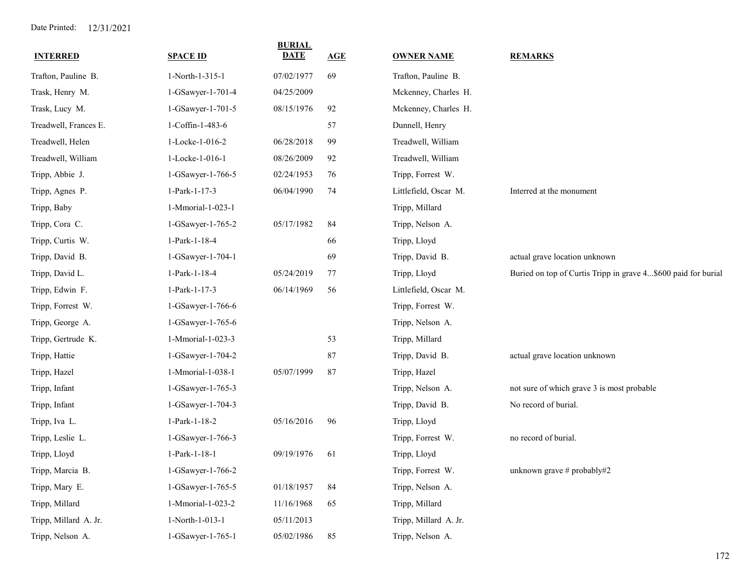| <b>INTERRED</b>       | <b>SPACE ID</b>   | <b>BURIAL</b><br>DATE | AGE | <b>OWNER NAME</b>     | <b>REMARKS</b>                                                |
|-----------------------|-------------------|-----------------------|-----|-----------------------|---------------------------------------------------------------|
| Trafton, Pauline B.   | 1-North-1-315-1   | 07/02/1977            | 69  | Trafton, Pauline B.   |                                                               |
| Trask, Henry M.       | 1-GSawyer-1-701-4 | 04/25/2009            |     | Mckenney, Charles H.  |                                                               |
| Trask, Lucy M.        | 1-GSawyer-1-701-5 | 08/15/1976            | 92  | Mckenney, Charles H.  |                                                               |
| Treadwell, Frances E. | 1-Coffin-1-483-6  |                       | 57  | Dunnell, Henry        |                                                               |
| Treadwell, Helen      | 1-Locke-1-016-2   | 06/28/2018            | 99  | Treadwell, William    |                                                               |
| Treadwell, William    | 1-Locke-1-016-1   | 08/26/2009            | 92  | Treadwell, William    |                                                               |
| Tripp, Abbie J.       | 1-GSawyer-1-766-5 | 02/24/1953            | 76  | Tripp, Forrest W.     |                                                               |
| Tripp, Agnes P.       | 1-Park-1-17-3     | 06/04/1990            | 74  | Littlefield, Oscar M. | Interred at the monument                                      |
| Tripp, Baby           | 1-Mmorial-1-023-1 |                       |     | Tripp, Millard        |                                                               |
| Tripp, Cora C.        | 1-GSawyer-1-765-2 | 05/17/1982            | 84  | Tripp, Nelson A.      |                                                               |
| Tripp, Curtis W.      | 1-Park-1-18-4     |                       | 66  | Tripp, Lloyd          |                                                               |
| Tripp, David B.       | 1-GSawyer-1-704-1 |                       | 69  | Tripp, David B.       | actual grave location unknown                                 |
| Tripp, David L.       | 1-Park-1-18-4     | 05/24/2019            | 77  | Tripp, Lloyd          | Buried on top of Curtis Tripp in grave 4\$600 paid for burial |
| Tripp, Edwin F.       | 1-Park-1-17-3     | 06/14/1969            | 56  | Littlefield, Oscar M. |                                                               |
| Tripp, Forrest W.     | 1-GSawyer-1-766-6 |                       |     | Tripp, Forrest W.     |                                                               |
| Tripp, George A.      | 1-GSawyer-1-765-6 |                       |     | Tripp, Nelson A.      |                                                               |
| Tripp, Gertrude K.    | 1-Mmorial-1-023-3 |                       | 53  | Tripp, Millard        |                                                               |
| Tripp, Hattie         | 1-GSawyer-1-704-2 |                       | 87  | Tripp, David B.       | actual grave location unknown                                 |
| Tripp, Hazel          | 1-Mmorial-1-038-1 | 05/07/1999            | 87  | Tripp, Hazel          |                                                               |
| Tripp, Infant         | 1-GSawyer-1-765-3 |                       |     | Tripp, Nelson A.      | not sure of which grave 3 is most probable                    |
| Tripp, Infant         | 1-GSawyer-1-704-3 |                       |     | Tripp, David B.       | No record of burial.                                          |
| Tripp, Iva L.         | 1-Park-1-18-2     | 05/16/2016            | 96  | Tripp, Lloyd          |                                                               |
| Tripp, Leslie L.      | 1-GSawyer-1-766-3 |                       |     | Tripp, Forrest W.     | no record of burial.                                          |
| Tripp, Lloyd          | 1-Park-1-18-1     | 09/19/1976            | 61  | Tripp, Lloyd          |                                                               |
| Tripp, Marcia B.      | 1-GSawyer-1-766-2 |                       |     | Tripp, Forrest W.     | unknown grave # probably#2                                    |
| Tripp, Mary E.        | 1-GSawyer-1-765-5 | 01/18/1957            | 84  | Tripp, Nelson A.      |                                                               |
| Tripp, Millard        | 1-Mmorial-1-023-2 | 11/16/1968            | 65  | Tripp, Millard        |                                                               |
| Tripp, Millard A. Jr. | 1-North-1-013-1   | 05/11/2013            |     | Tripp, Millard A. Jr. |                                                               |
| Tripp, Nelson A.      | 1-GSawyer-1-765-1 | 05/02/1986            | 85  | Tripp, Nelson A.      |                                                               |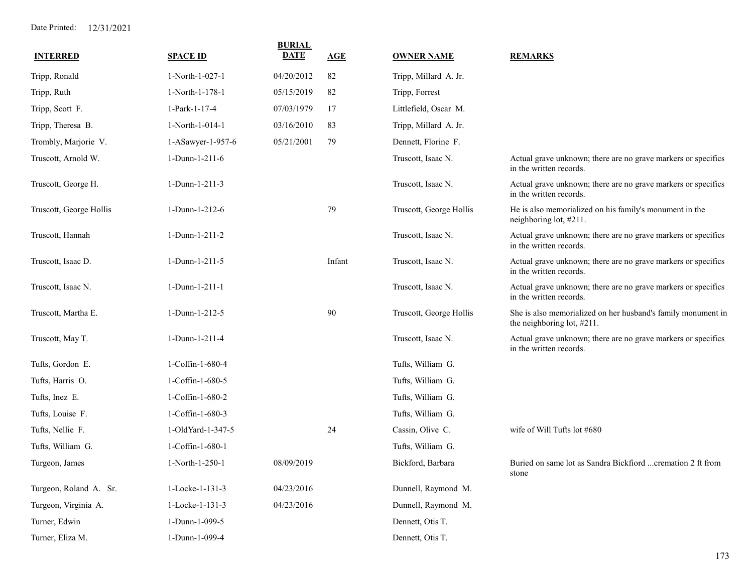| <b>INTERRED</b>         | <b>SPACE ID</b>   | <b>BURIAL</b><br><b>DATE</b> | <b>AGE</b> | <b>OWNER NAME</b>       | <b>REMARKS</b>                                                                                |
|-------------------------|-------------------|------------------------------|------------|-------------------------|-----------------------------------------------------------------------------------------------|
| Tripp, Ronald           | 1-North-1-027-1   | 04/20/2012                   | 82         | Tripp, Millard A. Jr.   |                                                                                               |
| Tripp, Ruth             | 1-North-1-178-1   | 05/15/2019                   | 82         | Tripp, Forrest          |                                                                                               |
| Tripp, Scott F.         | 1-Park-1-17-4     | 07/03/1979                   | 17         | Littlefield, Oscar M.   |                                                                                               |
| Tripp, Theresa B.       | 1-North-1-014-1   | 03/16/2010                   | 83         | Tripp, Millard A. Jr.   |                                                                                               |
| Trombly, Marjorie V.    | 1-ASawyer-1-957-6 | 05/21/2001                   | 79         | Dennett, Florine F.     |                                                                                               |
| Truscott, Arnold W.     | $1-Dunn-1-211-6$  |                              |            | Truscott, Isaac N.      | Actual grave unknown; there are no grave markers or specifics<br>in the written records.      |
| Truscott, George H.     | 1-Dunn-1-211-3    |                              |            | Truscott, Isaac N.      | Actual grave unknown; there are no grave markers or specifics<br>in the written records.      |
| Truscott, George Hollis | 1-Dunn-1-212-6    |                              | 79         | Truscott, George Hollis | He is also memorialized on his family's monument in the<br>neighboring lot, #211.             |
| Truscott, Hannah        | 1-Dunn-1-211-2    |                              |            | Truscott, Isaac N.      | Actual grave unknown; there are no grave markers or specifics<br>in the written records.      |
| Truscott, Isaac D.      | 1-Dunn-1-211-5    |                              | Infant     | Truscott, Isaac N.      | Actual grave unknown; there are no grave markers or specifics<br>in the written records.      |
| Truscott, Isaac N.      | 1-Dunn-1-211-1    |                              |            | Truscott, Isaac N.      | Actual grave unknown; there are no grave markers or specifics<br>in the written records.      |
| Truscott, Martha E.     | 1-Dunn-1-212-5    |                              | 90         | Truscott, George Hollis | She is also memorialized on her husband's family monument in<br>the neighboring lot, $#211$ . |
| Truscott, May T.        | 1-Dunn-1-211-4    |                              |            | Truscott, Isaac N.      | Actual grave unknown; there are no grave markers or specifics<br>in the written records.      |
| Tufts, Gordon E.        | 1-Coffin-1-680-4  |                              |            | Tufts, William G.       |                                                                                               |
| Tufts, Harris O.        | 1-Coffin-1-680-5  |                              |            | Tufts, William G.       |                                                                                               |
| Tufts, Inez E.          | 1-Coffin-1-680-2  |                              |            | Tufts, William G.       |                                                                                               |
| Tufts, Louise F.        | 1-Coffin-1-680-3  |                              |            | Tufts, William G.       |                                                                                               |
| Tufts, Nellie F.        | 1-OldYard-1-347-5 |                              | 24         | Cassin, Olive C.        | wife of Will Tufts lot #680                                                                   |
| Tufts, William G.       | 1-Coffin-1-680-1  |                              |            | Tufts, William G.       |                                                                                               |
| Turgeon, James          | 1-North-1-250-1   | 08/09/2019                   |            | Bickford, Barbara       | Buried on same lot as Sandra Bickfiord  cremation 2 ft from<br>stone                          |
| Turgeon, Roland A. Sr.  | 1-Locke-1-131-3   | 04/23/2016                   |            | Dunnell, Raymond M.     |                                                                                               |
| Turgeon, Virginia A.    | 1-Locke-1-131-3   | 04/23/2016                   |            | Dunnell, Raymond M.     |                                                                                               |
| Turner, Edwin           | 1-Dunn-1-099-5    |                              |            | Dennett, Otis T.        |                                                                                               |
| Turner, Eliza M.        | 1-Dunn-1-099-4    |                              |            | Dennett, Otis T.        |                                                                                               |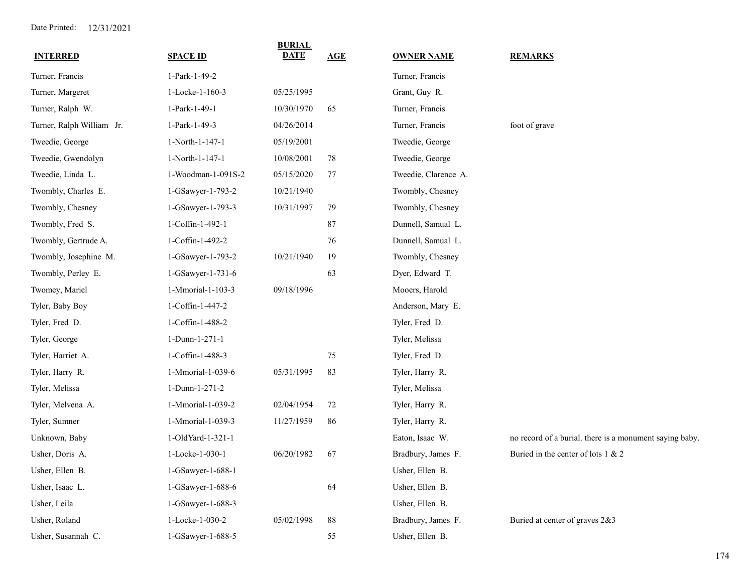| <b>INTERRED</b>           | <b>SPACE ID</b>    | <b>BURIAL</b><br><b>DATE</b> | AGE | <b>OWNER NAME</b>    | <b>REMARKS</b>                                          |
|---------------------------|--------------------|------------------------------|-----|----------------------|---------------------------------------------------------|
| Turner, Francis           | 1-Park-1-49-2      |                              |     | Turner, Francis      |                                                         |
| Turner, Margeret          | 1-Locke-1-160-3    | 05/25/1995                   |     | Grant, Guy R.        |                                                         |
| Turner, Ralph W.          | 1-Park-1-49-1      | 10/30/1970                   | 65  | Turner, Francis      |                                                         |
| Turner, Ralph William Jr. | 1-Park-1-49-3      | 04/26/2014                   |     | Turner, Francis      | foot of grave                                           |
| Tweedie, George           | 1-North-1-147-1    | 05/19/2001                   |     | Tweedie, George      |                                                         |
| Tweedie, Gwendolyn        | 1-North-1-147-1    | 10/08/2001                   | 78  | Tweedie, George      |                                                         |
| Tweedie, Linda L.         | 1-Woodman-1-091S-2 | 05/15/2020                   | 77  | Tweedie, Clarence A. |                                                         |
| Twombly, Charles E.       | 1-GSawyer-1-793-2  | 10/21/1940                   |     | Twombly, Chesney     |                                                         |
| Twombly, Chesney          | 1-GSawyer-1-793-3  | 10/31/1997                   | 79  | Twombly, Chesney     |                                                         |
| Twombly, Fred S.          | 1-Coffin-1-492-1   |                              | 87  | Dunnell, Samual L.   |                                                         |
| Twombly, Gertrude A.      | 1-Coffin-1-492-2   |                              | 76  | Dunnell, Samual L.   |                                                         |
| Twombly, Josephine M.     | 1-GSawyer-1-793-2  | 10/21/1940                   | 19  | Twombly, Chesney     |                                                         |
| Twombly, Perley E.        | 1-GSawyer-1-731-6  |                              | 63  | Dyer, Edward T.      |                                                         |
| Twomey, Mariel            | 1-Mmorial-1-103-3  | 09/18/1996                   |     | Mooers, Harold       |                                                         |
| Tyler, Baby Boy           | 1-Coffin-1-447-2   |                              |     | Anderson, Mary E.    |                                                         |
| Tyler, Fred D.            | 1-Coffin-1-488-2   |                              |     | Tyler, Fred D.       |                                                         |
| Tyler, George             | 1-Dunn-1-271-1     |                              |     | Tyler, Melissa       |                                                         |
| Tyler, Harriet A.         | 1-Coffin-1-488-3   |                              | 75  | Tyler, Fred D.       |                                                         |
| Tyler, Harry R.           | 1-Mmorial-1-039-6  | 05/31/1995                   | 83  | Tyler, Harry R.      |                                                         |
| Tyler, Melissa            | 1-Dunn-1-271-2     |                              |     | Tyler, Melissa       |                                                         |
| Tyler, Melvena A.         | 1-Mmorial-1-039-2  | 02/04/1954                   | 72  | Tyler, Harry R.      |                                                         |
| Tyler, Sumner             | 1-Mmorial-1-039-3  | 11/27/1959                   | 86  | Tyler, Harry R.      |                                                         |
| Unknown, Baby             | 1-OldYard-1-321-1  |                              |     | Eaton, Isaac W.      | no record of a burial. there is a monument saying baby. |
| Usher, Doris A.           | 1-Locke-1-030-1    | 06/20/1982                   | 67  | Bradbury, James F.   | Buried in the center of lots 1 & 2                      |
| Usher, Ellen B.           | 1-GSawyer-1-688-1  |                              |     | Usher, Ellen B.      |                                                         |
| Usher, Isaac L.           | 1-GSawyer-1-688-6  |                              | 64  | Usher, Ellen B.      |                                                         |
| Usher, Leila              | 1-GSawyer-1-688-3  |                              |     | Usher, Ellen B.      |                                                         |
| Usher, Roland             | 1-Locke-1-030-2    | 05/02/1998                   | 88  | Bradbury, James F.   | Buried at center of graves 2&3                          |
| Usher, Susannah C.        | 1-GSawyer-1-688-5  |                              | 55  | Usher, Ellen B.      |                                                         |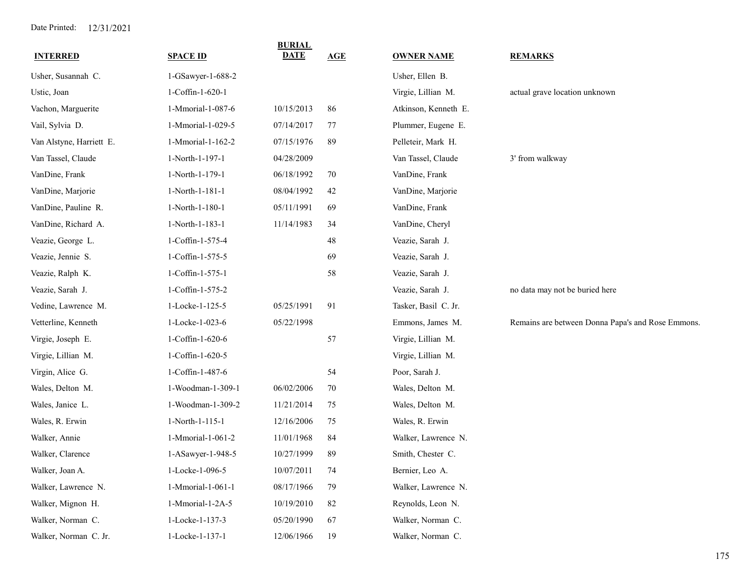| <b>INTERRED</b>          | <b>SPACE ID</b>   | <b>BURIAL</b><br><b>DATE</b> | AGE | <b>OWNER NAME</b>    | <b>REMARKS</b>                                    |
|--------------------------|-------------------|------------------------------|-----|----------------------|---------------------------------------------------|
| Usher, Susannah C.       | 1-GSawyer-1-688-2 |                              |     | Usher, Ellen B.      |                                                   |
| Ustic, Joan              | 1-Coffin-1-620-1  |                              |     | Virgie, Lillian M.   | actual grave location unknown                     |
| Vachon, Marguerite       | 1-Mmorial-1-087-6 | 10/15/2013                   | 86  | Atkinson, Kenneth E. |                                                   |
| Vail, Sylvia D.          | 1-Mmorial-1-029-5 | 07/14/2017                   | 77  | Plummer, Eugene E.   |                                                   |
| Van Alstyne, Harriett E. | 1-Mmorial-1-162-2 | 07/15/1976                   | 89  | Pelleteir, Mark H.   |                                                   |
| Van Tassel, Claude       | 1-North-1-197-1   | 04/28/2009                   |     | Van Tassel, Claude   | 3' from walkway                                   |
| VanDine, Frank           | 1-North-1-179-1   | 06/18/1992                   | 70  | VanDine, Frank       |                                                   |
| VanDine, Marjorie        | 1-North-1-181-1   | 08/04/1992                   | 42  | VanDine, Marjorie    |                                                   |
| VanDine, Pauline R.      | 1-North-1-180-1   | 05/11/1991                   | 69  | VanDine, Frank       |                                                   |
| VanDine, Richard A.      | 1-North-1-183-1   | 11/14/1983                   | 34  | VanDine, Cheryl      |                                                   |
| Veazie, George L.        | 1-Coffin-1-575-4  |                              | 48  | Veazie, Sarah J.     |                                                   |
| Veazie, Jennie S.        | 1-Coffin-1-575-5  |                              | 69  | Veazie, Sarah J.     |                                                   |
| Veazie, Ralph K.         | 1-Coffin-1-575-1  |                              | 58  | Veazie, Sarah J.     |                                                   |
| Veazie, Sarah J.         | 1-Coffin-1-575-2  |                              |     | Veazie, Sarah J.     | no data may not be buried here                    |
| Vedine, Lawrence M.      | 1-Locke-1-125-5   | 05/25/1991                   | 91  | Tasker, Basil C. Jr. |                                                   |
| Vetterline, Kenneth      | 1-Locke-1-023-6   | 05/22/1998                   |     | Emmons, James M.     | Remains are between Donna Papa's and Rose Emmons. |
| Virgie, Joseph E.        | 1-Coffin-1-620-6  |                              | 57  | Virgie, Lillian M.   |                                                   |
| Virgie, Lillian M.       | 1-Coffin-1-620-5  |                              |     | Virgie, Lillian M.   |                                                   |
| Virgin, Alice G.         | 1-Coffin-1-487-6  |                              | 54  | Poor, Sarah J.       |                                                   |
| Wales, Delton M.         | 1-Woodman-1-309-1 | 06/02/2006                   | 70  | Wales, Delton M.     |                                                   |
| Wales, Janice L.         | 1-Woodman-1-309-2 | 11/21/2014                   | 75  | Wales, Delton M.     |                                                   |
| Wales, R. Erwin          | 1-North-1-115-1   | 12/16/2006                   | 75  | Wales, R. Erwin      |                                                   |
| Walker, Annie            | 1-Mmorial-1-061-2 | 11/01/1968                   | 84  | Walker, Lawrence N.  |                                                   |
| Walker, Clarence         | 1-ASawyer-1-948-5 | 10/27/1999                   | 89  | Smith, Chester C.    |                                                   |
| Walker, Joan A.          | 1-Locke-1-096-5   | 10/07/2011                   | 74  | Bernier, Leo A.      |                                                   |
| Walker, Lawrence N.      | 1-Mmorial-1-061-1 | 08/17/1966                   | 79  | Walker, Lawrence N.  |                                                   |
| Walker, Mignon H.        | 1-Mmorial-1-2A-5  | 10/19/2010                   | 82  | Reynolds, Leon N.    |                                                   |
| Walker, Norman C.        | 1-Locke-1-137-3   | 05/20/1990                   | 67  | Walker, Norman C.    |                                                   |
| Walker, Norman C. Jr.    | 1-Locke-1-137-1   | 12/06/1966                   | 19  | Walker, Norman C.    |                                                   |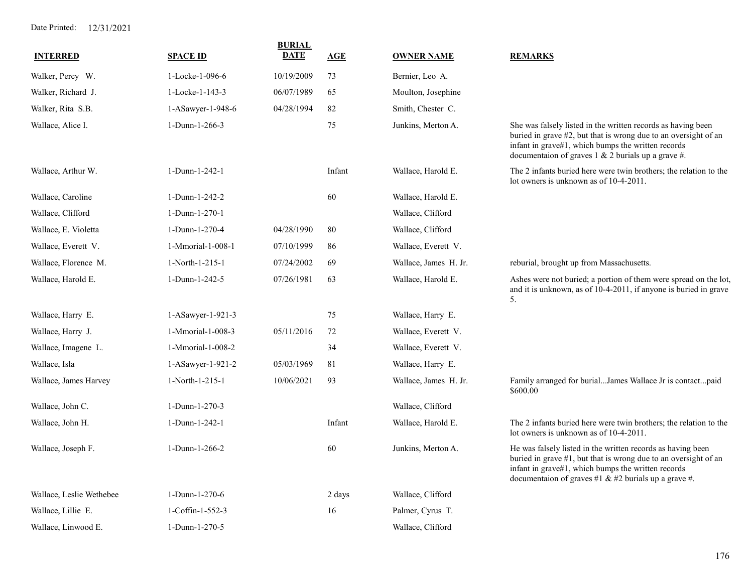| <b>INTERRED</b>          | <b>SPACE ID</b>   | <b>BURIAL</b><br><b>DATE</b> | <u>AGE</u> | <b>OWNER NAME</b>     | <b>REMARKS</b>                                                                                                                                                                                                                                 |
|--------------------------|-------------------|------------------------------|------------|-----------------------|------------------------------------------------------------------------------------------------------------------------------------------------------------------------------------------------------------------------------------------------|
| Walker, Percy W.         | 1-Locke-1-096-6   | 10/19/2009                   | 73         | Bernier, Leo A.       |                                                                                                                                                                                                                                                |
| Walker, Richard J.       | 1-Locke-1-143-3   | 06/07/1989                   | 65         | Moulton, Josephine    |                                                                                                                                                                                                                                                |
| Walker, Rita S.B.        | 1-ASawyer-1-948-6 | 04/28/1994                   | 82         | Smith, Chester C.     |                                                                                                                                                                                                                                                |
| Wallace, Alice I.        | 1-Dunn-1-266-3    |                              | 75         | Junkins, Merton A.    | She was falsely listed in the written records as having been<br>buried in grave #2, but that is wrong due to an oversight of an<br>infant in grave#1, which bumps the written records<br>documentaion of graves $1 \& 2$ burials up a grave #. |
| Wallace, Arthur W.       | 1-Dunn-1-242-1    |                              | Infant     | Wallace, Harold E.    | The 2 infants buried here were twin brothers; the relation to the<br>lot owners is unknown as of 10-4-2011.                                                                                                                                    |
| Wallace, Caroline        | 1-Dunn-1-242-2    |                              | 60         | Wallace, Harold E.    |                                                                                                                                                                                                                                                |
| Wallace, Clifford        | 1-Dunn-1-270-1    |                              |            | Wallace, Clifford     |                                                                                                                                                                                                                                                |
| Wallace, E. Violetta     | 1-Dunn-1-270-4    | 04/28/1990                   | 80         | Wallace, Clifford     |                                                                                                                                                                                                                                                |
| Wallace, Everett V.      | 1-Mmorial-1-008-1 | 07/10/1999                   | 86         | Wallace, Everett V.   |                                                                                                                                                                                                                                                |
| Wallace, Florence M.     | 1-North-1-215-1   | 07/24/2002                   | 69         | Wallace, James H. Jr. | reburial, brought up from Massachusetts.                                                                                                                                                                                                       |
| Wallace, Harold E.       | 1-Dunn-1-242-5    | 07/26/1981                   | 63         | Wallace, Harold E.    | Ashes were not buried; a portion of them were spread on the lot,<br>and it is unknown, as of 10-4-2011, if anyone is buried in grave<br>5.                                                                                                     |
| Wallace, Harry E.        | 1-ASawyer-1-921-3 |                              | 75         | Wallace, Harry E.     |                                                                                                                                                                                                                                                |
| Wallace, Harry J.        | 1-Mmorial-1-008-3 | 05/11/2016                   | 72         | Wallace, Everett V.   |                                                                                                                                                                                                                                                |
| Wallace, Imagene L.      | 1-Mmorial-1-008-2 |                              | 34         | Wallace, Everett V.   |                                                                                                                                                                                                                                                |
| Wallace, Isla            | 1-ASawyer-1-921-2 | 05/03/1969                   | 81         | Wallace, Harry E.     |                                                                                                                                                                                                                                                |
| Wallace, James Harvey    | 1-North-1-215-1   | 10/06/2021                   | 93         | Wallace, James H. Jr. | Family arranged for burialJames Wallace Jr is contactpaid<br>\$600.00                                                                                                                                                                          |
| Wallace, John C.         | 1-Dunn-1-270-3    |                              |            | Wallace, Clifford     |                                                                                                                                                                                                                                                |
| Wallace, John H.         | 1-Dunn-1-242-1    |                              | Infant     | Wallace, Harold E.    | The 2 infants buried here were twin brothers; the relation to the<br>lot owners is unknown as of 10-4-2011.                                                                                                                                    |
| Wallace, Joseph F.       | 1-Dunn-1-266-2    |                              | 60         | Junkins, Merton A.    | He was falsely listed in the written records as having been<br>buried in grave #1, but that is wrong due to an oversight of an<br>infant in grave#1, which bumps the written records<br>documentaion of graves #1 & #2 burials up a grave #.   |
| Wallace, Leslie Wethebee | 1-Dunn-1-270-6    |                              | 2 days     | Wallace, Clifford     |                                                                                                                                                                                                                                                |
| Wallace, Lillie E.       | 1-Coffin-1-552-3  |                              | 16         | Palmer, Cyrus T.      |                                                                                                                                                                                                                                                |
| Wallace, Linwood E.      | 1-Dunn-1-270-5    |                              |            | Wallace, Clifford     |                                                                                                                                                                                                                                                |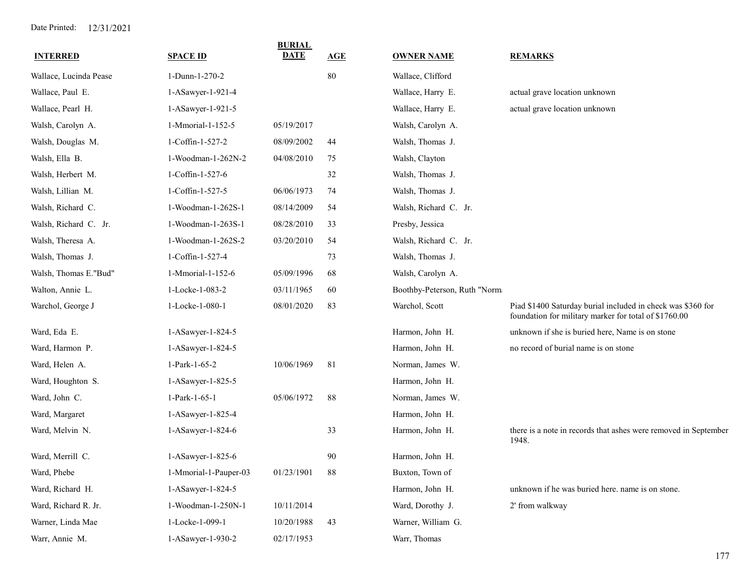| <b>INTERRED</b>        | <b>SPACE ID</b>       | <b>BURIAL</b><br><b>DATE</b> | <b>AGE</b> | <b>OWNER NAME</b>            | <b>REMARKS</b>                                                                                                       |
|------------------------|-----------------------|------------------------------|------------|------------------------------|----------------------------------------------------------------------------------------------------------------------|
| Wallace, Lucinda Pease | 1-Dunn-1-270-2        |                              | 80         | Wallace, Clifford            |                                                                                                                      |
| Wallace, Paul E.       | 1-ASawyer-1-921-4     |                              |            | Wallace, Harry E.            | actual grave location unknown                                                                                        |
| Wallace, Pearl H.      | 1-ASawyer-1-921-5     |                              |            | Wallace, Harry E.            | actual grave location unknown                                                                                        |
| Walsh, Carolyn A.      | 1-Mmorial-1-152-5     | 05/19/2017                   |            | Walsh, Carolyn A.            |                                                                                                                      |
| Walsh, Douglas M.      | 1-Coffin-1-527-2      | 08/09/2002                   | 44         | Walsh, Thomas J.             |                                                                                                                      |
| Walsh, Ella B.         | 1-Woodman-1-262N-2    | 04/08/2010                   | 75         | Walsh, Clayton               |                                                                                                                      |
| Walsh, Herbert M.      | 1-Coffin-1-527-6      |                              | 32         | Walsh, Thomas J.             |                                                                                                                      |
| Walsh, Lillian M.      | 1-Coffin-1-527-5      | 06/06/1973                   | 74         | Walsh, Thomas J.             |                                                                                                                      |
| Walsh, Richard C.      | 1-Woodman-1-262S-1    | 08/14/2009                   | 54         | Walsh, Richard C. Jr.        |                                                                                                                      |
| Walsh, Richard C. Jr.  | 1-Woodman-1-263S-1    | 08/28/2010                   | 33         | Presby, Jessica              |                                                                                                                      |
| Walsh, Theresa A.      | 1-Woodman-1-262S-2    | 03/20/2010                   | 54         | Walsh, Richard C. Jr.        |                                                                                                                      |
| Walsh, Thomas J.       | 1-Coffin-1-527-4      |                              | 73         | Walsh, Thomas J.             |                                                                                                                      |
| Walsh, Thomas E."Bud"  | 1-Mmorial-1-152-6     | 05/09/1996                   | 68         | Walsh, Carolyn A.            |                                                                                                                      |
| Walton, Annie L.       | 1-Locke-1-083-2       | 03/11/1965                   | 60         | Boothby-Peterson, Ruth "Norm |                                                                                                                      |
| Warchol, George J      | 1-Locke-1-080-1       | 08/01/2020                   | 83         | Warchol, Scott               | Piad \$1400 Saturday burial included in check was \$360 for<br>foundation for military marker for total of \$1760.00 |
| Ward, Eda E.           | 1-ASawyer-1-824-5     |                              |            | Harmon, John H.              | unknown if she is buried here, Name is on stone                                                                      |
| Ward, Harmon P.        | 1-ASawyer-1-824-5     |                              |            | Harmon, John H.              | no record of burial name is on stone                                                                                 |
| Ward, Helen A.         | 1-Park-1-65-2         | 10/06/1969                   | 81         | Norman, James W.             |                                                                                                                      |
| Ward, Houghton S.      | 1-ASawyer-1-825-5     |                              |            | Harmon, John H.              |                                                                                                                      |
| Ward, John C.          | 1-Park-1-65-1         | 05/06/1972                   | 88         | Norman, James W.             |                                                                                                                      |
| Ward, Margaret         | 1-ASawyer-1-825-4     |                              |            | Harmon, John H.              |                                                                                                                      |
| Ward, Melvin N.        | 1-ASawyer-1-824-6     |                              | 33         | Harmon, John H.              | there is a note in records that ashes were removed in September<br>1948.                                             |
| Ward, Merrill C.       | 1-ASawyer-1-825-6     |                              | 90         | Harmon, John H.              |                                                                                                                      |
| Ward, Phebe            | 1-Mmorial-1-Pauper-03 | 01/23/1901                   | 88         | Buxton, Town of              |                                                                                                                      |
| Ward, Richard H.       | 1-ASawyer-1-824-5     |                              |            | Harmon, John H.              | unknown if he was buried here, name is on stone.                                                                     |
| Ward, Richard R. Jr.   | 1-Woodman-1-250N-1    | 10/11/2014                   |            | Ward, Dorothy J.             | 2' from walkway                                                                                                      |
| Warner, Linda Mae      | 1-Locke-1-099-1       | 10/20/1988                   | 43         | Warner, William G.           |                                                                                                                      |
| Warr, Annie M.         | 1-ASawyer-1-930-2     | 02/17/1953                   |            | Warr, Thomas                 |                                                                                                                      |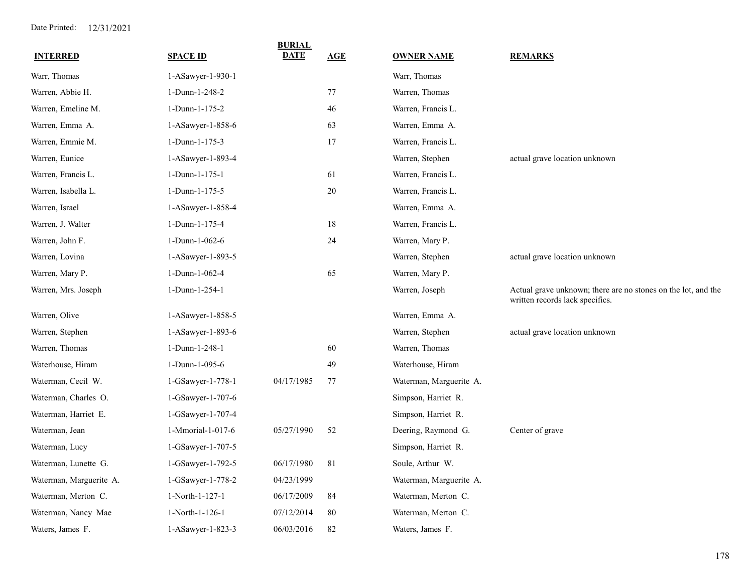| <b>INTERRED</b>         | <b>SPACE ID</b>     | <b>BURIAL</b><br><b>DATE</b> | AGE | <b>OWNER NAME</b>       | <b>REMARKS</b>                                                                                   |
|-------------------------|---------------------|------------------------------|-----|-------------------------|--------------------------------------------------------------------------------------------------|
| Warr, Thomas            | 1-ASawyer-1-930-1   |                              |     | Warr, Thomas            |                                                                                                  |
| Warren, Abbie H.        | 1-Dunn-1-248-2      |                              | 77  | Warren, Thomas          |                                                                                                  |
| Warren, Emeline M.      | 1-Dunn-1-175-2      |                              | 46  | Warren, Francis L.      |                                                                                                  |
| Warren, Emma A.         | 1-ASawyer-1-858-6   |                              | 63  | Warren, Emma A.         |                                                                                                  |
| Warren, Emmie M.        | 1-Dunn-1-175-3      |                              | 17  | Warren, Francis L.      |                                                                                                  |
| Warren, Eunice          | 1-ASawyer-1-893-4   |                              |     | Warren, Stephen         | actual grave location unknown                                                                    |
| Warren, Francis L.      | $1-Dunn-1-175-1$    |                              | 61  | Warren, Francis L.      |                                                                                                  |
| Warren, Isabella L.     | 1-Dunn-1-175-5      |                              | 20  | Warren, Francis L.      |                                                                                                  |
| Warren, Israel          | 1-ASawyer-1-858-4   |                              |     | Warren, Emma A.         |                                                                                                  |
| Warren, J. Walter       | 1-Dunn-1-175-4      |                              | 18  | Warren, Francis L.      |                                                                                                  |
| Warren, John F.         | 1-Dunn-1-062-6      |                              | 24  | Warren, Mary P.         |                                                                                                  |
| Warren, Lovina          | 1-ASawyer-1-893-5   |                              |     | Warren, Stephen         | actual grave location unknown                                                                    |
| Warren, Mary P.         | 1-Dunn-1-062-4      |                              | 65  | Warren, Mary P.         |                                                                                                  |
| Warren, Mrs. Joseph     | 1-Dunn-1-254-1      |                              |     | Warren, Joseph          | Actual grave unknown; there are no stones on the lot, and the<br>written records lack specifics. |
| Warren, Olive           | $1-ASawyer-1-858-5$ |                              |     | Warren, Emma A.         |                                                                                                  |
| Warren, Stephen         | 1-ASawyer-1-893-6   |                              |     | Warren, Stephen         | actual grave location unknown                                                                    |
| Warren, Thomas          | 1-Dunn-1-248-1      |                              | 60  | Warren, Thomas          |                                                                                                  |
| Waterhouse, Hiram       | 1-Dunn-1-095-6      |                              | 49  | Waterhouse, Hiram       |                                                                                                  |
| Waterman, Cecil W.      | 1-GSawyer-1-778-1   | 04/17/1985                   | 77  | Waterman, Marguerite A. |                                                                                                  |
| Waterman, Charles O.    | $1-GSawyer-1-707-6$ |                              |     | Simpson, Harriet R.     |                                                                                                  |
| Waterman, Harriet E.    | 1-GSawyer-1-707-4   |                              |     | Simpson, Harriet R.     |                                                                                                  |
| Waterman, Jean          | 1-Mmorial-1-017-6   | 05/27/1990                   | 52  | Deering, Raymond G.     | Center of grave                                                                                  |
| Waterman, Lucy          | 1-GSawyer-1-707-5   |                              |     | Simpson, Harriet R.     |                                                                                                  |
| Waterman, Lunette G.    | 1-GSawyer-1-792-5   | 06/17/1980                   | 81  | Soule, Arthur W.        |                                                                                                  |
| Waterman, Marguerite A. | 1-GSawyer-1-778-2   | 04/23/1999                   |     | Waterman, Marguerite A. |                                                                                                  |
| Waterman, Merton C.     | 1-North-1-127-1     | 06/17/2009                   | 84  | Waterman, Merton C.     |                                                                                                  |
| Waterman, Nancy Mae     | 1-North-1-126-1     | 07/12/2014                   | 80  | Waterman, Merton C.     |                                                                                                  |
| Waters, James F.        | 1-ASawyer-1-823-3   | 06/03/2016                   | 82  | Waters, James F.        |                                                                                                  |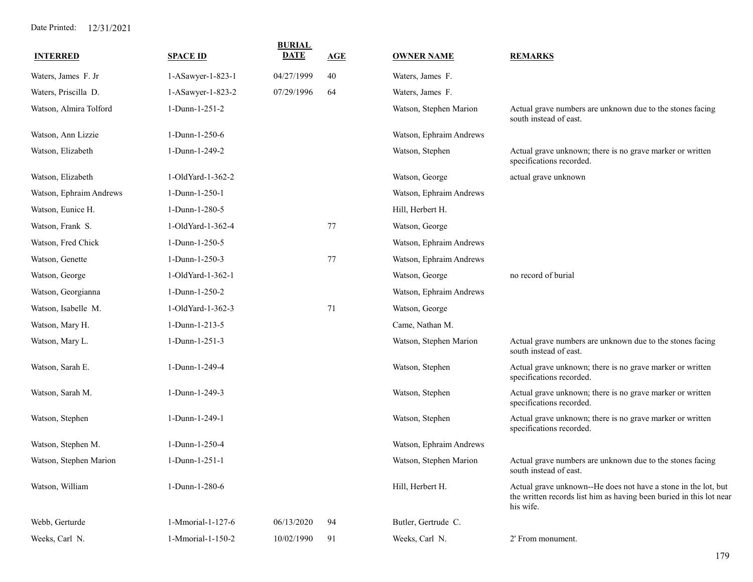| <b>INTERRED</b>         | <b>SPACE ID</b>   | <b>BURIAL</b><br><b>DATE</b> | AGE | <b>OWNER NAME</b>       | <b>REMARKS</b>                                                                                                                                     |
|-------------------------|-------------------|------------------------------|-----|-------------------------|----------------------------------------------------------------------------------------------------------------------------------------------------|
| Waters, James F. Jr     | 1-ASawyer-1-823-1 | 04/27/1999                   | 40  | Waters, James F.        |                                                                                                                                                    |
| Waters, Priscilla D.    | 1-ASawyer-1-823-2 | 07/29/1996                   | 64  | Waters, James F.        |                                                                                                                                                    |
| Watson, Almira Tolford  | 1-Dunn-1-251-2    |                              |     | Watson, Stephen Marion  | Actual grave numbers are unknown due to the stones facing<br>south instead of east.                                                                |
| Watson, Ann Lizzie      | 1-Dunn-1-250-6    |                              |     | Watson, Ephraim Andrews |                                                                                                                                                    |
| Watson, Elizabeth       | 1-Dunn-1-249-2    |                              |     | Watson, Stephen         | Actual grave unknown; there is no grave marker or written<br>specifications recorded.                                                              |
| Watson, Elizabeth       | 1-OldYard-1-362-2 |                              |     | Watson, George          | actual grave unknown                                                                                                                               |
| Watson, Ephraim Andrews | 1-Dunn-1-250-1    |                              |     | Watson, Ephraim Andrews |                                                                                                                                                    |
| Watson, Eunice H.       | 1-Dunn-1-280-5    |                              |     | Hill, Herbert H.        |                                                                                                                                                    |
| Watson, Frank S.        | 1-OldYard-1-362-4 |                              | 77  | Watson, George          |                                                                                                                                                    |
| Watson, Fred Chick      | 1-Dunn-1-250-5    |                              |     | Watson, Ephraim Andrews |                                                                                                                                                    |
| Watson, Genette         | 1-Dunn-1-250-3    |                              | 77  | Watson, Ephraim Andrews |                                                                                                                                                    |
| Watson, George          | 1-OldYard-1-362-1 |                              |     | Watson, George          | no record of burial                                                                                                                                |
| Watson, Georgianna      | 1-Dunn-1-250-2    |                              |     | Watson, Ephraim Andrews |                                                                                                                                                    |
| Watson, Isabelle M.     | 1-OldYard-1-362-3 |                              | 71  | Watson, George          |                                                                                                                                                    |
| Watson, Mary H.         | 1-Dunn-1-213-5    |                              |     | Came, Nathan M.         |                                                                                                                                                    |
| Watson, Mary L.         | 1-Dunn-1-251-3    |                              |     | Watson, Stephen Marion  | Actual grave numbers are unknown due to the stones facing<br>south instead of east.                                                                |
| Watson, Sarah E.        | 1-Dunn-1-249-4    |                              |     | Watson, Stephen         | Actual grave unknown; there is no grave marker or written<br>specifications recorded.                                                              |
| Watson, Sarah M.        | 1-Dunn-1-249-3    |                              |     | Watson, Stephen         | Actual grave unknown; there is no grave marker or written<br>specifications recorded.                                                              |
| Watson, Stephen         | 1-Dunn-1-249-1    |                              |     | Watson, Stephen         | Actual grave unknown; there is no grave marker or written<br>specifications recorded.                                                              |
| Watson, Stephen M.      | 1-Dunn-1-250-4    |                              |     | Watson, Ephraim Andrews |                                                                                                                                                    |
| Watson, Stephen Marion  | 1-Dunn-1-251-1    |                              |     | Watson, Stephen Marion  | Actual grave numbers are unknown due to the stones facing<br>south instead of east.                                                                |
| Watson, William         | 1-Dunn-1-280-6    |                              |     | Hill, Herbert H.        | Actual grave unknown--He does not have a stone in the lot, but<br>the written records list him as having been buried in this lot near<br>his wife. |
| Webb, Gerturde          | 1-Mmorial-1-127-6 | 06/13/2020                   | 94  | Butler, Gertrude C.     |                                                                                                                                                    |
| Weeks, Carl N.          | 1-Mmorial-1-150-2 | 10/02/1990                   | 91  | Weeks, Carl N.          | 2' From monument.                                                                                                                                  |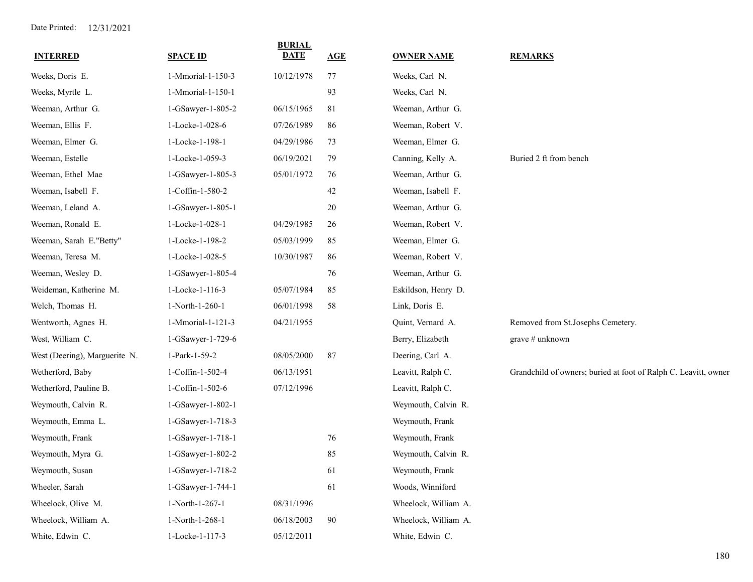| <b>INTERRED</b>               | <b>SPACE ID</b>   | <b>BURIAL</b><br><b>DATE</b> | AGE | <b>OWNER NAME</b>    | <b>REMARKS</b>                                                  |
|-------------------------------|-------------------|------------------------------|-----|----------------------|-----------------------------------------------------------------|
| Weeks, Doris E.               | 1-Mmorial-1-150-3 | 10/12/1978                   | 77  | Weeks, Carl N.       |                                                                 |
| Weeks, Myrtle L.              | 1-Mmorial-1-150-1 |                              | 93  | Weeks, Carl N.       |                                                                 |
| Weeman, Arthur G.             | 1-GSawyer-1-805-2 | 06/15/1965                   | 81  | Weeman, Arthur G.    |                                                                 |
| Weeman, Ellis F.              | 1-Locke-1-028-6   | 07/26/1989                   | 86  | Weeman, Robert V.    |                                                                 |
| Weeman, Elmer G.              | 1-Locke-1-198-1   | 04/29/1986                   | 73  | Weeman, Elmer G.     |                                                                 |
| Weeman, Estelle               | 1-Locke-1-059-3   | 06/19/2021                   | 79  | Canning, Kelly A.    | Buried 2 ft from bench                                          |
| Weeman, Ethel Mae             | 1-GSawyer-1-805-3 | 05/01/1972                   | 76  | Weeman, Arthur G.    |                                                                 |
| Weeman, Isabell F.            | 1-Coffin-1-580-2  |                              | 42  | Weeman, Isabell F.   |                                                                 |
| Weeman, Leland A.             | 1-GSawyer-1-805-1 |                              | 20  | Weeman, Arthur G.    |                                                                 |
| Weeman, Ronald E.             | 1-Locke-1-028-1   | 04/29/1985                   | 26  | Weeman, Robert V.    |                                                                 |
| Weeman, Sarah E."Betty"       | 1-Locke-1-198-2   | 05/03/1999                   | 85  | Weeman, Elmer G.     |                                                                 |
| Weeman, Teresa M.             | 1-Locke-1-028-5   | 10/30/1987                   | 86  | Weeman, Robert V.    |                                                                 |
| Weeman, Wesley D.             | 1-GSawyer-1-805-4 |                              | 76  | Weeman, Arthur G.    |                                                                 |
| Weideman, Katherine M.        | 1-Locke-1-116-3   | 05/07/1984                   | 85  | Eskildson, Henry D.  |                                                                 |
| Welch, Thomas H.              | 1-North-1-260-1   | 06/01/1998                   | 58  | Link, Doris E.       |                                                                 |
| Wentworth, Agnes H.           | 1-Mmorial-1-121-3 | 04/21/1955                   |     | Quint, Vernard A.    | Removed from St.Josephs Cemetery.                               |
| West, William C.              | 1-GSawyer-1-729-6 |                              |     | Berry, Elizabeth     | grave # unknown                                                 |
| West (Deering), Marguerite N. | 1-Park-1-59-2     | 08/05/2000                   | 87  | Deering, Carl A.     |                                                                 |
| Wetherford, Baby              | 1-Coffin-1-502-4  | 06/13/1951                   |     | Leavitt, Ralph C.    | Grandchild of owners; buried at foot of Ralph C. Leavitt, owner |
| Wetherford, Pauline B.        | 1-Coffin-1-502-6  | 07/12/1996                   |     | Leavitt, Ralph C.    |                                                                 |
| Weymouth, Calvin R.           | 1-GSawyer-1-802-1 |                              |     | Weymouth, Calvin R.  |                                                                 |
| Weymouth, Emma L.             | 1-GSawyer-1-718-3 |                              |     | Weymouth, Frank      |                                                                 |
| Weymouth, Frank               | 1-GSawyer-1-718-1 |                              | 76  | Weymouth, Frank      |                                                                 |
| Weymouth, Myra G.             | 1-GSawyer-1-802-2 |                              | 85  | Weymouth, Calvin R.  |                                                                 |
| Weymouth, Susan               | 1-GSawyer-1-718-2 |                              | 61  | Weymouth, Frank      |                                                                 |
| Wheeler, Sarah                | 1-GSawyer-1-744-1 |                              | 61  | Woods, Winniford     |                                                                 |
| Wheelock, Olive M.            | 1-North-1-267-1   | 08/31/1996                   |     | Wheelock, William A. |                                                                 |
| Wheelock, William A.          | 1-North-1-268-1   | 06/18/2003                   | 90  | Wheelock, William A. |                                                                 |
| White, Edwin C.               | 1-Locke-1-117-3   | 05/12/2011                   |     | White, Edwin C.      |                                                                 |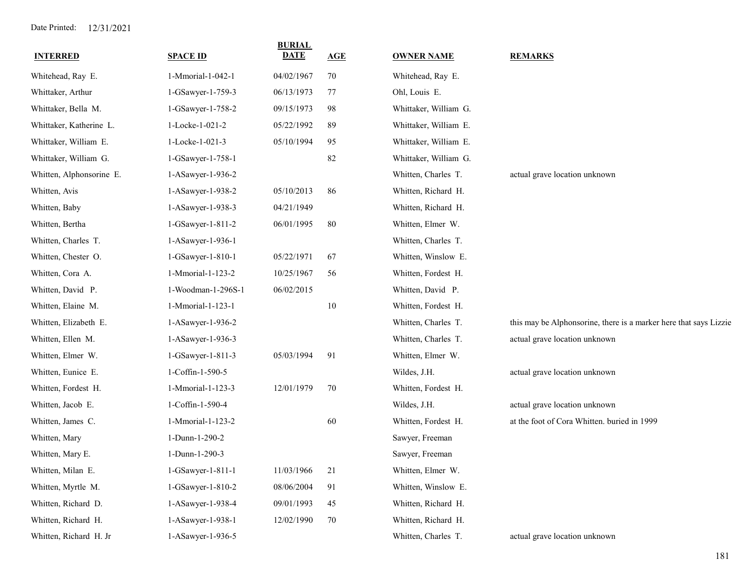| <b>INTERRED</b>          | <b>SPACE ID</b>    | <b>BURIAL</b><br><b>DATE</b> | AGE | <b>OWNER NAME</b>     | <b>REMARKS</b>                                                    |
|--------------------------|--------------------|------------------------------|-----|-----------------------|-------------------------------------------------------------------|
| Whitehead, Ray E.        | 1-Mmorial-1-042-1  | 04/02/1967                   | 70  | Whitehead, Ray E.     |                                                                   |
| Whittaker, Arthur        | 1-GSawyer-1-759-3  | 06/13/1973                   | 77  | Ohl, Louis E.         |                                                                   |
| Whittaker, Bella M.      | 1-GSawyer-1-758-2  | 09/15/1973                   | 98  | Whittaker, William G. |                                                                   |
| Whittaker, Katherine L.  | 1-Locke-1-021-2    | 05/22/1992                   | 89  | Whittaker, William E. |                                                                   |
| Whittaker, William E.    | 1-Locke-1-021-3    | 05/10/1994                   | 95  | Whittaker, William E. |                                                                   |
| Whittaker, William G.    | 1-GSawyer-1-758-1  |                              | 82  | Whittaker, William G. |                                                                   |
| Whitten, Alphonsorine E. | 1-ASawyer-1-936-2  |                              |     | Whitten, Charles T.   | actual grave location unknown                                     |
| Whitten, Avis            | 1-ASawyer-1-938-2  | 05/10/2013                   | 86  | Whitten, Richard H.   |                                                                   |
| Whitten, Baby            | 1-ASawyer-1-938-3  | 04/21/1949                   |     | Whitten, Richard H.   |                                                                   |
| Whitten, Bertha          | 1-GSawyer-1-811-2  | 06/01/1995                   | 80  | Whitten, Elmer W.     |                                                                   |
| Whitten, Charles T.      | 1-ASawyer-1-936-1  |                              |     | Whitten, Charles T.   |                                                                   |
| Whitten, Chester O.      | 1-GSawyer-1-810-1  | 05/22/1971                   | 67  | Whitten, Winslow E.   |                                                                   |
| Whitten, Cora A.         | 1-Mmorial-1-123-2  | 10/25/1967                   | 56  | Whitten, Fordest H.   |                                                                   |
| Whitten, David P.        | 1-Woodman-1-296S-1 | 06/02/2015                   |     | Whitten, David P.     |                                                                   |
| Whitten, Elaine M.       | 1-Mmorial-1-123-1  |                              | 10  | Whitten, Fordest H.   |                                                                   |
| Whitten, Elizabeth E.    | 1-ASawyer-1-936-2  |                              |     | Whitten, Charles T.   | this may be Alphonsorine, there is a marker here that says Lizzie |
| Whitten, Ellen M.        | 1-ASawyer-1-936-3  |                              |     | Whitten, Charles T.   | actual grave location unknown                                     |
| Whitten, Elmer W.        | 1-GSawyer-1-811-3  | 05/03/1994                   | 91  | Whitten, Elmer W.     |                                                                   |
| Whitten, Eunice E.       | 1-Coffin-1-590-5   |                              |     | Wildes, J.H.          | actual grave location unknown                                     |
| Whitten, Fordest H.      | 1-Mmorial-1-123-3  | 12/01/1979                   | 70  | Whitten, Fordest H.   |                                                                   |
| Whitten, Jacob E.        | 1-Coffin-1-590-4   |                              |     | Wildes, J.H.          | actual grave location unknown                                     |
| Whitten, James C.        | 1-Mmorial-1-123-2  |                              | 60  | Whitten, Fordest H.   | at the foot of Cora Whitten. buried in 1999                       |
| Whitten, Mary            | 1-Dunn-1-290-2     |                              |     | Sawyer, Freeman       |                                                                   |
| Whitten, Mary E.         | 1-Dunn-1-290-3     |                              |     | Sawyer, Freeman       |                                                                   |
| Whitten, Milan E.        | 1-GSawyer-1-811-1  | 11/03/1966                   | 21  | Whitten, Elmer W.     |                                                                   |
| Whitten, Myrtle M.       | 1-GSawyer-1-810-2  | 08/06/2004                   | 91  | Whitten, Winslow E.   |                                                                   |
| Whitten, Richard D.      | 1-ASawyer-1-938-4  | 09/01/1993                   | 45  | Whitten, Richard H.   |                                                                   |
| Whitten, Richard H.      | 1-ASawyer-1-938-1  | 12/02/1990                   | 70  | Whitten, Richard H.   |                                                                   |
| Whitten, Richard H. Jr   | 1-ASawyer-1-936-5  |                              |     | Whitten, Charles T.   | actual grave location unknown                                     |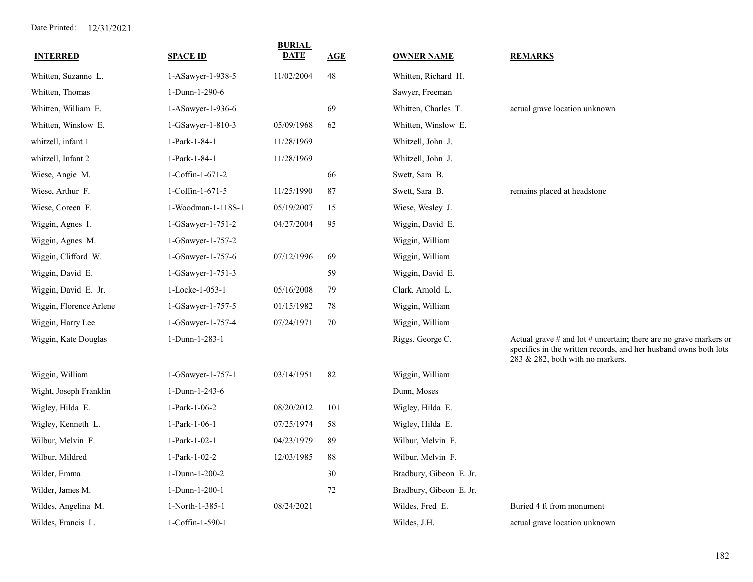| <b>INTERRED</b>         | <b>SPACE ID</b>    | <b>BURIAL</b><br><b>DATE</b> | AGE | <b>OWNER NAME</b>       | <b>REMARKS</b>                                                                                                                                                                |
|-------------------------|--------------------|------------------------------|-----|-------------------------|-------------------------------------------------------------------------------------------------------------------------------------------------------------------------------|
| Whitten, Suzanne L.     | 1-ASawyer-1-938-5  | 11/02/2004                   | 48  | Whitten, Richard H.     |                                                                                                                                                                               |
| Whitten, Thomas         | 1-Dunn-1-290-6     |                              |     | Sawyer, Freeman         |                                                                                                                                                                               |
| Whitten, William E.     | 1-ASawyer-1-936-6  |                              | 69  | Whitten, Charles T.     | actual grave location unknown                                                                                                                                                 |
| Whitten, Winslow E.     | 1-GSawyer-1-810-3  | 05/09/1968                   | 62  | Whitten, Winslow E.     |                                                                                                                                                                               |
| whitzell, infant 1      | 1-Park-1-84-1      | 11/28/1969                   |     | Whitzell, John J.       |                                                                                                                                                                               |
| whitzell, Infant 2      | 1-Park-1-84-1      | 11/28/1969                   |     | Whitzell, John J.       |                                                                                                                                                                               |
| Wiese, Angie M.         | 1-Coffin-1-671-2   |                              | 66  | Swett, Sara B.          |                                                                                                                                                                               |
| Wiese, Arthur F.        | 1-Coffin-1-671-5   | 11/25/1990                   | 87  | Swett, Sara B.          | remains placed at headstone                                                                                                                                                   |
| Wiese, Coreen F.        | 1-Woodman-1-118S-1 | 05/19/2007                   | 15  | Wiese, Wesley J.        |                                                                                                                                                                               |
| Wiggin, Agnes I.        | 1-GSawyer-1-751-2  | 04/27/2004                   | 95  | Wiggin, David E.        |                                                                                                                                                                               |
| Wiggin, Agnes M.        | 1-GSawyer-1-757-2  |                              |     | Wiggin, William         |                                                                                                                                                                               |
| Wiggin, Clifford W.     | 1-GSawyer-1-757-6  | 07/12/1996                   | 69  | Wiggin, William         |                                                                                                                                                                               |
| Wiggin, David E.        | 1-GSawyer-1-751-3  |                              | 59  | Wiggin, David E.        |                                                                                                                                                                               |
| Wiggin, David E. Jr.    | 1-Locke-1-053-1    | 05/16/2008                   | 79  | Clark, Arnold L.        |                                                                                                                                                                               |
| Wiggin, Florence Arlene | 1-GSawyer-1-757-5  | 01/15/1982                   | 78  | Wiggin, William         |                                                                                                                                                                               |
| Wiggin, Harry Lee       | 1-GSawyer-1-757-4  | 07/24/1971                   | 70  | Wiggin, William         |                                                                                                                                                                               |
| Wiggin, Kate Douglas    | 1-Dunn-1-283-1     |                              |     | Riggs, George C.        | Actual grave $#$ and lot $#$ uncertain; there are no grave markers or<br>specifics in the written records, and her husband owns both lots<br>283 & 282, both with no markers. |
| Wiggin, William         | 1-GSawyer-1-757-1  | 03/14/1951                   | 82  | Wiggin, William         |                                                                                                                                                                               |
| Wight, Joseph Franklin  | 1-Dunn-1-243-6     |                              |     | Dunn, Moses             |                                                                                                                                                                               |
| Wigley, Hilda E.        | 1-Park-1-06-2      | 08/20/2012                   | 101 | Wigley, Hilda E.        |                                                                                                                                                                               |
| Wigley, Kenneth L.      | 1-Park-1-06-1      | 07/25/1974                   | 58  | Wigley, Hilda E.        |                                                                                                                                                                               |
| Wilbur, Melvin F.       | 1-Park-1-02-1      | 04/23/1979                   | 89  | Wilbur, Melvin F.       |                                                                                                                                                                               |
| Wilbur, Mildred         | 1-Park-1-02-2      | 12/03/1985                   | 88  | Wilbur, Melvin F.       |                                                                                                                                                                               |
| Wilder, Emma            | 1-Dunn-1-200-2     |                              | 30  | Bradbury, Gibeon E. Jr. |                                                                                                                                                                               |
| Wilder, James M.        | 1-Dunn-1-200-1     |                              | 72  | Bradbury, Gibeon E. Jr. |                                                                                                                                                                               |
| Wildes, Angelina M.     | 1-North-1-385-1    | 08/24/2021                   |     | Wildes, Fred E.         | Buried 4 ft from monument                                                                                                                                                     |
| Wildes, Francis L.      | 1-Coffin-1-590-1   |                              |     | Wildes, J.H.            | actual grave location unknown                                                                                                                                                 |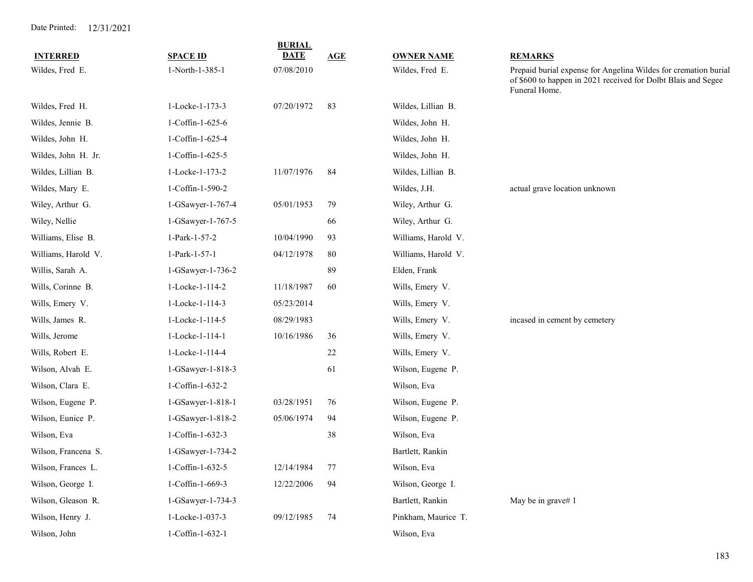| <b>INTERRED</b>     | <b>SPACE ID</b>   | <b>BURIAL</b><br><b>DATE</b> | AGE | <b>OWNER NAME</b>   | <b>REMARKS</b>                                                                                                                                    |
|---------------------|-------------------|------------------------------|-----|---------------------|---------------------------------------------------------------------------------------------------------------------------------------------------|
| Wildes, Fred E.     | 1-North-1-385-1   | 07/08/2010                   |     | Wildes, Fred E.     | Prepaid burial expense for Angelina Wildes for cremation burial<br>of \$600 to happen in 2021 received for Dolbt Blais and Segee<br>Funeral Home. |
| Wildes, Fred H.     | 1-Locke-1-173-3   | 07/20/1972                   | 83  | Wildes, Lillian B.  |                                                                                                                                                   |
| Wildes, Jennie B.   | 1-Coffin-1-625-6  |                              |     | Wildes, John H.     |                                                                                                                                                   |
| Wildes, John H.     | 1-Coffin-1-625-4  |                              |     | Wildes, John H.     |                                                                                                                                                   |
| Wildes, John H. Jr. | 1-Coffin-1-625-5  |                              |     | Wildes, John H.     |                                                                                                                                                   |
| Wildes, Lillian B.  | 1-Locke-1-173-2   | 11/07/1976                   | 84  | Wildes, Lillian B.  |                                                                                                                                                   |
| Wildes, Mary E.     | 1-Coffin-1-590-2  |                              |     | Wildes, J.H.        | actual grave location unknown                                                                                                                     |
| Wiley, Arthur G.    | 1-GSawyer-1-767-4 | 05/01/1953                   | 79  | Wiley, Arthur G.    |                                                                                                                                                   |
| Wiley, Nellie       | 1-GSawyer-1-767-5 |                              | 66  | Wiley, Arthur G.    |                                                                                                                                                   |
| Williams, Elise B.  | 1-Park-1-57-2     | 10/04/1990                   | 93  | Williams, Harold V. |                                                                                                                                                   |
| Williams, Harold V. | 1-Park-1-57-1     | 04/12/1978                   | 80  | Williams, Harold V. |                                                                                                                                                   |
| Willis, Sarah A.    | 1-GSawyer-1-736-2 |                              | 89  | Elden, Frank        |                                                                                                                                                   |
| Wills, Corinne B.   | 1-Locke-1-114-2   | 11/18/1987                   | 60  | Wills, Emery V.     |                                                                                                                                                   |
| Wills, Emery V.     | 1-Locke-1-114-3   | 05/23/2014                   |     | Wills, Emery V.     |                                                                                                                                                   |
| Wills, James R.     | 1-Locke-1-114-5   | 08/29/1983                   |     | Wills, Emery V.     | incased in cement by cemetery                                                                                                                     |
| Wills, Jerome       | 1-Locke-1-114-1   | 10/16/1986                   | 36  | Wills, Emery V.     |                                                                                                                                                   |
| Wills, Robert E.    | 1-Locke-1-114-4   |                              | 22  | Wills, Emery V.     |                                                                                                                                                   |
| Wilson, Alvah E.    | 1-GSawyer-1-818-3 |                              | 61  | Wilson, Eugene P.   |                                                                                                                                                   |
| Wilson, Clara E.    | 1-Coffin-1-632-2  |                              |     | Wilson, Eva         |                                                                                                                                                   |
| Wilson, Eugene P.   | 1-GSawyer-1-818-1 | 03/28/1951                   | 76  | Wilson, Eugene P.   |                                                                                                                                                   |
| Wilson, Eunice P.   | 1-GSawyer-1-818-2 | 05/06/1974                   | 94  | Wilson, Eugene P.   |                                                                                                                                                   |
| Wilson, Eva         | 1-Coffin-1-632-3  |                              | 38  | Wilson, Eva         |                                                                                                                                                   |
| Wilson, Francena S. | 1-GSawyer-1-734-2 |                              |     | Bartlett, Rankin    |                                                                                                                                                   |
| Wilson, Frances L.  | 1-Coffin-1-632-5  | 12/14/1984                   | 77  | Wilson, Eva         |                                                                                                                                                   |
| Wilson, George I.   | 1-Coffin-1-669-3  | 12/22/2006                   | 94  | Wilson, George I.   |                                                                                                                                                   |
| Wilson, Gleason R.  | 1-GSawyer-1-734-3 |                              |     | Bartlett, Rankin    | May be in grave# 1                                                                                                                                |
| Wilson, Henry J.    | 1-Locke-1-037-3   | 09/12/1985                   | 74  | Pinkham, Maurice T. |                                                                                                                                                   |
| Wilson, John        | 1-Coffin-1-632-1  |                              |     | Wilson, Eva         |                                                                                                                                                   |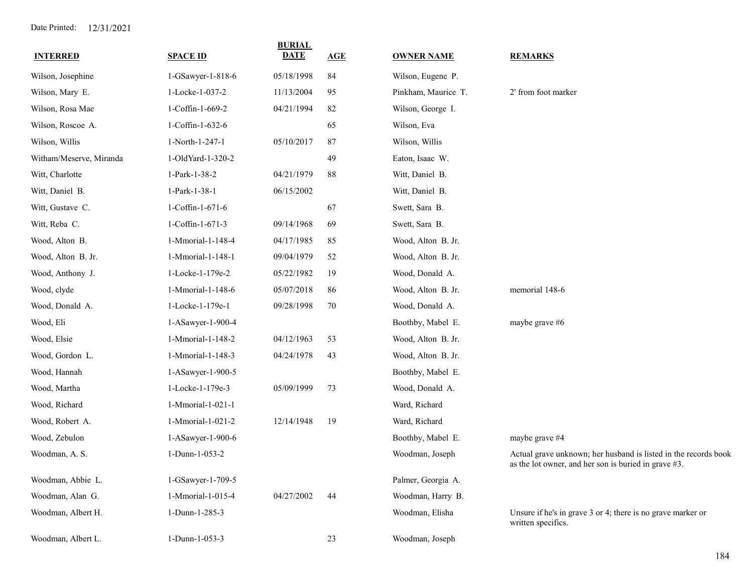| <b>INTERRED</b>         | <b>SPACE ID</b>   | <b>BURIAL</b><br><b>DATE</b> | AGE | <b>OWNER NAME</b>   | <b>REMARKS</b>                                                                                                          |
|-------------------------|-------------------|------------------------------|-----|---------------------|-------------------------------------------------------------------------------------------------------------------------|
| Wilson, Josephine       | 1-GSawyer-1-818-6 | 05/18/1998                   | 84  | Wilson, Eugene P.   |                                                                                                                         |
| Wilson, Mary E.         | 1-Locke-1-037-2   | 11/13/2004                   | 95  | Pinkham, Maurice T. | 2' from foot marker                                                                                                     |
| Wilson, Rosa Mae        | 1-Coffin-1-669-2  | 04/21/1994                   | 82  | Wilson, George I.   |                                                                                                                         |
| Wilson, Roscoe A.       | 1-Coffin-1-632-6  |                              | 65  | Wilson, Eva         |                                                                                                                         |
| Wilson, Willis          | 1-North-1-247-1   | 05/10/2017                   | 87  | Wilson, Willis      |                                                                                                                         |
| Witham/Meserve, Miranda | 1-OldYard-1-320-2 |                              | 49  | Eaton, Isaac W.     |                                                                                                                         |
| Witt, Charlotte         | 1-Park-1-38-2     | 04/21/1979                   | 88  | Witt, Daniel B.     |                                                                                                                         |
| Witt, Daniel B.         | 1-Park-1-38-1     | 06/15/2002                   |     | Witt, Daniel B.     |                                                                                                                         |
| Witt, Gustave C.        | 1-Coffin-1-671-6  |                              | 67  | Swett, Sara B.      |                                                                                                                         |
| Witt, Reba C.           | 1-Coffin-1-671-3  | 09/14/1968                   | 69  | Swett, Sara B.      |                                                                                                                         |
| Wood, Alton B.          | 1-Mmorial-1-148-4 | 04/17/1985                   | 85  | Wood, Alton B. Jr.  |                                                                                                                         |
| Wood, Alton B. Jr.      | 1-Mmorial-1-148-1 | 09/04/1979                   | 52  | Wood, Alton B. Jr.  |                                                                                                                         |
| Wood, Anthony J.        | 1-Locke-1-179e-2  | 05/22/1982                   | 19  | Wood, Donald A.     |                                                                                                                         |
| Wood, clyde             | 1-Mmorial-1-148-6 | 05/07/2018                   | 86  | Wood, Alton B. Jr.  | memorial 148-6                                                                                                          |
| Wood, Donald A.         | 1-Locke-1-179e-1  | 09/28/1998                   | 70  | Wood, Donald A.     |                                                                                                                         |
| Wood, Eli               | 1-ASawyer-1-900-4 |                              |     | Boothby, Mabel E.   | maybe grave #6                                                                                                          |
| Wood, Elsie             | 1-Mmorial-1-148-2 | 04/12/1963                   | 53  | Wood, Alton B. Jr.  |                                                                                                                         |
| Wood, Gordon L.         | 1-Mmorial-1-148-3 | 04/24/1978                   | 43  | Wood, Alton B. Jr.  |                                                                                                                         |
| Wood, Hannah            | 1-ASawyer-1-900-5 |                              |     | Boothby, Mabel E.   |                                                                                                                         |
| Wood, Martha            | 1-Locke-1-179e-3  | 05/09/1999                   | 73  | Wood, Donald A.     |                                                                                                                         |
| Wood, Richard           | 1-Mmorial-1-021-1 |                              |     | Ward, Richard       |                                                                                                                         |
| Wood, Robert A.         | 1-Mmorial-1-021-2 | 12/14/1948                   | 19  | Ward, Richard       |                                                                                                                         |
| Wood, Zebulon           | 1-ASawyer-1-900-6 |                              |     | Boothby, Mabel E.   | maybe grave #4                                                                                                          |
| Woodman, A. S.          | 1-Dunn-1-053-2    |                              |     | Woodman, Joseph     | Actual grave unknown; her husband is listed in the records book<br>as the lot owner, and her son is buried in grave #3. |
| Woodman, Abbie L.       | 1-GSawyer-1-709-5 |                              |     | Palmer, Georgia A.  |                                                                                                                         |
| Woodman, Alan G.        | 1-Mmorial-1-015-4 | 04/27/2002                   | 44  | Woodman, Harry B.   |                                                                                                                         |
| Woodman, Albert H.      | 1-Dunn-1-285-3    |                              |     | Woodman, Elisha     | Unsure if he's in grave 3 or 4; there is no grave marker or<br>written specifics.                                       |
| Woodman, Albert L.      | 1-Dunn-1-053-3    |                              | 23  | Woodman, Joseph     |                                                                                                                         |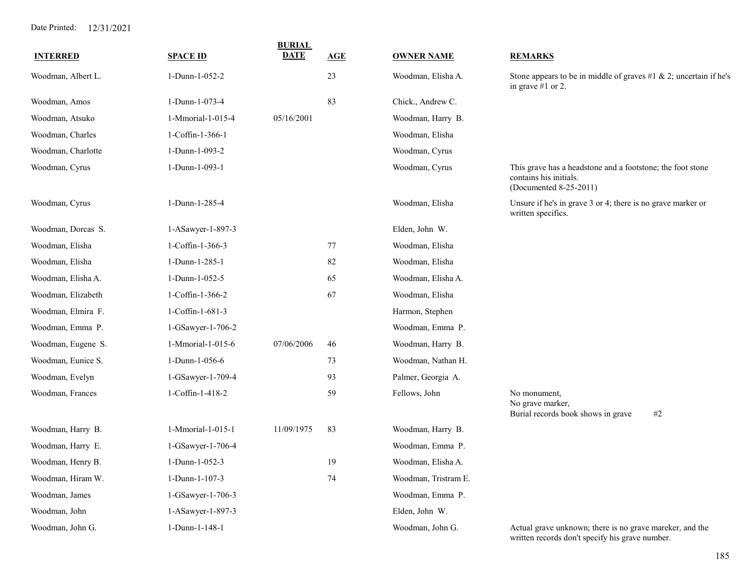| <b>INTERRED</b>    | <b>SPACE ID</b>   | <b>BURIAL</b><br><b>DATE</b> | AGE | <b>OWNER NAME</b>    | <b>REMARKS</b>                                                                                                 |
|--------------------|-------------------|------------------------------|-----|----------------------|----------------------------------------------------------------------------------------------------------------|
| Woodman, Albert L. | 1-Dunn-1-052-2    |                              | 23  | Woodman, Elisha A.   | Stone appears to be in middle of graves #1 $\&$ 2; uncertain if he's<br>in grave $#1$ or 2.                    |
| Woodman, Amos      | 1-Dunn-1-073-4    |                              | 83  | Chick., Andrew C.    |                                                                                                                |
| Woodman, Atsuko    | 1-Mmorial-1-015-4 | 05/16/2001                   |     | Woodman, Harry B.    |                                                                                                                |
| Woodman, Charles   | 1-Coffin-1-366-1  |                              |     | Woodman, Elisha      |                                                                                                                |
| Woodman, Charlotte | 1-Dunn-1-093-2    |                              |     | Woodman, Cyrus       |                                                                                                                |
| Woodman, Cyrus     | 1-Dunn-1-093-1    |                              |     | Woodman, Cyrus       | This grave has a headstone and a footstone; the foot stone<br>contains his initials.<br>(Documented 8-25-2011) |
| Woodman, Cyrus     | 1-Dunn-1-285-4    |                              |     | Woodman, Elisha      | Unsure if he's in grave 3 or 4; there is no grave marker or<br>written specifics.                              |
| Woodman, Dorcas S. | 1-ASawyer-1-897-3 |                              |     | Elden, John W.       |                                                                                                                |
| Woodman, Elisha    | 1-Coffin-1-366-3  |                              | 77  | Woodman, Elisha      |                                                                                                                |
| Woodman, Elisha    | 1-Dunn-1-285-1    |                              | 82  | Woodman, Elisha      |                                                                                                                |
| Woodman, Elisha A. | 1-Dunn-1-052-5    |                              | 65  | Woodman, Elisha A.   |                                                                                                                |
| Woodman, Elizabeth | 1-Coffin-1-366-2  |                              | 67  | Woodman, Elisha      |                                                                                                                |
| Woodman, Elmira F. | 1-Coffin-1-681-3  |                              |     | Harmon, Stephen      |                                                                                                                |
| Woodman, Emma P.   | 1-GSawyer-1-706-2 |                              |     | Woodman, Emma P.     |                                                                                                                |
| Woodman, Eugene S. | 1-Mmorial-1-015-6 | 07/06/2006                   | 46  | Woodman, Harry B.    |                                                                                                                |
| Woodman, Eunice S. | 1-Dunn-1-056-6    |                              | 73  | Woodman, Nathan H.   |                                                                                                                |
| Woodman, Evelyn    | 1-GSawyer-1-709-4 |                              | 93  | Palmer, Georgia A.   |                                                                                                                |
| Woodman, Frances   | 1-Coffin-1-418-2  |                              | 59  | Fellows, John        | No monument,<br>No grave marker,<br>Burial records book shows in grave<br>#2                                   |
| Woodman, Harry B.  | 1-Mmorial-1-015-1 | 11/09/1975                   | 83  | Woodman, Harry B.    |                                                                                                                |
| Woodman, Harry E.  | 1-GSawyer-1-706-4 |                              |     | Woodman, Emma P.     |                                                                                                                |
| Woodman, Henry B.  | 1-Dunn-1-052-3    |                              | 19  | Woodman, Elisha A.   |                                                                                                                |
| Woodman, Hiram W.  | 1-Dunn-1-107-3    |                              | 74  | Woodman, Tristram E. |                                                                                                                |
| Woodman, James     | 1-GSawyer-1-706-3 |                              |     | Woodman, Emma P.     |                                                                                                                |
| Woodman, John      | 1-ASawyer-1-897-3 |                              |     | Elden, John W.       |                                                                                                                |
| Woodman, John G.   | 1-Dunn-1-148-1    |                              |     | Woodman, John G.     | Actual grave unknown; there is no grave mareker, and the<br>written records don't specify his grave number.    |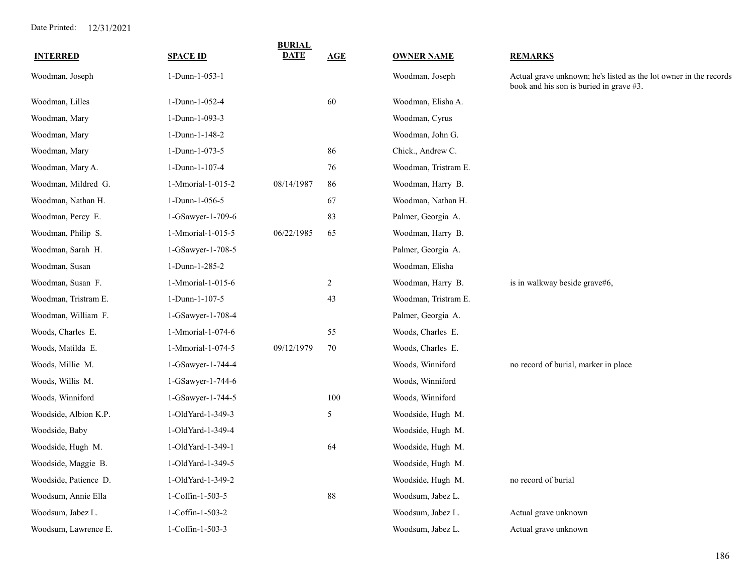| <b>INTERRED</b>       | <b>SPACE ID</b>   | <b>BURIAL</b><br><b>DATE</b> | AGE            | <b>OWNER NAME</b>    | <b>REMARKS</b>                                                                                               |
|-----------------------|-------------------|------------------------------|----------------|----------------------|--------------------------------------------------------------------------------------------------------------|
| Woodman, Joseph       | 1-Dunn-1-053-1    |                              |                | Woodman, Joseph      | Actual grave unknown; he's listed as the lot owner in the records<br>book and his son is buried in grave #3. |
| Woodman, Lilles       | 1-Dunn-1-052-4    |                              | 60             | Woodman, Elisha A.   |                                                                                                              |
| Woodman, Mary         | 1-Dunn-1-093-3    |                              |                | Woodman, Cyrus       |                                                                                                              |
| Woodman, Mary         | 1-Dunn-1-148-2    |                              |                | Woodman, John G.     |                                                                                                              |
| Woodman, Mary         | 1-Dunn-1-073-5    |                              | 86             | Chick., Andrew C.    |                                                                                                              |
| Woodman, Mary A.      | 1-Dunn-1-107-4    |                              | 76             | Woodman, Tristram E. |                                                                                                              |
| Woodman, Mildred G.   | 1-Mmorial-1-015-2 | 08/14/1987                   | 86             | Woodman, Harry B.    |                                                                                                              |
| Woodman, Nathan H.    | 1-Dunn-1-056-5    |                              | 67             | Woodman, Nathan H.   |                                                                                                              |
| Woodman, Percy E.     | 1-GSawyer-1-709-6 |                              | 83             | Palmer, Georgia A.   |                                                                                                              |
| Woodman, Philip S.    | 1-Mmorial-1-015-5 | 06/22/1985                   | 65             | Woodman, Harry B.    |                                                                                                              |
| Woodman, Sarah H.     | 1-GSawyer-1-708-5 |                              |                | Palmer, Georgia A.   |                                                                                                              |
| Woodman, Susan        | 1-Dunn-1-285-2    |                              |                | Woodman, Elisha      |                                                                                                              |
| Woodman, Susan F.     | 1-Mmorial-1-015-6 |                              | $\overline{c}$ | Woodman, Harry B.    | is in walkway beside grave#6,                                                                                |
| Woodman, Tristram E.  | 1-Dunn-1-107-5    |                              | 43             | Woodman, Tristram E. |                                                                                                              |
| Woodman, William F.   | 1-GSawyer-1-708-4 |                              |                | Palmer, Georgia A.   |                                                                                                              |
| Woods, Charles E.     | 1-Mmorial-1-074-6 |                              | 55             | Woods, Charles E.    |                                                                                                              |
| Woods, Matilda E.     | 1-Mmorial-1-074-5 | 09/12/1979                   | 70             | Woods, Charles E.    |                                                                                                              |
| Woods, Millie M.      | 1-GSawyer-1-744-4 |                              |                | Woods, Winniford     | no record of burial, marker in place                                                                         |
| Woods, Willis M.      | 1-GSawyer-1-744-6 |                              |                | Woods, Winniford     |                                                                                                              |
| Woods, Winniford      | 1-GSawyer-1-744-5 |                              | 100            | Woods, Winniford     |                                                                                                              |
| Woodside, Albion K.P. | 1-OldYard-1-349-3 |                              | 5              | Woodside, Hugh M.    |                                                                                                              |
| Woodside, Baby        | 1-OldYard-1-349-4 |                              |                | Woodside, Hugh M.    |                                                                                                              |
| Woodside, Hugh M.     | 1-OldYard-1-349-1 |                              | 64             | Woodside, Hugh M.    |                                                                                                              |
| Woodside, Maggie B.   | 1-OldYard-1-349-5 |                              |                | Woodside, Hugh M.    |                                                                                                              |
| Woodside, Patience D. | 1-OldYard-1-349-2 |                              |                | Woodside, Hugh M.    | no record of burial                                                                                          |
| Woodsum, Annie Ella   | 1-Coffin-1-503-5  |                              | 88             | Woodsum, Jabez L.    |                                                                                                              |
| Woodsum, Jabez L.     | 1-Coffin-1-503-2  |                              |                | Woodsum, Jabez L.    | Actual grave unknown                                                                                         |
| Woodsum, Lawrence E.  | 1-Coffin-1-503-3  |                              |                | Woodsum, Jabez L.    | Actual grave unknown                                                                                         |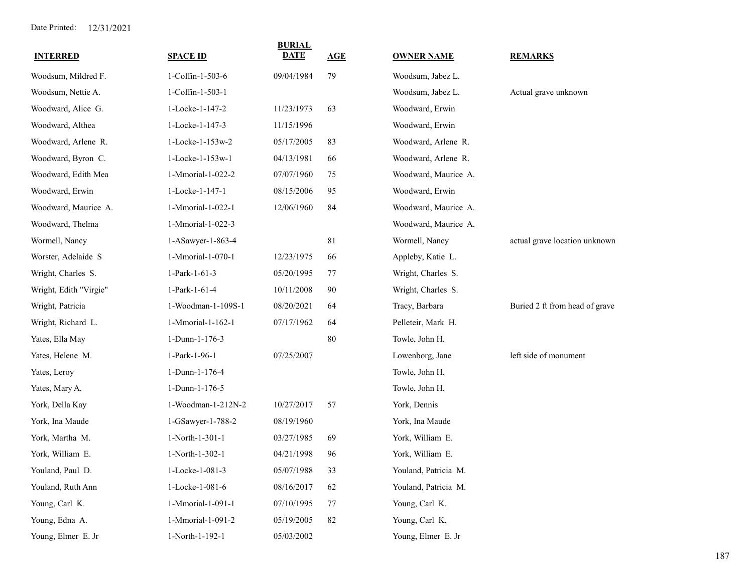| <b>INTERRED</b>        | <b>SPACE ID</b>    | <b>BURIAL</b><br><b>DATE</b> | AGE | <b>OWNER NAME</b>    | <b>REMARKS</b>                 |
|------------------------|--------------------|------------------------------|-----|----------------------|--------------------------------|
| Woodsum, Mildred F.    | 1-Coffin-1-503-6   | 09/04/1984                   | 79  | Woodsum, Jabez L.    |                                |
| Woodsum, Nettie A.     | 1-Coffin-1-503-1   |                              |     | Woodsum, Jabez L.    | Actual grave unknown           |
| Woodward, Alice G.     | 1-Locke-1-147-2    | 11/23/1973                   | 63  | Woodward, Erwin      |                                |
| Woodward, Althea       | 1-Locke-1-147-3    | 11/15/1996                   |     | Woodward, Erwin      |                                |
| Woodward, Arlene R.    | 1-Locke-1-153w-2   | 05/17/2005                   | 83  | Woodward, Arlene R.  |                                |
| Woodward, Byron C.     | 1-Locke-1-153w-1   | 04/13/1981                   | 66  | Woodward, Arlene R.  |                                |
| Woodward, Edith Mea    | 1-Mmorial-1-022-2  | 07/07/1960                   | 75  | Woodward, Maurice A. |                                |
| Woodward, Erwin        | 1-Locke-1-147-1    | 08/15/2006                   | 95  | Woodward, Erwin      |                                |
| Woodward, Maurice A.   | 1-Mmorial-1-022-1  | 12/06/1960                   | 84  | Woodward, Maurice A. |                                |
| Woodward, Thelma       | 1-Mmorial-1-022-3  |                              |     | Woodward, Maurice A. |                                |
| Wormell, Nancy         | 1-ASawyer-1-863-4  |                              | 81  | Wormell, Nancy       | actual grave location unknown  |
| Worster, Adelaide S    | 1-Mmorial-1-070-1  | 12/23/1975                   | 66  | Appleby, Katie L.    |                                |
| Wright, Charles S.     | 1-Park-1-61-3      | 05/20/1995                   | 77  | Wright, Charles S.   |                                |
| Wright, Edith "Virgie" | 1-Park-1-61-4      | 10/11/2008                   | 90  | Wright, Charles S.   |                                |
| Wright, Patricia       | 1-Woodman-1-109S-1 | 08/20/2021                   | 64  | Tracy, Barbara       | Buried 2 ft from head of grave |
| Wright, Richard L.     | 1-Mmorial-1-162-1  | 07/17/1962                   | 64  | Pelleteir, Mark H.   |                                |
| Yates, Ella May        | 1-Dunn-1-176-3     |                              | 80  | Towle, John H.       |                                |
| Yates, Helene M.       | 1-Park-1-96-1      | 07/25/2007                   |     | Lowenborg, Jane      | left side of monument          |
| Yates, Leroy           | 1-Dunn-1-176-4     |                              |     | Towle, John H.       |                                |
| Yates, Mary A.         | 1-Dunn-1-176-5     |                              |     | Towle, John H.       |                                |
| York, Della Kay        | 1-Woodman-1-212N-2 | 10/27/2017                   | 57  | York, Dennis         |                                |
| York, Ina Maude        | 1-GSawyer-1-788-2  | 08/19/1960                   |     | York, Ina Maude      |                                |
| York, Martha M.        | 1-North-1-301-1    | 03/27/1985                   | 69  | York, William E.     |                                |
| York, William E.       | 1-North-1-302-1    | 04/21/1998                   | 96  | York, William E.     |                                |
| Youland, Paul D.       | 1-Locke-1-081-3    | 05/07/1988                   | 33  | Youland, Patricia M. |                                |
| Youland, Ruth Ann      | 1-Locke-1-081-6    | 08/16/2017                   | 62  | Youland, Patricia M. |                                |
| Young, Carl K.         | 1-Mmorial-1-091-1  | 07/10/1995                   | 77  | Young, Carl K.       |                                |
| Young, Edna A.         | 1-Mmorial-1-091-2  | 05/19/2005                   | 82  | Young, Carl K.       |                                |
| Young, Elmer E. Jr     | 1-North-1-192-1    | 05/03/2002                   |     | Young, Elmer E. Jr   |                                |